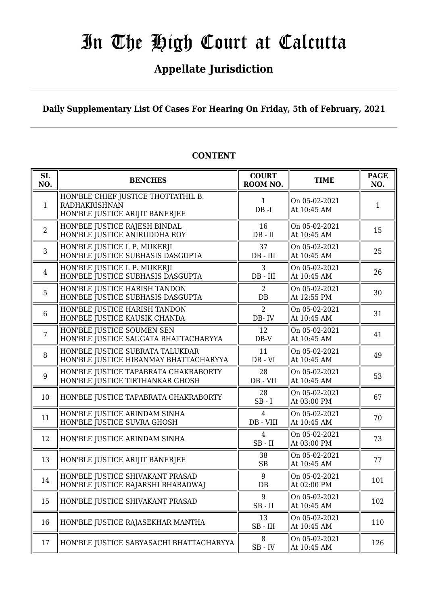## **Appellate Jurisdiction**

**Daily Supplementary List Of Cases For Hearing On Friday, 5th of February, 2021**

| SL<br>NO.      | <b>BENCHES</b>                                                                                 | <b>COURT</b><br>ROOM NO.       | <b>TIME</b>                  | <b>PAGE</b><br>NO. |
|----------------|------------------------------------------------------------------------------------------------|--------------------------------|------------------------------|--------------------|
| $\mathbf{1}$   | HON'BLE CHIEF JUSTICE THOTTATHIL B.<br><b>RADHAKRISHNAN</b><br>HON'BLE JUSTICE ARIJIT BANERJEE | $\mathbf{1}$<br>$DB - I$       | On 05-02-2021<br>At 10:45 AM | 1                  |
| $\overline{2}$ | HON'BLE JUSTICE RAJESH BINDAL<br>HON'BLE JUSTICE ANIRUDDHA ROY                                 | 16<br>$DB - II$                | On 05-02-2021<br>At 10:45 AM | 15                 |
| 3              | HON'BLE JUSTICE I. P. MUKERJI<br>HON'BLE JUSTICE SUBHASIS DASGUPTA                             | 37<br>$DB$ - $III$             | On 05-02-2021<br>At 10:45 AM | 25                 |
| $\overline{4}$ | HON'BLE JUSTICE I. P. MUKERJI<br>HON'BLE JUSTICE SUBHASIS DASGUPTA                             | 3<br>$DB$ - $III$              | On 05-02-2021<br>At 10:45 AM | 26                 |
| 5              | HON'BLE JUSTICE HARISH TANDON<br>HON'BLE JUSTICE SUBHASIS DASGUPTA                             | 2<br>DB                        | On 05-02-2021<br>At 12:55 PM | 30                 |
| $6\phantom{1}$ | HON'BLE JUSTICE HARISH TANDON<br>HON'BLE JUSTICE KAUSIK CHANDA                                 | $\overline{2}$<br>DB-IV        | On 05-02-2021<br>At 10:45 AM | 31                 |
| $\overline{7}$ | HON'BLE JUSTICE SOUMEN SEN<br>HON'BLE JUSTICE SAUGATA BHATTACHARYYA                            | 12<br>$DB-V$                   | On 05-02-2021<br>At 10:45 AM | 41                 |
| 8              | HON'BLE JUSTICE SUBRATA TALUKDAR<br>HON'BLE JUSTICE HIRANMAY BHATTACHARYYA                     | 11<br>$DB - VI$                | On 05-02-2021<br>At 10:45 AM | 49                 |
| 9              | HON'BLE JUSTICE TAPABRATA CHAKRABORTY<br>HON'BLE JUSTICE TIRTHANKAR GHOSH                      | 28<br>DB - VII                 | On 05-02-2021<br>At 10:45 AM | 53                 |
| 10             | HON'BLE JUSTICE TAPABRATA CHAKRABORTY                                                          | 28<br>$SB - I$                 | On 05-02-2021<br>At 03:00 PM | 67                 |
| 11             | HON'BLE JUSTICE ARINDAM SINHA<br>HON'BLE JUSTICE SUVRA GHOSH                                   | 4<br>DB - VIII                 | On 05-02-2021<br>At 10:45 AM | 70                 |
| 12             | HON'BLE JUSTICE ARINDAM SINHA                                                                  | $\overline{4}$<br>$SB$ - $II$  | On 05-02-2021<br>At 03:00 PM | 73                 |
| 13             | HON'BLE JUSTICE ARIJIT BANERJEE                                                                | 38<br>SB                       | On 05-02-2021<br>At 10:45 AM | 77                 |
| 14             | HON'BLE JUSTICE SHIVAKANT PRASAD<br>HON'BLE JUSTICE RAJARSHI BHARADWAJ                         | 9<br>DB                        | On 05-02-2021<br>At 02:00 PM | 101                |
| 15             | HON'BLE JUSTICE SHIVAKANT PRASAD                                                               | 9<br>$SB$ - $II$               | On 05-02-2021<br>At 10:45 AM | 102                |
| 16             | HON'BLE JUSTICE RAJASEKHAR MANTHA                                                              | 13<br>$SB$ - $III$             | On 05-02-2021<br>At 10:45 AM | 110                |
| 17             | HON'BLE JUSTICE SABYASACHI BHATTACHARYYA                                                       | 8<br>$\text{SB}$ - $\text{IV}$ | On 05-02-2021<br>At 10:45 AM | 126                |

### **CONTENT**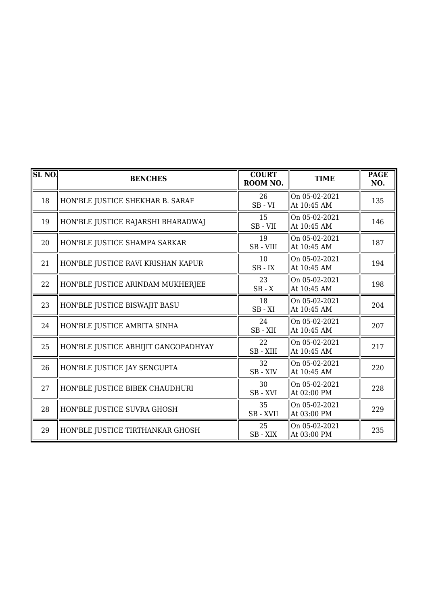| $SL$ NO. | <b>BENCHES</b>                       | <b>COURT</b><br>ROOM NO. | <b>TIME</b>                  | <b>PAGE</b><br>NO. |
|----------|--------------------------------------|--------------------------|------------------------------|--------------------|
| 18       | HON'BLE JUSTICE SHEKHAR B. SARAF     | 26<br>$SB - VI$          | On 05-02-2021<br>At 10:45 AM | 135                |
| 19       | HON'BLE JUSTICE RAJARSHI BHARADWAJ   | 15<br>SB-VII             | On 05-02-2021<br>At 10:45 AM | 146                |
| 20       | HON'BLE JUSTICE SHAMPA SARKAR        | 19<br>SB-VIII            | On 05-02-2021<br>At 10:45 AM | 187                |
| 21       | HON'BLE JUSTICE RAVI KRISHAN KAPUR   | 10<br>$SB$ - $IX$        | On 05-02-2021<br>At 10:45 AM | 194                |
| 22       | HON'BLE JUSTICE ARINDAM MUKHERJEE    | 23<br>$SB - X$           | On 05-02-2021<br>At 10:45 AM | 198                |
| 23       | HON'BLE JUSTICE BISWAJIT BASU        | 18<br>$SB - XI$          | On 05-02-2021<br>At 10:45 AM | 204                |
| 24       | HON'BLE JUSTICE AMRITA SINHA         | 24<br>SB-XII             | On 05-02-2021<br>At 10:45 AM | 207                |
| 25       | HON'BLE JUSTICE ABHIJIT GANGOPADHYAY | 22<br>SB - XIII          | On 05-02-2021<br>At 10:45 AM | 217                |
| 26       | HON'BLE JUSTICE JAY SENGUPTA         | 32<br>SB - XIV           | On 05-02-2021<br>At 10:45 AM | 220                |
| 27       | HON'BLE JUSTICE BIBEK CHAUDHURI      | 30<br>SB-XVI             | On 05-02-2021<br>At 02:00 PM | 228                |
| 28       | HON'BLE JUSTICE SUVRA GHOSH          | 35<br>SB-XVII            | On 05-02-2021<br>At 03:00 PM | 229                |
| 29       | HON'BLE JUSTICE TIRTHANKAR GHOSH     | 25<br>SB-XIX             | On 05-02-2021<br>At 03:00 PM | 235                |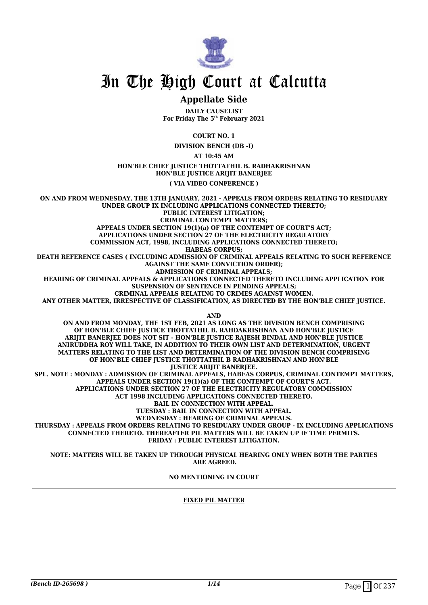

### **Appellate Side**

**DAILY CAUSELIST For Friday The 5th February 2021**

**COURT NO. 1**

**DIVISION BENCH (DB -I)**

**AT 10:45 AM**

**HON'BLE CHIEF JUSTICE THOTTATHIL B. RADHAKRISHNAN HON'BLE JUSTICE ARIJIT BANERJEE**

**( VIA VIDEO CONFERENCE )**

**ON AND FROM WEDNESDAY, THE 13TH JANUARY, 2021 - APPEALS FROM ORDERS RELATING TO RESIDUARY UNDER GROUP IX INCLUDING APPLICATIONS CONNECTED THERETO; PUBLIC INTEREST LITIGATION; CRIMINAL CONTEMPT MATTERS; APPEALS UNDER SECTION 19(1)(a) OF THE CONTEMPT OF COURT'S ACT; APPLICATIONS UNDER SECTION 27 OF THE ELECTRICITY REGULATORY COMMISSION ACT, 1998, INCLUDING APPLICATIONS CONNECTED THERETO; HABEAS CORPUS; DEATH REFERENCE CASES ( INCLUDING ADMISSION OF CRIMINAL APPEALS RELATING TO SUCH REFERENCE AGAINST THE SAME CONVICTION ORDER); ADMISSION OF CRIMINAL APPEALS; HEARING OF CRIMINAL APPEALS & APPLICATIONS CONNECTED THERETO INCLUDING APPLICATION FOR SUSPENSION OF SENTENCE IN PENDING APPEALS; CRIMINAL APPEALS RELATING TO CRIMES AGAINST WOMEN. ANY OTHER MATTER, IRRESPECTIVE OF CLASSIFICATION, AS DIRECTED BY THE HON'BLE CHIEF JUSTICE. AND ON AND FROM MONDAY, THE 1ST FEB, 2021 AS LONG AS THE DIVISION BENCH COMPRISING OF HON'BLE CHIEF JUSTICE THOTTATHIL B. RAHDAKRISHNAN AND HON'BLE JUSTICE ARIJIT BANERJEE DOES NOT SIT - HON'BLE JUSTICE RAJESH BINDAL AND HON'BLE JUSTICE ANIRUDDHA ROY WILL TAKE, IN ADDITION TO THEIR OWN LIST AND DETERMINATION, URGENT MATTERS RELATING TO THE LIST AND DETERMINATION OF THE DIVISION BENCH COMPRISING OF HON'BLE CHIEF JUSTICE THOTTATHIL B RADHAKRISHNAN AND HON'BLE** *JUSTICE ARIJIT BANERIEE.* **SPL. NOTE : MONDAY : ADMISSION OF CRIMINAL APPEALS, HABEAS CORPUS, CRIMINAL CONTEMPT MATTERS, APPEALS UNDER SECTION 19(1)(a) OF THE CONTEMPT OF COURT'S ACT. APPLICATIONS UNDER SECTION 27 OF THE ELECTRICITY REGULATORY COMMISSION ACT 1998 INCLUDING APPLICATIONS CONNECTED THERETO. BAIL IN CONNECTION WITH APPEAL. TUESDAY : BAIL IN CONNECTION WITH APPEAL. WEDNESDAY : HEARING OF CRIMINAL APPEALS. THURSDAY : APPEALS FROM ORDERS RELATING TO RESIDUARY UNDER GROUP - IX INCLUDING APPLICATIONS CONNECTED THERETO. THEREAFTER PIL MATTERS WILL BE TAKEN UP IF TIME PERMITS. FRIDAY : PUBLIC INTEREST LITIGATION.**

**NOTE: MATTERS WILL BE TAKEN UP THROUGH PHYSICAL HEARING ONLY WHEN BOTH THE PARTIES ARE AGREED.**

**NO MENTIONING IN COURT**

### **FIXED PIL MATTER**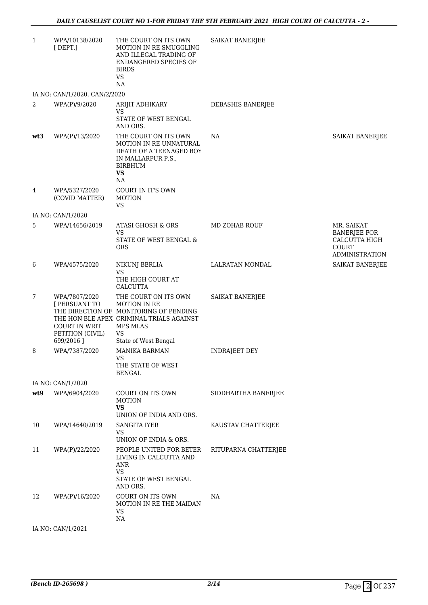| $\mathbf{1}$   | WPA/10138/2020<br>$[$ DEPT.]                                               | THE COURT ON ITS OWN<br>MOTION IN RE SMUGGLING<br>AND ILLEGAL TRADING OF<br>ENDANGERED SPECIES OF<br><b>BIRDS</b><br><b>VS</b><br>NA                                                                                                                                                         | <b>SAIKAT BANERJEE</b> |                                                                                      |
|----------------|----------------------------------------------------------------------------|----------------------------------------------------------------------------------------------------------------------------------------------------------------------------------------------------------------------------------------------------------------------------------------------|------------------------|--------------------------------------------------------------------------------------|
|                | IA NO: CAN/1/2020, CAN/2/2020                                              |                                                                                                                                                                                                                                                                                              |                        |                                                                                      |
| $\overline{2}$ | WPA(P)/9/2020                                                              | ARIJIT ADHIKARY<br>VS<br>STATE OF WEST BENGAL<br>AND ORS.                                                                                                                                                                                                                                    | DEBASHIS BANERJEE      |                                                                                      |
| wt3            | WPA(P)/13/2020                                                             | THE COURT ON ITS OWN<br>MOTION IN RE UNNATURAL<br>DEATH OF A TEENAGED BOY<br>IN MALLARPUR P.S.,<br><b>BIRBHUM</b><br><b>VS</b><br>NA                                                                                                                                                         | NA                     | <b>SAIKAT BANERJEE</b>                                                               |
| 4              | WPA/5327/2020<br>(COVID MATTER)                                            | COURT IN IT'S OWN<br><b>MOTION</b><br>VS                                                                                                                                                                                                                                                     |                        |                                                                                      |
|                | IA NO: CAN/1/2020                                                          |                                                                                                                                                                                                                                                                                              |                        |                                                                                      |
| 5              | WPA/14656/2019                                                             | ATASI GHOSH & ORS<br><b>VS</b><br>STATE OF WEST BENGAL &<br><b>ORS</b>                                                                                                                                                                                                                       | MD ZOHAB ROUF          | MR. SAIKAT<br><b>BANERJEE FOR</b><br>CALCUTTA HIGH<br>COURT<br><b>ADMINISTRATION</b> |
| 6              | WPA/4575/2020                                                              | NIKUNJ BERLIA<br><b>VS</b><br>THE HIGH COURT AT                                                                                                                                                                                                                                              | LALRATAN MONDAL        | <b>SAIKAT BANERJEE</b>                                                               |
| 7              | WPA/7807/2020<br>[ PERSUANT TO<br><b>COURT IN WRIT</b><br>PETITION (CIVIL) | <b>CALCUTTA</b><br>THE COURT ON ITS OWN<br>MOTION IN RE<br>THE DIRECTION OF MONITORING OF PENDING<br>THE HON'BLE APEX CRIMINAL TRIALS AGAINST<br>MPS MLAS<br>VS                                                                                                                              | SAIKAT BANERJEE        |                                                                                      |
|                | 699/2016]                                                                  | State of West Bengal                                                                                                                                                                                                                                                                         |                        |                                                                                      |
| 8              | WPA/7387/2020                                                              | <b>MANIKA BARMAN</b><br>VS and the set of the set of the set of the set of the set of the set of the set of the set of the set of the set of the set of the set of the set of the set of the set of the set of the set of the set of the set of the se<br>THE STATE OF WEST<br><b>BENGAL</b> | <b>INDRAJEET DEY</b>   |                                                                                      |
|                | IA NO: CAN/1/2020                                                          |                                                                                                                                                                                                                                                                                              |                        |                                                                                      |
| wt9            | WPA/6904/2020                                                              | COURT ON ITS OWN<br><b>MOTION</b><br>VS<br>UNION OF INDIA AND ORS.                                                                                                                                                                                                                           | SIDDHARTHA BANERJEE    |                                                                                      |
| 10             | WPA/14640/2019                                                             | <b>SANGITA IYER</b><br><b>VS</b><br>UNION OF INDIA & ORS.                                                                                                                                                                                                                                    | KAUSTAV CHATTERJEE     |                                                                                      |
| 11             | WPA(P)/22/2020                                                             | PEOPLE UNITED FOR BETER<br>LIVING IN CALCUTTA AND<br>ANR<br><b>VS</b><br>STATE OF WEST BENGAL<br>AND ORS.                                                                                                                                                                                    | RITUPARNA CHATTERJEE   |                                                                                      |
| 12             | WPA(P)/16/2020                                                             | COURT ON ITS OWN<br><b>MOTION IN RE THE MAIDAN</b><br>VS<br>NA                                                                                                                                                                                                                               | NA                     |                                                                                      |
|                | IA NO: CAN/1/2021                                                          |                                                                                                                                                                                                                                                                                              |                        |                                                                                      |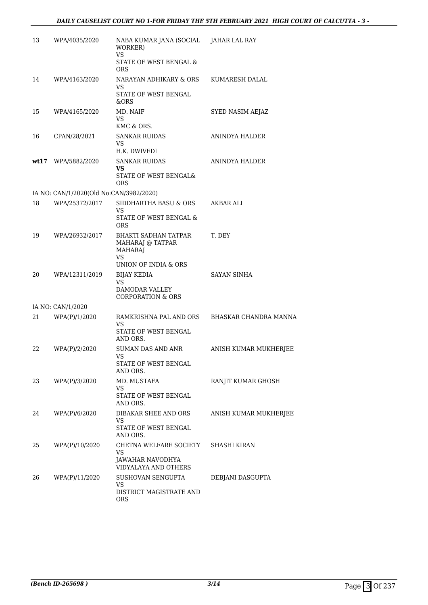| 13 | WPA/4035/2020                           | NABA KUMAR JANA (SOCIAL JAHAR LAL RAY<br>WORKER)<br><b>VS</b>                          |                       |
|----|-----------------------------------------|----------------------------------------------------------------------------------------|-----------------------|
|    |                                         | STATE OF WEST BENGAL &<br><b>ORS</b>                                                   |                       |
| 14 | WPA/4163/2020                           | NARAYAN ADHIKARY & ORS<br>VS                                                           | KUMARESH DALAL        |
|    |                                         | STATE OF WEST BENGAL<br>&ORS                                                           |                       |
| 15 | WPA/4165/2020                           | MD. NAIF<br>VS<br>KMC & ORS.                                                           | SYED NASIM AEJAZ      |
| 16 | CPAN/28/2021                            | <b>SANKAR RUIDAS</b><br>VS<br>H.K. DWIVEDI                                             | ANINDYA HALDER        |
|    | wt17 WPA/5882/2020                      | <b>SANKAR RUIDAS</b>                                                                   | ANINDYA HALDER        |
|    |                                         | VS<br>STATE OF WEST BENGAL&<br><b>ORS</b>                                              |                       |
|    | IA NO: CAN/1/2020(Old No:CAN/3982/2020) |                                                                                        |                       |
| 18 | WPA/25372/2017                          | SIDDHARTHA BASU & ORS<br>VS                                                            | AKBAR ALI             |
|    |                                         | STATE OF WEST BENGAL &<br><b>ORS</b>                                                   |                       |
| 19 | WPA/26932/2017                          | <b>BHAKTI SADHAN TATPAR</b><br>MAHARAJ @ TATPAR<br><b>MAHARAJ</b><br>VS                | T. DEY                |
|    |                                         | UNION OF INDIA & ORS                                                                   |                       |
| 20 | WPA/12311/2019                          | <b>BIJAY KEDIA</b><br>VS.<br>DAMODAR VALLEY<br><b>CORPORATION &amp; ORS</b>            | <b>SAYAN SINHA</b>    |
|    | IA NO: CAN/1/2020                       |                                                                                        |                       |
| 21 | WPA(P)/1/2020                           | RAMKRISHNA PAL AND ORS BHASKAR CHANDRA MANNA<br>VS<br>STATE OF WEST BENGAL<br>AND ORS. |                       |
| 22 | WPA(P)/2/2020                           | <b>SUMAN DAS AND ANR</b><br>VS —<br>STATE OF WEST BENGAL<br>AND ORS.                   | ANISH KUMAR MUKHERJEE |
| 23 | WPA(P)/3/2020                           | MD. MUSTAFA<br>VS<br>STATE OF WEST BENGAL                                              | RANJIT KUMAR GHOSH    |
| 24 | WPA(P)/6/2020                           | AND ORS.<br>DIBAKAR SHEE AND ORS<br>VS<br>STATE OF WEST BENGAL<br>AND ORS.             | ANISH KUMAR MUKHERJEE |
| 25 | WPA(P)/10/2020                          | CHETNA WELFARE SOCIETY<br>VS<br><b>JAWAHAR NAVODHYA</b><br>VIDYALAYA AND OTHERS        | SHASHI KIRAN          |
| 26 | WPA(P)/11/2020                          | SUSHOVAN SENGUPTA                                                                      | DEBJANI DASGUPTA      |
|    |                                         | VS.<br>DISTRICT MAGISTRATE AND<br><b>ORS</b>                                           |                       |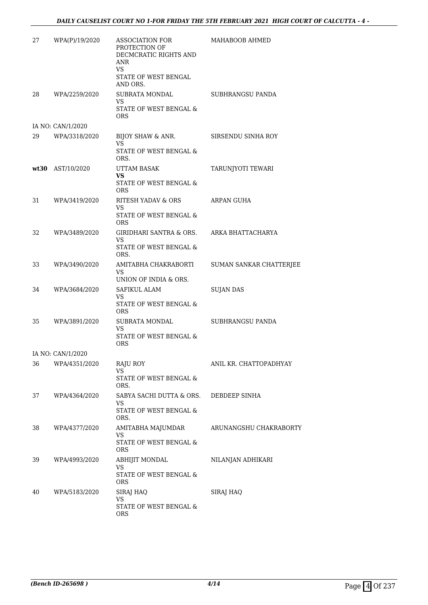### *DAILY CAUSELIST COURT NO 1-FOR FRIDAY THE 5TH FEBRUARY 2021 HIGH COURT OF CALCUTTA - 4 -*

| 27 | WPA(P)/19/2020    | <b>ASSOCIATION FOR</b><br>PROTECTION OF<br>DECMCRATIC RIGHTS AND<br>ANR<br><b>VS</b><br>STATE OF WEST BENGAL<br>AND ORS. | MAHABOOB AHMED          |
|----|-------------------|--------------------------------------------------------------------------------------------------------------------------|-------------------------|
| 28 | WPA/2259/2020     | SUBRATA MONDAL<br>VS<br>STATE OF WEST BENGAL &<br>ORS                                                                    | SUBHRANGSU PANDA        |
|    | IA NO: CAN/1/2020 |                                                                                                                          |                         |
| 29 | WPA/3318/2020     | BIJOY SHAW & ANR.<br>VS                                                                                                  | SIRSENDU SINHA ROY      |
|    |                   | STATE OF WEST BENGAL &<br>ORS.                                                                                           |                         |
|    | wt30 AST/10/2020  | UTTAM BASAK<br><b>VS</b>                                                                                                 | TARUNJYOTI TEWARI       |
|    |                   | STATE OF WEST BENGAL &<br><b>ORS</b>                                                                                     |                         |
| 31 | WPA/3419/2020     | RITESH YADAV & ORS<br>VS<br>STATE OF WEST BENGAL &                                                                       | ARPAN GUHA              |
| 32 | WPA/3489/2020     | <b>ORS</b><br>GIRIDHARI SANTRA & ORS.                                                                                    | ARKA BHATTACHARYA       |
|    |                   | VS<br>STATE OF WEST BENGAL &<br>ORS.                                                                                     |                         |
| 33 | WPA/3490/2020     | AMITABHA CHAKRABORTI<br>VS<br>UNION OF INDIA & ORS.                                                                      | SUMAN SANKAR CHATTERJEE |
| 34 | WPA/3684/2020     | SAFIKUL ALAM<br>VS                                                                                                       | <b>SUJAN DAS</b>        |
|    |                   | STATE OF WEST BENGAL &<br><b>ORS</b>                                                                                     |                         |
| 35 | WPA/3891/2020     | SUBRATA MONDAL<br>VS<br>STATE OF WEST BENGAL &<br><b>ORS</b>                                                             | SUBHRANGSU PANDA        |
|    | IA NO: CAN/1/2020 |                                                                                                                          |                         |
| 36 | WPA/4351/2020     | RAJU ROY<br>VS                                                                                                           | ANIL KR. CHATTOPADHYAY  |
|    |                   | STATE OF WEST BENGAL &<br>ORS.                                                                                           |                         |
| 37 | WPA/4364/2020     | SABYA SACHI DUTTA & ORS.<br>VS                                                                                           | DEBDEEP SINHA           |
|    |                   | STATE OF WEST BENGAL &<br>ORS.                                                                                           |                         |
| 38 | WPA/4377/2020     | AMITABHA MAJUMDAR<br>VS                                                                                                  | ARUNANGSHU CHAKRABORTY  |
|    |                   | STATE OF WEST BENGAL &<br>ORS                                                                                            |                         |
| 39 | WPA/4993/2020     | ABHIJIT MONDAL<br>VS                                                                                                     | NILANJAN ADHIKARI       |
|    |                   | STATE OF WEST BENGAL &<br><b>ORS</b>                                                                                     |                         |
| 40 | WPA/5183/2020     | SIRAJ HAQ<br>VS                                                                                                          | SIRAJ HAQ               |
|    |                   | STATE OF WEST BENGAL &<br><b>ORS</b>                                                                                     |                         |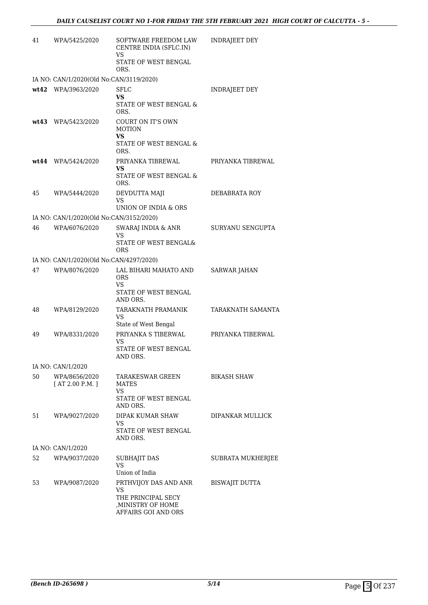| 41 | WPA/5425/2020                           | SOFTWARE FREEDOM LAW<br>CENTRE INDIA (SFLC.IN)<br>VS                                                  | <b>INDRAJEET DEY</b>  |
|----|-----------------------------------------|-------------------------------------------------------------------------------------------------------|-----------------------|
|    |                                         | STATE OF WEST BENGAL<br>ORS.                                                                          |                       |
|    | IA NO: CAN/1/2020(Old No:CAN/3119/2020) |                                                                                                       |                       |
|    | wt42 WPA/3963/2020                      | SFLC<br>VS                                                                                            | <b>INDRAJEET DEY</b>  |
|    |                                         | STATE OF WEST BENGAL &<br>ORS.                                                                        |                       |
|    | wt43 WPA/5423/2020                      | COURT ON IT'S OWN<br><b>MOTION</b><br><b>VS</b>                                                       |                       |
|    |                                         | STATE OF WEST BENGAL &<br>ORS.                                                                        |                       |
|    | $wt44$ WPA/5424/2020                    | PRIYANKA TIBREWAL<br>VS                                                                               | PRIYANKA TIBREWAL     |
|    |                                         | STATE OF WEST BENGAL &<br>ORS.                                                                        |                       |
| 45 | WPA/5444/2020                           | DEVDUTTA MAJI<br>VS                                                                                   | DEBABRATA ROY         |
|    |                                         | UNION OF INDIA & ORS                                                                                  |                       |
|    | IA NO: CAN/1/2020(Old No:CAN/3152/2020) |                                                                                                       |                       |
| 46 | WPA/6076/2020                           | SWARAJ INDIA & ANR<br>VS                                                                              | SURYANU SENGUPTA      |
|    |                                         | STATE OF WEST BENGAL&<br><b>ORS</b>                                                                   |                       |
|    | IA NO: CAN/1/2020(Old No:CAN/4297/2020) |                                                                                                       |                       |
| 47 | WPA/8076/2020                           | LAL BIHARI MAHATO AND<br><b>ORS</b><br>VS                                                             | <b>SARWAR JAHAN</b>   |
|    |                                         | STATE OF WEST BENGAL<br>AND ORS.                                                                      |                       |
| 48 | WPA/8129/2020                           | TARAKNATH PRAMANIK<br>VS<br>State of West Bengal                                                      | TARAKNATH SAMANTA     |
| 49 | WPA/8331/2020                           | PRIYANKA S TIBERWAL                                                                                   | PRIYANKA TIBERWAL     |
|    |                                         | VS                                                                                                    |                       |
|    |                                         | STATE OF WEST BENGAL<br>AND ORS.                                                                      |                       |
|    | IA NO: CAN/1/2020                       |                                                                                                       |                       |
| 50 | WPA/8656/2020<br>[AT 2.00 P.M.]         | <b>TARAKESWAR GREEN</b><br>MATES<br>VS                                                                | <b>BIKASH SHAW</b>    |
|    |                                         | STATE OF WEST BENGAL<br>AND ORS.                                                                      |                       |
| 51 | WPA/9027/2020                           | <b>DIPAK KUMAR SHAW</b>                                                                               | DIPANKAR MULLICK      |
|    |                                         | VS.<br>STATE OF WEST BENGAL<br>AND ORS.                                                               |                       |
|    | IA NO: CAN/1/2020                       |                                                                                                       |                       |
| 52 | WPA/9037/2020                           | <b>SUBHAJIT DAS</b><br><b>VS</b>                                                                      | SUBRATA MUKHERJEE     |
|    |                                         | Union of India                                                                                        |                       |
| 53 | WPA/9087/2020                           | PRTHVIJOY DAS AND ANR<br><b>VS</b><br>THE PRINCIPAL SECY<br>, MINISTRY OF HOME<br>AFFAIRS GOI AND ORS | <b>BISWAJIT DUTTA</b> |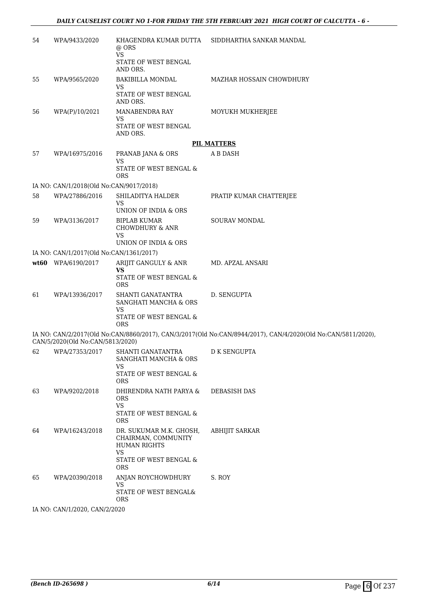| 54 | WPA/9433/2020                           | KHAGENDRA KUMAR DUTTA<br>$@$ ORS<br><b>VS</b><br>STATE OF WEST BENGAL              | SIDDHARTHA SANKAR MANDAL                                                                                     |
|----|-----------------------------------------|------------------------------------------------------------------------------------|--------------------------------------------------------------------------------------------------------------|
| 55 |                                         | AND ORS.<br><b>BAKIBILLA MONDAL</b>                                                | MAZHAR HOSSAIN CHOWDHURY                                                                                     |
|    | WPA/9565/2020                           | VS<br>STATE OF WEST BENGAL<br>AND ORS.                                             |                                                                                                              |
| 56 | WPA(P)/10/2021                          | MANABENDRA RAY<br>VS<br>STATE OF WEST BENGAL                                       | MOYUKH MUKHERJEE                                                                                             |
|    |                                         | AND ORS.                                                                           |                                                                                                              |
|    |                                         |                                                                                    | <b>PIL MATTERS</b>                                                                                           |
| 57 | WPA/16975/2016                          | PRANAB JANA & ORS<br>VS<br>STATE OF WEST BENGAL &                                  | A B DASH                                                                                                     |
|    |                                         | <b>ORS</b>                                                                         |                                                                                                              |
|    | IA NO: CAN/1/2018(Old No:CAN/9017/2018) |                                                                                    |                                                                                                              |
| 58 | WPA/27886/2016                          | SHILADITYA HALDER<br><b>VS</b>                                                     | PRATIP KUMAR CHATTERJEE                                                                                      |
|    |                                         | UNION OF INDIA & ORS                                                               |                                                                                                              |
| 59 | WPA/3136/2017                           | <b>BIPLAB KUMAR</b><br><b>CHOWDHURY &amp; ANR</b><br><b>VS</b>                     | SOURAV MONDAL                                                                                                |
|    |                                         | <b>UNION OF INDIA &amp; ORS</b>                                                    |                                                                                                              |
|    | IA NO: CAN/1/2017(Old No:CAN/1361/2017) |                                                                                    |                                                                                                              |
|    | wt60 WPA/6190/2017                      | ARIJIT GANGULY & ANR<br><b>VS</b><br>STATE OF WEST BENGAL &                        | MD. APZAL ANSARI                                                                                             |
|    |                                         | <b>ORS</b>                                                                         |                                                                                                              |
| 61 | WPA/13936/2017                          | SHANTI GANATANTRA<br>SANGHATI MANCHA & ORS                                         | D. SENGUPTA                                                                                                  |
|    |                                         | VS<br>STATE OF WEST BENGAL &<br><b>ORS</b>                                         |                                                                                                              |
|    | CAN/5/2020(Old No:CAN/5813/2020)        |                                                                                    | IA NO: CAN/2/2017(Old No:CAN/8860/2017), CAN/3/2017(Old No:CAN/8944/2017), CAN/4/2020(Old No:CAN/5811/2020), |
| 62 | WPA/27353/2017                          | SHANTI GANATANTRA<br>SANGHATI MANCHA & ORS<br>VS                                   | <b>D K SENGUPTA</b>                                                                                          |
|    |                                         | STATE OF WEST BENGAL $\&$<br><b>ORS</b>                                            |                                                                                                              |
| 63 | WPA/9202/2018                           | DHIRENDRA NATH PARYA &<br><b>ORS</b><br>VS                                         | DEBASISH DAS                                                                                                 |
|    |                                         | STATE OF WEST BENGAL &<br><b>ORS</b>                                               |                                                                                                              |
| 64 | WPA/16243/2018                          | DR. SUKUMAR M.K. GHOSH,<br>CHAIRMAN, COMMUNITY<br><b>HUMAN RIGHTS</b><br><b>VS</b> | <b>ABHIJIT SARKAR</b>                                                                                        |
|    |                                         | STATE OF WEST BENGAL &<br><b>ORS</b>                                               |                                                                                                              |
| 65 | WPA/20390/2018                          | ANJAN ROYCHOWDHURY<br><b>VS</b>                                                    | S. ROY                                                                                                       |
|    |                                         | STATE OF WEST BENGAL&<br><b>ORS</b>                                                |                                                                                                              |

IA NO: CAN/1/2020, CAN/2/2020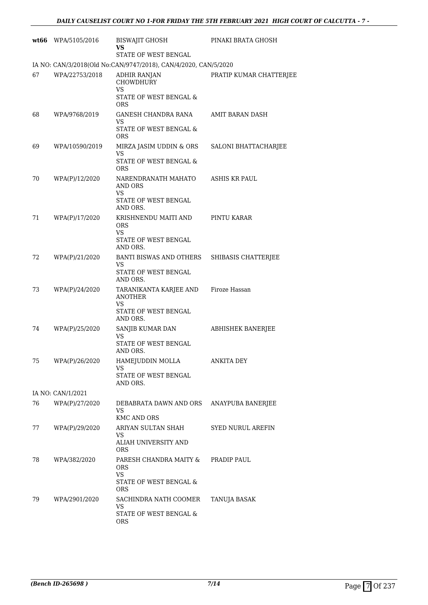|    | wt66 WPA/5105/2016 | <b>BISWAJIT GHOSH</b><br>VS                                                                             | PINAKI BRATA GHOSH      |
|----|--------------------|---------------------------------------------------------------------------------------------------------|-------------------------|
|    |                    | STATE OF WEST BENGAL                                                                                    |                         |
|    |                    | IA NO: CAN/3/2018(Old No:CAN/9747/2018), CAN/4/2020, CAN/5/2020                                         |                         |
| 67 | WPA/22753/2018     | ADHIR RANJAN<br><b>CHOWDHURY</b><br><b>VS</b><br>STATE OF WEST BENGAL &<br><b>ORS</b>                   | PRATIP KUMAR CHATTERJEE |
| 68 | WPA/9768/2019      | GANESH CHANDRA RANA<br>VS<br>STATE OF WEST BENGAL &<br>ORS                                              | AMIT BARAN DASH         |
| 69 | WPA/10590/2019     | MIRZA JASIM UDDIN & ORS<br>VS                                                                           | SALONI BHATTACHARJEE    |
|    |                    | STATE OF WEST BENGAL &<br>ORS                                                                           |                         |
| 70 | WPA(P)/12/2020     | NARENDRANATH MAHATO<br><b>AND ORS</b><br>VS<br>STATE OF WEST BENGAL<br>AND ORS.                         | <b>ASHIS KR PAUL</b>    |
| 71 | WPA(P)/17/2020     | KRISHNENDU MAITI AND<br><b>ORS</b><br>VS<br>STATE OF WEST BENGAL<br>AND ORS.                            | PINTU KARAR             |
| 72 | WPA(P)/21/2020     | BANTI BISWAS AND OTHERS<br>VS.<br>STATE OF WEST BENGAL<br>AND ORS.                                      | SHIBASIS CHATTERJEE     |
| 73 | WPA(P)/24/2020     | TARANIKANTA KARJEE AND Firoze Hassan<br><b>ANOTHER</b><br><b>VS</b><br>STATE OF WEST BENGAL<br>AND ORS. |                         |
| 74 | WPA(P)/25/2020     | SANJIB KUMAR DAN<br>VS<br>STATE OF WEST BENGAL<br>AND ORS.                                              | ABHISHEK BANERJEE       |
| 75 | WPA(P)/26/2020     | HAMEJUDDIN MOLLA<br><b>VS</b><br>STATE OF WEST BENGAL<br>AND ORS.                                       | <b>ANKITA DEY</b>       |
|    | IA NO: CAN/1/2021  |                                                                                                         |                         |
| 76 | WPA(P)/27/2020     | DEBABRATA DAWN AND ORS<br>VS<br>KMC AND ORS                                                             | ANAYPUBA BANERJEE       |
| 77 | WPA(P)/29/2020     | ARIYAN SULTAN SHAH<br>VS<br>ALIAH UNIVERSITY AND<br><b>ORS</b>                                          | SYED NURUL AREFIN       |
| 78 | WPA/382/2020       | PARESH CHANDRA MAITY &<br>ORS<br><b>VS</b><br>STATE OF WEST BENGAL &<br>ORS                             | PRADIP PAUL             |
| 79 | WPA/2901/2020      | SACHINDRA NATH COOMER<br>VS<br>STATE OF WEST BENGAL &<br><b>ORS</b>                                     | TANUJA BASAK            |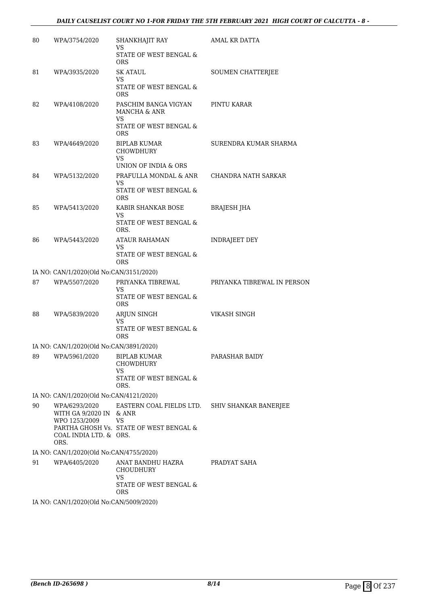### *DAILY CAUSELIST COURT NO 1-FOR FRIDAY THE 5TH FEBRUARY 2021 HIGH COURT OF CALCUTTA - 8 -*

| 80 | WPA/3754/2020                                             | SHANKHAJIT RAY<br><b>VS</b>                                                         | AMAL KR DATTA               |
|----|-----------------------------------------------------------|-------------------------------------------------------------------------------------|-----------------------------|
|    |                                                           | STATE OF WEST BENGAL &<br><b>ORS</b>                                                |                             |
| 81 | WPA/3935/2020                                             | SK ATAUL<br>VS                                                                      | SOUMEN CHATTERJEE           |
|    |                                                           | STATE OF WEST BENGAL &<br><b>ORS</b>                                                |                             |
| 82 | WPA/4108/2020                                             | PASCHIM BANGA VIGYAN<br>MANCHA & ANR<br>VS                                          | PINTU KARAR                 |
|    |                                                           | STATE OF WEST BENGAL &<br><b>ORS</b>                                                |                             |
| 83 | WPA/4649/2020                                             | <b>BIPLAB KUMAR</b><br>CHOWDHURY<br><b>VS</b>                                       | SURENDRA KUMAR SHARMA       |
|    |                                                           | UNION OF INDIA & ORS                                                                |                             |
| 84 | WPA/5132/2020                                             | PRAFULLA MONDAL & ANR<br>VS<br>STATE OF WEST BENGAL &<br><b>ORS</b>                 | CHANDRA NATH SARKAR         |
| 85 | WPA/5413/2020                                             | KABIR SHANKAR BOSE<br>VS                                                            | <b>BRAJESH JHA</b>          |
|    |                                                           | STATE OF WEST BENGAL &<br>ORS.                                                      |                             |
| 86 | WPA/5443/2020                                             | <b>ATAUR RAHAMAN</b><br>VS                                                          | <b>INDRAJEET DEY</b>        |
|    |                                                           | STATE OF WEST BENGAL &<br><b>ORS</b>                                                |                             |
|    | IA NO: CAN/1/2020(Old No:CAN/3151/2020)                   |                                                                                     |                             |
| 87 | WPA/5507/2020                                             | PRIYANKA TIBREWAL<br>VS<br>STATE OF WEST BENGAL &<br><b>ORS</b>                     | PRIYANKA TIBREWAL IN PERSON |
| 88 | WPA/5839/2020                                             | ARJUN SINGH<br>VS<br><b>STATE OF WEST BENGAL &amp;</b>                              | <b>VIKASH SINGH</b>         |
|    |                                                           | <b>ORS</b>                                                                          |                             |
|    | IA NO: CAN/1/2020(Old No:CAN/3891/2020)                   |                                                                                     |                             |
| 89 | WPA/5961/2020                                             | <b>BIPLAB KUMAR</b><br>CHOWDHURY<br>VS                                              | PARASHAR BAIDY              |
|    |                                                           | <b>STATE OF WEST BENGAL &amp;</b><br>ORS.                                           |                             |
|    | IA NO: CAN/1/2020(Old No:CAN/4121/2020)                   |                                                                                     |                             |
| 90 | WPA/6293/2020<br>WITH GA 9/2020 IN & ANR<br>WPO 1253/2009 | EASTERN COAL FIELDS LTD. SHIV SHANKAR BANERJEE<br><b>VS</b>                         |                             |
|    | COAL INDIA LTD. & ORS.<br>ORS.                            | PARTHA GHOSH Vs. STATE OF WEST BENGAL &                                             |                             |
|    | IA NO: CAN/1/2020(Old No:CAN/4755/2020)                   |                                                                                     |                             |
| 91 | WPA/6405/2020                                             | ANAT BANDHU HAZRA<br><b>CHOUDHURY</b><br>VS<br>STATE OF WEST BENGAL &<br><b>ORS</b> | PRADYAT SAHA                |
|    |                                                           | $(0.000(0.1137) - 0.137(0.00(0.00.0))$                                              |                             |

IA NO: CAN/1/2020(Old No:CAN/5009/2020)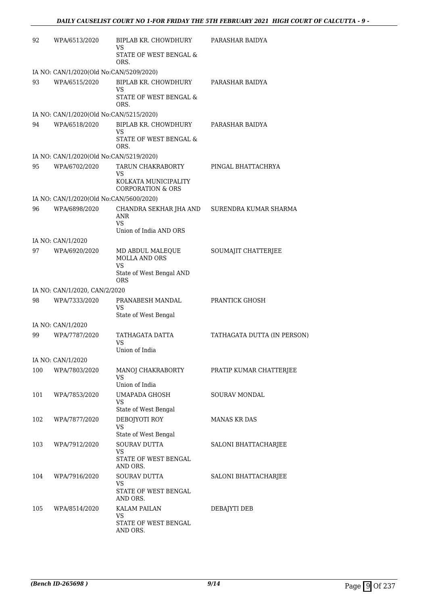| 92  | WPA/6513/2020                           | BIPLAB KR. CHOWDHURY<br>VS.                          | PARASHAR BAIDYA             |
|-----|-----------------------------------------|------------------------------------------------------|-----------------------------|
|     |                                         | STATE OF WEST BENGAL &<br>ORS.                       |                             |
|     | IA NO: CAN/1/2020(Old No:CAN/5209/2020) |                                                      |                             |
| 93  | WPA/6515/2020                           | BIPLAB KR. CHOWDHURY<br>VS.                          | PARASHAR BAIDYA             |
|     |                                         | STATE OF WEST BENGAL &<br>ORS.                       |                             |
|     | IA NO: CAN/1/2020(Old No:CAN/5215/2020) |                                                      |                             |
| 94  | WPA/6518/2020                           | BIPLAB KR. CHOWDHURY<br><b>VS</b>                    | PARASHAR BAIDYA             |
|     |                                         | STATE OF WEST BENGAL &<br>ORS.                       |                             |
|     | IA NO: CAN/1/2020(Old No:CAN/5219/2020) |                                                      |                             |
| 95  | WPA/6702/2020                           | TARUN CHAKRABORTY<br>VS                              | PINGAL BHATTACHRYA          |
|     |                                         | KOLKATA MUNICIPALITY<br><b>CORPORATION &amp; ORS</b> |                             |
|     | IA NO: CAN/1/2020(Old No:CAN/5600/2020) |                                                      |                             |
| 96  | WPA/6898/2020                           | CHANDRA SEKHAR JHA AND<br>ANR                        | SURENDRA KUMAR SHARMA       |
|     |                                         | VS.<br>Union of India AND ORS                        |                             |
|     | IA NO: CAN/1/2020                       |                                                      |                             |
| 97  | WPA/6920/2020                           | MD ABDUL MALEQUE<br><b>MOLLA AND ORS</b>             | SOUMAJIT CHATTERJEE         |
|     |                                         | <b>VS</b><br>State of West Bengal AND<br>ORS         |                             |
|     | IA NO: CAN/1/2020, CAN/2/2020           |                                                      |                             |
| 98  | WPA/7333/2020                           | PRANABESH MANDAL<br>VS                               | PRANTICK GHOSH              |
|     |                                         | State of West Bengal                                 |                             |
|     | IA NO: CAN/1/2020                       |                                                      |                             |
| 99  | WPA/7787/2020                           | TATHAGATA DATTA<br>VS<br>Union of India              | TATHAGATA DUTTA (IN PERSON) |
|     | IA NO: CAN/1/2020                       |                                                      |                             |
| 100 | WPA/7803/2020                           | MANOJ CHAKRABORTY                                    | PRATIP KUMAR CHATTERJEE     |
|     |                                         | <b>VS</b><br>Union of India                          |                             |
| 101 | WPA/7853/2020                           | UMAPADA GHOSH                                        | <b>SOURAV MONDAL</b>        |
|     |                                         | VS<br>State of West Bengal                           |                             |
| 102 | WPA/7877/2020                           | DEBOJYOTI ROY<br>VS                                  | <b>MANAS KR DAS</b>         |
|     |                                         | State of West Bengal                                 |                             |
| 103 | WPA/7912/2020                           | <b>SOURAV DUTTA</b><br>VS                            | SALONI BHATTACHARJEE        |
|     |                                         | STATE OF WEST BENGAL<br>AND ORS.                     |                             |
| 104 | WPA/7916/2020                           | SOURAV DUTTA<br>VS                                   | SALONI BHATTACHARJEE        |
|     |                                         | STATE OF WEST BENGAL<br>AND ORS.                     |                             |
| 105 |                                         |                                                      |                             |
|     | WPA/8514/2020                           | <b>KALAM PAILAN</b><br>VS                            | DEBAJYTI DEB                |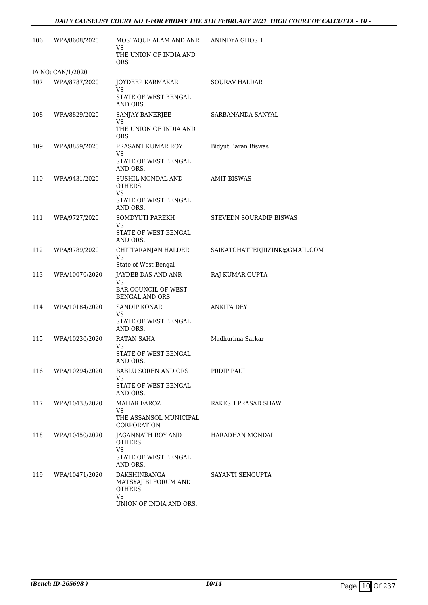### *DAILY CAUSELIST COURT NO 1-FOR FRIDAY THE 5TH FEBRUARY 2021 HIGH COURT OF CALCUTTA - 10 -*

| 106 | WPA/8608/2020     | MOSTAQUE ALAM AND ANR<br>VS<br>THE UNION OF INDIA AND                                         | ANINDYA GHOSH                  |
|-----|-------------------|-----------------------------------------------------------------------------------------------|--------------------------------|
|     | IA NO: CAN/1/2020 | <b>ORS</b>                                                                                    |                                |
| 107 | WPA/8787/2020     | JOYDEEP KARMAKAR<br><b>VS</b><br>STATE OF WEST BENGAL<br>AND ORS.                             | <b>SOURAV HALDAR</b>           |
| 108 | WPA/8829/2020     | SANJAY BANERJEE<br>VS<br>THE UNION OF INDIA AND<br><b>ORS</b>                                 | SARBANANDA SANYAL              |
| 109 | WPA/8859/2020     | PRASANT KUMAR ROY<br>VS<br>STATE OF WEST BENGAL<br>AND ORS.                                   | <b>Bidyut Baran Biswas</b>     |
| 110 | WPA/9431/2020     | SUSHIL MONDAL AND<br><b>OTHERS</b><br>VS<br>STATE OF WEST BENGAL<br>AND ORS.                  | <b>AMIT BISWAS</b>             |
| 111 | WPA/9727/2020     | SOMDYUTI PAREKH<br>VS.<br>STATE OF WEST BENGAL<br>AND ORS.                                    | STEVEDN SOURADIP BISWAS        |
| 112 | WPA/9789/2020     | CHITTARANJAN HALDER<br><b>VS</b><br>State of West Bengal                                      | SAIKATCHATTERJIIZINK@GMAIL.COM |
| 113 | WPA/10070/2020    | JAYDEB DAS AND ANR<br><b>VS</b><br><b>BAR COUNCIL OF WEST</b><br><b>BENGAL AND ORS</b>        | RAJ KUMAR GUPTA                |
| 114 | WPA/10184/2020    | SANDIP KONAR<br>VS<br>STATE OF WEST BENGAL<br>AND ORS.                                        | <b>ANKITA DEY</b>              |
| 115 | WPA/10230/2020    | RATAN SAHA<br>VS<br>STATE OF WEST BENGAL<br>AND ORS.                                          | Madhurima Sarkar               |
| 116 | WPA/10294/2020    | BABLU SOREN AND ORS<br>VS<br>STATE OF WEST BENGAL<br>AND ORS.                                 | PRDIP PAUL                     |
| 117 | WPA/10433/2020    | <b>MAHAR FAROZ</b><br>VS<br>THE ASSANSOL MUNICIPAL<br>CORPORATION                             | RAKESH PRASAD SHAW             |
| 118 | WPA/10450/2020    | JAGANNATH ROY AND<br><b>OTHERS</b><br>VS.<br>STATE OF WEST BENGAL<br>AND ORS.                 | HARADHAN MONDAL                |
| 119 | WPA/10471/2020    | DAKSHINBANGA<br>MATSYAJIBI FORUM AND<br><b>OTHERS</b><br><b>VS</b><br>UNION OF INDIA AND ORS. | SAYANTI SENGUPTA               |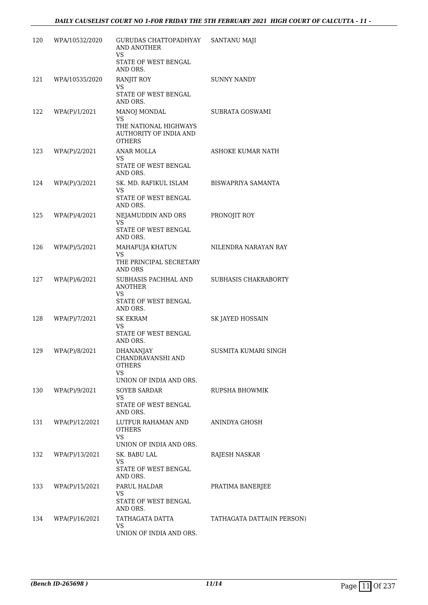| TATHAGATA DATTA(IN PERSON) |
|----------------------------|
|                            |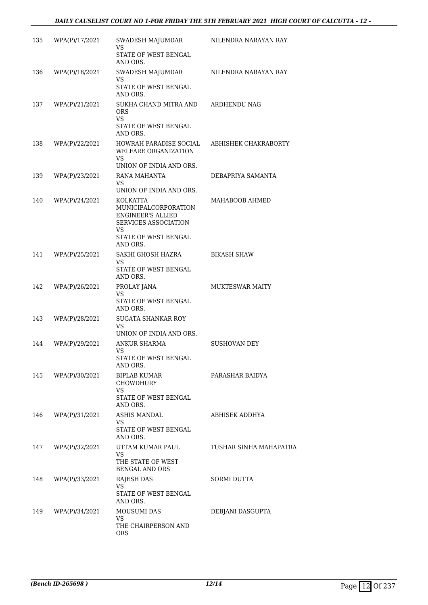### *DAILY CAUSELIST COURT NO 1-FOR FRIDAY THE 5TH FEBRUARY 2021 HIGH COURT OF CALCUTTA - 12 -*

| 135 | WPA(P)/17/2021 | SWADESH MAJUMDAR<br>VS                                                                      | NILENDRA NARAYAN RAY   |
|-----|----------------|---------------------------------------------------------------------------------------------|------------------------|
|     |                | STATE OF WEST BENGAL<br>AND ORS.                                                            |                        |
| 136 | WPA(P)/18/2021 | SWADESH MAJUMDAR<br><b>VS</b><br>STATE OF WEST BENGAL                                       | NILENDRA NARAYAN RAY   |
| 137 | WPA(P)/21/2021 | AND ORS.<br>SUKHA CHAND MITRA AND<br><b>ORS</b><br><b>VS</b>                                | ARDHENDU NAG           |
|     |                | STATE OF WEST BENGAL<br>AND ORS.                                                            |                        |
| 138 | WPA(P)/22/2021 | HOWRAH PARADISE SOCIAL<br>WELFARE ORGANIZATION<br>VS.                                       | ABHISHEK CHAKRABORTY   |
|     |                | UNION OF INDIA AND ORS.                                                                     |                        |
| 139 | WPA(P)/23/2021 | RANA MAHANTA<br><b>VS</b><br>UNION OF INDIA AND ORS.                                        | DEBAPRIYA SAMANTA      |
| 140 | WPA(P)/24/2021 | KOLKATTA<br>MUNICIPALCORPORATION<br><b>ENGINEER'S ALLIED</b><br>SERVICES ASSOCIATION<br>VS. | MAHABOOB AHMED         |
|     |                | STATE OF WEST BENGAL<br>AND ORS.                                                            |                        |
| 141 | WPA(P)/25/2021 | SAKHI GHOSH HAZRA<br>VS.                                                                    | <b>BIKASH SHAW</b>     |
|     |                | STATE OF WEST BENGAL<br>AND ORS.                                                            |                        |
| 142 | WPA(P)/26/2021 | PROLAY JANA<br>VS                                                                           | <b>MUKTESWAR MAITY</b> |
|     |                | STATE OF WEST BENGAL<br>AND ORS.                                                            |                        |
| 143 | WPA(P)/28/2021 | <b>SUGATA SHANKAR ROY</b><br>VS                                                             |                        |
| 144 | WPA(P)/29/2021 | UNION OF INDIA AND ORS.<br>ANKUR SHARMA                                                     | SUSHOVAN DEY           |
|     |                | VS<br>STATE OF WEST BENGAL<br>AND ORS.                                                      |                        |
| 145 | WPA(P)/30/2021 | BIPLAB KUMAR<br>CHOWDHURY                                                                   | PARASHAR BAIDYA        |
|     |                | VS<br>STATE OF WEST BENGAL<br>AND ORS.                                                      |                        |
| 146 | WPA(P)/31/2021 | <b>ASHIS MANDAL</b><br>VS                                                                   | ABHISEK ADDHYA         |
|     |                | STATE OF WEST BENGAL<br>AND ORS.                                                            |                        |
| 147 | WPA(P)/32/2021 | UTTAM KUMAR PAUL<br>VS.                                                                     | TUSHAR SINHA MAHAPATRA |
|     |                | THE STATE OF WEST<br><b>BENGAL AND ORS</b>                                                  |                        |
| 148 | WPA(P)/33/2021 | <b>RAJESH DAS</b><br>VS                                                                     | <b>SORMI DUTTA</b>     |
|     |                | STATE OF WEST BENGAL<br>AND ORS.                                                            |                        |
| 149 | WPA(P)/34/2021 | MOUSUMI DAS<br>VS.                                                                          | DEBJANI DASGUPTA       |
|     |                | THE CHAIRPERSON AND<br>ORS.                                                                 |                        |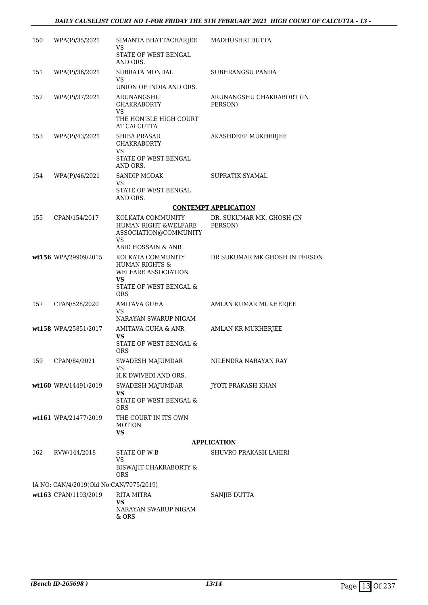### *DAILY CAUSELIST COURT NO 1-FOR FRIDAY THE 5TH FEBRUARY 2021 HIGH COURT OF CALCUTTA - 13 -*

| 150 | WPA(P)/35/2021                          | SIMANTA BHATTACHARJEE<br>VS.                                                                          | MADHUSHRI DUTTA                      |
|-----|-----------------------------------------|-------------------------------------------------------------------------------------------------------|--------------------------------------|
|     |                                         | STATE OF WEST BENGAL<br>AND ORS.                                                                      |                                      |
| 151 | WPA(P)/36/2021                          | SUBRATA MONDAL<br>VS.                                                                                 | SUBHRANGSU PANDA                     |
| 152 | WPA(P)/37/2021                          | UNION OF INDIA AND ORS.<br>ARUNANGSHU<br><b>CHAKRABORTY</b>                                           | ARUNANGSHU CHAKRABORT (IN<br>PERSON) |
|     |                                         | VS<br>THE HON'BLE HIGH COURT                                                                          |                                      |
| 153 | WPA(P)/43/2021                          | AT CALCUTTA<br><b>SHIBA PRASAD</b><br>CHAKRABORTY                                                     | AKASHDEEP MUKHERJEE                  |
|     |                                         | VS.<br>STATE OF WEST BENGAL<br>AND ORS.                                                               |                                      |
| 154 | WPA(P)/46/2021                          | <b>SANDIP MODAK</b><br>VS.                                                                            | SUPRATIK SYAMAL                      |
|     |                                         | STATE OF WEST BENGAL<br>AND ORS.                                                                      |                                      |
|     |                                         |                                                                                                       | <b>CONTEMPT APPLICATION</b>          |
| 155 | CPAN/154/2017                           | KOLKATA COMMUNITY<br>HUMAN RIGHT & WELFARE<br>ASSOCIATION@COMMUNITY<br><b>VS</b>                      | DR. SUKUMAR MK. GHOSH (IN<br>PERSON) |
|     |                                         | ABID HOSSAIN & ANR                                                                                    |                                      |
|     | wt156 WPA/29909/2015                    | KOLKATA COMMUNITY<br><b>HUMAN RIGHTS &amp;</b><br>WELFARE ASSOCIATION<br>VS<br>STATE OF WEST BENGAL & | DR SUKUMAR MK GHOSH IN PERSON        |
|     |                                         | <b>ORS</b>                                                                                            |                                      |
| 157 | CPAN/528/2020                           | AMITAVA GUHA<br>VS.<br>NARAYAN SWARUP NIGAM                                                           | AMLAN KUMAR MUKHERJEE                |
|     | wt158 WPA/25851/2017                    | AMITAVA GUHA & ANR<br>VS                                                                              | AMLAN KR MUKHERJEE                   |
|     |                                         | STATE OF WEST BENGAL &<br><b>ORS</b>                                                                  |                                      |
| 159 | CPAN/84/2021                            | SWADESH MAJUMDAR<br><b>VS</b>                                                                         | NILENDRA NARAYAN RAY                 |
|     |                                         | H.K DWIVEDI AND ORS.                                                                                  |                                      |
|     | wt160 WPA/14491/2019                    | SWADESH MAJUMDAR<br>VS                                                                                | <b>JYOTI PRAKASH KHAN</b>            |
|     |                                         | STATE OF WEST BENGAL &<br><b>ORS</b>                                                                  |                                      |
|     | wt161 WPA/21477/2019                    | THE COURT IN ITS OWN<br><b>MOTION</b><br><b>VS</b>                                                    |                                      |
|     |                                         |                                                                                                       | <b>APPLICATION</b>                   |
| 162 | RVW/144/2018                            | STATE OF WB                                                                                           | SHUVRO PRAKASH LAHIRI                |
|     |                                         | VS<br>BISWAJIT CHAKRABORTY &<br><b>ORS</b>                                                            |                                      |
|     | IA NO: CAN/4/2019(Old No:CAN/7075/2019) |                                                                                                       |                                      |
|     | wt163 CPAN/1193/2019                    | <b>RITA MITRA</b>                                                                                     | SANJIB DUTTA                         |
|     |                                         | <b>VS</b><br>NARAYAN SWARUP NIGAM<br>$&$ ORS                                                          |                                      |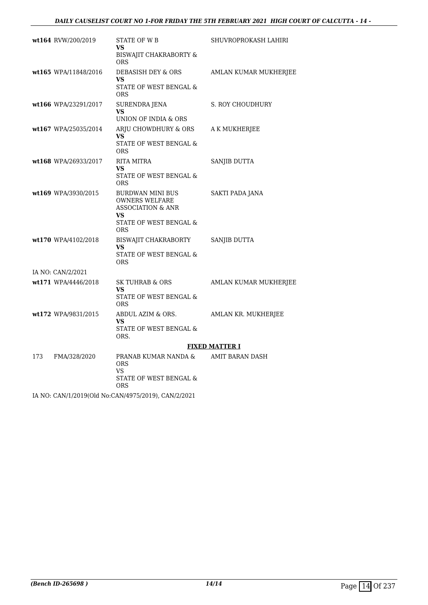### *DAILY CAUSELIST COURT NO 1-FOR FRIDAY THE 5TH FEBRUARY 2021 HIGH COURT OF CALCUTTA - 14 -*

|     | wt164 RVW/200/2019   | <b>STATE OF WB</b><br>VS<br><b>BISWAJIT CHAKRABORTY &amp;</b><br>ORS                                         | SHUVROPROKASH LAHIRI  |
|-----|----------------------|--------------------------------------------------------------------------------------------------------------|-----------------------|
|     | wt165 WPA/11848/2016 | DEBASISH DEY & ORS<br>VS<br>STATE OF WEST BENGAL &<br><b>ORS</b>                                             | AMLAN KUMAR MUKHERJEE |
|     | wt166 WPA/23291/2017 | <b>SURENDRA JENA</b><br><b>VS</b><br>UNION OF INDIA & ORS                                                    | S. ROY CHOUDHURY      |
|     | wt167 WPA/25035/2014 | ARJU CHOWDHURY & ORS<br>VS.<br>STATE OF WEST BENGAL &<br><b>ORS</b>                                          | A K MUKHERJEE         |
|     | wt168 WPA/26933/2017 | RITA MITRA<br>VS<br>STATE OF WEST BENGAL &<br><b>ORS</b>                                                     | SANJIB DUTTA          |
|     | wt169 WPA/3930/2015  | BURDWAN MINI BUS<br><b>OWNERS WELFARE</b><br>ASSOCIATION & ANR<br>VS<br>STATE OF WEST BENGAL &<br><b>ORS</b> | SAKTI PADA JANA       |
|     | wt170 WPA/4102/2018  | BISWAJIT CHAKRABORTY<br>VS<br>STATE OF WEST BENGAL &<br><b>ORS</b>                                           | SANJIB DUTTA          |
|     | IA NO: CAN/2/2021    |                                                                                                              |                       |
|     | wt171 WPA/4446/2018  | <b>SK TUHRAB &amp; ORS</b><br>VS<br>STATE OF WEST BENGAL &<br><b>ORS</b>                                     | AMLAN KUMAR MUKHERJEE |
|     | wt172 WPA/9831/2015  | ABDUL AZIM & ORS.<br>VS<br>STATE OF WEST BENGAL &<br>ORS.                                                    | AMLAN KR. MUKHERJEE   |
|     |                      |                                                                                                              | <b>FIXED MATTER I</b> |
| 173 | FMA/328/2020         | PRANAB KUMAR NANDA &<br><b>ORS</b><br>VS<br>STATE OF WEST BENGAL &<br>ORS                                    | AMIT BARAN DASH       |

IA NO: CAN/1/2019(Old No:CAN/4975/2019), CAN/2/2021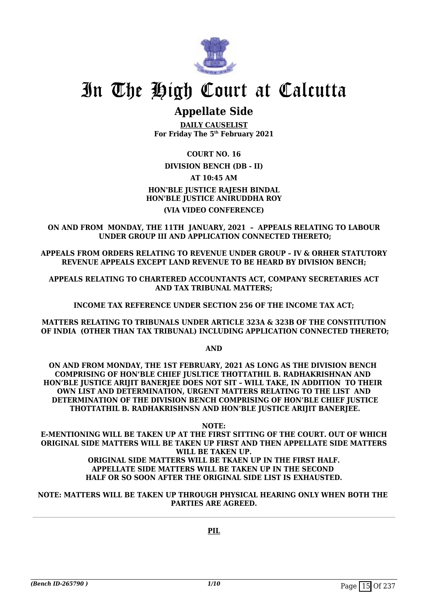

## **Appellate Side**

**DAILY CAUSELIST For Friday The 5th February 2021**

**COURT NO. 16**

### **DIVISION BENCH (DB - II)**

**AT 10:45 AM**

### **HON'BLE JUSTICE RAJESH BINDAL HON'BLE JUSTICE ANIRUDDHA ROY (VIA VIDEO CONFERENCE)**

**ON AND FROM MONDAY, THE 11TH JANUARY, 2021 – APPEALS RELATING TO LABOUR UNDER GROUP III AND APPLICATION CONNECTED THERETO;**

**APPEALS FROM ORDERS RELATING TO REVENUE UNDER GROUP – IV & ORHER STATUTORY REVENUE APPEALS EXCEPT LAND REVENUE TO BE HEARD BY DIVISION BENCH;**

**APPEALS RELATING TO CHARTERED ACCOUNTANTS ACT, COMPANY SECRETARIES ACT AND TAX TRIBUNAL MATTERS;** 

**INCOME TAX REFERENCE UNDER SECTION 256 OF THE INCOME TAX ACT;**

**MATTERS RELATING TO TRIBUNALS UNDER ARTICLE 323A & 323B OF THE CONSTITUTION OF INDIA (OTHER THAN TAX TRIBUNAL) INCLUDING APPLICATION CONNECTED THERETO;**

**AND**

**ON AND FROM MONDAY, THE 1ST FEBRUARY, 2021 AS LONG AS THE DIVISION BENCH COMPRISING OF HON'BLE CHIEF JUSLTICE THOTTATHIL B. RADHAKRISHNAN AND**  HON'BLE JUSTICE ARIJIT BANERJEE DOES NOT SIT - WILL TAKE, IN ADDITION TO THEIR **OWN LIST AND DETERMINATION, URGENT MATTERS RELATING TO THE LIST AND DETERMINATION OF THE DIVISION BENCH COMPRISING OF HON'BLE CHIEF JUSTICE THOTTATHIL B. RADHAKRISHNSN AND HON'BLE JUSTICE ARIJIT BANERJEE.**

**NOTE: E-MENTIONING WILL BE TAKEN UP AT THE FIRST SITTING OF THE COURT. OUT OF WHICH ORIGINAL SIDE MATTERS WILL BE TAKEN UP FIRST AND THEN APPELLATE SIDE MATTERS WILL BE TAKEN UP. ORIGINAL SIDE MATTERS WILL BE TKAEN UP IN THE FIRST HALF.**

### **APPELLATE SIDE MATTERS WILL BE TAKEN UP IN THE SECOND HALF OR SO SOON AFTER THE ORIGINAL SIDE LIST IS EXHAUSTED.**

**NOTE: MATTERS WILL BE TAKEN UP THROUGH PHYSICAL HEARING ONLY WHEN BOTH THE PARTIES ARE AGREED.**

**PIL**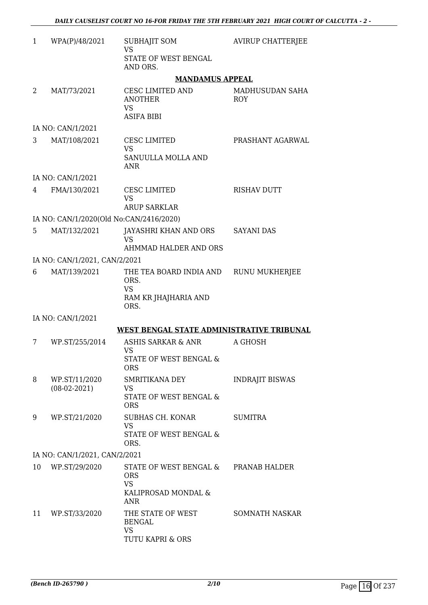| $\mathbf{1}$                  | WPA(P)/48/2021                          | <b>SUBHAJIT SOM</b><br><b>VS</b>                                                              | <b>AVIRUP CHATTERJEE</b>      |  |  |
|-------------------------------|-----------------------------------------|-----------------------------------------------------------------------------------------------|-------------------------------|--|--|
|                               |                                         | STATE OF WEST BENGAL<br>AND ORS.                                                              |                               |  |  |
|                               |                                         | <b>MANDAMUS APPEAL</b>                                                                        |                               |  |  |
| 2                             | MAT/73/2021                             | CESC LIMITED AND<br><b>ANOTHER</b><br>VS<br><b>ASIFA BIBI</b>                                 | MADHUSUDAN SAHA<br><b>ROY</b> |  |  |
|                               | IA NO: CAN/1/2021                       |                                                                                               |                               |  |  |
| 3                             | MAT/108/2021                            | CESC LIMITED<br><b>VS</b><br>SANUULLA MOLLA AND                                               | PRASHANT AGARWAL              |  |  |
|                               |                                         | <b>ANR</b>                                                                                    |                               |  |  |
|                               | IA NO: CAN/1/2021                       |                                                                                               | <b>RISHAV DUTT</b>            |  |  |
| 4                             | FMA/130/2021                            | <b>CESC LIMITED</b><br><b>VS</b><br><b>ARUP SARKLAR</b>                                       |                               |  |  |
|                               | IA NO: CAN/1/2020(Old No:CAN/2416/2020) |                                                                                               |                               |  |  |
| 5.                            | MAT/132/2021                            | JAYASHRI KHAN AND ORS<br><b>VS</b><br>AHMMAD HALDER AND ORS                                   | <b>SAYANI DAS</b>             |  |  |
|                               | IA NO: CAN/1/2021, CAN/2/2021           |                                                                                               |                               |  |  |
| 6                             | MAT/139/2021                            | THE TEA BOARD INDIA AND<br>ORS.<br><b>VS</b><br>RAM KR JHAJHARIA AND                          | RUNU MUKHERJEE                |  |  |
|                               |                                         | ORS.                                                                                          |                               |  |  |
|                               | IA NO: CAN/1/2021                       |                                                                                               |                               |  |  |
|                               |                                         | WEST BENGAL STATE ADMINISTRATIVE TRIBUNAL                                                     |                               |  |  |
| 7                             | WP.ST/255/2014                          | ASHIS SARKAR & ANR<br>VS                                                                      | A GHOSH                       |  |  |
|                               |                                         | STATE OF WEST BENGAL &<br><b>ORS</b>                                                          |                               |  |  |
| 8                             | WP.ST/11/2020                           | SMRITIKANA DEY                                                                                | <b>INDRAJIT BISWAS</b>        |  |  |
|                               | $(08-02-2021)$                          | VS<br>STATE OF WEST BENGAL &<br><b>ORS</b>                                                    |                               |  |  |
| 9                             | WP.ST/21/2020                           | SUBHAS CH. KONAR<br>VS                                                                        | <b>SUMITRA</b>                |  |  |
|                               |                                         | STATE OF WEST BENGAL &<br>ORS.                                                                |                               |  |  |
| IA NO: CAN/1/2021, CAN/2/2021 |                                         |                                                                                               |                               |  |  |
| 10                            | WP.ST/29/2020                           | STATE OF WEST BENGAL & PRANAB HALDER<br><b>ORS</b><br><b>VS</b><br>KALIPROSAD MONDAL &<br>ANR |                               |  |  |
| 11                            | WP.ST/33/2020                           | THE STATE OF WEST<br><b>BENGAL</b><br>VS<br>TUTU KAPRI & ORS                                  | SOMNATH NASKAR                |  |  |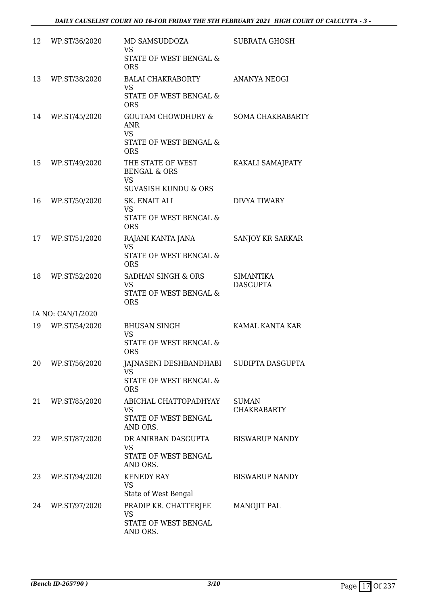| 12 | WP.ST/36/2020     | MD SAMSUDDOZA<br><b>VS</b><br>STATE OF WEST BENGAL &<br><b>ORS</b>                           | <b>SUBRATA GHOSH</b>                |
|----|-------------------|----------------------------------------------------------------------------------------------|-------------------------------------|
| 13 | WP.ST/38/2020     | BALAI CHAKRABORTY<br><b>VS</b><br>STATE OF WEST BENGAL &<br><b>ORS</b>                       | <b>ANANYA NEOGI</b>                 |
| 14 | WP.ST/45/2020     | GOUTAM CHOWDHURY &<br><b>ANR</b><br><b>VS</b><br>STATE OF WEST BENGAL &<br><b>ORS</b>        | <b>SOMA CHAKRABARTY</b>             |
| 15 | WP.ST/49/2020     | THE STATE OF WEST<br><b>BENGAL &amp; ORS</b><br><b>VS</b><br><b>SUVASISH KUNDU &amp; ORS</b> | KAKALI SAMAJPATY                    |
| 16 | WP.ST/50/2020     | <b>SK. ENAIT ALI</b><br><b>VS</b><br>STATE OF WEST BENGAL &<br><b>ORS</b>                    | DIVYA TIWARY                        |
| 17 | WP.ST/51/2020     | RAJANI KANTA JANA<br><b>VS</b><br>STATE OF WEST BENGAL &<br><b>ORS</b>                       | SANJOY KR SARKAR                    |
| 18 | WP.ST/52/2020     | SADHAN SINGH & ORS<br><b>VS</b><br>STATE OF WEST BENGAL &<br><b>ORS</b>                      | <b>SIMANTIKA</b><br><b>DASGUPTA</b> |
|    | IA NO: CAN/1/2020 |                                                                                              |                                     |
| 19 | WP.ST/54/2020     | <b>BHUSAN SINGH</b><br><b>VS</b><br>STATE OF WEST BENGAL &<br><b>ORS</b>                     | KAMAL KANTA KAR                     |
| 20 | WP.ST/56/2020     | JAJNASENI DESHBANDHABI<br><b>VS</b><br>STATE OF WEST BENGAL &<br><b>ORS</b>                  | SUDIPTA DASGUPTA                    |
| 21 | WP.ST/85/2020     | ABICHAL CHATTOPADHYAY<br>VS<br>STATE OF WEST BENGAL<br>AND ORS.                              | <b>SUMAN</b><br><b>CHAKRABARTY</b>  |
| 22 | WP.ST/87/2020     | DR ANIRBAN DASGUPTA<br><b>VS</b><br>STATE OF WEST BENGAL<br>AND ORS.                         | <b>BISWARUP NANDY</b>               |
| 23 | WP.ST/94/2020     | <b>KENEDY RAY</b><br><b>VS</b><br>State of West Bengal                                       | <b>BISWARUP NANDY</b>               |
| 24 | WP.ST/97/2020     | PRADIP KR. CHATTERJEE<br><b>VS</b><br>STATE OF WEST BENGAL<br>AND ORS.                       | MANOJIT PAL                         |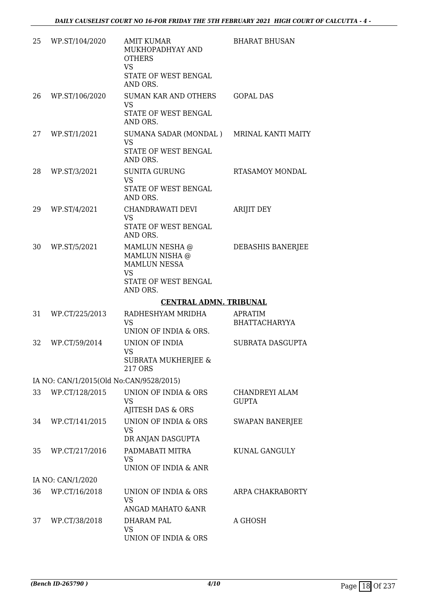| 25 | WP.ST/104/2020                          | <b>AMIT KUMAR</b><br>MUKHOPADHYAY AND<br><b>OTHERS</b><br><b>VS</b><br>STATE OF WEST BENGAL<br>AND ORS.  | <b>BHARAT BHUSAN</b>                   |
|----|-----------------------------------------|----------------------------------------------------------------------------------------------------------|----------------------------------------|
| 26 | WP.ST/106/2020                          | SUMAN KAR AND OTHERS<br><b>VS</b><br>STATE OF WEST BENGAL<br>AND ORS.                                    | <b>GOPAL DAS</b>                       |
| 27 | WP.ST/1/2021                            | SUMANA SADAR (MONDAL) MRINAL KANTI MAITY<br><b>VS</b><br>STATE OF WEST BENGAL<br>AND ORS.                |                                        |
| 28 | WP.ST/3/2021                            | <b>SUNITA GURUNG</b><br><b>VS</b><br>STATE OF WEST BENGAL<br>AND ORS.                                    | <b>RTASAMOY MONDAL</b>                 |
| 29 | WP.ST/4/2021                            | CHANDRAWATI DEVI<br><b>VS</b><br>STATE OF WEST BENGAL<br>AND ORS.                                        | <b>ARIJIT DEY</b>                      |
| 30 | WP.ST/5/2021                            | MAMLUN NESHA @<br>MAMLUN NISHA @<br><b>MAMLUN NESSA</b><br><b>VS</b><br>STATE OF WEST BENGAL<br>AND ORS. | DEBASHIS BANERJEE                      |
|    |                                         | <b>CENTRAL ADMN. TRIBUNAL</b>                                                                            |                                        |
| 31 | WP.CT/225/2013                          | RADHESHYAM MRIDHA<br><b>VS</b><br>UNION OF INDIA & ORS.                                                  | <b>APRATIM</b><br><b>BHATTACHARYYA</b> |
| 32 | WP.CT/59/2014                           | <b>UNION OF INDIA</b><br><b>VS</b><br>SUBRATA MUKHERJEE &<br>217 ORS                                     | SUBRATA DASGUPTA                       |
|    | IA NO: CAN/1/2015(Old No:CAN/9528/2015) |                                                                                                          |                                        |
| 33 | WP.CT/128/2015                          | UNION OF INDIA & ORS<br>VS<br>AJITESH DAS & ORS                                                          | CHANDREYI ALAM<br><b>GUPTA</b>         |
| 34 | WP.CT/141/2015                          | UNION OF INDIA & ORS<br><b>VS</b>                                                                        | <b>SWAPAN BANERJEE</b>                 |
|    |                                         | DR ANJAN DASGUPTA                                                                                        |                                        |
| 35 | WP.CT/217/2016                          | PADMABATI MITRA<br>VS.<br>UNION OF INDIA & ANR                                                           | KUNAL GANGULY                          |
|    | IA NO: CAN/1/2020                       |                                                                                                          |                                        |
| 36 | WP.CT/16/2018                           | UNION OF INDIA & ORS<br><b>VS</b><br>ANGAD MAHATO & ANR                                                  | ARPA CHAKRABORTY                       |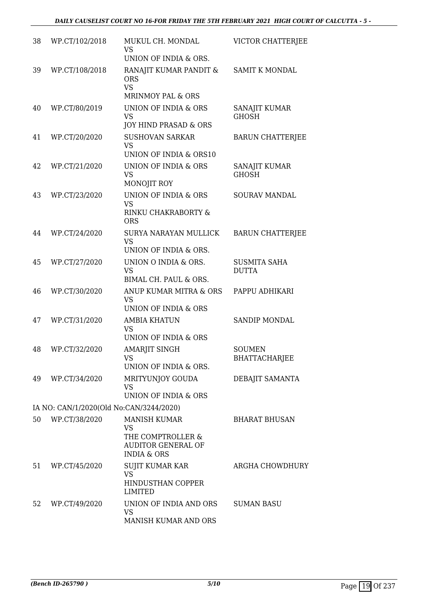| 38 | WP.CT/102/2018                          | MUKUL CH. MONDAL<br><b>VS</b><br>UNION OF INDIA & ORS.                                                       | VICTOR CHATTERJEE                     |
|----|-----------------------------------------|--------------------------------------------------------------------------------------------------------------|---------------------------------------|
| 39 | WP.CT/108/2018                          | RANAJIT KUMAR PANDIT &<br><b>ORS</b><br><b>VS</b><br><b>MRINMOY PAL &amp; ORS</b>                            | SAMIT K MONDAL                        |
| 40 | WP.CT/80/2019                           | UNION OF INDIA & ORS<br><b>VS</b><br>JOY HIND PRASAD & ORS                                                   | SANAJIT KUMAR<br><b>GHOSH</b>         |
| 41 | WP.CT/20/2020                           | <b>SUSHOVAN SARKAR</b><br><b>VS</b><br>UNION OF INDIA & ORS10                                                | <b>BARUN CHATTERJEE</b>               |
| 42 | WP.CT/21/2020                           | UNION OF INDIA & ORS<br><b>VS</b><br>MONOJIT ROY                                                             | SANAJIT KUMAR<br><b>GHOSH</b>         |
| 43 | WP.CT/23/2020                           | <b>UNION OF INDIA &amp; ORS</b><br><b>VS</b><br>RINKU CHAKRABORTY &<br><b>ORS</b>                            | <b>SOURAV MANDAL</b>                  |
| 44 | WP.CT/24/2020                           | SURYA NARAYAN MULLICK<br><b>VS</b><br>UNION OF INDIA & ORS.                                                  | <b>BARUN CHATTERJEE</b>               |
| 45 | WP.CT/27/2020                           | UNION O INDIA & ORS.<br><b>VS</b><br>BIMAL CH. PAUL & ORS.                                                   | <b>SUSMITA SAHA</b><br><b>DUTTA</b>   |
| 46 | WP.CT/30/2020                           | ANUP KUMAR MITRA & ORS<br><b>VS</b><br>UNION OF INDIA & ORS                                                  | PAPPU ADHIKARI                        |
| 47 | WP.CT/31/2020                           | <b>AMBIA KHATUN</b><br><b>VS</b><br>UNION OF INDIA & ORS                                                     | <b>SANDIP MONDAL</b>                  |
| 48 | WP.CT/32/2020                           | <b>AMARJIT SINGH</b><br>VS<br>UNION OF INDIA & ORS.                                                          | <b>SOUMEN</b><br><b>BHATTACHARJEE</b> |
| 49 | WP.CT/34/2020                           | MRITYUNJOY GOUDA<br><b>VS</b><br><b>UNION OF INDIA &amp; ORS</b>                                             | DEBAJIT SAMANTA                       |
|    | IA NO: CAN/1/2020(Old No:CAN/3244/2020) |                                                                                                              |                                       |
| 50 | WP.CT/38/2020                           | <b>MANISH KUMAR</b><br><b>VS</b><br>THE COMPTROLLER &<br><b>AUDITOR GENERAL OF</b><br><b>INDIA &amp; ORS</b> | <b>BHARAT BHUSAN</b>                  |
| 51 | WP.CT/45/2020                           | SUJIT KUMAR KAR<br><b>VS</b><br>HINDUSTHAN COPPER<br><b>LIMITED</b>                                          | ARGHA CHOWDHURY                       |
| 52 | WP.CT/49/2020                           | UNION OF INDIA AND ORS<br><b>VS</b><br>MANISH KUMAR AND ORS                                                  | <b>SUMAN BASU</b>                     |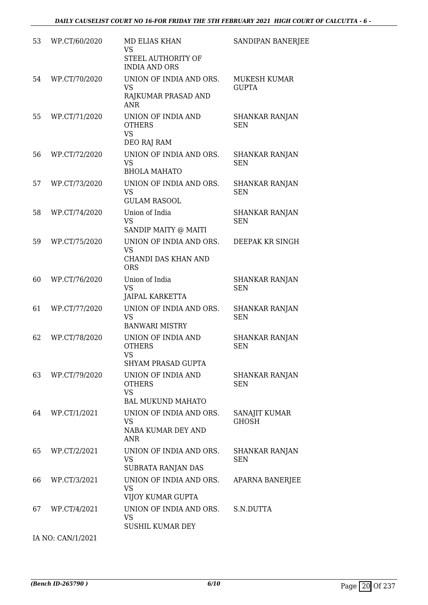| 53 | WP.CT/60/2020     | <b>MD ELIAS KHAN</b><br><b>VS</b><br>STEEL AUTHORITY OF<br><b>INDIA AND ORS</b> | SANDIPAN BANERJEE                   |
|----|-------------------|---------------------------------------------------------------------------------|-------------------------------------|
| 54 | WP.CT/70/2020     | UNION OF INDIA AND ORS.<br><b>VS</b><br>RAJKUMAR PRASAD AND<br><b>ANR</b>       | <b>MUKESH KUMAR</b><br><b>GUPTA</b> |
| 55 | WP.CT/71/2020     | UNION OF INDIA AND<br><b>OTHERS</b><br><b>VS</b><br>DEO RAJ RAM                 | SHANKAR RANJAN<br><b>SEN</b>        |
| 56 | WP.CT/72/2020     | UNION OF INDIA AND ORS.<br><b>VS</b><br><b>BHOLA MAHATO</b>                     | <b>SHANKAR RANJAN</b><br><b>SEN</b> |
| 57 | WP.CT/73/2020     | UNION OF INDIA AND ORS.<br><b>VS</b><br><b>GULAM RASOOL</b>                     | SHANKAR RANJAN<br><b>SEN</b>        |
| 58 | WP.CT/74/2020     | Union of India<br><b>VS</b><br>SANDIP MAITY @ MAITI                             | <b>SHANKAR RANJAN</b><br><b>SEN</b> |
| 59 | WP.CT/75/2020     | UNION OF INDIA AND ORS.<br><b>VS</b><br>CHANDI DAS KHAN AND<br><b>ORS</b>       | DEEPAK KR SINGH                     |
| 60 | WP.CT/76/2020     | Union of India<br><b>VS</b><br><b>JAIPAL KARKETTA</b>                           | <b>SHANKAR RANJAN</b><br><b>SEN</b> |
| 61 | WP.CT/77/2020     | UNION OF INDIA AND ORS.<br><b>VS</b><br><b>BANWARI MISTRY</b>                   | <b>SHANKAR RANJAN</b><br><b>SEN</b> |
| 62 | WP.CT/78/2020     | UNION OF INDIA AND<br><b>OTHERS</b><br>VS.<br><b>SHYAM PRASAD GUPTA</b>         | <b>SHANKAR RANJAN</b><br><b>SEN</b> |
| 63 | WP.CT/79/2020     | UNION OF INDIA AND<br><b>OTHERS</b><br><b>VS</b><br><b>BAL MUKUND MAHATO</b>    | <b>SHANKAR RANJAN</b><br><b>SEN</b> |
| 64 | WP.CT/1/2021      | UNION OF INDIA AND ORS.<br>VS<br>NABA KUMAR DEY AND<br><b>ANR</b>               | SANAJIT KUMAR<br><b>GHOSH</b>       |
| 65 | WP.CT/2/2021      | UNION OF INDIA AND ORS.<br>VS<br>SUBRATA RANJAN DAS                             | SHANKAR RANJAN<br><b>SEN</b>        |
| 66 | WP.CT/3/2021      | UNION OF INDIA AND ORS.<br><b>VS</b><br>VIJOY KUMAR GUPTA                       | APARNA BANERJEE                     |
| 67 | WP.CT/4/2021      | UNION OF INDIA AND ORS.<br><b>VS</b><br><b>SUSHIL KUMAR DEY</b>                 | S.N.DUTTA                           |
|    | IA NO: CAN/1/2021 |                                                                                 |                                     |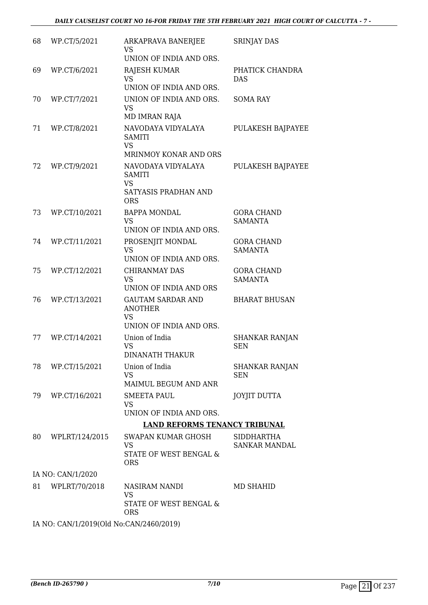| 68 | WP.CT/5/2021                            | ARKAPRAVA BANERJEE<br>VS<br>UNION OF INDIA AND ORS.                                    | <b>SRINJAY DAS</b>                  |  |  |  |
|----|-----------------------------------------|----------------------------------------------------------------------------------------|-------------------------------------|--|--|--|
| 69 | WP.CT/6/2021                            | <b>RAJESH KUMAR</b><br><b>VS</b><br>UNION OF INDIA AND ORS.                            | PHATICK CHANDRA<br><b>DAS</b>       |  |  |  |
| 70 | WP.CT/7/2021                            | UNION OF INDIA AND ORS.<br><b>VS</b><br>MD IMRAN RAJA                                  | <b>SOMA RAY</b>                     |  |  |  |
| 71 | WP.CT/8/2021                            | NAVODAYA VIDYALAYA<br>SAMITI<br><b>VS</b>                                              | PULAKESH BAJPAYEE                   |  |  |  |
|    |                                         | MRINMOY KONAR AND ORS                                                                  |                                     |  |  |  |
| 72 | WP.CT/9/2021                            | NAVODAYA VIDYALAYA<br><b>SAMITI</b><br><b>VS</b><br>SATYASIS PRADHAN AND<br><b>ORS</b> | PULAKESH BAJPAYEE                   |  |  |  |
| 73 | WP.CT/10/2021                           | <b>BAPPA MONDAL</b><br><b>VS</b><br>UNION OF INDIA AND ORS.                            | <b>GORA CHAND</b><br><b>SAMANTA</b> |  |  |  |
| 74 | WP.CT/11/2021                           | PROSENJIT MONDAL<br><b>VS</b><br>UNION OF INDIA AND ORS.                               | <b>GORA CHAND</b><br><b>SAMANTA</b> |  |  |  |
| 75 | WP.CT/12/2021                           | <b>CHIRANMAY DAS</b><br><b>VS</b><br>UNION OF INDIA AND ORS                            | <b>GORA CHAND</b><br><b>SAMANTA</b> |  |  |  |
| 76 | WP.CT/13/2021                           | <b>GAUTAM SARDAR AND</b><br><b>ANOTHER</b><br><b>VS</b><br>UNION OF INDIA AND ORS.     | <b>BHARAT BHUSAN</b>                |  |  |  |
| 77 | WP.CT/14/2021                           | Union of India<br><b>VS</b><br><b>DINANATH THAKUR</b>                                  | SHANKAR RANJAN<br><b>SEN</b>        |  |  |  |
| 78 | WP.CT/15/2021                           | Union of India<br><b>VS</b><br>MAIMUL BEGUM AND ANR                                    | <b>SHANKAR RANJAN</b><br><b>SEN</b> |  |  |  |
| 79 | WP.CT/16/2021                           | <b>SMEETA PAUL</b><br><b>VS</b><br>UNION OF INDIA AND ORS.                             | <b>JOYJIT DUTTA</b>                 |  |  |  |
|    |                                         | <b>LAND REFORMS TENANCY TRIBUNAL</b>                                                   |                                     |  |  |  |
| 80 | WPLRT/124/2015                          | SWAPAN KUMAR GHOSH                                                                     | <b>SIDDHARTHA</b>                   |  |  |  |
|    |                                         | <b>VS</b><br>STATE OF WEST BENGAL &<br><b>ORS</b>                                      | <b>SANKAR MANDAL</b>                |  |  |  |
|    | IA NO: CAN/1/2020                       |                                                                                        |                                     |  |  |  |
| 81 | WPLRT/70/2018                           | NASIRAM NANDI<br><b>VS</b><br>STATE OF WEST BENGAL &<br><b>ORS</b>                     | <b>MD SHAHID</b>                    |  |  |  |
|    | IA NO: CAN/1/2019(Old No:CAN/2460/2019) |                                                                                        |                                     |  |  |  |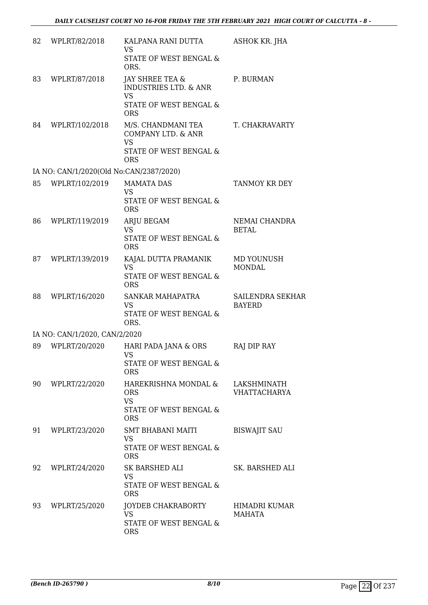| 82 | WPLRT/82/2018                           | KALPANA RANI DUTTA<br><b>VS</b><br>STATE OF WEST BENGAL &<br>ORS.                                        | <b>ASHOK KR. JHA</b>                  |
|----|-----------------------------------------|----------------------------------------------------------------------------------------------------------|---------------------------------------|
| 83 | WPLRT/87/2018                           | JAY SHREE TEA &<br><b>INDUSTRIES LTD. &amp; ANR</b><br><b>VS</b><br>STATE OF WEST BENGAL &<br><b>ORS</b> | P. BURMAN                             |
| 84 | WPLRT/102/2018                          | M/S. CHANDMANI TEA<br>COMPANY LTD. & ANR<br><b>VS</b><br>STATE OF WEST BENGAL &<br><b>ORS</b>            | T. CHAKRAVARTY                        |
|    | IA NO: CAN/1/2020(Old No:CAN/2387/2020) |                                                                                                          |                                       |
| 85 | WPLRT/102/2019                          | <b>MAMATA DAS</b><br><b>VS</b><br>STATE OF WEST BENGAL &<br><b>ORS</b>                                   | TANMOY KR DEY                         |
| 86 | WPLRT/119/2019                          | ARJU BEGAM<br><b>VS</b><br>STATE OF WEST BENGAL &<br><b>ORS</b>                                          | NEMAI CHANDRA<br><b>BETAL</b>         |
| 87 | WPLRT/139/2019                          | KAJAL DUTTA PRAMANIK<br><b>VS</b><br>STATE OF WEST BENGAL &<br><b>ORS</b>                                | MD YOUNUSH<br><b>MONDAL</b>           |
| 88 | WPLRT/16/2020                           | SANKAR MAHAPATRA<br><b>VS</b><br>STATE OF WEST BENGAL &<br>ORS.                                          | SAILENDRA SEKHAR<br><b>BAYERD</b>     |
|    | IA NO: CAN/1/2020, CAN/2/2020           |                                                                                                          |                                       |
| 89 | WPLRT/20/2020                           | HARI PADA JANA & ORS<br><b>VS</b><br>STATE OF WEST BENGAL &<br><b>ORS</b>                                | RAJ DIP RAY                           |
| 90 | WPLRT/22/2020                           | HAREKRISHNA MONDAL &<br><b>ORS</b><br><b>VS</b><br>STATE OF WEST BENGAL &<br><b>ORS</b>                  | LAKSHMINATH<br><b>VHATTACHARYA</b>    |
| 91 | WPLRT/23/2020                           | <b>SMT BHABANI MAITI</b><br><b>VS</b><br>STATE OF WEST BENGAL &<br><b>ORS</b>                            | <b>BISWAJIT SAU</b>                   |
| 92 | WPLRT/24/2020                           | SK BARSHED ALI<br><b>VS</b><br>STATE OF WEST BENGAL &<br><b>ORS</b>                                      | SK. BARSHED ALI                       |
| 93 | WPLRT/25/2020                           | JOYDEB CHAKRABORTY<br><b>VS</b><br>STATE OF WEST BENGAL &<br><b>ORS</b>                                  | <b>HIMADRI KUMAR</b><br><b>MAHATA</b> |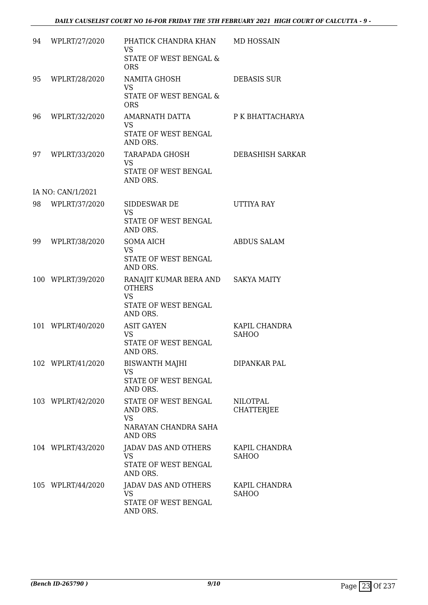| 94 | WPLRT/27/2020     | PHATICK CHANDRA KHAN MD HOSSAIN<br><b>VS</b><br>STATE OF WEST BENGAL &<br><b>ORS</b>                             |                                      |
|----|-------------------|------------------------------------------------------------------------------------------------------------------|--------------------------------------|
| 95 | WPLRT/28/2020     | NAMITA GHOSH<br><b>VS</b><br>STATE OF WEST BENGAL &<br><b>ORS</b>                                                | <b>DEBASIS SUR</b>                   |
| 96 | WPLRT/32/2020     | AMARNATH DATTA<br><b>VS</b><br>STATE OF WEST BENGAL<br>AND ORS.                                                  | P K BHATTACHARYA                     |
| 97 | WPLRT/33/2020     | TARAPADA GHOSH<br><b>VS</b><br>STATE OF WEST BENGAL<br>AND ORS.                                                  | DEBASHISH SARKAR                     |
|    | IA NO: CAN/1/2021 |                                                                                                                  |                                      |
| 98 | WPLRT/37/2020     | SIDDESWAR DE<br><b>VS</b><br>STATE OF WEST BENGAL                                                                | UTTIYA RAY                           |
| 99 | WPLRT/38/2020     | AND ORS.<br><b>SOMA AICH</b><br><b>VS</b><br>STATE OF WEST BENGAL                                                | <b>ABDUS SALAM</b>                   |
|    | 100 WPLRT/39/2020 | AND ORS.<br>RANAJIT KUMAR BERA AND SAKYA MAITY<br><b>OTHERS</b><br><b>VS</b><br>STATE OF WEST BENGAL<br>AND ORS. |                                      |
|    | 101 WPLRT/40/2020 | <b>ASIT GAYEN</b><br><b>VS</b><br>STATE OF WEST BENGAL<br>AND ORS.                                               | KAPIL CHANDRA<br><b>SAHOO</b>        |
|    | 102 WPLRT/41/2020 | BISWANTH MAJHI<br>VS<br>STATE OF WEST BENGAL<br>AND ORS.                                                         | DIPANKAR PAL                         |
|    | 103 WPLRT/42/2020 | STATE OF WEST BENGAL<br>AND ORS.<br><b>VS</b><br>NARAYAN CHANDRA SAHA<br><b>AND ORS</b>                          | <b>NILOTPAL</b><br><b>CHATTERJEE</b> |
|    | 104 WPLRT/43/2020 | JADAV DAS AND OTHERS<br><b>VS</b><br>STATE OF WEST BENGAL<br>AND ORS.                                            | KAPIL CHANDRA<br><b>SAHOO</b>        |
|    | 105 WPLRT/44/2020 | JADAV DAS AND OTHERS<br>VS<br>STATE OF WEST BENGAL<br>AND ORS.                                                   | KAPIL CHANDRA<br><b>SAHOO</b>        |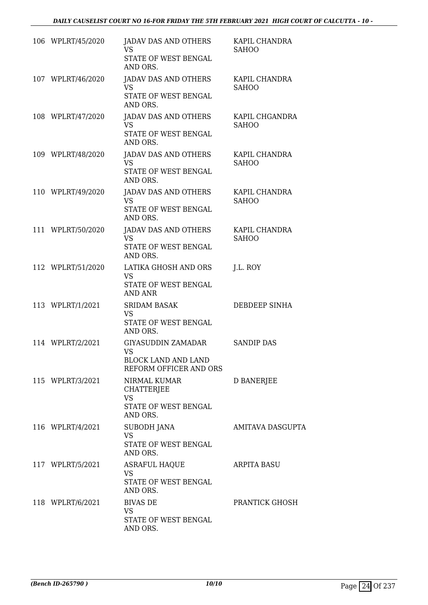| 106 WPLRT/45/2020 | JADAV DAS AND OTHERS<br><b>VS</b><br><b>STATE OF WEST BENGAL</b> | KAPIL CHANDRA<br><b>SAHOO</b>  |
|-------------------|------------------------------------------------------------------|--------------------------------|
|                   | AND ORS.                                                         |                                |
| 107 WPLRT/46/2020 | <b>JADAV DAS AND OTHERS</b><br><b>VS</b>                         | KAPIL CHANDRA<br><b>SAHOO</b>  |
|                   | STATE OF WEST BENGAL<br>AND ORS.                                 |                                |
| 108 WPLRT/47/2020 | JADAV DAS AND OTHERS<br><b>VS</b>                                | KAPIL CHGANDRA<br><b>SAHOO</b> |
|                   | STATE OF WEST BENGAL<br>AND ORS.                                 |                                |
| 109 WPLRT/48/2020 | <b>JADAV DAS AND OTHERS</b>                                      | KAPIL CHANDRA                  |
|                   | <b>VS</b><br>STATE OF WEST BENGAL<br>AND ORS.                    | <b>SAHOO</b>                   |
| 110 WPLRT/49/2020 | <b>JADAV DAS AND OTHERS</b>                                      | KAPIL CHANDRA                  |
|                   | <b>VS</b><br><b>STATE OF WEST BENGAL</b><br>AND ORS.             | <b>SAHOO</b>                   |
| 111 WPLRT/50/2020 | <b>JADAV DAS AND OTHERS</b>                                      | KAPIL CHANDRA                  |
|                   | <b>VS</b><br>STATE OF WEST BENGAL<br>AND ORS.                    | <b>SAHOO</b>                   |
| 112 WPLRT/51/2020 | LATIKA GHOSH AND ORS<br><b>VS</b>                                | J.L. ROY                       |
|                   | STATE OF WEST BENGAL<br><b>AND ANR</b>                           |                                |
| 113 WPLRT/1/2021  | <b>SRIDAM BASAK</b><br><b>VS</b>                                 | DEBDEEP SINHA                  |
|                   | STATE OF WEST BENGAL<br>AND ORS.                                 |                                |
| 114 WPLRT/2/2021  | GIYASUDDIN ZAMADAR<br><b>VS</b>                                  | <b>SANDIP DAS</b>              |
|                   | <b>BLOCK LAND AND LAND</b><br>REFORM OFFICER AND ORS             |                                |
| 115 WPLRT/3/2021  | NIRMAL KUMAR<br><b>CHATTERJEE</b>                                | D BANERJEE                     |
|                   | <b>VS</b>                                                        |                                |
|                   | STATE OF WEST BENGAL<br>AND ORS.                                 |                                |
| 116 WPLRT/4/2021  | <b>SUBODH JANA</b><br><b>VS</b>                                  | <b>AMITAVA DASGUPTA</b>        |
|                   | STATE OF WEST BENGAL<br>AND ORS.                                 |                                |
| 117 WPLRT/5/2021  | <b>ASRAFUL HAQUE</b>                                             | <b>ARPITA BASU</b>             |
|                   | <b>VS</b><br>STATE OF WEST BENGAL<br>AND ORS.                    |                                |
| 118 WPLRT/6/2021  | <b>BIVAS DE</b>                                                  | PRANTICK GHOSH                 |
|                   | <b>VS</b><br>STATE OF WEST BENGAL                                |                                |
|                   | AND ORS.                                                         |                                |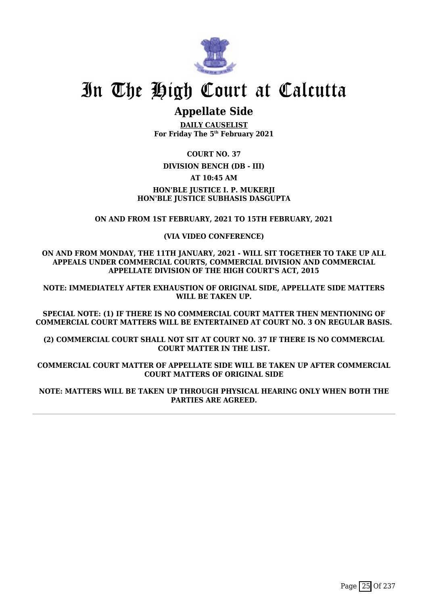

## **Appellate Side**

**DAILY CAUSELIST For Friday The 5th February 2021**

**COURT NO. 37**

### **DIVISION BENCH (DB - III)**

**AT 10:45 AM**

### **HON'BLE JUSTICE I. P. MUKERJI HON'BLE JUSTICE SUBHASIS DASGUPTA**

### **ON AND FROM 1ST FEBRUARY, 2021 TO 15TH FEBRUARY, 2021**

### **(VIA VIDEO CONFERENCE)**

**ON AND FROM MONDAY, THE 11TH JANUARY, 2021 - WILL SIT TOGETHER TO TAKE UP ALL APPEALS UNDER COMMERCIAL COURTS, COMMERCIAL DIVISION AND COMMERCIAL APPELLATE DIVISION OF THE HIGH COURT'S ACT, 2015**

**NOTE: IMMEDIATELY AFTER EXHAUSTION OF ORIGINAL SIDE, APPELLATE SIDE MATTERS WILL BE TAKEN UP.**

**SPECIAL NOTE: (1) IF THERE IS NO COMMERCIAL COURT MATTER THEN MENTIONING OF COMMERCIAL COURT MATTERS WILL BE ENTERTAINED AT COURT NO. 3 ON REGULAR BASIS.**

**(2) COMMERCIAL COURT SHALL NOT SIT AT COURT NO. 37 IF THERE IS NO COMMERCIAL COURT MATTER IN THE LIST.**

**COMMERCIAL COURT MATTER OF APPELLATE SIDE WILL BE TAKEN UP AFTER COMMERCIAL COURT MATTERS OF ORIGINAL SIDE**

**NOTE: MATTERS WILL BE TAKEN UP THROUGH PHYSICAL HEARING ONLY WHEN BOTH THE PARTIES ARE AGREED.**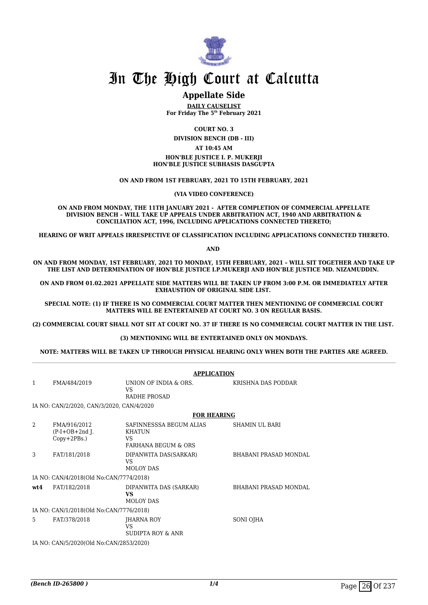

### **Appellate Side**

**DAILY CAUSELIST For Friday The 5th February 2021**

**COURT NO. 3**

**DIVISION BENCH (DB - III)**

### **AT 10:45 AM**

**HON'BLE JUSTICE I. P. MUKERJI HON'BLE JUSTICE SUBHASIS DASGUPTA**

**ON AND FROM 1ST FEBRUARY, 2021 TO 15TH FEBRUARY, 2021**

**(VIA VIDEO CONFERENCE)**

**ON AND FROM MONDAY, THE 11TH JANUARY 2021 - AFTER COMPLETION OF COMMERCIAL APPELLATE DIVISION BENCH – WILL TAKE UP APPEALS UNDER ARBITRATION ACT, 1940 AND ARBITRATION & CONCILIATION ACT, 1996, INCLUDING APPLICATIONS CONNECTED THERETO;**

**HEARING OF WRIT APPEALS IRRESPECTIVE OF CLASSIFICATION INCLUDING APPLICATIONS CONNECTED THERETO.**

**AND** 

**ON AND FROM MONDAY, 1ST FEBRUARY, 2021 TO MONDAY, 15TH FEBRUARY, 2021 – WILL SIT TOGETHER AND TAKE UP THE LIST AND DETERMINATION OF HON'BLE JUSTICE I.P.MUKERJI AND HON'BLE JUSTICE MD. NIZAMUDDIN.** 

**ON AND FROM 01.02.2021 APPELLATE SIDE MATTERS WILL BE TAKEN UP FROM 3:00 P.M. OR IMMEDIATELY AFTER EXHAUSTION OF ORIGINAL SIDE LIST.** 

**SPECIAL NOTE: (1) IF THERE IS NO COMMERCIAL COURT MATTER THEN MENTIONING OF COMMERCIAL COURT MATTERS WILL BE ENTERTAINED AT COURT NO. 3 ON REGULAR BASIS.**

**(2) COMMERCIAL COURT SHALL NOT SIT AT COURT NO. 37 IF THERE IS NO COMMERCIAL COURT MATTER IN THE LIST.** 

#### **(3) MENTIONING WILL BE ENTERTAINED ONLY ON MONDAYS.**

#### **NOTE: MATTERS WILL BE TAKEN UP THROUGH PHYSICAL HEARING ONLY WHEN BOTH THE PARTIES ARE AGREED.**

|               |                                                    | <b>APPLICATION</b>                                                               |                              |
|---------------|----------------------------------------------------|----------------------------------------------------------------------------------|------------------------------|
| $\mathbf{1}$  | FMA/484/2019                                       | UNION OF INDIA & ORS.<br>VS<br><b>RADHE PROSAD</b>                               | KRISHNA DAS PODDAR           |
|               | IA NO: CAN/2/2020, CAN/3/2020, CAN/4/2020          |                                                                                  |                              |
|               |                                                    | <b>FOR HEARING</b>                                                               |                              |
| $\mathcal{L}$ | FMA/916/2012<br>$(P-I+OB+2nd I.$<br>$Copy+2PBs.$ ) | SAFINNESSSA BEGUM ALIAS<br><b>KHATUN</b><br>VS<br><b>FARHANA BEGUM &amp; ORS</b> | SHAMIN UL BARI               |
| 3             | FAT/181/2018                                       | DIPANWITA DAS(SARKAR)<br><b>VS</b><br><b>MOLOY DAS</b>                           | <b>BHABANI PRASAD MONDAL</b> |
|               | IA NO: CAN/4/2018(Old No:CAN/7774/2018)            |                                                                                  |                              |
| wt4           | FAT/182/2018                                       | DIPANWITA DAS (SARKAR)<br><b>VS</b><br><b>MOLOY DAS</b>                          | <b>BHABANI PRASAD MONDAL</b> |
|               | IA NO: CAN/1/2018(Old No:CAN/7776/2018)            |                                                                                  |                              |
| 5             | FAT/378/2018                                       | <b>IHARNA ROY</b><br>VS<br><b>SUDIPTA ROY &amp; ANR</b>                          | SONI OJHA                    |
|               | IA NO: CAN/5/2020(Old No:CAN/2853/2020)            |                                                                                  |                              |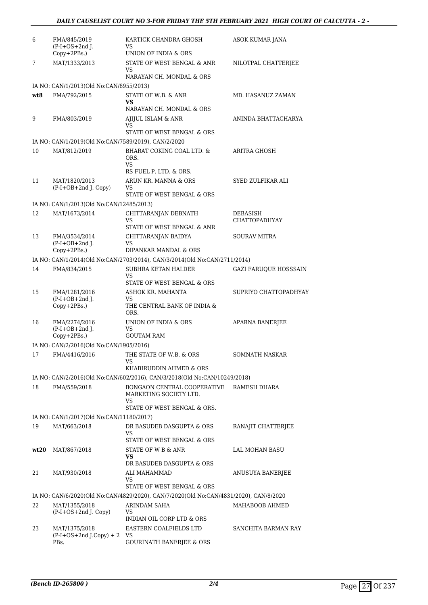| 6    | FMA/845/2019<br>$(P-I+OS+2nd$ J.                    | KARTICK CHANDRA GHOSH<br>VS                                                                       | ASOK KUMAR JANA                  |
|------|-----------------------------------------------------|---------------------------------------------------------------------------------------------------|----------------------------------|
| 7    | Copy+2PBs.)<br>MAT/1333/2013                        | UNION OF INDIA & ORS<br>STATE OF WEST BENGAL & ANR                                                | NILOTPAL CHATTERJEE              |
|      |                                                     | <b>VS</b><br>NARAYAN CH. MONDAL & ORS                                                             |                                  |
|      | IA NO: CAN/1/2013(Old No:CAN/8955/2013)             |                                                                                                   |                                  |
| wt8  | FMA/792/2015                                        | STATE OF W.B. & ANR<br>VS<br>NARAYAN CH. MONDAL & ORS                                             | MD. HASANUZ ZAMAN                |
| 9    | FMA/803/2019                                        | AJIJUL ISLAM & ANR                                                                                | ANINDA BHATTACHARYA              |
|      |                                                     | VS                                                                                                |                                  |
|      |                                                     | STATE OF WEST BENGAL & ORS                                                                        |                                  |
|      | IA NO: CAN/1/2019(Old No:CAN/7589/2019), CAN/2/2020 |                                                                                                   |                                  |
| 10   | MAT/812/2019                                        | BHARAT COKING COAL LTD. &<br>ORS.<br>VS.<br>RS FUEL P. LTD. & ORS.                                | ARITRA GHOSH                     |
| 11   | MAT/1820/2013                                       | ARUN KR. MANNA & ORS                                                                              | SYED ZULFIKAR ALI                |
|      | $(P-I+OB+2nd$ J. Copy)                              | VS<br>STATE OF WEST BENGAL & ORS                                                                  |                                  |
|      |                                                     |                                                                                                   |                                  |
|      | IA NO: CAN/1/2013(Old No:CAN/12485/2013)            |                                                                                                   |                                  |
| 12   | MAT/1673/2014                                       | CHITTARANJAN DEBNATH<br>VS<br>STATE OF WEST BENGAL & ANR                                          | DEBASISH<br><b>CHATTOPADHYAY</b> |
| 13   | FMA/3534/2014                                       | CHITTARANJAN BAIDYA                                                                               | <b>SOURAV MITRA</b>              |
|      | $(P-I+OB+2nd$ J.<br>Copy+2PBs.)                     | VS<br>DIPANKAR MANDAL & ORS                                                                       |                                  |
|      |                                                     | IA NO: CAN/1/2014(Old No:CAN/2703/2014), CAN/3/2014(Old No:CAN/2711/2014)                         |                                  |
| 14   | FMA/834/2015                                        | SUBHRA KETAN HALDER                                                                               | <b>GAZI FARUQUE HOSSSAIN</b>     |
|      |                                                     | VS<br>STATE OF WEST BENGAL & ORS                                                                  |                                  |
| 15   | FMA/1281/2016                                       | ASHOK KR. MAHANTA                                                                                 | SUPRIYO CHATTOPADHYAY            |
|      | $(P-I+OB+2nd J.$<br>Copy+2PBs.)                     | VS<br>THE CENTRAL BANK OF INDIA &<br>ORS.                                                         |                                  |
| 16   | FMA/2274/2016                                       | UNION OF INDIA & ORS                                                                              | <b>APARNA BANERJEE</b>           |
|      | $(P-I+OB+2nd$ J.<br>Copy+2PBs.)                     | VS<br><b>GOUTAM RAM</b>                                                                           |                                  |
|      | IA NO: CAN/2/2016(Old No:CAN/1905/2016)             |                                                                                                   |                                  |
|      | 17 FMA/4416/2016                                    | THE STATE OF W.B. & ORS                                                                           | SOMNATH NASKAR                   |
|      |                                                     | VS                                                                                                |                                  |
|      |                                                     | KHABIRUDDIN AHMED & ORS                                                                           |                                  |
|      |                                                     | IA NO: CAN/2/2016(Old No:CAN/602/2016), CAN/3/2018(Old No:CAN/10249/2018)                         |                                  |
| 18   | FMA/559/2018                                        | BONGAON CENTRAL COOPERATIVE<br>MARKETING SOCIETY LTD.<br><b>VS</b><br>STATE OF WEST BENGAL & ORS. | RAMESH DHARA                     |
|      | IA NO: CAN/1/2017(Old No:CAN/11180/2017)            |                                                                                                   |                                  |
| 19   | MAT/663/2018                                        | DR BASUDEB DASGUPTA & ORS<br>VS                                                                   | RANAJIT CHATTERJEE               |
|      |                                                     | STATE OF WEST BENGAL & ORS                                                                        |                                  |
| wt20 | MAT/867/2018                                        | STATE OF W B & ANR                                                                                | LAL MOHAN BASU                   |
|      |                                                     | VS<br>DR BASUDEB DASGUPTA & ORS                                                                   |                                  |
| 21   | MAT/930/2018                                        | ALI MAHAMMAD                                                                                      | ANUSUYA BANERJEE                 |
|      |                                                     | <b>VS</b>                                                                                         |                                  |
|      |                                                     | STATE OF WEST BENGAL & ORS                                                                        |                                  |
|      |                                                     | IA NO: CAN/6/2020(Old No:CAN/4829/2020), CAN/7/2020(Old No:CAN/4831/2020), CAN/8/2020             |                                  |
| 22   | MAT/1355/2018<br>$(P-I+OS+2nd J. Copy)$             | ARINDAM SAHA<br>VS                                                                                | MAHABOOB AHMED                   |
|      |                                                     | INDIAN OIL CORP LTD & ORS                                                                         |                                  |
| 23   | MAT/1375/2018<br>$(P-I+OS+2nd J.Copy) + 2$          | EASTERN COALFIELDS LTD<br>VS                                                                      | SANCHITA BARMAN RAY              |
|      | PBs.                                                | <b>GOURINATH BANERJEE &amp; ORS</b>                                                               |                                  |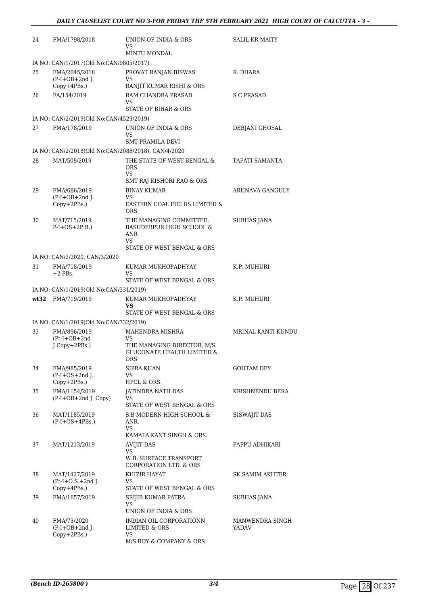| 24 | FMA/1798/2018                                            | UNION OF INDIA & ORS<br>VS<br><b>MINTU MONDAL</b>                                                                | <b>SALIL KR MAITY</b>    |
|----|----------------------------------------------------------|------------------------------------------------------------------------------------------------------------------|--------------------------|
|    | IA NO: CAN/1/2017(Old No:CAN/9805/2017)                  |                                                                                                                  |                          |
| 25 | FMA/2045/2018<br>$(P-I+OB+2nd I.$                        | PROVAT RANJAN BISWAS<br>VS                                                                                       | R. DHARA                 |
| 26 | $Copy+4PBs.$ )<br>FA/154/2019                            | RANJIT KUMAR RISHI & ORS<br>RAM CHANDRA PRASAD<br>VS                                                             | S C PRASAD               |
|    | IA NO: CAN/2/2019(Old No:CAN/4529/2019)                  | STATE OF BIHAR & ORS                                                                                             |                          |
| 27 | FMA/178/2019                                             | UNION OF INDIA & ORS<br>VS                                                                                       | DEBJANI GHOSAL           |
|    | IA NO: CAN/2/2018(Old No:CAN/2088/2018), CAN/4/2020      | <b>SMT PRAMILA DEVI</b>                                                                                          |                          |
| 28 | MAT/508/2019                                             | THE STATE OF WEST BENGAL &<br><b>ORS</b><br><b>VS</b><br>SMT RAJ KISHORI RAO & ORS                               | TAPATI SAMANTA           |
| 29 | FMA/686/2019<br>$(P-I+OB+2nd$ J.<br>Copy+2PBs.)          | BINAY KUMAR<br>VS<br>EASTERN COAL FIELDS LIMITED &<br><b>ORS</b>                                                 | ARUNAVA GANGULY          |
| 30 | MAT/715/2019<br>$P-I+OS+2P.B.)$                          | THE MANAGING COMMITTEE,<br><b>BASUDEBPUR HIGH SCHOOL &amp;</b><br><b>ANR</b><br>VS<br>STATE OF WEST BENGAL & ORS | <b>SUBHAS JANA</b>       |
|    | IA NO: CAN/2/2020, CAN/3/2020                            |                                                                                                                  |                          |
| 31 | FMA/718/2019<br>$+2$ PBs.                                | KUMAR MUKHOPADHYAY<br>VS<br>STATE OF WEST BENGAL & ORS                                                           | K.P. MUHURI              |
|    | IA NO: CAN/1/2019(Old No:CAN/331/2019)                   |                                                                                                                  |                          |
|    | wt32 FMA/719/2019                                        | KUMAR MUKHOPADHYAY<br><b>VS</b><br>STATE OF WEST BENGAL & ORS                                                    | K.P. MUHURI              |
|    | IA NO: CAN/1/2019(Old No:CAN/332/2019)                   |                                                                                                                  |                          |
| 33 | FMA/896/2019<br>$(Pt-I+OB+2nd$<br>$J$ . $Copy + 2PBs$ .) | MAHENDRA MISHRA<br><b>VS</b><br>THE MANAGING DIRECTOR, M/S<br><b>GLUCONATE HEALTH LIMITED &amp;</b><br>ORS       | MRINAL KANTI KUNDU       |
| 34 | FMA/985/2019<br>$(P-I+OS+2nd J.$<br>Copy+2PBs.)          | SIPRA KHAN<br>VS<br>HPCL & ORS.                                                                                  | <b>GOUTAM DEY</b>        |
| 35 | FMA/1154/2019<br>$(P-I+OB+2nd$ J. Copy)                  | JATINDRA NATH DAS<br>VS<br>STATE OF WEST BENGAL & ORS                                                            | KRISHNENDU BERA          |
| 36 | MAT/1185/2019<br>$(P-I+OS+4PBs.)$                        | S.B MODERN HIGH SCHOOL &<br>ANR.<br>VS.<br>KAMALA KANT SINGH & ORS.                                              | BISWAJIT DAS             |
| 37 | MAT/1213/2019                                            | <b>AVIJIT DAS</b><br>VS<br>W.B. SURFACE TRANSPORT<br>CORPORATION LTD. & ORS                                      | PAPPU ADHIKARI           |
| 38 | MAT/1427/2019<br>$Pt-I+O.S.+2nd$ J.<br>$Copy+4PBs.$ )    | KHIZIR HAYAT<br>VS.<br>STATE OF WEST BENGAL & ORS                                                                | SK SAMIM AKHTER          |
| 39 | FMA/1657/2019                                            | SRIJIB KUMAR PATRA<br>VS<br>UNION OF INDIA & ORS                                                                 | SUBHAS JANA              |
| 40 | FMA/73/2020<br>$(P-I+OB+2nd$ J.<br>Copy+2PBs.)           | INDIAN OIL CORPORATIONN<br><b>LIMITED &amp; ORS</b><br>VS<br>M/S ROY & COMPANY & ORS                             | MANWENDRA SINGH<br>YADAV |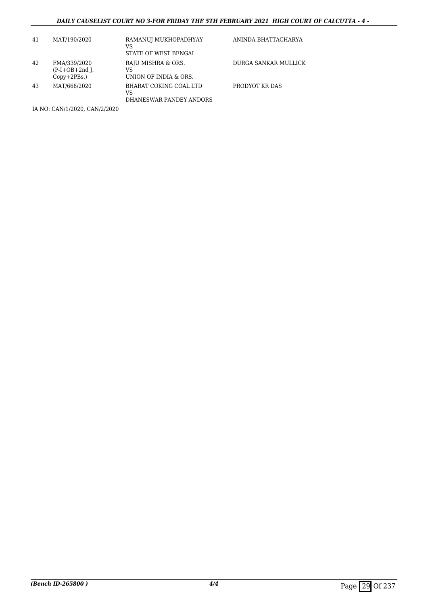### *DAILY CAUSELIST COURT NO 3-FOR FRIDAY THE 5TH FEBRUARY 2021 HIGH COURT OF CALCUTTA - 4 -*

| 41 | MAT/190/2020                                       | RAMANUI MUKHOPADHYAY<br>VS<br>STATE OF WEST BENGAL      | ANINDA BHATTACHARYA  |
|----|----------------------------------------------------|---------------------------------------------------------|----------------------|
| 42 | FMA/339/2020<br>$(P-I+OB+2nd)$ .<br>$Copy+2PBs.$ ) | RAJU MISHRA & ORS.<br>VS<br>UNION OF INDIA & ORS.       | DURGA SANKAR MULLICK |
| 43 | MAT/668/2020                                       | BHARAT COKING COAL LTD<br>VS<br>DHANESWAR PANDEY ANDORS | PRODYOT KR DAS       |

IA NO: CAN/1/2020, CAN/2/2020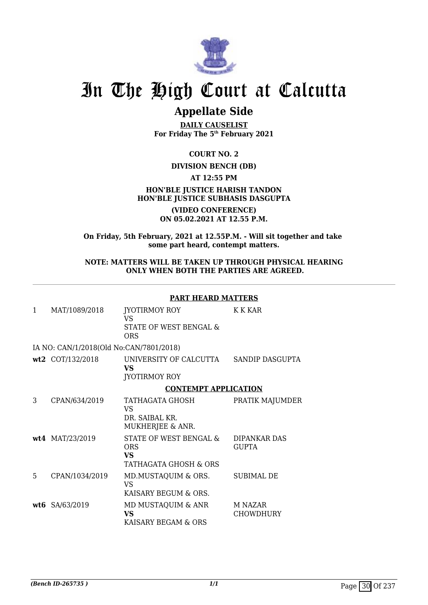

## **Appellate Side**

**DAILY CAUSELIST For Friday The 5th February 2021**

**COURT NO. 2**

### **DIVISION BENCH (DB)**

**AT 12:55 PM**

### **HON'BLE JUSTICE HARISH TANDON HON'BLE JUSTICE SUBHASIS DASGUPTA**

**(VIDEO CONFERENCE) ON 05.02.2021 AT 12.55 P.M.**

**On Friday, 5th February, 2021 at 12.55P.M. - Will sit together and take some part heard, contempt matters.**

### **NOTE: MATTERS WILL BE TAKEN UP THROUGH PHYSICAL HEARING ONLY WHEN BOTH THE PARTIES ARE AGREED.**

### **PART HEARD MATTERS**

| 1 | MAT/1089/2018                           | JYOTIRMOY ROY<br>VS<br>STATE OF WEST BENGAL &<br><b>ORS</b>  | K K KAR                     |
|---|-----------------------------------------|--------------------------------------------------------------|-----------------------------|
|   | IA NO: CAN/1/2018(Old No:CAN/7801/2018) |                                                              |                             |
|   | wt2 COT/132/2018                        | UNIVERSITY OF CALCUTTA<br>VS<br><b>JYOTIRMOY ROY</b>         | SANDIP DASGUPTA             |
|   |                                         | <b>CONTEMPT APPLICATION</b>                                  |                             |
| 3 | CPAN/634/2019                           | TATHAGATA GHOSH<br>VS<br>DR. SAIBAL KR.<br>MUKHERJEE & ANR.  | PRATIK MAJUMDER             |
|   | wt4 MAT/23/2019                         | STATE OF WEST BENGAL &<br>ORS<br>VS<br>TATHAGATA GHOSH & ORS | DIPANKAR DAS<br>GUPTA       |
| 5 | CPAN/1034/2019                          | MD.MUSTAQUIM & ORS.<br>VS.<br>KAISARY BEGUM & ORS.           | <b>SUBIMAL DE</b>           |
|   | wt6 SA/63/2019                          | MD MUSTAQUIM & ANR<br><b>VS</b><br>KAISARY BEGAM & ORS       | M NAZAR<br><b>CHOWDHURY</b> |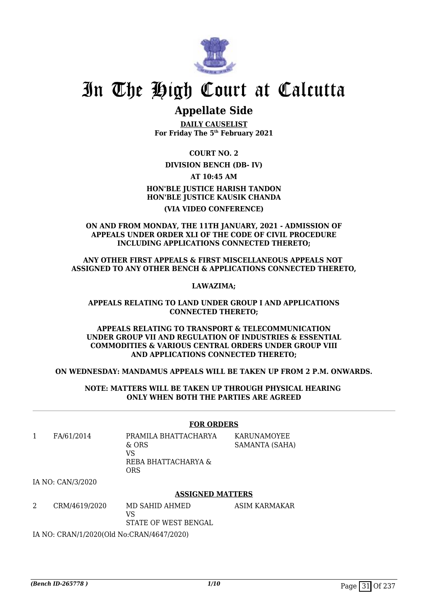

### **Appellate Side**

**DAILY CAUSELIST For Friday The 5th February 2021**

**COURT NO. 2**

### **DIVISION BENCH (DB- IV)**

**AT 10:45 AM**

**HON'BLE JUSTICE HARISH TANDON HON'BLE JUSTICE KAUSIK CHANDA (VIA VIDEO CONFERENCE)**

**ON AND FROM MONDAY, THE 11TH JANUARY, 2021 - ADMISSION OF APPEALS UNDER ORDER XLI OF THE CODE OF CIVIL PROCEDURE INCLUDING APPLICATIONS CONNECTED THERETO;**

**ANY OTHER FIRST APPEALS & FIRST MISCELLANEOUS APPEALS NOT ASSIGNED TO ANY OTHER BENCH & APPLICATIONS CONNECTED THERETO,**

**LAWAZIMA;**

### **APPEALS RELATING TO LAND UNDER GROUP I AND APPLICATIONS CONNECTED THERETO;**

**APPEALS RELATING TO TRANSPORT & TELECOMMUNICATION UNDER GROUP VII AND REGULATION OF INDUSTRIES & ESSENTIAL COMMODITIES & VARIOUS CENTRAL ORDERS UNDER GROUP VIII AND APPLICATIONS CONNECTED THERETO;**

### **ON WEDNESDAY: MANDAMUS APPEALS WILL BE TAKEN UP FROM 2 P.M. ONWARDS.**

**NOTE: MATTERS WILL BE TAKEN UP THROUGH PHYSICAL HEARING ONLY WHEN BOTH THE PARTIES ARE AGREED**

### **FOR ORDERS**

1 FA/61/2014 PRAMILA BHATTACHARYA & ORS VS REBA BHATTACHARYA & ORS KARUNAMOYEE SAMANTA (SAHA)

IA NO: CAN/3/2020

### **ASSIGNED MATTERS**

ASIM KARMAKAR

2 CRM/4619/2020 MD SAHID AHMED VS STATE OF WEST BENGAL

IA NO: CRAN/1/2020(Old No:CRAN/4647/2020)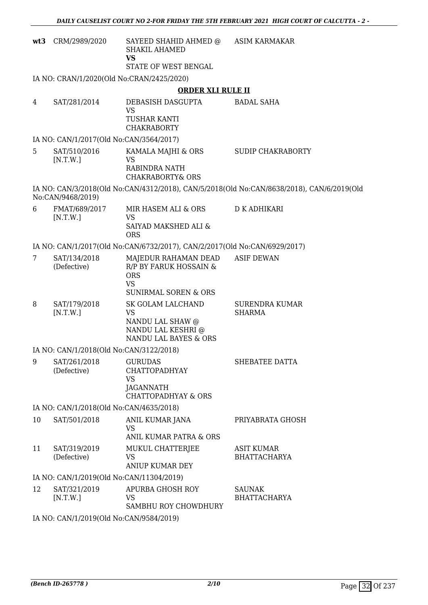| wt3 | CRM/2989/2020                           | SAYEED SHAHID AHMED @ ASIM KARMAKAR<br><b>SHAKIL AHAMED</b><br><b>VS</b>                                     |                                                                                           |
|-----|-----------------------------------------|--------------------------------------------------------------------------------------------------------------|-------------------------------------------------------------------------------------------|
|     |                                         | STATE OF WEST BENGAL                                                                                         |                                                                                           |
|     |                                         | IA NO: CRAN/1/2020(Old No:CRAN/2425/2020)                                                                    |                                                                                           |
|     |                                         | <b>ORDER XLI RULE II</b>                                                                                     |                                                                                           |
| 4   | SAT/281/2014                            | DEBASISH DASGUPTA<br><b>VS</b><br><b>TUSHAR KANTI</b><br><b>CHAKRABORTY</b>                                  | <b>BADAL SAHA</b>                                                                         |
|     | IA NO: CAN/1/2017(Old No:CAN/3564/2017) |                                                                                                              |                                                                                           |
| 5   | SAT/510/2016<br>[N.T.W.]                | KAMALA MAJHI & ORS<br>VS<br>RABINDRA NATH<br><b>CHAKRABORTY&amp; ORS</b>                                     | <b>SUDIP CHAKRABORTY</b>                                                                  |
|     | No:CAN/9468/2019)                       |                                                                                                              | IA NO: CAN/3/2018(Old No:CAN/4312/2018), CAN/5/2018(Old No:CAN/8638/2018), CAN/6/2019(Old |
| 6   | FMAT/689/2017<br>[N.T.W.]               | MIR HASEM ALI & ORS<br><b>VS</b><br>SAIYAD MAKSHED ALI &<br><b>ORS</b>                                       | D K ADHIKARI                                                                              |
|     |                                         | IA NO: CAN/1/2017(Old No:CAN/6732/2017), CAN/2/2017(Old No:CAN/6929/2017)                                    |                                                                                           |
| 7   | SAT/134/2018<br>(Defective)             | MAJEDUR RAHAMAN DEAD<br>R/P BY FARUK HOSSAIN &<br><b>ORS</b><br><b>VS</b><br><b>SUNIRMAL SOREN &amp; ORS</b> | <b>ASIF DEWAN</b>                                                                         |
| 8   | SAT/179/2018<br>[N.T.W.]                | SK GOLAM LALCHAND<br><b>VS</b><br>NANDU LAL SHAW @<br>NANDU LAL KESHRI @<br>NANDU LAL BAYES & ORS            | <b>SURENDRA KUMAR</b><br><b>SHARMA</b>                                                    |
|     | IA NO: CAN/1/2018(Old No:CAN/3122/2018) |                                                                                                              |                                                                                           |
| 9   | SAT/261/2018<br>(Defective)             | <b>GURUDAS</b><br><b>CHATTOPADHYAY</b><br><b>VS</b><br>JAGANNATH<br><b>CHATTOPADHYAY &amp; ORS</b>           | SHEBATEE DATTA                                                                            |
|     | IA NO: CAN/1/2018(Old No:CAN/4635/2018) |                                                                                                              |                                                                                           |
| 10  | SAT/501/2018                            | ANIL KUMAR JANA<br><b>VS</b><br>ANIL KUMAR PATRA & ORS                                                       | PRIYABRATA GHOSH                                                                          |
| 11  | SAT/319/2019<br>(Defective)             | MUKUL CHATTERJEE<br>VS<br><b>ANIUP KUMAR DEY</b>                                                             | <b>ASIT KUMAR</b><br><b>BHATTACHARYA</b>                                                  |
|     |                                         | IA NO: CAN/1/2019(Old No:CAN/11304/2019)                                                                     |                                                                                           |
| 12  | SAT/321/2019<br>[N.T.W.]                | APURBA GHOSH ROY<br>VS<br>SAMBHU ROY CHOWDHURY                                                               | <b>SAUNAK</b><br><b>BHATTACHARYA</b>                                                      |
|     | IA NO: CAN/1/2019(Old No:CAN/9584/2019) |                                                                                                              |                                                                                           |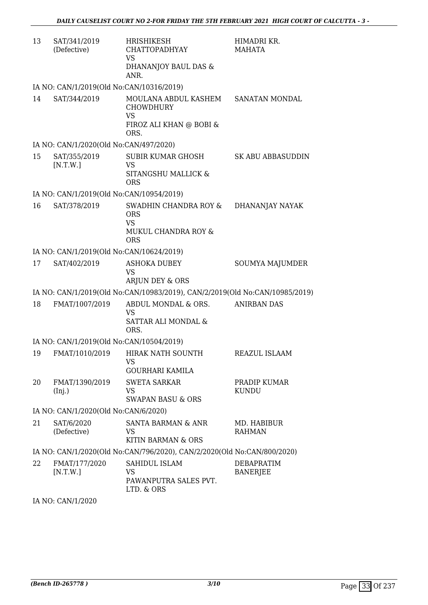| 13                                                                      | SAT/341/2019<br>(Defective)              | HRISHIKESH<br>CHATTOPADHYAY<br><b>VS</b><br>DHANANJOY BAUL DAS &<br>ANR.                 | HIMADRI KR.<br>MAHATA                |  |
|-------------------------------------------------------------------------|------------------------------------------|------------------------------------------------------------------------------------------|--------------------------------------|--|
|                                                                         | IA NO: CAN/1/2019(Old No:CAN/10316/2019) |                                                                                          |                                      |  |
| 14                                                                      | SAT/344/2019                             | MOULANA ABDUL KASHEM<br><b>CHOWDHURY</b><br><b>VS</b><br>FIROZ ALI KHAN @ BOBI &<br>ORS. | SANATAN MONDAL                       |  |
|                                                                         | IA NO: CAN/1/2020(Old No:CAN/497/2020)   |                                                                                          |                                      |  |
| 15                                                                      | SAT/355/2019<br>[N.T.W.]                 | SUBIR KUMAR GHOSH<br><b>VS</b><br>SITANGSHU MALLICK &<br><b>ORS</b>                      | <b>SK ABU ABBASUDDIN</b>             |  |
|                                                                         | IA NO: CAN/1/2019(Old No:CAN/10954/2019) |                                                                                          |                                      |  |
| 16                                                                      | SAT/378/2019                             | SWADHIN CHANDRA ROY &<br><b>ORS</b><br><b>VS</b><br>MUKUL CHANDRA ROY &<br><b>ORS</b>    | DHANANJAY NAYAK                      |  |
|                                                                         | IA NO: CAN/1/2019(Old No:CAN/10624/2019) |                                                                                          |                                      |  |
| 17                                                                      | SAT/402/2019                             | <b>ASHOKA DUBEY</b><br><b>VS</b><br>ARJUN DEY & ORS                                      | SOUMYA MAJUMDER                      |  |
|                                                                         |                                          | IA NO: CAN/1/2019(Old No:CAN/10983/2019), CAN/2/2019(Old No:CAN/10985/2019)              |                                      |  |
| 18                                                                      | FMAT/1007/2019                           | ABDUL MONDAL & ORS.<br>VS<br>SATTAR ALI MONDAL &<br>ORS.                                 | <b>ANIRBAN DAS</b>                   |  |
|                                                                         | IA NO: CAN/1/2019(Old No:CAN/10504/2019) |                                                                                          |                                      |  |
|                                                                         |                                          | 19 FMAT/1010/2019 HIRAK NATH SOUNTH<br>VS<br><b>GOURHARI KAMILA</b>                      | REAZUL ISLAAM                        |  |
| 20                                                                      | FMAT/1390/2019<br>(Inj.)                 | <b>SWETA SARKAR</b><br><b>VS</b><br><b>SWAPAN BASU &amp; ORS</b>                         | PRADIP KUMAR<br><b>KUNDU</b>         |  |
|                                                                         | IA NO: CAN/1/2020(Old No:CAN/6/2020)     |                                                                                          |                                      |  |
| 21                                                                      | SAT/6/2020<br>(Defective)                | SANTA BARMAN & ANR<br>VS<br>KITIN BARMAN & ORS                                           | MD. HABIBUR<br><b>RAHMAN</b>         |  |
| IA NO: CAN/1/2020(Old No:CAN/796/2020), CAN/2/2020(Old No:CAN/800/2020) |                                          |                                                                                          |                                      |  |
| 22                                                                      | FMAT/177/2020<br>[N.T.W.]                | SAHIDUL ISLAM<br><b>VS</b><br>PAWANPUTRA SALES PVT.<br>LTD. & ORS                        | <b>DEBAPRATIM</b><br><b>BANERJEE</b> |  |

IA NO: CAN/1/2020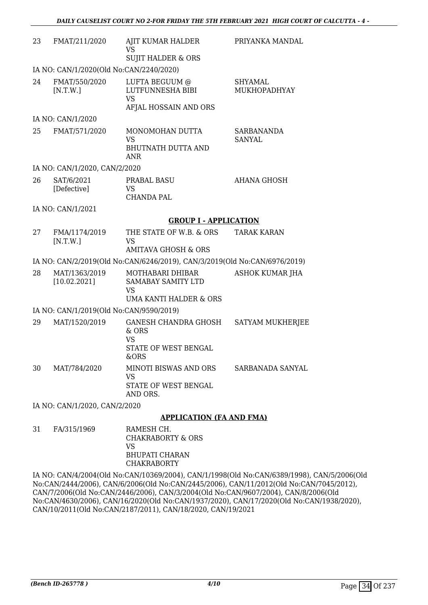| 23                            | FMAT/211/2020                           | AJIT KUMAR HALDER<br><b>VS</b>                                                           | PRIYANKA MANDAL                |
|-------------------------------|-----------------------------------------|------------------------------------------------------------------------------------------|--------------------------------|
|                               |                                         | <b>SUJIT HALDER &amp; ORS</b>                                                            |                                |
|                               | IA NO: CAN/1/2020(Old No:CAN/2240/2020) |                                                                                          |                                |
| 24                            | FMAT/550/2020<br>[N.T.W.]               | LUFTA BEGUUM @<br>LUTFUNNESHA BIBI<br><b>VS</b><br>AFJAL HOSSAIN AND ORS                 | <b>SHYAMAL</b><br>MUKHOPADHYAY |
|                               | IA NO: CAN/1/2020                       |                                                                                          |                                |
| 25                            | FMAT/571/2020                           | MONOMOHAN DUTTA<br><b>VS</b><br>BHUTNATH DUTTA AND<br><b>ANR</b>                         | SARBANANDA<br><b>SANYAL</b>    |
|                               | IA NO: CAN/1/2020, CAN/2/2020           |                                                                                          |                                |
| 26                            | SAT/6/2021<br>[Defective]               | <b>PRABAL BASU</b><br><b>VS</b><br><b>CHANDA PAL</b>                                     | <b>AHANA GHOSH</b>             |
|                               | IA NO: CAN/1/2021                       |                                                                                          |                                |
|                               |                                         | <b>GROUP I - APPLICATION</b>                                                             |                                |
| 27                            | FMA/1174/2019<br>[N.T.W.]               | THE STATE OF W.B. & ORS<br><b>VS</b><br><b>AMITAVA GHOSH &amp; ORS</b>                   | <b>TARAK KARAN</b>             |
|                               |                                         | IA NO: CAN/2/2019(Old No:CAN/6246/2019), CAN/3/2019(Old No:CAN/6976/2019)                |                                |
| 28                            | MAT/1363/2019<br>[10.02.2021]           | MOTHABARI DHIBAR<br>SAMABAY SAMITY LTD<br><b>VS</b><br><b>UMA KANTI HALDER &amp; ORS</b> | <b>ASHOK KUMAR JHA</b>         |
|                               | IA NO: CAN/1/2019(Old No:CAN/9590/2019) |                                                                                          |                                |
| 29                            | MAT/1520/2019                           | GANESH CHANDRA GHOSH<br>& ORS<br><b>VS</b><br>STATE OF WEST BENGAL<br>&ORS               | SATYAM MUKHERJEE               |
| 30                            | MAT/784/2020                            | MINOTI BISWAS AND ORS<br><b>VS</b><br>STATE OF WEST BENGAL<br>AND ORS.                   | SARBANADA SANYAL               |
| IA NO: CAN/1/2020, CAN/2/2020 |                                         |                                                                                          |                                |
|                               |                                         | <b>APPLICATION (FA AND FMA)</b>                                                          |                                |
| 31                            | FA/315/1969                             | RAMESH CH.<br><b>CHAKRABORTY &amp; ORS</b><br><b>VS</b>                                  |                                |

BHUPATI CHARAN CHAKRABORTY IA NO: CAN/4/2004(Old No:CAN/10369/2004), CAN/1/1998(Old No:CAN/6389/1998), CAN/5/2006(Old No:CAN/2444/2006), CAN/6/2006(Old No:CAN/2445/2006), CAN/11/2012(Old No:CAN/7045/2012), CAN/7/2006(Old No:CAN/2446/2006), CAN/3/2004(Old No:CAN/9607/2004), CAN/8/2006(Old No:CAN/4630/2006), CAN/16/2020(Old No:CAN/1937/2020), CAN/17/2020(Old No:CAN/1938/2020), CAN/10/2011(Old No:CAN/2187/2011), CAN/18/2020, CAN/19/2021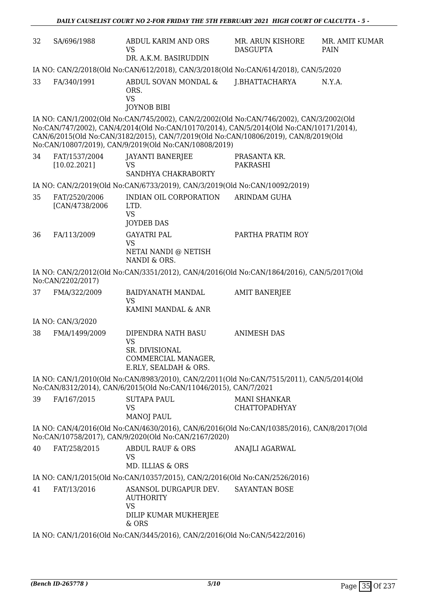| 32 | SA/696/1988                      | ABDUL KARIM AND ORS<br><b>VS</b><br>DR. A.K.M. BASIRUDDIN                                                                                                                                                                                                                                                                          | MR. ARUN KISHORE<br><b>DASGUPTA</b>         | MR. AMIT KUMAR<br>PAIN |
|----|----------------------------------|------------------------------------------------------------------------------------------------------------------------------------------------------------------------------------------------------------------------------------------------------------------------------------------------------------------------------------|---------------------------------------------|------------------------|
|    |                                  | IA NO: CAN/2/2018(Old No:CAN/612/2018), CAN/3/2018(Old No:CAN/614/2018), CAN/5/2020                                                                                                                                                                                                                                                |                                             |                        |
| 33 | FA/340/1991                      | ABDUL SOVAN MONDAL &<br>ORS.<br><b>VS</b><br><b>JOYNOB BIBI</b>                                                                                                                                                                                                                                                                    | J.BHATTACHARYA                              | N.Y.A.                 |
|    |                                  | IA NO: CAN/1/2002(Old No:CAN/745/2002), CAN/2/2002(Old No:CAN/746/2002), CAN/3/2002(Old<br>No:CAN/747/2002), CAN/4/2014(Old No:CAN/10170/2014), CAN/5/2014(Old No:CAN/10171/2014),<br>CAN/6/2015(Old No:CAN/3182/2015), CAN/7/2019(Old No:CAN/10806/2019), CAN/8/2019(Old<br>No:CAN/10807/2019), CAN/9/2019(Old No:CAN/10808/2019) |                                             |                        |
| 34 | FAT/1537/2004<br>[10.02.2021]    | <b>JAYANTI BANERJEE</b><br><b>VS</b><br>SANDHYA CHAKRABORTY                                                                                                                                                                                                                                                                        | PRASANTA KR.<br><b>PAKRASHI</b>             |                        |
|    |                                  | IA NO: CAN/2/2019(Old No:CAN/6733/2019), CAN/3/2019(Old No:CAN/10092/2019)                                                                                                                                                                                                                                                         |                                             |                        |
| 35 | FAT/2520/2006<br>[CAN/4738/2006] | INDIAN OIL CORPORATION<br>LTD.<br><b>VS</b><br><b>JOYDEB DAS</b>                                                                                                                                                                                                                                                                   | <b>ARINDAM GUHA</b>                         |                        |
| 36 | FA/113/2009                      | <b>GAYATRI PAL</b><br><b>VS</b><br>NETAI NANDI @ NETISH<br>NANDI & ORS.                                                                                                                                                                                                                                                            | PARTHA PRATIM ROY                           |                        |
|    | No:CAN/2202/2017)                | IA NO: CAN/2/2012(Old No:CAN/3351/2012), CAN/4/2016(Old No:CAN/1864/2016), CAN/5/2017(Old                                                                                                                                                                                                                                          |                                             |                        |
| 37 | FMA/322/2009                     | <b>BAIDYANATH MANDAL</b><br><b>VS</b><br>KAMINI MANDAL & ANR                                                                                                                                                                                                                                                                       | <b>AMIT BANERJEE</b>                        |                        |
|    | IA NO: CAN/3/2020                |                                                                                                                                                                                                                                                                                                                                    |                                             |                        |
| 38 | FMA/1499/2009                    | DIPENDRA NATH BASU<br><b>VS</b><br>SR. DIVISIONAL<br>COMMERCIAL MANAGER,<br>E.RLY, SEALDAH & ORS.                                                                                                                                                                                                                                  | <b>ANIMESH DAS</b>                          |                        |
|    |                                  | IA NO: CAN/1/2010(Old No:CAN/8983/2010), CAN/2/2011(Old No:CAN/7515/2011), CAN/5/2014(Old<br>No:CAN/8312/2014), CAN/6/2015(Old No:CAN/11046/2015), CAN/7/2021                                                                                                                                                                      |                                             |                        |
| 39 | FA/167/2015                      | <b>SUTAPA PAUL</b><br>VS<br><b>MANOJ PAUL</b>                                                                                                                                                                                                                                                                                      | <b>MANI SHANKAR</b><br><b>CHATTOPADHYAY</b> |                        |
|    |                                  | IA NO: CAN/4/2016(Old No:CAN/4630/2016), CAN/6/2016(Old No:CAN/10385/2016), CAN/8/2017(Old<br>No:CAN/10758/2017), CAN/9/2020(Old No:CAN/2167/2020)                                                                                                                                                                                 |                                             |                        |
| 40 | FAT/258/2015                     | ABDUL RAUF & ORS<br>VS<br>MD. ILLIAS & ORS                                                                                                                                                                                                                                                                                         | ANAJLI AGARWAL                              |                        |
|    |                                  | IA NO: CAN/1/2015(Old No:CAN/10357/2015), CAN/2/2016(Old No:CAN/2526/2016)                                                                                                                                                                                                                                                         |                                             |                        |
| 41 | FAT/13/2016                      | ASANSOL DURGAPUR DEV.<br><b>AUTHORITY</b><br><b>VS</b><br>DILIP KUMAR MUKHERJEE<br>& ORS                                                                                                                                                                                                                                           | <b>SAYANTAN BOSE</b>                        |                        |
|    |                                  | IA NO: CAN/1/2016(Old No:CAN/3445/2016), CAN/2/2016(Old No:CAN/5422/2016)                                                                                                                                                                                                                                                          |                                             |                        |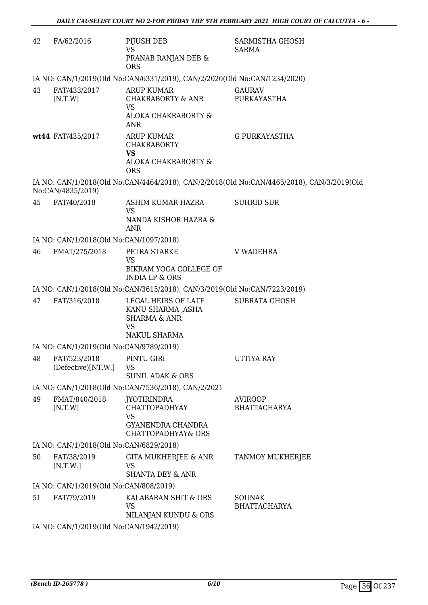| 42 | FA/62/2016                              | PIJUSH DEB<br><b>VS</b><br>PRANAB RANJAN DEB &<br><b>ORS</b>                                       | SARMISTHA GHOSH<br><b>SARMA</b>                                                           |
|----|-----------------------------------------|----------------------------------------------------------------------------------------------------|-------------------------------------------------------------------------------------------|
|    |                                         | IA NO: CAN/1/2019(Old No:CAN/6331/2019), CAN/2/2020(Old No:CAN/1234/2020)                          |                                                                                           |
| 43 | FAT/433/2017<br>[N.T.W]                 | <b>ARUP KUMAR</b><br>CHAKRABORTY & ANR<br><b>VS</b><br>ALOKA CHAKRABORTY &<br><b>ANR</b>           | <b>GAURAV</b><br>PURKAYASTHA                                                              |
|    | wt44 FAT/435/2017                       | <b>ARUP KUMAR</b><br><b>CHAKRABORTY</b><br><b>VS</b><br>ALOKA CHAKRABORTY &<br><b>ORS</b>          | <b>G PURKAYASTHA</b>                                                                      |
|    | No:CAN/4835/2019)                       |                                                                                                    | IA NO: CAN/1/2018(Old No:CAN/4464/2018), CAN/2/2018(Old No:CAN/4465/2018), CAN/3/2019(Old |
| 45 | FAT/40/2018                             | ASHIM KUMAR HAZRA<br><b>VS</b><br>NANDA KISHOR HAZRA &<br>ANR                                      | <b>SUHRID SUR</b>                                                                         |
|    | IA NO: CAN/1/2018(Old No:CAN/1097/2018) |                                                                                                    |                                                                                           |
| 46 | FMAT/275/2018                           | PETRA STARKE<br><b>VS</b>                                                                          | <b>V WADEHRA</b>                                                                          |
|    |                                         | BIKRAM YOGA COLLEGE OF<br><b>INDIA LP &amp; ORS</b>                                                |                                                                                           |
|    |                                         | IA NO: CAN/1/2018(Old No:CAN/3615/2018), CAN/3/2019(Old No:CAN/7223/2019)                          |                                                                                           |
| 47 | FAT/316/2018                            | LEGAL HEIRS OF LATE<br>KANU SHARMA ,ASHA<br><b>SHARMA &amp; ANR</b><br><b>VS</b><br>NAKUL SHARMA   | <b>SUBRATA GHOSH</b>                                                                      |
|    | IA NO: CAN/1/2019(Old No:CAN/9789/2019) |                                                                                                    |                                                                                           |
| 48 | FAT/523/2018<br>(Defective)[NT.W.]      | PINTU GIRI<br><b>VS</b><br><b>SUNIL ADAK &amp; ORS</b>                                             | <b>UTTIYA RAY</b>                                                                         |
|    |                                         | IA NO: CAN/1/2018(Old No:CAN/7536/2018), CAN/2/2021                                                |                                                                                           |
| 49 | FMAT/840/2018<br>[N.T.W]                | <b>JYOTIRINDRA</b><br><b>CHATTOPADHYAY</b><br><b>VS</b><br>GYANENDRA CHANDRA<br>CHATTOPADHYAY& ORS | <b>AVIROOP</b><br><b>BHATTACHARYA</b>                                                     |
|    | IA NO: CAN/1/2018(Old No:CAN/6829/2018) |                                                                                                    |                                                                                           |
| 50 | FAT/38/2019<br>[N.T.W.]                 | <b>GITA MUKHERJEE &amp; ANR</b><br><b>VS</b><br><b>SHANTA DEY &amp; ANR</b>                        | TANMOY MUKHERJEE                                                                          |
|    | IA NO: CAN/1/2019(Old No:CAN/808/2019)  |                                                                                                    |                                                                                           |
| 51 | FAT/79/2019                             | KALABARAN SHIT & ORS<br><b>VS</b><br>NILANJAN KUNDU & ORS                                          | <b>SOUNAK</b><br><b>BHATTACHARYA</b>                                                      |
|    | IA NO: CAN/1/2019(Old No:CAN/1942/2019) |                                                                                                    |                                                                                           |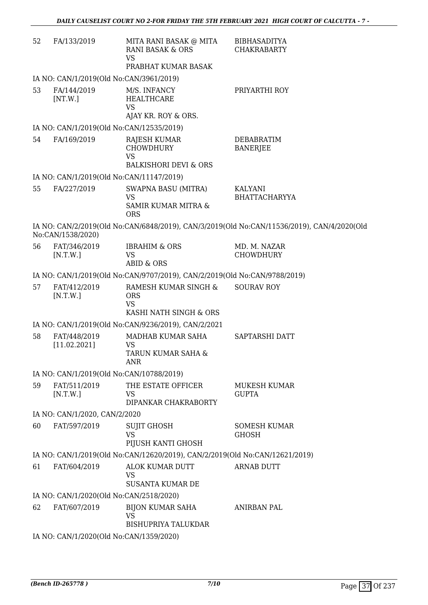| 52 | FA/133/2019                                   | MITA RANI BASAK @ MITA<br><b>RANI BASAK &amp; ORS</b><br><b>VS</b><br>PRABHAT KUMAR BASAK | <b>BIBHASADITYA</b><br><b>CHAKRABARTY</b>                                                  |
|----|-----------------------------------------------|-------------------------------------------------------------------------------------------|--------------------------------------------------------------------------------------------|
|    |                                               | IA NO: CAN/1/2019(Old No:CAN/3961/2019)                                                   |                                                                                            |
| 53 | FA/144/2019<br>[NT.W.]                        | M/S. INFANCY<br><b>HEALTHCARE</b><br><b>VS</b>                                            | PRIYARTHI ROY                                                                              |
|    |                                               | AJAY KR. ROY & ORS.                                                                       |                                                                                            |
|    |                                               | IA NO: CAN/1/2019(Old No:CAN/12535/2019)                                                  |                                                                                            |
| 54 | FA/169/2019                                   | <b>RAJESH KUMAR</b><br><b>CHOWDHURY</b><br><b>VS</b><br><b>BALKISHORI DEVI &amp; ORS</b>  | <b>DEBABRATIM</b><br><b>BANERJEE</b>                                                       |
|    |                                               | IA NO: CAN/1/2019(Old No:CAN/11147/2019)                                                  |                                                                                            |
| 55 | FA/227/2019                                   | SWAPNA BASU (MITRA)<br><b>VS</b><br>SAMIR KUMAR MITRA &<br><b>ORS</b>                     | KALYANI<br><b>BHATTACHARYYA</b>                                                            |
|    | No:CAN/1538/2020)                             |                                                                                           | IA NO: CAN/2/2019(Old No:CAN/6848/2019), CAN/3/2019(Old No:CAN/11536/2019), CAN/4/2020(Old |
| 56 | FAT/346/2019<br>[N.T.W.]                      | <b>IBRAHIM &amp; ORS</b><br><b>VS</b><br><b>ABID &amp; ORS</b>                            | MD. M. NAZAR<br><b>CHOWDHURY</b>                                                           |
|    |                                               | IA NO: CAN/1/2019(Old No:CAN/9707/2019), CAN/2/2019(Old No:CAN/9788/2019)                 |                                                                                            |
| 57 | FAT/412/2019<br>[N.T.W.]                      | RAMESH KUMAR SINGH &<br><b>ORS</b><br><b>VS</b><br>KASHI NATH SINGH & ORS                 | <b>SOURAV ROY</b>                                                                          |
|    |                                               | IA NO: CAN/1/2019(Old No:CAN/9236/2019), CAN/2/2021                                       |                                                                                            |
| 58 | FAT/448/2019<br>[11.02.2021]                  | MADHAB KUMAR SAHA<br><b>VS</b><br>TARUN KUMAR SAHA &<br>ANR                               | SAPTARSHI DATT                                                                             |
|    |                                               | IA NO: CAN/1/2019(Old No:CAN/10788/2019)                                                  |                                                                                            |
| 59 | FAT/511/2019<br>[N.T.W.]                      | THE ESTATE OFFICER<br>VS                                                                  | MUKESH KUMAR<br><b>GUPTA</b>                                                               |
|    |                                               | DIPANKAR CHAKRABORTY                                                                      |                                                                                            |
| 60 | IA NO: CAN/1/2020, CAN/2/2020<br>FAT/597/2019 | <b>SUJIT GHOSH</b>                                                                        | <b>SOMESH KUMAR</b>                                                                        |
|    |                                               | <b>VS</b><br>PIJUSH KANTI GHOSH                                                           | <b>GHOSH</b>                                                                               |
|    |                                               | IA NO: CAN/1/2019(Old No:CAN/12620/2019), CAN/2/2019(Old No:CAN/12621/2019)               |                                                                                            |
| 61 | FAT/604/2019                                  | ALOK KUMAR DUTT<br><b>VS</b><br><b>SUSANTA KUMAR DE</b>                                   | <b>ARNAB DUTT</b>                                                                          |
|    |                                               | IA NO: CAN/1/2020(Old No:CAN/2518/2020)                                                   |                                                                                            |
| 62 | FAT/607/2019                                  | <b>BIJON KUMAR SAHA</b><br><b>VS</b><br><b>BISHUPRIYA TALUKDAR</b>                        | <b>ANIRBAN PAL</b>                                                                         |
|    |                                               | IA NO: CAN/1/2020(Old No:CAN/1359/2020)                                                   |                                                                                            |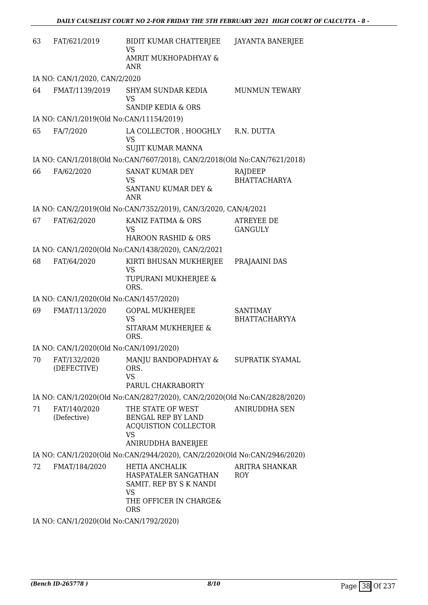| 63 | FAT/621/2019                             | BIDIT KUMAR CHATTERJEE<br>VS                                                                                    | JAYANTA BANERJEE                        |  |  |
|----|------------------------------------------|-----------------------------------------------------------------------------------------------------------------|-----------------------------------------|--|--|
|    |                                          | AMRIT MUKHOPADHYAY &<br>ANR                                                                                     |                                         |  |  |
|    | IA NO: CAN/1/2020, CAN/2/2020            |                                                                                                                 |                                         |  |  |
| 64 | FMAT/1139/2019                           | SHYAM SUNDAR KEDIA<br><b>VS</b><br><b>SANDIP KEDIA &amp; ORS</b>                                                | <b>MUNMUN TEWARY</b>                    |  |  |
|    | IA NO: CAN/1/2019(Old No:CAN/11154/2019) |                                                                                                                 |                                         |  |  |
| 65 | FA/7/2020                                | LA COLLECTOR , HOOGHLY<br><b>VS</b><br>SUJIT KUMAR MANNA                                                        | R.N. DUTTA                              |  |  |
|    |                                          | IA NO: CAN/1/2018(Old No:CAN/7607/2018), CAN/2/2018(Old No:CAN/7621/2018)                                       |                                         |  |  |
| 66 | FA/62/2020                               | <b>SANAT KUMAR DEY</b><br>VS<br>SANTANU KUMAR DEY &<br><b>ANR</b>                                               | RAJDEEP<br><b>BHATTACHARYA</b>          |  |  |
|    |                                          | IA NO: CAN/2/2019(Old No:CAN/7352/2019), CAN/3/2020, CAN/4/2021                                                 |                                         |  |  |
| 67 | FAT/62/2020                              | KANIZ FATIMA & ORS<br><b>VS</b><br><b>HAROON RASHID &amp; ORS</b>                                               | ATREYEE DE<br><b>GANGULY</b>            |  |  |
|    |                                          | IA NO: CAN/1/2020(Old No:CAN/1438/2020), CAN/2/2021                                                             |                                         |  |  |
| 68 | FAT/64/2020                              | KIRTI BHUSAN MUKHERJEE<br><b>VS</b>                                                                             | PRAJAAINI DAS                           |  |  |
|    |                                          | TUPURANI MUKHERJEE &<br>ORS.                                                                                    |                                         |  |  |
|    | IA NO: CAN/1/2020(Old No:CAN/1457/2020)  |                                                                                                                 |                                         |  |  |
| 69 | FMAT/113/2020                            | <b>GOPAL MUKHERJEE</b><br><b>VS</b><br>SITARAM MUKHERJEE &<br>ORS.                                              | <b>SANTIMAY</b><br><b>BHATTACHARYYA</b> |  |  |
|    | IA NO: CAN/1/2020(Old No:CAN/1091/2020)  |                                                                                                                 |                                         |  |  |
| 70 | FAT/132/2020<br>(DEFECTIVE)              | MANJU BANDOPADHYAY &<br>ORS.<br><b>VS</b><br>PARUL CHAKRABORTY                                                  | SUPRATIK SYAMAL                         |  |  |
|    |                                          | IA NO: CAN/1/2020(Old No:CAN/2827/2020), CAN/2/2020(Old No:CAN/2828/2020)                                       |                                         |  |  |
| 71 | FAT/140/2020<br>(Defective)              | THE STATE OF WEST<br>BENGAL REP BY LAND<br><b>ACQUISTION COLLECTOR</b><br>VS<br>ANIRUDDHA BANERJEE              | <b>ANIRUDDHA SEN</b>                    |  |  |
|    |                                          | IA NO: CAN/1/2020(Old No:CAN/2944/2020), CAN/2/2020(Old No:CAN/2946/2020)                                       |                                         |  |  |
| 72 | FMAT/184/2020                            | <b>HETIA ANCHALIK</b><br>HASPATALER SANGATHAN<br>SAMIT. REP BY S K NANDI<br><b>VS</b><br>THE OFFICER IN CHARGE& | ARITRA SHANKAR<br><b>ROY</b>            |  |  |
|    |                                          | <b>ORS</b>                                                                                                      |                                         |  |  |
|    | IA NO: CAN/1/2020(Old No:CAN/1792/2020)  |                                                                                                                 |                                         |  |  |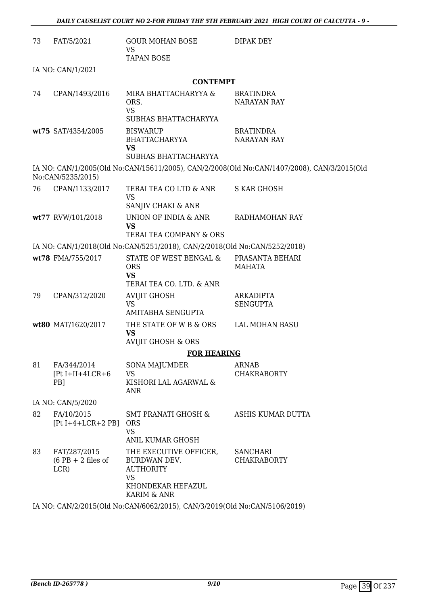| 73 | FAT/5/2021                                   | GOUR MOHAN BOSE<br><b>VS</b>                                                                                | DIPAK DEY                                                                                  |
|----|----------------------------------------------|-------------------------------------------------------------------------------------------------------------|--------------------------------------------------------------------------------------------|
|    |                                              | <b>TAPAN BOSE</b>                                                                                           |                                                                                            |
|    | IA NO: CAN/1/2021                            |                                                                                                             |                                                                                            |
|    |                                              | <b>CONTEMPT</b>                                                                                             |                                                                                            |
| 74 | CPAN/1493/2016                               | MIRA BHATTACHARYYA &<br>ORS.<br><b>VS</b>                                                                   | <b>BRATINDRA</b><br><b>NARAYAN RAY</b>                                                     |
|    |                                              | SUBHAS BHATTACHARYYA                                                                                        |                                                                                            |
|    | wt75 SAT/4354/2005                           | <b>BISWARUP</b><br>BHATTACHARYYA<br><b>VS</b>                                                               | <b>BRATINDRA</b><br>NARAYAN RAY                                                            |
|    |                                              | SUBHAS BHATTACHARYYA                                                                                        |                                                                                            |
|    | No:CAN/5235/2015)                            |                                                                                                             | IA NO: CAN/1/2005(Old No:CAN/15611/2005), CAN/2/2008(Old No:CAN/1407/2008), CAN/3/2015(Old |
| 76 | CPAN/1133/2017                               | TERAI TEA CO LTD & ANR<br><b>VS</b><br>SANJIV CHAKI & ANR                                                   | <b>S KAR GHOSH</b>                                                                         |
|    | wt77 RVW/101/2018                            | UNION OF INDIA & ANR<br><b>VS</b><br>TERAI TEA COMPANY & ORS                                                | RADHAMOHAN RAY                                                                             |
|    |                                              | IA NO: CAN/1/2018(Old No:CAN/5251/2018), CAN/2/2018(Old No:CAN/5252/2018)                                   |                                                                                            |
|    | wt78 FMA/755/2017                            | STATE OF WEST BENGAL &<br><b>ORS</b><br><b>VS</b>                                                           | PRASANTA BEHARI<br>MAHATA                                                                  |
|    |                                              | TERAI TEA CO. LTD. & ANR                                                                                    |                                                                                            |
| 79 | CPAN/312/2020                                | <b>AVIJIT GHOSH</b><br><b>VS</b><br>AMITABHA SENGUPTA                                                       | <b>ARKADIPTA</b><br><b>SENGUPTA</b>                                                        |
|    | wt80 MAT/1620/2017                           | THE STATE OF W B & ORS<br><b>VS</b><br><b>AVIJIT GHOSH &amp; ORS</b>                                        | LAL MOHAN BASU                                                                             |
|    |                                              | <b>FOR HEARING</b>                                                                                          |                                                                                            |
| 81 | FA/344/2014                                  | <b>SONA MAJUMDER</b>                                                                                        | <b>ARNAB</b>                                                                               |
|    | $[Pt I+II+4LCR+6]$<br>PB <sub>1</sub>        | <b>VS</b><br>KISHORI LAL AGARWAL &<br>ANR                                                                   | <b>CHAKRABORTY</b>                                                                         |
|    | IA NO: CAN/5/2020                            |                                                                                                             |                                                                                            |
| 82 | FA/10/2015<br>$[Pt I+4+LCR+2 PB]$            | <b>SMT PRANATI GHOSH &amp;</b><br><b>ORS</b><br><b>VS</b><br>ANIL KUMAR GHOSH                               | ASHIS KUMAR DUTTA                                                                          |
| 83 | FAT/287/2015<br>$(6$ PB + 2 files of<br>LCR) | THE EXECUTIVE OFFICER,<br>BURDWAN DEV.<br><b>AUTHORITY</b><br><b>VS</b><br>KHONDEKAR HEFAZUL<br>KARIM & ANR | <b>SANCHARI</b><br><b>CHAKRABORTY</b>                                                      |
|    |                                              | IA NO: CAN/2/2015(Old No:CAN/6062/2015), CAN/3/2019(Old No:CAN/5106/2019)                                   |                                                                                            |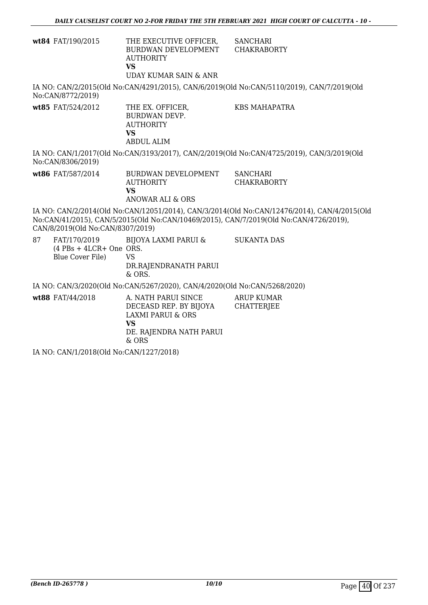| <b>wt84</b> FAT/190/2015 | THE EXECUTIVE OFFICER, | SANCHARI    |
|--------------------------|------------------------|-------------|
|                          | BURDWAN DEVELOPMENT    | CHAKRABORTY |
|                          | <b>AUTHORITY</b>       |             |
|                          | VS                     |             |
|                          | UDAY KUMAR SAIN & ANR  |             |

IA NO: CAN/2/2015(Old No:CAN/4291/2015), CAN/6/2019(Old No:CAN/5110/2019), CAN/7/2019(Old No:CAN/8772/2019)

**wt85** FAT/524/2012 THE EX. OFFICER, BURDWAN DEVP. AUTHORITY **VS** ABDUL ALIM KBS MAHAPATRA

IA NO: CAN/1/2017(Old No:CAN/3193/2017), CAN/2/2019(Old No:CAN/4725/2019), CAN/3/2019(Old No:CAN/8306/2019)

**wt86** FAT/587/2014 BURDWAN DEVELOPMENT AUTHORITY **VS** ANOWAR ALI & ORS **SANCHARI** CHAKRABORTY

IA NO: CAN/2/2014(Old No:CAN/12051/2014), CAN/3/2014(Old No:CAN/12476/2014), CAN/4/2015(Old No:CAN/41/2015), CAN/5/2015(Old No:CAN/10469/2015), CAN/7/2019(Old No:CAN/4726/2019), CAN/8/2019(Old No:CAN/8307/2019)

87 FAT/170/2019 (4 PBs + 4LCR+ One ORS. Blue Cover File) BIJOYA LAXMI PARUI & VS DR.RAJENDRANATH PARUI & ORS. SUKANTA DAS

IA NO: CAN/3/2020(Old No:CAN/5267/2020), CAN/4/2020(Old No:CAN/5268/2020)

wt88 FAT/44/2018 A. NATH PARUI SINCE DECEASD REP. BY BIJOYA LAXMI PARUI & ORS **VS** DE. RAJENDRA NATH PARUI & ORS ARUP KUMAR **CHATTERIEE** 

IA NO: CAN/1/2018(Old No:CAN/1227/2018)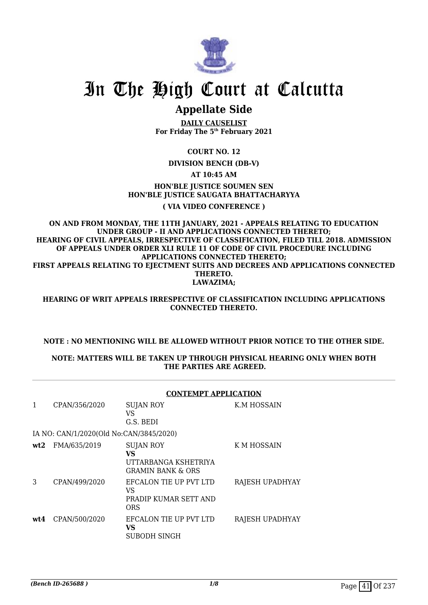

## **Appellate Side**

**DAILY CAUSELIST For Friday The 5th February 2021**

### **COURT NO. 12**

**DIVISION BENCH (DB-V)**

#### **AT 10:45 AM**

### **HON'BLE JUSTICE SOUMEN SEN HON'BLE JUSTICE SAUGATA BHATTACHARYYA**

#### **( VIA VIDEO CONFERENCE )**

**ON AND FROM MONDAY, THE 11TH JANUARY, 2021 - APPEALS RELATING TO EDUCATION UNDER GROUP - II AND APPLICATIONS CONNECTED THERETO; HEARING OF CIVIL APPEALS, IRRESPECTIVE OF CLASSIFICATION, FILED TILL 2018. ADMISSION OF APPEALS UNDER ORDER XLI RULE 11 OF CODE OF CIVIL PROCEDURE INCLUDING APPLICATIONS CONNECTED THERETO; FIRST APPEALS RELATING TO EJECTMENT SUITS AND DECREES AND APPLICATIONS CONNECTED THERETO. LAWAZIMA;**

**HEARING OF WRIT APPEALS IRRESPECTIVE OF CLASSIFICATION INCLUDING APPLICATIONS CONNECTED THERETO.**

#### **NOTE : NO MENTIONING WILL BE ALLOWED WITHOUT PRIOR NOTICE TO THE OTHER SIDE.**

#### **NOTE: MATTERS WILL BE TAKEN UP THROUGH PHYSICAL HEARING ONLY WHEN BOTH THE PARTIES ARE AGREED.**

|     | <b>CONTEMPT APPLICATION</b>             |                                                                                |                 |  |
|-----|-----------------------------------------|--------------------------------------------------------------------------------|-----------------|--|
| 1   | CPAN/356/2020                           | <b>SUJAN ROY</b><br>VS<br>G.S. BEDI                                            | K.M HOSSAIN     |  |
|     | IA NO: CAN/1/2020(Old No:CAN/3845/2020) |                                                                                |                 |  |
| wt2 | FMA/635/2019                            | <b>SUJAN ROY</b><br>VS<br>UTTARBANGA KSHETRIYA<br><b>GRAMIN BANK &amp; ORS</b> | K M HOSSAIN     |  |
| 3   | CPAN/499/2020                           | EFCALON TIE UP PVT LTD<br>VS<br>PRADIP KUMAR SETT AND<br><b>ORS</b>            | RAJESH UPADHYAY |  |
| wt4 | CPAN/500/2020                           | EFCALON TIE UP PVT LTD<br>VS<br>SUBODH SINGH                                   | RAJESH UPADHYAY |  |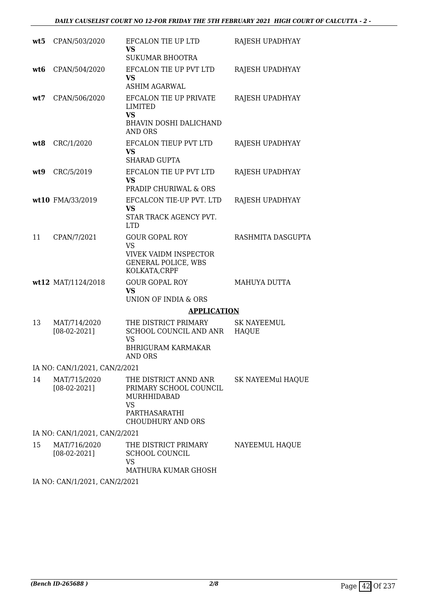| wt5  | CPAN/503/2020                  | EFCALON TIE UP LTD<br>VS                                                                                          | RAJESH UPADHYAY             |
|------|--------------------------------|-------------------------------------------------------------------------------------------------------------------|-----------------------------|
|      |                                | <b>SUKUMAR BHOOTRA</b>                                                                                            |                             |
| wt6  | CPAN/504/2020                  | EFCALON TIE UP PVT LTD<br><b>VS</b><br><b>ASHIM AGARWAL</b>                                                       | RAJESH UPADHYAY             |
| wt:7 | CPAN/506/2020                  | EFCALON TIE UP PRIVATE<br>LIMITED<br><b>VS</b><br><b>BHAVIN DOSHI DALICHAND</b><br><b>AND ORS</b>                 | RAJESH UPADHYAY             |
| wt8  | CRC/1/2020                     | EFCALON TIEUP PVT LTD<br><b>VS</b><br><b>SHARAD GUPTA</b>                                                         | RAJESH UPADHYAY             |
| wt9  | CRC/5/2019                     | EFCALON TIE UP PVT LTD<br>VS<br>PRADIP CHURIWAL & ORS                                                             | RAJESH UPADHYAY             |
|      | wt10 FMA/33/2019               | EFCALCON TIE-UP PVT. LTD<br>VS<br>STAR TRACK AGENCY PVT.<br><b>LTD</b>                                            | RAJESH UPADHYAY             |
| 11   | CPAN/7/2021                    | <b>GOUR GOPAL ROY</b><br><b>VS</b><br><b>VIVEK VAIDM INSPECTOR</b><br><b>GENERAL POLICE, WBS</b><br>KOLKATA, CRPF | RASHMITA DASGUPTA           |
|      | wt12 MAT/1124/2018             | <b>GOUR GOPAL ROY</b><br><b>VS</b><br>UNION OF INDIA & ORS                                                        | MAHUYA DUTTA                |
|      |                                | <b>APPLICATION</b>                                                                                                |                             |
| 13   | MAT/714/2020<br>$[08-02-2021]$ | THE DISTRICT PRIMARY<br>SCHOOL COUNCIL AND ANR<br><b>VS</b><br><b>BHRIGURAM KARMAKAR</b><br>AND ORS               | <b>SK NAYEEMUL</b><br>HAQUE |
|      | IA NO: CAN/1/2021, CAN/2/2021  |                                                                                                                   |                             |
| 14   | MAT/715/2020<br>$[08-02-2021]$ | THE DISTRICT ANND ANR<br>PRIMARY SCHOOL COUNCIL<br>MURHHIDABAD<br>VS<br>PARTHASARATHI<br>CHOUDHURY AND ORS        | SK NAYEEMul HAQUE           |
|      | IA NO: CAN/1/2021, CAN/2/2021  |                                                                                                                   |                             |
| 15   | MAT/716/2020<br>$[08-02-2021]$ | THE DISTRICT PRIMARY<br>SCHOOL COUNCIL<br><b>VS</b><br>MATHURA KUMAR GHOSH                                        | NAYEEMUL HAQUE              |

IA NO: CAN/1/2021, CAN/2/2021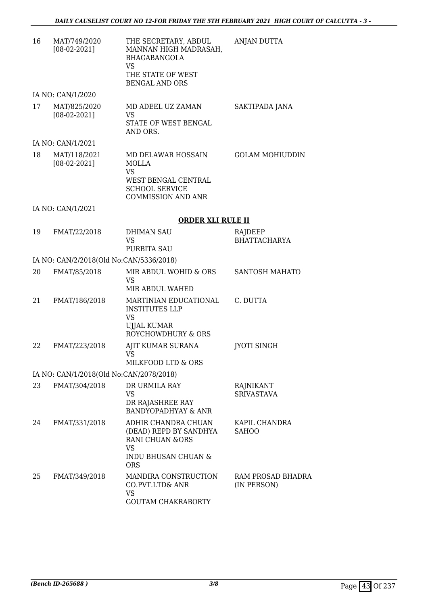| 16 | MAT/749/2020<br>$[08-02-2021]$          | THE SECRETARY, ABDUL<br>MANNAN HIGH MADRASAH,<br><b>BHAGABANGOLA</b><br><b>VS</b><br>THE STATE OF WEST                        | <b>ANJAN DUTTA</b>               |
|----|-----------------------------------------|-------------------------------------------------------------------------------------------------------------------------------|----------------------------------|
|    |                                         | <b>BENGAL AND ORS</b>                                                                                                         |                                  |
|    | IA NO: CAN/1/2020                       |                                                                                                                               |                                  |
| 17 | MAT/825/2020<br>$[08-02-2021]$          | MD ADEEL UZ ZAMAN<br>VS<br>STATE OF WEST BENGAL<br>AND ORS.                                                                   | SAKTIPADA JANA                   |
|    | IA NO: CAN/1/2021                       |                                                                                                                               |                                  |
| 18 | MAT/118/2021<br>$[08-02-2021]$          | MD DELAWAR HOSSAIN<br>MOLLA<br>VS<br>WEST BENGAL CENTRAL<br><b>SCHOOL SERVICE</b><br><b>COMMISSION AND ANR</b>                | <b>GOLAM MOHIUDDIN</b>           |
|    | IA NO: CAN/1/2021                       |                                                                                                                               |                                  |
|    |                                         | <b>ORDER XLI RULE II</b>                                                                                                      |                                  |
| 19 | FMAT/22/2018                            | <b>DHIMAN SAU</b><br><b>VS</b><br><b>PURBITA SAU</b>                                                                          | RAJDEEP<br><b>BHATTACHARYA</b>   |
|    | IA NO: CAN/2/2018(Old No:CAN/5336/2018) |                                                                                                                               |                                  |
| 20 | FMAT/85/2018                            | MIR ABDUL WOHID & ORS<br><b>VS</b><br>MIR ABDUL WAHED                                                                         | <b>SANTOSH MAHATO</b>            |
| 21 | FMAT/186/2018                           | MARTINIAN EDUCATIONAL<br><b>INSTITUTES LLP</b><br>VS<br><b>UJJAL KUMAR</b><br>ROYCHOWDHURY & ORS                              | C. DUTTA                         |
| 22 | FMAT/223/2018                           | AJIT KUMAR SURANA<br>VS —<br>MILKFOOD LTD & ORS                                                                               | <b>JYOTI SINGH</b>               |
|    | IA NO: CAN/1/2018(Old No:CAN/2078/2018) |                                                                                                                               |                                  |
| 23 | FMAT/304/2018                           | DR URMILA RAY<br><b>VS</b>                                                                                                    | RAJNIKANT<br><b>SRIVASTAVA</b>   |
|    |                                         | DR RAJASHREE RAY<br><b>BANDYOPADHYAY &amp; ANR</b>                                                                            |                                  |
| 24 | FMAT/331/2018                           | ADHIR CHANDRA CHUAN<br>(DEAD) REPD BY SANDHYA<br><b>RANI CHUAN &amp;ORS</b><br><b>VS</b><br>INDU BHUSAN CHUAN &<br><b>ORS</b> | KAPIL CHANDRA<br><b>SAHOO</b>    |
| 25 | FMAT/349/2018                           | MANDIRA CONSTRUCTION<br>CO.PVT.LTD& ANR<br>VS<br><b>GOUTAM CHAKRABORTY</b>                                                    | RAM PROSAD BHADRA<br>(IN PERSON) |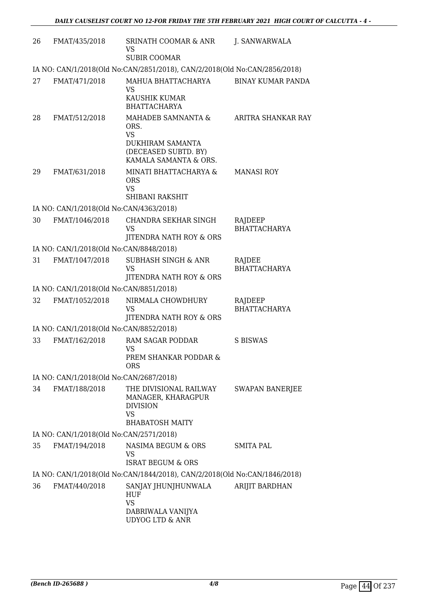| 26 | FMAT/435/2018                           | SRINATH COOMAR & ANR<br>VS<br><b>SUBIR COOMAR</b>                                                      | J. SANWARWALA                  |
|----|-----------------------------------------|--------------------------------------------------------------------------------------------------------|--------------------------------|
|    |                                         | IA NO: CAN/1/2018(Old No:CAN/2851/2018), CAN/2/2018(Old No:CAN/2856/2018)                              |                                |
| 27 | FMAT/471/2018                           | MAHUA BHATTACHARYA<br>VS<br>KAUSHIK KUMAR<br><b>BHATTACHARYA</b>                                       | <b>BINAY KUMAR PANDA</b>       |
| 28 | FMAT/512/2018                           | MAHADEB SAMNANTA &<br>ORS.<br><b>VS</b><br>DUKHIRAM SAMANTA                                            | ARITRA SHANKAR RAY             |
|    |                                         | (DECEASED SUBTD. BY)<br>KAMALA SAMANTA & ORS.                                                          |                                |
| 29 | FMAT/631/2018                           | MINATI BHATTACHARYA &<br><b>ORS</b><br><b>VS</b><br><b>SHIBANI RAKSHIT</b>                             | <b>MANASI ROY</b>              |
|    | IA NO: CAN/1/2018(Old No:CAN/4363/2018) |                                                                                                        |                                |
| 30 | FMAT/1046/2018                          | CHANDRA SEKHAR SINGH<br><b>VS</b><br>JITENDRA NATH ROY & ORS                                           | RAJDEEP<br><b>BHATTACHARYA</b> |
|    | IA NO: CAN/1/2018(Old No:CAN/8848/2018) |                                                                                                        |                                |
| 31 | FMAT/1047/2018                          | <b>SUBHASH SINGH &amp; ANR</b><br><b>VS</b><br>JITENDRA NATH ROY & ORS                                 | RAJDEE<br><b>BHATTACHARYA</b>  |
|    | IA NO: CAN/1/2018(Old No:CAN/8851/2018) |                                                                                                        |                                |
| 32 | FMAT/1052/2018                          | NIRMALA CHOWDHURY<br><b>VS</b>                                                                         | RAJDEEP<br><b>BHATTACHARYA</b> |
|    |                                         | JITENDRA NATH ROY & ORS                                                                                |                                |
|    | IA NO: CAN/1/2018(Old No:CAN/8852/2018) |                                                                                                        |                                |
| 33 | FMAT/162/2018                           | RAM SAGAR PODDAR<br>VS<br>PREM SHANKAR PODDAR &<br>ORS                                                 | S BISWAS                       |
|    | IA NO: CAN/1/2018(Old No:CAN/2687/2018) |                                                                                                        |                                |
| 34 | FMAT/188/2018                           | THE DIVISIONAL RAILWAY<br>MANAGER, KHARAGPUR<br><b>DIVISION</b><br><b>VS</b><br><b>BHABATOSH MAITY</b> | <b>SWAPAN BANERJEE</b>         |
|    | IA NO: CAN/1/2018(Old No:CAN/2571/2018) |                                                                                                        |                                |
| 35 | FMAT/194/2018                           | NASIMA BEGUM & ORS<br><b>VS</b><br><b>ISRAT BEGUM &amp; ORS</b>                                        | <b>SMITA PAL</b>               |
|    |                                         | IA NO: CAN/1/2018(Old No:CAN/1844/2018), CAN/2/2018(Old No:CAN/1846/2018)                              |                                |
| 36 | FMAT/440/2018                           | SANJAY JHUNJHUNWALA                                                                                    | ARIJIT BARDHAN                 |
|    |                                         | HUF<br><b>VS</b>                                                                                       |                                |
|    |                                         | DABRIWALA VANIJYA<br><b>UDYOG LTD &amp; ANR</b>                                                        |                                |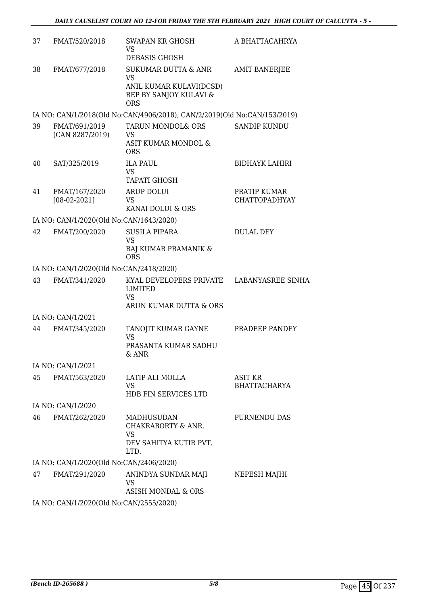| 37 | FMAT/520/2018                                 | SWAPAN KR GHOSH<br>VS.<br>DEBASIS GHOSH                                                                        | A BHATTACAHRYA                        |
|----|-----------------------------------------------|----------------------------------------------------------------------------------------------------------------|---------------------------------------|
| 38 | FMAT/677/2018                                 | <b>SUKUMAR DUTTA &amp; ANR</b><br><b>VS</b><br>ANIL KUMAR KULAVI(DCSD)<br>REP BY SANJOY KULAVI &<br><b>ORS</b> | <b>AMIT BANERJEE</b>                  |
|    |                                               | IA NO: CAN/1/2018(Old No:CAN/4906/2018), CAN/2/2019(Old No:CAN/153/2019)                                       |                                       |
| 39 | FMAT/691/2019<br>(CAN 8287/2019)              | TARUN MONDOL& ORS<br>VS<br>ASIT KUMAR MONDOL &<br><b>ORS</b>                                                   | <b>SANDIP KUNDU</b>                   |
| 40 | SAT/325/2019                                  | <b>ILA PAUL</b><br><b>VS</b><br><b>TAPATI GHOSH</b>                                                            | <b>BIDHAYK LAHIRI</b>                 |
| 41 | FMAT/167/2020<br>$[08-02-2021]$               | <b>ARUP DOLUI</b><br>VS<br>KANAI DOLUI & ORS                                                                   | PRATIP KUMAR<br><b>CHATTOPADHYAY</b>  |
|    | IA NO: CAN/1/2020(Old No:CAN/1643/2020)       |                                                                                                                |                                       |
| 42 | FMAT/200/2020                                 | <b>SUSILA PIPARA</b><br><b>VS</b><br>RAJ KUMAR PRAMANIK &<br><b>ORS</b>                                        | <b>DULAL DEY</b>                      |
|    | IA NO: CAN/1/2020(Old No:CAN/2418/2020)       |                                                                                                                |                                       |
| 43 | FMAT/341/2020                                 | KYAL DEVELOPERS PRIVATE<br>LIMITED<br><b>VS</b><br>ARUN KUMAR DUTTA & ORS                                      | LABANYASREE SINHA                     |
|    | IA NO: CAN/1/2021                             |                                                                                                                |                                       |
| 44 | FMAT/345/2020                                 | TANOJIT KUMAR GAYNE<br><b>VS</b><br>PRASANTA KUMAR SADHU<br>& ANR                                              | PRADEEP PANDEY                        |
|    | IA NO: CAN/1/2021                             |                                                                                                                |                                       |
| 45 | FMAT/563/2020                                 | LATIP ALI MOLLA<br><b>VS</b><br><b>HDB FIN SERVICES LTD</b>                                                    | <b>ASIT KR</b><br><b>BHATTACHARYA</b> |
|    | IA NO: CAN/1/2020                             |                                                                                                                |                                       |
| 46 | FMAT/262/2020                                 | MADHUSUDAN<br>CHAKRABORTY & ANR.<br>VS<br>DEV SAHITYA KUTIR PVT.<br>LTD.                                       | PURNENDU DAS                          |
|    | IA NO: CAN/1/2020(Old No:CAN/2406/2020)       |                                                                                                                |                                       |
| 47 | FMAT/291/2020                                 | ANINDYA SUNDAR MAJI<br>VS<br>ASISH MONDAL & ORS                                                                | NEPESH MAJHI                          |
|    | IA NO. CANIJI (2020) (OLA No. CANIJEEE (2020) |                                                                                                                |                                       |

IA NO: CAN/1/2020(Old No:CAN/2555/2020)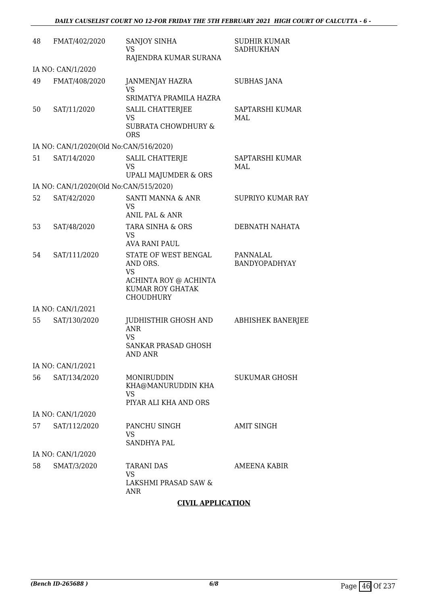| 48 | FMAT/402/2020                          | SANJOY SINHA<br>VS<br>RAJENDRA KUMAR SURANA                                              | <b>SUDHIR KUMAR</b><br><b>SADHUKHAN</b> |
|----|----------------------------------------|------------------------------------------------------------------------------------------|-----------------------------------------|
|    | IA NO: CAN/1/2020                      |                                                                                          |                                         |
| 49 | FMAT/408/2020                          | JANMENJAY HAZRA<br><b>VS</b>                                                             | <b>SUBHAS JANA</b>                      |
|    |                                        | SRIMATYA PRAMILA HAZRA                                                                   |                                         |
| 50 | SAT/11/2020                            | SALIL CHATTERJEE<br>VS<br><b>SUBRATA CHOWDHURY &amp;</b>                                 | SAPTARSHI KUMAR<br>MAL                  |
|    |                                        | <b>ORS</b>                                                                               |                                         |
|    | IA NO: CAN/1/2020(Old No:CAN/516/2020) |                                                                                          |                                         |
| 51 | SAT/14/2020                            | <b>SALIL CHATTERJE</b><br><b>VS</b>                                                      | SAPTARSHI KUMAR<br>MAL                  |
|    |                                        | UPALI MAJUMDER & ORS                                                                     |                                         |
|    | IA NO: CAN/1/2020(Old No:CAN/515/2020) |                                                                                          |                                         |
| 52 | SAT/42/2020                            | SANTI MANNA & ANR<br>VS<br><b>ANIL PAL &amp; ANR</b>                                     | <b>SUPRIYO KUMAR RAY</b>                |
| 53 | SAT/48/2020                            | TARA SINHA & ORS                                                                         | <b>DEBNATH NAHATA</b>                   |
|    |                                        | <b>VS</b><br><b>AVA RANI PAUL</b>                                                        |                                         |
| 54 | SAT/111/2020                           | STATE OF WEST BENGAL<br>AND ORS.<br><b>VS</b>                                            | PANNALAL<br>BANDYOPADHYAY               |
|    |                                        | ACHINTA ROY @ ACHINTA<br>KUMAR ROY GHATAK<br><b>CHOUDHURY</b>                            |                                         |
|    | IA NO: CAN/1/2021                      |                                                                                          |                                         |
| 55 | SAT/130/2020                           | JUDHISTHIR GHOSH AND<br><b>ANR</b><br><b>VS</b><br><b>SANKAR PRASAD GHOSH</b><br>AND ANR | <b>ABHISHEK BANERJEE</b>                |
|    | IA NO: CAN/1/2021                      |                                                                                          |                                         |
| 56 | SAT/134/2020                           | MONIRUDDIN                                                                               | <b>SUKUMAR GHOSH</b>                    |
|    |                                        | KHA@MANURUDDIN KHA<br>VS                                                                 |                                         |
|    |                                        | PIYAR ALI KHA AND ORS                                                                    |                                         |
|    | IA NO: CAN/1/2020                      |                                                                                          |                                         |
| 57 | SAT/112/2020                           | PANCHU SINGH<br>VS<br>SANDHYA PAL                                                        | AMIT SINGH                              |
|    | IA NO: CAN/1/2020                      |                                                                                          |                                         |
| 58 | SMAT/3/2020                            | <b>TARANI DAS</b>                                                                        | AMEENA KABIR                            |
|    |                                        | <b>VS</b><br>LAKSHMI PRASAD SAW &<br>ANR                                                 |                                         |

### **CIVIL APPLICATION**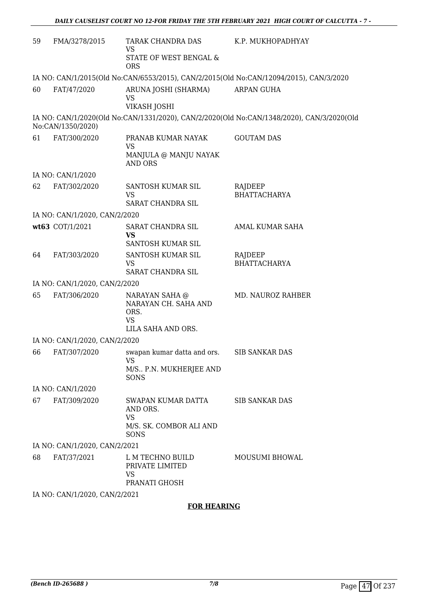| 59 | FMA/3278/2015                 | TARAK CHANDRA DAS<br>VS<br>STATE OF WEST BENGAL &<br><b>ORS</b>                   | K.P. MUKHOPADHYAY                                                                         |
|----|-------------------------------|-----------------------------------------------------------------------------------|-------------------------------------------------------------------------------------------|
|    |                               |                                                                                   | IA NO: CAN/1/2015(Old No:CAN/6553/2015), CAN/2/2015(Old No:CAN/12094/2015), CAN/3/2020    |
| 60 | FAT/47/2020                   | ARUNA JOSHI (SHARMA)<br><b>VS</b><br>VIKASH JOSHI                                 | <b>ARPAN GUHA</b>                                                                         |
|    | No:CAN/1350/2020)             |                                                                                   | IA NO: CAN/1/2020(Old No:CAN/1331/2020), CAN/2/2020(Old No:CAN/1348/2020), CAN/3/2020(Old |
| 61 | FAT/300/2020                  | PRANAB KUMAR NAYAK<br><b>VS</b><br>MANJULA @ MANJU NAYAK<br><b>AND ORS</b>        | <b>GOUTAM DAS</b>                                                                         |
|    | IA NO: CAN/1/2020             |                                                                                   |                                                                                           |
| 62 | FAT/302/2020                  | SANTOSH KUMAR SIL<br><b>VS</b><br>SARAT CHANDRA SIL                               | RAJDEEP<br><b>BHATTACHARYA</b>                                                            |
|    | IA NO: CAN/1/2020, CAN/2/2020 |                                                                                   |                                                                                           |
|    | wt63 COT/1/2021               | SARAT CHANDRA SIL<br><b>VS</b>                                                    | AMAL KUMAR SAHA                                                                           |
|    |                               | SANTOSH KUMAR SIL                                                                 |                                                                                           |
| 64 | FAT/303/2020                  | SANTOSH KUMAR SIL<br><b>VS</b><br>SARAT CHANDRA SIL                               | RAJDEEP<br><b>BHATTACHARYA</b>                                                            |
|    | IA NO: CAN/1/2020, CAN/2/2020 |                                                                                   |                                                                                           |
| 65 | FAT/306/2020                  | NARAYAN SAHA @<br>NARAYAN CH. SAHA AND<br>ORS.<br><b>VS</b><br>LILA SAHA AND ORS. | MD. NAUROZ RAHBER                                                                         |
|    | IA NO: CAN/1/2020, CAN/2/2020 |                                                                                   |                                                                                           |
| 66 | FAT/307/2020                  | swapan kumar datta and ors.<br><b>VS</b><br>M/S P.N. MUKHERJEE AND                | <b>SIB SANKAR DAS</b>                                                                     |
|    |                               | SONS                                                                              |                                                                                           |
|    | IA NO: CAN/1/2020             |                                                                                   |                                                                                           |
| 67 | FAT/309/2020                  | SWAPAN KUMAR DATTA<br>AND ORS.<br><b>VS</b><br>M/S. SK. COMBOR ALI AND<br>SONS    | <b>SIB SANKAR DAS</b>                                                                     |
|    | IA NO: CAN/1/2020, CAN/2/2021 |                                                                                   |                                                                                           |
| 68 | FAT/37/2021                   | L M TECHNO BUILD<br>PRIVATE LIMITED<br>VS<br>PRANATI GHOSH                        | <b>MOUSUMI BHOWAL</b>                                                                     |
|    | IA NO: CAN/1/2020, CAN/2/2021 |                                                                                   |                                                                                           |

### **FOR HEARING**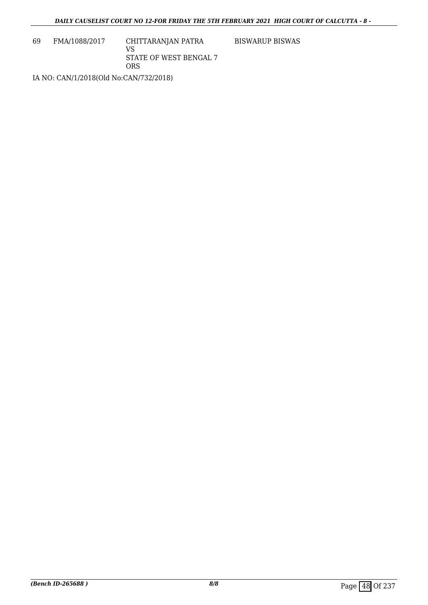69 FMA/1088/2017 CHITTARANJAN PATRA VS STATE OF WEST BENGAL 7 ORS

BISWARUP BISWAS

IA NO: CAN/1/2018(Old No:CAN/732/2018)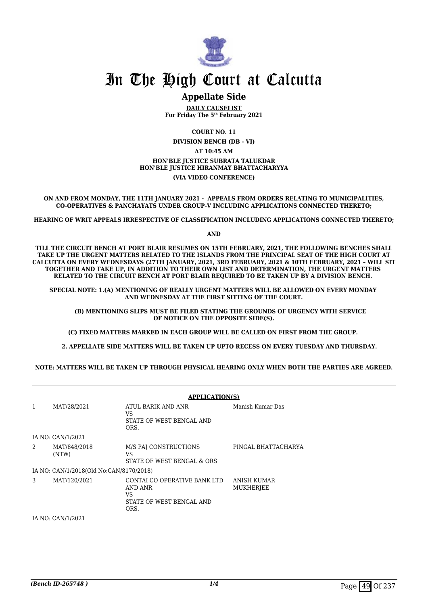

### **Appellate Side**

**DAILY CAUSELIST For Friday The 5th February 2021**

**COURT NO. 11 DIVISION BENCH (DB - VI) AT 10:45 AM HON'BLE JUSTICE SUBRATA TALUKDAR HON'BLE JUSTICE HIRANMAY BHATTACHARYYA (VIA VIDEO CONFERENCE)**

**ON AND FROM MONDAY, THE 11TH JANUARY 2021 - APPEALS FROM ORDERS RELATING TO MUNICIPALITIES, CO-OPERATIVES & PANCHAYATS UNDER GROUP-V INCLUDING APPLICATIONS CONNECTED THERETO;**

**HEARING OF WRIT APPEALS IRRESPECTIVE OF CLASSIFICATION INCLUDING APPLICATIONS CONNECTED THERETO;**

**AND**

**TILL THE CIRCUIT BENCH AT PORT BLAIR RESUMES ON 15TH FEBRUARY, 2021, THE FOLLOWING BENCHES SHALL TAKE UP THE URGENT MATTERS RELATED TO THE ISLANDS FROM THE PRINCIPAL SEAT OF THE HIGH COURT AT CALCUTTA ON EVERY WEDNESDAYS (27TH JANUARY, 2021, 3RD FEBRUARY, 2021 & 10TH FEBRUARY, 2021 – WILL SIT TOGETHER AND TAKE UP, IN ADDITION TO THEIR OWN LIST AND DETERMINATION, THE URGENT MATTERS RELATED TO THE CIRCUIT BENCH AT PORT BLAIR REQUIRED TO BE TAKEN UP BY A DIVISION BENCH.** 

**SPECIAL NOTE: 1.(A) MENTIONING OF REALLY URGENT MATTERS WILL BE ALLOWED ON EVERY MONDAY AND WEDNESDAY AT THE FIRST SITTING OF THE COURT.**

 **(B) MENTIONING SLIPS MUST BE FILED STATING THE GROUNDS OF URGENCY WITH SERVICE OF NOTICE ON THE OPPOSITE SIDE(S).**

**(C) FIXED MATTERS MARKED IN EACH GROUP WILL BE CALLED ON FIRST FROM THE GROUP.** 

 **2. APPELLATE SIDE MATTERS WILL BE TAKEN UP UPTO RECESS ON EVERY TUESDAY AND THURSDAY.** 

**NOTE: MATTERS WILL BE TAKEN UP THROUGH PHYSICAL HEARING ONLY WHEN BOTH THE PARTIES ARE AGREED.**

|   | <b>APPLICATION(S)</b>                   |                                                                                   |                          |  |
|---|-----------------------------------------|-----------------------------------------------------------------------------------|--------------------------|--|
| 1 | MAT/28/2021                             | ATUL BARIK AND ANR<br>VS<br>STATE OF WEST BENGAL AND<br>ORS.                      | Manish Kumar Das         |  |
|   | IA NO: CAN/1/2021                       |                                                                                   |                          |  |
| 2 | MAT/848/2018<br>(NTW)                   | M/S PAJ CONSTRUCTIONS<br>VS<br>STATE OF WEST BENGAL & ORS                         | PINGAL BHATTACHARYA      |  |
|   | IA NO: CAN/1/2018(Old No:CAN/8170/2018) |                                                                                   |                          |  |
| 3 | MAT/120/2021                            | CONTAI CO OPERATIVE BANK LTD<br>AND ANR<br>VS<br>STATE OF WEST BENGAL AND<br>ORS. | ANISH KUMAR<br>MUKHERJEE |  |
|   | IA NO: CAN/1/2021                       |                                                                                   |                          |  |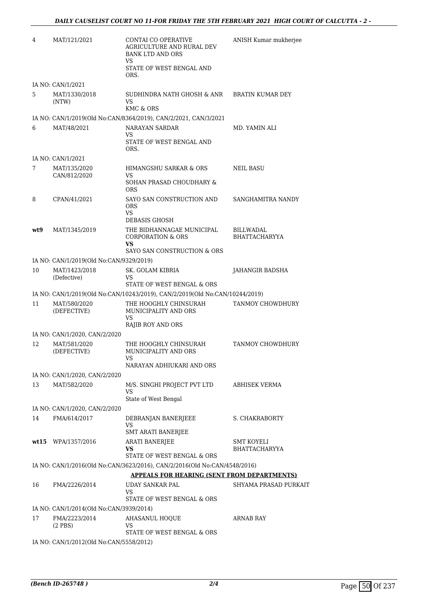| 4   | MAT/121/2021                            | CONTAI CO OPERATIVE<br>AGRICULTURE AND RURAL DEV<br><b>BANK LTD AND ORS</b><br>VS<br>STATE OF WEST BENGAL AND<br>ORS. | ANISH Kumar mukherjee                    |
|-----|-----------------------------------------|-----------------------------------------------------------------------------------------------------------------------|------------------------------------------|
|     | IA NO: CAN/1/2021                       |                                                                                                                       |                                          |
| 5   | MAT/1330/2018<br>(NTW)                  | SUDHINDRA NATH GHOSH & ANR<br>VS<br>KMC & ORS                                                                         | BRATIN KUMAR DEY                         |
|     |                                         | IA NO: CAN/1/2019(Old No:CAN/8364/2019), CAN/2/2021, CAN/3/2021                                                       |                                          |
| 6   | MAT/48/2021                             | NARAYAN SARDAR                                                                                                        | MD. YAMIN ALI                            |
|     |                                         | VS<br>STATE OF WEST BENGAL AND<br>ORS.                                                                                |                                          |
|     | IA NO: CAN/1/2021                       |                                                                                                                       |                                          |
| 7   | MAT/135/2020<br>CAN/812/2020            | HIMANGSHU SARKAR & ORS<br>VS<br>SOHAN PRASAD CHOUDHARY &                                                              | <b>NEIL BASU</b>                         |
| 8   | CPAN/41/2021                            | ORS<br>SAYO SAN CONSTRUCTION AND<br>ORS                                                                               | SANGHAMITRA NANDY                        |
|     |                                         | VS                                                                                                                    |                                          |
| wt9 | MAT/1345/2019                           | DEBASIS GHOSH<br>THE BIDHANNAGAE MUNICIPAL<br><b>CORPORATION &amp; ORS</b><br>VS                                      | <b>BILLWADAL</b><br><b>BHATTACHARYYA</b> |
|     |                                         | SAYO SAN CONSTRUCTION & ORS                                                                                           |                                          |
|     | IA NO: CAN/1/2019(Old No:CAN/9329/2019) |                                                                                                                       |                                          |
| 10  | MAT/1423/2018<br>(Defective)            | SK. GOLAM KIBRIA<br>VS<br>STATE OF WEST BENGAL & ORS                                                                  | JAHANGIR BADSHA                          |
|     |                                         | IA NO: CAN/1/2019(Old No:CAN/10243/2019), CAN/2/2019(Old No:CAN/10244/2019)                                           |                                          |
| 11  | MAT/580/2020<br>(DEFECTIVE)             | THE HOOGHLY CHINSURAH<br>MUNICIPALITY AND ORS<br>VS                                                                   | <b>TANMOY CHOWDHURY</b>                  |
|     | IA NO: CAN/1/2020, CAN/2/2020           | RAJIB ROY AND ORS                                                                                                     |                                          |
| 12  | MAT/581/2020                            | THE HOOGHLY CHINSURAH                                                                                                 | TANMOY CHOWDHURY                         |
|     | (DEFECTIVE)                             | MUNICIPALITY AND ORS<br>vs                                                                                            |                                          |
|     |                                         | NARAYAN ADHIUKARI AND ORS                                                                                             |                                          |
|     | IA NO: CAN/1/2020, CAN/2/2020           |                                                                                                                       | <b>ABHISEK VERMA</b>                     |
| 13  | MAT/582/2020                            | M/S. SINGHI PROJECT PVT LTD<br>VS<br>State of West Bengal                                                             |                                          |
|     | IA NO: CAN/1/2020, CAN/2/2020           |                                                                                                                       |                                          |
| 14  | FMA/614/2017                            | DEBRANJAN BANERJEEE<br>VS                                                                                             | S. CHAKRABORTY                           |
|     | wt15 WPA/1357/2016                      | <b>SMT ARATI BANERJEE</b><br>ARATI BANERJEE                                                                           | SMT KOYELI                               |
|     |                                         | VS<br>STATE OF WEST BENGAL & ORS                                                                                      | BHATTACHARYYA                            |
|     |                                         | IA NO: CAN/1/2016(Old No:CAN/3623/2016), CAN/2/2016(Old No:CAN/4548/2016)                                             |                                          |
|     |                                         | <b>APPEALS FOR HEARING (SENT FROM DEPARTMENTS)</b>                                                                    |                                          |
| 16  | FMA/2226/2014                           | UDAY SANKAR PAL<br>VS<br>STATE OF WEST BENGAL & ORS                                                                   | SHYAMA PRASAD PURKAIT                    |
|     | IA NO: CAN/1/2014(Old No:CAN/3939/2014) |                                                                                                                       |                                          |
| 17  | FMA/2223/2014<br>$(2$ PBS $)$           | AHASANUL HOQUE<br>VS                                                                                                  | ARNAB RAY                                |
|     |                                         | STATE OF WEST BENGAL & ORS                                                                                            |                                          |
|     | IA NO: CAN/1/2012(Old No:CAN/5558/2012) |                                                                                                                       |                                          |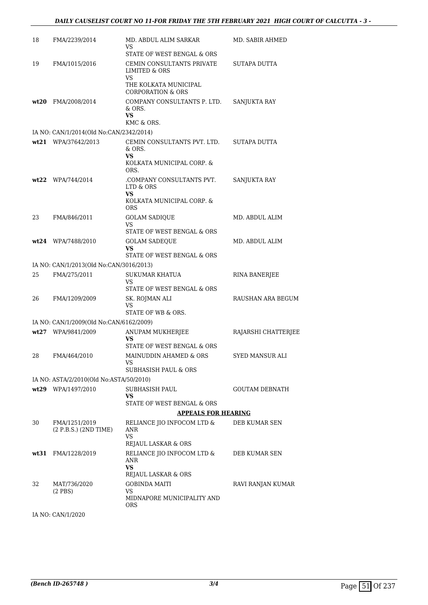| 18 | FMA/2239/2014                                                 | MD. ABDUL ALIM SARKAR<br>VS                                                                   | MD. SABIR AHMED       |
|----|---------------------------------------------------------------|-----------------------------------------------------------------------------------------------|-----------------------|
|    |                                                               | STATE OF WEST BENGAL & ORS                                                                    |                       |
| 19 | FMA/1015/2016                                                 | CEMIN CONSULTANTS PRIVATE<br><b>LIMITED &amp; ORS</b><br>VS.                                  | SUTAPA DUTTA          |
|    |                                                               | THE KOLKATA MUNICIPAL<br><b>CORPORATION &amp; ORS</b>                                         |                       |
|    | wt20 FMA/2008/2014                                            | COMPANY CONSULTANTS P. LTD.<br>& ORS.<br>VS<br>KMC & ORS.                                     | SANJUKTA RAY          |
|    | IA NO: CAN/1/2014(Old No:CAN/2342/2014)                       |                                                                                               |                       |
|    | wt21 WPA/37642/2013                                           | CEMIN CONSULTANTS PVT. LTD. SUTAPA DUTTA<br>& ORS.<br>VS<br>KOLKATA MUNICIPAL CORP. &<br>ORS. |                       |
|    | $wt22$ WPA/744/2014                                           | .COMPANY CONSULTANTS PVT.<br>LTD & ORS<br>VS<br>KOLKATA MUNICIPAL CORP. &                     | SANJUKTA RAY          |
|    |                                                               | <b>ORS</b>                                                                                    |                       |
| 23 | FMA/846/2011                                                  | <b>GOLAM SADIQUE</b>                                                                          | MD. ABDUL ALIM        |
|    |                                                               | <b>VS</b><br>STATE OF WEST BENGAL & ORS                                                       |                       |
|    | wt24 WPA/7488/2010                                            | <b>GOLAM SADEQUE</b>                                                                          | MD. ABDUL ALIM        |
|    |                                                               | VS<br>STATE OF WEST BENGAL & ORS                                                              |                       |
|    | IA NO: CAN/1/2013(Old No:CAN/3016/2013)                       |                                                                                               |                       |
| 25 | FMA/275/2011                                                  | SUKUMAR KHATUA<br>VS                                                                          | RINA BANERJEE         |
|    |                                                               | STATE OF WEST BENGAL & ORS                                                                    |                       |
| 26 | FMA/1209/2009                                                 | SK. ROJMAN ALI<br>VS                                                                          | RAUSHAN ARA BEGUM     |
|    |                                                               | STATE OF WB & ORS.                                                                            |                       |
|    | IA NO: CAN/1/2009(Old No:CAN/6162/2009)<br>wt27 WPA/9841/2009 | ANUPAM MUKHERJEE                                                                              | RAJARSHI CHATTERJEE   |
|    |                                                               | VS                                                                                            |                       |
|    |                                                               | STATE OF WEST BENGAL & ORS                                                                    |                       |
| 28 | FMA/464/2010                                                  | MAINUDDIN AHAMED & ORS<br>VS                                                                  | SYED MANSUR ALI       |
|    |                                                               | SUBHASISH PAUL & ORS                                                                          |                       |
|    | IA NO: ASTA/2/2010(Old No:ASTA/50/2010)                       |                                                                                               |                       |
|    | wt29 WPA/1497/2010                                            | SUBHASISH PAUL<br>VS                                                                          | <b>GOUTAM DEBNATH</b> |
|    |                                                               | STATE OF WEST BENGAL & ORS                                                                    |                       |
|    |                                                               | <b>APPEALS FOR HEARING</b>                                                                    |                       |
| 30 | FMA/1251/2019<br>(2 P.B.S.) (2ND TIME)                        | RELIANCE JIO INFOCOM LTD &<br>ANR<br>VS<br>REJAUL LASKAR & ORS                                | DEB KUMAR SEN         |
|    | wt31 FMA/1228/2019                                            | RELIANCE JIO INFOCOM LTD &<br>ANR<br><b>VS</b><br>REJAUL LASKAR & ORS                         | DEB KUMAR SEN         |
| 32 | MAT/736/2020                                                  | <b>GOBINDA MAITI</b>                                                                          | RAVI RANJAN KUMAR     |
|    | $(2$ PBS $)$                                                  | VS<br>MIDNAPORE MUNICIPALITY AND<br><b>ORS</b>                                                |                       |
|    |                                                               |                                                                                               |                       |

IA NO: CAN/1/2020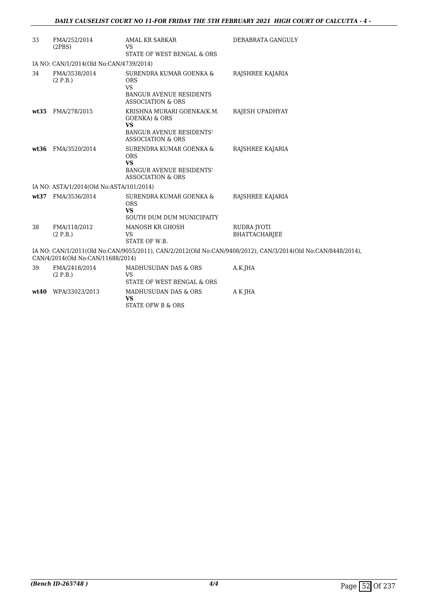| 33   | FMA/252/2014<br>(2PBS)                   | AMAL KR SARKAR<br><b>VS</b>                                                                                                            | DEBABRATA GANGULY                                                                                            |
|------|------------------------------------------|----------------------------------------------------------------------------------------------------------------------------------------|--------------------------------------------------------------------------------------------------------------|
|      |                                          | STATE OF WEST BENGAL & ORS                                                                                                             |                                                                                                              |
|      | IA NO: CAN/1/2014(Old No:CAN/4739/2014)  |                                                                                                                                        |                                                                                                              |
| 34   | FMA/3538/2014<br>(2 P.B.)                | SURENDRA KUMAR GOENKA &<br><b>ORS</b><br><b>VS</b><br>BANGUR AVENUE RESIDENTS<br><b>ASSOCIATION &amp; ORS</b>                          | RAJSHREE KAJARIA                                                                                             |
|      | wt35 FMA/278/2015                        | KRISHNA MURARI GOENKA(K.M.<br><b>GOENKA) &amp; ORS</b><br><b>VS</b><br><b>BANGUR AVENUE RESIDENTS'</b><br><b>ASSOCIATION &amp; ORS</b> | RAJESH UPADHYAY                                                                                              |
|      | wt36 FMA/3520/2014                       | SURENDRA KUMAR GOENKA &<br><b>ORS</b><br><b>VS</b><br><b>BANGUR AVENUE RESIDENTS'</b><br><b>ASSOCIATION &amp; ORS</b>                  | RAJSHREE KAJARIA                                                                                             |
|      | IA NO: ASTA/1/2014(Old No:ASTA/101/2014) |                                                                                                                                        |                                                                                                              |
| wt37 | FMA/3536/2014                            | SURENDRA KUMAR GOENKA &<br><b>ORS</b><br><b>VS</b><br>SOUTH DUM DUM MUNICIPAITY                                                        | RAJSHREE KAJARIA                                                                                             |
| 38   | FMA/118/2012<br>(2 P.B.)                 | MANOSH KR GHOSH<br><b>VS</b><br>STATE OF W.B.                                                                                          | <b>RUDRA JYOTI</b><br><b>BHATTACHARIEE</b>                                                                   |
|      | CAN/4/2014(Old No:CAN/11688/2014)        |                                                                                                                                        | IA NO: CAN/1/2011(Old No:CAN/9055/2011), CAN/2/2012(Old No:CAN/9408/2012), CAN/3/2014(Old No:CAN/8448/2014), |
| 39   | FMA/2418/2014<br>(2 P.B.)                | MADHUSUDAN DAS & ORS<br><b>VS</b><br>STATE OF WEST BENGAL & ORS                                                                        | A.K.JHA                                                                                                      |
| wt40 | WPA/33023/2013                           | MADHUSUDAN DAS & ORS<br><b>VS</b><br>STATE OFW B & ORS                                                                                 | A K JHA                                                                                                      |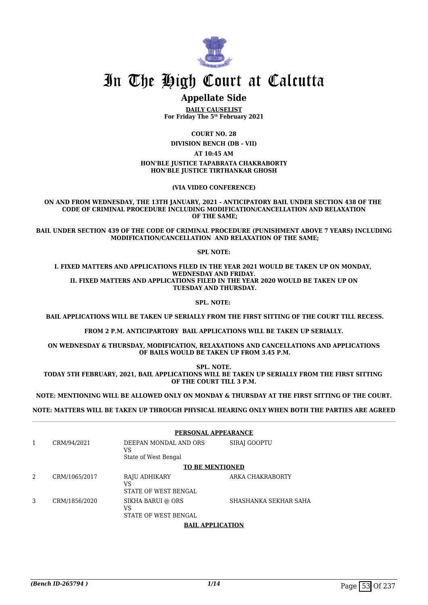

## **Appellate Side**

**DAILY CAUSELIST For Friday The 5th February 2021**

**COURT NO. 28**

**DIVISION BENCH (DB - VII)**

**AT 10:45 AM**

**HON'BLE JUSTICE TAPABRATA CHAKRABORTY HON'BLE JUSTICE TIRTHANKAR GHOSH**

**(VIA VIDEO CONFERENCE)**

**ON AND FROM WEDNESDAY, THE 13TH JANUARY, 2021 - ANTICIPATORY BAIL UNDER SECTION 438 OF THE CODE OF CRIMINAL PROCEDURE INCLUDING MODIFICATION/CANCELLATION AND RELAXATION OF THE SAME;**

**BAIL UNDER SECTION 439 OF THE CODE OF CRIMINAL PROCEDURE (PUNISHMENT ABOVE 7 YEARS) INCLUDING MODIFICATION/CANCELLATION AND RELAXATION OF THE SAME;**

**SPL NOTE:**

**I. FIXED MATTERS AND APPLICATIONS FILED IN THE YEAR 2021 WOULD BE TAKEN UP ON MONDAY, WEDNESDAY AND FRIDAY. II. FIXED MATTERS AND APPLICATIONS FILED IN THE YEAR 2020 WOULD BE TAKEN UP ON TUESDAY AND THURSDAY.**

**SPL. NOTE:** 

 **BAIL APPLICATIONS WILL BE TAKEN UP SERIALLY FROM THE FIRST SITTING OF THE COURT TILL RECESS.**

**FROM 2 P.M. ANTICIPARTORY BAIL APPLICATIONS WILL BE TAKEN UP SERIALLY.**

**ON WEDNESDAY & THURSDAY, MODIFICATION, RELAXATIONS AND CANCELLATIONS AND APPLICATIONS OF BAILS WOULD BE TAKEN UP FROM 3.45 P.M.**

**SPL. NOTE.**

**TODAY 5TH FEBRUARY, 2021, BAIL APPLICATIONS WILL BE TAKEN UP SERIALLY FROM THE FIRST SITTING OF THE COURT TILL 3 P.M.**

**NOTE: MENTIONING WILL BE ALLOWED ONLY ON MONDAY & THURSDAY AT THE FIRST SITTING OF THE COURT.**

**NOTE: MATTERS WILL BE TAKEN UP THROUGH PHYSICAL HEARING ONLY WHEN BOTH THE PARTIES ARE AGREED**

|   |               | PERSONAL APPEARANCE                                    |                       |  |
|---|---------------|--------------------------------------------------------|-----------------------|--|
| 1 | CRM/94/2021   | DEEPAN MONDAL AND ORS<br>VS<br>State of West Bengal    | SIRAJ GOOPTU          |  |
|   |               | <b>TO BE MENTIONED</b>                                 |                       |  |
| 2 | CRM/1065/2017 | RAJU ADHIKARY<br>VS<br>STATE OF WEST BENGAL            | ARKA CHAKRABORTY      |  |
| 3 | CRM/1856/2020 | SIKHA BARUI @ ORS<br>VS<br><b>STATE OF WEST BENGAL</b> | SHASHANKA SEKHAR SAHA |  |

**BAIL APPLICATION**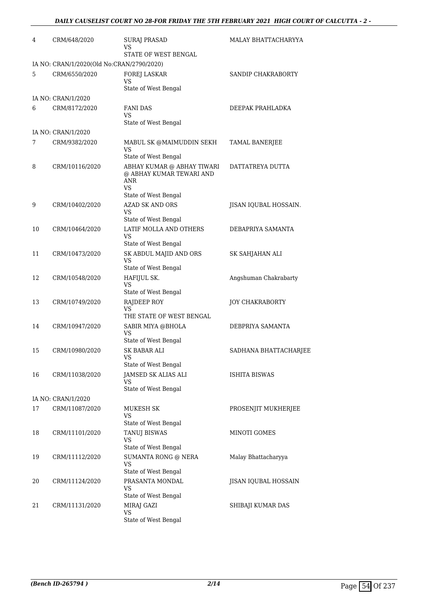| 4  | CRM/648/2020                              | <b>SURAJ PRASAD</b><br>VS<br>STATE OF WEST BENGAL                                                  | MALAY BHATTACHARYYA    |
|----|-------------------------------------------|----------------------------------------------------------------------------------------------------|------------------------|
|    | IA NO: CRAN/1/2020(Old No:CRAN/2790/2020) |                                                                                                    |                        |
| 5  | CRM/6550/2020                             | FOREJ LASKAR<br>VS<br>State of West Bengal                                                         | SANDIP CHAKRABORTY     |
|    | IA NO: CRAN/1/2020                        |                                                                                                    |                        |
| 6  | CRM/8172/2020                             | <b>FANI DAS</b><br><b>VS</b><br>State of West Bengal                                               | DEEPAK PRAHLADKA       |
|    | IA NO: CRAN/1/2020                        |                                                                                                    |                        |
| 7  | CRM/9382/2020                             | MABUL SK @MAIMUDDIN SEKH<br><b>VS</b><br>State of West Bengal                                      | TAMAL BANERJEE         |
| 8  | CRM/10116/2020                            | ABHAY KUMAR @ ABHAY TIWARI<br>@ ABHAY KUMAR TEWARI AND<br><b>ANR</b><br>VS<br>State of West Bengal | DATTATREYA DUTTA       |
| 9  | CRM/10402/2020                            | <b>AZAD SK AND ORS</b><br><b>VS</b><br>State of West Bengal                                        | JISAN IQUBAL HOSSAIN.  |
| 10 | CRM/10464/2020                            | LATIF MOLLA AND OTHERS<br><b>VS</b><br>State of West Bengal                                        | DEBAPRIYA SAMANTA      |
| 11 | CRM/10473/2020                            | SK ABDUL MAJID AND ORS<br><b>VS</b><br>State of West Bengal                                        | SK SAHJAHAN ALI        |
| 12 | CRM/10548/2020                            | HAFIJUL SK.<br>VS<br>State of West Bengal                                                          | Angshuman Chakrabarty  |
| 13 | CRM/10749/2020                            | RAJDEEP ROY<br><b>VS</b><br>THE STATE OF WEST BENGAL                                               | <b>JOY CHAKRABORTY</b> |
| 14 | CRM/10947/2020                            | SABIR MIYA @BHOLA<br>VS<br>State of West Bengal                                                    | DEBPRIYA SAMANTA       |
| 15 | CRM/10980/2020                            | SK BABAR ALI<br>VS<br>State of West Bengal                                                         | SADHANA BHATTACHARJEE  |
| 16 | CRM/11038/2020                            | JAMSED SK ALIAS ALI<br>VS<br>State of West Bengal                                                  | ISHITA BISWAS          |
|    | IA NO: CRAN/1/2020                        |                                                                                                    |                        |
| 17 | CRM/11087/2020                            | MUKESH SK<br>VS<br>State of West Bengal                                                            | PROSENJIT MUKHERJEE    |
| 18 | CRM/11101/2020                            | TANUJ BISWAS<br>VS<br>State of West Bengal                                                         | MINOTI GOMES           |
| 19 | CRM/11112/2020                            | SUMANTA RONG @ NERA<br><b>VS</b><br>State of West Bengal                                           | Malay Bhattacharyya    |
| 20 | CRM/11124/2020                            | PRASANTA MONDAL<br>VS<br>State of West Bengal                                                      | JISAN IQUBAL HOSSAIN   |
| 21 | CRM/11131/2020                            | MIRAJ GAZI<br><b>VS</b><br>State of West Bengal                                                    | SHIBAJI KUMAR DAS      |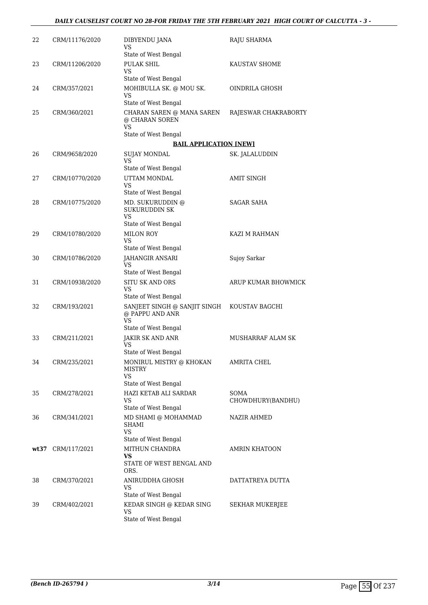| 22 | CRM/11176/2020    | DIBYENDU JANA<br>VS                                          | RAJU SHARMA               |
|----|-------------------|--------------------------------------------------------------|---------------------------|
|    |                   | State of West Bengal                                         |                           |
| 23 | CRM/11206/2020    | PULAK SHIL<br><b>VS</b>                                      | KAUSTAV SHOME             |
|    |                   | State of West Bengal                                         |                           |
| 24 | CRM/357/2021      | MOHIBULLA SK. @ MOU SK.<br>VS<br>State of West Bengal        | OINDRILA GHOSH            |
| 25 | CRM/360/2021      | CHARAN SAREN @ MANA SAREN                                    | RAJESWAR CHAKRABORTY      |
|    |                   | @ CHARAN SOREN<br>VS                                         |                           |
|    |                   | State of West Bengal                                         |                           |
|    |                   | <b>BAIL APPLICATION [NEW]</b>                                |                           |
| 26 | CRM/9658/2020     | SUJAY MONDAL<br>VS                                           | SK. JALALUDDIN            |
|    |                   | State of West Bengal                                         |                           |
| 27 | CRM/10770/2020    | UTTAM MONDAL<br>VS                                           | AMIT SINGH                |
|    |                   | State of West Bengal                                         |                           |
| 28 | CRM/10775/2020    | MD. SUKURUDDIN @<br><b>SUKURUDDIN SK</b><br><b>VS</b>        | <b>SAGAR SAHA</b>         |
|    |                   | State of West Bengal                                         |                           |
| 29 | CRM/10780/2020    | <b>MILON ROY</b>                                             | KAZI M RAHMAN             |
|    |                   | <b>VS</b><br>State of West Bengal                            |                           |
| 30 | CRM/10786/2020    | JAHANGIR ANSARI                                              | Sujoy Sarkar              |
|    |                   | VS<br>State of West Bengal                                   |                           |
| 31 | CRM/10938/2020    | <b>SITU SK AND ORS</b>                                       | ARUP KUMAR BHOWMICK       |
|    |                   | VS<br>State of West Bengal                                   |                           |
| 32 | CRM/193/2021      | SANJEET SINGH @ SANJIT SINGH<br>@ PAPPU AND ANR<br><b>VS</b> | KOUSTAV BAGCHI            |
|    |                   | State of West Bengal                                         |                           |
| 33 | CRM/211/2021      | <b>JAKIR SK AND ANR</b><br><b>VS</b>                         | MUSHARRAF ALAM SK         |
|    |                   | State of West Bengal                                         |                           |
| 34 | CRM/235/2021      | MONIRUL MISTRY @ KHOKAN<br><b>MISTRY</b><br><b>VS</b>        | AMRITA CHEL               |
|    |                   | State of West Bengal                                         |                           |
| 35 | CRM/278/2021      | HAZI KETAB ALI SARDAR<br>VS                                  | SOMA<br>CHOWDHURY(BANDHU) |
|    |                   | State of West Bengal                                         |                           |
| 36 | CRM/341/2021      | MD SHAMI @ MOHAMMAD<br><b>SHAMI</b><br><b>VS</b>             | <b>NAZIR AHMED</b>        |
|    |                   | State of West Bengal                                         |                           |
|    | wt37 CRM/117/2021 | MITHUN CHANDRA<br><b>VS</b><br>STATE OF WEST BENGAL AND      | AMRIN KHATOON             |
|    |                   | ORS.                                                         |                           |
| 38 | CRM/370/2021      | ANIRUDDHA GHOSH<br>VS                                        | DATTATREYA DUTTA          |
|    |                   | State of West Bengal                                         |                           |
| 39 | CRM/402/2021      | KEDAR SINGH @ KEDAR SING<br>VS                               | SEKHAR MUKERJEE           |
|    |                   | State of West Bengal                                         |                           |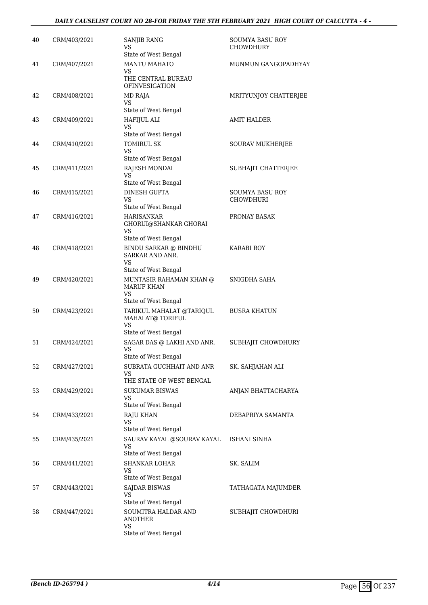#### *DAILY CAUSELIST COURT NO 28-FOR FRIDAY THE 5TH FEBRUARY 2021 HIGH COURT OF CALCUTTA - 4 -*

| 40 | CRM/403/2021 | <b>SANJIB RANG</b><br><b>VS</b><br>State of West Bengal                                                   | SOUMYA BASU ROY<br><b>CHOWDHURY</b>        |
|----|--------------|-----------------------------------------------------------------------------------------------------------|--------------------------------------------|
| 41 | CRM/407/2021 | MANTU MAHATO<br>VS<br>THE CENTRAL BUREAU<br><b>OFINVESIGATION</b>                                         | MUNMUN GANGOPADHYAY                        |
| 42 | CRM/408/2021 | MD RAJA<br>VS.<br>State of West Bengal                                                                    | MRITYUNJOY CHATTERJEE                      |
| 43 | CRM/409/2021 | HAFIJUL ALI<br><b>VS</b><br>State of West Bengal                                                          | <b>AMIT HALDER</b>                         |
| 44 | CRM/410/2021 | <b>TOMIRUL SK</b><br>VS<br>State of West Bengal                                                           | SOURAV MUKHERJEE                           |
| 45 | CRM/411/2021 | RAJESH MONDAL<br>VS<br>State of West Bengal                                                               | SUBHAJIT CHATTERJEE                        |
| 46 | CRM/415/2021 | DINESH GUPTA<br>VS.<br>State of West Bengal                                                               | <b>SOUMYA BASU ROY</b><br><b>CHOWDHURI</b> |
| 47 | CRM/416/2021 | <b>HARISANKAR</b><br>GHORUI@SHANKAR GHORAI<br>VS.                                                         | PRONAY BASAK                               |
| 48 | CRM/418/2021 | State of West Bengal<br><b>BINDU SARKAR @ BINDHU</b><br>SARKAR AND ANR.<br>VS                             | <b>KARABI ROY</b>                          |
| 49 | CRM/420/2021 | State of West Bengal<br>MUNTASIR RAHAMAN KHAN @<br><b>MARUF KHAN</b><br>VS                                | SNIGDHA SAHA                               |
| 50 | CRM/423/2021 | State of West Bengal<br>TARIKUL MAHALAT @TARIQUL<br>MAHALAT@ TORIFUL<br><b>VS</b><br>State of West Bengal | <b>BUSRA KHATUN</b>                        |
| 51 | CRM/424/2021 | SAGAR DAS @ LAKHI AND ANR.<br>VS<br>State of West Bengal                                                  | SUBHAJIT CHOWDHURY                         |
| 52 | CRM/427/2021 | SUBRATA GUCHHAIT AND ANR<br>VS<br>THE STATE OF WEST BENGAL                                                | SK. SAHJAHAN ALI                           |
| 53 | CRM/429/2021 | <b>SUKUMAR BISWAS</b><br>VS<br>State of West Bengal                                                       | ANJAN BHATTACHARYA                         |
| 54 | CRM/433/2021 | <b>RAJU KHAN</b><br>VS<br>State of West Bengal                                                            | DEBAPRIYA SAMANTA                          |
| 55 | CRM/435/2021 | SAURAV KAYAL @SOURAV KAYAL<br>VS<br>State of West Bengal                                                  | ISHANI SINHA                               |
| 56 | CRM/441/2021 | <b>SHANKAR LOHAR</b><br>VS<br>State of West Bengal                                                        | SK. SALIM                                  |
| 57 | CRM/443/2021 | <b>SAJDAR BISWAS</b><br>VS<br>State of West Bengal                                                        | TATHAGATA MAJUMDER                         |
| 58 | CRM/447/2021 | SOUMITRA HALDAR AND<br><b>ANOTHER</b><br>VS<br>State of West Bengal                                       | SUBHAJIT CHOWDHURI                         |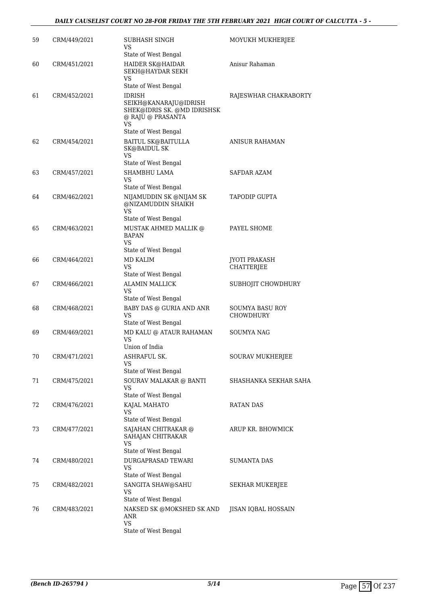#### *DAILY CAUSELIST COURT NO 28-FOR FRIDAY THE 5TH FEBRUARY 2021 HIGH COURT OF CALCUTTA - 5 -*

| 59 | CRM/449/2021 | SUBHASH SINGH<br>VS                                                                                                      | MOYUKH MUKHERJEE                    |
|----|--------------|--------------------------------------------------------------------------------------------------------------------------|-------------------------------------|
| 60 | CRM/451/2021 | State of West Bengal<br>HAIDER SK@HAIDAR<br><b>SEKH@HAYDAR SEKH</b><br>VS                                                | Anisur Rahaman                      |
| 61 | CRM/452/2021 | State of West Bengal<br><b>IDRISH</b><br>SEIKH@KANARAJU@IDRISH<br>SHEK@IDRIS SK. @MD IDRISHSK<br>@ RAJU @ PRASANTA<br>VS | RAJESWHAR CHAKRABORTY               |
| 62 | CRM/454/2021 | State of West Bengal<br><b>BAITUL SK@BAITULLA</b><br>SK@BAIDUL SK<br>VS                                                  | ANISUR RAHAMAN                      |
| 63 | CRM/457/2021 | State of West Bengal<br>SHAMBHU LAMA<br>VS                                                                               | SAFDAR AZAM                         |
| 64 | CRM/462/2021 | State of West Bengal<br>NIJAMUDDIN SK @NIJAM SK<br>@NIZAMUDDIN SHAIKH<br>VS                                              | <b>TAPODIP GUPTA</b>                |
| 65 | CRM/463/2021 | State of West Bengal<br>MUSTAK AHMED MALLIK @<br><b>BAPAN</b><br><b>VS</b><br>State of West Bengal                       | PAYEL SHOME                         |
| 66 | CRM/464/2021 | MD KALIM<br>VS<br>State of West Bengal                                                                                   | <b>JYOTI PRAKASH</b><br>CHATTERJEE  |
| 67 | CRM/466/2021 | <b>ALAMIN MALLICK</b><br>VS<br>State of West Bengal                                                                      | SUBHOJIT CHOWDHURY                  |
| 68 | CRM/468/2021 | BABY DAS @ GURIA AND ANR<br>VS<br>State of West Bengal                                                                   | <b>SOUMYA BASU ROY</b><br>CHOWDHURY |
| 69 | CRM/469/2021 | MD KALU @ ATAUR RAHAMAN<br>VS<br>Union of India                                                                          | SOUMYA NAG                          |
| 70 | CRM/471/2021 | ASHRAFUL SK.<br>VS<br>State of West Bengal                                                                               | SOURAV MUKHERJEE                    |
| 71 | CRM/475/2021 | SOURAV MALAKAR @ BANTI<br>VS<br>State of West Bengal                                                                     | SHASHANKA SEKHAR SAHA               |
| 72 | CRM/476/2021 | KAJAL MAHATO<br>VS<br>State of West Bengal                                                                               | RATAN DAS                           |
| 73 | CRM/477/2021 | SAJAHAN CHITRAKAR @<br>SAHAJAN CHITRAKAR<br>VS<br>State of West Bengal                                                   | ARUP KR. BHOWMICK                   |
| 74 | CRM/480/2021 | DURGAPRASAD TEWARI<br>VS<br>State of West Bengal                                                                         | <b>SUMANTA DAS</b>                  |
| 75 | CRM/482/2021 | SANGITA SHAW@SAHU<br>VS<br>State of West Bengal                                                                          | SEKHAR MUKERJEE                     |
| 76 | CRM/483/2021 | NAKSED SK @MOKSHED SK AND<br>ANR<br><b>VS</b><br>State of West Bengal                                                    | JISAN IQBAL HOSSAIN                 |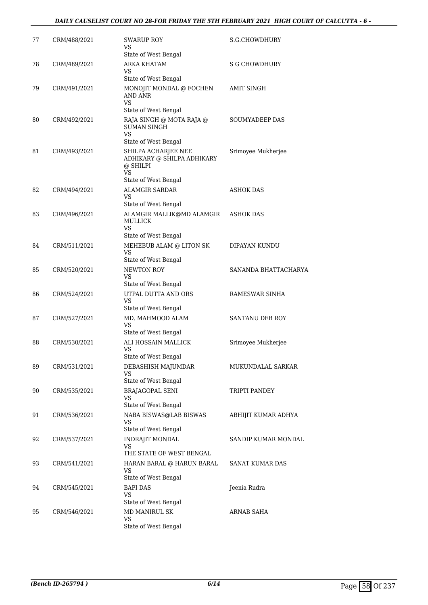#### *DAILY CAUSELIST COURT NO 28-FOR FRIDAY THE 5TH FEBRUARY 2021 HIGH COURT OF CALCUTTA - 6 -*

| 77 | CRM/488/2021 | SWARUP ROY<br>VS<br>State of West Bengal                                                                                   | S.G.CHOWDHURY        |
|----|--------------|----------------------------------------------------------------------------------------------------------------------------|----------------------|
| 78 | CRM/489/2021 | ARKA KHATAM<br>VS                                                                                                          | S G CHOWDHURY        |
| 79 | CRM/491/2021 | State of West Bengal<br>MONOJIT MONDAL @ FOCHEN<br>AND ANR<br><b>VS</b>                                                    | <b>AMIT SINGH</b>    |
| 80 | CRM/492/2021 | State of West Bengal<br>RAJA SINGH @ MOTA RAJA @<br><b>SUMAN SINGH</b><br><b>VS</b>                                        | SOUMYADEEP DAS       |
| 81 | CRM/493/2021 | State of West Bengal<br>SHILPA ACHARJEE NEE<br>ADHIKARY @ SHILPA ADHIKARY<br>@ SHILPI<br><b>VS</b><br>State of West Bengal | Srimoyee Mukherjee   |
| 82 | CRM/494/2021 | <b>ALAMGIR SARDAR</b><br>VS                                                                                                | <b>ASHOK DAS</b>     |
| 83 | CRM/496/2021 | State of West Bengal<br>ALAMGIR MALLIK@MD ALAMGIR<br><b>MULLICK</b><br>VS.                                                 | ASHOK DAS            |
| 84 | CRM/511/2021 | State of West Bengal<br>MEHEBUB ALAM @ LITON SK<br><b>VS</b><br>State of West Bengal                                       | DIPAYAN KUNDU        |
| 85 | CRM/520/2021 | <b>NEWTON ROY</b><br>VS<br>State of West Bengal                                                                            | SANANDA BHATTACHARYA |
| 86 | CRM/524/2021 | UTPAL DUTTA AND ORS<br><b>VS</b><br>State of West Bengal                                                                   | RAMESWAR SINHA       |
| 87 | CRM/527/2021 | MD. MAHMOOD ALAM<br>VS<br>State of West Bengal                                                                             | SANTANU DEB ROY      |
| 88 | CRM/530/2021 | ALI HOSSAIN MALLICK<br>VS<br>State of West Bengal                                                                          | Srimoyee Mukherjee   |
| 89 | CRM/531/2021 | DEBASHISH MAJUMDAR<br>VS<br>State of West Bengal                                                                           | MUKUNDALAL SARKAR    |
| 90 | CRM/535/2021 | <b>BRAJAGOPAL SENI</b><br>VS<br>State of West Bengal                                                                       | TRIPTI PANDEY        |
| 91 | CRM/536/2021 | NABA BISWAS@LAB BISWAS<br>VS<br>State of West Bengal                                                                       | ABHIJIT KUMAR ADHYA  |
| 92 | CRM/537/2021 | <b>INDRAJIT MONDAL</b><br>VS<br>THE STATE OF WEST BENGAL                                                                   | SANDIP KUMAR MONDAL  |
| 93 | CRM/541/2021 | HARAN BARAL @ HARUN BARAL<br>VS                                                                                            | SANAT KUMAR DAS      |
| 94 | CRM/545/2021 | State of West Bengal<br><b>BAPI DAS</b><br>VS<br>State of West Bengal                                                      | Jeenia Rudra         |
| 95 | CRM/546/2021 | MD MANIRUL SK<br>VS<br>State of West Bengal                                                                                | ARNAB SAHA           |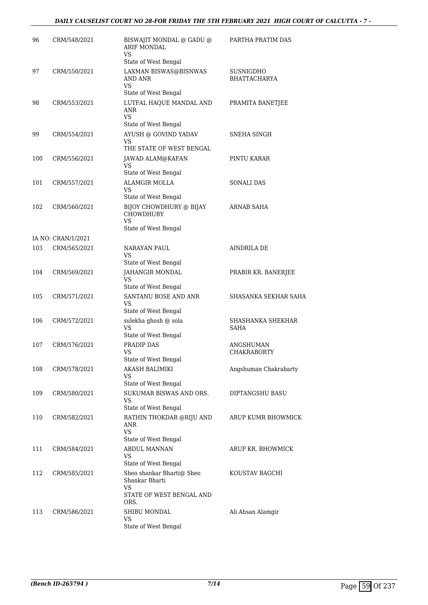#### *DAILY CAUSELIST COURT NO 28-FOR FRIDAY THE 5TH FEBRUARY 2021 HIGH COURT OF CALCUTTA - 7 -*

| 96  | CRM/548/2021       | BISWAJIT MONDAL @ GADU @<br><b>ARIF MONDAL</b><br><b>VS</b>                                           | PARTHA PRATIM DAS                |
|-----|--------------------|-------------------------------------------------------------------------------------------------------|----------------------------------|
| 97  | CRM/550/2021       | State of West Bengal<br>LAXMAN BISWAS@BISNWAS<br>AND ANR                                              | SUSNIGDHO<br><b>BHATTACHARYA</b> |
|     |                    | VS<br>State of West Bengal                                                                            |                                  |
| 98  | CRM/553/2021       | LUTFAL HAQUE MANDAL AND<br><b>ANR</b><br>VS                                                           | PRAMITA BANETJEE                 |
| 99  | CRM/554/2021       | State of West Bengal<br>AYUSH @ GOVIND YADAV<br><b>VS</b><br>THE STATE OF WEST BENGAL                 | SNEHA SINGH                      |
| 100 | CRM/556/2021       | JAWAD ALAM@KAFAN<br>VS<br>State of West Bengal                                                        | PINTU KARAR                      |
| 101 | CRM/557/2021       | <b>ALAMGIR MOLLA</b><br>VS                                                                            | <b>SONALI DAS</b>                |
| 102 | CRM/560/2021       | State of West Bengal<br>BIJOY CHOWDHURY @ BIJAY<br><b>CHOWDHURY</b><br><b>VS</b>                      | ARNAB SAHA                       |
|     |                    | State of West Bengal                                                                                  |                                  |
|     | IA NO: CRAN/1/2021 |                                                                                                       |                                  |
| 103 | CRM/565/2021       | NARAYAN PAUL<br>VS<br>State of West Bengal                                                            | <b>AINDRILA DE</b>               |
| 104 | CRM/569/2021       | JAHANGIR MONDAL<br>VS<br>State of West Bengal                                                         | PRABIR KR. BANERJEE              |
| 105 | CRM/571/2021       | SANTANU BOSE AND ANR<br><b>VS</b><br>State of West Bengal                                             | SHASANKA SEKHAR SAHA             |
| 106 | CRM/572/2021       | sulekha ghosh @ sola<br><b>VS</b><br>State of West Bengal                                             | SHASHANKA SHEKHAR<br>SAHA        |
| 107 | CRM/576/2021       | PRADIP DAS<br><b>VS</b><br>State of West Bengal                                                       | ANGSHUMAN<br>CHAKRABORTY         |
| 108 | CRM/578/2021       | AKASH BALIMIKI<br>VS<br>State of West Bengal                                                          | Angshuman Chakrabarty            |
| 109 | CRM/580/2021       | SUKUMAR BISWAS AND ORS.<br>VS<br>State of West Bengal                                                 | DIPTANGSHU BASU                  |
| 110 | CRM/582/2021       | RATHIN THOKDAR @RIJU AND<br>ANR<br><b>VS</b><br>State of West Bengal                                  | ARUP KUMR BHOWMICK               |
| 111 | CRM/584/2021       | ABDUL MANNAN<br>VS                                                                                    | ARUP KR. BHOWMICK                |
| 112 | CRM/585/2021       | State of West Bengal<br>Sheo shankar Bharti@ Sheo<br>Shankar Bharti<br>VS<br>STATE OF WEST BENGAL AND | KOUSTAV BAGCHI                   |
| 113 | CRM/586/2021       | ORS.<br>SHIBU MONDAL<br>VS<br>State of West Bengal                                                    | Ali Ahsan Alamgir                |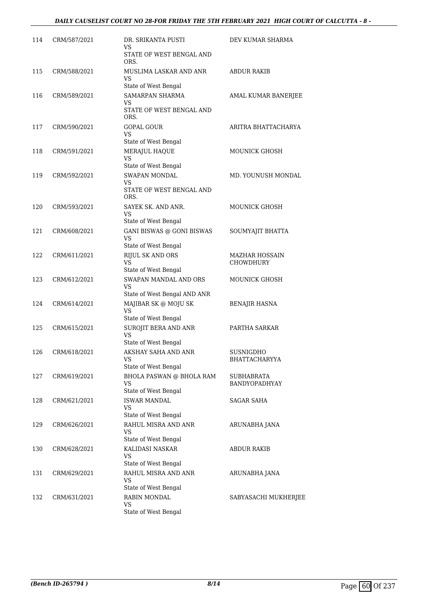| 114 | CRM/587/2021 | DR. SRIKANTA PUSTI<br>VS                                                        | DEV KUMAR SHARMA                   |
|-----|--------------|---------------------------------------------------------------------------------|------------------------------------|
|     |              | STATE OF WEST BENGAL AND<br>ORS.                                                |                                    |
| 115 | CRM/588/2021 | MUSLIMA LASKAR AND ANR<br><b>VS</b><br>State of West Bengal                     | ABDUR RAKIB                        |
| 116 | CRM/589/2021 | SAMARPAN SHARMA<br>VS<br>STATE OF WEST BENGAL AND<br>ORS.                       | AMAL KUMAR BANERJEE                |
| 117 | CRM/590/2021 | GOPAL GOUR<br>VS                                                                | ARITRA BHATTACHARYA                |
| 118 | CRM/591/2021 | State of West Bengal<br>MERAJUL HAQUE<br><b>VS</b>                              | <b>MOUNICK GHOSH</b>               |
| 119 | CRM/592/2021 | State of West Bengal<br>SWAPAN MONDAL<br>VS<br>STATE OF WEST BENGAL AND<br>ORS. | MD. YOUNUSH MONDAL                 |
| 120 | CRM/593/2021 | SAYEK SK. AND ANR.<br>VS<br>State of West Bengal                                | <b>MOUNICK GHOSH</b>               |
| 121 | CRM/608/2021 | <b>GANI BISWAS @ GONI BISWAS</b><br><b>VS</b><br>State of West Bengal           | SOUMYAJIT BHATTA                   |
| 122 | CRM/611/2021 | RIJUL SK AND ORS<br>VS<br>State of West Bengal                                  | MAZHAR HOSSAIN<br>CHOWDHURY        |
| 123 | CRM/612/2021 | SWAPAN MANDAL AND ORS<br>VS<br>State of West Bengal AND ANR                     | MOUNICK GHOSH                      |
| 124 | CRM/614/2021 | MAJIBAR SK @ MOJU SK<br><b>VS</b><br>State of West Bengal                       | BENAJIR HASNA                      |
| 125 | CRM/615/2021 | SUROJIT BERA AND ANR<br><b>VS</b><br>State of West Bengal                       | PARTHA SARKAR                      |
| 126 | CRM/618/2021 | AKSHAY SAHA AND ANR<br>VS<br>State of West Bengal                               | SUSNIGDHO<br>BHATTACHARYYA         |
| 127 | CRM/619/2021 | <b>BHOLA PASWAN @ BHOLA RAM</b><br>VS<br>State of West Bengal                   | <b>SUBHABRATA</b><br>BANDYOPADHYAY |
| 128 | CRM/621/2021 | <b>ISWAR MANDAL</b><br>VS<br>State of West Bengal                               | <b>SAGAR SAHA</b>                  |
| 129 | CRM/626/2021 | RAHUL MISRA AND ANR<br><b>VS</b><br>State of West Bengal                        | ARUNABHA JANA                      |
| 130 | CRM/628/2021 | KALIDASI NASKAR<br><b>VS</b><br>State of West Bengal                            | <b>ABDUR RAKIB</b>                 |
| 131 | CRM/629/2021 | RAHUL MISRA AND ANR<br><b>VS</b><br>State of West Bengal                        | ARUNABHA JANA                      |
| 132 | CRM/631/2021 | <b>RABIN MONDAL</b><br>VS<br>State of West Bengal                               | SABYASACHI MUKHERJEE               |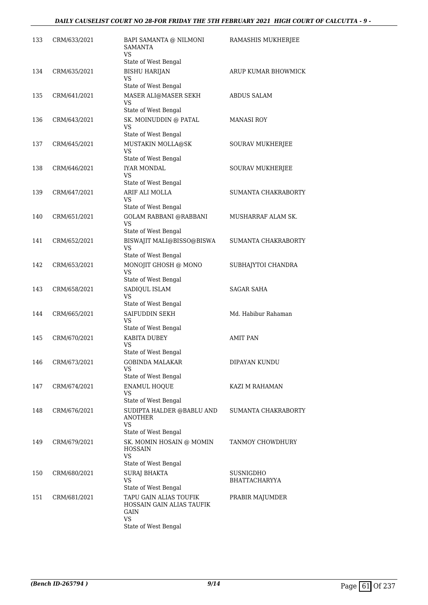| 133 | CRM/633/2021 | BAPI SAMANTA @ NILMONI<br><b>SAMANTA</b><br>VS                                                    | RAMASHIS MUKHERJEE                |
|-----|--------------|---------------------------------------------------------------------------------------------------|-----------------------------------|
| 134 | CRM/635/2021 | State of West Bengal<br><b>BISHU HARIJAN</b><br><b>VS</b><br>State of West Bengal                 | ARUP KUMAR BHOWMICK               |
| 135 | CRM/641/2021 | MASER ALI@MASER SEKH<br>VS<br>State of West Bengal                                                | ABDUS SALAM                       |
| 136 | CRM/643/2021 | SK. MOINUDDIN @ PATAL<br><b>VS</b><br>State of West Bengal                                        | <b>MANASI ROY</b>                 |
| 137 | CRM/645/2021 | MUSTAKIN MOLLA@SK<br><b>VS</b><br>State of West Bengal                                            | SOURAV MUKHERJEE                  |
| 138 | CRM/646/2021 | <b>IYAR MONDAL</b><br>VS<br>State of West Bengal                                                  | SOURAV MUKHERJEE                  |
| 139 | CRM/647/2021 | ARIF ALI MOLLA<br><b>VS</b><br>State of West Bengal                                               | SUMANTA CHAKRABORTY               |
| 140 | CRM/651/2021 | <b>GOLAM RABBANI @RABBANI</b><br><b>VS</b><br>State of West Bengal                                | MUSHARRAF ALAM SK.                |
| 141 | CRM/652/2021 | BISWAJIT MALI@BISSO@BISWA<br>VS<br>State of West Bengal                                           | SUMANTA CHAKRABORTY               |
| 142 | CRM/653/2021 | MONOJIT GHOSH @ MONO<br>VS                                                                        | SUBHAJYTOI CHANDRA                |
| 143 | CRM/658/2021 | State of West Bengal<br>SADIQUL ISLAM<br>VS                                                       | SAGAR SAHA                        |
| 144 | CRM/665/2021 | State of West Bengal<br>SAIFUDDIN SEKH<br><b>VS</b>                                               | Md. Habibur Rahaman               |
| 145 | CRM/670/2021 | State of West Bengal<br>KABITA DUBEY<br>VS                                                        | <b>AMIT PAN</b>                   |
| 146 | CRM/673/2021 | State of West Bengal<br><b>GOBINDA MALAKAR</b><br>VS                                              | <b>DIPAYAN KUNDU</b>              |
| 147 | CRM/674/2021 | State of West Bengal<br><b>ENAMUL HOQUE</b><br><b>VS</b>                                          | KAZI M RAHAMAN                    |
| 148 | CRM/676/2021 | State of West Bengal<br>SUDIPTA HALDER @BABLU AND<br><b>ANOTHER</b><br>VS<br>State of West Bengal | SUMANTA CHAKRABORTY               |
| 149 | CRM/679/2021 | SK. MOMIN HOSAIN @ MOMIN<br><b>HOSSAIN</b><br><b>VS</b>                                           | TANMOY CHOWDHURY                  |
| 150 | CRM/680/2021 | State of West Bengal<br>SURAJ BHAKTA<br><b>VS</b><br>State of West Bengal                         | SUSNIGDHO<br><b>BHATTACHARYYA</b> |
| 151 | CRM/681/2021 | TAPU GAIN ALIAS TOUFIK<br>HOSSAIN GAIN ALIAS TAUFIK<br>GAIN<br><b>VS</b><br>State of West Bengal  | PRABIR MAJUMDER                   |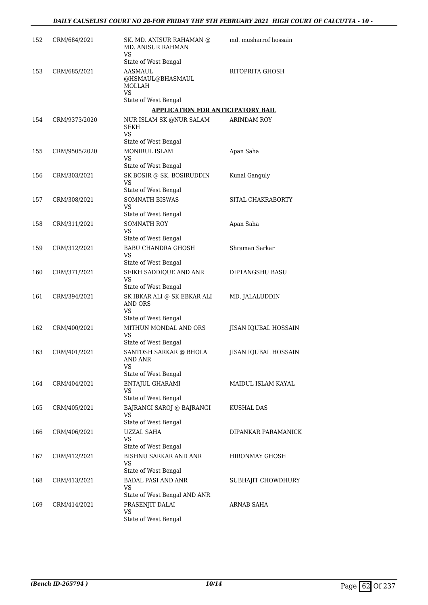| 152 | CRM/684/2021  | SK. MD. ANISUR RAHAMAN @<br><b>MD. ANISUR RAHMAN</b><br>VS                                   | md. musharrof hossain       |
|-----|---------------|----------------------------------------------------------------------------------------------|-----------------------------|
| 153 | CRM/685/2021  | State of West Bengal<br>AASMAUL<br>@HSMAUL@BHASMAUL<br>MOLLAH<br>VS.                         | RITOPRITA GHOSH             |
|     |               | State of West Bengal                                                                         |                             |
|     |               | APPLICATION FOR ANTICIPATORY BAIL                                                            |                             |
| 154 | CRM/9373/2020 | NUR ISLAM SK @NUR SALAM<br><b>SEKH</b><br>VS                                                 | <b>ARINDAM ROY</b>          |
|     |               | State of West Bengal                                                                         |                             |
| 155 | CRM/9505/2020 | MONIRUL ISLAM<br>VS<br>State of West Bengal                                                  | Apan Saha                   |
| 156 | CRM/303/2021  | SK BOSIR @ SK. BOSIRUDDIN<br>VS                                                              | Kunal Ganguly               |
|     |               | State of West Bengal                                                                         |                             |
| 157 | CRM/308/2021  | SOMNATH BISWAS<br>VS<br>State of West Bengal                                                 | SITAL CHAKRABORTY           |
| 158 | CRM/311/2021  | <b>SOMNATH ROY</b><br>VS                                                                     | Apan Saha                   |
|     |               | State of West Bengal                                                                         |                             |
| 159 | CRM/312/2021  | BABU CHANDRA GHOSH<br>VS<br>State of West Bengal                                             | Shraman Sarkar              |
| 160 | CRM/371/2021  | SEIKH SADDIQUE AND ANR<br>VS<br>State of West Bengal                                         | DIPTANGSHU BASU             |
| 161 | CRM/394/2021  | $\mathsf{SK}$ IBKAR ALI $\circledcirc$ SK EBKAR ALI<br>AND ORS<br>VS<br>State of West Bengal | MD. JALALUDDIN              |
| 162 | CRM/400/2021  | MITHUN MONDAL AND ORS<br>VS<br>State of West Bengal                                          | JISAN IQUBAL HOSSAIN        |
| 163 | CRM/401/2021  | SANTOSH SARKAR @ BHOLA<br>AND ANR<br>VS                                                      | <b>IISAN IOUBAL HOSSAIN</b> |
| 164 |               | State of West Bengal                                                                         |                             |
|     | CRM/404/2021  | ENTAJUL GHARAMI<br>VS<br>State of West Bengal                                                | MAIDUL ISLAM KAYAL          |
| 165 | CRM/405/2021  | BAJRANGI SAROJ @ BAJRANGI<br>VS<br>State of West Bengal                                      | KUSHAL DAS                  |
| 166 | CRM/406/2021  | UZZAL SAHA<br>VS.<br>State of West Bengal                                                    | DIPANKAR PARAMANICK         |
| 167 | CRM/412/2021  | BISHNU SARKAR AND ANR<br>VS<br>State of West Bengal                                          | <b>HIRONMAY GHOSH</b>       |
| 168 | CRM/413/2021  | <b>BADAL PASI AND ANR</b><br>VS<br>State of West Bengal AND ANR                              | SUBHAJIT CHOWDHURY          |
| 169 | CRM/414/2021  | PRASENJIT DALAI<br>VS<br>State of West Bengal                                                | ARNAB SAHA                  |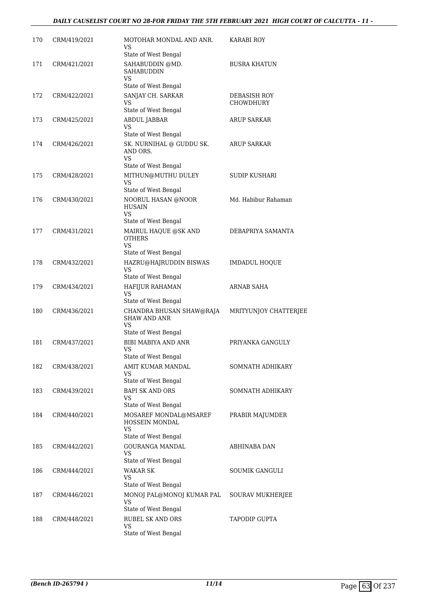#### *DAILY CAUSELIST COURT NO 28-FOR FRIDAY THE 5TH FEBRUARY 2021 HIGH COURT OF CALCUTTA - 11 -*

| 170 | CRM/419/2021 | MOTOHAR MONDAL AND ANR.<br>VS<br>State of West Bengal                                   | KARABI ROY                |
|-----|--------------|-----------------------------------------------------------------------------------------|---------------------------|
| 171 | CRM/421/2021 | SAHABUDDIN @MD.<br><b>SAHABUDDIN</b><br>VS<br>State of West Bengal                      | <b>BUSRA KHATUN</b>       |
| 172 | CRM/422/2021 | SANJAY CH. SARKAR<br>VS<br>State of West Bengal                                         | DEBASISH ROY<br>CHOWDHURY |
| 173 | CRM/425/2021 | ABDUL JABBAR<br>VS<br>State of West Bengal                                              | <b>ARUP SARKAR</b>        |
| 174 | CRM/426/2021 | SK. NURNIHAL @ GUDDU SK.<br>AND ORS.<br><b>VS</b><br>State of West Bengal               | ARUP SARKAR               |
| 175 | CRM/428/2021 | MITHUN@MUTHU DULEY<br><b>VS</b><br>State of West Bengal                                 | <b>SUDIP KUSHARI</b>      |
| 176 | CRM/430/2021 | NOORUL HASAN @NOOR<br><b>HUSAIN</b><br><b>VS</b><br>State of West Bengal                | Md. Habibur Rahaman       |
| 177 | CRM/431/2021 | MAIRUL HAQUE @SK AND<br><b>OTHERS</b><br>VS<br>State of West Bengal                     | DEBAPRIYA SAMANTA         |
| 178 | CRM/432/2021 | HAZRU@HAJRUDDIN BISWAS<br><b>VS</b><br>State of West Bengal                             | <b>IMDADUL HOQUE</b>      |
| 179 | CRM/434/2021 | HAFIJUR RAHAMAN<br><b>VS</b>                                                            | ARNAB SAHA                |
| 180 | CRM/436/2021 | State of West Bengal<br>CHANDRA BHUSAN SHAW@RAJA<br><b>SHAW AND ANR</b><br>VS           | MRITYUNJOY CHATTERJEE     |
| 181 | CRM/437/2021 | State of West Bengal<br><b>BIBI MABIYA AND ANR</b><br><b>VS</b><br>State of West Bengal | PRIYANKA GANGULY          |
| 182 | CRM/438/2021 | AMIT KUMAR MANDAL<br>VS<br>State of West Bengal                                         | SOMNATH ADHIKARY          |
| 183 | CRM/439/2021 | <b>BAPI SK AND ORS</b><br>VS<br>State of West Bengal                                    | SOMNATH ADHIKARY          |
| 184 | CRM/440/2021 | MOSAREF MONDAL@MSAREF<br>HOSSEIN MONDAL<br><b>VS</b><br>State of West Bengal            | PRABIR MAJUMDER           |
| 185 | CRM/442/2021 | GOURANGA MANDAL<br>VS<br>State of West Bengal                                           | ABHINABA DAN              |
| 186 | CRM/444/2021 | WAKAR SK<br>VS<br>State of West Bengal                                                  | <b>SOUMIK GANGULI</b>     |
| 187 | CRM/446/2021 | MONOJ PAL@MONOJ KUMAR PAL<br>VS<br>State of West Bengal                                 | SOURAV MUKHERJEE          |
| 188 | CRM/448/2021 | <b>RUBEL SK AND ORS</b><br>VS<br>State of West Bengal                                   | TAPODIP GUPTA             |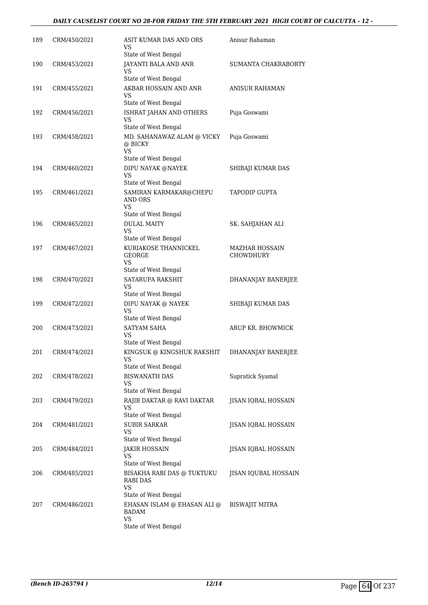| 189 | CRM/450/2021 | ASIT KUMAR DAS AND ORS<br>VS                                               | Anisur Rahaman                     |
|-----|--------------|----------------------------------------------------------------------------|------------------------------------|
| 190 | CRM/453/2021 | State of West Bengal<br>JAYANTI BALA AND ANR<br>VS                         | SUMANTA CHAKRABORTY                |
| 191 | CRM/455/2021 | State of West Bengal<br>AKBAR HOSSAIN AND ANR<br>VS                        | <b>ANISUR RAHAMAN</b>              |
| 192 | CRM/456/2021 | State of West Bengal<br>ISHRAT JAHAN AND OTHERS<br>VS                      | Puja Goswami                       |
| 193 | CRM/458/2021 | State of West Bengal<br>MD. SAHANAWAZ ALAM @ VICKY<br>@ BICKY<br><b>VS</b> | Puja Goswami                       |
| 194 | CRM/460/2021 | State of West Bengal<br>DIPU NAYAK @NAYEK<br>VS<br>State of West Bengal    | SHIBAJI KUMAR DAS                  |
| 195 | CRM/461/2021 | SAMIRAN KARMAKAR@CHEPU<br>AND ORS<br>VS                                    | <b>TAPODIP GUPTA</b>               |
| 196 | CRM/465/2021 | State of West Bengal<br><b>DULAL MAITY</b><br>VS                           | SK. SAHJAHAN ALI                   |
| 197 | CRM/467/2021 | State of West Bengal<br>KURIAKOSE THANNICKEL<br>GEORGE<br>VS               | MAZHAR HOSSAIN<br><b>CHOWDHURY</b> |
| 198 | CRM/470/2021 | State of West Bengal<br>SATARUPA RAKSHIT<br>VS<br>State of West Bengal     | DHANANJAY BANERJEE                 |
| 199 | CRM/472/2021 | DIPU NAYAK @ NAYEK<br><b>VS</b>                                            | SHIBAJI KUMAR DAS                  |
| 200 | CRM/473/2021 | State of West Bengal<br>SATYAM SAHA<br><b>VS</b><br>State of West Bengal   | ARUP KR. BHOWMICK                  |
| 201 | CRM/474/2021 | KINGSUK @ KINGSHUK RAKSHIT<br>VS<br>State of West Bengal                   | DHANANJAY BANERJEE                 |
| 202 | CRM/478/2021 | <b>BISWANATH DAS</b><br>VS<br>State of West Bengal                         | Supratick Syamal                   |
| 203 | CRM/479/2021 | RAJIB DAKTAR @ RAVI DAKTAR<br>VS<br>State of West Bengal                   | JISAN IQBAL HOSSAIN                |
| 204 | CRM/481/2021 | SUBIR SARKAR<br>VS<br>State of West Bengal                                 | JISAN IQBAL HOSSAIN                |
| 205 | CRM/484/2021 | JAKIR HOSSAIN<br>VS<br>State of West Bengal                                | JISAN IQBAL HOSSAIN                |
| 206 | CRM/485/2021 | BISAKHA RABI DAS @ TUKTUKU<br>RABI DAS<br>VS<br>State of West Bengal       | JISAN IQUBAL HOSSAIN               |
| 207 | CRM/486/2021 | EHASAN ISLAM @ EHASAN ALI @<br>BADAM<br>VS<br>State of West Bengal         | BISWAJIT MITRA                     |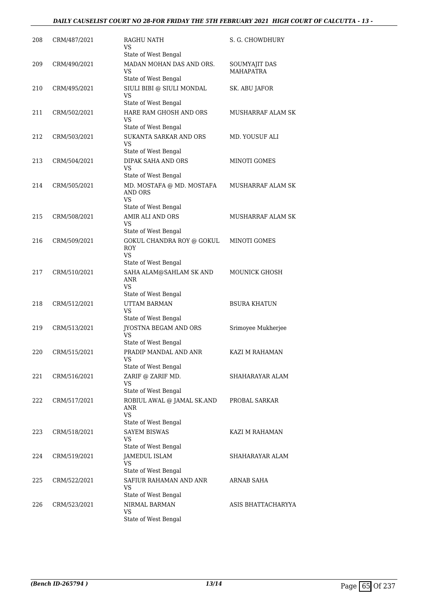#### *DAILY CAUSELIST COURT NO 28-FOR FRIDAY THE 5TH FEBRUARY 2021 HIGH COURT OF CALCUTTA - 13 -*

| 208 | CRM/487/2021 | <b>RAGHU NATH</b><br>VS<br>State of West Bengal                                                | S. G. CHOWDHURY                   |
|-----|--------------|------------------------------------------------------------------------------------------------|-----------------------------------|
| 209 | CRM/490/2021 | MADAN MOHAN DAS AND ORS.<br>VS                                                                 | SOUMYAJIT DAS<br><b>MAHAPATRA</b> |
| 210 | CRM/495/2021 | State of West Bengal<br>SIULI BIBI @ SIULI MONDAL<br><b>VS</b>                                 | SK. ABU JAFOR                     |
| 211 | CRM/502/2021 | State of West Bengal<br>HARE RAM GHOSH AND ORS<br>VS                                           | MUSHARRAF ALAM SK                 |
| 212 | CRM/503/2021 | State of West Bengal<br>SUKANTA SARKAR AND ORS<br>VS                                           | MD. YOUSUF ALI                    |
| 213 | CRM/504/2021 | State of West Bengal<br>DIPAK SAHA AND ORS<br>VS<br>State of West Bengal                       | MINOTI GOMES                      |
| 214 | CRM/505/2021 | MD. MOSTAFA @ MD. MOSTAFA<br>AND ORS<br><b>VS</b>                                              | MUSHARRAF ALAM SK                 |
| 215 | CRM/508/2021 | State of West Bengal<br>AMIR ALI AND ORS<br>VS<br>State of West Bengal                         | MUSHARRAF ALAM SK                 |
| 216 | CRM/509/2021 | GOKUL CHANDRA ROY @ GOKUL<br><b>ROY</b><br>VS.                                                 | MINOTI GOMES                      |
| 217 | CRM/510/2021 | State of West Bengal<br>SAHA ALAM@SAHLAM SK AND<br><b>ANR</b><br>VS.                           | <b>MOUNICK GHOSH</b>              |
|     |              | State of West Bengal                                                                           |                                   |
| 218 | CRM/512/2021 | UTTAM BARMAN<br><b>VS</b><br>State of West Bengal                                              | <b>BSURA KHATUN</b>               |
| 219 | CRM/513/2021 | JYOSTNA BEGAM AND ORS<br>VS<br>State of West Bengal                                            | Srimoyee Mukherjee                |
| 220 | CRM/515/2021 | PRADIP MANDAL AND ANR<br><b>VS</b><br>State of West Bengal                                     | KAZI M RAHAMAN                    |
| 221 | CRM/516/2021 | ZARIF @ ZARIF MD.<br>VS                                                                        | SHAHARAYAR ALAM                   |
| 222 | CRM/517/2021 | State of West Bengal<br>ROBIUL AWAL @ JAMAL SK.AND<br>ANR<br><b>VS</b><br>State of West Bengal | PROBAL SARKAR                     |
| 223 | CRM/518/2021 | <b>SAYEM BISWAS</b><br>VS<br>State of West Bengal                                              | KAZI M RAHAMAN                    |
| 224 | CRM/519/2021 | JAMEDUL ISLAM<br>VS<br>State of West Bengal                                                    | SHAHARAYAR ALAM                   |
| 225 | CRM/522/2021 | SAFIUR RAHAMAN AND ANR<br>VS<br>State of West Bengal                                           | ARNAB SAHA                        |
| 226 | CRM/523/2021 | NIRMAL BARMAN<br>VS<br>State of West Bengal                                                    | ASIS BHATTACHARYYA                |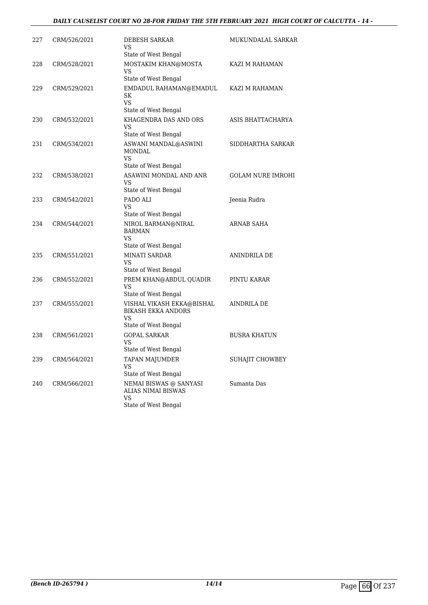#### *DAILY CAUSELIST COURT NO 28-FOR FRIDAY THE 5TH FEBRUARY 2021 HIGH COURT OF CALCUTTA - 14 -*

| 227 | CRM/526/2021 | <b>DEBESH SARKAR</b><br>VS<br>State of West Bengal                                    | MUKUNDALAL SARKAR        |
|-----|--------------|---------------------------------------------------------------------------------------|--------------------------|
| 228 | CRM/528/2021 | MOSTAKIM KHAN@MOSTA<br>VS<br>State of West Bengal                                     | KAZI M RAHAMAN           |
| 229 | CRM/529/2021 | EMDADUL RAHAMAN@EMADUL<br>SK<br>VS.<br>State of West Bengal                           | KAZI M RAHAMAN           |
| 230 | CRM/532/2021 | KHAGENDRA DAS AND ORS<br><b>VS</b><br>State of West Bengal                            | ASIS BHATTACHARYA        |
| 231 | CRM/534/2021 | ASWANI MANDAL@ASWINI<br><b>MONDAL</b><br>VS<br>State of West Bengal                   | SIDDHARTHA SARKAR        |
| 232 | CRM/538/2021 | ASAWINI MONDAL AND ANR<br>VS.<br>State of West Bengal                                 | <b>GOLAM NURE IMROHI</b> |
| 233 | CRM/542/2021 | PADO ALI<br><b>VS</b><br>State of West Bengal                                         | Jeenia Rudra             |
| 234 | CRM/544/2021 | NIROL BARMAN@NIRAL<br><b>BARMAN</b><br><b>VS</b><br>State of West Bengal              | ARNAB SAHA               |
| 235 | CRM/551/2021 | <b>MINATI SARDAR</b><br>VS<br>State of West Bengal                                    | ANINDRILA DE             |
| 236 | CRM/552/2021 | PREM KHAN@ABDUL QUADIR<br><b>VS</b><br>State of West Bengal                           | PINTU KARAR              |
| 237 | CRM/555/2021 | VISHAL VIKASH EKKA@BISHAL<br><b>BIKASH EKKA ANDORS</b><br>VS.<br>State of West Bengal | AINDRILA DE              |
| 238 | CRM/561/2021 | <b>GOPAL SARKAR</b><br><b>VS</b><br>State of West Bengal                              | <b>BUSRA KHATUN</b>      |
| 239 | CRM/564/2021 | TAPAN MAJUMDER<br><b>VS</b><br>State of West Bengal                                   | SUHAJIT CHOWBEY          |
| 240 | CRM/566/2021 | NEMAI BISWAS @ SANYASI<br><b>ALIAS NIMAI BISWAS</b><br>VS<br>State of West Bengal     | Sumanta Das              |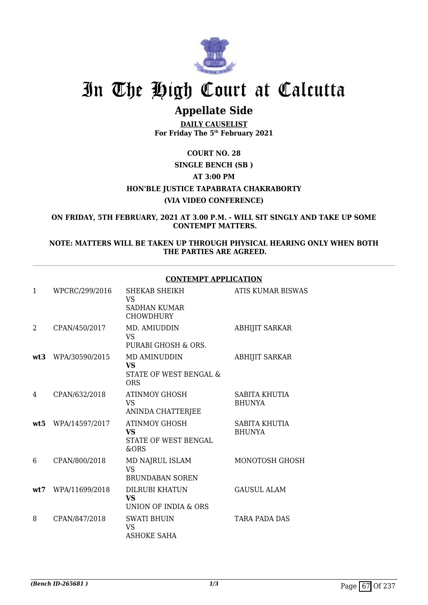

## **Appellate Side**

**DAILY CAUSELIST For Friday The 5th February 2021**

# **COURT NO. 28**

## **SINGLE BENCH (SB )**

### **AT 3:00 PM HON'BLE JUSTICE TAPABRATA CHAKRABORTY (VIA VIDEO CONFERENCE)**

**ON FRIDAY, 5TH FEBRUARY, 2021 AT 3.00 P.M. - WILL SIT SINGLY AND TAKE UP SOME CONTEMPT MATTERS.**

#### **NOTE: MATTERS WILL BE TAKEN UP THROUGH PHYSICAL HEARING ONLY WHEN BOTH THE PARTIES ARE AGREED.**

#### **CONTEMPT APPLICATION**

| 1              | WPCRC/299/2016 | SHEKAB SHEIKH<br>VS<br><b>SADHAN KUMAR</b><br><b>CHOWDHURY</b>    | <b>ATIS KUMAR BISWAS</b>       |
|----------------|----------------|-------------------------------------------------------------------|--------------------------------|
| $\overline{2}$ | CPAN/450/2017  | MD. AMIUDDIN<br>VS.<br>PURABI GHOSH & ORS.                        | <b>ABHIJIT SARKAR</b>          |
| wt3            | WPA/30590/2015 | MD AMINUDDIN<br><b>VS</b><br>STATE OF WEST BENGAL &<br><b>ORS</b> | <b>ABHIJIT SARKAR</b>          |
| 4              | CPAN/632/2018  | ATINMOY GHOSH<br><b>VS</b><br>ANINDA CHATTERJEE                   | SABITA KHUTIA<br><b>BHUNYA</b> |
| wt5            | WPA/14597/2017 | <b>ATINMOY GHOSH</b><br><b>VS</b><br>STATE OF WEST BENGAL<br>&ORS | SABITA KHUTIA<br><b>BHUNYA</b> |
| 6              | CPAN/800/2018  | MD NAJRUL ISLAM<br><b>VS</b><br><b>BRUNDABAN SOREN</b>            | MONOTOSH GHOSH                 |
| wt.7           | WPA/11699/2018 | DILRUBI KHATUN<br><b>VS</b><br>UNION OF INDIA & ORS               | <b>GAUSUL ALAM</b>             |
| 8              | CPAN/847/2018  | <b>SWATI BHUIN</b><br><b>VS</b><br><b>ASHOKE SAHA</b>             | TARA PADA DAS                  |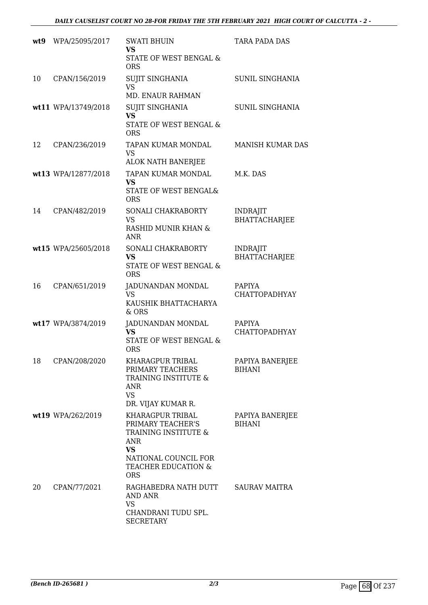| wt9 | WPA/25095/2017      | <b>SWATI BHUIN</b><br><b>VS</b><br>STATE OF WEST BENGAL &<br><b>ORS</b>                                                                        | TARA PADA DAS                           |
|-----|---------------------|------------------------------------------------------------------------------------------------------------------------------------------------|-----------------------------------------|
| 10  | CPAN/156/2019       | <b>SUJIT SINGHANIA</b><br><b>VS</b><br><b>MD. ENAUR RAHMAN</b>                                                                                 | <b>SUNIL SINGHANIA</b>                  |
|     | wt11 WPA/13749/2018 | <b>SUJIT SINGHANIA</b><br><b>VS</b><br>STATE OF WEST BENGAL &<br><b>ORS</b>                                                                    | <b>SUNIL SINGHANIA</b>                  |
| 12  | CPAN/236/2019       | TAPAN KUMAR MONDAL<br>VS<br>ALOK NATH BANERJEE                                                                                                 | <b>MANISH KUMAR DAS</b>                 |
|     | wt13 WPA/12877/2018 | TAPAN KUMAR MONDAL<br><b>VS</b><br><b>STATE OF WEST BENGAL&amp;</b><br><b>ORS</b>                                                              | M.K. DAS                                |
| 14  | CPAN/482/2019       | SONALI CHAKRABORTY<br><b>VS</b><br><b>RASHID MUNIR KHAN &amp;</b><br><b>ANR</b>                                                                | <b>INDRAJIT</b><br><b>BHATTACHARJEE</b> |
|     | wt15 WPA/25605/2018 | SONALI CHAKRABORTY<br><b>VS</b><br>STATE OF WEST BENGAL &<br><b>ORS</b>                                                                        | <b>INDRAJIT</b><br><b>BHATTACHARJEE</b> |
| 16  | CPAN/651/2019       | JADUNANDAN MONDAL<br><b>VS</b><br>KAUSHIK BHATTACHARYA<br>& ORS                                                                                | <b>PAPIYA</b><br><b>CHATTOPADHYAY</b>   |
|     | wt17 WPA/3874/2019  | JADUNANDAN MONDAL<br><b>VS</b><br>STATE OF WEST BENGAL &<br><b>ORS</b>                                                                         | PAPIYA<br>CHATTOPADHYAY                 |
| 18  | CPAN/208/2020       | <b>KHARAGPUR TRIBAL</b><br>PRIMARY TEACHERS<br>TRAINING INSTITUTE &<br><b>ANR</b><br><b>VS</b><br>DR. VIJAY KUMAR R.                           | PAPIYA BANERJEE<br><b>BIHANI</b>        |
|     | wt19 WPA/262/2019   | KHARAGPUR TRIBAL<br>PRIMARY TEACHER'S<br>TRAINING INSTITUTE &<br>ANR<br><b>VS</b><br>NATIONAL COUNCIL FOR<br>TEACHER EDUCATION &<br><b>ORS</b> | PAPIYA BANERJEE<br><b>BIHANI</b>        |
| 20  | CPAN/77/2021        | RAGHABEDRA NATH DUTT<br>AND ANR<br><b>VS</b><br>CHANDRANI TUDU SPL.<br><b>SECRETARY</b>                                                        | <b>SAURAV MAITRA</b>                    |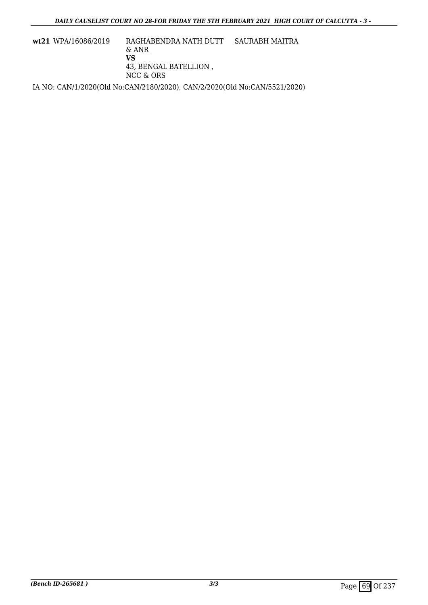**wt21** WPA/16086/2019 RAGHABENDRA NATH DUTT & ANR **VS** 43, BENGAL BATELLION , NCC & ORS SAURABH MAITRA IA NO: CAN/1/2020(Old No:CAN/2180/2020), CAN/2/2020(Old No:CAN/5521/2020)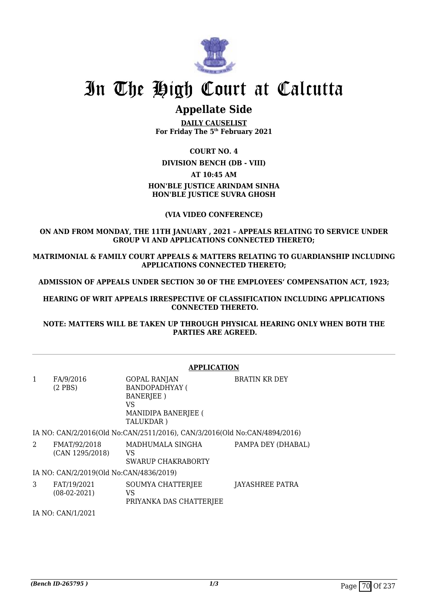

### **Appellate Side**

**DAILY CAUSELIST For Friday The 5th February 2021**

#### **COURT NO. 4**

**DIVISION BENCH (DB - VIII)**

#### **AT 10:45 AM**

#### **HON'BLE JUSTICE ARINDAM SINHA HON'BLE JUSTICE SUVRA GHOSH**

#### **(VIA VIDEO CONFERENCE)**

#### **ON AND FROM MONDAY, THE 11TH JANUARY , 2021 – APPEALS RELATING TO SERVICE UNDER GROUP VI AND APPLICATIONS CONNECTED THERETO;**

**MATRIMONIAL & FAMILY COURT APPEALS & MATTERS RELATING TO GUARDIANSHIP INCLUDING APPLICATIONS CONNECTED THERETO;**

**ADMISSION OF APPEALS UNDER SECTION 30 OF THE EMPLOYEES' COMPENSATION ACT, 1923;**

**HEARING OF WRIT APPEALS IRRESPECTIVE OF CLASSIFICATION INCLUDING APPLICATIONS CONNECTED THERETO.**

**NOTE: MATTERS WILL BE TAKEN UP THROUGH PHYSICAL HEARING ONLY WHEN BOTH THE PARTIES ARE AGREED.**

|                                         |                                 | <b>APPLICATION</b>                                                                                                 |                      |  |
|-----------------------------------------|---------------------------------|--------------------------------------------------------------------------------------------------------------------|----------------------|--|
| 1                                       | FA/9/2016<br>$(2$ PBS)          | <b>GOPAL RANJAN</b><br><b>BANDOPADHYAY (</b><br><b>BANERJEE</b> )<br>VS<br><b>MANIDIPA BANERJEE (</b><br>TALUKDAR) | <b>BRATIN KR DEY</b> |  |
|                                         |                                 | IA NO: CAN/2/2016(Old No:CAN/2511/2016), CAN/3/2016(Old No:CAN/4894/2016)                                          |                      |  |
| 2                                       | FMAT/92/2018<br>(CAN 1295/2018) | MADHUMALA SINGHA<br>VS<br>SWARUP CHAKRABORTY                                                                       | PAMPA DEY (DHABAL)   |  |
| IA NO: CAN/2/2019(Old No:CAN/4836/2019) |                                 |                                                                                                                    |                      |  |
| 3                                       | FAT/19/2021<br>$(08-02-2021)$   | SOUMYA CHATTERJEE<br>VS<br>PRIYANKA DAS CHATTERJEE                                                                 | JAYASHREE PATRA      |  |
|                                         | IA NO: CAN/1/2021               |                                                                                                                    |                      |  |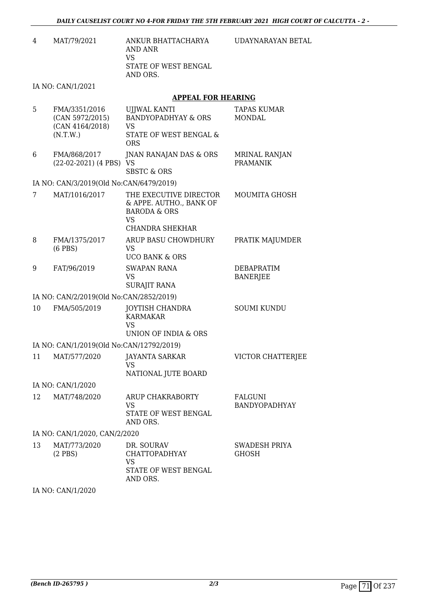| 4 | MAT/79/2021 | ANKUR BHATTACHARYA   |
|---|-------------|----------------------|
|   |             | AND ANR              |
|   |             | VS.                  |
|   |             | STATE OF WEST BENGAL |
|   |             | AND ORS.             |
|   |             |                      |

UDAYNARAYAN BETAL

IA NO: CAN/1/2021

#### **APPEAL FOR HEARING**

| 5  | FMA/3351/2016<br>(CAN 5972/2015)<br>(CAN 4164/2018)<br>(N.T.W.) | UJJWAL KANTI<br><b>BANDYOPADHYAY &amp; ORS</b><br>VS<br>STATE OF WEST BENGAL &<br><b>ORS</b>                        | <b>TAPAS KUMAR</b><br><b>MONDAL</b>     |
|----|-----------------------------------------------------------------|---------------------------------------------------------------------------------------------------------------------|-----------------------------------------|
| 6  | FMA/868/2017<br>(22-02-2021) (4 PBS) VS                         | JNAN RANAJAN DAS & ORS<br><b>SBSTC &amp; ORS</b>                                                                    | <b>MRINAL RANJAN</b><br><b>PRAMANIK</b> |
|    | IA NO: CAN/3/2019(Old No:CAN/6479/2019)                         |                                                                                                                     |                                         |
| 7  | MAT/1016/2017                                                   | THE EXECUTIVE DIRECTOR<br>& APPE. AUTHO., BANK OF<br><b>BARODA &amp; ORS</b><br><b>VS</b><br><b>CHANDRA SHEKHAR</b> | MOUMITA GHOSH                           |
| 8  | FMA/1375/2017<br>$(6$ PBS $)$                                   | ARUP BASU CHOWDHURY<br><b>VS</b><br><b>UCO BANK &amp; ORS</b>                                                       | PRATIK MAJUMDER                         |
| 9  | FAT/96/2019                                                     | <b>SWAPAN RANA</b><br>VS<br><b>SURAJIT RANA</b>                                                                     | DEBAPRATIM<br><b>BANERJEE</b>           |
|    | IA NO: CAN/2/2019(Old No:CAN/2852/2019)                         |                                                                                                                     |                                         |
| 10 | FMA/505/2019                                                    | <b>JOYTISH CHANDRA</b><br><b>KARMAKAR</b><br>VS<br><b>UNION OF INDIA &amp; ORS</b>                                  | <b>SOUMI KUNDU</b>                      |
|    | IA NO: CAN/1/2019(Old No:CAN/12792/2019)                        |                                                                                                                     |                                         |
| 11 | MAT/577/2020                                                    | <b>JAYANTA SARKAR</b><br><b>VS</b><br>NATIONAL JUTE BOARD                                                           | VICTOR CHATTERJEE                       |
|    | IA NO: CAN/1/2020                                               |                                                                                                                     |                                         |
| 12 | MAT/748/2020                                                    | ARUP CHAKRABORTY<br>VS<br>STATE OF WEST BENGAL<br>AND ORS.                                                          | <b>FALGUNI</b><br><b>BANDYOPADHYAY</b>  |
|    | IA NO: CAN/1/2020, CAN/2/2020                                   |                                                                                                                     |                                         |
| 13 | MAT/773/2020<br>$(2$ PBS)                                       | DR. SOURAV<br><b>CHATTOPADHYAY</b><br>VS<br>STATE OF WEST BENGAL<br>AND ORS.                                        | SWADESH PRIYA<br><b>GHOSH</b>           |

IA NO: CAN/1/2020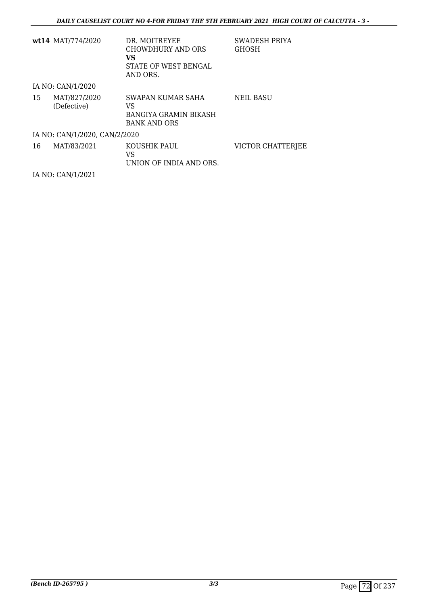|                               | wt14 MAT/774/2020           | DR. MOITREYEE<br>CHOWDHURY AND ORS<br>VS.<br>STATE OF WEST BENGAL<br>AND ORS. | <b>SWADESH PRIYA</b><br><b>GHOSH</b> |  |
|-------------------------------|-----------------------------|-------------------------------------------------------------------------------|--------------------------------------|--|
|                               | IA NO: CAN/1/2020           |                                                                               |                                      |  |
| 15                            | MAT/827/2020<br>(Defective) | SWAPAN KUMAR SAHA<br>VS<br>BANGIYA GRAMIN BIKASH<br><b>BANK AND ORS</b>       | NEIL BASU                            |  |
| IA NO: CAN/1/2020, CAN/2/2020 |                             |                                                                               |                                      |  |
| 16                            | MAT/83/2021                 | KOUSHIK PAUL<br>VS<br>UNION OF INDIA AND ORS.                                 | VICTOR CHATTERJEE                    |  |

IA NO: CAN/1/2021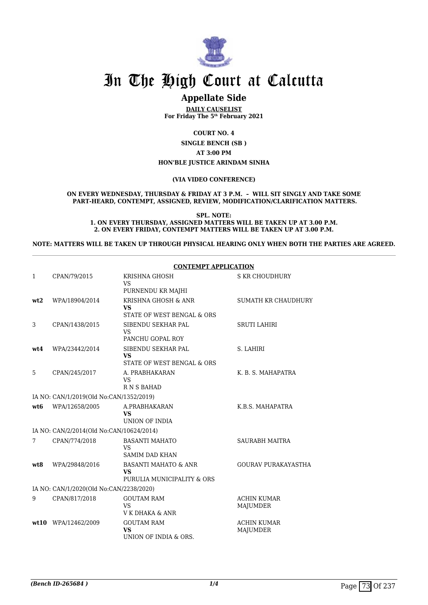

## **Appellate Side**

**DAILY CAUSELIST For Friday The 5th February 2021**

**COURT NO. 4**

**SINGLE BENCH (SB ) AT 3:00 PM HON'BLE JUSTICE ARINDAM SINHA**

#### **(VIA VIDEO CONFERENCE)**

#### **ON EVERY WEDNESDAY, THURSDAY & FRIDAY AT 3 P.M. – WILL SIT SINGLY AND TAKE SOME PART-HEARD, CONTEMPT, ASSIGNED, REVIEW, MODIFICATION/CLARIFICATION MATTERS.**

**SPL. NOTE: 1. ON EVERY THURSDAY, ASSIGNED MATTERS WILL BE TAKEN UP AT 3.00 P.M. 2. ON EVERY FRIDAY, CONTEMPT MATTERS WILL BE TAKEN UP AT 3.00 P.M.**

**NOTE: MATTERS WILL BE TAKEN UP THROUGH PHYSICAL HEARING ONLY WHEN BOTH THE PARTIES ARE AGREED.**

|                 |                                          | <b>CONTEMPT APPLICATION</b>                                          |                                |  |
|-----------------|------------------------------------------|----------------------------------------------------------------------|--------------------------------|--|
| 1               | CPAN/79/2015                             | KRISHNA GHOSH<br><b>VS</b><br>PURNENDU KR MAJHI                      | <b>S KR CHOUDHURY</b>          |  |
| wt2             | WPA/18904/2014                           | KRISHNA GHOSH & ANR<br><b>VS</b><br>STATE OF WEST BENGAL & ORS       | SUMATH KR CHAUDHURY            |  |
| 3               | CPAN/1438/2015                           | SIBENDU SEKHAR PAL<br><b>VS</b><br>PANCHU GOPAL ROY                  | <b>SRUTI LAHIRI</b>            |  |
| wt4             | WPA/23442/2014                           | SIBENDU SEKHAR PAL<br><b>VS</b><br>STATE OF WEST BENGAL & ORS        | S. LAHIRI                      |  |
| 5               | CPAN/245/2017                            | A. PRABHAKARAN<br><b>VS</b><br><b>RNSBAHAD</b>                       | K. B. S. MAHAPATRA             |  |
|                 | IA NO: CAN/1/2019(Old No:CAN/1352/2019)  |                                                                      |                                |  |
| wt <sub>6</sub> | WPA/12658/2005                           | A.PRABHAKARAN<br><b>VS</b><br>UNION OF INDIA                         | K.B.S. MAHAPATRA               |  |
|                 | IA NO: CAN/2/2014(Old No:CAN/10624/2014) |                                                                      |                                |  |
| 7               | CPAN/774/2018                            | <b>BASANTI MAHATO</b><br><b>VS</b><br><b>SAMIM DAD KHAN</b>          | <b>SAURABH MAITRA</b>          |  |
| wt.8            | WPA/29848/2016                           | <b>BASANTI MAHATO &amp; ANR</b><br>VS.<br>PURULIA MUNICIPALITY & ORS | <b>GOURAV PURAKAYASTHA</b>     |  |
|                 | IA NO: CAN/1/2020(Old No:CAN/2238/2020)  |                                                                      |                                |  |
| 9               | CPAN/817/2018                            | <b>GOUTAM RAM</b><br>VS<br>V K DHAKA & ANR                           | <b>ACHIN KUMAR</b><br>MAJUMDER |  |
|                 | wt10 WPA/12462/2009                      | <b>GOUTAM RAM</b><br><b>VS</b><br>UNION OF INDIA & ORS.              | <b>ACHIN KUMAR</b><br>MAJUMDER |  |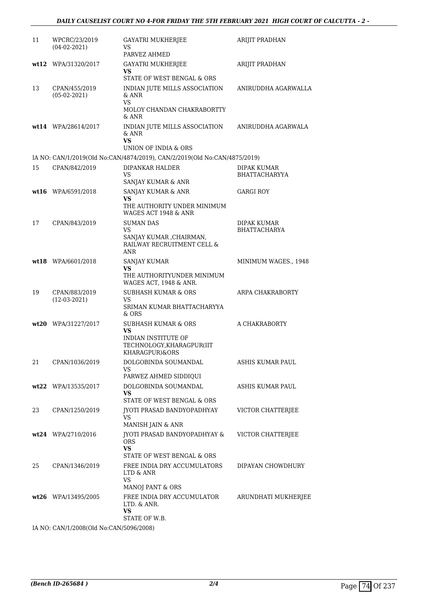| 11 | WPCRC/23/2019<br>$(04-02-2021)$ | GAYATRI MUKHERJEE<br>VS<br>PARVEZ AHMED                                                                           | ARIJIT PRADHAN                             |
|----|---------------------------------|-------------------------------------------------------------------------------------------------------------------|--------------------------------------------|
|    | wt12 WPA/31320/2017             | GAYATRI MUKHERJEE<br>VS                                                                                           | ARIJIT PRADHAN                             |
| 13 | CPAN/455/2019<br>$(05-02-2021)$ | STATE OF WEST BENGAL & ORS<br>INDIAN JUTE MILLS ASSOCIATION<br>& ANR<br>VS<br>MOLOY CHANDAN CHAKRABORTTY<br>& ANR | ANIRUDDHA AGARWALLA                        |
|    | wt14 WPA/28614/2017             | INDIAN JUTE MILLS ASSOCIATION<br>& ANR<br><b>VS</b><br>UNION OF INDIA & ORS                                       | ANIRUDDHA AGARWALA                         |
|    |                                 | IA NO: CAN/1/2019(Old No:CAN/4874/2019), CAN/2/2019(Old No:CAN/4875/2019)                                         |                                            |
| 15 | CPAN/842/2019                   | DIPANKAR HALDER<br>VS<br>SANJAY KUMAR & ANR                                                                       | <b>DIPAK KUMAR</b><br><b>BHATTACHARYYA</b> |
|    | wt16 WPA/6591/2018              | SANJAY KUMAR & ANR<br>VS.<br>THE AUTHORITY UNDER MINIMUM<br>WAGES ACT 1948 & ANR                                  | GARGI ROY                                  |
| 17 | CPAN/843/2019                   | <b>SUMAN DAS</b><br>VS<br>SANJAY KUMAR , CHAIRMAN,<br>RAILWAY RECRUITMENT CELL &<br><b>ANR</b>                    | DIPAK KUMAR<br><b>BHATTACHARYA</b>         |
|    | wt18 WPA/6601/2018              | SANJAY KUMAR<br>VS.<br>THE AUTHORITYUNDER MINIMUM<br>WAGES ACT, 1948 & ANR.                                       | MINIMUM WAGES., 1948                       |
| 19 | CPAN/883/2019<br>$(12-03-2021)$ | <b>SUBHASH KUMAR &amp; ORS</b><br>VS<br>SRIMAN KUMAR BHATTACHARYYA<br>$&$ ORS                                     | ARPA CHAKRABORTY                           |
|    | wt20 WPA/31227/2017             | <b>SUBHASH KUMAR &amp; ORS</b><br>VS<br>INDIAN INSTITUTE OF<br>TECHNOLOGY, KHARAGPUR(IIT<br>KHARAGPUR)&ORS        | A CHAKRABORTY                              |
| 21 | CPAN/1036/2019                  | DOLGOBINDA SOUMANDAL<br>VS<br>PARWEZ AHMED SIDDIQUI                                                               | ASHIS KUMAR PAUL                           |
|    | wt22 WPA/13535/2017             | DOLGOBINDA SOUMANDAL<br>VS.<br>STATE OF WEST BENGAL & ORS                                                         | ASHIS KUMAR PAUL                           |
| 23 | CPAN/1250/2019                  | JYOTI PRASAD BANDYOPADHYAY<br><b>VS</b><br>MANISH JAIN & ANR                                                      | VICTOR CHATTERJEE                          |
|    | wt24 WPA/2710/2016              | JYOTI PRASAD BANDYOPADHYAY &<br>ORS.<br><b>VS</b><br>STATE OF WEST BENGAL & ORS                                   | VICTOR CHATTERJEE                          |
| 25 | CPAN/1346/2019                  | FREE INDIA DRY ACCUMULATORS<br>LTD & ANR<br><b>VS</b><br>MANOJ PANT & ORS                                         | DIPAYAN CHOWDHURY                          |
|    | wt26 WPA/13495/2005             | FREE INDIA DRY ACCUMULATOR<br>LTD. & ANR.<br>VS<br>STATE OF W.B.                                                  | ARUNDHATI MUKHERJEE                        |
|    |                                 |                                                                                                                   |                                            |

IA NO: CAN/1/2008(Old No:CAN/5096/2008)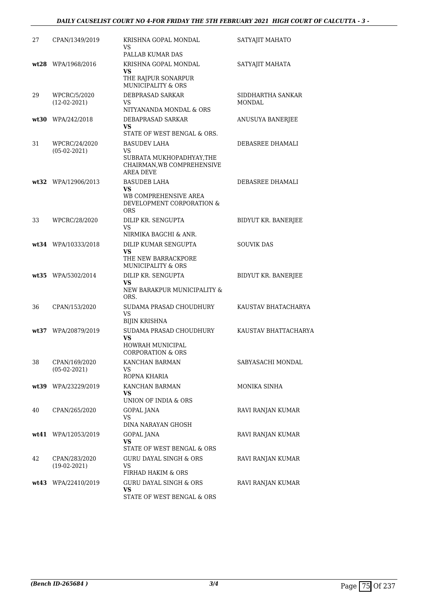| 27 | CPAN/1349/2019                  | KRISHNA GOPAL MONDAL<br>VS<br>PALLAB KUMAR DAS                                                                  | SATYAJIT MAHATO             |
|----|---------------------------------|-----------------------------------------------------------------------------------------------------------------|-----------------------------|
|    | wt28 WPA/1968/2016              | KRISHNA GOPAL MONDAL<br><b>VS</b><br>THE RAJPUR SONARPUR<br><b>MUNICIPALITY &amp; ORS</b>                       | SATYAJIT MAHATA             |
| 29 | WPCRC/5/2020<br>$(12-02-2021)$  | DEBPRASAD SARKAR<br>VS<br>NITYANANDA MONDAL & ORS                                                               | SIDDHARTHA SANKAR<br>MONDAL |
|    | wt30 WPA/242/2018               | DEBAPRASAD SARKAR<br><b>VS</b><br>STATE OF WEST BENGAL & ORS.                                                   | ANUSUYA BANERJEE            |
| 31 | WPCRC/24/2020<br>$(05-02-2021)$ | <b>BASUDEV LAHA</b><br><b>VS</b><br>SUBRATA MUKHOPADHYAY, THE<br>CHAIRMAN, WB COMPREHENSIVE<br><b>AREA DEVE</b> | DEBASREE DHAMALI            |
|    | wt32 WPA/12906/2013             | <b>BASUDEB LAHA</b><br>VS<br>WB COMPREHENSIVE AREA<br>DEVELOPMENT CORPORATION &<br><b>ORS</b>                   | DEBASREE DHAMALI            |
| 33 | WPCRC/28/2020                   | DILIP KR. SENGUPTA<br>VS<br>NIRMIKA BAGCHI & ANR.                                                               | BIDYUT KR. BANERJEE         |
|    | wt34 WPA/10333/2018             | DILIP KUMAR SENGUPTA<br><b>VS</b><br>THE NEW BARRACKPORE<br><b>MUNICIPALITY &amp; ORS</b>                       | <b>SOUVIK DAS</b>           |
|    | wt35 WPA/5302/2014              | DILIP KR. SENGUPTA<br><b>VS</b><br>NEW BARAKPUR MUNICIPALITY &<br>ORS.                                          | BIDYUT KR. BANERJEE         |
| 36 | CPAN/153/2020                   | SUDAMA PRASAD CHOUDHURY<br>VS<br>BIJIN KRISHNA                                                                  | KAUSTAV BHATACHARYA         |
|    | wt37 WPA/20879/2019             | SUDAMA PRASAD CHOUDHURY<br><b>VS</b><br>HOWRAH MUNICIPAL<br><b>CORPORATION &amp; ORS</b>                        | KAUSTAV BHATTACHARYA        |
| 38 | CPAN/169/2020<br>$(05-02-2021)$ | KANCHAN BARMAN<br>VS.<br>ROPNA KHARIA                                                                           | SABYASACHI MONDAL           |
|    | wt39 WPA/23229/2019             | KANCHAN BARMAN<br><b>VS</b><br>UNION OF INDIA & ORS                                                             | MONIKA SINHA                |
| 40 | CPAN/265/2020                   | <b>GOPAL JANA</b><br>VS<br>DINA NARAYAN GHOSH                                                                   | RAVI RANJAN KUMAR           |
|    | $wt41$ WPA/12053/2019           | GOPAL JANA<br><b>VS</b><br>STATE OF WEST BENGAL & ORS                                                           | RAVI RANJAN KUMAR           |
| 42 | CPAN/283/2020<br>$(19-02-2021)$ | <b>GURU DAYAL SINGH &amp; ORS</b><br>VS.<br>FIRHAD HAKIM & ORS                                                  | RAVI RANJAN KUMAR           |
|    | wt43 WPA/22410/2019             | <b>GURU DAYAL SINGH &amp; ORS</b><br><b>VS</b><br>STATE OF WEST BENGAL & ORS                                    | RAVI RANJAN KUMAR           |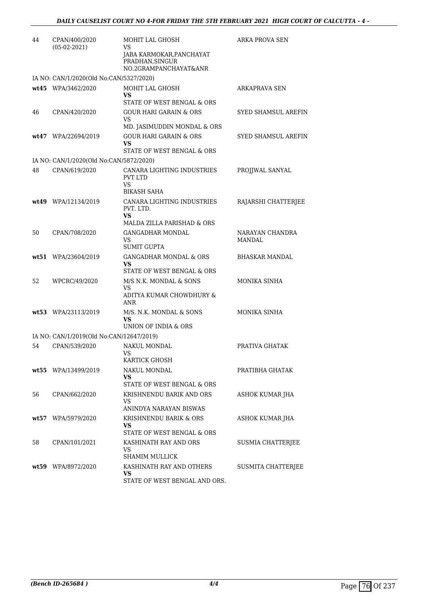| 44   | CPAN/400/2020<br>$(05-02-2021)$          | MOHIT LAL GHOSH<br>VS<br>JABA KARMOKAR, PANCHAYAT<br>PRADHAN, SINGUR<br>NO.2GRAMPANCHAYAT&ANR | ARKA PROVA SEN             |
|------|------------------------------------------|-----------------------------------------------------------------------------------------------|----------------------------|
|      | IA NO: CAN/1/2020(Old No:CAN/5327/2020)  |                                                                                               |                            |
|      | wt45 WPA/3462/2020                       | MOHIT LAL GHOSH<br>VS<br>STATE OF WEST BENGAL & ORS                                           | ARKAPRAVA SEN              |
| 46   | CPAN/420/2020                            | <b>GOUR HARI GARAIN &amp; ORS</b><br>VS.<br>MD. JASIMUDDIN MONDAL & ORS                       | <b>SYED SHAMSUL AREFIN</b> |
|      | $wt47$ WPA/22694/2019                    | <b>GOUR HARI GARAIN &amp; ORS</b><br>VS<br>STATE OF WEST BENGAL & ORS                         | SYED SHAMSUL AREFIN        |
|      | IA NO: CAN/1/2020(Old No:CAN/5872/2020)  |                                                                                               |                            |
| 48   | CPAN/619/2020                            | CANARA LIGHTING INDUSTRIES<br><b>PVT LTD</b><br><b>VS</b><br>BIKASH SAHA                      | PROJJWAL SANYAL            |
|      | wt49 WPA/12134/2019                      | CANARA LIGHTING INDUSTRIES<br>PVT. LTD.<br><b>VS</b><br>MALDA ZILLA PARISHAD & ORS            | RAJARSHI CHATTERJEE        |
| 50   | CPAN/708/2020                            | <b>GANGADHAR MONDAL</b><br>VS<br><b>SUMIT GUPTA</b>                                           | NARAYAN CHANDRA<br>MANDAL  |
|      | wt51 WPA/23604/2019                      | GANGADHAR MONDAL & ORS<br>VS<br>STATE OF WEST BENGAL & ORS                                    | BHASKAR MANDAL             |
| 52   | WPCRC/49/2020                            | M/S N.K. MONDAL & SONS<br>VS<br>ADITYA KUMAR CHOWDHURY &<br><b>ANR</b>                        | MONIKA SINHA               |
|      | wt53 WPA/23113/2019                      | M/S. N.K. MONDAL & SONS<br><b>VS</b><br>UNION OF INDIA & ORS                                  | MONIKA SINHA               |
|      | IA NO: CAN/1/2019(Old No:CAN/12647/2019) |                                                                                               |                            |
| 54   | CPAN/539/2020                            | NAKUL MONDAL<br><b>VS</b><br>KARTICK GHOSH                                                    | PRATIVA GHATAK             |
|      | wt55 WPA/13499/2019                      | NAKUL MONDAL<br>VS<br>STATE OF WEST BENGAL & ORS                                              | PRATIBHA GHATAK            |
| 56   | CPAN/662/2020                            | KRISHNENDU BARIK AND ORS<br>VS<br>ANINDYA NARAYAN BISWAS                                      | ASHOK KUMAR JHA            |
| wt57 | WPA/5979/2020                            | KRISHNENDU BARIK & ORS<br>VS<br>STATE OF WEST BENGAL & ORS                                    | ASHOK KUMAR JHA            |
| 58   | CPAN/101/2021                            | KASHINATH RAY AND ORS<br>VS<br>SHAMIM MULLICK                                                 | <b>SUSMIA CHATTERJEE</b>   |
|      | wt59 WPA/8972/2020                       | KASHINATH RAY AND OTHERS<br>VS<br>STATE OF WEST BENGAL AND ORS.                               | SUSMITA CHATTERJEE         |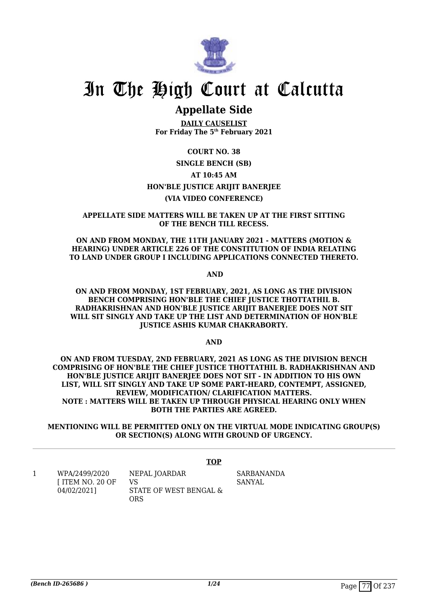

## **Appellate Side**

**DAILY CAUSELIST For Friday The 5th February 2021**

#### **COURT NO. 38**

#### **SINGLE BENCH (SB) AT 10:45 AM HON'BLE JUSTICE ARIJIT BANERJEE (VIA VIDEO CONFERENCE)**

#### **APPELLATE SIDE MATTERS WILL BE TAKEN UP AT THE FIRST SITTING OF THE BENCH TILL RECESS.**

**ON AND FROM MONDAY, THE 11TH JANUARY 2021 - MATTERS (MOTION & HEARING) UNDER ARTICLE 226 OF THE CONSTITUTION OF INDIA RELATING TO LAND UNDER GROUP I INCLUDING APPLICATIONS CONNECTED THERETO.**

 **AND**

#### **ON AND FROM MONDAY, 1ST FEBRUARY, 2021, AS LONG AS THE DIVISION BENCH COMPRISING HON'BLE THE CHIEF JUSTICE THOTTATHIL B. RADHAKRISHNAN AND HON'BLE JUSTICE ARIJIT BANERJEE DOES NOT SIT WILL SIT SINGLY AND TAKE UP THE LIST AND DETERMINATION OF HON'BLE JUSTICE ASHIS KUMAR CHAKRABORTY.**

**AND**

**ON AND FROM TUESDAY, 2ND FEBRUARY, 2021 AS LONG AS THE DIVISION BENCH COMPRISING OF HON'BLE THE CHIEF JUSTICE THOTTATHIL B. RADHAKRISHNAN AND HON'BLE JUSTICE ARIJIT BANERJEE DOES NOT SIT - IN ADDITION TO HIS OWN LIST, WILL SIT SINGLY AND TAKE UP SOME PART-HEARD, CONTEMPT, ASSIGNED, REVIEW, MODIFICATION/ CLARIFICATION MATTERS. NOTE : MATTERS WILL BE TAKEN UP THROUGH PHYSICAL HEARING ONLY WHEN BOTH THE PARTIES ARE AGREED.**

**MENTIONING WILL BE PERMITTED ONLY ON THE VIRTUAL MODE INDICATING GROUP(S) OR SECTION(S) ALONG WITH GROUND OF URGENCY.**

**TOP**

SARBANANDA **SANYAL** 

1 WPA/2499/2020 [ ITEM NO. 20 OF 04/02/2021] NEPAL JOARDAR VS STATE OF WEST BENGAL & ORS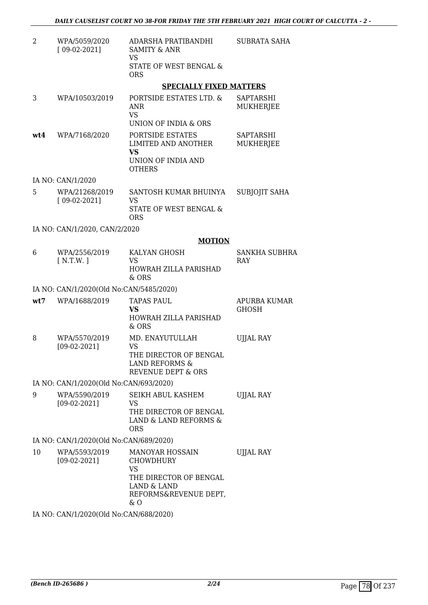| 2   | WPA/5059/2020<br>$[09-02-2021]$         | ADARSHA PRATIBANDHI<br><b>SAMITY &amp; ANR</b><br><b>VS</b>                                                                     | SUBRATA SAHA                         |
|-----|-----------------------------------------|---------------------------------------------------------------------------------------------------------------------------------|--------------------------------------|
|     |                                         | STATE OF WEST BENGAL &<br><b>ORS</b>                                                                                            |                                      |
|     |                                         | <b>SPECIALLY FIXED MATTERS</b>                                                                                                  |                                      |
| 3   | WPA/10503/2019                          | PORTSIDE ESTATES LTD. &<br>ANR<br><b>VS</b><br>UNION OF INDIA & ORS                                                             | SAPTARSHI<br><b>MUKHERJEE</b>        |
| wt4 | WPA/7168/2020                           | PORTSIDE ESTATES<br><b>LIMITED AND ANOTHER</b><br><b>VS</b><br>UNION OF INDIA AND<br><b>OTHERS</b>                              | <b>SAPTARSHI</b><br><b>MUKHERJEE</b> |
|     | IA NO: CAN/1/2020                       |                                                                                                                                 |                                      |
| 5   | WPA/21268/2019<br>$[09-02-2021]$        | SANTOSH KUMAR BHUINYA<br>VS<br>STATE OF WEST BENGAL &<br><b>ORS</b>                                                             | SUBJOJIT SAHA                        |
|     | IA NO: CAN/1/2020, CAN/2/2020           |                                                                                                                                 |                                      |
|     |                                         | <b>MOTION</b>                                                                                                                   |                                      |
| 6   | WPA/2556/2019<br>[N.T.W.]               | KALYAN GHOSH<br><b>VS</b><br>HOWRAH ZILLA PARISHAD<br>& ORS                                                                     | SANKHA SUBHRA<br><b>RAY</b>          |
|     | IA NO: CAN/1/2020(Old No:CAN/5485/2020) |                                                                                                                                 |                                      |
| wt7 | WPA/1688/2019                           | <b>TAPAS PAUL</b><br><b>VS</b><br>HOWRAH ZILLA PARISHAD<br>& ORS                                                                | APURBA KUMAR<br><b>GHOSH</b>         |
| 8   | WPA/5570/2019<br>$[09-02-2021]$         | MD. ENAYUTULLAH<br>VS<br>THE DIRECTOR OF BENGAL<br><b>LAND REFORMS &amp;</b><br><b>REVENUE DEPT &amp; ORS</b>                   | <b>UJJAL RAY</b>                     |
|     | IA NO: CAN/1/2020(Old No:CAN/693/2020)  |                                                                                                                                 |                                      |
| 9   | WPA/5590/2019<br>$[09-02-2021]$         | SEIKH ABUL KASHEM<br>VS.<br>THE DIRECTOR OF BENGAL<br>LAND & LAND REFORMS &<br><b>ORS</b>                                       | <b>UJJAL RAY</b>                     |
|     | IA NO: CAN/1/2020(Old No:CAN/689/2020)  |                                                                                                                                 |                                      |
| 10  | WPA/5593/2019<br>$[09-02-2021]$         | <b>MANOYAR HOSSAIN</b><br><b>CHOWDHURY</b><br><b>VS</b><br>THE DIRECTOR OF BENGAL<br>LAND & LAND<br>REFORMS&REVENUE DEPT,<br>&0 | <b>UJJAL RAY</b>                     |

IA NO: CAN/1/2020(Old No:CAN/688/2020)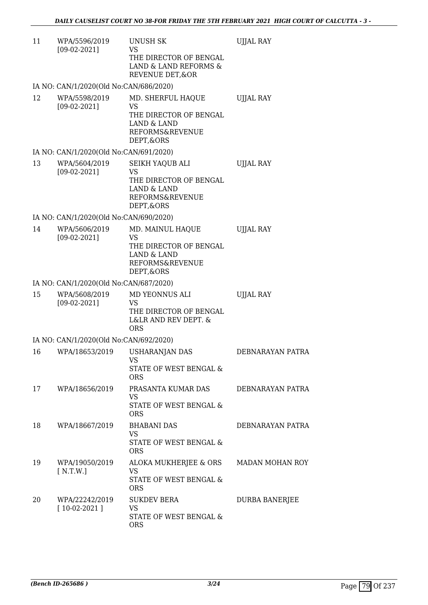| 11 | WPA/5596/2019<br>$[09-02-2021]$        | <b>UNUSH SK</b><br>VS<br>THE DIRECTOR OF BENGAL<br>LAND & LAND REFORMS &<br>REVENUE DET, & OR                        | <b>UJJAL RAY</b> |
|----|----------------------------------------|----------------------------------------------------------------------------------------------------------------------|------------------|
|    | IA NO: CAN/1/2020(Old No:CAN/686/2020) |                                                                                                                      |                  |
| 12 | WPA/5598/2019<br>$[09-02-2021]$        | MD. SHERFUL HAQUE<br><b>VS</b><br>THE DIRECTOR OF BENGAL<br><b>LAND &amp; LAND</b><br>REFORMS&REVENUE<br>DEPT, & ORS | <b>UJJAL RAY</b> |
|    | IA NO: CAN/1/2020(Old No:CAN/691/2020) |                                                                                                                      |                  |
| 13 | WPA/5604/2019<br>$[09-02-2021]$        | SEIKH YAQUB ALI<br>VS<br>THE DIRECTOR OF BENGAL<br>LAND & LAND<br>REFORMS&REVENUE<br>DEPT, & ORS                     | <b>UJJAL RAY</b> |
|    | IA NO: CAN/1/2020(Old No:CAN/690/2020) |                                                                                                                      |                  |
| 14 | WPA/5606/2019<br>$[09-02-2021]$        | MD. MAINUL HAQUE<br>VS<br>THE DIRECTOR OF BENGAL<br>LAND & LAND<br>REFORMS&REVENUE<br>DEPT, & ORS                    | <b>UJJAL RAY</b> |
|    | IA NO: CAN/1/2020(Old No:CAN/687/2020) |                                                                                                                      |                  |
| 15 | WPA/5608/2019<br>$[09-02-2021]$        | MD YEONNUS ALI<br>VS<br>THE DIRECTOR OF BENGAL<br>L&LR AND REV DEPT. &<br><b>ORS</b>                                 | <b>UJJAL RAY</b> |
|    | IA NO: CAN/1/2020(Old No:CAN/692/2020) |                                                                                                                      |                  |
| 16 | WPA/18653/2019                         | <b>USHARANJAN DAS</b><br><b>VS</b><br>STATE OF WEST BENGAL &<br><b>ORS</b>                                           | DEBNARAYAN PATRA |
| 17 | WPA/18656/2019                         | PRASANTA KUMAR DAS<br>VS<br>STATE OF WEST BENGAL &<br><b>ORS</b>                                                     | DEBNARAYAN PATRA |
| 18 | WPA/18667/2019                         | <b>BHABANI DAS</b><br>VS<br>STATE OF WEST BENGAL &<br><b>ORS</b>                                                     | DEBNARAYAN PATRA |
| 19 | WPA/19050/2019<br>N.T.W.               | ALOKA MUKHERJEE & ORS<br>VS<br>STATE OF WEST BENGAL &<br><b>ORS</b>                                                  | MADAN MOHAN ROY  |
| 20 | WPA/22242/2019<br>$[10-02-2021]$       | <b>SUKDEV BERA</b><br><b>VS</b><br>STATE OF WEST BENGAL &<br><b>ORS</b>                                              | DURBA BANERJEE   |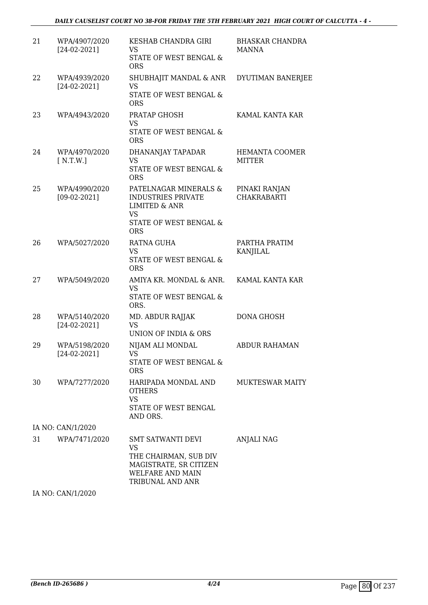#### *DAILY CAUSELIST COURT NO 38-FOR FRIDAY THE 5TH FEBRUARY 2021 HIGH COURT OF CALCUTTA - 4 -*

| 21 | WPA/4907/2020<br>$[24-02-2021]$ | KESHAB CHANDRA GIRI<br>VS<br>STATE OF WEST BENGAL &<br><b>ORS</b>                                                                       | <b>BHASKAR CHANDRA</b><br><b>MANNA</b> |
|----|---------------------------------|-----------------------------------------------------------------------------------------------------------------------------------------|----------------------------------------|
| 22 | WPA/4939/2020<br>$[24-02-2021]$ | SHUBHAJIT MANDAL & ANR<br><b>VS</b><br>STATE OF WEST BENGAL &<br><b>ORS</b>                                                             | <b>DYUTIMAN BANERJEE</b>               |
| 23 | WPA/4943/2020                   | PRATAP GHOSH<br><b>VS</b><br><b>STATE OF WEST BENGAL &amp;</b><br><b>ORS</b>                                                            | KAMAL KANTA KAR                        |
| 24 | WPA/4970/2020<br>N.T.W.         | DHANANJAY TAPADAR<br>VS<br>STATE OF WEST BENGAL &<br><b>ORS</b>                                                                         | HEMANTA COOMER<br><b>MITTER</b>        |
| 25 | WPA/4990/2020<br>$[09-02-2021]$ | PATELNAGAR MINERALS &<br><b>INDUSTRIES PRIVATE</b><br><b>LIMITED &amp; ANR</b><br><b>VS</b><br>STATE OF WEST BENGAL &<br><b>ORS</b>     | PINAKI RANJAN<br><b>CHAKRABARTI</b>    |
| 26 | WPA/5027/2020                   | RATNA GUHA<br><b>VS</b><br>STATE OF WEST BENGAL &<br><b>ORS</b>                                                                         | PARTHA PRATIM<br>KANJILAL              |
| 27 | WPA/5049/2020                   | AMIYA KR. MONDAL & ANR.<br><b>VS</b><br>STATE OF WEST BENGAL &<br>ORS.                                                                  | KAMAL KANTA KAR                        |
| 28 | WPA/5140/2020<br>$[24-02-2021]$ | <b>MD. ABDUR RAJJAK</b><br>VS<br>UNION OF INDIA & ORS                                                                                   | DONA GHOSH                             |
| 29 | WPA/5198/2020<br>$[24-02-2021]$ | NIJAM ALI MONDAL<br>VS<br>STATE OF WEST BENGAL &<br><b>ORS</b>                                                                          | <b>ABDUR RAHAMAN</b>                   |
| 30 | WPA/7277/2020                   | HARIPADA MONDAL AND<br><b>OTHERS</b><br><b>VS</b><br>STATE OF WEST BENGAL<br>AND ORS.                                                   | <b>MUKTESWAR MAITY</b>                 |
|    | IA NO: CAN/1/2020               |                                                                                                                                         |                                        |
| 31 | WPA/7471/2020                   | <b>SMT SATWANTI DEVI</b><br><b>VS</b><br>THE CHAIRMAN, SUB DIV<br>MAGISTRATE, SR CITIZEN<br><b>WELFARE AND MAIN</b><br>TRIBUNAL AND ANR | <b>ANJALI NAG</b>                      |

IA NO: CAN/1/2020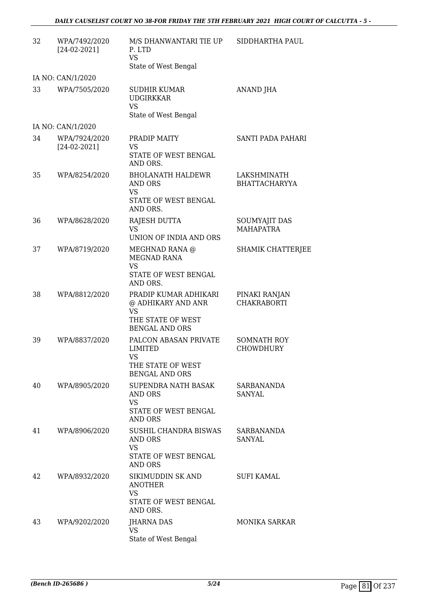| 32 | WPA/7492/2020<br>$[24-02-2021]$ | M/S DHANWANTARI TIE UP<br>P. LTD<br><b>VS</b><br>State of West Bengal                 | SIDDHARTHA PAUL                        |
|----|---------------------------------|---------------------------------------------------------------------------------------|----------------------------------------|
|    | IA NO: CAN/1/2020               |                                                                                       |                                        |
| 33 | WPA/7505/2020                   | <b>SUDHIR KUMAR</b><br><b>UDGIRKKAR</b><br><b>VS</b>                                  | ANAND JHA                              |
|    | IA NO: CAN/1/2020               | State of West Bengal                                                                  |                                        |
| 34 | WPA/7924/2020                   | PRADIP MAITY                                                                          | SANTI PADA PAHARI                      |
|    | $[24-02-2021]$                  | VS<br>STATE OF WEST BENGAL<br>AND ORS.                                                |                                        |
| 35 | WPA/8254/2020                   | <b>BHOLANATH HALDEWR</b><br>AND ORS<br><b>VS</b>                                      | LAKSHMINATH<br><b>BHATTACHARYYA</b>    |
|    |                                 | STATE OF WEST BENGAL<br>AND ORS.                                                      |                                        |
| 36 | WPA/8628/2020                   | RAJESH DUTTA<br><b>VS</b><br>UNION OF INDIA AND ORS                                   | SOUMYAJIT DAS<br><b>MAHAPATRA</b>      |
| 37 | WPA/8719/2020                   | MEGHNAD RANA @<br>MEGNAD RANA<br><b>VS</b>                                            | <b>SHAMIK CHATTERJEE</b>               |
|    |                                 | STATE OF WEST BENGAL<br>AND ORS.                                                      |                                        |
| 38 | WPA/8812/2020                   | PRADIP KUMAR ADHIKARI<br>@ ADHIKARY AND ANR<br><b>VS</b><br>THE STATE OF WEST         | PINAKI RANJAN<br><b>CHAKRABORTI</b>    |
|    |                                 | <b>BENGAL AND ORS</b>                                                                 |                                        |
| 39 | WPA/8837/2020                   | PALCON ABASAN PRIVATE<br>LIMITED<br>VS.<br>THE STATE OF WEST<br><b>BENGAL AND ORS</b> | <b>SOMNATH ROY</b><br><b>CHOWDHURY</b> |
| 40 | WPA/8905/2020                   | SUPENDRA NATH BASAK<br>AND ORS<br><b>VS</b>                                           | <b>SARBANANDA</b><br>SANYAL            |
|    |                                 | STATE OF WEST BENGAL<br>AND ORS                                                       |                                        |
| 41 | WPA/8906/2020                   | SUSHIL CHANDRA BISWAS<br>AND ORS<br><b>VS</b>                                         | SARBANANDA<br>SANYAL                   |
|    |                                 | STATE OF WEST BENGAL<br>AND ORS                                                       |                                        |
| 42 | WPA/8932/2020                   | SIKIMUDDIN SK AND<br><b>ANOTHER</b><br><b>VS</b><br>STATE OF WEST BENGAL<br>AND ORS.  | <b>SUFI KAMAL</b>                      |
| 43 | WPA/9202/2020                   | <b>JHARNA DAS</b><br>VS<br>State of West Bengal                                       | <b>MONIKA SARKAR</b>                   |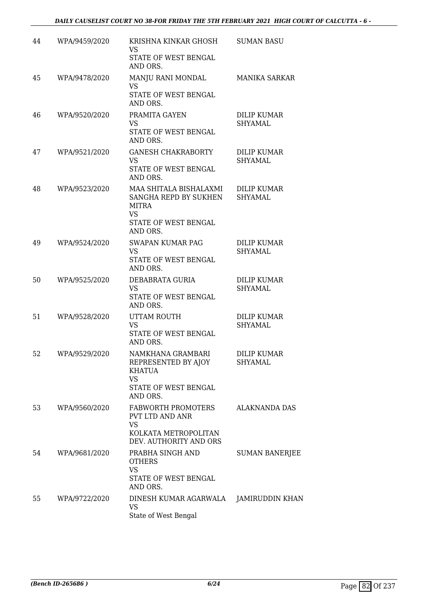| 44 | WPA/9459/2020 | KRISHNA KINKAR GHOSH<br>VS.<br>STATE OF WEST BENGAL<br>AND ORS.                                                         | <b>SUMAN BASU</b>                    |
|----|---------------|-------------------------------------------------------------------------------------------------------------------------|--------------------------------------|
| 45 | WPA/9478/2020 | MANJU RANI MONDAL<br>VS.<br>STATE OF WEST BENGAL<br>AND ORS.                                                            | <b>MANIKA SARKAR</b>                 |
| 46 | WPA/9520/2020 | PRAMITA GAYEN<br><b>VS</b><br>STATE OF WEST BENGAL<br>AND ORS.                                                          | <b>DILIP KUMAR</b><br><b>SHYAMAL</b> |
| 47 | WPA/9521/2020 | <b>GANESH CHAKRABORTY</b><br><b>VS</b><br>STATE OF WEST BENGAL<br>AND ORS.                                              | DILIP KUMAR<br>SHYAMAL               |
| 48 | WPA/9523/2020 | MAA SHITALA BISHALAXMI<br>SANGHA REPD BY SUKHEN<br><b>MITRA</b><br><b>VS</b><br><b>STATE OF WEST BENGAL</b><br>AND ORS. | <b>DILIP KUMAR</b><br>SHYAMAL        |
| 49 | WPA/9524/2020 | <b>SWAPAN KUMAR PAG</b><br><b>VS</b><br>STATE OF WEST BENGAL<br>AND ORS.                                                | DILIP KUMAR<br><b>SHYAMAL</b>        |
| 50 | WPA/9525/2020 | DEBABRATA GURIA<br><b>VS</b><br>STATE OF WEST BENGAL<br>AND ORS.                                                        | <b>DILIP KUMAR</b><br>SHYAMAL        |
| 51 | WPA/9528/2020 | UTTAM ROUTH<br><b>VS</b><br>STATE OF WEST BENGAL<br>AND ORS.                                                            | <b>DILIP KUMAR</b><br><b>SHYAMAL</b> |
| 52 | WPA/9529/2020 | NAMKHANA GRAMBARI<br>REPRESENTED BY AJOY<br><b>KHATUA</b><br><b>VS</b><br>STATE OF WEST BENGAL<br>AND ORS.              | <b>DILIP KUMAR</b><br><b>SHYAMAL</b> |
| 53 | WPA/9560/2020 | FABWORTH PROMOTERS<br>PVT LTD AND ANR<br><b>VS</b><br>KOLKATA METROPOLITAN<br>DEV. AUTHORITY AND ORS                    | <b>ALAKNANDA DAS</b>                 |
| 54 | WPA/9681/2020 | PRABHA SINGH AND<br><b>OTHERS</b><br><b>VS</b><br>STATE OF WEST BENGAL<br>AND ORS.                                      | <b>SUMAN BANERJEE</b>                |
| 55 | WPA/9722/2020 | DINESH KUMAR AGARWALA<br><b>VS</b><br>State of West Bengal                                                              | <b>JAMIRUDDIN KHAN</b>               |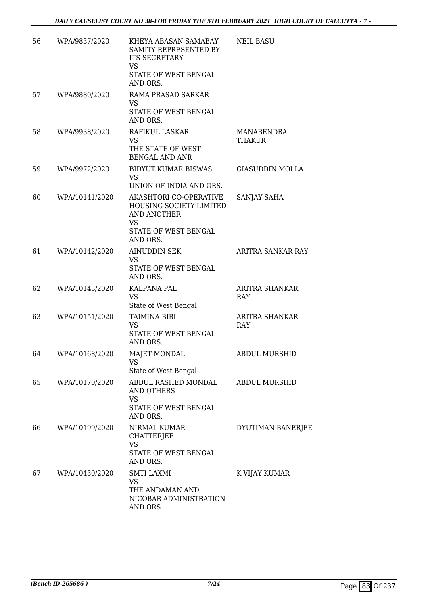| 56 | WPA/9837/2020  | KHEYA ABASAN SAMABAY<br>SAMITY REPRESENTED BY<br><b>ITS SECRETARY</b><br>VS<br>STATE OF WEST BENGAL<br>AND ORS. | <b>NEIL BASU</b>            |
|----|----------------|-----------------------------------------------------------------------------------------------------------------|-----------------------------|
| 57 | WPA/9880/2020  | RAMA PRASAD SARKAR<br>VS<br>STATE OF WEST BENGAL<br>AND ORS.                                                    |                             |
| 58 | WPA/9938/2020  | RAFIKUL LASKAR<br><b>VS</b><br>THE STATE OF WEST<br><b>BENGAL AND ANR</b>                                       | MANABENDRA<br><b>THAKUR</b> |
| 59 | WPA/9972/2020  | <b>BIDYUT KUMAR BISWAS</b><br>VS.<br>UNION OF INDIA AND ORS.                                                    | <b>GIASUDDIN MOLLA</b>      |
| 60 | WPA/10141/2020 | AKASHTORI CO-OPERATIVE<br>HOUSING SOCIETY LIMITED<br>AND ANOTHER<br><b>VS</b><br>STATE OF WEST BENGAL           | SANJAY SAHA                 |
| 61 | WPA/10142/2020 | AND ORS.<br><b>AINUDDIN SEK</b><br><b>VS</b><br>STATE OF WEST BENGAL<br>AND ORS.                                | ARITRA SANKAR RAY           |
| 62 | WPA/10143/2020 | KALPANA PAL<br><b>VS</b><br>State of West Bengal                                                                | ARITRA SHANKAR<br>RAY       |
| 63 | WPA/10151/2020 | <b>TAIMINA BIBI</b><br><b>VS</b><br>STATE OF WEST BENGAL<br>AND ORS.                                            | ARITRA SHANKAR<br>RAY       |
| 64 | WPA/10168/2020 | <b>MAJET MONDAL</b><br>VS<br>State of West Bengal                                                               | <b>ABDUL MURSHID</b>        |
| 65 | WPA/10170/2020 | ABDUL RASHED MONDAL<br>AND OTHERS<br>VS<br>STATE OF WEST BENGAL<br>AND ORS.                                     | ABDUL MURSHID               |
| 66 | WPA/10199/2020 | NIRMAL KUMAR<br><b>CHATTERJEE</b><br><b>VS</b><br>STATE OF WEST BENGAL<br>AND ORS.                              | DYUTIMAN BANERJEE           |
| 67 | WPA/10430/2020 | <b>SMTI LAXMI</b><br>VS<br>THE ANDAMAN AND<br>NICOBAR ADMINISTRATION<br>AND ORS                                 | K VIJAY KUMAR               |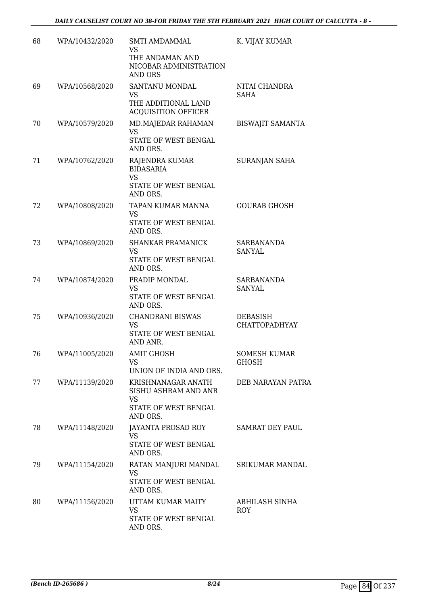| 68 | WPA/10432/2020 | <b>SMTI AMDAMMAL</b><br><b>VS</b><br>THE ANDAMAN AND<br>NICOBAR ADMINISTRATION<br>AND ORS | K. VIJAY KUMAR                      |
|----|----------------|-------------------------------------------------------------------------------------------|-------------------------------------|
| 69 | WPA/10568/2020 | SANTANU MONDAL<br><b>VS</b><br>THE ADDITIONAL LAND<br><b>ACQUISITION OFFICER</b>          | NITAI CHANDRA<br><b>SAHA</b>        |
| 70 | WPA/10579/2020 | MD.MAJEDAR RAHAMAN<br><b>VS</b><br>STATE OF WEST BENGAL<br>AND ORS.                       | <b>BISWAJIT SAMANTA</b>             |
| 71 | WPA/10762/2020 | RAJENDRA KUMAR<br><b>BIDASARIA</b><br><b>VS</b><br>STATE OF WEST BENGAL<br>AND ORS.       | SURANJAN SAHA                       |
| 72 | WPA/10808/2020 | TAPAN KUMAR MANNA<br>VS<br>STATE OF WEST BENGAL<br>AND ORS.                               | <b>GOURAB GHOSH</b>                 |
| 73 | WPA/10869/2020 | <b>SHANKAR PRAMANICK</b><br><b>VS</b><br>STATE OF WEST BENGAL<br>AND ORS.                 | <b>SARBANANDA</b><br><b>SANYAL</b>  |
| 74 | WPA/10874/2020 | PRADIP MONDAL<br>VS<br>STATE OF WEST BENGAL<br>AND ORS.                                   | <b>SARBANANDA</b><br><b>SANYAL</b>  |
| 75 | WPA/10936/2020 | <b>CHANDRANI BISWAS</b><br>VS<br>STATE OF WEST BENGAL<br>AND ANR.                         | DEBASISH<br><b>CHATTOPADHYAY</b>    |
| 76 | WPA/11005/2020 | <b>AMIT GHOSH</b><br>VS<br>UNION OF INDIA AND ORS.                                        | <b>SOMESH KUMAR</b><br><b>GHOSH</b> |
| 77 | WPA/11139/2020 | KRISHNANAGAR ANATH<br>SISHU ASHRAM AND ANR<br>VS<br>STATE OF WEST BENGAL<br>AND ORS.      | DEB NARAYAN PATRA                   |
| 78 | WPA/11148/2020 | JAYANTA PROSAD ROY<br><b>VS</b><br><b>STATE OF WEST BENGAL</b><br>AND ORS.                | <b>SAMRAT DEY PAUL</b>              |
| 79 | WPA/11154/2020 | RATAN MANJURI MANDAL<br><b>VS</b><br>STATE OF WEST BENGAL<br>AND ORS.                     | SRIKUMAR MANDAL                     |
| 80 | WPA/11156/2020 | UTTAM KUMAR MAITY<br>VS<br>STATE OF WEST BENGAL<br>AND ORS.                               | ABHILASH SINHA<br>ROY               |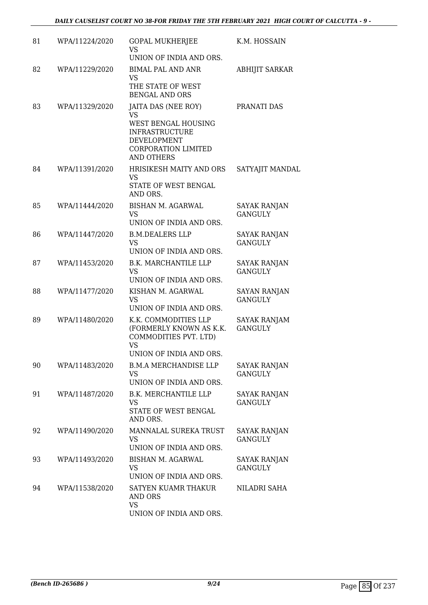| 81 | WPA/11224/2020 | <b>GOPAL MUKHERJEE</b><br>VS                                                                                                                                     | K.M. HOSSAIN                          |
|----|----------------|------------------------------------------------------------------------------------------------------------------------------------------------------------------|---------------------------------------|
|    |                | UNION OF INDIA AND ORS.                                                                                                                                          |                                       |
| 82 | WPA/11229/2020 | <b>BIMAL PAL AND ANR</b><br><b>VS</b><br>THE STATE OF WEST<br><b>BENGAL AND ORS</b>                                                                              | <b>ABHIJIT SARKAR</b>                 |
| 83 | WPA/11329/2020 | JAITA DAS (NEE ROY)<br><b>VS</b><br><b>WEST BENGAL HOUSING</b><br><b>INFRASTRUCTURE</b><br><b>DEVELOPMENT</b><br><b>CORPORATION LIMITED</b><br><b>AND OTHERS</b> | PRANATI DAS                           |
| 84 | WPA/11391/2020 | HRISIKESH MAITY AND ORS<br><b>VS</b><br>STATE OF WEST BENGAL<br>AND ORS.                                                                                         | SATYAJIT MANDAL                       |
| 85 | WPA/11444/2020 | BISHAN M. AGARWAL<br><b>VS</b><br>UNION OF INDIA AND ORS.                                                                                                        | <b>SAYAK RANJAN</b><br><b>GANGULY</b> |
| 86 | WPA/11447/2020 | <b>B.M.DEALERS LLP</b><br><b>VS</b><br>UNION OF INDIA AND ORS.                                                                                                   | <b>SAYAK RANJAN</b><br><b>GANGULY</b> |
| 87 | WPA/11453/2020 | <b>B.K. MARCHANTILE LLP</b><br><b>VS</b><br>UNION OF INDIA AND ORS.                                                                                              | <b>SAYAK RANJAN</b><br><b>GANGULY</b> |
| 88 | WPA/11477/2020 | KISHAN M. AGARWAL<br><b>VS</b><br>UNION OF INDIA AND ORS.                                                                                                        | <b>SAYAN RANJAN</b><br><b>GANGULY</b> |
| 89 | WPA/11480/2020 | K.K. COMMODITIES LLP<br>(FORMERLY KNOWN AS K.K.<br>COMMODITIES PVT. LTD)<br><b>VS</b><br>UNION OF INDIA AND ORS                                                  | SAYAK RANJAM<br><b>GANGULY</b>        |
| 90 | WPA/11483/2020 | <b>B.M.A MERCHANDISE LLP</b><br><b>VS</b><br>UNION OF INDIA AND ORS.                                                                                             | <b>SAYAK RANJAN</b><br><b>GANGULY</b> |
| 91 | WPA/11487/2020 | <b>B.K. MERCHANTILE LLP</b><br><b>VS</b><br>STATE OF WEST BENGAL<br>AND ORS.                                                                                     | <b>SAYAK RANJAN</b><br><b>GANGULY</b> |
| 92 | WPA/11490/2020 | MANNALAL SUREKA TRUST<br>VS<br>UNION OF INDIA AND ORS.                                                                                                           | <b>SAYAK RANJAN</b><br><b>GANGULY</b> |
| 93 | WPA/11493/2020 | BISHAN M. AGARWAL<br><b>VS</b><br>UNION OF INDIA AND ORS.                                                                                                        | <b>SAYAK RANJAN</b><br><b>GANGULY</b> |
| 94 | WPA/11538/2020 | SATYEN KUAMR THAKUR<br>AND ORS<br><b>VS</b><br>UNION OF INDIA AND ORS.                                                                                           | NILADRI SAHA                          |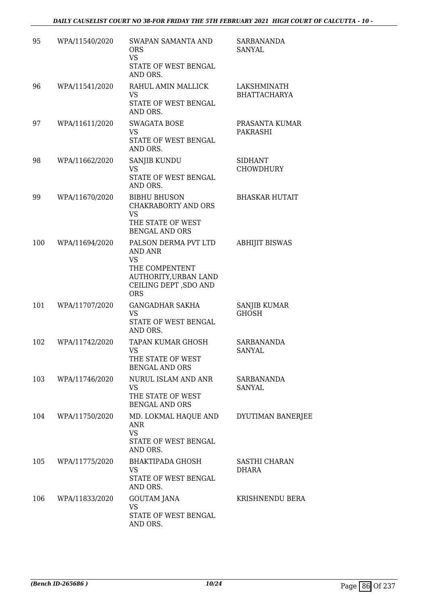| 95  | WPA/11540/2020 | SWAPAN SAMANTA AND<br><b>ORS</b><br><b>VS</b><br>STATE OF WEST BENGAL<br>AND ORS.                                              | SARBANANDA<br>SANYAL               |
|-----|----------------|--------------------------------------------------------------------------------------------------------------------------------|------------------------------------|
| 96  | WPA/11541/2020 | RAHUL AMIN MALLICK<br>VS<br>STATE OF WEST BENGAL<br>AND ORS.                                                                   | LAKSHMINATH<br><b>BHATTACHARYA</b> |
| 97  | WPA/11611/2020 | <b>SWAGATA BOSE</b><br><b>VS</b><br>STATE OF WEST BENGAL<br>AND ORS.                                                           | PRASANTA KUMAR<br>PAKRASHI         |
| 98  | WPA/11662/2020 | SANJIB KUNDU<br>VS<br>STATE OF WEST BENGAL<br>AND ORS.                                                                         | <b>SIDHANT</b><br><b>CHOWDHURY</b> |
| 99  | WPA/11670/2020 | <b>BIBHU BHUSON</b><br><b>CHAKRABORTY AND ORS</b><br><b>VS</b><br>THE STATE OF WEST<br><b>BENGAL AND ORS</b>                   | <b>BHASKAR HUTAIT</b>              |
| 100 | WPA/11694/2020 | PALSON DERMA PVT LTD<br>AND ANR<br><b>VS</b><br>THE COMPENTENT<br>AUTHORITY, URBAN LAND<br>CEILING DEPT, SDO AND<br><b>ORS</b> | <b>ABHIJIT BISWAS</b>              |
| 101 | WPA/11707/2020 | <b>GANGADHAR SAKHA</b><br>VS<br>STATE OF WEST BENGAL<br>AND ORS.                                                               | SANJIB KUMAR<br><b>GHOSH</b>       |
| 102 | WPA/11742/2020 | TAPAN KUMAR GHOSH<br>VS<br>THE STATE OF WEST<br><b>BENGAL AND ORS</b>                                                          | SARBANANDA<br><b>SANYAL</b>        |
| 103 | WPA/11746/2020 | NURUL ISLAM AND ANR<br>VS<br>THE STATE OF WEST<br><b>BENGAL AND ORS</b>                                                        | SARBANANDA<br>SANYAL               |
| 104 | WPA/11750/2020 | MD. LOKMAL HAQUE AND<br>ANR<br><b>VS</b><br>STATE OF WEST BENGAL<br>AND ORS.                                                   | DYUTIMAN BANERJEE                  |
| 105 | WPA/11775/2020 | BHAKTIPADA GHOSH<br>VS<br>STATE OF WEST BENGAL<br>AND ORS.                                                                     | SASTHI CHARAN<br>DHARA             |
| 106 | WPA/11833/2020 | <b>GOUTAM JANA</b><br><b>VS</b><br>STATE OF WEST BENGAL<br>AND ORS.                                                            | KRISHNENDU BERA                    |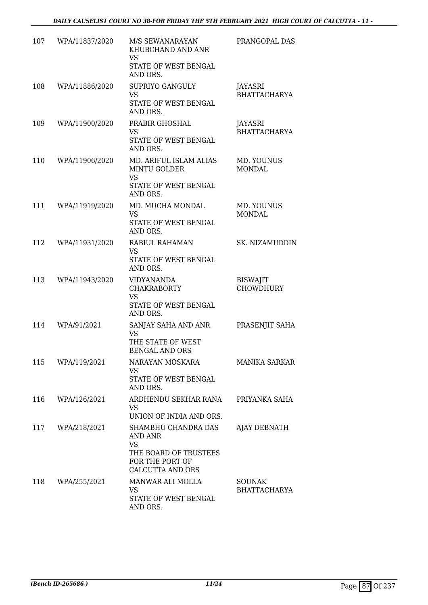| 107 | WPA/11837/2020 | M/S SEWANARAYAN<br>KHUBCHAND AND ANR<br><b>VS</b><br>STATE OF WEST BENGAL<br>AND ORS.                              | PRANGOPAL DAS                        |
|-----|----------------|--------------------------------------------------------------------------------------------------------------------|--------------------------------------|
| 108 | WPA/11886/2020 | <b>SUPRIYO GANGULY</b><br><b>VS</b><br>STATE OF WEST BENGAL<br>AND ORS.                                            | JAYASRI<br><b>BHATTACHARYA</b>       |
| 109 | WPA/11900/2020 | PRABIR GHOSHAL<br><b>VS</b><br>STATE OF WEST BENGAL<br>AND ORS.                                                    | JAYASRI<br><b>BHATTACHARYA</b>       |
| 110 | WPA/11906/2020 | MD. ARIFUL ISLAM ALIAS<br><b>MINTU GOLDER</b><br><b>VS</b><br>STATE OF WEST BENGAL<br>AND ORS.                     | MD. YOUNUS<br><b>MONDAL</b>          |
| 111 | WPA/11919/2020 | MD. MUCHA MONDAL<br>VS<br>STATE OF WEST BENGAL<br>AND ORS.                                                         | MD. YOUNUS<br><b>MONDAL</b>          |
| 112 | WPA/11931/2020 | RABIUL RAHAMAN<br>VS<br>STATE OF WEST BENGAL<br>AND ORS.                                                           | SK. NIZAMUDDIN                       |
| 113 | WPA/11943/2020 | <b>VIDYANANDA</b><br><b>CHAKRABORTY</b><br><b>VS</b><br>STATE OF WEST BENGAL<br>AND ORS.                           | <b>BISWAJIT</b><br><b>CHOWDHURY</b>  |
| 114 | WPA/91/2021    | SANJAY SAHA AND ANR<br><b>VS</b><br>THE STATE OF WEST<br><b>BENGAL AND ORS</b>                                     | PRASENJIT SAHA                       |
| 115 | WPA/119/2021   | NARAYAN MOSKARA<br><b>VS</b><br>STATE OF WEST BENGAL<br>AND ORS.                                                   | <b>MANIKA SARKAR</b>                 |
| 116 | WPA/126/2021   | ARDHENDU SEKHAR RANA<br>VS.<br>UNION OF INDIA AND ORS.                                                             | PRIYANKA SAHA                        |
| 117 | WPA/218/2021   | SHAMBHU CHANDRA DAS<br>AND ANR<br><b>VS</b><br>THE BOARD OF TRUSTEES<br>FOR THE PORT OF<br><b>CALCUTTA AND ORS</b> | AJAY DEBNATH                         |
| 118 | WPA/255/2021   | MANWAR ALI MOLLA<br><b>VS</b><br>STATE OF WEST BENGAL<br>AND ORS.                                                  | <b>SOUNAK</b><br><b>BHATTACHARYA</b> |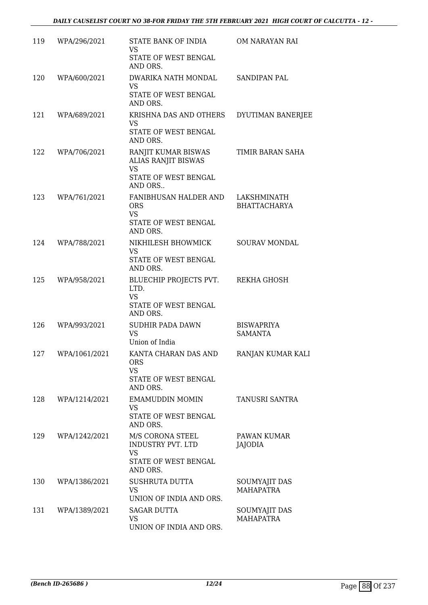| 119 | WPA/296/2021  | STATE BANK OF INDIA<br>VS<br>STATE OF WEST BENGAL<br>AND ORS.                                    | OM NARAYAN RAI                      |
|-----|---------------|--------------------------------------------------------------------------------------------------|-------------------------------------|
| 120 | WPA/600/2021  | DWARIKA NATH MONDAL<br><b>VS</b><br>STATE OF WEST BENGAL<br>AND ORS.                             | SANDIPAN PAL                        |
| 121 | WPA/689/2021  | KRISHNA DAS AND OTHERS DYUTIMAN BANERJEE<br><b>VS</b><br>STATE OF WEST BENGAL<br>AND ORS.        |                                     |
| 122 | WPA/706/2021  | RANJIT KUMAR BISWAS<br>ALIAS RANJIT BISWAS<br><b>VS</b><br>STATE OF WEST BENGAL<br>AND ORS       | TIMIR BARAN SAHA                    |
| 123 | WPA/761/2021  | FANIBHUSAN HALDER AND LAKSHMINATH<br><b>ORS</b><br><b>VS</b><br>STATE OF WEST BENGAL<br>AND ORS. | <b>BHATTACHARYA</b>                 |
| 124 | WPA/788/2021  | NIKHILESH BHOWMICK<br><b>VS</b><br>STATE OF WEST BENGAL<br>AND ORS.                              | SOURAV MONDAL                       |
| 125 | WPA/958/2021  | BLUECHIP PROJECTS PVT.<br>LTD.<br><b>VS</b><br>STATE OF WEST BENGAL<br>AND ORS.                  | REKHA GHOSH                         |
| 126 | WPA/993/2021  | SUDHIR PADA DAWN<br><b>VS</b><br>Union of India                                                  | <b>BISWAPRIYA</b><br><b>SAMANTA</b> |
| 127 | WPA/1061/2021 | KANTA CHARAN DAS AND<br><b>ORS</b><br><b>VS</b><br>STATE OF WEST BENGAL<br>AND ORS.              | RANJAN KUMAR KALI                   |
| 128 | WPA/1214/2021 | EMAMUDDIN MOMIN<br>VS.<br>STATE OF WEST BENGAL<br>AND ORS.                                       | <b>TANUSRI SANTRA</b>               |
| 129 | WPA/1242/2021 | M/S CORONA STEEL<br>INDUSTRY PVT. LTD<br><b>VS</b><br>STATE OF WEST BENGAL<br>AND ORS.           | PAWAN KUMAR<br>JAJODIA              |
| 130 | WPA/1386/2021 | SUSHRUTA DUTTA<br><b>VS</b><br>UNION OF INDIA AND ORS.                                           | SOUMYAJIT DAS<br><b>MAHAPATRA</b>   |
| 131 | WPA/1389/2021 | <b>SAGAR DUTTA</b><br>VS<br>UNION OF INDIA AND ORS.                                              | SOUMYAJIT DAS<br>MAHAPATRA          |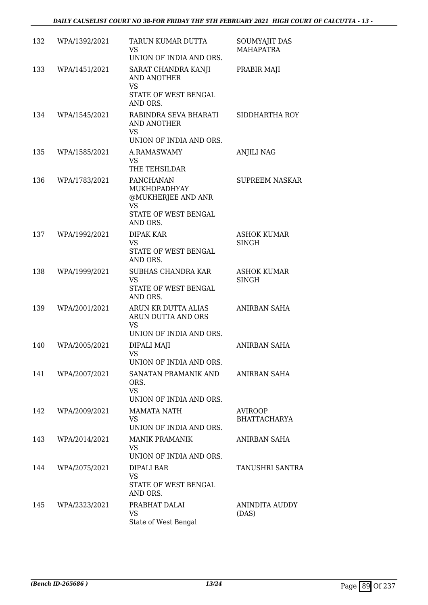| 132 | WPA/1392/2021 | TARUN KUMAR DUTTA<br><b>VS</b><br>UNION OF INDIA AND ORS.                                 | SOUMYAJIT DAS<br><b>MAHAPATRA</b>     |
|-----|---------------|-------------------------------------------------------------------------------------------|---------------------------------------|
| 133 | WPA/1451/2021 | SARAT CHANDRA KANJI<br>AND ANOTHER<br><b>VS</b><br>STATE OF WEST BENGAL<br>AND ORS.       | PRABIR MAJI                           |
| 134 | WPA/1545/2021 | RABINDRA SEVA BHARATI<br><b>AND ANOTHER</b><br><b>VS</b><br>UNION OF INDIA AND ORS.       | SIDDHARTHA ROY                        |
| 135 | WPA/1585/2021 | A.RAMASWAMY<br><b>VS</b><br>THE TEHSILDAR                                                 | <b>ANJILI NAG</b>                     |
| 136 | WPA/1783/2021 | PANCHANAN<br>MUKHOPADHYAY<br>@MUKHERJEE AND ANR<br>VS<br>STATE OF WEST BENGAL<br>AND ORS. | <b>SUPREEM NASKAR</b>                 |
| 137 | WPA/1992/2021 | DIPAK KAR<br><b>VS</b><br>STATE OF WEST BENGAL<br>AND ORS.                                | <b>ASHOK KUMAR</b><br><b>SINGH</b>    |
| 138 | WPA/1999/2021 | <b>SUBHAS CHANDRA KAR</b><br><b>VS</b><br>STATE OF WEST BENGAL<br>AND ORS.                | <b>ASHOK KUMAR</b><br><b>SINGH</b>    |
| 139 | WPA/2001/2021 | ARUN KR DUTTA ALIAS<br>ARUN DUTTA AND ORS<br><b>VS</b><br>UNION OF INDIA AND ORS.         | ANIRBAN SAHA                          |
| 140 | WPA/2005/2021 | DIPALI MAJI<br>VS<br>UNION OF INDIA AND ORS.                                              | <b>ANIRBAN SAHA</b>                   |
| 141 | WPA/2007/2021 | SANATAN PRAMANIK AND<br>ORS.<br><b>VS</b><br>UNION OF INDIA AND ORS.                      | ANIRBAN SAHA                          |
| 142 | WPA/2009/2021 | <b>MAMATA NATH</b><br><b>VS</b><br>UNION OF INDIA AND ORS.                                | <b>AVIROOP</b><br><b>BHATTACHARYA</b> |
| 143 | WPA/2014/2021 | <b>MANIK PRAMANIK</b><br>VS<br>UNION OF INDIA AND ORS.                                    | ANIRBAN SAHA                          |
| 144 | WPA/2075/2021 | DIPALI BAR<br>VS<br>STATE OF WEST BENGAL<br>AND ORS.                                      | TANUSHRI SANTRA                       |
| 145 | WPA/2323/2021 | PRABHAT DALAI<br>VS<br>State of West Bengal                                               | ANINDITA AUDDY<br>(DAS)               |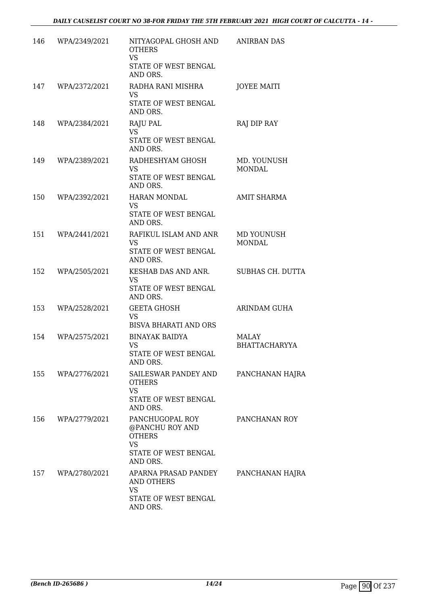| 146 | WPA/2349/2021     | NITYAGOPAL GHOSH AND<br><b>OTHERS</b><br><b>VS</b><br>STATE OF WEST BENGAL<br>AND ORS.                           | <b>ANIRBAN DAS</b>            |
|-----|-------------------|------------------------------------------------------------------------------------------------------------------|-------------------------------|
| 147 | WPA/2372/2021     | RADHA RANI MISHRA<br><b>VS</b><br>STATE OF WEST BENGAL<br>AND ORS.                                               | <b>JOYEE MAITI</b>            |
| 148 | WPA/2384/2021     | RAJU PAL<br><b>VS</b><br>STATE OF WEST BENGAL<br>AND ORS.                                                        | RAJ DIP RAY                   |
| 149 | WPA/2389/2021     | RADHESHYAM GHOSH<br>VS<br>STATE OF WEST BENGAL<br>AND ORS.                                                       | MD. YOUNUSH<br><b>MONDAL</b>  |
| 150 | WPA/2392/2021     | <b>HARAN MONDAL</b><br><b>VS</b><br>STATE OF WEST BENGAL<br>AND ORS.                                             | <b>AMIT SHARMA</b>            |
| 151 | WPA/2441/2021     | RAFIKUL ISLAM AND ANR<br><b>VS</b><br>STATE OF WEST BENGAL<br>AND ORS.                                           | MD YOUNUSH<br><b>MONDAL</b>   |
| 152 | WPA/2505/2021     | KESHAB DAS AND ANR.<br><b>VS</b><br>STATE OF WEST BENGAL<br>AND ORS.                                             | SUBHAS CH. DUTTA              |
| 153 | WPA/2528/2021     | <b>GEETA GHOSH</b><br><b>VS</b><br><b>BISVA BHARATI AND ORS</b>                                                  | ARINDAM GUHA                  |
| 154 | WPA/2575/2021     | <b>BINAYAK BAIDYA</b><br>VS<br>STATE OF WEST BENGAL<br>AND ORS.                                                  | MALAY<br><b>BHATTACHARYYA</b> |
|     | 155 WPA/2776/2021 | SAILESWAR PANDEY AND<br><b>OTHERS</b><br><b>VS</b><br>STATE OF WEST BENGAL                                       | PANCHANAN HAJRA               |
| 156 | WPA/2779/2021     | AND ORS.<br>PANCHUGOPAL ROY<br>@PANCHU ROY AND<br><b>OTHERS</b><br><b>VS</b><br>STATE OF WEST BENGAL<br>AND ORS. | PANCHANAN ROY                 |
| 157 | WPA/2780/2021     | APARNA PRASAD PANDEY<br><b>AND OTHERS</b><br><b>VS</b><br>STATE OF WEST BENGAL<br>AND ORS.                       | PANCHANAN HAJRA               |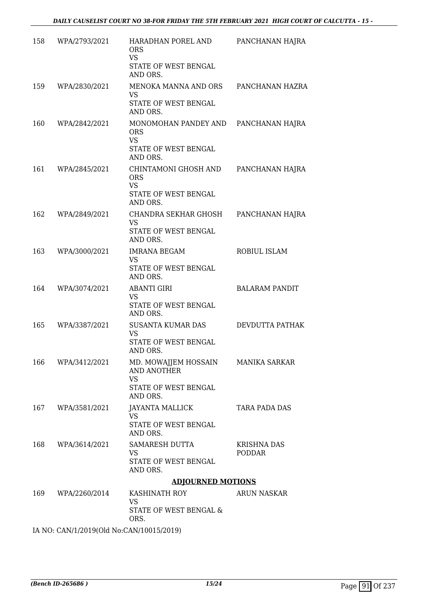| 158 | WPA/2793/2021     | HARADHAN POREL AND<br><b>ORS</b><br><b>VS</b><br>STATE OF WEST BENGAL<br>AND ORS.    | PANCHANAN HAJRA                     |
|-----|-------------------|--------------------------------------------------------------------------------------|-------------------------------------|
| 159 | WPA/2830/2021     | MENOKA MANNA AND ORS<br>VS.<br>STATE OF WEST BENGAL                                  | PANCHANAN HAZRA                     |
|     |                   | AND ORS.                                                                             |                                     |
| 160 | WPA/2842/2021     | MONOMOHAN PANDEY AND<br><b>ORS</b><br><b>VS</b><br>STATE OF WEST BENGAL<br>AND ORS.  | PANCHANAN HAJRA                     |
| 161 | WPA/2845/2021     | CHINTAMONI GHOSH AND<br><b>ORS</b><br>VS<br>STATE OF WEST BENGAL<br>AND ORS.         | PANCHANAN HAJRA                     |
| 162 | WPA/2849/2021     | CHANDRA SEKHAR GHOSH<br><b>VS</b><br>STATE OF WEST BENGAL<br>AND ORS.                | PANCHANAN HAJRA                     |
| 163 | WPA/3000/2021     | <b>IMRANA BEGAM</b><br><b>VS</b><br>STATE OF WEST BENGAL<br>AND ORS.                 | ROBIUL ISLAM                        |
| 164 | WPA/3074/2021     | <b>ABANTI GIRI</b><br><b>VS</b><br>STATE OF WEST BENGAL<br>AND ORS.                  | <b>BALARAM PANDIT</b>               |
| 165 | WPA/3387/2021     | <b>SUSANTA KUMAR DAS</b><br>VS<br>STATE OF WEST BENGAL<br>AND ORS.                   | DEVDUTTA PATHAK                     |
| 166 | WPA/3412/2021     | MD. MOWAJJEM HOSSAIN<br>AND ANOTHER<br><b>VS</b><br>STATE OF WEST BENGAL<br>AND ORS. | <b>MANIKA SARKAR</b>                |
|     | 167 WPA/3581/2021 | JAYANTA MALLICK<br>VS<br>STATE OF WEST BENGAL<br>AND ORS.                            | TARA PADA DAS                       |
|     | 168 WPA/3614/2021 | SAMARESH DUTTA<br>VS<br>STATE OF WEST BENGAL<br>AND ORS.                             | <b>KRISHNA DAS</b><br><b>PODDAR</b> |
|     |                   | <b>ADJOURNED MOTIONS</b>                                                             |                                     |
| 169 | WPA/2260/2014     | KASHINATH ROY<br><b>VS</b><br>STATE OF WEST BENGAL &<br>ORS.                         | <b>ARUN NASKAR</b>                  |
|     |                   |                                                                                      |                                     |

IA NO: CAN/1/2019(Old No:CAN/10015/2019)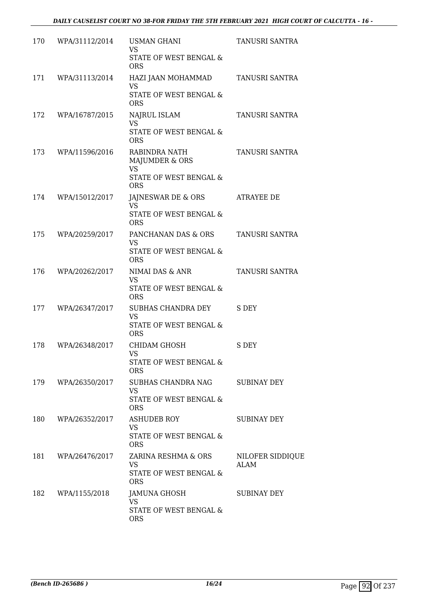| 170 | WPA/31112/2014 | <b>USMAN GHANI</b><br><b>VS</b><br>STATE OF WEST BENGAL &<br><b>ORS</b>              | TANUSRI SANTRA           |
|-----|----------------|--------------------------------------------------------------------------------------|--------------------------|
| 171 | WPA/31113/2014 | HAZI JAAN MOHAMMAD<br><b>VS</b><br>STATE OF WEST BENGAL &<br><b>ORS</b>              | TANUSRI SANTRA           |
| 172 | WPA/16787/2015 | NAJRUL ISLAM<br><b>VS</b><br>STATE OF WEST BENGAL &<br><b>ORS</b>                    | TANUSRI SANTRA           |
| 173 | WPA/11596/2016 | RABINDRA NATH<br>MAJUMDER & ORS<br><b>VS</b><br>STATE OF WEST BENGAL &<br><b>ORS</b> | TANUSRI SANTRA           |
| 174 | WPA/15012/2017 | JAJNESWAR DE & ORS<br><b>VS</b><br>STATE OF WEST BENGAL &<br><b>ORS</b>              | <b>ATRAYEE DE</b>        |
| 175 | WPA/20259/2017 | PANCHANAN DAS & ORS<br><b>VS</b><br>STATE OF WEST BENGAL &<br><b>ORS</b>             | TANUSRI SANTRA           |
| 176 | WPA/20262/2017 | NIMAI DAS & ANR<br><b>VS</b><br>STATE OF WEST BENGAL &<br><b>ORS</b>                 | TANUSRI SANTRA           |
| 177 | WPA/26347/2017 | SUBHAS CHANDRA DEY<br><b>VS</b><br>STATE OF WEST BENGAL &<br><b>ORS</b>              | S DEY                    |
| 178 | WPA/26348/2017 | CHIDAM GHOSH<br><b>VS</b><br>STATE OF WEST BENGAL &<br><b>ORS</b>                    | S DEY                    |
| 179 | WPA/26350/2017 | SUBHAS CHANDRA NAG<br><b>VS</b><br>STATE OF WEST BENGAL &<br><b>ORS</b>              | SUBINAY DEY              |
| 180 | WPA/26352/2017 | <b>ASHUDEB ROY</b><br>VS.<br>STATE OF WEST BENGAL &<br><b>ORS</b>                    | <b>SUBINAY DEY</b>       |
| 181 | WPA/26476/2017 | ZARINA RESHMA & ORS<br><b>VS</b><br>STATE OF WEST BENGAL &<br><b>ORS</b>             | NILOFER SIDDIQUE<br>ALAM |
| 182 | WPA/1155/2018  | JAMUNA GHOSH<br><b>VS</b><br>STATE OF WEST BENGAL &<br><b>ORS</b>                    | SUBINAY DEY              |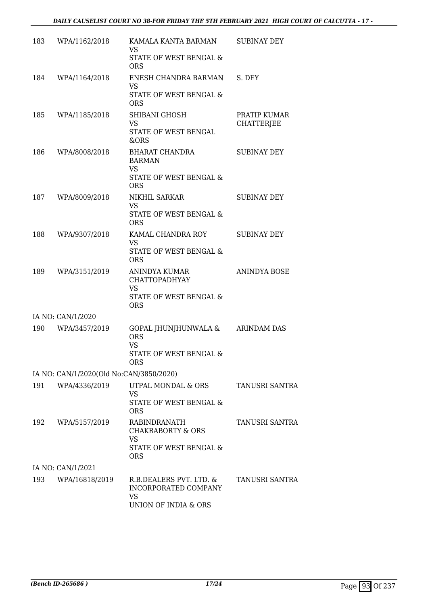| 183 | WPA/1162/2018                           | KAMALA KANTA BARMAN<br><b>VS</b>                             | <b>SUBINAY DEY</b>                |
|-----|-----------------------------------------|--------------------------------------------------------------|-----------------------------------|
|     |                                         | STATE OF WEST BENGAL &<br><b>ORS</b>                         |                                   |
| 184 | WPA/1164/2018                           | ENESH CHANDRA BARMAN<br><b>VS</b>                            | S. DEY                            |
|     |                                         | STATE OF WEST BENGAL &<br><b>ORS</b>                         |                                   |
| 185 | WPA/1185/2018                           | SHIBANI GHOSH<br>VS                                          | PRATIP KUMAR<br><b>CHATTERJEE</b> |
|     |                                         | STATE OF WEST BENGAL<br>&ORS                                 |                                   |
| 186 | WPA/8008/2018                           | <b>BHARAT CHANDRA</b><br><b>BARMAN</b><br><b>VS</b>          | <b>SUBINAY DEY</b>                |
|     |                                         | STATE OF WEST BENGAL &<br><b>ORS</b>                         |                                   |
| 187 | WPA/8009/2018                           | NIKHIL SARKAR<br>VS                                          | <b>SUBINAY DEY</b>                |
|     |                                         | STATE OF WEST BENGAL &<br><b>ORS</b>                         |                                   |
| 188 | WPA/9307/2018                           | KAMAL CHANDRA ROY<br><b>VS</b>                               | <b>SUBINAY DEY</b>                |
|     |                                         | STATE OF WEST BENGAL &<br><b>ORS</b>                         |                                   |
| 189 | WPA/3151/2019                           | ANINDYA KUMAR<br><b>CHATTOPADHYAY</b><br><b>VS</b>           | <b>ANINDYA BOSE</b>               |
|     |                                         | STATE OF WEST BENGAL &<br><b>ORS</b>                         |                                   |
|     | IA NO: CAN/1/2020                       |                                                              |                                   |
| 190 | WPA/3457/2019                           | GOPAL JHUNJHUNWALA &<br><b>ORS</b><br><b>VS</b>              | <b>ARINDAM DAS</b>                |
|     |                                         | STATE OF WEST BENGAL &<br><b>ORS</b>                         |                                   |
|     | IA NO: CAN/1/2020(Old No:CAN/3850/2020) |                                                              |                                   |
| 191 | WPA/4336/2019                           | UTPAL MONDAL & ORS<br><b>VS</b>                              | <b>TANUSRI SANTRA</b>             |
|     |                                         | STATE OF WEST BENGAL &<br><b>ORS</b>                         |                                   |
| 192 | WPA/5157/2019                           | RABINDRANATH<br><b>CHAKRABORTY &amp; ORS</b>                 | TANUSRI SANTRA                    |
|     |                                         | STATE OF WEST BENGAL &<br><b>ORS</b>                         |                                   |
|     | IA NO: CAN/1/2021                       |                                                              |                                   |
| 193 | WPA/16818/2019                          | R.B.DEALERS PVT. LTD. &<br>INCORPORATED COMPANY<br><b>VS</b> | <b>TANUSRI SANTRA</b>             |
|     |                                         | <b>VS</b><br>UNION OF INDIA & ORS                            |                                   |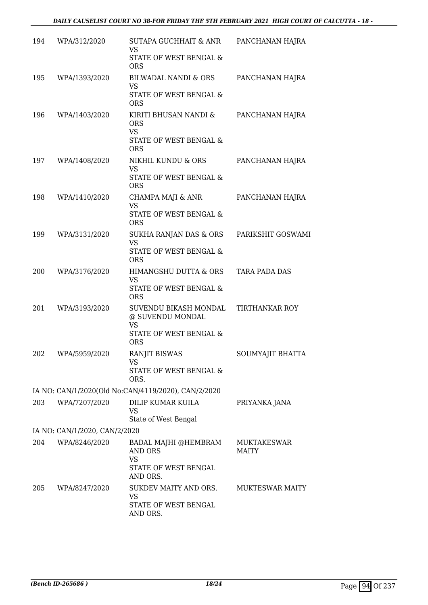| 194 | WPA/312/2020                  | SUTAPA GUCHHAIT & ANR<br>VS                            | PANCHANAN HAJRA                    |
|-----|-------------------------------|--------------------------------------------------------|------------------------------------|
|     |                               | STATE OF WEST BENGAL &<br><b>ORS</b>                   |                                    |
| 195 | WPA/1393/2020                 | <b>BILWADAL NANDI &amp; ORS</b><br>VS                  | PANCHANAN HAJRA                    |
|     |                               | STATE OF WEST BENGAL &<br><b>ORS</b>                   |                                    |
| 196 | WPA/1403/2020                 | KIRITI BHUSAN NANDI &<br><b>ORS</b><br><b>VS</b>       | PANCHANAN HAJRA                    |
|     |                               | STATE OF WEST BENGAL &<br><b>ORS</b>                   |                                    |
| 197 | WPA/1408/2020                 | NIKHIL KUNDU & ORS<br><b>VS</b>                        | PANCHANAN HAJRA                    |
|     |                               | STATE OF WEST BENGAL &<br><b>ORS</b>                   |                                    |
| 198 | WPA/1410/2020                 | CHAMPA MAJI & ANR<br><b>VS</b>                         | PANCHANAN HAJRA                    |
|     |                               | STATE OF WEST BENGAL &<br><b>ORS</b>                   |                                    |
| 199 | WPA/3131/2020                 | SUKHA RANJAN DAS & ORS<br><b>VS</b>                    | PARIKSHIT GOSWAMI                  |
|     |                               | STATE OF WEST BENGAL &<br><b>ORS</b>                   |                                    |
| 200 | WPA/3176/2020                 | HIMANGSHU DUTTA & ORS<br><b>VS</b>                     | TARA PADA DAS                      |
|     |                               | STATE OF WEST BENGAL &<br><b>ORS</b>                   |                                    |
| 201 | WPA/3193/2020                 | SUVENDU BIKASH MONDAL<br>@ SUVENDU MONDAL<br><b>VS</b> | TIRTHANKAR ROY                     |
|     |                               | STATE OF WEST BENGAL &<br><b>ORS</b>                   |                                    |
| 202 | WPA/5959/2020                 | RANJIT BISWAS<br>VS                                    | SOUMYAJIT BHATTA                   |
|     |                               | STATE OF WEST BENGAL &<br>ORS.                         |                                    |
|     |                               | IA NO: CAN/1/2020(Old No:CAN/4119/2020), CAN/2/2020    |                                    |
| 203 | WPA/7207/2020                 | DILIP KUMAR KUILA<br><b>VS</b><br>State of West Bengal | PRIYANKA JANA                      |
|     | IA NO: CAN/1/2020, CAN/2/2020 |                                                        |                                    |
| 204 | WPA/8246/2020                 | BADAL MAJHI @HEMBRAM<br>AND ORS<br><b>VS</b>           | <b>MUKTAKESWAR</b><br><b>MAITY</b> |
|     |                               | STATE OF WEST BENGAL<br>AND ORS.                       |                                    |
| 205 | WPA/8247/2020                 | SUKDEV MAITY AND ORS.<br><b>VS</b>                     | MUKTESWAR MAITY                    |
|     |                               | STATE OF WEST BENGAL<br>AND ORS.                       |                                    |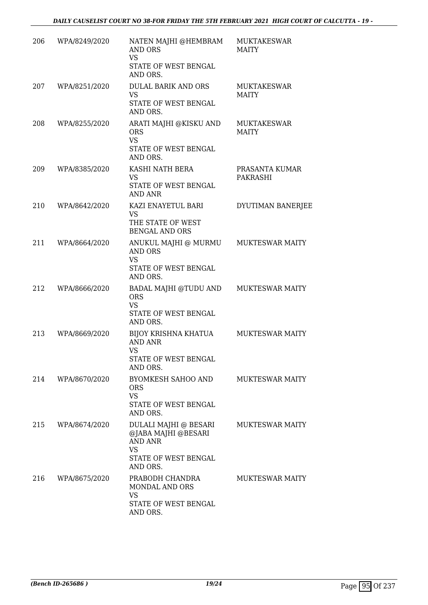| 206 | WPA/8249/2020 | NATEN MAJHI @HEMBRAM<br><b>AND ORS</b><br><b>VS</b><br>STATE OF WEST BENGAL<br>AND ORS.                         | <b>MUKTAKESWAR</b><br>MAITY        |
|-----|---------------|-----------------------------------------------------------------------------------------------------------------|------------------------------------|
| 207 | WPA/8251/2020 | DULAL BARIK AND ORS<br><b>VS</b><br>STATE OF WEST BENGAL<br>AND ORS.                                            | <b>MUKTAKESWAR</b><br>MAITY        |
| 208 | WPA/8255/2020 | ARATI MAJHI @KISKU AND<br><b>ORS</b><br><b>VS</b><br>STATE OF WEST BENGAL<br>AND ORS.                           | <b>MUKTAKESWAR</b><br><b>MAITY</b> |
| 209 | WPA/8385/2020 | KASHI NATH BERA<br>VS<br>STATE OF WEST BENGAL<br><b>AND ANR</b>                                                 | PRASANTA KUMAR<br><b>PAKRASHI</b>  |
| 210 | WPA/8642/2020 | KAZI ENAYETUL BARI<br>VS<br>THE STATE OF WEST<br><b>BENGAL AND ORS</b>                                          | DYUTIMAN BANERJEE                  |
| 211 | WPA/8664/2020 | ANUKUL MAJHI @ MURMU<br><b>AND ORS</b><br><b>VS</b><br>STATE OF WEST BENGAL<br>AND ORS.                         | <b>MUKTESWAR MAITY</b>             |
| 212 | WPA/8666/2020 | BADAL MAJHI @TUDU AND<br><b>ORS</b><br><b>VS</b><br>STATE OF WEST BENGAL<br>AND ORS.                            | <b>MUKTESWAR MAITY</b>             |
| 213 | WPA/8669/2020 | BIJOY KRISHNA KHATUA<br><b>AND ANR</b><br>VS<br><b>STATE OF WEST BENGAL</b><br>AND ORS.                         | <b>MUKTESWAR MAITY</b>             |
| 214 | WPA/8670/2020 | BYOMKESH SAHOO AND<br><b>ORS</b><br><b>VS</b><br>STATE OF WEST BENGAL<br>AND ORS.                               | <b>MUKTESWAR MAITY</b>             |
| 215 | WPA/8674/2020 | DULALI MAJHI @ BESARI<br>@JABA MAJHI @BESARI<br><b>AND ANR</b><br><b>VS</b><br>STATE OF WEST BENGAL<br>AND ORS. | <b>MUKTESWAR MAITY</b>             |
| 216 | WPA/8675/2020 | PRABODH CHANDRA<br><b>MONDAL AND ORS</b><br><b>VS</b><br>STATE OF WEST BENGAL<br>AND ORS.                       | <b>MUKTESWAR MAITY</b>             |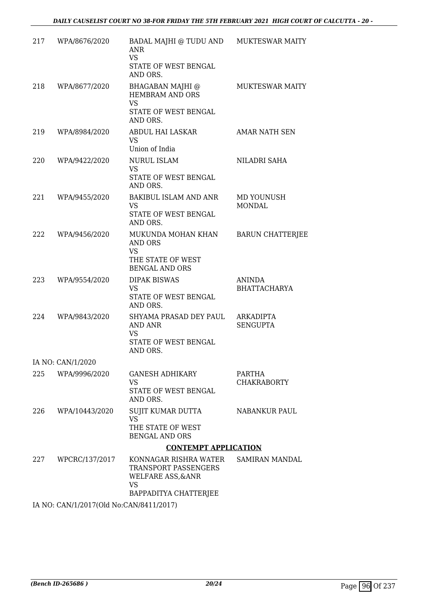| 217 | WPA/8676/2020     | BADAL MAJHI @ TUDU AND<br><b>ANR</b><br><b>VS</b><br>STATE OF WEST BENGAL<br>AND ORS.              | <b>MUKTESWAR MAITY</b>              |
|-----|-------------------|----------------------------------------------------------------------------------------------------|-------------------------------------|
| 218 | WPA/8677/2020     | <b>BHAGABAN MAJHI</b> @<br>HEMBRAM AND ORS<br><b>VS</b><br><b>STATE OF WEST BENGAL</b><br>AND ORS. | <b>MUKTESWAR MAITY</b>              |
| 219 | WPA/8984/2020     | <b>ABDUL HAI LASKAR</b><br>VS.<br>Union of India                                                   | <b>AMAR NATH SEN</b>                |
| 220 | WPA/9422/2020     | <b>NURUL ISLAM</b><br><b>VS</b><br>STATE OF WEST BENGAL<br>AND ORS.                                | NILADRI SAHA                        |
| 221 | WPA/9455/2020     | <b>BAKIBUL ISLAM AND ANR</b><br>VS<br>STATE OF WEST BENGAL<br>AND ORS.                             | MD YOUNUSH<br><b>MONDAL</b>         |
| 222 | WPA/9456/2020     | MUKUNDA MOHAN KHAN<br><b>AND ORS</b><br><b>VS</b><br>THE STATE OF WEST<br><b>BENGAL AND ORS</b>    | <b>BARUN CHATTERJEE</b>             |
| 223 | WPA/9554/2020     | <b>DIPAK BISWAS</b><br><b>VS</b><br>STATE OF WEST BENGAL<br>AND ORS.                               | ANINDA<br><b>BHATTACHARYA</b>       |
| 224 | WPA/9843/2020     | SHYAMA PRASAD DEY PAUL<br>AND ANR<br><b>VS</b><br>STATE OF WEST BENGAL<br>AND ORS.                 | <b>ARKADIPTA</b><br><b>SENGUPTA</b> |
|     | IA NO: CAN/1/2020 |                                                                                                    |                                     |
| 225 | WPA/9996/2020     | <b>GANESH ADHIKARY</b><br>VS<br>STATE OF WEST BENGAL<br>AND ORS.                                   | PARTHA<br><b>CHAKRABORTY</b>        |
| 226 | WPA/10443/2020    | <b>SUJIT KUMAR DUTTA</b><br><b>VS</b><br>THE STATE OF WEST<br><b>BENGAL AND ORS</b>                | <b>NABANKUR PAUL</b>                |
|     |                   | <b>CONTEMPT APPLICATION</b>                                                                        |                                     |
| 227 | WPCRC/137/2017    | KONNAGAR RISHRA WATER<br>TRANSPORT PASSENGERS<br><b>WELFARE ASS, &amp; ANR</b><br><b>VS</b>        | SAMIRAN MANDAL                      |
|     |                   | BAPPADITYA CHATTERJEE                                                                              |                                     |

IA NO: CAN/1/2017(Old No:CAN/8411/2017)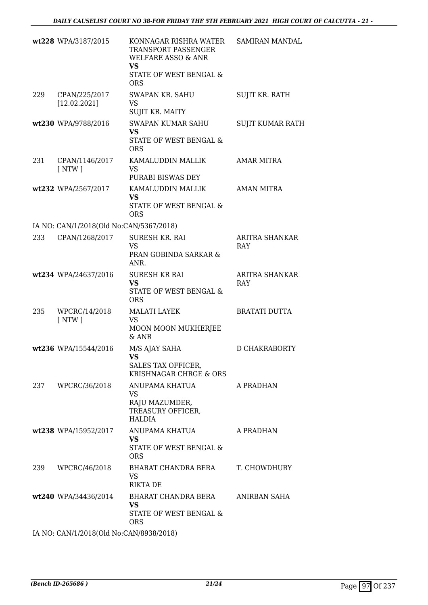|     | wt228 WPA/3187/2015                     | KONNAGAR RISHRA WATER<br>TRANSPORT PASSENGER<br><b>WELFARE ASSO &amp; ANR</b><br><b>VS</b><br>STATE OF WEST BENGAL &<br><b>ORS</b> | <b>SAMIRAN MANDAL</b>               |
|-----|-----------------------------------------|------------------------------------------------------------------------------------------------------------------------------------|-------------------------------------|
| 229 | CPAN/225/2017<br>[12.02.2021]           | <b>SWAPAN KR. SAHU</b><br><b>VS</b><br>SUJIT KR. MAITY                                                                             | SUJIT KR. RATH                      |
|     | wt230 WPA/9788/2016                     | <b>SWAPAN KUMAR SAHU</b><br><b>VS</b><br>STATE OF WEST BENGAL &<br><b>ORS</b>                                                      | SUJIT KUMAR RATH                    |
| 231 | CPAN/1146/2017<br>$\lceil NTW \rceil$   | KAMALUDDIN MALLIK<br><b>VS</b><br>PURABI BISWAS DEY                                                                                | AMAR MITRA                          |
|     | wt232 WPA/2567/2017                     | KAMALUDDIN MALLIK<br>VS<br>STATE OF WEST BENGAL &<br><b>ORS</b>                                                                    | <b>AMAN MITRA</b>                   |
|     | IA NO: CAN/1/2018(Old No:CAN/5367/2018) |                                                                                                                                    |                                     |
| 233 | CPAN/1268/2017                          | <b>SURESH KR. RAI</b><br><b>VS</b><br>PRAN GOBINDA SARKAR &<br>ANR.                                                                | <b>ARITRA SHANKAR</b><br><b>RAY</b> |
|     | wt234 WPA/24637/2016                    | <b>SURESH KR RAI</b><br><b>VS</b><br>STATE OF WEST BENGAL &<br><b>ORS</b>                                                          | ARITRA SHANKAR<br>RAY               |
| 235 | WPCRC/14/2018<br>$\lceil NTW \rceil$    | <b>MALATI LAYEK</b><br><b>VS</b><br>MOON MOON MUKHERJEE<br>$&$ ANR                                                                 | <b>BRATATI DUTTA</b>                |
|     | wt236 WPA/15544/2016                    | M/S AJAY SAHA<br><b>VS</b><br>SALES TAX OFFICER,<br>KRISHNAGAR CHRGE & ORS                                                         | D CHAKRABORTY                       |
|     | 237 WPCRC/36/2018                       | ANUPAMA KHATUA<br>VS.<br>RAJU MAZUMDER,<br>TREASURY OFFICER,<br>HALDIA                                                             | A PRADHAN                           |
|     | wt238 WPA/15952/2017                    | ANUPAMA KHATUA<br><b>VS</b><br>STATE OF WEST BENGAL &<br><b>ORS</b>                                                                | A PRADHAN                           |
| 239 | WPCRC/46/2018                           | BHARAT CHANDRA BERA T. CHOWDHURY<br><b>VS</b><br><b>RIKTA DE</b>                                                                   |                                     |
|     | wt240 WPA/34436/2014                    | BHARAT CHANDRA BERA<br><b>VS</b><br>STATE OF WEST BENGAL &<br><b>ORS</b>                                                           | ANIRBAN SAHA                        |
|     |                                         | 1117.011100000000101                                                                                                               |                                     |

IA NO: CAN/1/2018(Old No:CAN/8938/2018)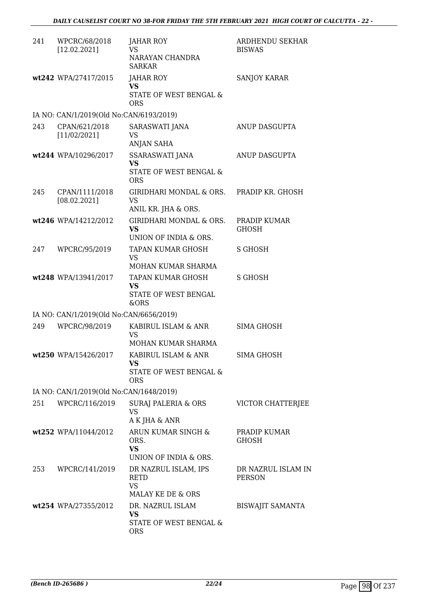| 241 | WPCRC/68/2018<br>[12.02.2021]           | JAHAR ROY<br><b>VS</b><br>NARAYAN CHANDRA<br><b>SARKAR</b>            | ARDHENDU SEKHAR<br><b>BISWAS</b>    |
|-----|-----------------------------------------|-----------------------------------------------------------------------|-------------------------------------|
|     | wt242 WPA/27417/2015                    | <b>JAHAR ROY</b><br><b>VS</b><br>STATE OF WEST BENGAL &<br><b>ORS</b> | <b>SANJOY KARAR</b>                 |
|     | IA NO: CAN/1/2019(Old No:CAN/6193/2019) |                                                                       |                                     |
| 243 | CPAN/621/2018<br>[11/02/2021]           | SARASWATI JANA<br><b>VS</b><br>ANJAN SAHA                             | ANUP DASGUPTA                       |
|     | wt244 WPA/10296/2017                    | <b>SSARASWATI JANA</b><br>VS<br>STATE OF WEST BENGAL &<br><b>ORS</b>  | ANUP DASGUPTA                       |
| 245 | CPAN/1111/2018<br>[08.02.2021]          | GIRIDHARI MONDAL & ORS.<br><b>VS</b><br>ANIL KR. JHA & ORS.           | PRADIP KR. GHOSH                    |
|     | wt246 WPA/14212/2012                    | <b>GIRIDHARI MONDAL &amp; ORS.</b><br>VS<br>UNION OF INDIA & ORS.     | PRADIP KUMAR<br><b>GHOSH</b>        |
| 247 | WPCRC/95/2019                           | TAPAN KUMAR GHOSH<br>VS<br>MOHAN KUMAR SHARMA                         | S GHOSH                             |
|     | wt248 WPA/13941/2017                    | TAPAN KUMAR GHOSH<br><b>VS</b><br>STATE OF WEST BENGAL<br>&ORS        | <b>S GHOSH</b>                      |
|     | IA NO: CAN/1/2019(Old No:CAN/6656/2019) |                                                                       |                                     |
| 249 | WPCRC/98/2019                           | KABIRUL ISLAM & ANR<br>VS<br>MOHAN KUMAR SHARMA                       | <b>SIMA GHOSH</b>                   |
|     | wt250 WPA/15426/2017                    | KABIRUL ISLAM & ANR<br>VS<br>STATE OF WEST BENGAL &                   | SIMA GHOSH                          |
|     |                                         | <b>ORS</b>                                                            |                                     |
|     | IA NO: CAN/1/2019(Old No:CAN/1648/2019) |                                                                       |                                     |
| 251 | WPCRC/116/2019                          | SURAJ PALERIA & ORS<br><b>VS</b><br>A K JHA & ANR                     | VICTOR CHATTERJEE                   |
|     | wt252 WPA/11044/2012                    | ARUN KUMAR SINGH &<br>ORS.<br><b>VS</b><br>UNION OF INDIA & ORS.      | PRADIP KUMAR<br><b>GHOSH</b>        |
|     | 253 WPCRC/141/2019                      | DR NAZRUL ISLAM, IPS<br><b>RETD</b><br><b>VS</b><br>MALAY KE DE & ORS | DR NAZRUL ISLAM IN<br><b>PERSON</b> |
|     | wt254 WPA/27355/2012                    | DR. NAZRUL ISLAM<br><b>VS</b><br>STATE OF WEST BENGAL &<br><b>ORS</b> | <b>BISWAJIT SAMANTA</b>             |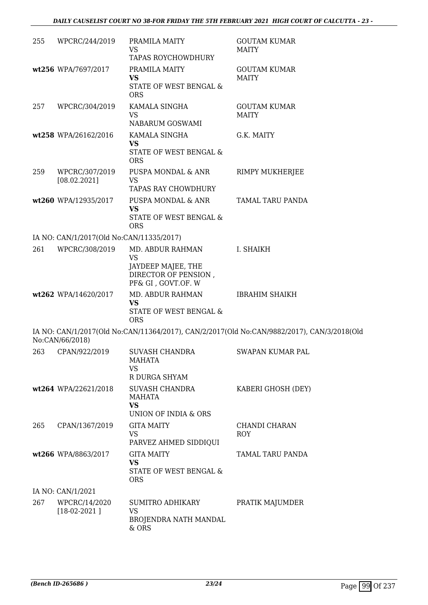| 255 | WPCRC/244/2019                           | PRAMILA MAITY<br>VS.<br><b>TAPAS ROYCHOWDHURY</b>                                                 | <b>GOUTAM KUMAR</b><br><b>MAITY</b>                                                        |
|-----|------------------------------------------|---------------------------------------------------------------------------------------------------|--------------------------------------------------------------------------------------------|
|     | wt256 WPA/7697/2017                      | PRAMILA MAITY<br><b>VS</b><br>STATE OF WEST BENGAL &<br><b>ORS</b>                                | <b>GOUTAM KUMAR</b><br><b>MAITY</b>                                                        |
| 257 | WPCRC/304/2019                           | KAMALA SINGHA<br><b>VS</b><br>NABARUM GOSWAMI                                                     | <b>GOUTAM KUMAR</b><br><b>MAITY</b>                                                        |
|     | wt258 WPA/26162/2016                     | KAMALA SINGHA<br>VS<br>STATE OF WEST BENGAL &<br><b>ORS</b>                                       | G.K. MAITY                                                                                 |
| 259 | WPCRC/307/2019<br>[08.02.2021]           | PUSPA MONDAL & ANR<br>VS<br><b>TAPAS RAY CHOWDHURY</b>                                            | RIMPY MUKHERJEE                                                                            |
|     | wt260 WPA/12935/2017                     | PUSPA MONDAL & ANR<br><b>VS</b><br>STATE OF WEST BENGAL &<br><b>ORS</b>                           | TAMAL TARU PANDA                                                                           |
|     | IA NO: CAN/1/2017(Old No:CAN/11335/2017) |                                                                                                   |                                                                                            |
| 261 | WPCRC/308/2019                           | MD. ABDUR RAHMAN<br><b>VS</b><br>JAYDEEP MAJEE, THE<br>DIRECTOR OF PENSION,<br>PF& GI, GOVT.OF. W | I. SHAIKH                                                                                  |
|     | wt262 WPA/14620/2017                     | MD. ABDUR RAHMAN<br><b>VS</b><br>STATE OF WEST BENGAL &<br><b>ORS</b>                             | <b>IBRAHIM SHAIKH</b>                                                                      |
|     | No:CAN/66/2018)                          |                                                                                                   | IA NO: CAN/1/2017(Old No:CAN/11364/2017), CAN/2/2017(Old No:CAN/9882/2017), CAN/3/2018(Old |
| 263 | CPAN/922/2019                            | <b>SUVASH CHANDRA</b><br><b>MAHATA</b><br>VS<br>R DURGA SHYAM                                     | SWAPAN KUMAR PAL                                                                           |
|     | wt264 WPA/22621/2018                     | <b>SUVASH CHANDRA</b><br>MAHATA<br><b>VS</b><br>UNION OF INDIA & ORS                              | KABERI GHOSH (DEY)                                                                         |
| 265 | CPAN/1367/2019                           | <b>GITA MAITY</b><br><b>VS</b><br>PARVEZ AHMED SIDDIQUI                                           | CHANDI CHARAN<br>ROY                                                                       |
|     | wt266 WPA/8863/2017                      | <b>GITA MAITY</b><br><b>VS</b><br>STATE OF WEST BENGAL &<br><b>ORS</b>                            | TAMAL TARU PANDA                                                                           |
|     | IA NO: CAN/1/2021                        |                                                                                                   |                                                                                            |
| 267 | WPCRC/14/2020<br>$[18-02-2021]$          | SUMITRO ADHIKARY<br>VS<br>BROJENDRA NATH MANDAL<br>& ORS                                          | PRATIK MAJUMDER                                                                            |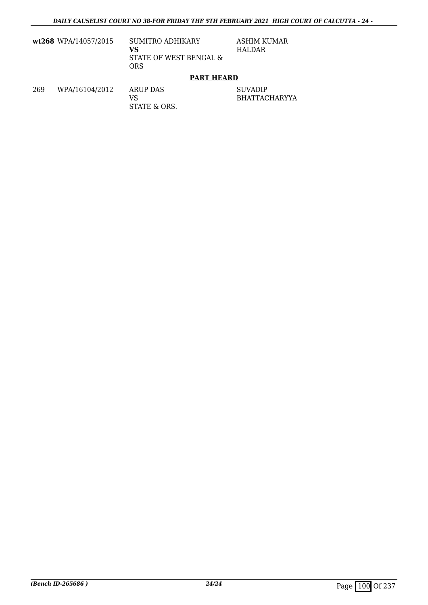**wt268** WPA/14057/2015 SUMITRO ADHIKARY

**VS** STATE OF WEST BENGAL & ORS

ASHIM KUMAR HALDAR

#### **PART HEARD**

269 WPA/16104/2012 ARUP DAS

VS STATE & ORS.

SUVADIP BHATTACHARYYA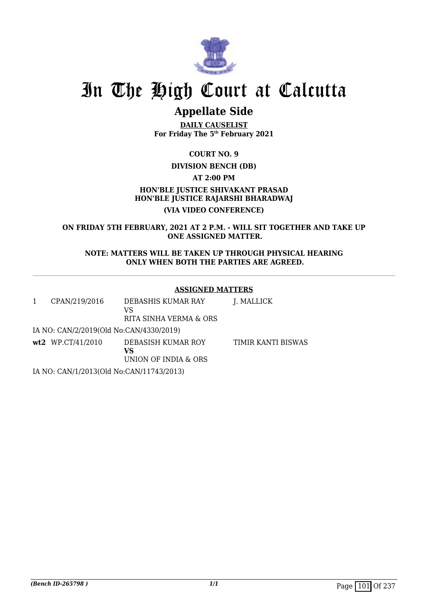

## **Appellate Side**

**DAILY CAUSELIST For Friday The 5th February 2021**

**COURT NO. 9**

**DIVISION BENCH (DB)**

**AT 2:00 PM**

**HON'BLE JUSTICE SHIVAKANT PRASAD HON'BLE JUSTICE RAJARSHI BHARADWAJ (VIA VIDEO CONFERENCE)**

**ON FRIDAY 5TH FEBRUARY, 2021 AT 2 P.M. - WILL SIT TOGETHER AND TAKE UP ONE ASSIGNED MATTER.**

**NOTE: MATTERS WILL BE TAKEN UP THROUGH PHYSICAL HEARING ONLY WHEN BOTH THE PARTIES ARE AGREED.**

#### **ASSIGNED MATTERS**

| 1 | CPAN/219/2016                            | DEBASHIS KUMAR RAY<br>VS<br>RITA SINHA VERMA & ORS | J. MALLICK         |
|---|------------------------------------------|----------------------------------------------------|--------------------|
|   | IA NO: CAN/2/2019(Old No:CAN/4330/2019)  |                                                    |                    |
|   | $wt2$ WP.CT/41/2010                      | DEBASISH KUMAR ROY<br>VS<br>UNION OF INDIA & ORS   | TIMIR KANTI BISWAS |
|   | IA NO: CAN/1/2013(Old No:CAN/11743/2013) |                                                    |                    |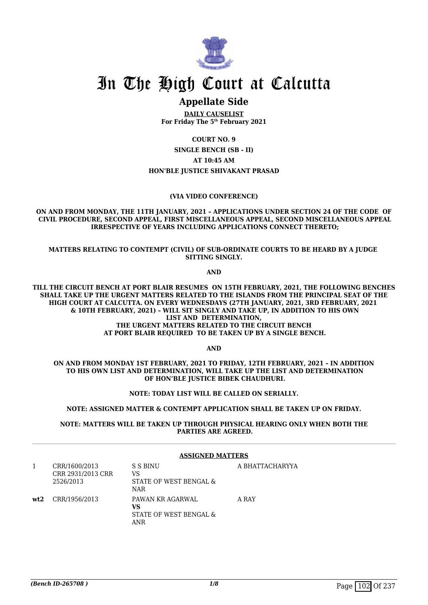

#### **Appellate Side**

**DAILY CAUSELIST For Friday The 5th February 2021**

**COURT NO. 9**

**SINGLE BENCH (SB - II) AT 10:45 AM HON'BLE JUSTICE SHIVAKANT PRASAD**

#### **(VIA VIDEO CONFERENCE)**

**ON AND FROM MONDAY, THE 11TH JANUARY, 2021 – APPLICATIONS UNDER SECTION 24 OF THE CODE OF CIVIL PROCEDURE, SECOND APPEAL, FIRST MISCELLANEOUS APPEAL, SECOND MISCELLANEOUS APPEAL IRRESPECTIVE OF YEARS INCLUDING APPLICATIONS CONNECT THERETO;**

**MATTERS RELATING TO CONTEMPT (CIVIL) OF SUB-ORDINATE COURTS TO BE HEARD BY A JUDGE SITTING SINGLY.**

**AND**

**TILL THE CIRCUIT BENCH AT PORT BLAIR RESUMES ON 15TH FEBRUARY, 2021, THE FOLLOWING BENCHES SHALL TAKE UP THE URGENT MATTERS RELATED TO THE ISLANDS FROM THE PRINCIPAL SEAT OF THE HIGH COURT AT CALCUTTA. ON EVERY WEDNESDAYS (27TH JANUARY, 2021, 3RD FEBRUARY, 2021 & 10TH FEBRUARY, 2021) – WILL SIT SINGLY AND TAKE UP, IN ADDITION TO HIS OWN LIST AND DETERMINATION, THE URGENT MATTERS RELATED TO THE CIRCUIT BENCH AT PORT BLAIR REQUIRED TO BE TAKEN UP BY A SINGLE BENCH.**

**AND**

**ON AND FROM MONDAY 1ST FEBRUARY, 2021 TO FRIDAY, 12TH FEBRUARY, 2021 – IN ADDITION TO HIS OWN LIST AND DETERMINATION, WILL TAKE UP THE LIST AND DETERMINATION OF HON'BLE JUSTICE BIBEK CHAUDHURI.**

**NOTE: TODAY LIST WILL BE CALLED ON SERIALLY.**

**NOTE: ASSIGNED MATTER & CONTEMPT APPLICATION SHALL BE TAKEN UP ON FRIDAY.**

**NOTE: MATTERS WILL BE TAKEN UP THROUGH PHYSICAL HEARING ONLY WHEN BOTH THE PARTIES ARE AGREED.**

#### **ASSIGNED MATTERS**

|     | CRR/1600/2013<br>CRR 2931/2013 CRR<br>2526/2013 | S S BINU<br>VS<br>STATE OF WEST BENGAL &<br><b>NAR</b>  | A BHATTACHARYYA |
|-----|-------------------------------------------------|---------------------------------------------------------|-----------------|
| wt2 | CRR/1956/2013                                   | PAWAN KR AGARWAL<br>vs<br>STATE OF WEST BENGAL &<br>ANR | A RAY           |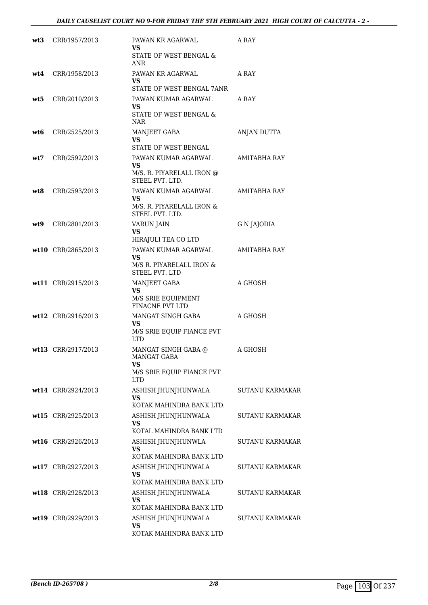| wt3 | CRR/1957/2013      | PAWAN KR AGARWAL<br>VS<br>STATE OF WEST BENGAL &<br><b>ANR</b>                        | A RAY                  |
|-----|--------------------|---------------------------------------------------------------------------------------|------------------------|
| wt4 | CRR/1958/2013      | PAWAN KR AGARWAL<br>VS<br>STATE OF WEST BENGAL 7ANR                                   | A RAY                  |
| wt5 | CRR/2010/2013      | PAWAN KUMAR AGARWAL<br>VS.<br>STATE OF WEST BENGAL &<br>NAR                           | A RAY                  |
| wt6 | CRR/2525/2013      | MANJEET GABA<br>VS.<br>STATE OF WEST BENGAL                                           | ANJAN DUTTA            |
| wt7 | CRR/2592/2013      | PAWAN KUMAR AGARWAL<br><b>VS</b><br>M/S. R. PIYARELALL IRON @<br>STEEL PVT. LTD.      | AMITABHA RAY           |
| wt8 | CRR/2593/2013      | PAWAN KUMAR AGARWAL<br>VS<br>M/S. R. PIYARELALL IRON $\&$<br>STEEL PVT. LTD.          | AMITABHA RAY           |
| wt9 | CRR/2801/2013      | VARUN JAIN<br>VS<br>HIRAJULI TEA CO LTD                                               | <b>G N JAJODIA</b>     |
|     | wt10 CRR/2865/2013 | PAWAN KUMAR AGARWAL<br><b>VS</b><br>M/S R. PIYARELALL IRON &<br><b>STEEL PVT. LTD</b> | AMITABHA RAY           |
|     | wt11 CRR/2915/2013 | MANJEET GABA<br>VS.<br>M/S SRIE EQUIPMENT<br>FINACNE PVT LTD                          | A GHOSH                |
|     | wt12 CRR/2916/2013 | MANGAT SINGH GABA<br>VS<br>M/S SRIE EQUIP FIANCE PVT<br><b>LTD</b>                    | A GHOSH                |
|     | wt13 CRR/2917/2013 | MANGAT SINGH GABA @<br>MANGAT GABA<br>VS<br>M/S SRIE EQUIP FIANCE PVT<br><b>LTD</b>   | A GHOSH                |
|     | wt14 CRR/2924/2013 | ASHISH JHUNJHUNWALA<br>VS<br>KOTAK MAHINDRA BANK LTD.                                 | <b>SUTANU KARMAKAR</b> |
|     | wt15 CRR/2925/2013 | ASHISH JHUNJHUNWALA<br>VS<br>KOTAL MAHINDRA BANK LTD                                  | <b>SUTANU KARMAKAR</b> |
|     | wt16 CRR/2926/2013 | ASHISH JHUNJHUNWLA<br>VS<br>KOTAK MAHINDRA BANK LTD                                   | <b>SUTANU KARMAKAR</b> |
|     | wt17 CRR/2927/2013 | ASHISH JHUNJHUNWALA<br>VS<br>KOTAK MAHINDRA BANK LTD                                  | <b>SUTANU KARMAKAR</b> |
|     | wt18 CRR/2928/2013 | ASHISH JHUNJHUNWALA<br>VS<br>KOTAK MAHINDRA BANK LTD                                  | SUTANU KARMAKAR        |
|     | wt19 CRR/2929/2013 | ASHISH JHUNJHUNWALA<br>VS<br>KOTAK MAHINDRA BANK LTD                                  | <b>SUTANU KARMAKAR</b> |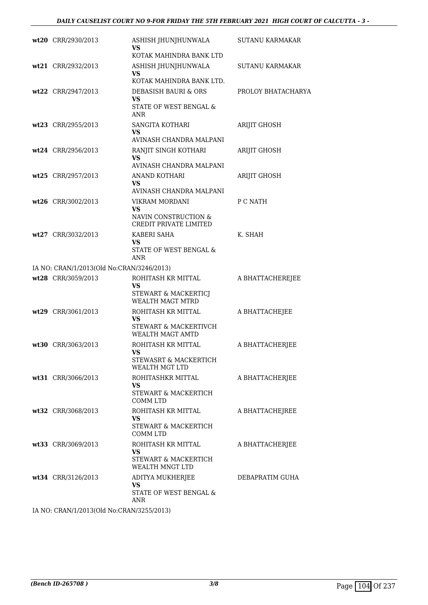| wt20 CRR/2930/2013                        | ASHISH JHUNJHUNWALA<br><b>VS</b>                                                                   | SUTANU KARMAKAR     |
|-------------------------------------------|----------------------------------------------------------------------------------------------------|---------------------|
| wt21 CRR/2932/2013                        | KOTAK MAHINDRA BANK LTD<br>ASHISH JHUNJHUNWALA<br><b>VS</b>                                        | SUTANU KARMAKAR     |
| wt22 CRR/2947/2013                        | KOTAK MAHINDRA BANK LTD.<br>DEBASISH BAURI & ORS<br><b>VS</b><br><b>STATE OF WEST BENGAL &amp;</b> | PROLOY BHATACHARYA  |
| wt23 CRR/2955/2013                        | ANR<br>SANGITA KOTHARI<br><b>VS</b>                                                                | <b>ARIJIT GHOSH</b> |
| wt24 CRR/2956/2013                        | AVINASH CHANDRA MALPANI<br>RANJIT SINGH KOTHARI<br><b>VS</b><br>AVINASH CHANDRA MALPANI            | ARIJIT GHOSH        |
| wt25 CRR/2957/2013                        | <b>ANAND KOTHARI</b><br><b>VS</b><br>AVINASH CHANDRA MALPANI                                       | ARIJIT GHOSH        |
| wt26 CRR/3002/2013                        | VIKRAM MORDANI<br>VS<br>NAVIN CONSTRUCTION &                                                       | P C NATH            |
| wt27 CRR/3032/2013                        | CREDIT PRIVATE LIMITED<br>KABERI SAHA<br>VS<br>STATE OF WEST BENGAL &                              | K. SHAH             |
| IA NO: CRAN/1/2013(Old No:CRAN/3246/2013) | ANR                                                                                                |                     |
| wt28 CRR/3059/2013                        | ROHITASH KR MITTAL<br>VS<br>STEWART & MACKERTICJ<br><b>WEALTH MAGT MTRD</b>                        | A BHATTACHEREJEE    |
| wt29 CRR/3061/2013                        | ROHITASH KR MITTAL<br>VS<br>STEWART & MACKERTIVCH<br><b>WEALTH MAGT AMTD</b>                       | A BHATTACHEJEE      |
| wt30 CRR/3063/2013                        | ROHITASH KR MITTAL<br><b>VS</b><br>STEWASRT & MACKERTICH                                           | A BHATTACHERJEE     |
| wt31 CRR/3066/2013                        | WEALTH MGT LTD<br>ROHITASHKR MITTAL<br>VS.<br>STEWART & MACKERTICH<br><b>COMM LTD</b>              | A BHATTACHERJEE     |
| wt32 CRR/3068/2013                        | ROHITASH KR MITTAL<br><b>VS</b><br>STEWART & MACKERTICH<br>COMM LTD                                | A BHATTACHEJREE     |
| wt33 CRR/3069/2013                        | ROHITASH KR MITTAL<br><b>VS</b><br>STEWART & MACKERTICH<br>WEALTH MNGT LTD                         | A BHATTACHERJEE     |
| wt34 CRR/3126/2013                        | ADITYA MUKHERJEE<br><b>VS</b><br>STATE OF WEST BENGAL &                                            | DEBAPRATIM GUHA     |
| IA NO. CRANI1/2012(OId No.CRANI2255/2012) | ANR                                                                                                |                     |

IA NO: CRAN/1/2013(Old No:CRAN/3255/2013)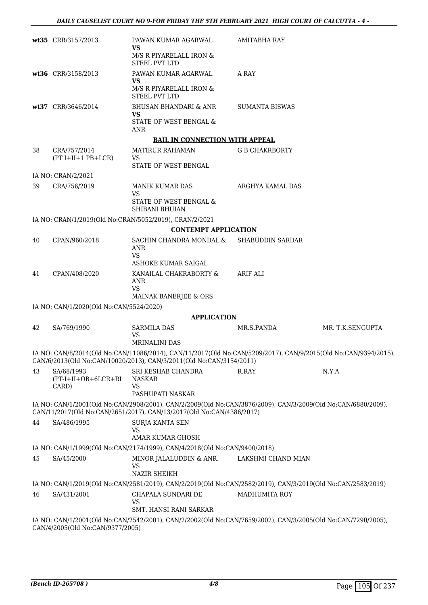|    | wt35 CRR/3157/2013                      | PAWAN KUMAR AGARWAL<br>VS<br>M/S R PIYARELALL IRON &                                                                                                                                  | AMITABHA RAY            |                  |
|----|-----------------------------------------|---------------------------------------------------------------------------------------------------------------------------------------------------------------------------------------|-------------------------|------------------|
|    |                                         | STEEL PVT LTD                                                                                                                                                                         |                         |                  |
|    | wt36 CRR/3158/2013                      | PAWAN KUMAR AGARWAL<br>VS                                                                                                                                                             | A RAY                   |                  |
|    |                                         | M/S R PIYARELALL IRON $\&$<br><b>STEEL PVT LTD</b>                                                                                                                                    |                         |                  |
|    | wt37 CRR/3646/2014                      | <b>BHUSAN BHANDARI &amp; ANR</b><br>VS                                                                                                                                                | <b>SUMANTA BISWAS</b>   |                  |
|    |                                         | STATE OF WEST BENGAL &<br><b>ANR</b>                                                                                                                                                  |                         |                  |
|    |                                         | <b>BAIL IN CONNECTION WITH APPEAL</b>                                                                                                                                                 |                         |                  |
| 38 | CRA/757/2014                            | <b>MATIRUR RAHAMAN</b>                                                                                                                                                                | <b>G B CHAKRBORTY</b>   |                  |
|    | $(PT I+II+1 PB+LCR)$                    | VS<br>STATE OF WEST BENGAL                                                                                                                                                            |                         |                  |
|    | IA NO: CRAN/2/2021                      |                                                                                                                                                                                       |                         |                  |
| 39 | CRA/756/2019                            | <b>MANIK KUMAR DAS</b><br>VS<br>STATE OF WEST BENGAL &                                                                                                                                | ARGHYA KAMAL DAS        |                  |
|    |                                         | <b>SHIBANI BHUIAN</b>                                                                                                                                                                 |                         |                  |
|    |                                         | IA NO: CRAN/1/2019(Old No:CRAN/5052/2019), CRAN/2/2021                                                                                                                                |                         |                  |
|    |                                         | <b>CONTEMPT APPLICATION</b>                                                                                                                                                           |                         |                  |
| 40 | CPAN/960/2018                           | SACHIN CHANDRA MONDAL &<br>ANR<br>VS<br>ASHOKE KUMAR SAIGAL                                                                                                                           | <b>SHABUDDIN SARDAR</b> |                  |
| 41 | CPAN/408/2020                           | KANAILAL CHAKRABORTY &                                                                                                                                                                | ARIF ALI                |                  |
|    |                                         | <b>ANR</b><br><b>VS</b>                                                                                                                                                               |                         |                  |
|    |                                         | MAINAK BANERJEE & ORS                                                                                                                                                                 |                         |                  |
|    | IA NO: CAN/1/2020(Old No:CAN/5524/2020) |                                                                                                                                                                                       |                         |                  |
|    |                                         | <b>APPLICATION</b>                                                                                                                                                                    |                         |                  |
| 42 | SA/769/1990                             | <b>SARMILA DAS</b><br>VS<br><b>MRINALINI DAS</b>                                                                                                                                      | MR.S.PANDA              | MR. T.K.SENGUPTA |
|    |                                         | IA NO: CAN/8/2014(Old No:CAN/11086/2014), CAN/11/2017(Old No:CAN/5209/2017), CAN/9/2015(Old No:CAN/9394/2015),<br>CAN/6/2013(Old No:CAN/10020/2013), CAN/3/2011(Old No:CAN/3154/2011) |                         |                  |
| 43 | SA/68/1993<br>$(PT-I+II+OB+6LCR+RI)$    | SRI KESHAB CHANDRA<br><b>NASKAR</b>                                                                                                                                                   | R.RAY                   | N.Y.A            |
|    | CARD)                                   | VS<br>PASHUPATI NASKAR                                                                                                                                                                |                         |                  |
|    |                                         | IA NO: CAN/1/2001(Old No:CAN/2908/2001), CAN/2/2009(Old No:CAN/3876/2009), CAN/3/2009(Old No:CAN/6880/2009),<br>CAN/11/2017(Old No:CAN/2651/2017), CAN/13/2017(Old No:CAN/4386/2017)  |                         |                  |
| 44 | SA/486/1995                             | SURJA KANTA SEN                                                                                                                                                                       |                         |                  |
|    |                                         | VS<br>AMAR KUMAR GHOSH                                                                                                                                                                |                         |                  |
|    |                                         | IA NO: CAN/1/1999(Old No:CAN/2174/1999), CAN/4/2018(Old No:CAN/9400/2018)                                                                                                             |                         |                  |
| 45 | SA/45/2000                              | MINOR JALALUDDIN & ANR.<br>VS                                                                                                                                                         | LAKSHMI CHAND MIAN      |                  |
|    |                                         | <b>NAZIR SHEIKH</b>                                                                                                                                                                   |                         |                  |
|    |                                         | IA NO: CAN/1/2019(Old No:CAN/2581/2019), CAN/2/2019(Old No:CAN/2582/2019), CAN/3/2019(Old No:CAN/2583/2019)                                                                           |                         |                  |
| 46 | SA/431/2001                             | CHAPALA SUNDARI DE<br>VS<br>SMT. HANSI RANI SARKAR                                                                                                                                    | <b>MADHUMITA ROY</b>    |                  |
|    |                                         | IA NO: CAN/1/2001(Old No:CAN/2542/2001), CAN/2/2002(Old No:CAN/7659/2002), CAN/3/2005(Old No:CAN/7290/2005),                                                                          |                         |                  |
|    | CAN/4/2005(Old No:CAN/9377/2005)        |                                                                                                                                                                                       |                         |                  |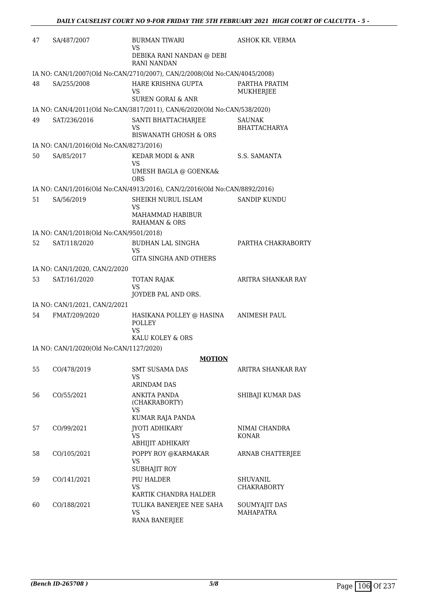| 47 | SA/487/2007                                                               | <b>BURMAN TIWARI</b><br>VS                                                | ASHOK KR. VERMA                       |  |  |
|----|---------------------------------------------------------------------------|---------------------------------------------------------------------------|---------------------------------------|--|--|
|    |                                                                           | DEBIKA RANI NANDAN @ DEBI<br><b>RANI NANDAN</b>                           |                                       |  |  |
|    | IA NO: CAN/1/2007(Old No:CAN/2710/2007), CAN/2/2008(Old No:CAN/4045/2008) |                                                                           |                                       |  |  |
| 48 | SA/255/2008                                                               | HARE KRISHNA GUPTA<br>VS<br><b>SUREN GORAI &amp; ANR</b>                  | PARTHA PRATIM<br>MUKHERJEE            |  |  |
|    |                                                                           | IA NO: CAN/4/2011(Old No:CAN/3817/2011), CAN/6/2020(Old No:CAN/538/2020)  |                                       |  |  |
| 49 | SAT/236/2016                                                              | SANTI BHATTACHARJEE<br>VS<br><b>BISWANATH GHOSH &amp; ORS</b>             | <b>SAUNAK</b><br><b>BHATTACHARYA</b>  |  |  |
|    | IA NO: CAN/1/2016(Old No:CAN/8273/2016)                                   |                                                                           |                                       |  |  |
| 50 | SA/85/2017                                                                | KEDAR MODI & ANR<br>VS<br>UMESH BAGLA @ GOENKA&<br><b>ORS</b>             | S.S. SAMANTA                          |  |  |
|    |                                                                           | IA NO: CAN/1/2016(Old No:CAN/4913/2016), CAN/2/2016(Old No:CAN/8892/2016) |                                       |  |  |
| 51 | SA/56/2019                                                                | SHEIKH NURUL ISLAM<br>VS<br>MAHAMMAD HABIBUR<br>RAHAMAN & ORS             | <b>SANDIP KUNDU</b>                   |  |  |
|    | IA NO: CAN/1/2018(Old No:CAN/9501/2018)                                   |                                                                           |                                       |  |  |
| 52 | SAT/118/2020                                                              | BUDHAN LAL SINGHA                                                         | PARTHA CHAKRABORTY                    |  |  |
|    |                                                                           | <b>VS</b><br><b>GITA SINGHA AND OTHERS</b>                                |                                       |  |  |
|    | IA NO: CAN/1/2020, CAN/2/2020                                             |                                                                           |                                       |  |  |
| 53 | SAT/161/2020                                                              | <b>TOTAN RAJAK</b><br><b>VS</b>                                           | ARITRA SHANKAR RAY                    |  |  |
|    |                                                                           | JOYDEB PAL AND ORS.                                                       |                                       |  |  |
|    | IA NO: CAN/1/2021, CAN/2/2021                                             |                                                                           |                                       |  |  |
| 54 | FMAT/209/2020                                                             | HASIKANA POLLEY @ HASINA<br>POLLEY<br><b>VS</b>                           | ANIMESH PAUL                          |  |  |
|    |                                                                           | KALU KOLEY & ORS                                                          |                                       |  |  |
|    | IA NO: CAN/1/2020(Old No:CAN/1127/2020)                                   |                                                                           |                                       |  |  |
|    |                                                                           | <b>MOTION</b>                                                             |                                       |  |  |
| 55 | CO/478/2019                                                               | SMT SUSAMA DAS<br><b>VS</b><br><b>ARINDAM DAS</b>                         | ARITRA SHANKAR RAY                    |  |  |
| 56 | CO/55/2021                                                                | <b>ANKITA PANDA</b><br>(CHAKRABORTY)<br>VS                                | SHIBAJI KUMAR DAS                     |  |  |
|    |                                                                           | KUMAR RAJA PANDA                                                          |                                       |  |  |
| 57 | CO/99/2021                                                                | JYOTI ADHIKARY<br>VS.<br>ABHIJIT ADHIKARY                                 | NIMAI CHANDRA<br>KONAR                |  |  |
| 58 | CO/105/2021                                                               | POPPY ROY @KARMAKAR<br><b>VS</b><br><b>SUBHAJIT ROY</b>                   | ARNAB CHATTERJEE                      |  |  |
| 59 | CO/141/2021                                                               | PIU HALDER<br><b>VS</b><br>KARTIK CHANDRA HALDER                          | <b>SHUVANIL</b><br><b>CHAKRABORTY</b> |  |  |
| 60 | CO/188/2021                                                               | TULIKA BANERJEE NEE SAHA<br><b>VS</b><br>RANA BANERJEE                    | SOUMYAJIT DAS<br><b>MAHAPATRA</b>     |  |  |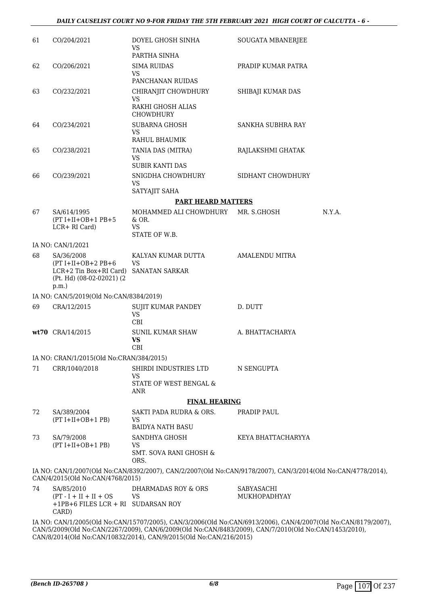| 61 | CO/204/2021                                                                                             | DOYEL GHOSH SINHA<br><b>VS</b><br>PARTHA SINHA                                                              | SOUGATA MBANERJEE          |        |
|----|---------------------------------------------------------------------------------------------------------|-------------------------------------------------------------------------------------------------------------|----------------------------|--------|
| 62 | CO/206/2021                                                                                             | <b>SIMA RUIDAS</b><br>VS<br>PANCHANAN RUIDAS                                                                | PRADIP KUMAR PATRA         |        |
| 63 | CO/232/2021                                                                                             | CHIRANJIT CHOWDHURY<br><b>VS</b><br>RAKHI GHOSH ALIAS<br>CHOWDHURY                                          | SHIBAJI KUMAR DAS          |        |
| 64 | CO/234/2021                                                                                             | SUBARNA GHOSH<br><b>VS</b><br>RAHUL BHAUMIK                                                                 | SANKHA SUBHRA RAY          |        |
| 65 | CO/238/2021                                                                                             | TANIA DAS (MITRA)<br><b>VS</b><br><b>SUBIR KANTI DAS</b>                                                    | RAJLAKSHMI GHATAK          |        |
| 66 | CO/239/2021                                                                                             | SNIGDHA CHOWDHURY<br><b>VS</b><br>SATYAJIT SAHA                                                             | SIDHANT CHOWDHURY          |        |
|    |                                                                                                         | <b>PART HEARD MATTERS</b>                                                                                   |                            |        |
| 67 | SA/614/1995                                                                                             | MOHAMMED ALI CHOWDHURY MR. S.GHOSH                                                                          |                            | N.Y.A. |
|    | $(PT I+II+OB+1 PB+5$<br>LCR+ RI Card)                                                                   | $&$ OR.<br><b>VS</b><br>STATE OF W.B.                                                                       |                            |        |
|    | IA NO: CAN/1/2021                                                                                       |                                                                                                             |                            |        |
| 68 | SA/36/2008<br>$(PT I+II+OB+2 PB+6$<br>$LCR+2$ Tin Box+RI Card)<br>(Pt. Hd) (08-02-02021) (2<br>$p.m.$ ) | KALYAN KUMAR DUTTA<br><b>VS</b><br><b>SANATAN SARKAR</b>                                                    | <b>AMALENDU MITRA</b>      |        |
|    | IA NO: CAN/5/2019(Old No:CAN/8384/2019)                                                                 |                                                                                                             |                            |        |
| 69 | CRA/12/2015                                                                                             | SUJIT KUMAR PANDEY<br><b>VS</b><br>CBI                                                                      | D. DUTT                    |        |
|    | wt70 CRA/14/2015                                                                                        | SUNIL KUMAR SHAW<br><b>VS</b><br>CBI                                                                        | A. BHATTACHARYA            |        |
|    | IA NO: CRAN/1/2015(Old No:CRAN/384/2015)                                                                |                                                                                                             |                            |        |
| 71 | CRR/1040/2018                                                                                           | SHIRDI INDUSTRIES LTD<br><b>VS</b><br>STATE OF WEST BENGAL &                                                | N SENGUPTA                 |        |
|    |                                                                                                         | <b>ANR</b>                                                                                                  |                            |        |
|    |                                                                                                         | <b>FINAL HEARING</b>                                                                                        |                            |        |
| 72 | SA/389/2004<br>$(PT I+II+OB+1 PB)$                                                                      | SAKTI PADA RUDRA & ORS.<br><b>VS</b><br><b>BAIDYA NATH BASU</b>                                             | PRADIP PAUL                |        |
| 73 | SA/79/2008                                                                                              | SANDHYA GHOSH                                                                                               | KEYA BHATTACHARYYA         |        |
|    | $(PT I+II+OB+1 PB)$                                                                                     | <b>VS</b><br><b>SMT. SOVA RANI GHOSH &amp;</b><br>ORS.                                                      |                            |        |
|    | CAN/4/2015(Old No:CAN/4768/2015)                                                                        | IA NO: CAN/1/2007(Old No:CAN/8392/2007), CAN/2/2007(Old No:CAN/9178/2007), CAN/3/2014(Old No:CAN/4778/2014) |                            |        |
| 74 | SA/85/2010<br>$(PT - I + II + II + OS$<br>+1PB+6 FILES LCR + RI SUDARSAN ROY<br>CARD)                   | DHARMADAS ROY & ORS<br><b>VS</b>                                                                            | SABYASACHI<br>MUKHOPADHYAY |        |

IA NO: CAN/1/2005(Old No:CAN/15707/2005), CAN/3/2006(Old No:CAN/6913/2006), CAN/4/2007(Old No:CAN/8179/2007), CAN/5/2009(Old No:CAN/2267/2009), CAN/6/2009(Old No:CAN/8483/2009), CAN/7/2010(Old No:CAN/1453/2010), CAN/8/2014(Old No:CAN/10832/2014), CAN/9/2015(Old No:CAN/216/2015)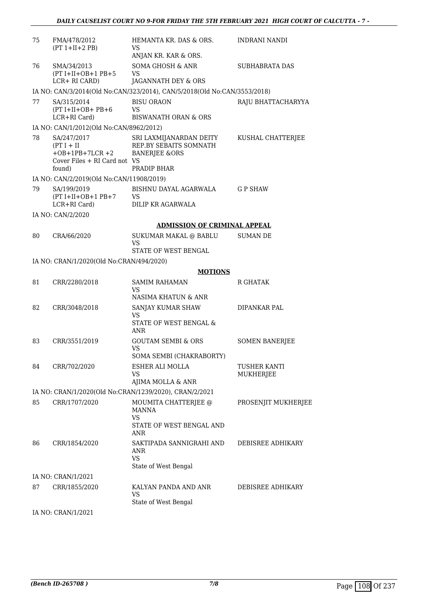| 75 | FMA/478/2012<br>$(PT 1+II+2 PB)$                                                                | HEMANTA KR. DAS & ORS.<br>VS<br>ANJAN KR. KAR & ORS.                                         | <b>INDRANI NANDI</b>      |
|----|-------------------------------------------------------------------------------------------------|----------------------------------------------------------------------------------------------|---------------------------|
| 76 | SMA/34/2013<br>$(PT I+II+OB+1 PB+5$<br>LCR+ RI CARD)                                            | <b>SOMA GHOSH &amp; ANR</b><br>VS<br>JAGANNATH DEY & ORS                                     | <b>SUBHABRATA DAS</b>     |
|    |                                                                                                 | IA NO: CAN/3/2014(Old No:CAN/323/2014), CAN/5/2018(Old No:CAN/3553/2018)                     |                           |
| 77 | SA/315/2014<br>$(PT I+II+OB+PB+6)$<br>LCR+RI Card)                                              | <b>BISU ORAON</b><br>VS<br><b>BISWANATH ORAN &amp; ORS</b>                                   | RAJU BHATTACHARYYA        |
|    | IA NO: CAN/1/2012(Old No:CAN/8962/2012)                                                         |                                                                                              |                           |
| 78 | SA/247/2017<br>$(PT I + II$<br>$+OB + 1PB + 7LCR + 2$<br>Cover Files + RI Card not VS<br>found) | SRI LAXMIJANARDAN DEITY<br>REP.BY SEBAITS SOMNATH<br><b>BANERJEE &amp;ORS</b><br>PRADIP BHAR | KUSHAL CHATTERJEE         |
|    | IA NO: CAN/2/2019(Old No:CAN/11908/2019)                                                        |                                                                                              |                           |
| 79 | SA/199/2019<br>$(PT I+II+OB+1 PB+7$<br>LCR+RI Card)                                             | BISHNU DAYAL AGARWALA<br>VS<br>DILIP KR AGARWALA                                             | <b>GP SHAW</b>            |
|    | IA NO: CAN/2/2020                                                                               |                                                                                              |                           |
|    |                                                                                                 | <b>ADMISSION OF CRIMINAL APPEAL</b>                                                          |                           |
| 80 | CRA/66/2020                                                                                     | <b>SUKUMAR MAKAL @ BABLU</b>                                                                 | SUMAN DE                  |
|    |                                                                                                 | <b>VS</b><br>STATE OF WEST BENGAL                                                            |                           |
|    | IA NO: CRAN/1/2020(Old No:CRAN/494/2020)                                                        |                                                                                              |                           |
|    |                                                                                                 | <b>MOTIONS</b>                                                                               |                           |
| 81 | CRR/2280/2018                                                                                   | <b>SAMIM RAHAMAN</b><br>VS<br>NASIMA KHATUN & ANR                                            | R GHATAK                  |
| 82 | CRR/3048/2018                                                                                   | SANJAY KUMAR SHAW<br>VS<br>STATE OF WEST BENGAL &<br>ANR                                     | DIPANKAR PAL              |
| 83 | CRR/3551/2019                                                                                   | <b>GOUTAM SEMBI &amp; ORS</b><br>VS<br>SOMA SEMBI (CHAKRABORTY)                              | <b>SOMEN BANERJEE</b>     |
| 84 | CRR/702/2020                                                                                    | ESHER ALI MOLLA<br>VS<br>AJIMA MOLLA & ANR                                                   | TUSHER KANTI<br>MUKHERJEE |
|    |                                                                                                 | IA NO: CRAN/1/2020(Old No:CRAN/1239/2020), CRAN/2/2021                                       |                           |
| 85 | CRR/1707/2020                                                                                   | MOUMITA CHATTERJEE @<br>MANNA<br><b>VS</b><br>STATE OF WEST BENGAL AND<br>ANR                | PROSENJIT MUKHERJEE       |
| 86 | CRR/1854/2020                                                                                   | SAKTIPADA SANNIGRAHI AND<br>ANR<br><b>VS</b><br>State of West Bengal                         | DEBISREE ADHIKARY         |
|    | IA NO: CRAN/1/2021                                                                              |                                                                                              |                           |
| 87 | CRR/1855/2020                                                                                   | KALYAN PANDA AND ANR<br><b>VS</b>                                                            | DEBISREE ADHIKARY         |
|    |                                                                                                 | State of West Bengal                                                                         |                           |

IA NO: CRAN/1/2021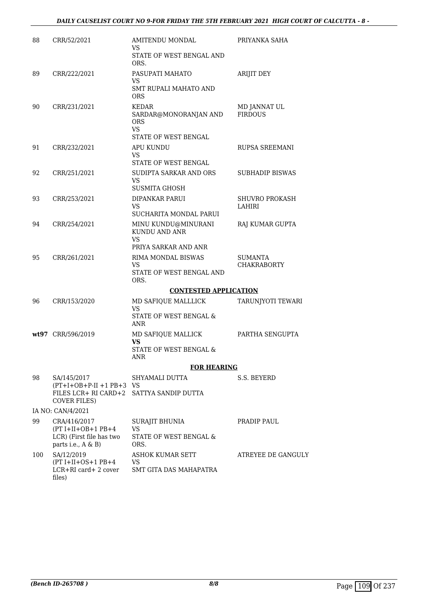| 88  | CRR/52/2021                                                                            | AMITENDU MONDAL<br>VS<br>STATE OF WEST BENGAL AND<br>ORS.                             | PRIYANKA SAHA                  |
|-----|----------------------------------------------------------------------------------------|---------------------------------------------------------------------------------------|--------------------------------|
| 89  | CRR/222/2021                                                                           | PASUPATI MAHATO<br>VS<br><b>SMT RUPALI MAHATO AND</b><br><b>ORS</b>                   | ARIJIT DEY                     |
| 90  | CRR/231/2021                                                                           | KEDAR<br>SARDAR@MONORANJAN AND<br><b>ORS</b><br><b>VS</b><br>STATE OF WEST BENGAL     | MD JANNAT UL<br><b>FIRDOUS</b> |
| 91  | CRR/232/2021                                                                           | APU KUNDU<br><b>VS</b><br>STATE OF WEST BENGAL                                        | <b>RUPSA SREEMANI</b>          |
| 92  | CRR/251/2021                                                                           | SUDIPTA SARKAR AND ORS<br><b>VS</b>                                                   | <b>SUBHADIP BISWAS</b>         |
| 93  | CRR/253/2021                                                                           | <b>SUSMITA GHOSH</b><br>DIPANKAR PARUI<br>VS<br>SUCHARITA MONDAL PARUI                | SHUVRO PROKASH<br>LAHIRI       |
| 94  | CRR/254/2021                                                                           | MINU KUNDU@MINURANI<br>KUNDU AND ANR<br>VS.                                           | RAJ KUMAR GUPTA                |
| 95  | CRR/261/2021                                                                           | PRIYA SARKAR AND ANR<br>RIMA MONDAL BISWAS<br>VS.<br>STATE OF WEST BENGAL AND<br>ORS. | SUMANTA<br>CHAKRABORTY         |
|     |                                                                                        | <b>CONTESTED APPLICATION</b>                                                          |                                |
| 96  | CRR/153/2020                                                                           | MD SAFIQUE MALLLICK<br><b>VS</b><br>STATE OF WEST BENGAL &                            | TARUNJYOTI TEWARI              |
|     | wt97 CRR/596/2019                                                                      | ANR<br>MD SAFIQUE MALLICK<br><b>VS</b><br><b>STATE OF WEST BENGAL &amp;</b>           | PARTHA SENGUPTA                |
|     |                                                                                        | ANR<br><b>FOR HEARING</b>                                                             |                                |
| 98  | SA/145/2017<br>$(PT+I+OB+P-II+1PB+3-VS)$<br>FILES LCR+ RI CARD+2 SATTYA SANDIP DUTTA   | SHYAMALI DUTTA                                                                        | S.S. BEYERD                    |
|     | COVER FILES)                                                                           |                                                                                       |                                |
|     | IA NO: CAN/4/2021                                                                      |                                                                                       |                                |
| 99  | CRA/416/2017<br>$(PT I+II+OB+1 PB+4$<br>LCR) (First file has two<br>parts i.e., A & B) | SURAJIT BHUNIA<br><b>VS</b><br>STATE OF WEST BENGAL &<br>ORS.                         | PRADIP PAUL                    |
| 100 | SA/12/2019<br>$(PT I+II+OS+1 PB+4$<br>LCR+RI card+ 2 cover<br>files)                   | ASHOK KUMAR SETT<br>VS<br><b>SMT GITA DAS MAHAPATRA</b>                               | ATREYEE DE GANGULY             |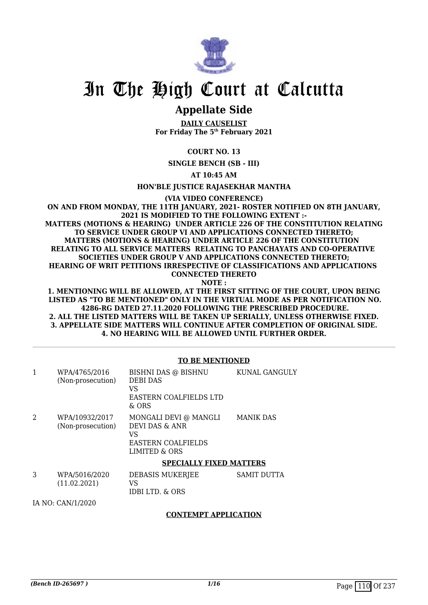

# In The High Court at Calcutta

# **Appellate Side**

**DAILY CAUSELIST For Friday The 5th February 2021**

## **COURT NO. 13**

**SINGLE BENCH (SB - III)**

**AT 10:45 AM**

**HON'BLE JUSTICE RAJASEKHAR MANTHA**

**(VIA VIDEO CONFERENCE)**

**ON AND FROM MONDAY, THE 11TH JANUARY, 2021- ROSTER NOTIFIED ON 8TH JANUARY, 2021 IS MODIFIED TO THE FOLLOWING EXTENT :- MATTERS (MOTIONS & HEARING) UNDER ARTICLE 226 OF THE CONSTITUTION RELATING TO SERVICE UNDER GROUP VI AND APPLICATIONS CONNECTED THERETO; MATTERS (MOTIONS & HEARING) UNDER ARTICLE 226 OF THE CONSTITUTION RELATING TO ALL SERVICE MATTERS RELATING TO PANCHAYATS AND CO-OPERATIVE SOCIETIES UNDER GROUP V AND APPLICATIONS CONNECTED THERETO; HEARING OF WRIT PETITIONS IRRESPECTIVE OF CLASSIFICATIONS AND APPLICATIONS CONNECTED THERETO**

**NOTE :**

**1. MENTIONING WILL BE ALLOWED, AT THE FIRST SITTING OF THE COURT, UPON BEING LISTED AS "TO BE MENTIONED" ONLY IN THE VIRTUAL MODE AS PER NOTIFICATION NO. 4286-RG DATED 27.11.2020 FOLLOWING THE PRESCRIBED PROCEDURE. 2. ALL THE LISTED MATTERS WILL BE TAKEN UP SERIALLY, UNLESS OTHERWISE FIXED. 3. APPELLATE SIDE MATTERS WILL CONTINUE AFTER COMPLETION OF ORIGINAL SIDE. 4. NO HEARING WILL BE ALLOWED UNTIL FURTHER ORDER.**

### **TO BE MENTIONED**

|   | WPA/4765/2016<br>(Non-prosecution)  | BISHNI DAS @ BISHNU<br>DEBI DAS<br>VS<br>EASTERN COALFIELDS LTD<br>$&$ ORS                  | <b>KUNAL GANGULY</b> |
|---|-------------------------------------|---------------------------------------------------------------------------------------------|----------------------|
| 2 | WPA/10932/2017<br>(Non-prosecution) | MONGALI DEVI @ MANGLI<br>DEVI DAS & ANR<br>VS<br><b>EASTERN COALFIELDS</b><br>LIMITED & ORS | <b>MANIK DAS</b>     |
|   |                                     | <b>SPECIALLY FIXED MATTERS</b>                                                              |                      |
| 3 | WPA/5016/2020<br>(11.02.2021)       | DEBASIS MUKERJEE<br>VS<br>IDBI LTD. & ORS                                                   | SAMIT DUTTA          |

IA NO: CAN/1/2020

## **CONTEMPT APPLICATION**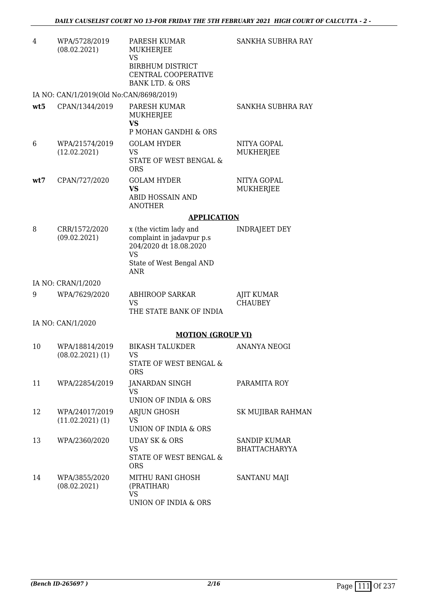| 4   | WPA/5728/2019<br>(08.02.2021)           | PARESH KUMAR<br>MUKHERJEE<br><b>VS</b><br><b>BIRBHUM DISTRICT</b><br>CENTRAL COOPERATIVE<br><b>BANK LTD. &amp; ORS</b> | SANKHA SUBHRA RAY                    |
|-----|-----------------------------------------|------------------------------------------------------------------------------------------------------------------------|--------------------------------------|
|     | IA NO: CAN/1/2019(Old No:CAN/8698/2019) |                                                                                                                        |                                      |
| wt5 | CPAN/1344/2019                          | PARESH KUMAR<br>MUKHERJEE<br><b>VS</b><br>P MOHAN GANDHI & ORS                                                         | SANKHA SUBHRA RAY                    |
| 6   | WPA/21574/2019<br>(12.02.2021)          | <b>GOLAM HYDER</b><br><b>VS</b><br>STATE OF WEST BENGAL &<br><b>ORS</b>                                                | NITYA GOPAL<br>MUKHERJEE             |
| wt7 | CPAN/727/2020                           | <b>GOLAM HYDER</b><br>VS<br>ABID HOSSAIN AND<br><b>ANOTHER</b>                                                         | NITYA GOPAL<br><b>MUKHERJEE</b>      |
|     |                                         | <b>APPLICATION</b>                                                                                                     |                                      |
| 8   | CRR/1572/2020<br>(09.02.2021)           | x (the victim lady and<br>complaint in jadavpur p.s<br>204/2020 dt 18.08.2020<br>VS<br>State of West Bengal AND<br>ANR | <b>INDRAJEET DEY</b>                 |
|     | IA NO: CRAN/1/2020                      |                                                                                                                        |                                      |
| 9   | WPA/7629/2020                           | <b>ABHIROOP SARKAR</b><br><b>VS</b><br>THE STATE BANK OF INDIA                                                         | <b>AJIT KUMAR</b><br><b>CHAUBEY</b>  |
|     | IA NO: CAN/1/2020                       |                                                                                                                        |                                      |
|     |                                         | <b>MOTION (GROUP VI)</b>                                                                                               |                                      |
| 10  | WPA/18814/2019<br>$(08.02.2021)$ $(1)$  | <b>BIKASH TALUKDER</b><br>VS.<br>STATE OF WEST BENGAL &<br><b>ORS</b>                                                  | ANANYA NEOGI                         |
| 11  | WPA/22854/2019                          | JANARDAN SINGH<br>VS<br><b>UNION OF INDIA &amp; ORS</b>                                                                | PARAMITA ROY                         |
| 12  | WPA/24017/2019<br>$(11.02.2021)$ $(1)$  | <b>ARJUN GHOSH</b><br>VS.<br>UNION OF INDIA & ORS                                                                      | SK MUJIBAR RAHMAN                    |
| 13  | WPA/2360/2020                           | <b>UDAY SK &amp; ORS</b><br>VS.<br>STATE OF WEST BENGAL &<br><b>ORS</b>                                                | SANDIP KUMAR<br><b>BHATTACHARYYA</b> |
| 14  | WPA/3855/2020<br>(08.02.2021)           | MITHU RANI GHOSH<br>(PRATIHAR)<br>VS<br>UNION OF INDIA & ORS                                                           | <b>SANTANU MAJI</b>                  |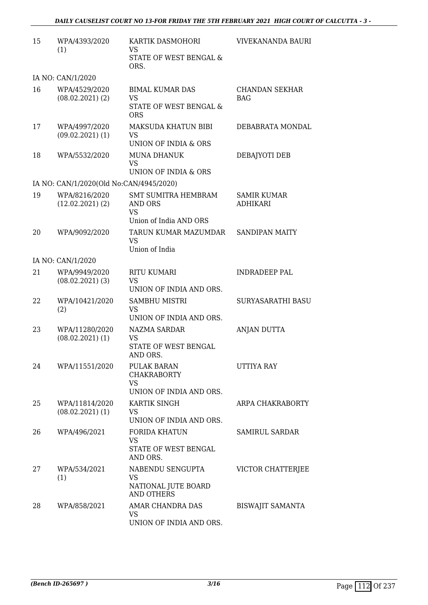| 15 | WPA/4393/2020<br>(1)                    | KARTIK DASMOHORI<br>VS.<br><b>STATE OF WEST BENGAL &amp;</b><br>ORS.         | VIVEKANANDA BAURI                     |
|----|-----------------------------------------|------------------------------------------------------------------------------|---------------------------------------|
|    | IA NO: CAN/1/2020                       |                                                                              |                                       |
| 16 | WPA/4529/2020<br>$(08.02.2021)$ $(2)$   | <b>BIMAL KUMAR DAS</b><br><b>VS</b><br>STATE OF WEST BENGAL &<br><b>ORS</b>  | CHANDAN SEKHAR<br><b>BAG</b>          |
| 17 | WPA/4997/2020<br>$(09.02.2021)$ $(1)$   | MAKSUDA KHATUN BIBI<br>VS<br>UNION OF INDIA & ORS                            | DEBABRATA MONDAL                      |
| 18 | WPA/5532/2020                           | <b>MUNA DHANUK</b><br><b>VS</b><br>UNION OF INDIA & ORS                      | DEBAJYOTI DEB                         |
|    | IA NO: CAN/1/2020(Old No:CAN/4945/2020) |                                                                              |                                       |
| 19 | WPA/8216/2020<br>$(12.02.2021)$ $(2)$   | <b>SMT SUMITRA HEMBRAM</b><br>AND ORS<br><b>VS</b><br>Union of India AND ORS | <b>SAMIR KUMAR</b><br><b>ADHIKARI</b> |
| 20 | WPA/9092/2020                           | TARUN KUMAR MAZUMDAR<br>VS<br>Union of India                                 | <b>SANDIPAN MAITY</b>                 |
|    | IA NO: CAN/1/2020                       |                                                                              |                                       |
| 21 | WPA/9949/2020<br>$(08.02.2021)$ (3)     | <b>RITU KUMARI</b><br><b>VS</b><br>UNION OF INDIA AND ORS.                   | <b>INDRADEEP PAL</b>                  |
| 22 | WPA/10421/2020<br>(2)                   | SAMBHU MISTRI<br><b>VS</b><br>UNION OF INDIA AND ORS.                        | <b>SURYASARATHI BASU</b>              |
| 23 | WPA/11280/2020<br>$(08.02.2021)$ $(1)$  | <b>NAZMA SARDAR</b><br>VS<br>STATE OF WEST BENGAL<br>AND ORS.                | ANJAN DUTTA                           |
| 24 | WPA/11551/2020                          | PULAK BARAN<br><b>CHAKRABORTY</b><br><b>VS</b>                               | UTTIYA RAY                            |
| 25 | WPA/11814/2020<br>$(08.02.2021)$ (1)    | UNION OF INDIA AND ORS.<br>KARTIK SINGH<br>VS<br>UNION OF INDIA AND ORS.     | ARPA CHAKRABORTY                      |
| 26 | WPA/496/2021                            | <b>FORIDA KHATUN</b><br><b>VS</b><br>STATE OF WEST BENGAL<br>AND ORS.        | <b>SAMIRUL SARDAR</b>                 |
| 27 | WPA/534/2021<br>(1)                     | NABENDU SENGUPTA<br>VS<br>NATIONAL JUTE BOARD<br><b>AND OTHERS</b>           | VICTOR CHATTERJEE                     |
| 28 | WPA/858/2021                            | AMAR CHANDRA DAS<br>VS<br>UNION OF INDIA AND ORS.                            | <b>BISWAJIT SAMANTA</b>               |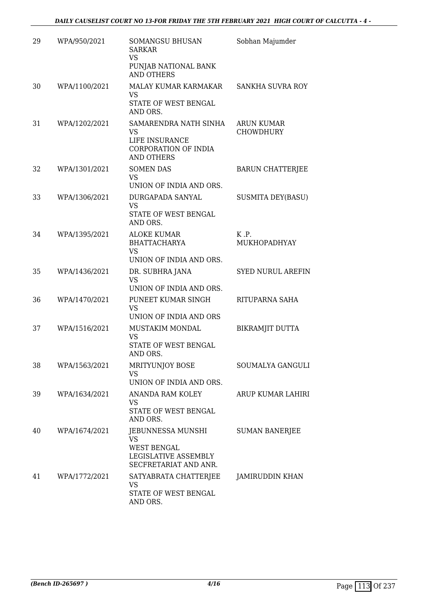| 29 | WPA/950/2021  | <b>SOMANGSU BHUSAN</b><br><b>SARKAR</b><br><b>VS</b><br>PUNJAB NATIONAL BANK<br><b>AND OTHERS</b> | Sobhan Majumder                |
|----|---------------|---------------------------------------------------------------------------------------------------|--------------------------------|
| 30 | WPA/1100/2021 | MALAY KUMAR KARMAKAR<br><b>VS</b><br>STATE OF WEST BENGAL<br>AND ORS.                             | <b>SANKHA SUVRA ROY</b>        |
| 31 | WPA/1202/2021 | SAMARENDRA NATH SINHA<br>VS<br>LIFE INSURANCE<br>CORPORATION OF INDIA<br><b>AND OTHERS</b>        | ARUN KUMAR<br><b>CHOWDHURY</b> |
| 32 | WPA/1301/2021 | <b>SOMEN DAS</b><br><b>VS</b><br>UNION OF INDIA AND ORS.                                          | <b>BARUN CHATTERJEE</b>        |
| 33 | WPA/1306/2021 | DURGAPADA SANYAL<br><b>VS</b><br>STATE OF WEST BENGAL<br>AND ORS.                                 | <b>SUSMITA DEY(BASU)</b>       |
| 34 | WPA/1395/2021 | <b>ALOKE KUMAR</b><br><b>BHATTACHARYA</b><br><b>VS</b><br>UNION OF INDIA AND ORS.                 | K.P.<br>MUKHOPADHYAY           |
| 35 | WPA/1436/2021 | DR. SUBHRA JANA<br><b>VS</b><br>UNION OF INDIA AND ORS.                                           | <b>SYED NURUL AREFIN</b>       |
| 36 | WPA/1470/2021 | PUNEET KUMAR SINGH<br><b>VS</b><br>UNION OF INDIA AND ORS                                         | RITUPARNA SAHA                 |
| 37 | WPA/1516/2021 | MUSTAKIM MONDAL<br><b>VS</b><br>STATE OF WEST BENGAL<br>AND ORS.                                  | <b>BIKRAMJIT DUTTA</b>         |
| 38 | WPA/1563/2021 | MRITYUNJOY BOSE<br><b>VS</b><br>UNION OF INDIA AND ORS.                                           | SOUMALYA GANGULI               |
| 39 | WPA/1634/2021 | ANANDA RAM KOLEY<br>VS<br>STATE OF WEST BENGAL<br>AND ORS.                                        | ARUP KUMAR LAHIRI              |
| 40 | WPA/1674/2021 | JEBUNNESSA MUNSHI<br>VS<br><b>WEST BENGAL</b><br>LEGISLATIVE ASSEMBLY<br>SECFRETARIAT AND ANR.    | <b>SUMAN BANERJEE</b>          |
| 41 | WPA/1772/2021 | SATYABRATA CHATTERJEE<br>VS<br>STATE OF WEST BENGAL<br>AND ORS.                                   | <b>JAMIRUDDIN KHAN</b>         |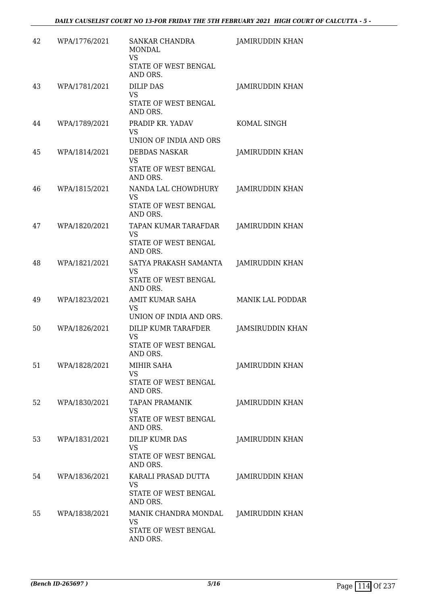| 42 | WPA/1776/2021 | SANKAR CHANDRA<br><b>MONDAL</b><br><b>VS</b><br>STATE OF WEST BENGAL<br>AND ORS. | <b>JAMIRUDDIN KHAN</b> |
|----|---------------|----------------------------------------------------------------------------------|------------------------|
| 43 | WPA/1781/2021 | <b>DILIP DAS</b><br>VS<br>STATE OF WEST BENGAL<br>AND ORS.                       | <b>JAMIRUDDIN KHAN</b> |
| 44 | WPA/1789/2021 | PRADIP KR. YADAV<br>VS<br>UNION OF INDIA AND ORS                                 | KOMAL SINGH            |
| 45 | WPA/1814/2021 | <b>DEBDAS NASKAR</b><br><b>VS</b><br>STATE OF WEST BENGAL<br>AND ORS.            | JAMIRUDDIN KHAN        |
| 46 | WPA/1815/2021 | NANDA LAL CHOWDHURY<br>VS<br>STATE OF WEST BENGAL<br>AND ORS.                    | <b>JAMIRUDDIN KHAN</b> |
| 47 | WPA/1820/2021 | TAPAN KUMAR TARAFDAR<br><b>VS</b><br>STATE OF WEST BENGAL<br>AND ORS.            | <b>JAMIRUDDIN KHAN</b> |
| 48 | WPA/1821/2021 | SATYA PRAKASH SAMANTA<br>VS<br>STATE OF WEST BENGAL<br>AND ORS.                  | <b>JAMIRUDDIN KHAN</b> |
| 49 | WPA/1823/2021 | AMIT KUMAR SAHA<br>VS<br>UNION OF INDIA AND ORS.                                 | MANIK LAL PODDAR       |
| 50 | WPA/1826/2021 | DILIP KUMR TARAFDER<br><b>VS</b><br>STATE OF WEST BENGAL<br>AND ORS.             | JAMSIRUDDIN KHAN       |
| 51 | WPA/1828/2021 | MIHIR SAHA<br>VS<br>STATE OF WEST BENGAL<br>AND ORS.                             | <b>JAMIRUDDIN KHAN</b> |
| 52 | WPA/1830/2021 | <b>TAPAN PRAMANIK</b><br>VS<br>STATE OF WEST BENGAL<br>AND ORS.                  | <b>JAMIRUDDIN KHAN</b> |
| 53 | WPA/1831/2021 | DILIP KUMR DAS<br>VS<br>STATE OF WEST BENGAL<br>AND ORS.                         | JAMIRUDDIN KHAN        |
| 54 | WPA/1836/2021 | KARALI PRASAD DUTTA<br>VS<br>STATE OF WEST BENGAL<br>AND ORS.                    | JAMIRUDDIN KHAN        |
| 55 | WPA/1838/2021 | MANIK CHANDRA MONDAL<br>VS<br>STATE OF WEST BENGAL<br>AND ORS.                   | <b>JAMIRUDDIN KHAN</b> |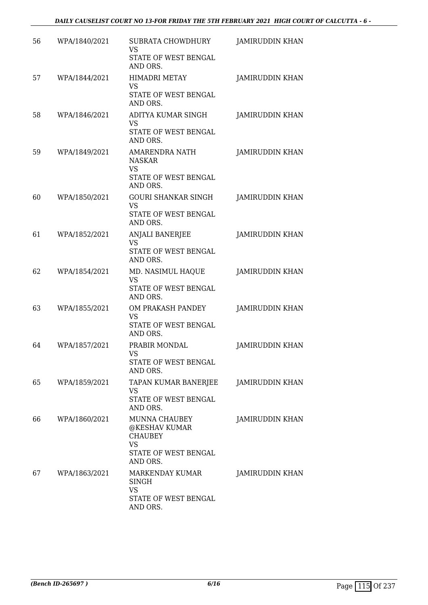| 56 | WPA/1840/2021 | <b>SUBRATA CHOWDHURY</b><br>VS<br>STATE OF WEST BENGAL<br>AND ORS.                         | <b>JAMIRUDDIN KHAN</b> |
|----|---------------|--------------------------------------------------------------------------------------------|------------------------|
| 57 | WPA/1844/2021 | <b>HIMADRI METAY</b><br><b>VS</b><br>STATE OF WEST BENGAL<br>AND ORS.                      | JAMIRUDDIN KHAN        |
| 58 | WPA/1846/2021 | ADITYA KUMAR SINGH<br>VS<br>STATE OF WEST BENGAL<br>AND ORS.                               | JAMIRUDDIN KHAN        |
| 59 | WPA/1849/2021 | <b>AMARENDRA NATH</b><br><b>NASKAR</b><br><b>VS</b><br>STATE OF WEST BENGAL                | <b>JAMIRUDDIN KHAN</b> |
| 60 | WPA/1850/2021 | AND ORS.<br><b>GOURI SHANKAR SINGH</b><br><b>VS</b><br>STATE OF WEST BENGAL<br>AND ORS.    | <b>JAMIRUDDIN KHAN</b> |
| 61 | WPA/1852/2021 | ANJALI BANERJEE<br>VS<br>STATE OF WEST BENGAL<br>AND ORS.                                  | <b>JAMIRUDDIN KHAN</b> |
| 62 | WPA/1854/2021 | MD. NASIMUL HAQUE<br>VS<br>STATE OF WEST BENGAL<br>AND ORS.                                | <b>JAMIRUDDIN KHAN</b> |
| 63 | WPA/1855/2021 | OM PRAKASH PANDEY<br><b>VS</b><br>STATE OF WEST BENGAL<br>AND ORS.                         | <b>JAMIRUDDIN KHAN</b> |
| 64 | WPA/1857/2021 | PRABIR MONDAL<br>VS.<br>STATE OF WEST BENGAL<br>AND ORS.                                   | JAMIRUDDIN KHAN        |
| 65 | WPA/1859/2021 | TAPAN KUMAR BANERJEE<br>VS<br>STATE OF WEST BENGAL<br>AND ORS.                             | <b>JAMIRUDDIN KHAN</b> |
| 66 | WPA/1860/2021 | MUNNA CHAUBEY<br>@KESHAV KUMAR<br><b>CHAUBEY</b><br>VS<br>STATE OF WEST BENGAL<br>AND ORS. | JAMIRUDDIN KHAN        |
| 67 | WPA/1863/2021 | MARKENDAY KUMAR<br>SINGH<br>VS<br>STATE OF WEST BENGAL<br>AND ORS.                         | JAMIRUDDIN KHAN        |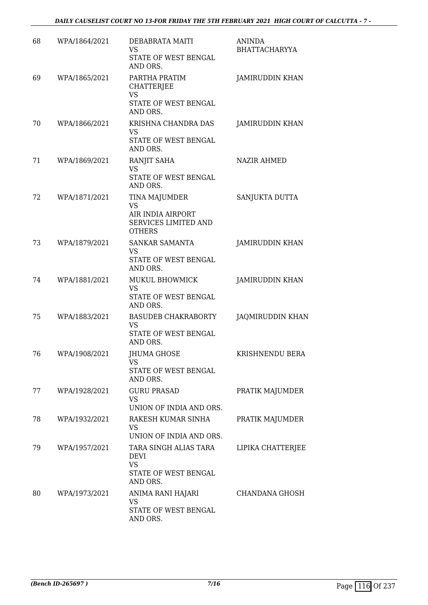| 68 | WPA/1864/2021 | DEBABRATA MAITI<br><b>VS</b><br>STATE OF WEST BENGAL<br>AND ORS.                         | <b>ANINDA</b><br><b>BHATTACHARYYA</b> |
|----|---------------|------------------------------------------------------------------------------------------|---------------------------------------|
| 69 | WPA/1865/2021 | PARTHA PRATIM<br><b>CHATTERJEE</b><br><b>VS</b><br>STATE OF WEST BENGAL<br>AND ORS.      | <b>JAMIRUDDIN KHAN</b>                |
| 70 | WPA/1866/2021 | KRISHNA CHANDRA DAS<br>VS<br>STATE OF WEST BENGAL<br>AND ORS.                            | <b>JAMIRUDDIN KHAN</b>                |
| 71 | WPA/1869/2021 | RANJIT SAHA<br>VS<br>STATE OF WEST BENGAL<br>AND ORS.                                    | <b>NAZIR AHMED</b>                    |
| 72 | WPA/1871/2021 | TINA MAJUMDER<br><b>VS</b><br>AIR INDIA AIRPORT<br>SERVICES LIMITED AND<br><b>OTHERS</b> | SANJUKTA DUTTA                        |
| 73 | WPA/1879/2021 | SANKAR SAMANTA<br><b>VS</b><br>STATE OF WEST BENGAL<br>AND ORS.                          | <b>JAMIRUDDIN KHAN</b>                |
| 74 | WPA/1881/2021 | MUKUL BHOWMICK<br>VS<br>STATE OF WEST BENGAL<br>AND ORS.                                 | <b>JAMIRUDDIN KHAN</b>                |
| 75 | WPA/1883/2021 | <b>BASUDEB CHAKRABORTY</b><br><b>VS</b><br>STATE OF WEST BENGAL<br>AND ORS.              | JAQMIRUDDIN KHAN                      |
| 76 | WPA/1908/2021 | JHUMA GHOSE<br>VS<br>STATE OF WEST BENGAL<br>AND ORS.                                    | KRISHNENDU BERA                       |
| 77 | WPA/1928/2021 | <b>GURU PRASAD</b><br>VS.<br>UNION OF INDIA AND ORS.                                     | PRATIK MAJUMDER                       |
| 78 | WPA/1932/2021 | RAKESH KUMAR SINHA<br>VS<br>UNION OF INDIA AND ORS.                                      | PRATIK MAJUMDER                       |
| 79 | WPA/1957/2021 | TARA SINGH ALIAS TARA<br><b>DEVI</b><br>VS<br>STATE OF WEST BENGAL<br>AND ORS.           | LIPIKA CHATTERJEE                     |
| 80 | WPA/1973/2021 | ANIMA RANI HAJARI<br>VS<br>STATE OF WEST BENGAL<br>AND ORS.                              | CHANDANA GHOSH                        |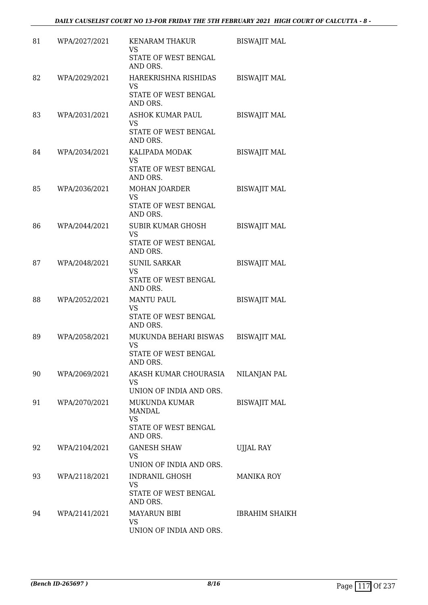| 81 | WPA/2027/2021 | <b>KENARAM THAKUR</b><br>VS<br>STATE OF WEST BENGAL<br>AND ORS.           | <b>BISWAJIT MAL</b>   |
|----|---------------|---------------------------------------------------------------------------|-----------------------|
| 82 | WPA/2029/2021 | HAREKRISHNA RISHIDAS<br>VS<br>STATE OF WEST BENGAL<br>AND ORS.            | <b>BISWAJIT MAL</b>   |
| 83 | WPA/2031/2021 | ASHOK KUMAR PAUL<br>VS<br>STATE OF WEST BENGAL<br>AND ORS.                | <b>BISWAJIT MAL</b>   |
| 84 | WPA/2034/2021 | KALIPADA MODAK<br><b>VS</b><br>STATE OF WEST BENGAL<br>AND ORS.           | <b>BISWAJIT MAL</b>   |
| 85 | WPA/2036/2021 | MOHAN JOARDER<br><b>VS</b><br>STATE OF WEST BENGAL<br>AND ORS.            | <b>BISWAJIT MAL</b>   |
| 86 | WPA/2044/2021 | <b>SUBIR KUMAR GHOSH</b><br><b>VS</b><br>STATE OF WEST BENGAL<br>AND ORS. | <b>BISWAJIT MAL</b>   |
| 87 | WPA/2048/2021 | <b>SUNIL SARKAR</b><br>VS<br>STATE OF WEST BENGAL<br>AND ORS.             | <b>BISWAJIT MAL</b>   |
| 88 | WPA/2052/2021 | <b>MANTU PAUL</b><br>VS<br>STATE OF WEST BENGAL<br>AND ORS.               | <b>BISWAJIT MAL</b>   |
| 89 | WPA/2058/2021 | MUKUNDA BEHARI BISWAS<br><b>VS</b><br>STATE OF WEST BENGAL<br>AND ORS.    | <b>BISWAJIT MAL</b>   |
| 90 | WPA/2069/2021 | AKASH KUMAR CHOURASIA<br>VS<br>UNION OF INDIA AND ORS.                    | NILANJAN PAL          |
| 91 | WPA/2070/2021 | MUKUNDA KUMAR<br>MANDAL<br>VS<br>STATE OF WEST BENGAL<br>AND ORS.         | <b>BISWAJIT MAL</b>   |
| 92 | WPA/2104/2021 | <b>GANESH SHAW</b><br>VS<br>UNION OF INDIA AND ORS.                       | <b>UJJAL RAY</b>      |
| 93 | WPA/2118/2021 | <b>INDRANIL GHOSH</b><br>VS<br>STATE OF WEST BENGAL<br>AND ORS.           | MANIKA ROY            |
| 94 | WPA/2141/2021 | <b>MAYARUN BIBI</b><br>VS.<br>UNION OF INDIA AND ORS.                     | <b>IBRAHIM SHAIKH</b> |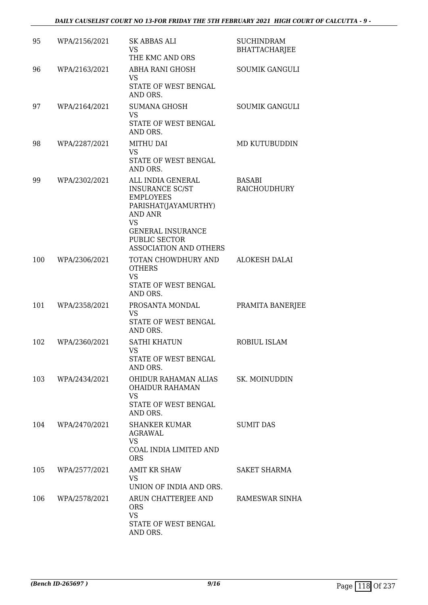| 95  | WPA/2156/2021 | SK ABBAS ALI<br>VS.<br>THE KMC AND ORS                                                                                                                                                               | <b>SUCHINDRAM</b><br><b>BHATTACHARJEE</b> |
|-----|---------------|------------------------------------------------------------------------------------------------------------------------------------------------------------------------------------------------------|-------------------------------------------|
| 96  | WPA/2163/2021 | ABHA RANI GHOSH<br><b>VS</b><br>STATE OF WEST BENGAL<br>AND ORS.                                                                                                                                     | <b>SOUMIK GANGULI</b>                     |
| 97  | WPA/2164/2021 | <b>SUMANA GHOSH</b><br><b>VS</b><br>STATE OF WEST BENGAL<br>AND ORS.                                                                                                                                 | <b>SOUMIK GANGULI</b>                     |
| 98  | WPA/2287/2021 | MITHU DAI<br><b>VS</b><br>STATE OF WEST BENGAL<br>AND ORS.                                                                                                                                           | MD KUTUBUDDIN                             |
| 99  | WPA/2302/2021 | ALL INDIA GENERAL<br><b>INSURANCE SC/ST</b><br><b>EMPLOYEES</b><br>PARISHAT(JAYAMURTHY)<br><b>AND ANR</b><br><b>VS</b><br><b>GENERAL INSURANCE</b><br>PUBLIC SECTOR<br><b>ASSOCIATION AND OTHERS</b> | <b>BASABI</b><br><b>RAICHOUDHURY</b>      |
| 100 | WPA/2306/2021 | TOTAN CHOWDHURY AND<br><b>OTHERS</b><br><b>VS</b><br>STATE OF WEST BENGAL<br>AND ORS.                                                                                                                | <b>ALOKESH DALAI</b>                      |
| 101 | WPA/2358/2021 | PROSANTA MONDAL<br>VS<br>STATE OF WEST BENGAL<br>AND ORS.                                                                                                                                            | PRAMITA BANERJEE                          |
| 102 | WPA/2360/2021 | <b>SATHI KHATUN</b><br><b>VS</b><br>STATE OF WEST BENGAL<br>AND ORS.                                                                                                                                 | ROBIUL ISLAM                              |
| 103 | WPA/2434/2021 | OHIDUR RAHAMAN ALIAS<br><b>OHAIDUR RAHAMAN</b><br><b>VS</b><br>STATE OF WEST BENGAL<br>AND ORS.                                                                                                      | SK. MOINUDDIN                             |
| 104 | WPA/2470/2021 | <b>SHANKER KUMAR</b><br>AGRAWAL<br><b>VS</b><br>COAL INDIA LIMITED AND<br><b>ORS</b>                                                                                                                 | <b>SUMIT DAS</b>                          |
| 105 | WPA/2577/2021 | <b>AMIT KR SHAW</b><br>VS.<br>UNION OF INDIA AND ORS.                                                                                                                                                | SAKET SHARMA                              |
| 106 | WPA/2578/2021 | ARUN CHATTERJEE AND<br><b>ORS</b><br><b>VS</b><br>STATE OF WEST BENGAL<br>AND ORS.                                                                                                                   | RAMESWAR SINHA                            |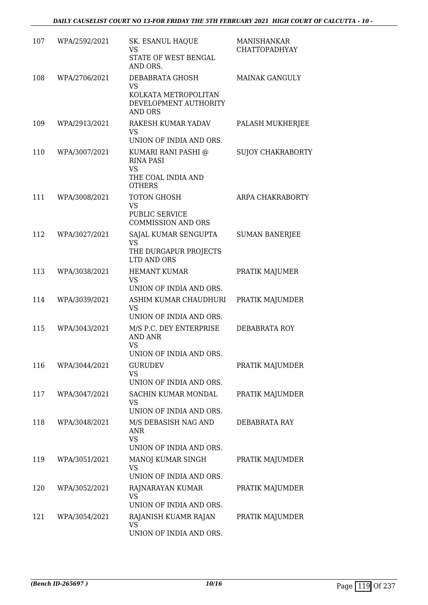| 107 | WPA/2592/2021 | SK. ESANUL HAQUE<br>VS<br>STATE OF WEST BENGAL<br>AND ORS.                                  | <b>MANISHANKAR</b><br><b>CHATTOPADHYAY</b> |
|-----|---------------|---------------------------------------------------------------------------------------------|--------------------------------------------|
| 108 | WPA/2706/2021 | DEBABRATA GHOSH<br>VS<br>KOLKATA METROPOLITAN<br>DEVELOPMENT AUTHORITY<br><b>AND ORS</b>    | <b>MAINAK GANGULY</b>                      |
| 109 | WPA/2913/2021 | RAKESH KUMAR YADAV<br><b>VS</b><br>UNION OF INDIA AND ORS.                                  | PALASH MUKHERJEE                           |
| 110 | WPA/3007/2021 | KUMARI RANI PASHI @<br><b>RINA PASI</b><br><b>VS</b><br>THE COAL INDIA AND<br><b>OTHERS</b> | <b>SUJOY CHAKRABORTY</b>                   |
| 111 | WPA/3008/2021 | TOTON GHOSH<br>VS<br>PUBLIC SERVICE<br><b>COMMISSION AND ORS</b>                            | ARPA CHAKRABORTY                           |
| 112 | WPA/3027/2021 | SAJAL KUMAR SENGUPTA<br><b>VS</b><br>THE DURGAPUR PROJECTS<br>LTD AND ORS                   | <b>SUMAN BANERJEE</b>                      |
| 113 | WPA/3038/2021 | <b>HEMANT KUMAR</b><br><b>VS</b><br>UNION OF INDIA AND ORS.                                 | PRATIK MAJUMER                             |
| 114 | WPA/3039/2021 | ASHIM KUMAR CHAUDHURI<br><b>VS</b><br>UNION OF INDIA AND ORS.                               | PRATIK MAJUMDER                            |
| 115 | WPA/3043/2021 | M/S P.C. DEY ENTERPRISE<br><b>AND ANR</b><br><b>VS</b><br>UNION OF INDIA AND ORS            | DEBABRATA ROY                              |
| 116 | WPA/3044/2021 | <b>GURUDEV</b><br><b>VS</b><br>UNION OF INDIA AND ORS.                                      | PRATIK MAJUMDER                            |
| 117 | WPA/3047/2021 | SACHIN KUMAR MONDAL<br><b>VS</b><br>UNION OF INDIA AND ORS.                                 | PRATIK MAJUMDER                            |
| 118 | WPA/3048/2021 | M/S DEBASISH NAG AND<br>ANR<br><b>VS</b><br>UNION OF INDIA AND ORS.                         | DEBABRATA RAY                              |
| 119 | WPA/3051/2021 | MANOJ KUMAR SINGH<br><b>VS</b><br>UNION OF INDIA AND ORS.                                   | PRATIK MAJUMDER                            |
| 120 | WPA/3052/2021 | RAJNARAYAN KUMAR<br><b>VS</b><br>UNION OF INDIA AND ORS.                                    | PRATIK MAJUMDER                            |
| 121 | WPA/3054/2021 | RAJANISH KUAMR RAJAN<br><b>VS</b><br>UNION OF INDIA AND ORS.                                | PRATIK MAJUMDER                            |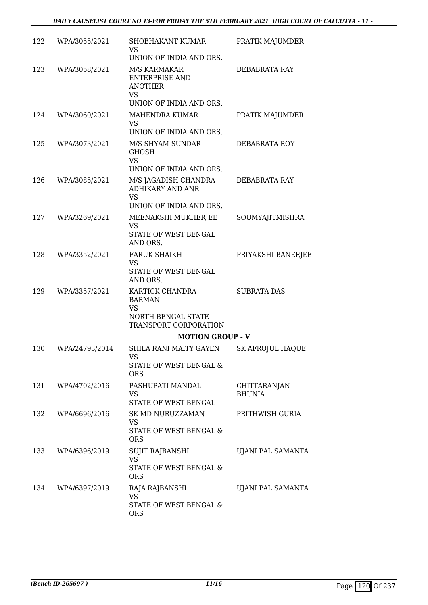| 122 | WPA/3055/2021  | SHOBHAKANT KUMAR<br>VS.<br>UNION OF INDIA AND ORS.                                                  | PRATIK MAJUMDER               |
|-----|----------------|-----------------------------------------------------------------------------------------------------|-------------------------------|
| 123 | WPA/3058/2021  | M/S KARMAKAR<br><b>ENTERPRISE AND</b><br><b>ANOTHER</b><br><b>VS</b>                                | DEBABRATA RAY                 |
|     |                | UNION OF INDIA AND ORS.                                                                             |                               |
| 124 | WPA/3060/2021  | <b>MAHENDRA KUMAR</b><br><b>VS</b>                                                                  | PRATIK MAJUMDER               |
| 125 | WPA/3073/2021  | UNION OF INDIA AND ORS.<br>M/S SHYAM SUNDAR<br><b>GHOSH</b><br><b>VS</b><br>UNION OF INDIA AND ORS. | DEBABRATA ROY                 |
| 126 | WPA/3085/2021  | M/S JAGADISH CHANDRA<br><b>ADHIKARY AND ANR</b><br><b>VS</b>                                        | DEBABRATA RAY                 |
|     |                | UNION OF INDIA AND ORS.                                                                             |                               |
| 127 | WPA/3269/2021  | MEENAKSHI MUKHERJEE<br><b>VS</b><br>STATE OF WEST BENGAL<br>AND ORS.                                | SOUMYAJITMISHRA               |
| 128 | WPA/3352/2021  | <b>FARUK SHAIKH</b><br><b>VS</b><br>STATE OF WEST BENGAL<br>AND ORS.                                | PRIYAKSHI BANERJEE            |
| 129 | WPA/3357/2021  | KARTICK CHANDRA<br><b>BARMAN</b><br><b>VS</b><br>NORTH BENGAL STATE<br>TRANSPORT CORPORATION        | <b>SUBRATA DAS</b>            |
|     |                | <b>MOTION GROUP - V</b>                                                                             |                               |
| 130 | WPA/24793/2014 | SHILA RANI MAITY GAYEN<br>VS<br>STATE OF WEST BENGAL &                                              | <b>SK AFROJUL HAQUE</b>       |
|     |                | <b>ORS</b>                                                                                          |                               |
| 131 | WPA/4702/2016  | PASHUPATI MANDAL<br>VS<br>STATE OF WEST BENGAL                                                      | CHITTARANJAN<br><b>BHUNIA</b> |
| 132 | WPA/6696/2016  | SK MD NURUZZAMAN<br>VS<br>STATE OF WEST BENGAL &                                                    | PRITHWISH GURIA               |
|     |                | <b>ORS</b>                                                                                          |                               |
| 133 | WPA/6396/2019  | SUJIT RAJBANSHI<br>VS<br>STATE OF WEST BENGAL &                                                     | UJANI PAL SAMANTA             |
|     |                | <b>ORS</b>                                                                                          |                               |
| 134 | WPA/6397/2019  | RAJA RAJBANSHI<br><b>VS</b>                                                                         | UJANI PAL SAMANTA             |
|     |                | STATE OF WEST BENGAL &<br><b>ORS</b>                                                                |                               |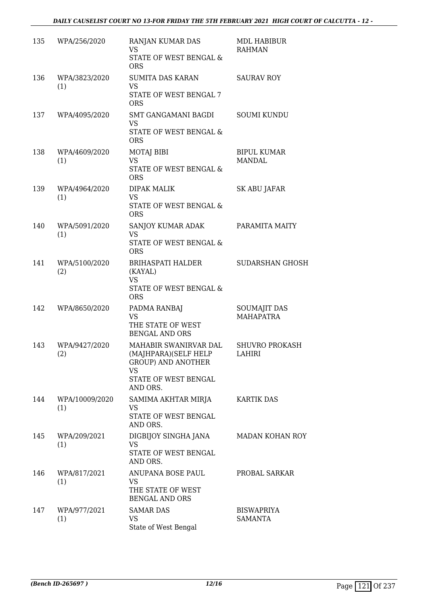| 135 | WPA/256/2020          | RANJAN KUMAR DAS<br><b>VS</b><br>STATE OF WEST BENGAL &<br><b>ORS</b>                                                | MDL HABIBUR<br><b>RAHMAN</b>        |
|-----|-----------------------|----------------------------------------------------------------------------------------------------------------------|-------------------------------------|
| 136 | WPA/3823/2020<br>(1)  | <b>SUMITA DAS KARAN</b><br><b>VS</b><br>STATE OF WEST BENGAL 7<br><b>ORS</b>                                         | <b>SAURAV ROY</b>                   |
| 137 | WPA/4095/2020         | SMT GANGAMANI BAGDI<br><b>VS</b><br>STATE OF WEST BENGAL &<br><b>ORS</b>                                             | <b>SOUMI KUNDU</b>                  |
| 138 | WPA/4609/2020<br>(1)  | <b>MOTAJ BIBI</b><br><b>VS</b><br>STATE OF WEST BENGAL &<br><b>ORS</b>                                               | <b>BIPUL KUMAR</b><br>MANDAL        |
| 139 | WPA/4964/2020<br>(1)  | <b>DIPAK MALIK</b><br><b>VS</b><br>STATE OF WEST BENGAL &<br><b>ORS</b>                                              | SK ABU JAFAR                        |
| 140 | WPA/5091/2020<br>(1)  | SANJOY KUMAR ADAK<br><b>VS</b><br>STATE OF WEST BENGAL &<br><b>ORS</b>                                               | PARAMITA MAITY                      |
| 141 | WPA/5100/2020<br>(2)  | BRIHASPATI HALDER<br>(KAYAL)<br><b>VS</b><br>STATE OF WEST BENGAL &<br><b>ORS</b>                                    | <b>SUDARSHAN GHOSH</b>              |
| 142 | WPA/8650/2020         | PADMA RANBAJ<br><b>VS</b><br>THE STATE OF WEST<br><b>BENGAL AND ORS</b>                                              | <b>SOUMAJIT DAS</b><br>MAHAPATRA    |
| 143 | WPA/9427/2020<br>(2)  | MAHABIR SWANIRVAR DAL<br>(MAJHPARA)(SELF HELP<br><b>GROUP) AND ANOTHER</b><br>VS<br>STATE OF WEST BENGAL<br>AND ORS. | <b>SHUVRO PROKASH</b><br>LAHIRI     |
| 144 | WPA/10009/2020<br>(1) | SAMIMA AKHTAR MIRJA<br>VS<br>STATE OF WEST BENGAL<br>AND ORS.                                                        | <b>KARTIK DAS</b>                   |
| 145 | WPA/209/2021<br>(1)   | DIGBIJOY SINGHA JANA<br><b>VS</b><br>STATE OF WEST BENGAL<br>AND ORS.                                                | MADAN KOHAN ROY                     |
| 146 | WPA/817/2021<br>(1)   | ANUPANA BOSE PAUL<br>VS.<br>THE STATE OF WEST<br><b>BENGAL AND ORS</b>                                               | PROBAL SARKAR                       |
| 147 | WPA/977/2021<br>(1)   | <b>SAMAR DAS</b><br><b>VS</b><br>State of West Bengal                                                                | <b>BISWAPRIYA</b><br><b>SAMANTA</b> |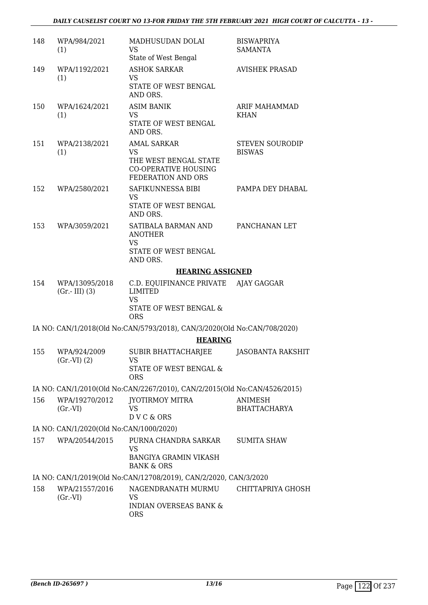| 148 | WPA/984/2021<br>(1)                     | MADHUSUDAN DOLAI<br>VS<br>State of West Bengal                                                                | <b>BISWAPRIYA</b><br><b>SAMANTA</b>     |
|-----|-----------------------------------------|---------------------------------------------------------------------------------------------------------------|-----------------------------------------|
| 149 | WPA/1192/2021<br>(1)                    | <b>ASHOK SARKAR</b><br><b>VS</b><br>STATE OF WEST BENGAL<br>AND ORS.                                          | <b>AVISHEK PRASAD</b>                   |
| 150 | WPA/1624/2021<br>(1)                    | <b>ASIM BANIK</b><br>VS<br>STATE OF WEST BENGAL<br>AND ORS.                                                   | <b>ARIF MAHAMMAD</b><br><b>KHAN</b>     |
| 151 | WPA/2138/2021<br>(1)                    | <b>AMAL SARKAR</b><br><b>VS</b><br>THE WEST BENGAL STATE<br><b>CO-OPERATIVE HOUSING</b><br>FEDERATION AND ORS | <b>STEVEN SOURODIP</b><br><b>BISWAS</b> |
| 152 | WPA/2580/2021                           | SAFIKUNNESSA BIBI<br><b>VS</b><br>STATE OF WEST BENGAL<br>AND ORS.                                            | PAMPA DEY DHABAL                        |
| 153 | WPA/3059/2021                           | SATIBALA BARMAN AND<br><b>ANOTHER</b><br><b>VS</b><br>STATE OF WEST BENGAL<br>AND ORS.                        | PANCHANAN LET                           |
|     |                                         | <b>HEARING ASSIGNED</b>                                                                                       |                                         |
| 154 | WPA/13095/2018<br>$(Gr.-III)$ (3)       | C.D. EQUIFINANCE PRIVATE<br><b>LIMITED</b><br><b>VS</b><br>STATE OF WEST BENGAL &<br><b>ORS</b>               | AJAY GAGGAR                             |
|     |                                         | IA NO: CAN/1/2018(Old No:CAN/5793/2018), CAN/3/2020(Old No:CAN/708/2020)                                      |                                         |
|     |                                         | <b>HEARING</b>                                                                                                |                                         |
| 155 | WPA/924/2009<br>(Gr.VI) (2)             | <b>SUBIR BHATTACHARJEE</b><br>VS<br>STATE OF WEST BENGAL &<br><b>ORS</b>                                      | JASOBANTA RAKSHIT                       |
|     |                                         | IA NO: CAN/1/2010(Old No:CAN/2267/2010), CAN/2/2015(Old No:CAN/4526/2015)                                     |                                         |
|     |                                         |                                                                                                               |                                         |
| 156 | WPA/19270/2012<br>$(Gr.-VI)$            | JYOTIRMOY MITRA<br>VS<br>DVC & ORS                                                                            | ANIMESH<br><b>BHATTACHARYA</b>          |
|     | IA NO: CAN/1/2020(Old No:CAN/1000/2020) |                                                                                                               |                                         |
| 157 | WPA/20544/2015                          | PURNA CHANDRA SARKAR<br>VS<br><b>BANGIYA GRAMIN VIKASH</b><br><b>BANK &amp; ORS</b>                           | <b>SUMITA SHAW</b>                      |
|     |                                         | IA NO: CAN/1/2019(Old No:CAN/12708/2019), CAN/2/2020, CAN/3/2020                                              |                                         |
| 158 | WPA/21557/2016<br>$(Gr.-VI)$            | NAGENDRANATH MURMU<br><b>VS</b><br><b>INDIAN OVERSEAS BANK &amp;</b><br><b>ORS</b>                            | CHITTAPRIYA GHOSH                       |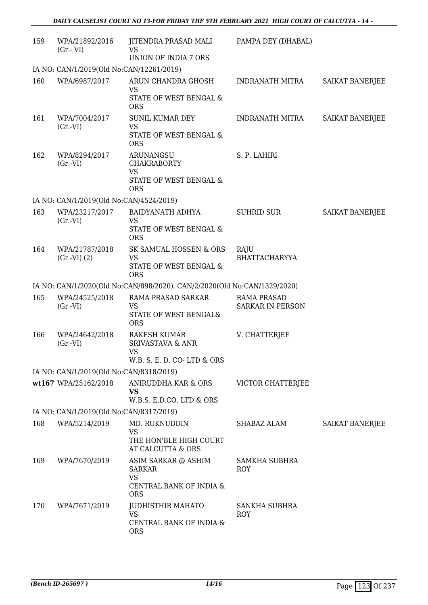| 159 | WPA/21892/2016<br>$(Gr.-VI)$             | JITENDRA PRASAD MALI<br><b>VS</b><br>UNION OF INDIA 7 ORS                           | PAMPA DEY (DHABAL)                            |                 |
|-----|------------------------------------------|-------------------------------------------------------------------------------------|-----------------------------------------------|-----------------|
|     | IA NO: CAN/1/2019(Old No:CAN/12261/2019) |                                                                                     |                                               |                 |
| 160 | WPA/6987/2017                            | ARUN CHANDRA GHOSH                                                                  | INDRANATH MITRA                               | SAIKAT BANERJEE |
|     |                                          | VS<br>STATE OF WEST BENGAL &<br><b>ORS</b>                                          |                                               |                 |
| 161 | WPA/7004/2017                            | <b>SUNIL KUMAR DEY</b>                                                              | <b>INDRANATH MITRA</b>                        | SAIKAT BANERJEE |
|     | $(Gr.-VI)$                               | <b>VS</b><br>STATE OF WEST BENGAL &<br><b>ORS</b>                                   |                                               |                 |
| 162 | WPA/8294/2017<br>$(Gr.-VI)$              | ARUNANGSU<br><b>CHAKRABORTY</b><br><b>VS</b><br>STATE OF WEST BENGAL &              | S. P. LAHIRI                                  |                 |
|     |                                          | <b>ORS</b>                                                                          |                                               |                 |
|     | IA NO: CAN/1/2019(Old No:CAN/4524/2019)  |                                                                                     |                                               |                 |
| 163 | WPA/23217/2017<br>$(Gr.-VI)$             | <b>BAIDYANATH ADHYA</b><br><b>VS</b>                                                | <b>SUHRID SUR</b>                             | SAIKAT BANERJEE |
|     |                                          | STATE OF WEST BENGAL &<br><b>ORS</b>                                                |                                               |                 |
| 164 | WPA/21787/2018<br>$(Gr.-VI)$ $(2)$       | SK SAMUAL HOSSEN & ORS<br>VS                                                        | RAJU<br><b>BHATTACHARYYA</b>                  |                 |
|     |                                          | STATE OF WEST BENGAL &<br><b>ORS</b>                                                |                                               |                 |
|     |                                          | IA NO: CAN/1/2020(Old No:CAN/898/2020), CAN/2/2020(Old No:CAN/1329/2020)            |                                               |                 |
| 165 | WPA/24525/2018<br>$(Gr.-VI)$             | RAMA PRASAD SARKAR<br><b>VS</b><br>STATE OF WEST BENGAL&<br><b>ORS</b>              | <b>RAMA PRASAD</b><br><b>SARKAR IN PERSON</b> |                 |
| 166 | WPA/24642/2018<br>$(Gr.-VI)$             | RAKESH KUMAR<br><b>SRIVASTAVA &amp; ANR</b><br>VS<br>W.B. S. E. D. CO-LTD & ORS     | V. CHATTERJEE                                 |                 |
|     | IA NO: CAN/1/2019(Old No:CAN/8318/2019)  |                                                                                     |                                               |                 |
|     | wt167 WPA/25162/2018                     | ANIRUDDHA KAR & ORS<br><b>VS</b><br>W.B.S. E.D.CO. LTD & ORS                        | VICTOR CHATTERJEE                             |                 |
|     | IA NO: CAN/1/2019(Old No:CAN/8317/2019)  |                                                                                     |                                               |                 |
| 168 | WPA/5214/2019                            | MD. RUKNUDDIN                                                                       | SHABAZ ALAM                                   | SAIKAT BANERJEE |
|     |                                          | <b>VS</b><br>THE HON'BLE HIGH COURT<br>AT CALCUTTA & ORS                            |                                               |                 |
| 169 | WPA/7670/2019                            | ASIM SARKAR @ ASHIM<br><b>SARKAR</b><br>VS<br>CENTRAL BANK OF INDIA &<br><b>ORS</b> | SAMKHA SUBHRA<br>ROY                          |                 |
| 170 | WPA/7671/2019                            | <b>JUDHISTHIR MAHATO</b><br>VS<br>CENTRAL BANK OF INDIA &<br><b>ORS</b>             | <b>SANKHA SUBHRA</b><br>ROY                   |                 |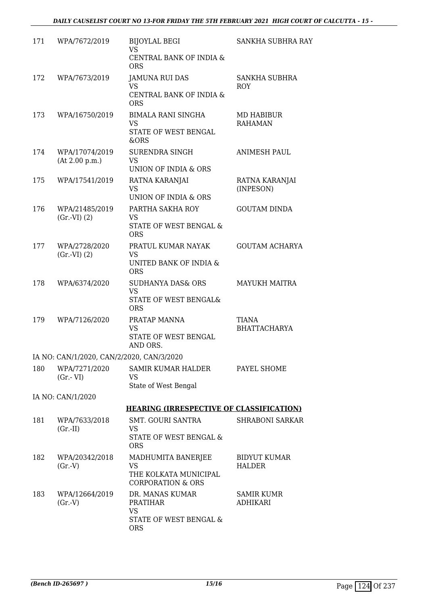| 171 | WPA/7672/2019                             | <b>BIJOYLAL BEGI</b><br>VS                                     | SANKHA SUBHRA RAY                   |
|-----|-------------------------------------------|----------------------------------------------------------------|-------------------------------------|
|     |                                           | CENTRAL BANK OF INDIA &<br><b>ORS</b>                          |                                     |
| 172 | WPA/7673/2019                             | <b>JAMUNA RUI DAS</b><br>VS.                                   | SANKHA SUBHRA<br><b>ROY</b>         |
|     |                                           | CENTRAL BANK OF INDIA &<br><b>ORS</b>                          |                                     |
| 173 | WPA/16750/2019                            | <b>BIMALA RANI SINGHA</b><br><b>VS</b>                         | MD HABIBUR<br><b>RAHAMAN</b>        |
|     |                                           | STATE OF WEST BENGAL<br>&ORS                                   |                                     |
| 174 | WPA/17074/2019                            | SURENDRA SINGH                                                 | <b>ANIMESH PAUL</b>                 |
|     | (At 2.00 p.m.)                            | VS.<br>UNION OF INDIA & ORS                                    |                                     |
| 175 | WPA/17541/2019                            | RATNA KARANJAI<br><b>VS</b>                                    | RATNA KARANJAI<br>(INPESON)         |
|     |                                           | UNION OF INDIA & ORS                                           |                                     |
| 176 | WPA/21485/2019                            | PARTHA SAKHA ROY<br><b>VS</b>                                  | <b>GOUTAM DINDA</b>                 |
|     | (Gr.VI) (2)                               | STATE OF WEST BENGAL &<br><b>ORS</b>                           |                                     |
| 177 | WPA/2728/2020<br>(Gr.VI) (2)              | PRATUL KUMAR NAYAK<br><b>VS</b>                                | <b>GOUTAM ACHARYA</b>               |
|     |                                           | UNITED BANK OF INDIA &<br><b>ORS</b>                           |                                     |
| 178 | WPA/6374/2020                             | SUDHANYA DAS& ORS<br><b>VS</b>                                 | <b>MAYUKH MAITRA</b>                |
|     |                                           | STATE OF WEST BENGAL&<br><b>ORS</b>                            |                                     |
| 179 | WPA/7126/2020                             | PRATAP MANNA<br><b>VS</b>                                      | <b>TIANA</b><br><b>BHATTACHARYA</b> |
|     |                                           | STATE OF WEST BENGAL<br>AND ORS.                               |                                     |
|     | IA NO: CAN/1/2020, CAN/2/2020, CAN/3/2020 |                                                                |                                     |
| 180 | WPA/7271/2020<br>$(Gr.-VI)$               | <b>SAMIR KUMAR HALDER</b><br><b>VS</b><br>State of West Bengal | PAYEL SHOME                         |
|     | IA NO: CAN/1/2020                         |                                                                |                                     |
|     |                                           | <b>HEARING (IRRESPECTIVE OF CLASSIFICATION)</b>                |                                     |
| 181 | WPA/7633/2018                             | SMT. GOURI SANTRA<br>VS                                        | <b>SHRABONI SARKAR</b>              |
|     | $(Gr.-II)$                                | STATE OF WEST BENGAL &<br><b>ORS</b>                           |                                     |
| 182 | WPA/20342/2018<br>(Gr.V)                  | MADHUMITA BANERJEE<br><b>VS</b>                                | <b>BIDYUT KUMAR</b><br>HALDER       |
|     |                                           | THE KOLKATA MUNICIPAL<br><b>CORPORATION &amp; ORS</b>          |                                     |
| 183 | WPA/12664/2019<br>(Gr.V)                  | DR. MANAS KUMAR<br><b>PRATIHAR</b>                             | <b>SAMIR KUMR</b><br>ADHIKARI       |
|     |                                           | <b>VS</b><br>STATE OF WEST BENGAL &<br><b>ORS</b>              |                                     |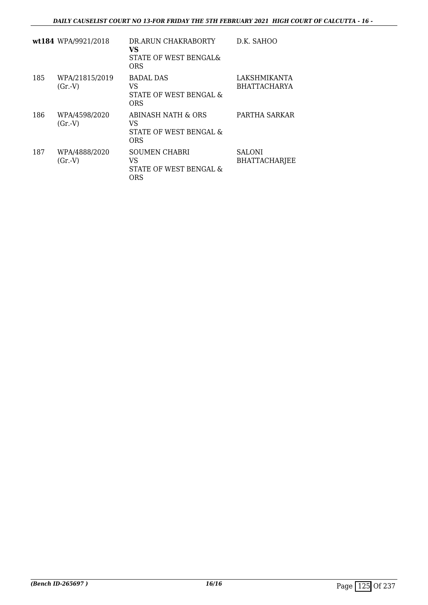|     | wt184 WPA/9921/2018      | DR.ARUN CHAKRABORTY<br>VS<br>STATE OF WEST BENGAL&<br>ORS   | D.K. SAHOO                            |
|-----|--------------------------|-------------------------------------------------------------|---------------------------------------|
| 185 | WPA/21815/2019<br>(Gr.V) | BADAL DAS<br>VS<br>STATE OF WEST BENGAL &<br>ORS            | LAKSHMIKANTA<br><b>BHATTACHARYA</b>   |
| 186 | WPA/4598/2020<br>(Gr.V)  | ABINASH NATH & ORS<br>VS<br>STATE OF WEST BENGAL &<br>ORS   | PARTHA SARKAR                         |
| 187 | WPA/4888/2020<br>(Gr.V)  | <b>SOUMEN CHABRI</b><br>VS<br>STATE OF WEST BENGAL &<br>ORS | <b>SALONI</b><br><b>BHATTACHARJEE</b> |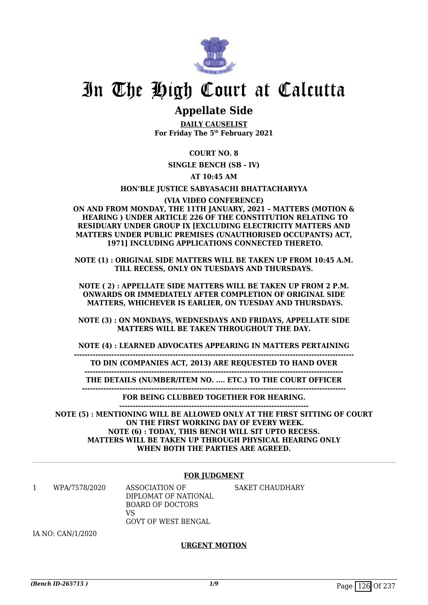

# In The High Court at Calcutta

# **Appellate Side**

**DAILY CAUSELIST For Friday The 5th February 2021**

**COURT NO. 8**

**SINGLE BENCH (SB - IV)**

**AT 10:45 AM**

**HON'BLE JUSTICE SABYASACHI BHATTACHARYYA**

**(VIA VIDEO CONFERENCE) ON AND FROM MONDAY, THE 11TH JANUARY, 2021 – MATTERS (MOTION & HEARING ) UNDER ARTICLE 226 OF THE CONSTITUTION RELATING TO RESIDUARY UNDER GROUP IX [EXCLUDING ELECTRICITY MATTERS AND MATTERS UNDER PUBLIC PREMISES (UNAUTHORISED OCCUPANTS) ACT, 1971] INCLUDING APPLICATIONS CONNECTED THERETO.**

**NOTE (1) : ORIGINAL SIDE MATTERS WILL BE TAKEN UP FROM 10:45 A.M. TILL RECESS, ONLY ON TUESDAYS AND THURSDAYS.**

**NOTE ( 2) : APPELLATE SIDE MATTERS WILL BE TAKEN UP FROM 2 P.M. ONWARDS OR IMMEDIATELY AFTER COMPLETION OF ORIGINAL SIDE MATTERS, WHICHEVER IS EARLIER, ON TUESDAY AND THURSDAYS.**

**NOTE (3) : ON MONDAYS, WEDNESDAYS AND FRIDAYS, APPELLATE SIDE MATTERS WILL BE TAKEN THROUGHOUT THE DAY.**

**NOTE (4) : LEARNED ADVOCATES APPEARING IN MATTERS PERTAINING**

**---------------------------------------------------------------------------------------------------------**

**TO DIN (COMPANIES ACT, 2013) ARE REQUESTED TO HAND OVER -------------------------------------------------------------------------------------------------**

**THE DETAILS (NUMBER/ITEM NO. .... ETC.) TO THE COURT OFFICER ---------------------------------------------------------------------------------------------------**

> **FOR BEING CLUBBED TOGETHER FOR HEARING. -----------------------------------------------------------------------**

**NOTE (5) : MENTIONING WILL BE ALLOWED ONLY AT THE FIRST SITTING OF COURT ON THE FIRST WORKING DAY OF EVERY WEEK. NOTE (6) : TODAY, THIS BENCH WILL SIT UPTO RECESS. MATTERS WILL BE TAKEN UP THROUGH PHYSICAL HEARING ONLY WHEN BOTH THE PARTIES ARE AGREED.**

### **FOR JUDGMENT**

1 WPA/7578/2020 ASSOCIATION OF DIPLOMAT OF NATIONAL BOARD OF DOCTORS  $V<sup>Q</sup>$ GOVT OF WEST BENGAL SAKET CHAUDHARY

IA NO: CAN/1/2020

### **URGENT MOTION**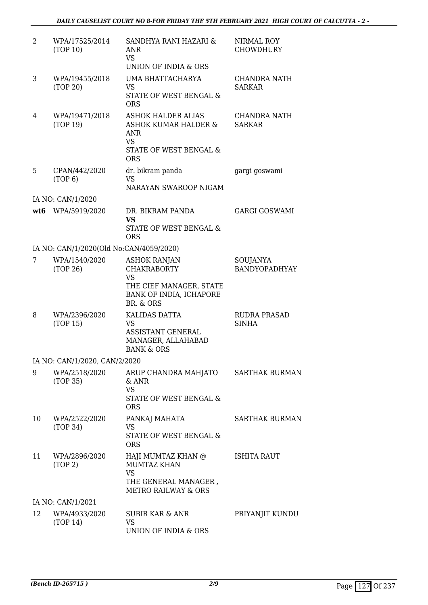| 2  | WPA/17525/2014<br>(TOP 10)              | SANDHYA RANI HAZARI &<br><b>ANR</b><br><b>VS</b><br>UNION OF INDIA & ORS                                                  | NIRMAL ROY<br><b>CHOWDHURY</b>       |
|----|-----------------------------------------|---------------------------------------------------------------------------------------------------------------------------|--------------------------------------|
| 3  | WPA/19455/2018<br>(TOP 20)              | UMA BHATTACHARYA<br><b>VS</b><br>STATE OF WEST BENGAL &<br><b>ORS</b>                                                     | <b>CHANDRA NATH</b><br><b>SARKAR</b> |
| 4  | WPA/19471/2018<br>(TOP 19)              | ASHOK HALDER ALIAS<br><b>ASHOK KUMAR HALDER &amp;</b><br><b>ANR</b><br><b>VS</b><br>STATE OF WEST BENGAL &<br><b>ORS</b>  | CHANDRA NATH<br><b>SARKAR</b>        |
| 5  | CPAN/442/2020<br>(TOP 6)                | dr. bikram panda<br><b>VS</b><br>NARAYAN SWAROOP NIGAM                                                                    | gargi goswami                        |
|    | IA NO: CAN/1/2020                       |                                                                                                                           |                                      |
|    | wt6 WPA/5919/2020                       | DR. BIKRAM PANDA<br><b>VS</b>                                                                                             | <b>GARGI GOSWAMI</b>                 |
|    |                                         | STATE OF WEST BENGAL &<br><b>ORS</b>                                                                                      |                                      |
|    | IA NO: CAN/1/2020(Old No:CAN/4059/2020) |                                                                                                                           |                                      |
| 7  | WPA/1540/2020<br>(TOP 26)               | <b>ASHOK RANJAN</b><br><b>CHAKRABORTY</b><br><b>VS</b><br>THE CIEF MANAGER, STATE<br>BANK OF INDIA, ICHAPORE<br>BR. & ORS | SOUJANYA<br>BANDYOPADHYAY            |
| 8  | WPA/2396/2020<br>(TOP 15)               | KALIDAS DATTA<br><b>VS</b><br><b>ASSISTANT GENERAL</b><br>MANAGER, ALLAHABAD<br><b>BANK &amp; ORS</b>                     | <b>RUDRA PRASAD</b><br><b>SINHA</b>  |
|    | IA NO: CAN/1/2020, CAN/2/2020           |                                                                                                                           |                                      |
| 9  | WPA/2518/2020<br>(TOP 35)               | ARUP CHANDRA MAHJATO<br>$&$ ANR<br><b>VS</b><br>STATE OF WEST BENGAL &<br><b>ORS</b>                                      | <b>SARTHAK BURMAN</b>                |
| 10 | WPA/2522/2020<br>(TOP 34)               | PANKAJ MAHATA<br>VS.<br><b>STATE OF WEST BENGAL &amp;</b><br><b>ORS</b>                                                   | <b>SARTHAK BURMAN</b>                |
| 11 | WPA/2896/2020<br>(TOP 2)                | HAJI MUMTAZ KHAN @<br><b>MUMTAZ KHAN</b><br><b>VS</b><br>THE GENERAL MANAGER,<br><b>METRO RAILWAY &amp; ORS</b>           | ISHITA RAUT                          |
|    | IA NO: CAN/1/2021                       |                                                                                                                           |                                      |
| 12 | WPA/4933/2020<br>(TOP 14)               | SUBIR KAR & ANR<br><b>VS</b><br>UNION OF INDIA & ORS                                                                      | PRIYANJIT KUNDU                      |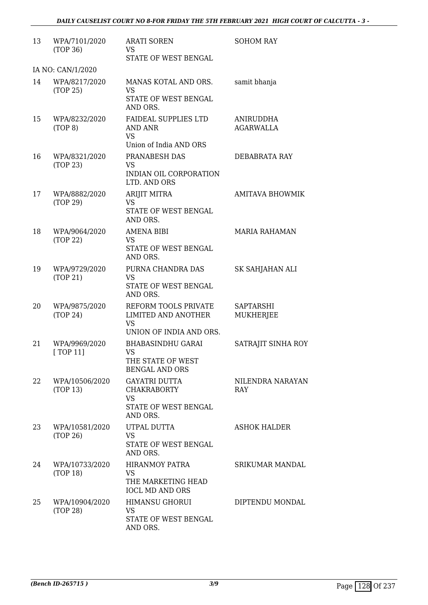| 13 | WPA/7101/2020<br>(TOP 36)     | <b>ARATI SOREN</b><br><b>VS</b><br>STATE OF WEST BENGAL                                     | <b>SOHOM RAY</b>               |
|----|-------------------------------|---------------------------------------------------------------------------------------------|--------------------------------|
|    | IA NO: CAN/1/2020             |                                                                                             |                                |
| 14 | WPA/8217/2020<br>(TOP 25)     | MANAS KOTAL AND ORS.<br><b>VS</b><br>STATE OF WEST BENGAL<br>AND ORS.                       | samit bhanja                   |
| 15 | WPA/8232/2020<br>(TOP 8)      | <b>FAIDEAL SUPPLIES LTD</b><br>AND ANR<br><b>VS</b><br>Union of India AND ORS               | ANIRUDDHA<br>AGARWALLA         |
| 16 | WPA/8321/2020<br>(TOP 23)     | PRANABESH DAS<br><b>VS</b><br>INDIAN OIL CORPORATION<br>LTD. AND ORS                        | DEBABRATA RAY                  |
| 17 | WPA/8882/2020<br>(TOP 29)     | <b>ARIJIT MITRA</b><br><b>VS</b><br>STATE OF WEST BENGAL<br>AND ORS.                        | <b>AMITAVA BHOWMIK</b>         |
| 18 | WPA/9064/2020<br>(TOP 22)     | <b>AMENA BIBI</b><br>VS.<br>STATE OF WEST BENGAL<br>AND ORS.                                | <b>MARIA RAHAMAN</b>           |
| 19 | WPA/9729/2020<br>(TOP 21)     | PURNA CHANDRA DAS<br><b>VS</b><br>STATE OF WEST BENGAL<br>AND ORS.                          | SK SAHJAHAN ALI                |
| 20 | WPA/9875/2020<br>(TOP 24)     | REFORM TOOLS PRIVATE<br>LIMITED AND ANOTHER<br><b>VS</b><br>UNION OF INDIA AND ORS.         | SAPTARSHI<br><b>MUKHERJEE</b>  |
| 21 | WPA/9969/2020<br>[ $TOP 11$ ] | <b>BHABASINDHU GARAI</b><br><b>VS</b><br>THE STATE OF WEST<br><b>BENGAL AND ORS</b>         | SATRAJIT SINHA ROY             |
| 22 | WPA/10506/2020<br>(TOP 13)    | <b>GAYATRI DUTTA</b><br><b>CHAKRABORTY</b><br><b>VS</b><br>STATE OF WEST BENGAL<br>AND ORS. | NILENDRA NARAYAN<br><b>RAY</b> |
| 23 | WPA/10581/2020<br>(TOP 26)    | UTPAL DUTTA<br>VS<br>STATE OF WEST BENGAL<br>AND ORS.                                       | <b>ASHOK HALDER</b>            |
| 24 | WPA/10733/2020<br>(TOP 18)    | HIRANMOY PATRA<br><b>VS</b><br>THE MARKETING HEAD<br><b>IOCL MD AND ORS</b>                 | SRIKUMAR MANDAL                |
| 25 | WPA/10904/2020<br>(TOP 28)    | HIMANSU GHORUI<br><b>VS</b><br>STATE OF WEST BENGAL<br>AND ORS.                             | DIPTENDU MONDAL                |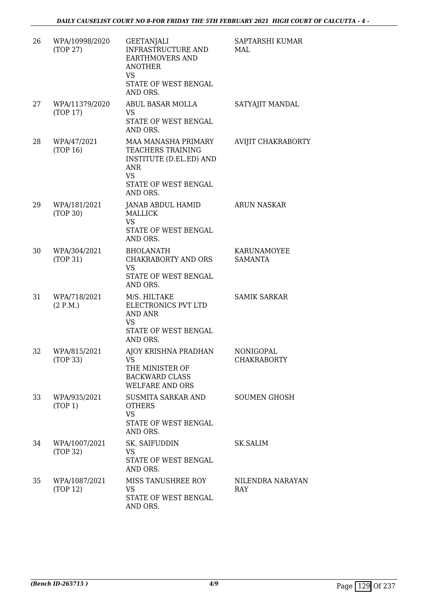| 26 | WPA/10998/2020<br>(TOP 27) | <b>GEETANJALI</b><br>INFRASTRUCTURE AND<br><b>EARTHMOVERS AND</b><br><b>ANOTHER</b><br><b>VS</b><br>STATE OF WEST BENGAL<br>AND ORS.      | SAPTARSHI KUMAR<br>MAL          |
|----|----------------------------|-------------------------------------------------------------------------------------------------------------------------------------------|---------------------------------|
| 27 | WPA/11379/2020<br>(TOP 17) | ABUL BASAR MOLLA<br>VS<br>STATE OF WEST BENGAL<br>AND ORS.                                                                                | SATYAJIT MANDAL                 |
| 28 | WPA/47/2021<br>(TOP 16)    | MAA MANASHA PRIMARY<br>TEACHERS TRAINING<br><b>INSTITUTE (D.EL.ED) AND</b><br><b>ANR</b><br><b>VS</b><br>STATE OF WEST BENGAL<br>AND ORS. | AVIJIT CHAKRABORTY              |
| 29 | WPA/181/2021<br>(TOP 30)   | JANAB ABDUL HAMID<br>MALLICK<br><b>VS</b><br>STATE OF WEST BENGAL<br>AND ORS.                                                             | <b>ARUN NASKAR</b>              |
| 30 | WPA/304/2021<br>(TOP 31)   | <b>BHOLANATH</b><br>CHAKRABORTY AND ORS<br><b>VS</b><br>STATE OF WEST BENGAL<br>AND ORS.                                                  | KARUNAMOYEE<br><b>SAMANTA</b>   |
| 31 | WPA/718/2021<br>(2 P.M.)   | M/S. HILTAKE<br>ELECTRONICS PVT LTD<br><b>AND ANR</b><br><b>VS</b><br>STATE OF WEST BENGAL<br>AND ORS.                                    | <b>SAMIK SARKAR</b>             |
| 32 | WPA/815/2021<br>(TOP 33)   | AJOY KRISHNA PRADHAN<br>VS<br>THE MINISTER OF<br><b>BACKWARD CLASS</b><br><b>WELFARE AND ORS</b>                                          | NONIGOPAL<br><b>CHAKRABORTY</b> |
| 33 | WPA/935/2021<br>(TOP 1)    | <b>SUSMITA SARKAR AND</b><br><b>OTHERS</b><br><b>VS</b><br>STATE OF WEST BENGAL<br>AND ORS.                                               | <b>SOUMEN GHOSH</b>             |
| 34 | WPA/1007/2021<br>(TOP 32)  | SK. SAIFUDDIN<br><b>VS</b><br>STATE OF WEST BENGAL<br>AND ORS.                                                                            | <b>SK.SALIM</b>                 |
| 35 | WPA/1087/2021<br>(TOP 12)  | MISS TANUSHREE ROY<br><b>VS</b><br>STATE OF WEST BENGAL<br>AND ORS.                                                                       | NILENDRA NARAYAN<br>RAY         |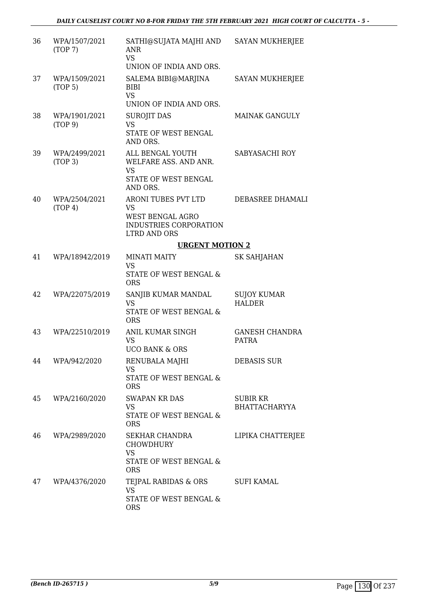| 36 | WPA/1507/2021<br>(TOP7)  | SATHI@SUJATA MAJHI AND<br><b>ANR</b><br><b>VS</b><br>UNION OF INDIA AND ORS.                                 | <b>SAYAN MUKHERJEE</b>                  |
|----|--------------------------|--------------------------------------------------------------------------------------------------------------|-----------------------------------------|
| 37 | WPA/1509/2021<br>(TOP 5) | SALEMA BIBI@MARJINA<br><b>BIBI</b><br><b>VS</b><br>UNION OF INDIA AND ORS.                                   | <b>SAYAN MUKHERJEE</b>                  |
| 38 | WPA/1901/2021<br>(TOP 9) | <b>SUROJIT DAS</b><br><b>VS</b><br>STATE OF WEST BENGAL<br>AND ORS.                                          | <b>MAINAK GANGULY</b>                   |
| 39 | WPA/2499/2021<br>(TOP 3) | ALL BENGAL YOUTH<br>WELFARE ASS. AND ANR.<br><b>VS</b><br>STATE OF WEST BENGAL<br>AND ORS.                   | SABYASACHI ROY                          |
| 40 | WPA/2504/2021<br>(TOP 4) | ARONI TUBES PVT LTD<br><b>VS</b><br><b>WEST BENGAL AGRO</b><br>INDUSTRIES CORPORATION<br><b>LTRD AND ORS</b> | DEBASREE DHAMALI                        |
|    |                          | <b>URGENT MOTION 2</b>                                                                                       |                                         |
| 41 | WPA/18942/2019           | <b>MINATI MAITY</b><br><b>VS</b><br>STATE OF WEST BENGAL &<br><b>ORS</b>                                     | <b>SK SAHJAHAN</b>                      |
| 42 | WPA/22075/2019           | SANJIB KUMAR MANDAL<br><b>VS</b><br>STATE OF WEST BENGAL &<br><b>ORS</b>                                     | <b>SUJOY KUMAR</b><br><b>HALDER</b>     |
| 43 | WPA/22510/2019           | <b>ANIL KUMAR SINGH</b><br><b>VS</b><br><b>UCO BANK &amp; ORS</b>                                            | <b>GANESH CHANDRA</b><br><b>PATRA</b>   |
| 44 | WPA/942/2020             | RENUBALA MAJHI<br><b>VS</b><br>STATE OF WEST BENGAL &<br><b>ORS</b>                                          | <b>DEBASIS SUR</b>                      |
| 45 | WPA/2160/2020            | <b>SWAPAN KR DAS</b><br><b>VS</b><br><b>STATE OF WEST BENGAL &amp;</b><br><b>ORS</b>                         | <b>SUBIR KR</b><br><b>BHATTACHARYYA</b> |
| 46 | WPA/2989/2020            | SEKHAR CHANDRA<br><b>CHOWDHURY</b><br><b>VS</b><br>STATE OF WEST BENGAL &                                    | LIPIKA CHATTERJEE                       |
| 47 | WPA/4376/2020            | <b>ORS</b><br>TEJPAL RABIDAS & ORS<br><b>VS</b><br>STATE OF WEST BENGAL &<br><b>ORS</b>                      | <b>SUFI KAMAL</b>                       |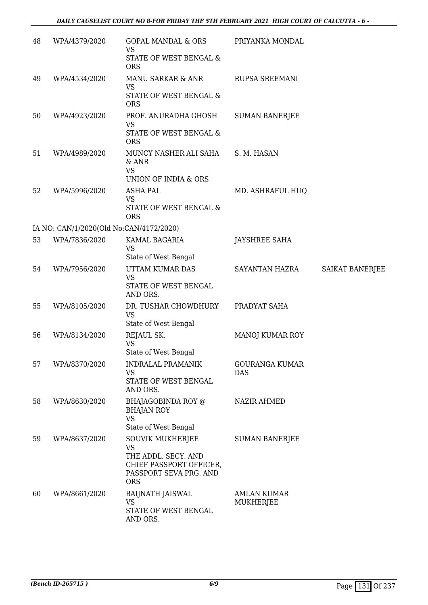| 48 | WPA/4379/2020                           | <b>GOPAL MANDAL &amp; ORS</b><br><b>VS</b><br>STATE OF WEST BENGAL &                                                           | PRIYANKA MONDAL                 |                 |
|----|-----------------------------------------|--------------------------------------------------------------------------------------------------------------------------------|---------------------------------|-----------------|
|    |                                         | <b>ORS</b>                                                                                                                     |                                 |                 |
| 49 | WPA/4534/2020                           | <b>MANU SARKAR &amp; ANR</b><br>VS                                                                                             | RUPSA SREEMANI                  |                 |
|    |                                         | STATE OF WEST BENGAL &<br><b>ORS</b>                                                                                           |                                 |                 |
| 50 | WPA/4923/2020                           | PROF. ANURADHA GHOSH<br><b>VS</b>                                                                                              | <b>SUMAN BANERJEE</b>           |                 |
|    |                                         | STATE OF WEST BENGAL &<br><b>ORS</b>                                                                                           |                                 |                 |
| 51 | WPA/4989/2020                           | MUNCY NASHER ALI SAHA<br>$&$ ANR<br><b>VS</b><br>UNION OF INDIA & ORS                                                          | S. M. HASAN                     |                 |
| 52 | WPA/5996/2020                           | <b>ASHA PAL</b>                                                                                                                | MD. ASHRAFUL HUQ                |                 |
|    |                                         | <b>VS</b><br>STATE OF WEST BENGAL &<br><b>ORS</b>                                                                              |                                 |                 |
|    | IA NO: CAN/1/2020(Old No:CAN/4172/2020) |                                                                                                                                |                                 |                 |
| 53 | WPA/7836/2020                           | KAMAL BAGARIA                                                                                                                  | <b>JAYSHREE SAHA</b>            |                 |
|    |                                         | <b>VS</b><br>State of West Bengal                                                                                              |                                 |                 |
| 54 | WPA/7956/2020                           | UTTAM KUMAR DAS                                                                                                                | SAYANTAN HAZRA                  | SAIKAT BANERJEE |
|    |                                         | <b>VS</b><br>STATE OF WEST BENGAL<br>AND ORS.                                                                                  |                                 |                 |
| 55 | WPA/8105/2020                           | DR. TUSHAR CHOWDHURY<br><b>VS</b>                                                                                              | PRADYAT SAHA                    |                 |
|    |                                         | State of West Bengal                                                                                                           |                                 |                 |
| 56 | WPA/8134/2020                           | REJAUL SK.<br><b>VS</b><br>State of West Bengal                                                                                | MANOJ KUMAR ROY                 |                 |
| 57 | WPA/8370/2020                           | <b>INDRALAL PRAMANIK</b>                                                                                                       | <b>GOURANGA KUMAR</b>           |                 |
|    |                                         | <b>VS</b><br>STATE OF WEST BENGAL                                                                                              | DAS                             |                 |
|    |                                         | AND ORS.                                                                                                                       |                                 |                 |
| 58 | WPA/8630/2020                           | BHAJAGOBINDA ROY @<br><b>BHAJAN ROY</b><br><b>VS</b>                                                                           | <b>NAZIR AHMED</b>              |                 |
|    |                                         | State of West Bengal                                                                                                           |                                 |                 |
| 59 | WPA/8637/2020                           | <b>SOUVIK MUKHERJEE</b><br><b>VS</b><br>THE ADDL. SECY. AND<br>CHIEF PASSPORT OFFICER,<br>PASSPORT SEVA PRG. AND<br><b>ORS</b> | <b>SUMAN BANERJEE</b>           |                 |
| 60 | WPA/8661/2020                           | <b>BAIJNATH JAISWAL</b><br><b>VS</b><br>STATE OF WEST BENGAL<br>AND ORS.                                                       | <b>AMLAN KUMAR</b><br>MUKHERJEE |                 |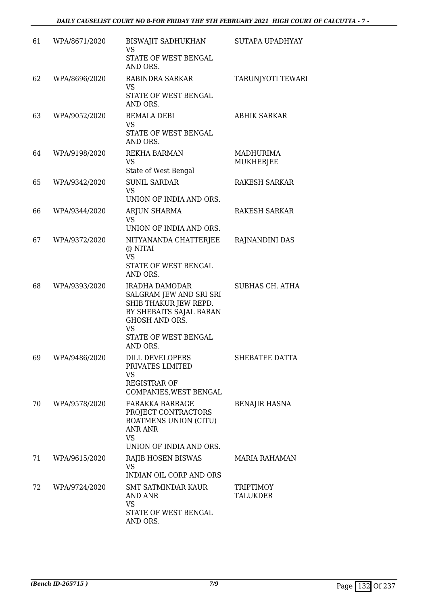| 61 | WPA/8671/2020 | BISWAJIT SADHUKHAN<br><b>VS</b><br>STATE OF WEST BENGAL<br>AND ORS.                                                                                                            | SUTAPA UPADHYAY              |
|----|---------------|--------------------------------------------------------------------------------------------------------------------------------------------------------------------------------|------------------------------|
| 62 | WPA/8696/2020 | RABINDRA SARKAR<br>VS.<br>STATE OF WEST BENGAL<br>AND ORS.                                                                                                                     | TARUNJYOTI TEWARI            |
| 63 | WPA/9052/2020 | <b>BEMALA DEBI</b><br><b>VS</b><br>STATE OF WEST BENGAL<br>AND ORS.                                                                                                            | <b>ABHIK SARKAR</b>          |
| 64 | WPA/9198/2020 | REKHA BARMAN<br><b>VS</b><br>State of West Bengal                                                                                                                              | MADHURIMA<br>MUKHERJEE       |
| 65 | WPA/9342/2020 | <b>SUNIL SARDAR</b><br><b>VS</b><br>UNION OF INDIA AND ORS.                                                                                                                    | <b>RAKESH SARKAR</b>         |
| 66 | WPA/9344/2020 | ARJUN SHARMA<br>VS.<br>UNION OF INDIA AND ORS.                                                                                                                                 | RAKESH SARKAR                |
| 67 | WPA/9372/2020 | NITYANANDA CHATTERJEE<br>@ NITAI<br><b>VS</b><br>STATE OF WEST BENGAL<br>AND ORS.                                                                                              | RAJNANDINI DAS               |
| 68 | WPA/9393/2020 | <b>IRADHA DAMODAR</b><br>SALGRAM JEW AND SRI SRI<br>SHIB THAKUR JEW REPD.<br>BY SHEBAITS SAJAL BARAN<br><b>GHOSH AND ORS.</b><br><b>VS</b><br>STATE OF WEST BENGAL<br>AND ORS. | <b>SUBHAS CH. ATHA</b>       |
| 69 | WPA/9486/2020 | DILL DEVELOPERS<br>PRIVATES LIMITED<br>VS<br><b>REGISTRAR OF</b><br>COMPANIES, WEST BENGAL                                                                                     | SHEBATEE DATTA               |
| 70 | WPA/9578/2020 | <b>FARAKKA BARRAGE</b><br>PROJECT CONTRACTORS<br><b>BOATMENS UNION (CITU)</b><br><b>ANR ANR</b><br><b>VS</b><br>UNION OF INDIA AND ORS.                                        | <b>BENAJIR HASNA</b>         |
| 71 | WPA/9615/2020 | RAJIB HOSEN BISWAS<br><b>VS</b><br><b>INDIAN OIL CORP AND ORS</b>                                                                                                              | MARIA RAHAMAN                |
| 72 | WPA/9724/2020 | SMT SATMINDAR KAUR<br>AND ANR<br>VS<br>STATE OF WEST BENGAL<br>AND ORS.                                                                                                        | TRIPTIMOY<br><b>TALUKDER</b> |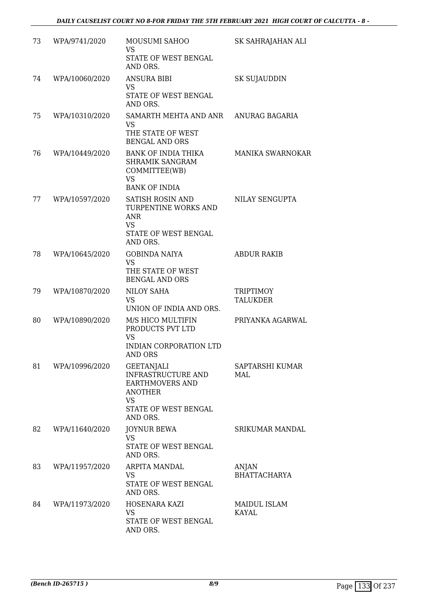| 73 | WPA/9741/2020  | MOUSUMI SAHOO<br><b>VS</b><br>STATE OF WEST BENGAL<br>AND ORS.                                                                | SK SAHRAJAHAN ALI            |
|----|----------------|-------------------------------------------------------------------------------------------------------------------------------|------------------------------|
| 74 | WPA/10060/2020 | <b>ANSURA BIBI</b><br><b>VS</b><br>STATE OF WEST BENGAL<br>AND ORS.                                                           | <b>SK SUJAUDDIN</b>          |
| 75 | WPA/10310/2020 | SAMARTH MEHTA AND ANR<br><b>VS</b><br>THE STATE OF WEST<br><b>BENGAL AND ORS</b>                                              | ANURAG BAGARIA               |
| 76 | WPA/10449/2020 | <b>BANK OF INDIA THIKA</b><br><b>SHRAMIK SANGRAM</b><br>COMMITTEE(WB)<br><b>VS</b><br><b>BANK OF INDIA</b>                    | MANIKA SWARNOKAR             |
| 77 | WPA/10597/2020 | SATISH ROSIN AND<br>TURPENTINE WORKS AND<br><b>ANR</b><br><b>VS</b><br>STATE OF WEST BENGAL<br>AND ORS.                       | NILAY SENGUPTA               |
| 78 | WPA/10645/2020 | <b>GOBINDA NAIYA</b><br><b>VS</b><br>THE STATE OF WEST<br><b>BENGAL AND ORS</b>                                               | <b>ABDUR RAKIB</b>           |
| 79 | WPA/10870/2020 | <b>NILOY SAHA</b><br><b>VS</b><br>UNION OF INDIA AND ORS.                                                                     | TRIPTIMOY<br><b>TALUKDER</b> |
| 80 | WPA/10890/2020 | M/S HICO MULTIFIN<br>PRODUCTS PVT LTD<br><b>VS</b><br><b>INDIAN CORPORATION LTD</b><br>AND ORS                                | PRIYANKA AGARWAL             |
| 81 | WPA/10996/2020 | <b>GEETANJALI</b><br>INFRASTRUCTURE AND<br><b>EARTHMOVERS AND</b><br>ANOTHER<br><b>VS</b><br>STATE OF WEST BENGAL<br>AND ORS. | SAPTARSHI KUMAR<br>MAL       |
| 82 | WPA/11640/2020 | <b>JOYNUR BEWA</b><br>VS<br>STATE OF WEST BENGAL<br>AND ORS.                                                                  | SRIKUMAR MANDAL              |
| 83 | WPA/11957/2020 | ARPITA MANDAL<br>VS<br>STATE OF WEST BENGAL<br>AND ORS.                                                                       | ANJAN<br><b>BHATTACHARYA</b> |
| 84 | WPA/11973/2020 | HOSENARA KAZI<br><b>VS</b><br>STATE OF WEST BENGAL<br>AND ORS.                                                                | MAIDUL ISLAM<br><b>KAYAL</b> |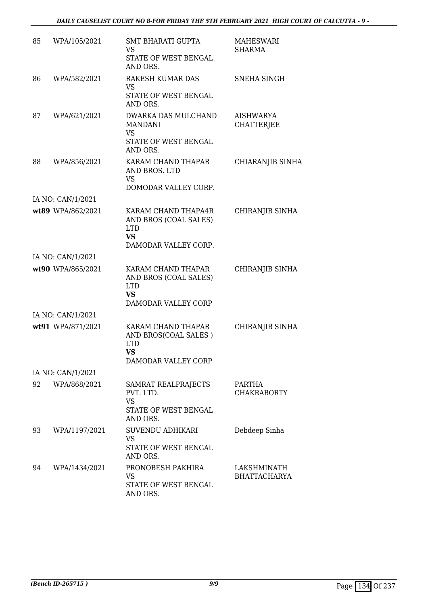| 85 | WPA/105/2021      | <b>SMT BHARATI GUPTA</b><br>VS.<br>STATE OF WEST BENGAL                    | <b>MAHESWARI</b><br><b>SHARMA</b>  |
|----|-------------------|----------------------------------------------------------------------------|------------------------------------|
|    |                   | AND ORS.                                                                   |                                    |
| 86 | WPA/582/2021      | <b>RAKESH KUMAR DAS</b><br><b>VS</b>                                       | SNEHA SINGH                        |
|    |                   | STATE OF WEST BENGAL<br>AND ORS.                                           |                                    |
| 87 | WPA/621/2021      | DWARKA DAS MULCHAND<br><b>MANDANI</b><br><b>VS</b><br>STATE OF WEST BENGAL | AISHWARYA<br><b>CHATTERJEE</b>     |
|    |                   | AND ORS.                                                                   |                                    |
| 88 | WPA/856/2021      | KARAM CHAND THAPAR<br>AND BROS. LTD<br>VS                                  | CHIARANJIB SINHA                   |
|    |                   | DOMODAR VALLEY CORP.                                                       |                                    |
|    | IA NO: CAN/1/2021 |                                                                            |                                    |
|    | wt89 WPA/862/2021 | KARAM CHAND THAPA4R<br>AND BROS (COAL SALES)<br><b>LTD</b><br><b>VS</b>    | CHIRANJIB SINHA                    |
|    |                   | DAMODAR VALLEY CORP.                                                       |                                    |
|    | IA NO: CAN/1/2021 |                                                                            |                                    |
|    | wt90 WPA/865/2021 | KARAM CHAND THAPAR<br>AND BROS (COAL SALES)<br><b>LTD</b><br><b>VS</b>     | CHIRANJIB SINHA                    |
|    | IA NO: CAN/1/2021 | DAMODAR VALLEY CORP                                                        |                                    |
|    | wt91 WPA/871/2021 | KARAM CHAND THAPAR                                                         | CHIRANJIB SINHA                    |
|    |                   | AND BROS(COAL SALES)<br><b>LTD</b><br><b>VS</b><br>DAMODAR VALLEY CORP     |                                    |
|    | IA NO: CAN/1/2021 |                                                                            |                                    |
| 92 | WPA/868/2021      | SAMRAT REALPRAJECTS                                                        | <b>PARTHA</b>                      |
|    |                   | PVT. LTD.<br><b>VS</b><br><b>STATE OF WEST BENGAL</b><br>AND ORS.          | <b>CHAKRABORTY</b>                 |
| 93 | WPA/1197/2021     | SUVENDU ADHIKARI<br><b>VS</b>                                              | Debdeep Sinha                      |
|    |                   | STATE OF WEST BENGAL<br>AND ORS.                                           |                                    |
| 94 | WPA/1434/2021     | PRONOBESH PAKHIRA<br>VS<br>STATE OF WEST BENGAL<br>AND ORS.                | LAKSHMINATH<br><b>BHATTACHARYA</b> |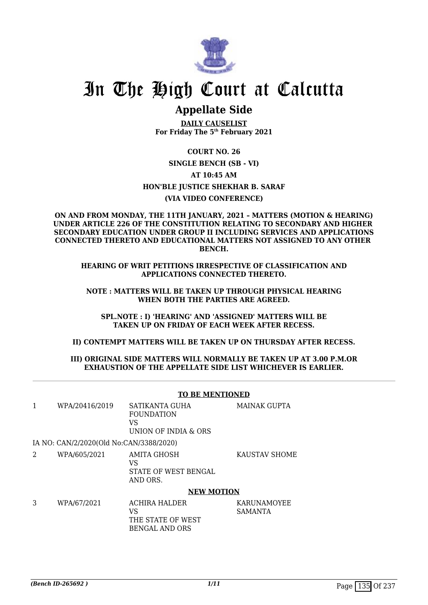

# In The High Court at Calcutta

# **Appellate Side**

**DAILY CAUSELIST For Friday The 5th February 2021**

### **COURT NO. 26**

**SINGLE BENCH (SB - VI)**

### **AT 10:45 AM**

## **HON'BLE JUSTICE SHEKHAR B. SARAF**

### **(VIA VIDEO CONFERENCE)**

#### **ON AND FROM MONDAY, THE 11TH JANUARY, 2021 – MATTERS (MOTION & HEARING) UNDER ARTICLE 226 OF THE CONSTITUTION RELATING TO SECONDARY AND HIGHER SECONDARY EDUCATION UNDER GROUP II INCLUDING SERVICES AND APPLICATIONS CONNECTED THERETO AND EDUCATIONAL MATTERS NOT ASSIGNED TO ANY OTHER BENCH.**

**HEARING OF WRIT PETITIONS IRRESPECTIVE OF CLASSIFICATION AND APPLICATIONS CONNECTED THERETO.**

**NOTE : MATTERS WILL BE TAKEN UP THROUGH PHYSICAL HEARING WHEN BOTH THE PARTIES ARE AGREED.**

**SPL.NOTE : I) 'HEARING' AND 'ASSIGNED' MATTERS WILL BE TAKEN UP ON FRIDAY OF EACH WEEK AFTER RECESS.**

### **II) CONTEMPT MATTERS WILL BE TAKEN UP ON THURSDAY AFTER RECESS.**

### **III) ORIGINAL SIDE MATTERS WILL NORMALLY BE TAKEN UP AT 3.00 P.M.OR EXHAUSTION OF THE APPELLATE SIDE LIST WHICHEVER IS EARLIER.**

|   |                                         | <b>TO BE MENTIONED</b>                                             |                               |
|---|-----------------------------------------|--------------------------------------------------------------------|-------------------------------|
|   | WPA/20416/2019                          | SATIKANTA GUHA<br><b>FOUNDATION</b><br>VS.<br>UNION OF INDIA & ORS | <b>MAINAK GUPTA</b>           |
|   | IA NO: CAN/2/2020(Old No:CAN/3388/2020) |                                                                    |                               |
| 2 | WPA/605/2021                            | AMITA GHOSH<br>VS<br>STATE OF WEST BENGAL<br>AND ORS.              | <b>KAUSTAV SHOME</b>          |
|   |                                         | <b>NEW MOTION</b>                                                  |                               |
| 3 | WPA/67/2021                             | ACHIRA HALDER<br>VS<br>THE STATE OF WEST<br><b>BENGAL AND ORS</b>  | KARUNAMOYEE<br><b>SAMANTA</b> |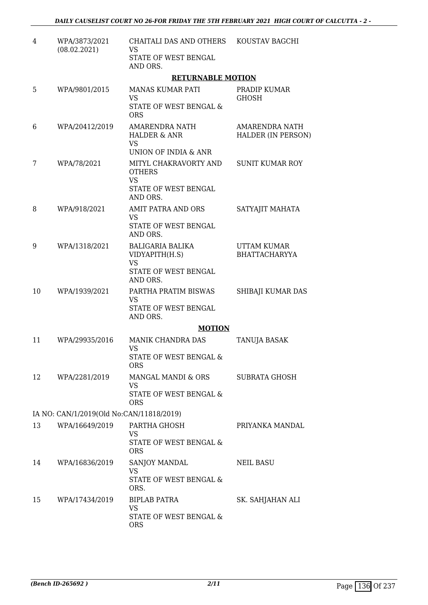| $\overline{4}$ | WPA/3873/2021<br>(08.02.2021)            | CHAITALI DAS AND OTHERS<br><b>VS</b><br>STATE OF WEST BENGAL<br>AND ORS.                | KOUSTAV BAGCHI                              |
|----------------|------------------------------------------|-----------------------------------------------------------------------------------------|---------------------------------------------|
|                |                                          | <b>RETURNABLE MOTION</b>                                                                |                                             |
| 5              | WPA/9801/2015                            | <b>MANAS KUMAR PATI</b><br>VS<br>STATE OF WEST BENGAL &<br><b>ORS</b>                   | PRADIP KUMAR<br><b>GHOSH</b>                |
| 6              | WPA/20412/2019                           | <b>AMARENDRA NATH</b><br><b>HALDER &amp; ANR</b><br><b>VS</b><br>UNION OF INDIA & ANR   | AMARENDRA NATH<br><b>HALDER (IN PERSON)</b> |
| 7              | WPA/78/2021                              | MITYL CHAKRAVORTY AND<br><b>OTHERS</b><br><b>VS</b><br>STATE OF WEST BENGAL<br>AND ORS. | SUNIT KUMAR ROY                             |
| 8              | WPA/918/2021                             | AMIT PATRA AND ORS<br>VS<br>STATE OF WEST BENGAL<br>AND ORS.                            | SATYAJIT MAHATA                             |
| 9              | WPA/1318/2021                            | BALIGARIA BALIKA<br>VIDYAPITH(H.S)<br><b>VS</b><br>STATE OF WEST BENGAL<br>AND ORS.     | UTTAM KUMAR<br><b>BHATTACHARYYA</b>         |
| 10             | WPA/1939/2021                            | PARTHA PRATIM BISWAS<br><b>VS</b><br>STATE OF WEST BENGAL<br>AND ORS.                   | SHIBAJI KUMAR DAS                           |
|                |                                          | <b>MOTION</b>                                                                           |                                             |
| 11             | WPA/29935/2016                           | <b>MANIK CHANDRA DAS</b><br><b>VS</b><br>STATE OF WEST BENGAL &<br><b>ORS</b>           | <b>TANUJA BASAK</b>                         |
| 12             | WPA/2281/2019                            | MANGAL MANDI & ORS<br>VS<br>STATE OF WEST BENGAL &<br><b>ORS</b>                        | SUBRATA GHOSH                               |
|                | IA NO: CAN/1/2019(Old No:CAN/11818/2019) |                                                                                         |                                             |
| 13             | WPA/16649/2019                           | PARTHA GHOSH<br>VS<br>STATE OF WEST BENGAL &<br><b>ORS</b>                              | PRIYANKA MANDAL                             |
| 14             | WPA/16836/2019                           | SANJOY MANDAL<br>VS<br>STATE OF WEST BENGAL &<br>ORS.                                   | <b>NEIL BASU</b>                            |
| 15             | WPA/17434/2019                           | BIPLAB PATRA<br><b>VS</b><br>STATE OF WEST BENGAL &<br><b>ORS</b>                       | SK. SAHJAHAN ALI                            |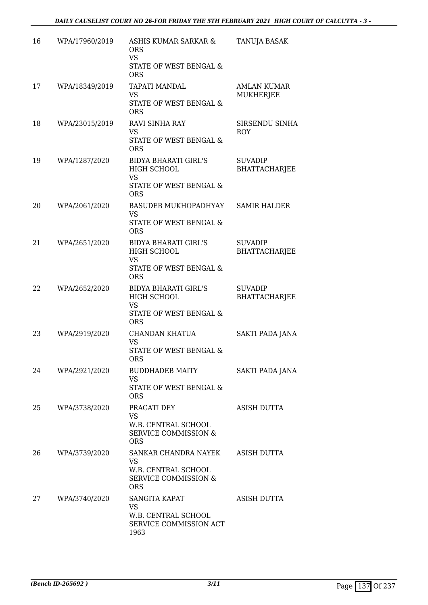| 16 | WPA/17960/2019 | ASHIS KUMAR SARKAR &<br><b>ORS</b><br><b>VS</b><br>STATE OF WEST BENGAL &<br><b>ORS</b>          | TANUJA BASAK                           |
|----|----------------|--------------------------------------------------------------------------------------------------|----------------------------------------|
| 17 | WPA/18349/2019 | <b>TAPATI MANDAL</b><br><b>VS</b><br>STATE OF WEST BENGAL &<br><b>ORS</b>                        | AMLAN KUMAR<br><b>MUKHERJEE</b>        |
| 18 | WPA/23015/2019 | RAVI SINHA RAY<br><b>VS</b><br><b>STATE OF WEST BENGAL &amp;</b><br><b>ORS</b>                   | SIRSENDU SINHA<br><b>ROY</b>           |
| 19 | WPA/1287/2020  | <b>BIDYA BHARATI GIRL'S</b><br>HIGH SCHOOL<br><b>VS</b><br>STATE OF WEST BENGAL &<br><b>ORS</b>  | <b>SUVADIP</b><br><b>BHATTACHARJEE</b> |
| 20 | WPA/2061/2020  | BASUDEB MUKHOPADHYAY<br><b>VS</b><br>STATE OF WEST BENGAL &<br><b>ORS</b>                        | <b>SAMIR HALDER</b>                    |
| 21 | WPA/2651/2020  | <b>BIDYA BHARATI GIRL'S</b><br>HIGH SCHOOL<br><b>VS</b><br>STATE OF WEST BENGAL &<br><b>ORS</b>  | <b>SUVADIP</b><br>BHATTACHARJEE        |
| 22 | WPA/2652/2020  | <b>BIDYA BHARATI GIRL'S</b><br>HIGH SCHOOL<br><b>VS</b><br>STATE OF WEST BENGAL &<br><b>ORS</b>  | <b>SUVADIP</b><br>BHATTACHARJEE        |
| 23 | WPA/2919/2020  | CHANDAN KHATUA<br><b>VS</b><br>STATE OF WEST BENGAL &<br><b>ORS</b>                              | SAKTI PADA JANA                        |
| 24 | WPA/2921/2020  | <b>BUDDHADEB MAITY</b><br><b>VS</b><br>STATE OF WEST BENGAL &<br><b>ORS</b>                      | SAKTI PADA JANA                        |
| 25 | WPA/3738/2020  | PRAGATI DEY<br><b>VS</b><br>W.B. CENTRAL SCHOOL<br><b>SERVICE COMMISSION &amp;</b><br><b>ORS</b> | ASISH DUTTA                            |
| 26 | WPA/3739/2020  | SANKAR CHANDRA NAYEK<br><b>VS</b><br>W.B. CENTRAL SCHOOL<br>SERVICE COMMISSION &<br><b>ORS</b>   | ASISH DUTTA                            |
| 27 | WPA/3740/2020  | SANGITA KAPAT<br><b>VS</b><br>W.B. CENTRAL SCHOOL<br>SERVICE COMMISSION ACT<br>1963              | <b>ASISH DUTTA</b>                     |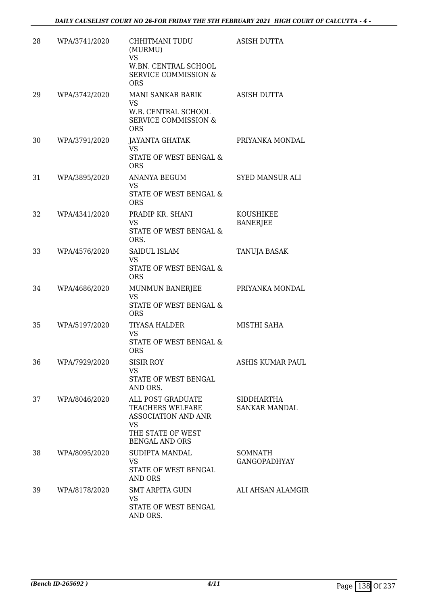| 28 | WPA/3741/2020 | CHHITMANI TUDU<br>(MURMU)<br>VS<br>W.BN. CENTRAL SCHOOL<br><b>SERVICE COMMISSION &amp;</b><br><b>ORS</b>                | <b>ASISH DUTTA</b>                 |
|----|---------------|-------------------------------------------------------------------------------------------------------------------------|------------------------------------|
| 29 | WPA/3742/2020 | MANI SANKAR BARIK<br>VS<br>W.B. CENTRAL SCHOOL<br><b>SERVICE COMMISSION &amp;</b><br><b>ORS</b>                         | ASISH DUTTA                        |
| 30 | WPA/3791/2020 | JAYANTA GHATAK<br>VS<br>STATE OF WEST BENGAL &<br><b>ORS</b>                                                            | PRIYANKA MONDAL                    |
| 31 | WPA/3895/2020 | ANANYA BEGUM<br>VS<br>STATE OF WEST BENGAL &<br><b>ORS</b>                                                              | <b>SYED MANSUR ALI</b>             |
| 32 | WPA/4341/2020 | PRADIP KR. SHANI<br>VS.<br>STATE OF WEST BENGAL &<br>ORS.                                                               | KOUSHIKEE<br><b>BANERJEE</b>       |
| 33 | WPA/4576/2020 | SAIDUL ISLAM<br>VS.<br>STATE OF WEST BENGAL &<br><b>ORS</b>                                                             | <b>TANUJA BASAK</b>                |
| 34 | WPA/4686/2020 | MUNMUN BANERJEE<br><b>VS</b><br>STATE OF WEST BENGAL &<br><b>ORS</b>                                                    | PRIYANKA MONDAL                    |
| 35 | WPA/5197/2020 | <b>TIYASA HALDER</b><br>VS<br>STATE OF WEST BENGAL &<br><b>ORS</b>                                                      | MISTHI SAHA                        |
| 36 | WPA/7929/2020 | <b>SISIR ROY</b><br><b>VS</b><br>STATE OF WEST BENGAL<br>AND ORS.                                                       | ASHIS KUMAR PAUL                   |
| 37 | WPA/8046/2020 | ALL POST GRADUATE<br>TEACHERS WELFARE<br><b>ASSOCIATION AND ANR</b><br>VS<br>THE STATE OF WEST<br><b>BENGAL AND ORS</b> | <b>SIDDHARTHA</b><br>SANKAR MANDAL |
| 38 | WPA/8095/2020 | SUDIPTA MANDAL<br>VS<br>STATE OF WEST BENGAL<br>AND ORS                                                                 | SOMNATH<br><b>GANGOPADHYAY</b>     |
| 39 | WPA/8178/2020 | <b>SMT ARPITA GUIN</b><br>VS<br>STATE OF WEST BENGAL<br>AND ORS.                                                        | ALI AHSAN ALAMGIR                  |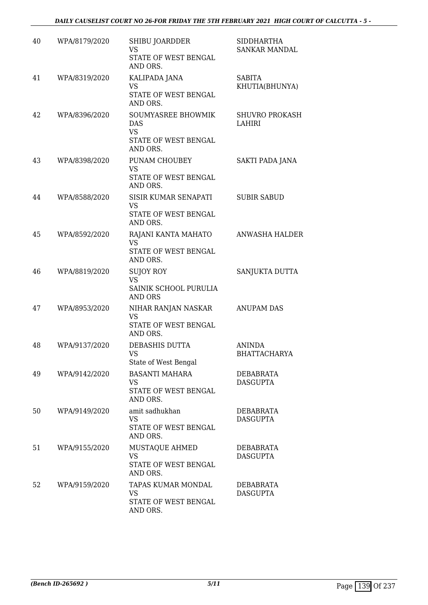| 40 | WPA/8179/2020 | SHIBU JOARDDER<br>VS<br>STATE OF WEST BENGAL<br>AND ORS.                   | <b>SIDDHARTHA</b><br>SANKAR MANDAL  |
|----|---------------|----------------------------------------------------------------------------|-------------------------------------|
| 41 | WPA/8319/2020 | KALIPADA JANA<br><b>VS</b><br>STATE OF WEST BENGAL<br>AND ORS.             | <b>SABITA</b><br>KHUTIA(BHUNYA)     |
| 42 | WPA/8396/2020 | SOUMYASREE BHOWMIK<br><b>DAS</b><br><b>VS</b><br>STATE OF WEST BENGAL      | <b>SHUVRO PROKASH</b><br>LAHIRI     |
| 43 | WPA/8398/2020 | AND ORS.<br>PUNAM CHOUBEY<br><b>VS</b><br>STATE OF WEST BENGAL<br>AND ORS. | SAKTI PADA JANA                     |
| 44 | WPA/8588/2020 | SISIR KUMAR SENAPATI<br><b>VS</b><br>STATE OF WEST BENGAL<br>AND ORS.      | <b>SUBIR SABUD</b>                  |
| 45 | WPA/8592/2020 | RAJANI KANTA MAHATO<br><b>VS</b><br>STATE OF WEST BENGAL<br>AND ORS.       | <b>ANWASHA HALDER</b>               |
| 46 | WPA/8819/2020 | <b>SUJOY ROY</b><br>VS<br>SAINIK SCHOOL PURULIA<br><b>AND ORS</b>          | SANJUKTA DUTTA                      |
| 47 | WPA/8953/2020 | NIHAR RANJAN NASKAR<br><b>VS</b><br>STATE OF WEST BENGAL<br>AND ORS.       | <b>ANUPAM DAS</b>                   |
| 48 | WPA/9137/2020 | DEBASHIS DUTTA<br>VS<br>State of West Bengal                               | <b>ANINDA</b><br>BHATTACHARYA       |
| 49 | WPA/9142/2020 | <b>BASANTI MAHARA</b><br><b>VS</b><br>STATE OF WEST BENGAL<br>AND ORS.     | <b>DEBABRATA</b><br><b>DASGUPTA</b> |
| 50 | WPA/9149/2020 | amit sadhukhan<br><b>VS</b><br>STATE OF WEST BENGAL<br>AND ORS.            | <b>DEBABRATA</b><br><b>DASGUPTA</b> |
| 51 | WPA/9155/2020 | MUSTAQUE AHMED<br><b>VS</b><br>STATE OF WEST BENGAL<br>AND ORS.            | DEBABRATA<br><b>DASGUPTA</b>        |
| 52 | WPA/9159/2020 | TAPAS KUMAR MONDAL<br>VS<br>STATE OF WEST BENGAL<br>AND ORS.               | DEBABRATA<br><b>DASGUPTA</b>        |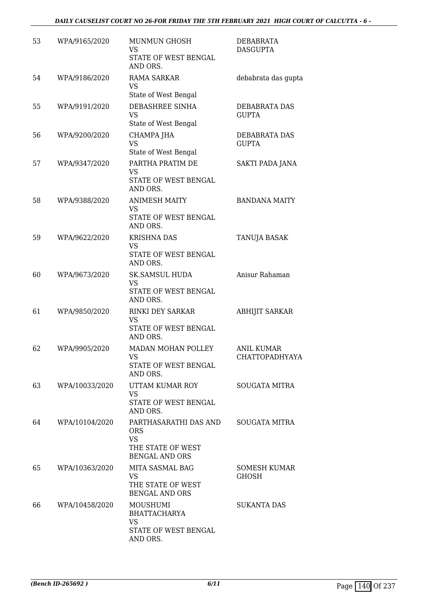| 53 | WPA/9165/2020  | MUNMUN GHOSH<br>VS<br>STATE OF WEST BENGAL<br>AND ORS.                                         | <b>DEBABRATA</b><br><b>DASGUPTA</b>        |
|----|----------------|------------------------------------------------------------------------------------------------|--------------------------------------------|
| 54 | WPA/9186/2020  | <b>RAMA SARKAR</b><br>VS<br>State of West Bengal                                               | debabrata das gupta                        |
| 55 | WPA/9191/2020  | DEBASHREE SINHA<br><b>VS</b><br>State of West Bengal                                           | DEBABRATA DAS<br><b>GUPTA</b>              |
| 56 | WPA/9200/2020  | CHAMPA JHA<br><b>VS</b><br>State of West Bengal                                                | DEBABRATA DAS<br><b>GUPTA</b>              |
| 57 | WPA/9347/2020  | PARTHA PRATIM DE<br>VS<br>STATE OF WEST BENGAL<br>AND ORS.                                     | SAKTI PADA JANA                            |
| 58 | WPA/9388/2020  | <b>ANIMESH MAITY</b><br>VS<br>STATE OF WEST BENGAL<br>AND ORS.                                 | <b>BANDANA MAITY</b>                       |
| 59 | WPA/9622/2020  | <b>KRISHNA DAS</b><br>VS<br>STATE OF WEST BENGAL<br>AND ORS.                                   | TANUJA BASAK                               |
| 60 | WPA/9673/2020  | <b>SK.SAMSUL HUDA</b><br>VS<br>STATE OF WEST BENGAL<br>AND ORS.                                | Anisur Rahaman                             |
| 61 | WPA/9850/2020  | <b>RINKI DEY SARKAR</b><br><b>VS</b><br>STATE OF WEST BENGAL<br>AND ORS.                       | <b>ABHIJIT SARKAR</b>                      |
| 62 | WPA/9905/2020  | MADAN MOHAN POLLEY<br>VS<br>STATE OF WEST BENGAL<br>AND ORS.                                   | <b>ANIL KUMAR</b><br><b>CHATTOPADHYAYA</b> |
| 63 | WPA/10033/2020 | UTTAM KUMAR ROY<br><b>VS</b><br>STATE OF WEST BENGAL<br>AND ORS.                               | <b>SOUGATA MITRA</b>                       |
| 64 | WPA/10104/2020 | PARTHASARATHI DAS AND<br><b>ORS</b><br><b>VS</b><br>THE STATE OF WEST<br><b>BENGAL AND ORS</b> | <b>SOUGATA MITRA</b>                       |
| 65 | WPA/10363/2020 | MITA SASMAL BAG<br>VS<br>THE STATE OF WEST<br><b>BENGAL AND ORS</b>                            | SOMESH KUMAR<br><b>GHOSH</b>               |
| 66 | WPA/10458/2020 | MOUSHUMI<br><b>BHATTACHARYA</b><br>VS<br>STATE OF WEST BENGAL<br>AND ORS.                      | <b>SUKANTA DAS</b>                         |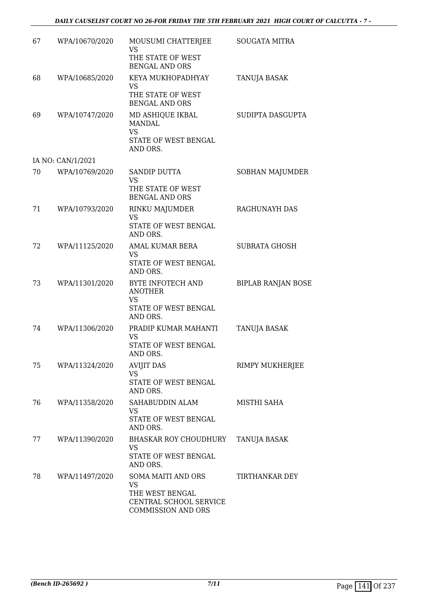| 67 | WPA/10670/2020    | MOUSUMI CHATTERJEE<br>VS<br>THE STATE OF WEST                                                      | <b>SOUGATA MITRA</b>      |
|----|-------------------|----------------------------------------------------------------------------------------------------|---------------------------|
|    |                   | BENGAL AND ORS                                                                                     |                           |
| 68 | WPA/10685/2020    | KEYA MUKHOPADHYAY<br>VS<br>THE STATE OF WEST<br><b>BENGAL AND ORS</b>                              | <b>TANUJA BASAK</b>       |
| 69 | WPA/10747/2020    | MD ASHIQUE IKBAL<br><b>MANDAL</b><br><b>VS</b><br>STATE OF WEST BENGAL<br>AND ORS.                 | SUDIPTA DASGUPTA          |
|    | IA NO: CAN/1/2021 |                                                                                                    |                           |
| 70 | WPA/10769/2020    | <b>SANDIP DUTTA</b><br><b>VS</b><br>THE STATE OF WEST<br><b>BENGAL AND ORS</b>                     | SOBHAN MAJUMDER           |
| 71 | WPA/10793/2020    | RINKU MAJUMDER<br><b>VS</b><br>STATE OF WEST BENGAL<br>AND ORS.                                    | RAGHUNAYH DAS             |
| 72 | WPA/11125/2020    | AMAL KUMAR BERA<br><b>VS</b><br>STATE OF WEST BENGAL<br>AND ORS.                                   | <b>SUBRATA GHOSH</b>      |
| 73 | WPA/11301/2020    | BYTE INFOTECH AND<br><b>ANOTHER</b><br>VS<br>STATE OF WEST BENGAL<br>AND ORS.                      | <b>BIPLAB RANJAN BOSE</b> |
| 74 | WPA/11306/2020    | PRADIP KUMAR MAHANTI<br><b>VS</b><br>STATE OF WEST BENGAL<br>AND ORS.                              | TANUJA BASAK              |
| 75 | WPA/11324/2020    | <b>AVIJIT DAS</b><br><b>VS</b><br>STATE OF WEST BENGAL<br>AND ORS.                                 | RIMPY MUKHERJEE           |
| 76 | WPA/11358/2020    | SAHABUDDIN ALAM<br>VS<br>STATE OF WEST BENGAL<br>AND ORS.                                          | MISTHI SAHA               |
| 77 | WPA/11390/2020    | BHASKAR ROY CHOUDHURY<br>VS<br>STATE OF WEST BENGAL<br>AND ORS.                                    | TANUJA BASAK              |
| 78 | WPA/11497/2020    | SOMA MAITI AND ORS<br><b>VS</b><br>THE WEST BENGAL<br>CENTRAL SCHOOL SERVICE<br>COMMISSION AND ORS | <b>TIRTHANKAR DEY</b>     |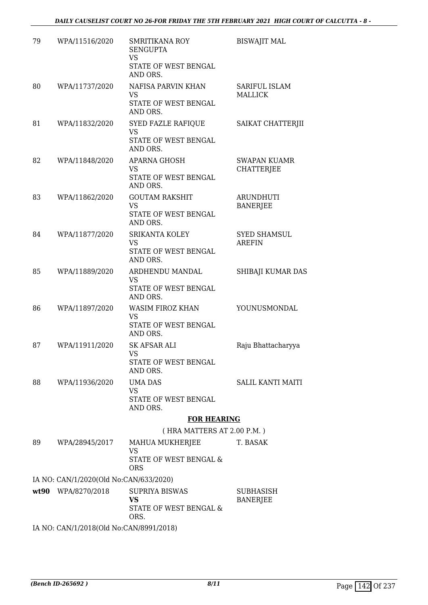| 79 | WPA/11516/2020                                      | <b>SMRITIKANA ROY</b><br><b>SENGUPTA</b><br><b>VS</b><br>STATE OF WEST BENGAL | <b>BISWAJIT MAL</b>                  |
|----|-----------------------------------------------------|-------------------------------------------------------------------------------|--------------------------------------|
|    |                                                     | AND ORS.                                                                      |                                      |
| 80 | WPA/11737/2020                                      | NAFISA PARVIN KHAN                                                            | SARIFUL ISLAM                        |
|    |                                                     | VS<br>STATE OF WEST BENGAL<br>AND ORS.                                        | <b>MALLICK</b>                       |
| 81 | WPA/11832/2020                                      | <b>SYED FAZLE RAFIQUE</b><br><b>VS</b>                                        | SAIKAT CHATTERJII                    |
|    |                                                     | STATE OF WEST BENGAL<br>AND ORS.                                              |                                      |
| 82 | WPA/11848/2020                                      | <b>APARNA GHOSH</b>                                                           | <b>SWAPAN KUAMR</b>                  |
|    |                                                     | VS<br>STATE OF WEST BENGAL<br>AND ORS.                                        | <b>CHATTERJEE</b>                    |
| 83 | WPA/11862/2020                                      | <b>GOUTAM RAKSHIT</b><br><b>VS</b>                                            | <b>ARUNDHUTI</b>                     |
|    |                                                     | STATE OF WEST BENGAL<br>AND ORS.                                              | <b>BANERJEE</b>                      |
| 84 | WPA/11877/2020                                      | <b>SRIKANTA KOLEY</b><br><b>VS</b>                                            | <b>SYED SHAMSUL</b><br><b>AREFIN</b> |
|    |                                                     | STATE OF WEST BENGAL<br>AND ORS.                                              |                                      |
| 85 | WPA/11889/2020                                      | ARDHENDU MANDAL<br><b>VS</b>                                                  | SHIBAJI KUMAR DAS                    |
|    |                                                     | STATE OF WEST BENGAL<br>AND ORS.                                              |                                      |
| 86 | WPA/11897/2020                                      | WASIM FIROZ KHAN<br><b>VS</b>                                                 | YOUNUSMONDAL                         |
|    |                                                     | STATE OF WEST BENGAL<br>AND ORS.                                              |                                      |
| 87 | WPA/11911/2020                                      | SK AFSAR ALI<br>VS                                                            | Raju Bhattacharyya                   |
|    |                                                     | STATE OF WEST BENGAL<br>AND ORS.                                              |                                      |
| 88 | WPA/11936/2020                                      | <b>UMA DAS</b><br>VS                                                          | <b>SALIL KANTI MAITI</b>             |
|    |                                                     | STATE OF WEST BENGAL<br>AND ORS.                                              |                                      |
|    |                                                     | <b>FOR HEARING</b>                                                            |                                      |
|    |                                                     | (HRA MATTERS AT 2.00 P.M.)                                                    |                                      |
| 89 | WPA/28945/2017                                      | MAHUA MUKHERJEE<br>VS                                                         | T. BASAK                             |
|    |                                                     | STATE OF WEST BENGAL &<br><b>ORS</b>                                          |                                      |
|    | IA NO: CAN/1/2020(Old No:CAN/633/2020)              |                                                                               |                                      |
|    | wt90 WPA/8270/2018                                  | <b>SUPRIYA BISWAS</b><br><b>VS</b><br>STATE OF WEST BENGAL &<br>ORS.          | SUBHASISH<br><b>BANERJEE</b>         |
|    | $IA$ $NQ$ , $CAN11/2019/Q$ $A$ $NQ$ $CAN19001/2019$ |                                                                               |                                      |

IA NO: CAN/1/2018(Old No:CAN/8991/2018)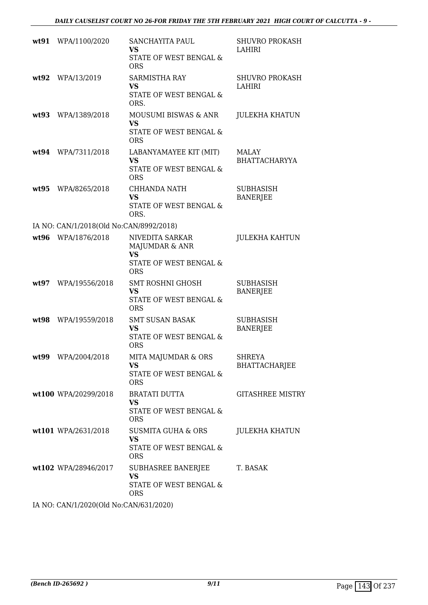|      | wt91 WPA/1100/2020                      | SANCHAYITA PAUL<br>VS<br>STATE OF WEST BENGAL &<br><b>ORS</b>                   | <b>SHUVRO PROKASH</b><br><b>LAHIRI</b> |
|------|-----------------------------------------|---------------------------------------------------------------------------------|----------------------------------------|
| wt92 | WPA/13/2019                             | <b>SARMISTHA RAY</b><br>VS<br>STATE OF WEST BENGAL &<br>ORS.                    | <b>SHUVRO PROKASH</b><br>LAHIRI        |
| wt93 | WPA/1389/2018                           | MOUSUMI BISWAS & ANR<br><b>VS</b><br>STATE OF WEST BENGAL &<br><b>ORS</b>       | <b>JULEKHA KHATUN</b>                  |
|      | wt94 WPA/7311/2018                      | LABANYAMAYEE KIT (MIT)<br><b>VS</b><br>STATE OF WEST BENGAL &<br><b>ORS</b>     | MALAY<br><b>BHATTACHARYYA</b>          |
| wt95 | WPA/8265/2018                           | CHHANDA NATH<br>VS<br>STATE OF WEST BENGAL &<br>ORS.                            | <b>SUBHASISH</b><br><b>BANERJEE</b>    |
|      | IA NO: CAN/1/2018(Old No:CAN/8992/2018) |                                                                                 |                                        |
|      | wt96 WPA/1876/2018                      | NIVEDITA SARKAR<br>MAJUMDAR & ANR<br>VS<br>STATE OF WEST BENGAL &<br><b>ORS</b> | <b>JULEKHA KAHTUN</b>                  |
| wt97 | WPA/19556/2018                          | <b>SMT ROSHNI GHOSH</b><br><b>VS</b><br>STATE OF WEST BENGAL &<br><b>ORS</b>    | SUBHASISH<br><b>BANERJEE</b>           |
| wt98 | WPA/19559/2018                          | <b>SMT SUSAN BASAK</b><br><b>VS</b><br>STATE OF WEST BENGAL &<br><b>ORS</b>     | <b>SUBHASISH</b><br><b>BANERJEE</b>    |
|      | wt99 WPA/2004/2018                      | MITA MAJUMDAR & ORS<br>VS<br><b>STATE OF WEST BENGAL &amp;</b><br><b>ORS</b>    | <b>SHREYA</b><br><b>BHATTACHARJEE</b>  |
|      | wt100 WPA/20299/2018                    | <b>BRATATI DUTTA</b><br><b>VS</b><br>STATE OF WEST BENGAL &<br><b>ORS</b>       | <b>GITASHREE MISTRY</b>                |
|      | wt101 WPA/2631/2018                     | SUSMITA GUHA & ORS<br><b>VS</b><br>STATE OF WEST BENGAL &<br><b>ORS</b>         | <b>JULEKHA KHATUN</b>                  |
|      | wt102 WPA/28946/2017                    | SUBHASREE BANERJEE<br>VS<br>STATE OF WEST BENGAL &<br><b>ORS</b>                | T. BASAK                               |
|      | IA MO $OMM/2000001M$ M. $OMM/211000$    |                                                                                 |                                        |

IA NO: CAN/1/2020(Old No:CAN/631/2020)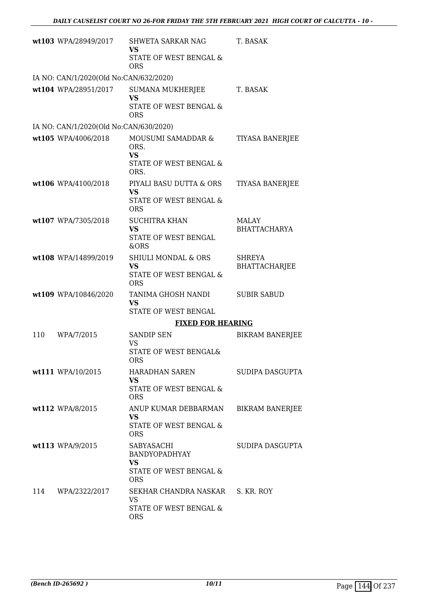|     | wt103 WPA/28949/2017                   | <b>SHWETA SARKAR NAG</b><br><b>VS</b><br>STATE OF WEST BENGAL &              | T. BASAK                              |
|-----|----------------------------------------|------------------------------------------------------------------------------|---------------------------------------|
|     |                                        | <b>ORS</b>                                                                   |                                       |
|     | IA NO: CAN/1/2020(Old No:CAN/632/2020) |                                                                              |                                       |
|     | wt104 WPA/28951/2017                   | SUMANA MUKHERJEE<br><b>VS</b><br>STATE OF WEST BENGAL &                      | T. BASAK                              |
|     |                                        | <b>ORS</b>                                                                   |                                       |
|     | IA NO: CAN/1/2020(Old No:CAN/630/2020) |                                                                              |                                       |
|     | wt105 WPA/4006/2018                    | MOUSUMI SAMADDAR &<br>ORS.<br><b>VS</b>                                      | <b>TIYASA BANERJEE</b>                |
|     |                                        | STATE OF WEST BENGAL &<br>ORS.                                               |                                       |
|     | wt106 WPA/4100/2018                    | PIYALI BASU DUTTA & ORS<br><b>VS</b><br>STATE OF WEST BENGAL &<br><b>ORS</b> | <b>TIYASA BANERJEE</b>                |
|     | wt107 WPA/7305/2018                    | <b>SUCHITRA KHAN</b>                                                         | <b>MALAY</b>                          |
|     |                                        | <b>VS</b><br>STATE OF WEST BENGAL<br>&ORS                                    | <b>BHATTACHARYA</b>                   |
|     | wt108 WPA/14899/2019                   | <b>SHIULI MONDAL &amp; ORS</b><br><b>VS</b>                                  | <b>SHREYA</b><br><b>BHATTACHARJEE</b> |
|     |                                        | STATE OF WEST BENGAL &<br><b>ORS</b>                                         |                                       |
|     | wt109 WPA/10846/2020                   | TANIMA GHOSH NANDI<br><b>VS</b><br>STATE OF WEST BENGAL                      | <b>SUBIR SABUD</b>                    |
|     |                                        | <b>FIXED FOR HEARING</b>                                                     |                                       |
| 110 | WPA/7/2015                             | <b>SANDIP SEN</b><br><b>VS</b>                                               | <b>BIKRAM BANERJEE</b>                |
|     |                                        | STATE OF WEST BENGAL&<br><b>ORS</b>                                          |                                       |
|     | wt111 WPA/10/2015                      | HARADHAN SAREN<br><b>VS</b>                                                  | SUDIPA DASGUPTA                       |
|     |                                        | STATE OF WEST BENGAL &<br><b>ORS</b>                                         |                                       |
|     | $wt112$ WPA/8/2015                     | ANUP KUMAR DEBBARMAN<br>VS.                                                  | <b>BIKRAM BANERJEE</b>                |
|     |                                        | STATE OF WEST BENGAL &<br><b>ORS</b>                                         |                                       |
|     | wt113 WPA/9/2015                       | <b>SABYASACHI</b><br><b>BANDYOPADHYAY</b><br>VS                              | SUDIPA DASGUPTA                       |
|     |                                        | STATE OF WEST BENGAL &<br><b>ORS</b>                                         |                                       |
| 114 | WPA/2322/2017                          | SEKHAR CHANDRA NASKAR S. KR. ROY<br><b>VS</b>                                |                                       |
|     |                                        | STATE OF WEST BENGAL &<br><b>ORS</b>                                         |                                       |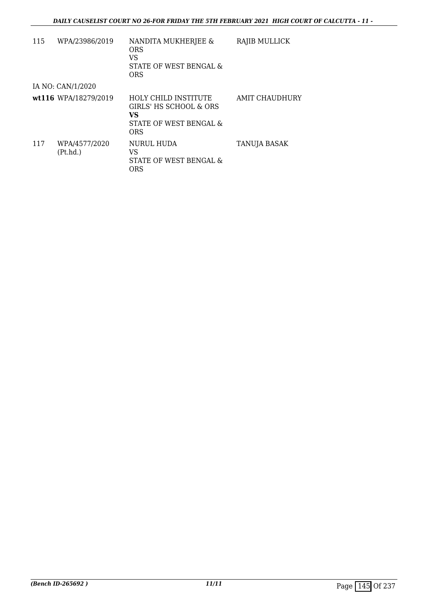| 115 | WPA/23986/2019            | NANDITA MUKHERJEE &<br>ORS.<br>VS<br>STATE OF WEST BENGAL &<br><b>ORS</b>                           | RAJIB MULLICK  |
|-----|---------------------------|-----------------------------------------------------------------------------------------------------|----------------|
|     | IA NO: CAN/1/2020         |                                                                                                     |                |
|     | wt116 WPA/18279/2019      | <b>HOLY CHILD INSTITUTE</b><br>GIRLS' HS SCHOOL & ORS<br>VS<br>STATE OF WEST BENGAL &<br><b>ORS</b> | AMIT CHAUDHURY |
| 117 | WPA/4577/2020<br>(Pt.hd.) | <b>NURUL HUDA</b><br>VS<br>STATE OF WEST BENGAL &<br><b>ORS</b>                                     | TANUJA BASAK   |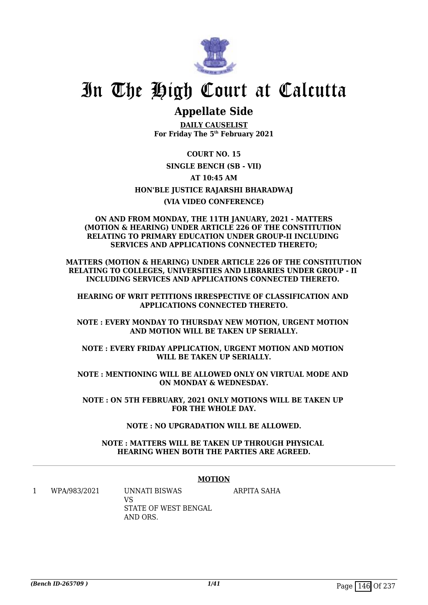

# In The High Court at Calcutta

## **Appellate Side**

**DAILY CAUSELIST For Friday The 5th February 2021**

**COURT NO. 15 SINGLE BENCH (SB - VII) AT 10:45 AM HON'BLE JUSTICE RAJARSHI BHARADWAJ (VIA VIDEO CONFERENCE)**

#### **ON AND FROM MONDAY, THE 11TH JANUARY, 2021 - MATTERS (MOTION & HEARING) UNDER ARTICLE 226 OF THE CONSTITUTION RELATING TO PRIMARY EDUCATION UNDER GROUP-II INCLUDING SERVICES AND APPLICATIONS CONNECTED THERETO;**

**MATTERS (MOTION & HEARING) UNDER ARTICLE 226 OF THE CONSTITUTION RELATING TO COLLEGES, UNIVERSITIES AND LIBRARIES UNDER GROUP - II INCLUDING SERVICES AND APPLICATIONS CONNECTED THERETO.** 

**HEARING OF WRIT PETITIONS IRRESPECTIVE OF CLASSIFICATION AND APPLICATIONS CONNECTED THERETO.**

**NOTE : EVERY MONDAY TO THURSDAY NEW MOTION, URGENT MOTION AND MOTION WILL BE TAKEN UP SERIALLY.**

**NOTE : EVERY FRIDAY APPLICATION, URGENT MOTION AND MOTION WILL BE TAKEN UP SERIALLY.**

**NOTE : MENTIONING WILL BE ALLOWED ONLY ON VIRTUAL MODE AND ON MONDAY & WEDNESDAY.**

**NOTE : ON 5TH FEBRUARY, 2021 ONLY MOTIONS WILL BE TAKEN UP FOR THE WHOLE DAY.**

### **NOTE : NO UPGRADATION WILL BE ALLOWED.**

**NOTE : MATTERS WILL BE TAKEN UP THROUGH PHYSICAL HEARING WHEN BOTH THE PARTIES ARE AGREED.**

#### **MOTION**

1 WPA/983/2021 UNNATI BISWAS VS STATE OF WEST BENGAL AND ORS. ARPITA SAHA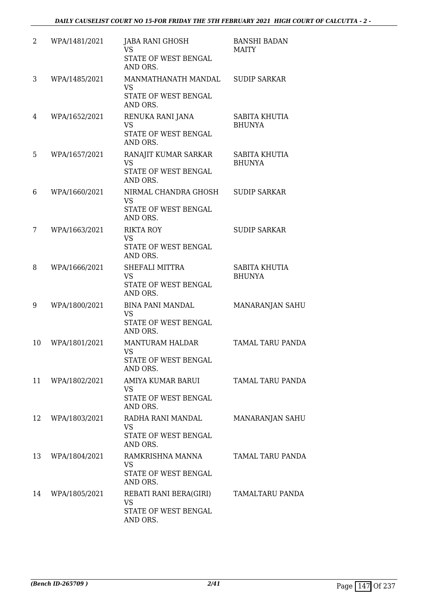| 2  | WPA/1481/2021 | JABA RANI GHOSH<br><b>VS</b><br>STATE OF WEST BENGAL<br>AND ORS.                  | <b>BANSHI BADAN</b><br><b>MAITY</b> |
|----|---------------|-----------------------------------------------------------------------------------|-------------------------------------|
| 3  | WPA/1485/2021 | MANMATHANATH MANDAL SUDIP SARKAR<br><b>VS</b><br>STATE OF WEST BENGAL<br>AND ORS. |                                     |
| 4  | WPA/1652/2021 | RENUKA RANI JANA<br><b>VS</b><br>STATE OF WEST BENGAL<br>AND ORS.                 | SABITA KHUTIA<br><b>BHUNYA</b>      |
| 5  | WPA/1657/2021 | RANAJIT KUMAR SARKAR<br><b>VS</b><br>STATE OF WEST BENGAL<br>AND ORS.             | SABITA KHUTIA<br><b>BHUNYA</b>      |
| 6  | WPA/1660/2021 | NIRMAL CHANDRA GHOSH<br><b>VS</b><br>STATE OF WEST BENGAL<br>AND ORS.             | <b>SUDIP SARKAR</b>                 |
| 7  | WPA/1663/2021 | <b>RIKTA ROY</b><br><b>VS</b><br>STATE OF WEST BENGAL<br>AND ORS.                 | <b>SUDIP SARKAR</b>                 |
| 8  | WPA/1666/2021 | SHEFALI MITTRA<br><b>VS</b><br>STATE OF WEST BENGAL<br>AND ORS.                   | SABITA KHUTIA<br><b>BHUNYA</b>      |
| 9  | WPA/1800/2021 | <b>BINA PANI MANDAL</b><br><b>VS</b><br>STATE OF WEST BENGAL<br>AND ORS.          | MANARANJAN SAHU                     |
| 10 | WPA/1801/2021 | <b>MANTURAM HALDAR</b><br><b>VS</b><br>STATE OF WEST BENGAL<br>AND ORS.           | <b>TAMAL TARU PANDA</b>             |
| 11 | WPA/1802/2021 | AMIYA KUMAR BARUI<br><b>VS</b><br>STATE OF WEST BENGAL<br>AND ORS.                | <b>TAMAL TARU PANDA</b>             |
| 12 | WPA/1803/2021 | RADHA RANI MANDAL<br><b>VS</b><br>STATE OF WEST BENGAL<br>AND ORS.                | MANARANJAN SAHU                     |
| 13 | WPA/1804/2021 | RAMKRISHNA MANNA<br><b>VS</b><br>STATE OF WEST BENGAL<br>AND ORS.                 | TAMAL TARU PANDA                    |
| 14 | WPA/1805/2021 | REBATI RANI BERA(GIRI)<br><b>VS</b><br>STATE OF WEST BENGAL<br>AND ORS.           | TAMALTARU PANDA                     |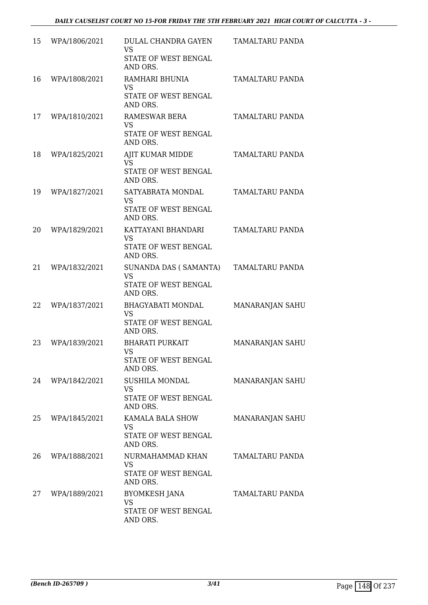| 15 | WPA/1806/2021 | DULAL CHANDRA GAYEN<br><b>VS</b><br>STATE OF WEST BENGAL<br>AND ORS.      | TAMALTARU PANDA |
|----|---------------|---------------------------------------------------------------------------|-----------------|
| 16 | WPA/1808/2021 | RAMHARI BHUNIA<br><b>VS</b><br>STATE OF WEST BENGAL<br>AND ORS.           | TAMALTARU PANDA |
| 17 | WPA/1810/2021 | RAMESWAR BERA<br><b>VS</b><br>STATE OF WEST BENGAL<br>AND ORS.            | TAMALTARU PANDA |
| 18 | WPA/1825/2021 | AJIT KUMAR MIDDE<br><b>VS</b><br>STATE OF WEST BENGAL<br>AND ORS.         | TAMALTARU PANDA |
| 19 | WPA/1827/2021 | SATYABRATA MONDAL<br><b>VS</b><br>STATE OF WEST BENGAL<br>AND ORS.        | TAMALTARU PANDA |
| 20 | WPA/1829/2021 | KATTAYANI BHANDARI<br><b>VS</b><br>STATE OF WEST BENGAL<br>AND ORS.       | TAMALTARU PANDA |
| 21 | WPA/1832/2021 | SUNANDA DAS ( SAMANTA)<br><b>VS</b><br>STATE OF WEST BENGAL<br>AND ORS.   | TAMALTARU PANDA |
| 22 | WPA/1837/2021 | <b>BHAGYABATI MONDAL</b><br><b>VS</b><br>STATE OF WEST BENGAL<br>AND ORS. | MANARANJAN SAHU |
| 23 | WPA/1839/2021 | <b>BHARATI PURKAIT</b><br><b>VS</b><br>STATE OF WEST BENGAL<br>AND ORS.   | MANARANJAN SAHU |
| 24 | WPA/1842/2021 | SUSHILA MONDAL<br>VS<br>STATE OF WEST BENGAL<br>AND ORS.                  | MANARANJAN SAHU |
| 25 | WPA/1845/2021 | KAMALA BALA SHOW<br>VS<br>STATE OF WEST BENGAL<br>AND ORS.                | MANARANJAN SAHU |
| 26 | WPA/1888/2021 | NURMAHAMMAD KHAN<br><b>VS</b><br>STATE OF WEST BENGAL<br>AND ORS.         | TAMALTARU PANDA |
| 27 | WPA/1889/2021 | <b>BYOMKESH JANA</b><br>VS<br>STATE OF WEST BENGAL<br>AND ORS.            | TAMALTARU PANDA |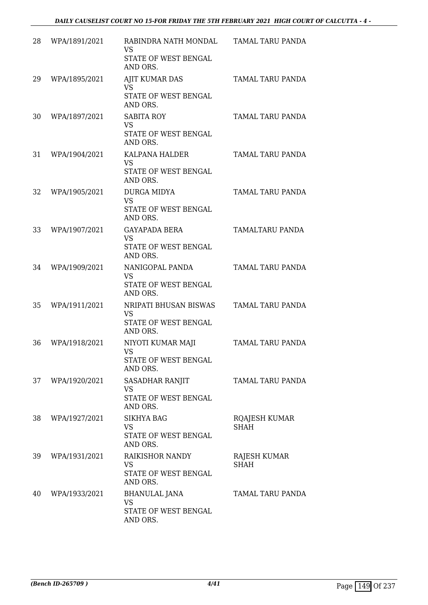| 28 | WPA/1891/2021 | RABINDRA NATH MONDAL<br>VS<br>STATE OF WEST BENGAL<br>AND ORS.         | TAMAL TARU PANDA             |
|----|---------------|------------------------------------------------------------------------|------------------------------|
| 29 | WPA/1895/2021 | <b>AJIT KUMAR DAS</b><br><b>VS</b><br>STATE OF WEST BENGAL<br>AND ORS. | TAMAL TARU PANDA             |
| 30 | WPA/1897/2021 | <b>SABITA ROY</b><br><b>VS</b><br>STATE OF WEST BENGAL<br>AND ORS.     | TAMAL TARU PANDA             |
| 31 | WPA/1904/2021 | KALPANA HALDER<br><b>VS</b><br>STATE OF WEST BENGAL<br>AND ORS.        | TAMAL TARU PANDA             |
| 32 | WPA/1905/2021 | <b>DURGA MIDYA</b><br><b>VS</b><br>STATE OF WEST BENGAL<br>AND ORS.    | TAMAL TARU PANDA             |
| 33 | WPA/1907/2021 | <b>GAYAPADA BERA</b><br><b>VS</b><br>STATE OF WEST BENGAL<br>AND ORS.  | TAMALTARU PANDA              |
| 34 | WPA/1909/2021 | NANIGOPAL PANDA<br><b>VS</b><br>STATE OF WEST BENGAL<br>AND ORS.       | TAMAL TARU PANDA             |
| 35 | WPA/1911/2021 | NRIPATI BHUSAN BISWAS<br><b>VS</b><br>STATE OF WEST BENGAL<br>AND ORS. | TAMAL TARU PANDA             |
| 36 | WPA/1918/2021 | NIYOTI KUMAR MAJI<br>VS<br>STATE OF WEST BENGAL<br>AND ORS.            | TAMAL TARU PANDA             |
| 37 | WPA/1920/2021 | SASADHAR RANJIT<br>VS<br>STATE OF WEST BENGAL<br>AND ORS.              | TAMAL TARU PANDA             |
| 38 | WPA/1927/2021 | <b>SIKHYA BAG</b><br><b>VS</b><br>STATE OF WEST BENGAL<br>AND ORS.     | RQAJESH KUMAR<br><b>SHAH</b> |
| 39 | WPA/1931/2021 | RAIKISHOR NANDY<br><b>VS</b><br>STATE OF WEST BENGAL<br>AND ORS.       | RAJESH KUMAR<br><b>SHAH</b>  |
| 40 | WPA/1933/2021 | <b>BHANULAL JANA</b><br><b>VS</b><br>STATE OF WEST BENGAL<br>AND ORS.  | TAMAL TARU PANDA             |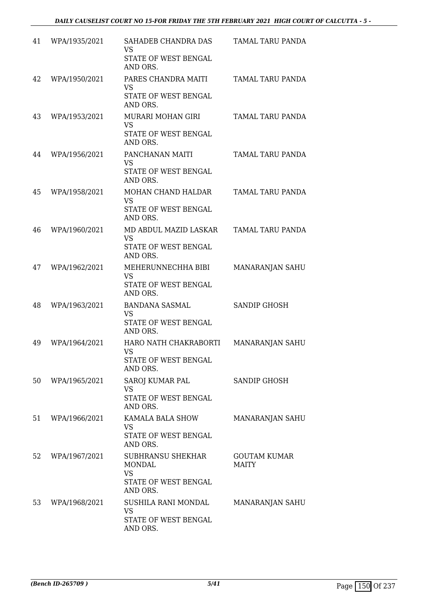| 41 | WPA/1935/2021 | SAHADEB CHANDRA DAS<br><b>VS</b><br>STATE OF WEST BENGAL<br>AND ORS.                | TAMAL TARU PANDA                    |
|----|---------------|-------------------------------------------------------------------------------------|-------------------------------------|
| 42 | WPA/1950/2021 | PARES CHANDRA MAITI<br><b>VS</b><br>STATE OF WEST BENGAL<br>AND ORS.                | TAMAL TARU PANDA                    |
| 43 | WPA/1953/2021 | <b>MURARI MOHAN GIRI</b><br><b>VS</b><br>STATE OF WEST BENGAL<br>AND ORS.           | TAMAL TARU PANDA                    |
| 44 | WPA/1956/2021 | PANCHANAN MAITI<br><b>VS</b><br>STATE OF WEST BENGAL<br>AND ORS.                    | TAMAL TARU PANDA                    |
| 45 | WPA/1958/2021 | MOHAN CHAND HALDAR<br><b>VS</b><br>STATE OF WEST BENGAL<br>AND ORS.                 | TAMAL TARU PANDA                    |
| 46 | WPA/1960/2021 | MD ABDUL MAZID LASKAR<br><b>VS</b><br>STATE OF WEST BENGAL<br>AND ORS.              | TAMAL TARU PANDA                    |
| 47 | WPA/1962/2021 | MEHERUNNECHHA BIBI<br><b>VS</b><br>STATE OF WEST BENGAL<br>AND ORS.                 | MANARANJAN SAHU                     |
| 48 | WPA/1963/2021 | BANDANA SASMAL<br><b>VS</b><br>STATE OF WEST BENGAL<br>AND ORS.                     | SANDIP GHOSH                        |
| 49 | WPA/1964/2021 | HARO NATH CHAKRABORTI<br><b>VS</b><br>STATE OF WEST BENGAL<br>AND ORS.              | MANARANJAN SAHU                     |
| 50 | WPA/1965/2021 | SAROJ KUMAR PAL<br><b>VS</b><br>STATE OF WEST BENGAL<br>AND ORS.                    | <b>SANDIP GHOSH</b>                 |
| 51 | WPA/1966/2021 | KAMALA BALA SHOW<br><b>VS</b><br>STATE OF WEST BENGAL<br>AND ORS.                   | MANARANJAN SAHU                     |
| 52 | WPA/1967/2021 | <b>SUBHRANSU SHEKHAR</b><br>MONDAL<br><b>VS</b><br>STATE OF WEST BENGAL<br>AND ORS. | <b>GOUTAM KUMAR</b><br><b>MAITY</b> |
| 53 | WPA/1968/2021 | SUSHILA RANI MONDAL<br><b>VS</b><br>STATE OF WEST BENGAL<br>AND ORS.                | MANARANJAN SAHU                     |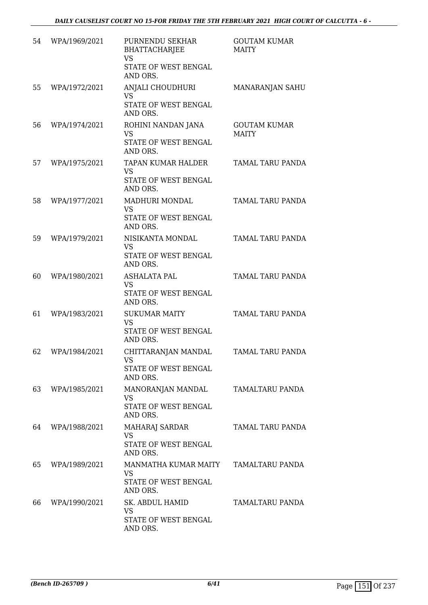| 54 | WPA/1969/2021 | PURNENDU SEKHAR<br><b>BHATTACHARJEE</b><br><b>VS</b><br>STATE OF WEST BENGAL<br>AND ORS. | <b>GOUTAM KUMAR</b><br><b>MAITY</b> |
|----|---------------|------------------------------------------------------------------------------------------|-------------------------------------|
| 55 | WPA/1972/2021 | ANJALI CHOUDHURI<br><b>VS</b><br>STATE OF WEST BENGAL<br>AND ORS.                        | MANARANJAN SAHU                     |
| 56 | WPA/1974/2021 | ROHINI NANDAN JANA<br><b>VS</b><br>STATE OF WEST BENGAL<br>AND ORS.                      | <b>GOUTAM KUMAR</b><br><b>MAITY</b> |
| 57 | WPA/1975/2021 | TAPAN KUMAR HALDER<br><b>VS</b><br><b>STATE OF WEST BENGAL</b><br>AND ORS.               | TAMAL TARU PANDA                    |
| 58 | WPA/1977/2021 | MADHURI MONDAL<br><b>VS</b><br>STATE OF WEST BENGAL<br>AND ORS.                          | TAMAL TARU PANDA                    |
| 59 | WPA/1979/2021 | NISIKANTA MONDAL<br><b>VS</b><br>STATE OF WEST BENGAL<br>AND ORS.                        | TAMAL TARU PANDA                    |
| 60 | WPA/1980/2021 | <b>ASHALATA PAL</b><br><b>VS</b><br>STATE OF WEST BENGAL<br>AND ORS.                     | TAMAL TARU PANDA                    |
| 61 | WPA/1983/2021 | <b>SUKUMAR MAITY</b><br><b>VS</b><br>STATE OF WEST BENGAL<br>AND ORS.                    | TAMAL TARU PANDA                    |
| 62 | WPA/1984/2021 | CHITTARANJAN MANDAL<br><b>VS</b><br>STATE OF WEST BENGAL<br>AND ORS.                     | TAMAL TARU PANDA                    |
| 63 | WPA/1985/2021 | MANORANJAN MANDAL<br><b>VS</b><br>STATE OF WEST BENGAL<br>AND ORS.                       | TAMALTARU PANDA                     |
| 64 | WPA/1988/2021 | MAHARAJ SARDAR<br><b>VS</b><br>STATE OF WEST BENGAL<br>AND ORS.                          | TAMAL TARU PANDA                    |
| 65 | WPA/1989/2021 | MANMATHA KUMAR MAITY<br><b>VS</b><br>STATE OF WEST BENGAL<br>AND ORS.                    | TAMALTARU PANDA                     |
| 66 | WPA/1990/2021 | SK. ABDUL HAMID<br><b>VS</b><br>STATE OF WEST BENGAL<br>AND ORS.                         | TAMALTARU PANDA                     |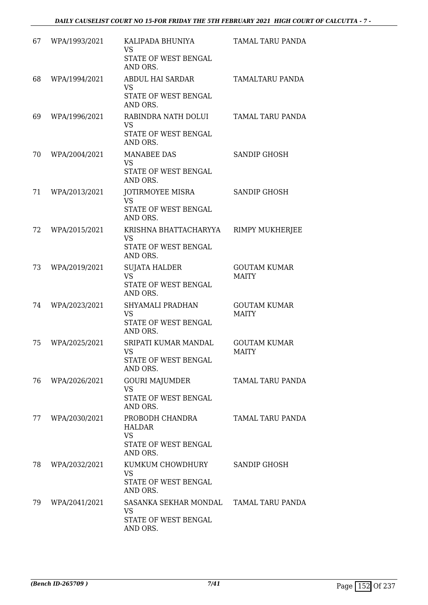| 67 | WPA/1993/2021 | KALIPADA BHUNIYA<br><b>VS</b><br>STATE OF WEST BENGAL<br>AND ORS.          | TAMAL TARU PANDA                    |
|----|---------------|----------------------------------------------------------------------------|-------------------------------------|
| 68 | WPA/1994/2021 | <b>ABDUL HAI SARDAR</b><br><b>VS</b><br>STATE OF WEST BENGAL<br>AND ORS.   | TAMALTARU PANDA                     |
| 69 | WPA/1996/2021 | RABINDRA NATH DOLUI<br><b>VS</b><br>STATE OF WEST BENGAL<br>AND ORS.       | TAMAL TARU PANDA                    |
| 70 | WPA/2004/2021 | <b>MANABEE DAS</b><br>VS<br>STATE OF WEST BENGAL<br>AND ORS.               | <b>SANDIP GHOSH</b>                 |
| 71 | WPA/2013/2021 | JOTIRMOYEE MISRA<br><b>VS</b><br>STATE OF WEST BENGAL<br>AND ORS.          | SANDIP GHOSH                        |
| 72 | WPA/2015/2021 | KRISHNA BHATTACHARYYA<br><b>VS</b><br>STATE OF WEST BENGAL<br>AND ORS.     | <b>RIMPY MUKHERJEE</b>              |
| 73 | WPA/2019/2021 | <b>SUJATA HALDER</b><br><b>VS</b><br>STATE OF WEST BENGAL<br>AND ORS.      | <b>GOUTAM KUMAR</b><br><b>MAITY</b> |
| 74 | WPA/2023/2021 | SHYAMALI PRADHAN<br>VS<br>STATE OF WEST BENGAL<br>AND ORS.                 | <b>GOUTAM KUMAR</b><br><b>MAITY</b> |
| 75 | WPA/2025/2021 | SRIPATI KUMAR MANDAL<br><b>VS</b><br>STATE OF WEST BENGAL<br>AND ORS.      | <b>GOUTAM KUMAR</b><br><b>MAITY</b> |
| 76 | WPA/2026/2021 | GOURI MAJUMDER<br><b>VS</b><br>STATE OF WEST BENGAL<br>AND ORS.            | TAMAL TARU PANDA                    |
| 77 | WPA/2030/2021 | PROBODH CHANDRA<br>HALDAR<br><b>VS</b><br>STATE OF WEST BENGAL<br>AND ORS. | TAMAL TARU PANDA                    |
| 78 | WPA/2032/2021 | KUMKUM CHOWDHURY<br><b>VS</b><br>STATE OF WEST BENGAL<br>AND ORS.          | SANDIP GHOSH                        |
| 79 | WPA/2041/2021 | SASANKA SEKHAR MONDAL<br>VS<br>STATE OF WEST BENGAL<br>AND ORS.            | TAMAL TARU PANDA                    |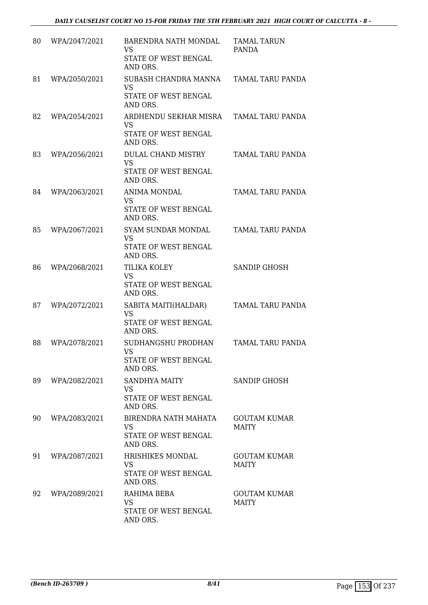| 80 | WPA/2047/2021 | BARENDRA NATH MONDAL<br><b>VS</b><br>STATE OF WEST BENGAL<br>AND ORS.  | <b>TAMAL TARUN</b><br>PANDA         |
|----|---------------|------------------------------------------------------------------------|-------------------------------------|
| 81 | WPA/2050/2021 | SUBASH CHANDRA MANNA<br><b>VS</b><br>STATE OF WEST BENGAL<br>AND ORS.  | TAMAL TARU PANDA                    |
| 82 | WPA/2054/2021 | ARDHENDU SEKHAR MISRA<br><b>VS</b><br>STATE OF WEST BENGAL<br>AND ORS. | TAMAL TARU PANDA                    |
| 83 | WPA/2056/2021 | DULAL CHAND MISTRY<br><b>VS</b><br>STATE OF WEST BENGAL<br>AND ORS.    | TAMAL TARU PANDA                    |
| 84 | WPA/2063/2021 | <b>ANIMA MONDAL</b><br><b>VS</b><br>STATE OF WEST BENGAL<br>AND ORS.   | TAMAL TARU PANDA                    |
| 85 | WPA/2067/2021 | SYAM SUNDAR MONDAL<br><b>VS</b><br>STATE OF WEST BENGAL<br>AND ORS.    | TAMAL TARU PANDA                    |
| 86 | WPA/2068/2021 | TILIKA KOLEY<br><b>VS</b><br>STATE OF WEST BENGAL<br>AND ORS.          | <b>SANDIP GHOSH</b>                 |
| 87 | WPA/2072/2021 | SABITA MAITI(HALDAR)<br><b>VS</b><br>STATE OF WEST BENGAL<br>AND ORS.  | TAMAL TARU PANDA                    |
| 88 | WPA/2078/2021 | SUDHANGSHU PRODHAN<br><b>VS</b><br>STATE OF WEST BENGAL<br>AND ORS.    | TAMAL TARU PANDA                    |
| 89 | WPA/2082/2021 | SANDHYA MAITY<br>VS<br>STATE OF WEST BENGAL<br>AND ORS.                | SANDIP GHOSH                        |
| 90 | WPA/2083/2021 | BIRENDRA NATH MAHATA<br><b>VS</b><br>STATE OF WEST BENGAL<br>AND ORS.  | <b>GOUTAM KUMAR</b><br>MAITY        |
| 91 | WPA/2087/2021 | HRISHIKES MONDAL<br><b>VS</b><br>STATE OF WEST BENGAL<br>AND ORS.      | <b>GOUTAM KUMAR</b><br>MAITY        |
| 92 | WPA/2089/2021 | RAHIMA BEBA<br>VS<br>STATE OF WEST BENGAL<br>AND ORS.                  | <b>GOUTAM KUMAR</b><br><b>MAITY</b> |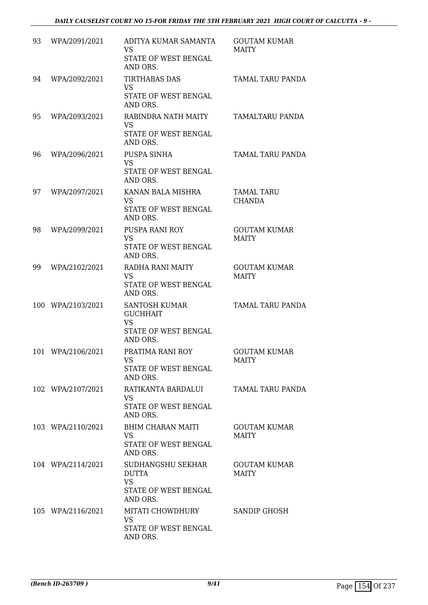| 93 | WPA/2091/2021     | ADITYA KUMAR SAMANTA<br><b>VS</b><br>STATE OF WEST BENGAL<br>AND ORS.              | <b>GOUTAM KUMAR</b><br><b>MAITY</b> |
|----|-------------------|------------------------------------------------------------------------------------|-------------------------------------|
| 94 | WPA/2092/2021     | <b>TIRTHABAS DAS</b><br><b>VS</b><br>STATE OF WEST BENGAL<br>AND ORS.              | <b>TAMAL TARU PANDA</b>             |
| 95 | WPA/2093/2021     | RABINDRA NATH MAITY<br><b>VS</b><br>STATE OF WEST BENGAL<br>AND ORS.               | TAMALTARU PANDA                     |
| 96 | WPA/2096/2021     | PUSPA SINHA<br><b>VS</b><br>STATE OF WEST BENGAL<br>AND ORS.                       | TAMAL TARU PANDA                    |
| 97 | WPA/2097/2021     | KANAN BALA MISHRA<br><b>VS</b><br>STATE OF WEST BENGAL<br>AND ORS.                 | TAMAL TARU<br><b>CHANDA</b>         |
| 98 | WPA/2099/2021     | <b>PUSPA RANI ROY</b><br><b>VS</b><br>STATE OF WEST BENGAL<br>AND ORS.             | <b>GOUTAM KUMAR</b><br>MAITY        |
| 99 | WPA/2102/2021     | RADHA RANI MAITY<br><b>VS</b><br>STATE OF WEST BENGAL<br>AND ORS.                  | <b>GOUTAM KUMAR</b><br><b>MAITY</b> |
|    | 100 WPA/2103/2021 | SANTOSH KUMAR<br><b>GUCHHAIT</b><br><b>VS</b><br>STATE OF WEST BENGAL<br>AND ORS.  | TAMAL TARU PANDA                    |
|    | 101 WPA/2106/2021 | PRATIMA RANI ROY<br>VS<br>STATE OF WEST BENGAL<br>AND ORS.                         | <b>GOUTAM KUMAR</b><br><b>MAITY</b> |
|    | 102 WPA/2107/2021 | RATIKANTA BARDALUI<br><b>VS</b><br>STATE OF WEST BENGAL<br>AND ORS.                | TAMAL TARU PANDA                    |
|    | 103 WPA/2110/2021 | BHIM CHARAN MAITI<br>VS<br>STATE OF WEST BENGAL<br>AND ORS.                        | <b>GOUTAM KUMAR</b><br><b>MAITY</b> |
|    | 104 WPA/2114/2021 | SUDHANGSHU SEKHAR<br><b>DUTTA</b><br><b>VS</b><br>STATE OF WEST BENGAL<br>AND ORS. | <b>GOUTAM KUMAR</b><br><b>MAITY</b> |
|    | 105 WPA/2116/2021 | MITATI CHOWDHURY<br>VS<br>STATE OF WEST BENGAL<br>AND ORS.                         | SANDIP GHOSH                        |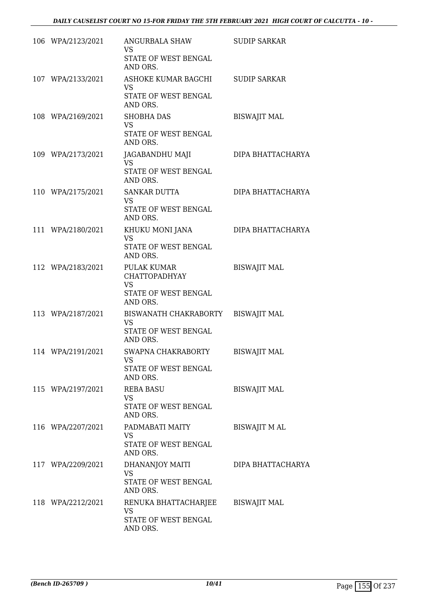| 106 WPA/2123/2021             | ANGURBALA SHAW<br>VS.<br>STATE OF WEST BENGAL<br>AND ORS.                   | <b>SUDIP SARKAR</b>  |
|-------------------------------|-----------------------------------------------------------------------------|----------------------|
| 107 WPA/2133/2021             | ASHOKE KUMAR BAGCHI SUDIP SARKAR<br>VS.<br>STATE OF WEST BENGAL<br>AND ORS. |                      |
| 108 WPA/2169/2021             | <b>SHOBHA DAS</b><br><b>VS</b><br>STATE OF WEST BENGAL<br>AND ORS.          | <b>BISWAJIT MAL</b>  |
| 109 WPA/2173/2021             | JAGABANDHU MAJI<br><b>VS</b><br>STATE OF WEST BENGAL<br>AND ORS.            | DIPA BHATTACHARYA    |
| 110 WPA/2175/2021             | SANKAR DUTTA<br>VS.<br>STATE OF WEST BENGAL<br>AND ORS.                     | DIPA BHATTACHARYA    |
| 111 WPA/2180/2021             | KHUKU MONI JANA<br><b>VS</b><br>STATE OF WEST BENGAL<br>AND ORS.            | DIPA BHATTACHARYA    |
| 112 WPA/2183/2021 PULAK KUMAR | <b>CHATTOPADHYAY</b><br><b>VS</b><br>STATE OF WEST BENGAL<br>AND ORS.       | <b>BISWAJIT MAL</b>  |
| 113 WPA/2187/2021             | BISWANATH CHAKRABORTY<br>VS<br>STATE OF WEST BENGAL<br>AND ORS.             | <b>BISWAJIT MAL</b>  |
| 114 WPA/2191/2021             | SWAPNA CHAKRABORTY<br>VS<br>STATE OF WEST BENGAL<br>AND ORS.                | <b>BISWAJIT MAL</b>  |
| 115 WPA/2197/2021             | <b>REBA BASU</b><br>VS<br>STATE OF WEST BENGAL<br>AND ORS.                  | <b>BISWAJIT MAL</b>  |
| 116 WPA/2207/2021             | PADMABATI MAITY<br><b>VS</b><br>STATE OF WEST BENGAL<br>AND ORS.            | <b>BISWAJIT M AL</b> |
| 117 WPA/2209/2021             | DHANANJOY MAITI<br>VS<br>STATE OF WEST BENGAL<br>AND ORS.                   | DIPA BHATTACHARYA    |
| 118 WPA/2212/2021             | RENUKA BHATTACHARJEE<br>VS<br>STATE OF WEST BENGAL<br>AND ORS.              | <b>BISWAJIT MAL</b>  |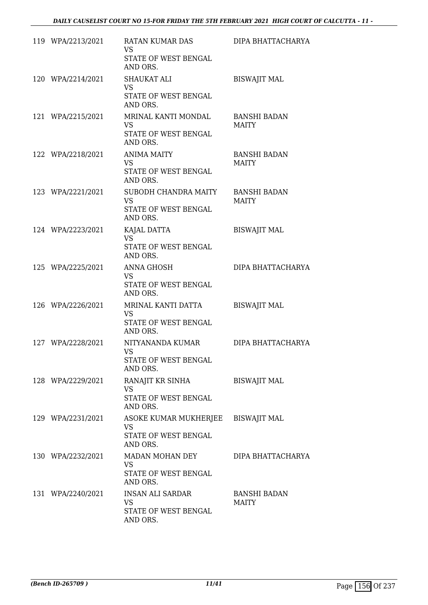| 119 WPA/2213/2021 | RATAN KUMAR DAS<br><b>VS</b><br>STATE OF WEST BENGAL<br>AND ORS.                    | DIPA BHATTACHARYA            |
|-------------------|-------------------------------------------------------------------------------------|------------------------------|
| 120 WPA/2214/2021 | <b>SHAUKAT ALI</b><br><b>VS</b><br>STATE OF WEST BENGAL<br>AND ORS.                 | <b>BISWAJIT MAL</b>          |
| 121 WPA/2215/2021 | MRINAL KANTI MONDAL<br>VS<br>STATE OF WEST BENGAL<br>AND ORS.                       | <b>BANSHI BADAN</b><br>MAITY |
| 122 WPA/2218/2021 | <b>ANIMA MAITY</b><br>VS<br>STATE OF WEST BENGAL<br>AND ORS.                        | <b>BANSHI BADAN</b><br>MAITY |
| 123 WPA/2221/2021 | SUBODH CHANDRA MAITY<br><b>VS</b><br>STATE OF WEST BENGAL<br>AND ORS.               | <b>BANSHI BADAN</b><br>MAITY |
| 124 WPA/2223/2021 | KAJAL DATTA<br>VS.<br>STATE OF WEST BENGAL<br>AND ORS.                              | <b>BISWAJIT MAL</b>          |
| 125 WPA/2225/2021 | ANNA GHOSH<br><b>VS</b><br>STATE OF WEST BENGAL<br>AND ORS.                         | DIPA BHATTACHARYA            |
| 126 WPA/2226/2021 | MRINAL KANTI DATTA<br>VS<br>STATE OF WEST BENGAL<br>AND ORS.                        | <b>BISWAJIT MAL</b>          |
| 127 WPA/2228/2021 | NITYANANDA KUMAR<br><b>VS</b><br>STATE OF WEST BENGAL<br>AND ORS.                   | DIPA BHATTACHARYA            |
| 128 WPA/2229/2021 | RANAJIT KR SINHA<br><b>VS</b><br>STATE OF WEST BENGAL<br>AND ORS.                   | <b>BISWAJIT MAL</b>          |
| 129 WPA/2231/2021 | ASOKE KUMAR MUKHERJEE BISWAJIT MAL<br><b>VS</b><br>STATE OF WEST BENGAL<br>AND ORS. |                              |
| 130 WPA/2232/2021 | MADAN MOHAN DEY<br><b>VS</b><br>STATE OF WEST BENGAL<br>AND ORS.                    | DIPA BHATTACHARYA            |
| 131 WPA/2240/2021 | INSAN ALI SARDAR<br>VS<br>STATE OF WEST BENGAL<br>AND ORS.                          | <b>BANSHI BADAN</b><br>MAITY |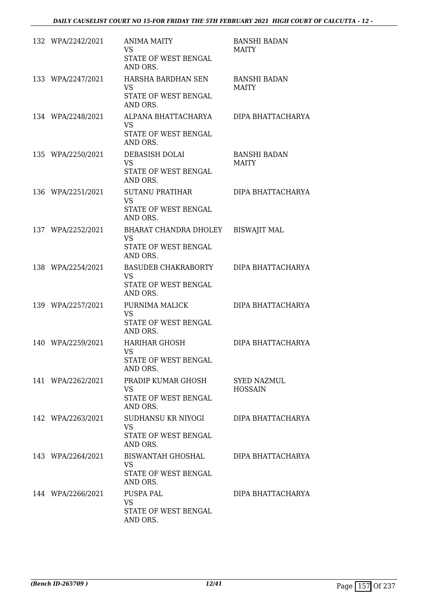| 132 WPA/2242/2021 | <b>ANIMA MAITY</b><br><b>VS</b><br>STATE OF WEST BENGAL<br>AND ORS.  | <b>BANSHI BADAN</b><br><b>MAITY</b>  |
|-------------------|----------------------------------------------------------------------|--------------------------------------|
| 133 WPA/2247/2021 | HARSHA BARDHAN SEN<br>VS<br>STATE OF WEST BENGAL<br>AND ORS.         | <b>BANSHI BADAN</b><br><b>MAITY</b>  |
| 134 WPA/2248/2021 | ALPANA BHATTACHARYA<br>VS.<br>STATE OF WEST BENGAL<br>AND ORS.       | DIPA BHATTACHARYA                    |
| 135 WPA/2250/2021 | DEBASISH DOLAI<br>VS.<br>STATE OF WEST BENGAL<br>AND ORS.            | <b>BANSHI BADAN</b><br>MAITY         |
| 136 WPA/2251/2021 | SUTANU PRATIHAR<br><b>VS</b><br>STATE OF WEST BENGAL<br>AND ORS.     | DIPA BHATTACHARYA                    |
| 137 WPA/2252/2021 | BHARAT CHANDRA DHOLEY<br>VS<br>STATE OF WEST BENGAL<br>AND ORS.      | <b>BISWAJIT MAL</b>                  |
| 138 WPA/2254/2021 | BASUDEB CHAKRABORTY<br><b>VS</b><br>STATE OF WEST BENGAL<br>AND ORS. | DIPA BHATTACHARYA                    |
| 139 WPA/2257/2021 | PURNIMA MALICK<br>VS<br>STATE OF WEST BENGAL<br>AND ORS.             | DIPA BHATTACHARYA                    |
| 140 WPA/2259/2021 | HARIHAR GHOSH<br><b>VS</b><br>STATE OF WEST BENGAL<br>AND ORS.       | DIPA BHATTACHARYA                    |
| 141 WPA/2262/2021 | PRADIP KUMAR GHOSH<br>VS<br>STATE OF WEST BENGAL<br>AND ORS.         | <b>SYED NAZMUL</b><br><b>HOSSAIN</b> |
| 142 WPA/2263/2021 | SUDHANSU KR NIYOGI<br>VS.<br>STATE OF WEST BENGAL<br>AND ORS.        | DIPA BHATTACHARYA                    |
| 143 WPA/2264/2021 | BISWANTAH GHOSHAL<br>VS.<br>STATE OF WEST BENGAL<br>AND ORS.         | DIPA BHATTACHARYA                    |
| 144 WPA/2266/2021 | PUSPA PAL<br>VS<br>STATE OF WEST BENGAL<br>AND ORS.                  | DIPA BHATTACHARYA                    |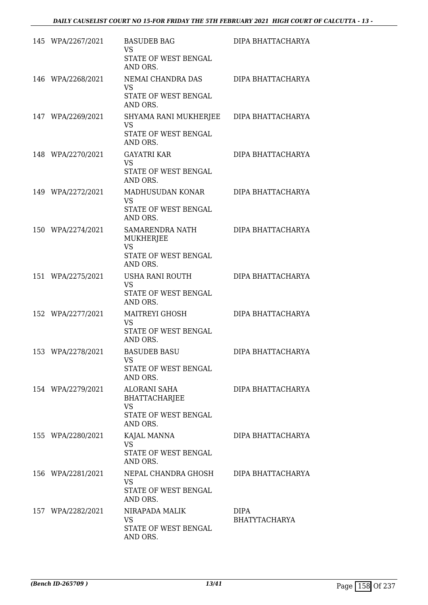| 145 WPA/2267/2021 | <b>BASUDEB BAG</b><br>VS.<br>STATE OF WEST BENGAL<br>AND ORS.                                | DIPA BHATTACHARYA                   |
|-------------------|----------------------------------------------------------------------------------------------|-------------------------------------|
| 146 WPA/2268/2021 | NEMAI CHANDRA DAS<br><b>VS</b><br>STATE OF WEST BENGAL<br>AND ORS.                           | DIPA BHATTACHARYA                   |
| 147 WPA/2269/2021 | SHYAMA RANI MUKHERJEE DIPA BHATTACHARYA<br>VS<br>STATE OF WEST BENGAL<br>AND ORS.            |                                     |
| 148 WPA/2270/2021 | <b>GAYATRI KAR</b><br><b>VS</b><br>STATE OF WEST BENGAL<br>AND ORS.                          | DIPA BHATTACHARYA                   |
| 149 WPA/2272/2021 | MADHUSUDAN KONAR<br><b>VS</b><br>STATE OF WEST BENGAL<br>AND ORS.                            | DIPA BHATTACHARYA                   |
| 150 WPA/2274/2021 | SAMARENDRA NATH<br><b>MUKHERJEE</b><br><b>VS</b><br>STATE OF WEST BENGAL<br>AND ORS.         | DIPA BHATTACHARYA                   |
| 151 WPA/2275/2021 | USHA RANI ROUTH<br><b>VS</b><br>STATE OF WEST BENGAL<br>AND ORS.                             | DIPA BHATTACHARYA                   |
| 152 WPA/2277/2021 | <b>MAITREYI GHOSH</b><br>VS<br>STATE OF WEST BENGAL<br>AND ORS.                              | DIPA BHATTACHARYA                   |
| 153 WPA/2278/2021 | <b>BASUDEB BASU</b><br>VS<br>STATE OF WEST BENGAL<br>AND ORS.                                | DIPA BHATTACHARYA                   |
| 154 WPA/2279/2021 | <b>ALORANI SAHA</b><br><b>BHATTACHARJEE</b><br><b>VS</b><br>STATE OF WEST BENGAL<br>AND ORS. | DIPA BHATTACHARYA                   |
| 155 WPA/2280/2021 | KAJAL MANNA<br><b>VS</b><br>STATE OF WEST BENGAL<br>AND ORS.                                 | DIPA BHATTACHARYA                   |
| 156 WPA/2281/2021 | NEPAL CHANDRA GHOSH<br>VS.<br>STATE OF WEST BENGAL<br>AND ORS.                               | DIPA BHATTACHARYA                   |
| 157 WPA/2282/2021 | NIRAPADA MALIK<br>VS<br>STATE OF WEST BENGAL<br>AND ORS.                                     | <b>DIPA</b><br><b>BHATYTACHARYA</b> |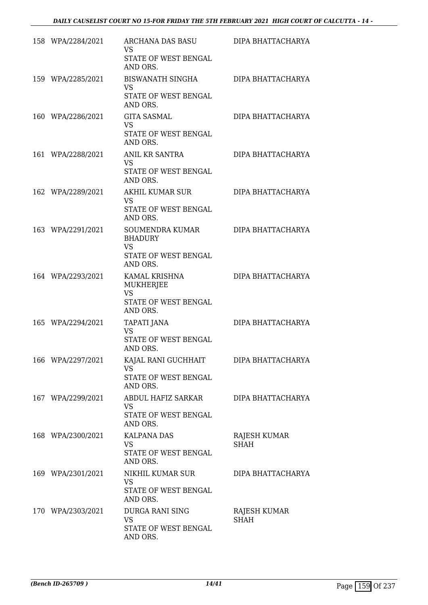| 158 WPA/2284/2021 | ARCHANA DAS BASU<br>VS.<br>STATE OF WEST BENGAL<br>AND ORS.                        | DIPA BHATTACHARYA                  |
|-------------------|------------------------------------------------------------------------------------|------------------------------------|
| 159 WPA/2285/2021 | BISWANATH SINGHA<br>VS.<br>STATE OF WEST BENGAL<br>AND ORS.                        | DIPA BHATTACHARYA                  |
| 160 WPA/2286/2021 | <b>GITA SASMAL</b><br>VS<br>STATE OF WEST BENGAL<br>AND ORS.                       | DIPA BHATTACHARYA                  |
| 161 WPA/2288/2021 | ANIL KR SANTRA<br>VS<br>STATE OF WEST BENGAL<br>AND ORS.                           | DIPA BHATTACHARYA                  |
| 162 WPA/2289/2021 | AKHIL KUMAR SUR<br>VS<br>STATE OF WEST BENGAL<br>AND ORS.                          | DIPA BHATTACHARYA                  |
| 163 WPA/2291/2021 | SOUMENDRA KUMAR<br><b>BHADURY</b><br><b>VS</b><br>STATE OF WEST BENGAL<br>AND ORS. | DIPA BHATTACHARYA                  |
| 164 WPA/2293/2021 | KAMAL KRISHNA<br>MUKHERJEE<br><b>VS</b><br>STATE OF WEST BENGAL<br>AND ORS.        | DIPA BHATTACHARYA                  |
| 165 WPA/2294/2021 | TAPATI JANA<br>VS<br>STATE OF WEST BENGAL<br>AND ORS.                              | DIPA BHATTACHARYA                  |
| 166 WPA/2297/2021 | KAJAL RANI GUCHHAIT<br><b>VS</b><br>STATE OF WEST BENGAL<br>AND ORS.               | DIPA BHATTACHARYA                  |
| 167 WPA/2299/2021 | ABDUL HAFIZ SARKAR<br>VS.<br>STATE OF WEST BENGAL<br>AND ORS.                      | DIPA BHATTACHARYA                  |
| 168 WPA/2300/2021 | <b>KALPANA DAS</b><br><b>VS</b><br>STATE OF WEST BENGAL<br>AND ORS.                | <b>RAJESH KUMAR</b><br><b>SHAH</b> |
| 169 WPA/2301/2021 | NIKHIL KUMAR SUR<br>VS<br>STATE OF WEST BENGAL<br>AND ORS.                         | DIPA BHATTACHARYA                  |
| 170 WPA/2303/2021 | DURGA RANI SING<br>VS<br>STATE OF WEST BENGAL<br>AND ORS.                          | RAJESH KUMAR<br><b>SHAH</b>        |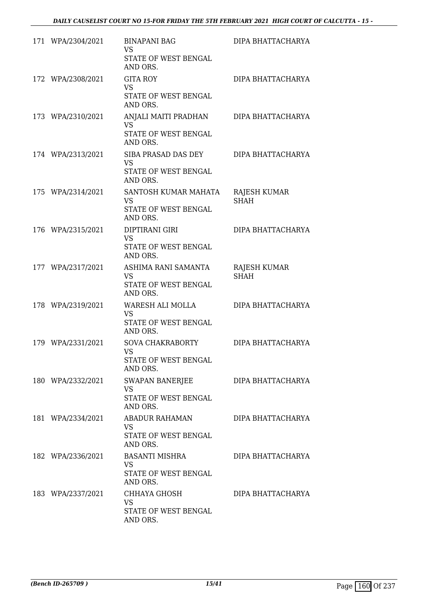| 171 WPA/2304/2021 | <b>BINAPANI BAG</b><br>VS.<br>STATE OF WEST BENGAL<br>AND ORS.           | DIPA BHATTACHARYA           |
|-------------------|--------------------------------------------------------------------------|-----------------------------|
| 172 WPA/2308/2021 | <b>GITA ROY</b><br>VS.<br>STATE OF WEST BENGAL<br>AND ORS.               | DIPA BHATTACHARYA           |
| 173 WPA/2310/2021 | ANJALI MAITI PRADHAN<br>VS<br>STATE OF WEST BENGAL<br>AND ORS.           | DIPA BHATTACHARYA           |
| 174 WPA/2313/2021 | SIBA PRASAD DAS DEY<br>VS<br>STATE OF WEST BENGAL<br>AND ORS.            | DIPA BHATTACHARYA           |
| 175 WPA/2314/2021 | SANTOSH KUMAR MAHATA<br><b>VS</b><br>STATE OF WEST BENGAL<br>AND ORS.    | RAJESH KUMAR<br><b>SHAH</b> |
| 176 WPA/2315/2021 | DIPTIRANI GIRI<br>VS<br>STATE OF WEST BENGAL<br>AND ORS.                 | DIPA BHATTACHARYA           |
| 177 WPA/2317/2021 | ASHIMA RANI SAMANTA<br>VS<br>STATE OF WEST BENGAL<br>AND ORS.            | RAJESH KUMAR<br><b>SHAH</b> |
| 178 WPA/2319/2021 | WARESH ALI MOLLA<br>VS<br>STATE OF WEST BENGAL<br>AND ORS.               | DIPA BHATTACHARYA           |
| 179 WPA/2331/2021 | <b>SOVA CHAKRABORTY</b><br><b>VS</b><br>STATE OF WEST BENGAL<br>AND ORS. | DIPA BHATTACHARYA           |
| 180 WPA/2332/2021 | SWAPAN BANERJEE<br>VS<br>STATE OF WEST BENGAL<br>AND ORS.                | DIPA BHATTACHARYA           |
| 181 WPA/2334/2021 | ABADUR RAHAMAN<br>VS.<br>STATE OF WEST BENGAL<br>AND ORS.                | DIPA BHATTACHARYA           |
| 182 WPA/2336/2021 | BASANTI MISHRA<br>VS.<br>STATE OF WEST BENGAL<br>AND ORS.                | DIPA BHATTACHARYA           |
| 183 WPA/2337/2021 | CHHAYA GHOSH<br>VS<br>STATE OF WEST BENGAL<br>AND ORS.                   | DIPA BHATTACHARYA           |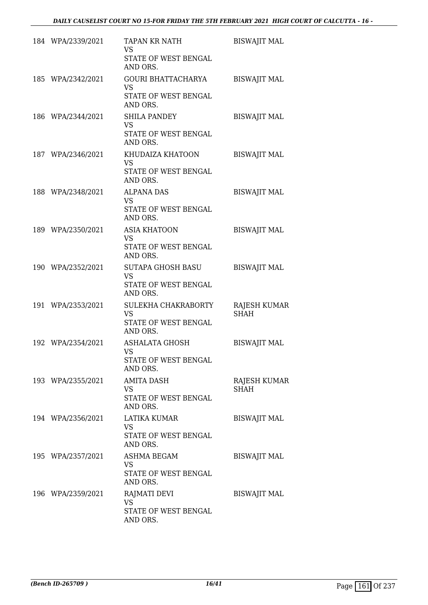| 184 WPA/2339/2021 | <b>TAPAN KR NATH</b><br><b>VS</b><br>STATE OF WEST BENGAL<br>AND ORS.  | <b>BISWAJIT MAL</b>                |
|-------------------|------------------------------------------------------------------------|------------------------------------|
| 185 WPA/2342/2021 | GOURI BHATTACHARYA<br><b>VS</b><br>STATE OF WEST BENGAL<br>AND ORS.    | <b>BISWAJIT MAL</b>                |
| 186 WPA/2344/2021 | <b>SHILA PANDEY</b><br><b>VS</b><br>STATE OF WEST BENGAL<br>AND ORS.   | <b>BISWAJIT MAL</b>                |
| 187 WPA/2346/2021 | KHUDAIZA KHATOON<br>VS<br>STATE OF WEST BENGAL<br>AND ORS.             | <b>BISWAJIT MAL</b>                |
| 188 WPA/2348/2021 | <b>ALPANA DAS</b><br><b>VS</b><br>STATE OF WEST BENGAL<br>AND ORS.     | <b>BISWAJIT MAL</b>                |
| 189 WPA/2350/2021 | <b>ASIA KHATOON</b><br>VS<br>STATE OF WEST BENGAL<br>AND ORS.          | <b>BISWAJIT MAL</b>                |
| 190 WPA/2352/2021 | SUTAPA GHOSH BASU<br><b>VS</b><br>STATE OF WEST BENGAL<br>AND ORS.     | <b>BISWAJIT MAL</b>                |
| 191 WPA/2353/2021 | SULEKHA CHAKRABORTY<br>VS<br>STATE OF WEST BENGAL<br>AND ORS.          | <b>RAJESH KUMAR</b><br><b>SHAH</b> |
| 192 WPA/2354/2021 | <b>ASHALATA GHOSH</b><br><b>VS</b><br>STATE OF WEST BENGAL<br>AND ORS. | <b>BISWAJIT MAL</b>                |
| 193 WPA/2355/2021 | <b>AMITA DASH</b><br>VS<br>STATE OF WEST BENGAL<br>AND ORS.            | RAJESH KUMAR<br><b>SHAH</b>        |
| 194 WPA/2356/2021 | LATIKA KUMAR<br>VS.<br>STATE OF WEST BENGAL<br>AND ORS.                | <b>BISWAJIT MAL</b>                |
| 195 WPA/2357/2021 | ASHMA BEGAM<br>VS<br>STATE OF WEST BENGAL<br>AND ORS.                  | <b>BISWAJIT MAL</b>                |
| 196 WPA/2359/2021 | RAJMATI DEVI<br>VS<br>STATE OF WEST BENGAL<br>AND ORS.                 | <b>BISWAJIT MAL</b>                |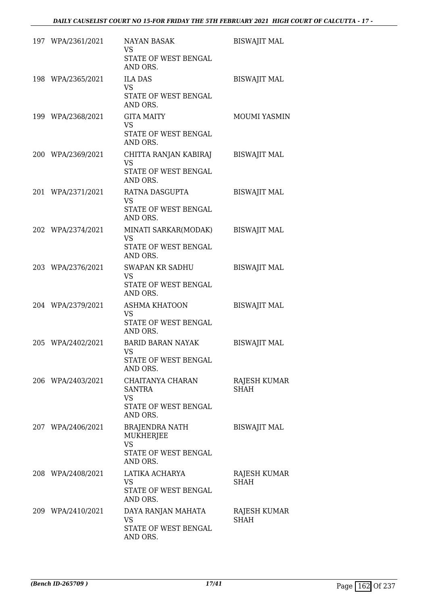| 197 WPA/2361/2021 | <b>NAYAN BASAK</b><br>VS<br>STATE OF WEST BENGAL<br>AND ORS.                        | <b>BISWAJIT MAL</b>         |
|-------------------|-------------------------------------------------------------------------------------|-----------------------------|
| 198 WPA/2365/2021 | <b>ILA DAS</b><br><b>VS</b><br>STATE OF WEST BENGAL<br>AND ORS.                     | <b>BISWAJIT MAL</b>         |
| 199 WPA/2368/2021 | <b>GITA MAITY</b><br><b>VS</b><br>STATE OF WEST BENGAL<br>AND ORS.                  | MOUMI YASMIN                |
| 200 WPA/2369/2021 | CHITTA RANJAN KABIRAJ<br>VS<br>STATE OF WEST BENGAL<br>AND ORS.                     | <b>BISWAJIT MAL</b>         |
| 201 WPA/2371/2021 | RATNA DASGUPTA<br><b>VS</b><br><b>STATE OF WEST BENGAL</b><br>AND ORS.              | <b>BISWAJIT MAL</b>         |
| 202 WPA/2374/2021 | MINATI SARKAR(MODAK)<br><b>VS</b><br>STATE OF WEST BENGAL<br>AND ORS.               | <b>BISWAJIT MAL</b>         |
| 203 WPA/2376/2021 | SWAPAN KR SADHU<br><b>VS</b><br>STATE OF WEST BENGAL<br>AND ORS.                    | <b>BISWAJIT MAL</b>         |
| 204 WPA/2379/2021 | ASHMA KHATOON<br>VS<br>STATE OF WEST BENGAL<br>AND ORS.                             | <b>BISWAJIT MAL</b>         |
| 205 WPA/2402/2021 | <b>BARID BARAN NAYAK</b><br><b>VS</b><br>STATE OF WEST BENGAL<br>AND ORS.           | <b>BISWAJIT MAL</b>         |
| 206 WPA/2403/2021 | CHAITANYA CHARAN<br>SANTRA<br>VS.<br>STATE OF WEST BENGAL<br>AND ORS.               | RAJESH KUMAR<br><b>SHAH</b> |
| 207 WPA/2406/2021 | <b>BRAJENDRA NATH</b><br>MUKHERJEE<br><b>VS</b><br>STATE OF WEST BENGAL<br>AND ORS. | <b>BISWAJIT MAL</b>         |
| 208 WPA/2408/2021 | LATIKA ACHARYA<br>VS<br>STATE OF WEST BENGAL<br>AND ORS.                            | RAJESH KUMAR<br><b>SHAH</b> |
| 209 WPA/2410/2021 | DAYA RANJAN MAHATA<br>VS<br>STATE OF WEST BENGAL<br>AND ORS.                        | RAJESH KUMAR<br><b>SHAH</b> |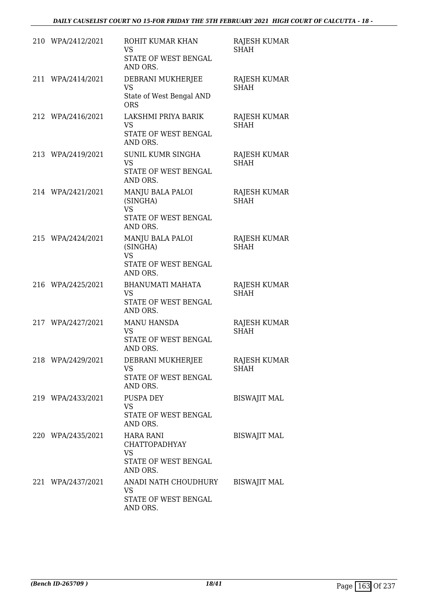| 210 WPA/2412/2021 | ROHIT KUMAR KHAN<br><b>VS</b><br>STATE OF WEST BENGAL<br>AND ORS.                  | <b>RAJESH KUMAR</b><br><b>SHAH</b> |
|-------------------|------------------------------------------------------------------------------------|------------------------------------|
| 211 WPA/2414/2021 | DEBRANI MUKHERJEE<br><b>VS</b><br>State of West Bengal AND<br><b>ORS</b>           | <b>RAJESH KUMAR</b><br><b>SHAH</b> |
| 212 WPA/2416/2021 | LAKSHMI PRIYA BARIK<br><b>VS</b><br>STATE OF WEST BENGAL<br>AND ORS.               | <b>RAJESH KUMAR</b><br><b>SHAH</b> |
| 213 WPA/2419/2021 | SUNIL KUMR SINGHA<br><b>VS</b><br>STATE OF WEST BENGAL<br>AND ORS.                 | RAJESH KUMAR<br><b>SHAH</b>        |
| 214 WPA/2421/2021 | MANJU BALA PALOI<br>(SINGHA)<br><b>VS</b><br>STATE OF WEST BENGAL<br>AND ORS.      | RAJESH KUMAR<br><b>SHAH</b>        |
| 215 WPA/2424/2021 | MANJU BALA PALOI<br>(SINGHA)<br><b>VS</b><br>STATE OF WEST BENGAL<br>AND ORS.      | <b>RAJESH KUMAR</b><br><b>SHAH</b> |
| 216 WPA/2425/2021 | <b>BHANUMATI MAHATA</b><br><b>VS</b><br>STATE OF WEST BENGAL<br>AND ORS.           | RAJESH KUMAR<br><b>SHAH</b>        |
| 217 WPA/2427/2021 | <b>MANU HANSDA</b><br><b>VS</b><br>STATE OF WEST BENGAL<br>AND ORS.                | RAJESH KUMAR<br><b>SHAH</b>        |
| 218 WPA/2429/2021 | DEBRANI MUKHERJEE<br><b>VS</b><br>STATE OF WEST BENGAL<br>AND ORS.                 | RAJESH KUMAR<br><b>SHAH</b>        |
| 219 WPA/2433/2021 | PUSPA DEY<br><b>VS</b><br>STATE OF WEST BENGAL<br>AND ORS.                         | <b>BISWAJIT MAL</b>                |
| 220 WPA/2435/2021 | <b>HARA RANI</b><br>CHATTOPADHYAY<br><b>VS</b><br>STATE OF WEST BENGAL<br>AND ORS. | <b>BISWAJIT MAL</b>                |
| 221 WPA/2437/2021 | ANADI NATH CHOUDHURY<br><b>VS</b><br>STATE OF WEST BENGAL<br>AND ORS.              | <b>BISWAJIT MAL</b>                |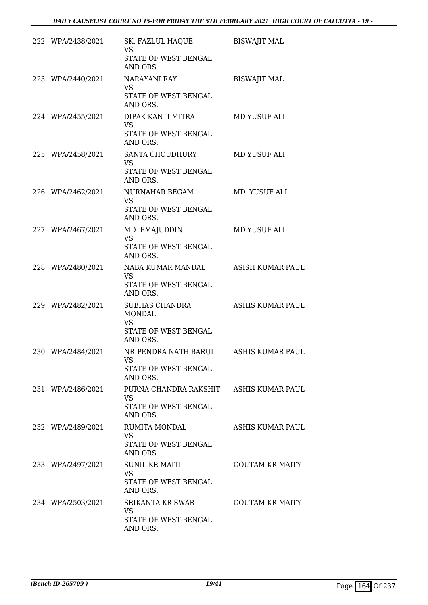| 222 WPA/2438/2021 | SK. FAZLUL HAQUE<br><b>VS</b><br>STATE OF WEST BENGAL                                   | <b>BISWAJIT MAL</b>     |
|-------------------|-----------------------------------------------------------------------------------------|-------------------------|
| 223 WPA/2440/2021 | AND ORS.<br>NARAYANI RAY<br><b>VS</b><br>STATE OF WEST BENGAL<br>AND ORS.               | <b>BISWAJIT MAL</b>     |
| 224 WPA/2455/2021 | DIPAK KANTI MITRA<br><b>VS</b><br>STATE OF WEST BENGAL<br>AND ORS.                      | MD YUSUF ALI            |
| 225 WPA/2458/2021 | SANTA CHOUDHURY<br>VS<br>STATE OF WEST BENGAL<br>AND ORS.                               | MD YUSUF ALI            |
| 226 WPA/2462/2021 | NURNAHAR BEGAM<br><b>VS</b><br>STATE OF WEST BENGAL<br>AND ORS.                         | MD. YUSUF ALI           |
| 227 WPA/2467/2021 | MD. EMAJUDDIN<br><b>VS</b><br>STATE OF WEST BENGAL<br>AND ORS.                          | MD.YUSUF ALI            |
| 228 WPA/2480/2021 | NABA KUMAR MANDAL<br>VS<br>STATE OF WEST BENGAL<br>AND ORS.                             | <b>ASISH KUMAR PAUL</b> |
| 229 WPA/2482/2021 | SUBHAS CHANDRA<br><b>MONDAL</b><br><b>VS</b><br>STATE OF WEST BENGAL<br>AND ORS.        | <b>ASHIS KUMAR PAUL</b> |
| 230 WPA/2484/2021 | NRIPENDRA NATH BARUI<br>VS<br>STATE OF WEST BENGAL<br>AND ORS.                          | ASHIS KUMAR PAUL        |
| 231 WPA/2486/2021 | PURNA CHANDRA RAKSHIT ASHIS KUMAR PAUL<br><b>VS</b><br>STATE OF WEST BENGAL<br>AND ORS. |                         |
| 232 WPA/2489/2021 | <b>RUMITA MONDAL</b><br>VS.<br>STATE OF WEST BENGAL<br>AND ORS.                         | ASHIS KUMAR PAUL        |
| 233 WPA/2497/2021 | <b>SUNIL KR MAITI</b><br><b>VS</b><br>STATE OF WEST BENGAL<br>AND ORS.                  | <b>GOUTAM KR MAITY</b>  |
| 234 WPA/2503/2021 | SRIKANTA KR SWAR<br>VS<br>STATE OF WEST BENGAL<br>AND ORS.                              | <b>GOUTAM KR MAITY</b>  |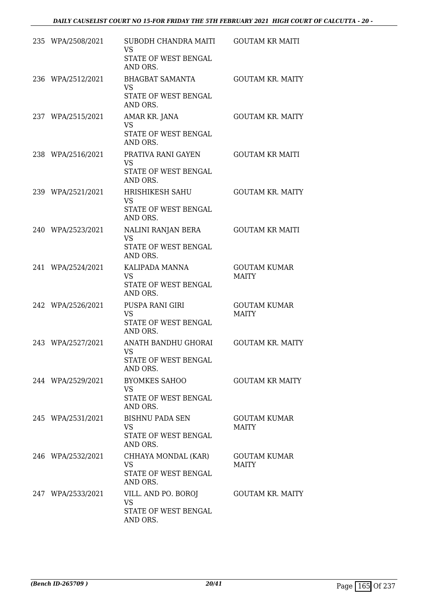|     | 235 WPA/2508/2021 | SUBODH CHANDRA MAITI<br><b>VS</b><br>STATE OF WEST BENGAL<br>AND ORS.   | <b>GOUTAM KR MAITI</b>              |
|-----|-------------------|-------------------------------------------------------------------------|-------------------------------------|
|     | 236 WPA/2512/2021 | <b>BHAGBAT SAMANTA</b><br><b>VS</b><br>STATE OF WEST BENGAL<br>AND ORS. | <b>GOUTAM KR. MAITY</b>             |
|     | 237 WPA/2515/2021 | AMAR KR. JANA<br><b>VS</b><br>STATE OF WEST BENGAL<br>AND ORS.          | <b>GOUTAM KR. MAITY</b>             |
|     | 238 WPA/2516/2021 | PRATIVA RANI GAYEN<br><b>VS</b><br>STATE OF WEST BENGAL<br>AND ORS.     | <b>GOUTAM KR MAITI</b>              |
|     | 239 WPA/2521/2021 | HRISHIKESH SAHU<br><b>VS</b><br>STATE OF WEST BENGAL<br>AND ORS.        | <b>GOUTAM KR. MAITY</b>             |
|     | 240 WPA/2523/2021 | NALINI RANJAN BERA<br><b>VS</b><br>STATE OF WEST BENGAL<br>AND ORS.     | <b>GOUTAM KR MAITI</b>              |
| 241 | WPA/2524/2021     | KALIPADA MANNA<br><b>VS</b><br>STATE OF WEST BENGAL<br>AND ORS.         | <b>GOUTAM KUMAR</b><br><b>MAITY</b> |
|     | 242 WPA/2526/2021 | PUSPA RANI GIRI<br><b>VS</b><br>STATE OF WEST BENGAL<br>AND ORS.        | <b>GOUTAM KUMAR</b><br><b>MAITY</b> |
|     | 243 WPA/2527/2021 | ANATH BANDHU GHORAI<br><b>VS</b><br>STATE OF WEST BENGAL<br>AND ORS.    | <b>GOUTAM KR. MAITY</b>             |
|     | 244 WPA/2529/2021 | <b>BYOMKES SAHOO</b><br>VS<br>STATE OF WEST BENGAL<br>AND ORS.          | <b>GOUTAM KR MAITY</b>              |
|     | 245 WPA/2531/2021 | BISHNU PADA SEN<br><b>VS</b><br><b>STATE OF WEST BENGAL</b><br>AND ORS. | <b>GOUTAM KUMAR</b><br><b>MAITY</b> |
|     | 246 WPA/2532/2021 | CHHAYA MONDAL (KAR)<br><b>VS</b><br>STATE OF WEST BENGAL<br>AND ORS.    | GOUTAM KUMAR<br><b>MAITY</b>        |
|     | 247 WPA/2533/2021 | VILL. AND PO. BOROJ<br><b>VS</b><br>STATE OF WEST BENGAL<br>AND ORS.    | <b>GOUTAM KR. MAITY</b>             |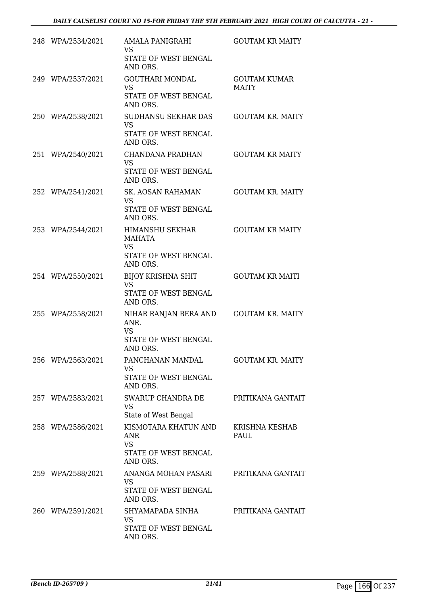| 248 WPA/2534/2021 | <b>AMALA PANIGRAHI</b><br><b>VS</b><br>STATE OF WEST BENGAL<br>AND ORS.             | <b>GOUTAM KR MAITY</b>              |
|-------------------|-------------------------------------------------------------------------------------|-------------------------------------|
| 249 WPA/2537/2021 | <b>GOUTHARI MONDAL</b><br><b>VS</b><br>STATE OF WEST BENGAL<br>AND ORS.             | <b>GOUTAM KUMAR</b><br><b>MAITY</b> |
| 250 WPA/2538/2021 | SUDHANSU SEKHAR DAS<br><b>VS</b><br>STATE OF WEST BENGAL<br>AND ORS.                | <b>GOUTAM KR. MAITY</b>             |
| 251 WPA/2540/2021 | CHANDANA PRADHAN<br><b>VS</b><br>STATE OF WEST BENGAL<br>AND ORS.                   | <b>GOUTAM KR MAITY</b>              |
| 252 WPA/2541/2021 | SK. AOSAN RAHAMAN<br><b>VS</b><br><b>STATE OF WEST BENGAL</b><br>AND ORS.           | <b>GOUTAM KR. MAITY</b>             |
| 253 WPA/2544/2021 | HIMANSHU SEKHAR<br><b>MAHATA</b><br><b>VS</b><br>STATE OF WEST BENGAL<br>AND ORS.   | <b>GOUTAM KR MAITY</b>              |
| 254 WPA/2550/2021 | <b>BIJOY KRISHNA SHIT</b><br><b>VS</b><br>STATE OF WEST BENGAL<br>AND ORS.          | <b>GOUTAM KR MAITI</b>              |
| 255 WPA/2558/2021 | NIHAR RANJAN BERA AND<br>ANR.<br><b>VS</b><br>STATE OF WEST BENGAL<br>AND ORS.      | <b>GOUTAM KR. MAITY</b>             |
| 256 WPA/2563/2021 | PANCHANAN MANDAL<br>VS.<br>STATE OF WEST BENGAL<br>AND ORS.                         | <b>GOUTAM KR. MAITY</b>             |
| 257 WPA/2583/2021 | SWARUP CHANDRA DE<br><b>VS</b><br>State of West Bengal                              | PRITIKANA GANTAIT                   |
| 258 WPA/2586/2021 | KISMOTARA KHATUN AND<br><b>ANR</b><br><b>VS</b><br>STATE OF WEST BENGAL<br>AND ORS. | KRISHNA KESHAB<br>PAUL.             |
| 259 WPA/2588/2021 | ANANGA MOHAN PASARI<br><b>VS</b><br>STATE OF WEST BENGAL<br>AND ORS.                | PRITIKANA GANTAIT                   |
| 260 WPA/2591/2021 | SHYAMAPADA SINHA<br>VS<br>STATE OF WEST BENGAL<br>AND ORS.                          | PRITIKANA GANTAIT                   |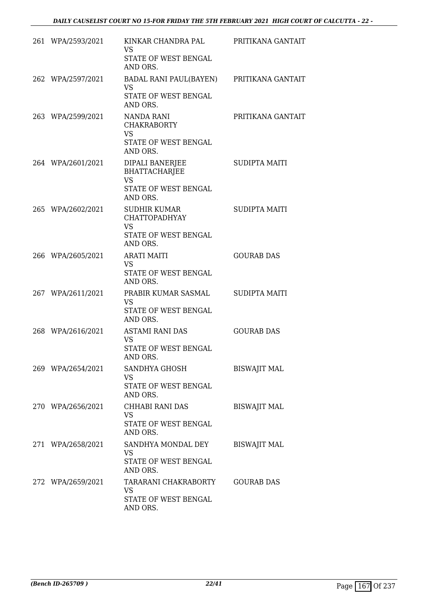| 261 WPA/2593/2021 | KINKAR CHANDRA PAL<br><b>VS</b><br>STATE OF WEST BENGAL<br>AND ORS.                       | PRITIKANA GANTAIT    |
|-------------------|-------------------------------------------------------------------------------------------|----------------------|
| 262 WPA/2597/2021 | BADAL RANI PAUL(BAYEN) PRITIKANA GANTAIT<br><b>VS</b><br>STATE OF WEST BENGAL<br>AND ORS. |                      |
| 263 WPA/2599/2021 | NANDA RANI<br><b>CHAKRABORTY</b><br><b>VS</b><br>STATE OF WEST BENGAL<br>AND ORS.         | PRITIKANA GANTAIT    |
| 264 WPA/2601/2021 | DIPALI BANERJEE<br><b>BHATTACHARJEE</b><br><b>VS</b><br>STATE OF WEST BENGAL<br>AND ORS.  | <b>SUDIPTA MAITI</b> |
| 265 WPA/2602/2021 | SUDHIR KUMAR<br><b>CHATTOPADHYAY</b><br><b>VS</b><br>STATE OF WEST BENGAL<br>AND ORS.     | <b>SUDIPTA MAITI</b> |
| 266 WPA/2605/2021 | <b>ARATI MAITI</b><br><b>VS</b><br>STATE OF WEST BENGAL<br>AND ORS.                       | <b>GOURAB DAS</b>    |
| 267 WPA/2611/2021 | PRABIR KUMAR SASMAL<br><b>VS</b><br>STATE OF WEST BENGAL<br>AND ORS.                      | <b>SUDIPTA MAITI</b> |
| 268 WPA/2616/2021 | <b>ASTAMI RANI DAS</b><br><b>VS</b><br><b>STATE OF WEST BENGAL</b><br>AND ORS.            | <b>GOURAB DAS</b>    |
| 269 WPA/2654/2021 | SANDHYA GHOSH<br><b>VS</b><br><b>STATE OF WEST BENGAL</b><br>AND ORS.                     | <b>BISWAJIT MAL</b>  |
| 270 WPA/2656/2021 | CHHABI RANI DAS<br><b>VS</b><br>STATE OF WEST BENGAL<br>AND ORS.                          | <b>BISWAJIT MAL</b>  |
| 271 WPA/2658/2021 | SANDHYA MONDAL DEY<br><b>VS</b><br>STATE OF WEST BENGAL<br>AND ORS.                       | <b>BISWAJIT MAL</b>  |
| 272 WPA/2659/2021 | TARARANI CHAKRABORTY<br>VS<br>STATE OF WEST BENGAL<br>AND ORS.                            | <b>GOURAB DAS</b>    |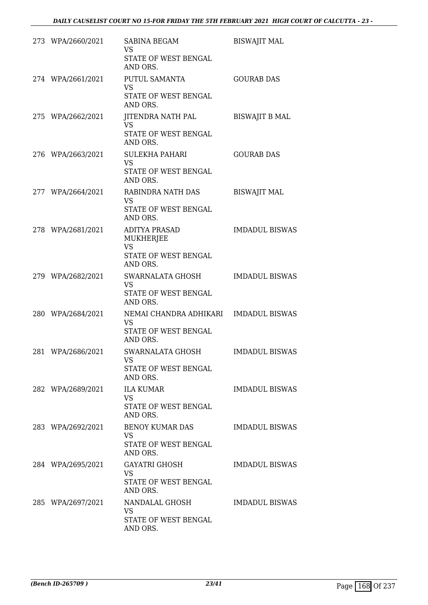| 273 WPA/2660/2021 | SABINA BEGAM<br>VS<br>STATE OF WEST BENGAL<br>AND ORS.                             | <b>BISWAJIT MAL</b>   |
|-------------------|------------------------------------------------------------------------------------|-----------------------|
| 274 WPA/2661/2021 | PUTUL SAMANTA<br><b>VS</b><br>STATE OF WEST BENGAL<br>AND ORS.                     | <b>GOURAB DAS</b>     |
| 275 WPA/2662/2021 | JITENDRA NATH PAL<br><b>VS</b><br>STATE OF WEST BENGAL<br>AND ORS.                 | <b>BISWAJIT B MAL</b> |
| 276 WPA/2663/2021 | <b>SULEKHA PAHARI</b><br><b>VS</b><br>STATE OF WEST BENGAL<br>AND ORS.             | <b>GOURAB DAS</b>     |
| 277 WPA/2664/2021 | RABINDRA NATH DAS<br><b>VS</b><br>STATE OF WEST BENGAL<br>AND ORS.                 | <b>BISWAJIT MAL</b>   |
| 278 WPA/2681/2021 | <b>ADITYA PRASAD</b><br>MUKHERJEE<br><b>VS</b><br>STATE OF WEST BENGAL<br>AND ORS. | <b>IMDADUL BISWAS</b> |
| 279 WPA/2682/2021 | SWARNALATA GHOSH<br><b>VS</b><br>STATE OF WEST BENGAL<br>AND ORS.                  | <b>IMDADUL BISWAS</b> |
| 280 WPA/2684/2021 | NEMAI CHANDRA ADHIKARI<br><b>VS</b><br>STATE OF WEST BENGAL<br>AND ORS.            | <b>IMDADUL BISWAS</b> |
| 281 WPA/2686/2021 | SWARNALATA GHOSH<br>VS<br>STATE OF WEST BENGAL<br>AND ORS.                         | <b>IMDADUL BISWAS</b> |
| 282 WPA/2689/2021 | <b>ILA KUMAR</b><br><b>VS</b><br>STATE OF WEST BENGAL<br>AND ORS.                  | <b>IMDADUL BISWAS</b> |
| 283 WPA/2692/2021 | BENOY KUMAR DAS<br>VS<br>STATE OF WEST BENGAL<br>AND ORS.                          | <b>IMDADUL BISWAS</b> |
| 284 WPA/2695/2021 | <b>GAYATRI GHOSH</b><br><b>VS</b><br>STATE OF WEST BENGAL<br>AND ORS.              | IMDADUL BISWAS        |
| 285 WPA/2697/2021 | NANDALAL GHOSH<br>VS<br>STATE OF WEST BENGAL<br>AND ORS.                           | <b>IMDADUL BISWAS</b> |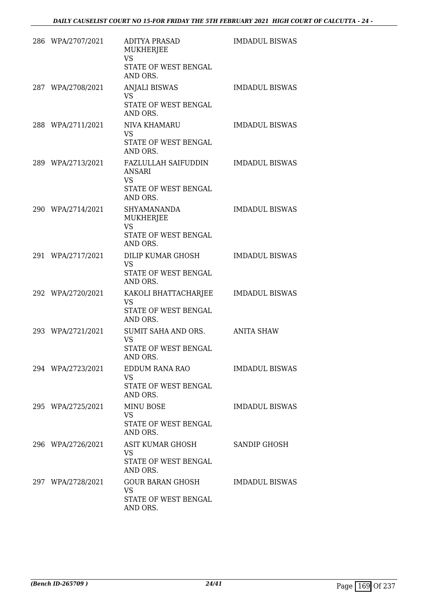| 286 WPA/2707/2021 | <b>ADITYA PRASAD</b><br><b>MUKHERJEE</b><br><b>VS</b><br>STATE OF WEST BENGAL<br>AND ORS. | <b>IMDADUL BISWAS</b> |
|-------------------|-------------------------------------------------------------------------------------------|-----------------------|
| 287 WPA/2708/2021 | <b>ANJALI BISWAS</b><br><b>VS</b><br>STATE OF WEST BENGAL<br>AND ORS.                     | <b>IMDADUL BISWAS</b> |
| 288 WPA/2711/2021 | NIVA KHAMARU<br>VS<br>STATE OF WEST BENGAL<br>AND ORS.                                    | <b>IMDADUL BISWAS</b> |
| 289 WPA/2713/2021 | FAZLULLAH SAIFUDDIN<br>ANSARI<br>VS<br>STATE OF WEST BENGAL<br>AND ORS.                   | <b>IMDADUL BISWAS</b> |
| 290 WPA/2714/2021 | <b>SHYAMANANDA</b><br>MUKHERJEE<br><b>VS</b><br>STATE OF WEST BENGAL<br>AND ORS.          | <b>IMDADUL BISWAS</b> |
| 291 WPA/2717/2021 | DILIP KUMAR GHOSH<br><b>VS</b><br>STATE OF WEST BENGAL<br>AND ORS.                        | <b>IMDADUL BISWAS</b> |
| 292 WPA/2720/2021 | KAKOLI BHATTACHARJEE<br><b>VS</b><br>STATE OF WEST BENGAL<br>AND ORS.                     | <b>IMDADUL BISWAS</b> |
| 293 WPA/2721/2021 | SUMIT SAHA AND ORS.<br>VS<br>STATE OF WEST BENGAL<br>AND ORS.                             | <b>ANITA SHAW</b>     |
| 294 WPA/2723/2021 | EDDUM RANA RAO<br>VS<br>STATE OF WEST BENGAL<br>AND ORS.                                  | <b>IMDADUL BISWAS</b> |
| 295 WPA/2725/2021 | MINU BOSE<br><b>VS</b><br>STATE OF WEST BENGAL<br>AND ORS.                                | <b>IMDADUL BISWAS</b> |
| 296 WPA/2726/2021 | ASIT KUMAR GHOSH<br>VS<br>STATE OF WEST BENGAL<br>AND ORS.                                | SANDIP GHOSH          |
| 297 WPA/2728/2021 | GOUR BARAN GHOSH<br><b>VS</b><br>STATE OF WEST BENGAL<br>AND ORS.                         | <b>IMDADUL BISWAS</b> |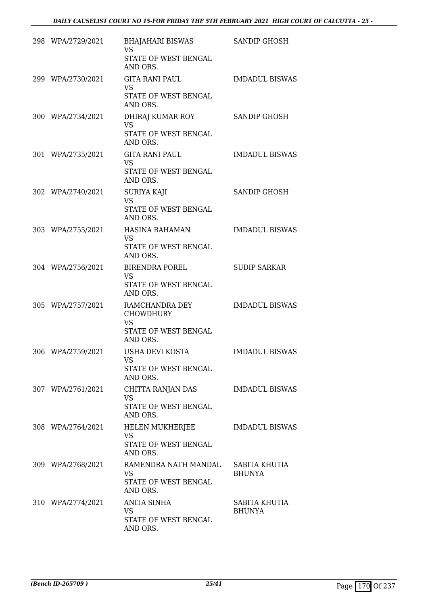| 298 WPA/2729/2021 | BHAJAHARI BISWAS<br><b>VS</b><br>STATE OF WEST BENGAL<br>AND ORS.                   | SANDIP GHOSH                   |
|-------------------|-------------------------------------------------------------------------------------|--------------------------------|
| 299 WPA/2730/2021 | <b>GITA RANI PAUL</b><br><b>VS</b><br>STATE OF WEST BENGAL<br>AND ORS.              | <b>IMDADUL BISWAS</b>          |
| 300 WPA/2734/2021 | DHIRAJ KUMAR ROY<br><b>VS</b><br>STATE OF WEST BENGAL<br>AND ORS.                   | SANDIP GHOSH                   |
| 301 WPA/2735/2021 | <b>GITA RANI PAUL</b><br><b>VS</b><br>STATE OF WEST BENGAL<br>AND ORS.              | <b>IMDADUL BISWAS</b>          |
| 302 WPA/2740/2021 | SURIYA KAJI<br><b>VS</b><br>STATE OF WEST BENGAL<br>AND ORS.                        | <b>SANDIP GHOSH</b>            |
| 303 WPA/2755/2021 | <b>HASINA RAHAMAN</b><br><b>VS</b><br>STATE OF WEST BENGAL<br>AND ORS.              | <b>IMDADUL BISWAS</b>          |
| 304 WPA/2756/2021 | BIRENDRA POREL<br><b>VS</b><br>STATE OF WEST BENGAL<br>AND ORS.                     | <b>SUDIP SARKAR</b>            |
| 305 WPA/2757/2021 | RAMCHANDRA DEY<br><b>CHOWDHURY</b><br><b>VS</b><br>STATE OF WEST BENGAL<br>AND ORS. | <b>IMDADUL BISWAS</b>          |
| 306 WPA/2759/2021 | USHA DEVI KOSTA<br>VS<br>STATE OF WEST BENGAL<br>AND ORS.                           | <b>IMDADUL BISWAS</b>          |
| 307 WPA/2761/2021 | CHITTA RANJAN DAS<br>VS<br>STATE OF WEST BENGAL<br>AND ORS.                         | <b>IMDADUL BISWAS</b>          |
| 308 WPA/2764/2021 | HELEN MUKHERJEE<br><b>VS</b><br>STATE OF WEST BENGAL<br>AND ORS.                    | <b>IMDADUL BISWAS</b>          |
| 309 WPA/2768/2021 | RAMENDRA NATH MANDAL<br><b>VS</b><br>STATE OF WEST BENGAL<br>AND ORS.               | SABITA KHUTIA<br><b>BHUNYA</b> |
| 310 WPA/2774/2021 | <b>ANITA SINHA</b><br>VS<br>STATE OF WEST BENGAL<br>AND ORS.                        | SABITA KHUTIA<br><b>BHUNYA</b> |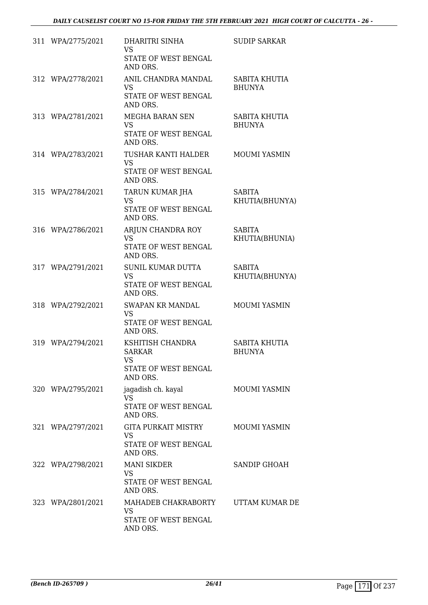| 311 WPA/2775/2021 | DHARITRI SINHA<br>VS.<br>STATE OF WEST BENGAL<br>AND ORS.                   | <b>SUDIP SARKAR</b>             |
|-------------------|-----------------------------------------------------------------------------|---------------------------------|
| 312 WPA/2778/2021 | ANIL CHANDRA MANDAL<br><b>VS</b><br>STATE OF WEST BENGAL<br>AND ORS.        | SABITA KHUTIA<br><b>BHUNYA</b>  |
| 313 WPA/2781/2021 | MEGHA BARAN SEN<br><b>VS</b><br>STATE OF WEST BENGAL<br>AND ORS.            | SABITA KHUTIA<br><b>BHUNYA</b>  |
| 314 WPA/2783/2021 | TUSHAR KANTI HALDER<br><b>VS</b><br>STATE OF WEST BENGAL<br>AND ORS.        | <b>MOUMI YASMIN</b>             |
| 315 WPA/2784/2021 | TARUN KUMAR JHA<br><b>VS</b><br>STATE OF WEST BENGAL<br>AND ORS.            | <b>SABITA</b><br>KHUTIA(BHUNYA) |
| 316 WPA/2786/2021 | ARJUN CHANDRA ROY<br><b>VS</b><br>STATE OF WEST BENGAL<br>AND ORS.          | <b>SABITA</b><br>KHUTIA(BHUNIA) |
| 317 WPA/2791/2021 | <b>SUNIL KUMAR DUTTA</b><br><b>VS</b><br>STATE OF WEST BENGAL<br>AND ORS.   | <b>SABITA</b><br>KHUTIA(BHUNYA) |
| 318 WPA/2792/2021 | SWAPAN KR MANDAL<br><b>VS</b><br>STATE OF WEST BENGAL<br>AND ORS.           | MOUMI YASMIN                    |
| 319 WPA/2794/2021 | KSHITISH CHANDRA<br><b>SARKAR</b><br>VS<br>STATE OF WEST BENGAL<br>AND ORS. | SABITA KHUTIA<br><b>BHUNYA</b>  |
| 320 WPA/2795/2021 | jagadish ch. kayal<br><b>VS</b><br>STATE OF WEST BENGAL<br>AND ORS.         | MOUMI YASMIN                    |
| 321 WPA/2797/2021 | GITA PURKAIT MISTRY<br>VS<br>STATE OF WEST BENGAL<br>AND ORS.               | MOUMI YASMIN                    |
| 322 WPA/2798/2021 | <b>MANI SIKDER</b><br>VS<br>STATE OF WEST BENGAL<br>AND ORS.                | SANDIP GHOAH                    |
| 323 WPA/2801/2021 | MAHADEB CHAKRABORTY<br>VS<br>STATE OF WEST BENGAL<br>AND ORS.               | UTTAM KUMAR DE                  |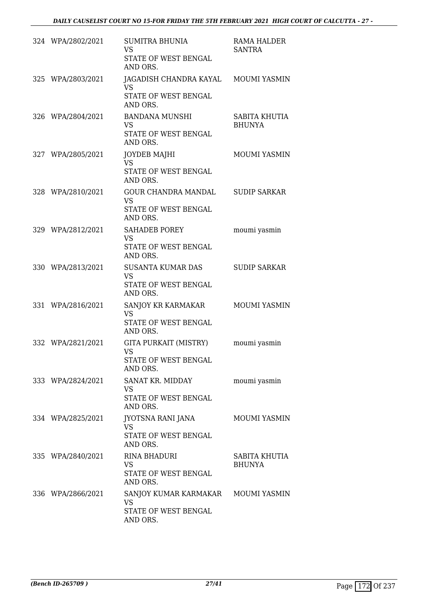| 324 WPA/2802/2021 | <b>SUMITRA BHUNIA</b><br><b>VS</b><br>STATE OF WEST BENGAL<br>AND ORS.               | RAMA HALDER<br><b>SANTRA</b>   |
|-------------------|--------------------------------------------------------------------------------------|--------------------------------|
| 325 WPA/2803/2021 | JAGADISH CHANDRA KAYAL MOUMI YASMIN<br><b>VS</b><br>STATE OF WEST BENGAL<br>AND ORS. |                                |
| 326 WPA/2804/2021 | <b>BANDANA MUNSHI</b><br><b>VS</b><br>STATE OF WEST BENGAL<br>AND ORS.               | SABITA KHUTIA<br><b>BHUNYA</b> |
| 327 WPA/2805/2021 | <b>JOYDEB MAJHI</b><br><b>VS</b><br>STATE OF WEST BENGAL<br>AND ORS.                 | MOUMI YASMIN                   |
| 328 WPA/2810/2021 | GOUR CHANDRA MANDAL<br><b>VS</b><br>STATE OF WEST BENGAL<br>AND ORS.                 | <b>SUDIP SARKAR</b>            |
| 329 WPA/2812/2021 | <b>SAHADEB POREY</b><br><b>VS</b><br>STATE OF WEST BENGAL<br>AND ORS.                | moumi yasmin                   |
| 330 WPA/2813/2021 | <b>SUSANTA KUMAR DAS</b><br><b>VS</b><br>STATE OF WEST BENGAL<br>AND ORS.            | <b>SUDIP SARKAR</b>            |
| 331 WPA/2816/2021 | SANJOY KR KARMAKAR<br><b>VS</b><br>STATE OF WEST BENGAL<br>AND ORS.                  | <b>MOUMI YASMIN</b>            |
| 332 WPA/2821/2021 | GITA PURKAIT (MISTRY)<br><b>VS</b><br>STATE OF WEST BENGAL<br>AND ORS.               | moumi yasmin                   |
| 333 WPA/2824/2021 | SANAT KR. MIDDAY<br>VS<br>STATE OF WEST BENGAL<br>AND ORS.                           | moumi yasmin                   |
| 334 WPA/2825/2021 | JYOTSNA RANI JANA<br>VS.<br>STATE OF WEST BENGAL<br>AND ORS.                         | MOUMI YASMIN                   |
| 335 WPA/2840/2021 | <b>RINA BHADURI</b><br>VS.<br>STATE OF WEST BENGAL<br>AND ORS.                       | SABITA KHUTIA<br><b>BHUNYA</b> |
| 336 WPA/2866/2021 | SANJOY KUMAR KARMAKAR<br><b>VS</b><br>STATE OF WEST BENGAL<br>AND ORS.               | MOUMI YASMIN                   |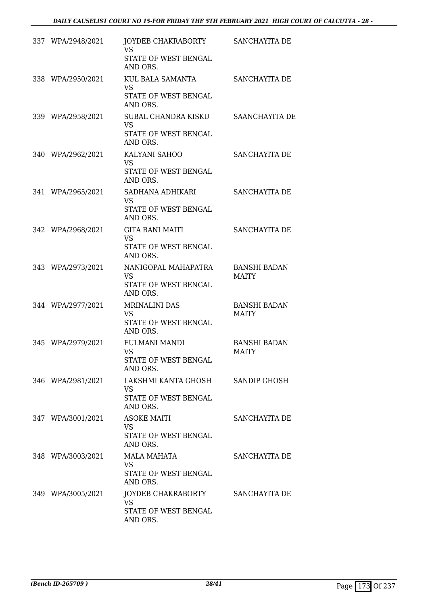| 337 WPA/2948/2021 | JOYDEB CHAKRABORTY<br><b>VS</b><br>STATE OF WEST BENGAL<br>AND ORS.   | SANCHAYITA DE                       |
|-------------------|-----------------------------------------------------------------------|-------------------------------------|
| 338 WPA/2950/2021 | KUL BALA SAMANTA<br><b>VS</b><br>STATE OF WEST BENGAL<br>AND ORS.     | SANCHAYITA DE                       |
| 339 WPA/2958/2021 | SUBAL CHANDRA KISKU<br>VS.<br>STATE OF WEST BENGAL<br>AND ORS.        | SAANCHAYITA DE                      |
| 340 WPA/2962/2021 | KALYANI SAHOO<br><b>VS</b><br>STATE OF WEST BENGAL<br>AND ORS.        | SANCHAYITA DE                       |
| 341 WPA/2965/2021 | SADHANA ADHIKARI<br>VS.<br>STATE OF WEST BENGAL<br>AND ORS.           | SANCHAYITA DE                       |
| 342 WPA/2968/2021 | GITA RANI MAITI<br>VS.<br>STATE OF WEST BENGAL<br>AND ORS.            | SANCHAYITA DE                       |
| 343 WPA/2973/2021 | NANIGOPAL MAHAPATRA<br><b>VS</b><br>STATE OF WEST BENGAL<br>AND ORS.  | <b>BANSHI BADAN</b><br><b>MAITY</b> |
| 344 WPA/2977/2021 | <b>MRINALINI DAS</b><br><b>VS</b><br>STATE OF WEST BENGAL<br>AND ORS. | <b>BANSHI BADAN</b><br><b>MAITY</b> |
| 345 WPA/2979/2021 | <b>FULMANI MANDI</b><br>VS<br>STATE OF WEST BENGAL<br>AND ORS.        | <b>BANSHI BADAN</b><br><b>MAITY</b> |
| 346 WPA/2981/2021 | LAKSHMI KANTA GHOSH<br>VS<br>STATE OF WEST BENGAL<br>AND ORS.         | <b>SANDIP GHOSH</b>                 |
| 347 WPA/3001/2021 | <b>ASOKE MAITI</b><br><b>VS</b><br>STATE OF WEST BENGAL<br>AND ORS.   | SANCHAYITA DE                       |
| 348 WPA/3003/2021 | MALA MAHATA<br><b>VS</b><br>STATE OF WEST BENGAL<br>AND ORS.          | SANCHAYITA DE                       |
| 349 WPA/3005/2021 | JOYDEB CHAKRABORTY<br><b>VS</b><br>STATE OF WEST BENGAL<br>AND ORS.   | SANCHAYITA DE                       |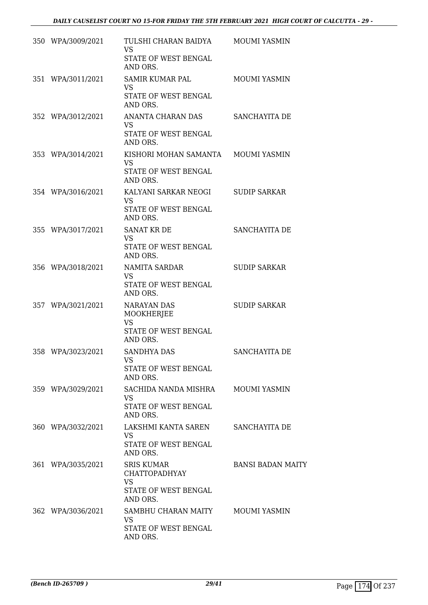| 350 WPA/3009/2021 | TULSHI CHARAN BAIDYA                                                                       | <b>MOUMI YASMIN</b>      |
|-------------------|--------------------------------------------------------------------------------------------|--------------------------|
|                   | <b>VS</b><br>STATE OF WEST BENGAL<br>AND ORS.                                              |                          |
| 351 WPA/3011/2021 | SAMIR KUMAR PAL<br>VS.<br>STATE OF WEST BENGAL<br>AND ORS.                                 | <b>MOUMI YASMIN</b>      |
| 352 WPA/3012/2021 | ANANTA CHARAN DAS<br><b>VS</b><br>STATE OF WEST BENGAL<br>AND ORS.                         | SANCHAYITA DE            |
| 353 WPA/3014/2021 | KISHORI MOHAN SAMANTA<br><b>VS</b><br>STATE OF WEST BENGAL<br>AND ORS.                     | <b>MOUMI YASMIN</b>      |
| 354 WPA/3016/2021 | KALYANI SARKAR NEOGI<br><b>VS</b><br><b>STATE OF WEST BENGAL</b><br>AND ORS.               | <b>SUDIP SARKAR</b>      |
| 355 WPA/3017/2021 | <b>SANAT KR DE</b><br><b>VS</b><br>STATE OF WEST BENGAL<br>AND ORS.                        | SANCHAYITA DE            |
| 356 WPA/3018/2021 | <b>NAMITA SARDAR</b><br><b>VS</b><br>STATE OF WEST BENGAL<br>AND ORS.                      | <b>SUDIP SARKAR</b>      |
| 357 WPA/3021/2021 | NARAYAN DAS<br>MOOKHERJEE<br><b>VS</b><br>STATE OF WEST BENGAL<br>AND ORS.                 | <b>SUDIP SARKAR</b>      |
| 358 WPA/3023/2021 | <b>SANDHYA DAS</b><br><b>VS</b><br>STATE OF WEST BENGAL<br>AND ORS.                        | <b>SANCHAYITA DE</b>     |
| 359 WPA/3029/2021 | SACHIDA NANDA MISHRA<br><b>VS</b><br>STATE OF WEST BENGAL<br>AND ORS.                      | <b>MOUMI YASMIN</b>      |
| 360 WPA/3032/2021 | LAKSHMI KANTA SAREN<br>VS<br>STATE OF WEST BENGAL<br>AND ORS.                              | SANCHAYITA DE            |
| 361 WPA/3035/2021 | <b>SRIS KUMAR</b><br><b>CHATTOPADHYAY</b><br><b>VS</b><br>STATE OF WEST BENGAL<br>AND ORS. | <b>BANSI BADAN MAITY</b> |
| 362 WPA/3036/2021 | SAMBHU CHARAN MAITY<br>VS<br>STATE OF WEST BENGAL<br>AND ORS.                              | MOUMI YASMIN             |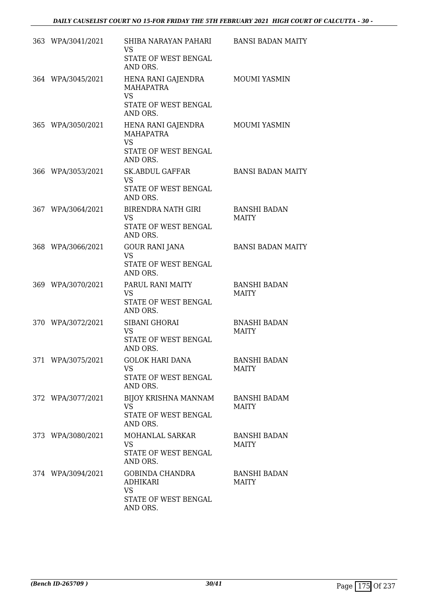| 363 WPA/3041/2021 | SHIBA NARAYAN PAHARI<br><b>VS</b><br>STATE OF WEST BENGAL<br>AND ORS.                   | <b>BANSI BADAN MAITY</b>            |
|-------------------|-----------------------------------------------------------------------------------------|-------------------------------------|
| 364 WPA/3045/2021 | HENA RANI GAJENDRA<br><b>MAHAPATRA</b><br><b>VS</b><br>STATE OF WEST BENGAL<br>AND ORS. | <b>MOUMI YASMIN</b>                 |
| 365 WPA/3050/2021 | HENA RANI GAJENDRA<br><b>MAHAPATRA</b><br><b>VS</b><br>STATE OF WEST BENGAL<br>AND ORS. | MOUMI YASMIN                        |
| 366 WPA/3053/2021 | <b>SK.ABDUL GAFFAR</b><br><b>VS</b><br><b>STATE OF WEST BENGAL</b><br>AND ORS.          | <b>BANSI BADAN MAITY</b>            |
| 367 WPA/3064/2021 | <b>BIRENDRA NATH GIRI</b><br><b>VS</b><br>STATE OF WEST BENGAL<br>AND ORS.              | <b>BANSHI BADAN</b><br><b>MAITY</b> |
| 368 WPA/3066/2021 | <b>GOUR RANI JANA</b><br><b>VS</b><br>STATE OF WEST BENGAL<br>AND ORS.                  | <b>BANSI BADAN MAITY</b>            |
| 369 WPA/3070/2021 | PARUL RANI MAITY<br><b>VS</b><br>STATE OF WEST BENGAL<br>AND ORS.                       | <b>BANSHI BADAN</b><br><b>MAITY</b> |
| 370 WPA/3072/2021 | SIBANI GHORAI<br><b>VS</b><br>STATE OF WEST BENGAL<br>AND ORS.                          | <b>BNASHI BADAN</b><br><b>MAITY</b> |
| 371 WPA/3075/2021 | <b>GOLOK HARI DANA</b><br><b>VS</b><br>STATE OF WEST BENGAL<br>AND ORS.                 | <b>BANSHI BADAN</b><br><b>MAITY</b> |
| 372 WPA/3077/2021 | <b>BIJOY KRISHNA MANNAM</b><br><b>VS</b><br>STATE OF WEST BENGAL<br>AND ORS.            | <b>BANSHI BADAM</b><br><b>MAITY</b> |
| 373 WPA/3080/2021 | MOHANLAL SARKAR<br><b>VS</b><br>STATE OF WEST BENGAL<br>AND ORS.                        | <b>BANSHI BADAN</b><br>MAITY        |
| 374 WPA/3094/2021 | GOBINDA CHANDRA<br><b>ADHIKARI</b><br><b>VS</b><br>STATE OF WEST BENGAL<br>AND ORS.     | <b>BANSHI BADAN</b><br><b>MAITY</b> |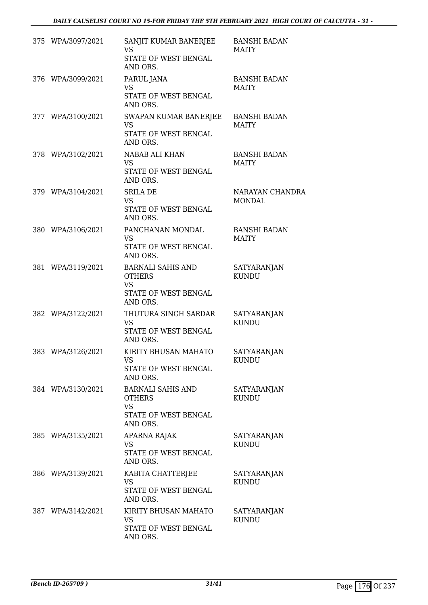|     | 375 WPA/3097/2021 | SANJIT KUMAR BANERJEE<br><b>VS</b><br>STATE OF WEST BENGAL<br>AND ORS.                     | <b>BANSHI BADAN</b><br>MAITY        |
|-----|-------------------|--------------------------------------------------------------------------------------------|-------------------------------------|
|     | 376 WPA/3099/2021 | PARUL JANA<br><b>VS</b><br>STATE OF WEST BENGAL<br>AND ORS.                                | <b>BANSHI BADAN</b><br>MAITY        |
|     | 377 WPA/3100/2021 | SWAPAN KUMAR BANERJEE<br><b>VS</b><br>STATE OF WEST BENGAL<br>AND ORS.                     | <b>BANSHI BADAN</b><br><b>MAITY</b> |
|     | 378 WPA/3102/2021 | NABAB ALI KHAN<br><b>VS</b><br>STATE OF WEST BENGAL<br>AND ORS.                            | <b>BANSHI BADAN</b><br><b>MAITY</b> |
|     | 379 WPA/3104/2021 | <b>SRILA DE</b><br><b>VS</b><br>STATE OF WEST BENGAL<br>AND ORS.                           | NARAYAN CHANDRA<br><b>MONDAL</b>    |
|     | 380 WPA/3106/2021 | PANCHANAN MONDAL<br><b>VS</b><br>STATE OF WEST BENGAL<br>AND ORS.                          | <b>BANSHI BADAN</b><br><b>MAITY</b> |
|     | 381 WPA/3119/2021 | <b>BARNALI SAHIS AND</b><br><b>OTHERS</b><br><b>VS</b><br>STATE OF WEST BENGAL<br>AND ORS. | SATYARANJAN<br><b>KUNDU</b>         |
| 382 | WPA/3122/2021     | THUTURA SINGH SARDAR<br>VS<br>STATE OF WEST BENGAL<br>AND ORS.                             | SATYARANJAN<br><b>KUNDU</b>         |
|     | 383 WPA/3126/2021 | KIRITY BHUSAN MAHATO<br>VS<br>STATE OF WEST BENGAL<br>AND ORS.                             | <b>SATYARANJAN</b><br><b>KUNDU</b>  |
|     | 384 WPA/3130/2021 | <b>BARNALI SAHIS AND</b><br><b>OTHERS</b><br><b>VS</b><br>STATE OF WEST BENGAL<br>AND ORS. | SATYARANJAN<br><b>KUNDU</b>         |
|     | 385 WPA/3135/2021 | APARNA RAJAK<br><b>VS</b><br>STATE OF WEST BENGAL<br>AND ORS.                              | SATYARANJAN<br><b>KUNDU</b>         |
|     | 386 WPA/3139/2021 | KABITA CHATTERJEE<br>VS<br>STATE OF WEST BENGAL<br>AND ORS.                                | SATYARANJAN<br><b>KUNDU</b>         |
|     | 387 WPA/3142/2021 | KIRITY BHUSAN MAHATO<br>VS<br>STATE OF WEST BENGAL<br>AND ORS.                             | SATYARANJAN<br><b>KUNDU</b>         |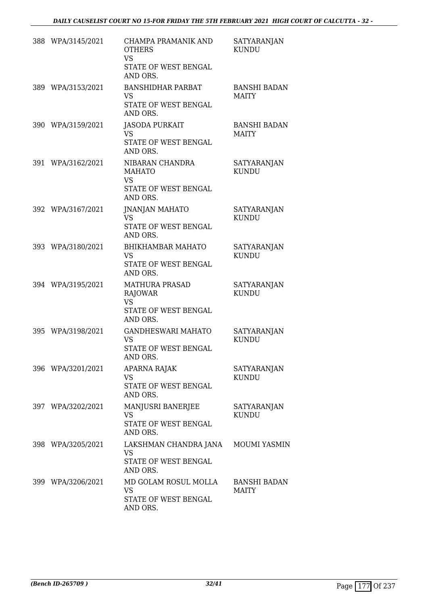| 388 WPA/3145/2021 | CHAMPA PRAMANIK AND<br><b>OTHERS</b><br>VS.<br>STATE OF WEST BENGAL<br>AND ORS.   | SATYARANJAN<br><b>KUNDU</b>         |
|-------------------|-----------------------------------------------------------------------------------|-------------------------------------|
| 389 WPA/3153/2021 | <b>BANSHIDHAR PARBAT</b><br><b>VS</b><br>STATE OF WEST BENGAL<br>AND ORS.         | <b>BANSHI BADAN</b><br><b>MAITY</b> |
| 390 WPA/3159/2021 | <b>JASODA PURKAIT</b><br><b>VS</b><br>STATE OF WEST BENGAL<br>AND ORS.            | <b>BANSHI BADAN</b><br><b>MAITY</b> |
| 391 WPA/3162/2021 | NIBARAN CHANDRA<br><b>MAHATO</b><br><b>VS</b><br>STATE OF WEST BENGAL<br>AND ORS. | <b>SATYARANJAN</b><br><b>KUNDU</b>  |
| 392 WPA/3167/2021 | <b>JNANJAN MAHATO</b><br><b>VS</b><br>STATE OF WEST BENGAL<br>AND ORS.            | SATYARANJAN<br><b>KUNDU</b>         |
| 393 WPA/3180/2021 | <b>BHIKHAMBAR MAHATO</b><br><b>VS</b><br>STATE OF WEST BENGAL<br>AND ORS.         | SATYARANJAN<br><b>KUNDU</b>         |
| 394 WPA/3195/2021 | <b>MATHURA PRASAD</b><br>RAJOWAR<br><b>VS</b><br>STATE OF WEST BENGAL<br>AND ORS. | SATYARANJAN<br><b>KUNDU</b>         |
| 395 WPA/3198/2021 | <b>GANDHESWARI MAHATO</b><br>VS<br>STATE OF WEST BENGAL<br>AND ORS.               | SATYARANJAN<br><b>KUNDU</b>         |
| 396 WPA/3201/2021 | APARNA RAJAK<br>VS<br>STATE OF WEST BENGAL<br>AND ORS.                            | SATYARANJAN<br><b>KUNDU</b>         |
| 397 WPA/3202/2021 | MANJUSRI BANERJEE<br>VS<br>STATE OF WEST BENGAL<br>AND ORS.                       | <b>SATYARANJAN</b><br><b>KUNDU</b>  |
| 398 WPA/3205/2021 | LAKSHMAN CHANDRA JANA<br>VS<br>STATE OF WEST BENGAL<br>AND ORS.                   | <b>MOUMI YASMIN</b>                 |
| 399 WPA/3206/2021 | MD GOLAM ROSUL MOLLA<br>VS<br>STATE OF WEST BENGAL<br>AND ORS.                    | <b>BANSHI BADAN</b><br><b>MAITY</b> |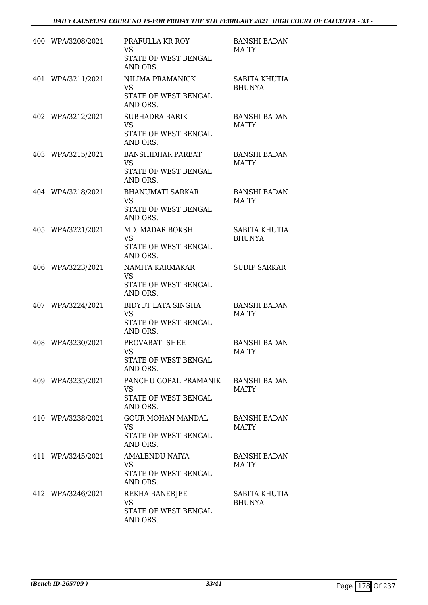|     | 400 WPA/3208/2021 | PRAFULLA KR ROY<br><b>VS</b><br>STATE OF WEST BENGAL<br>AND ORS.           | <b>BANSHI BADAN</b><br><b>MAITY</b> |
|-----|-------------------|----------------------------------------------------------------------------|-------------------------------------|
| 401 | WPA/3211/2021     | NILIMA PRAMANICK<br><b>VS</b><br>STATE OF WEST BENGAL<br>AND ORS.          | SABITA KHUTIA<br><b>BHUNYA</b>      |
|     | 402 WPA/3212/2021 | <b>SUBHADRA BARIK</b><br>VS.<br>STATE OF WEST BENGAL<br>AND ORS.           | <b>BANSHI BADAN</b><br><b>MAITY</b> |
|     | 403 WPA/3215/2021 | <b>BANSHIDHAR PARBAT</b><br>VS<br>STATE OF WEST BENGAL<br>AND ORS.         | <b>BANSHI BADAN</b><br><b>MAITY</b> |
|     | 404 WPA/3218/2021 | <b>BHANUMATI SARKAR</b><br><b>VS</b><br>STATE OF WEST BENGAL<br>AND ORS.   | <b>BANSHI BADAN</b><br><b>MAITY</b> |
|     | 405 WPA/3221/2021 | MD. MADAR BOKSH<br>VS<br>STATE OF WEST BENGAL<br>AND ORS.                  | SABITA KHUTIA<br><b>BHUNYA</b>      |
| 406 | WPA/3223/2021     | NAMITA KARMAKAR<br><b>VS</b><br>STATE OF WEST BENGAL<br>AND ORS.           | <b>SUDIP SARKAR</b>                 |
|     | 407 WPA/3224/2021 | <b>BIDYUT LATA SINGHA</b><br><b>VS</b><br>STATE OF WEST BENGAL<br>AND ORS. | <b>BANSHI BADAN</b><br><b>MAITY</b> |
|     | 408 WPA/3230/2021 | PROVABATI SHEE<br><b>VS</b><br>STATE OF WEST BENGAL<br>AND ORS.            | <b>BANSHI BADAN</b><br><b>MAITY</b> |
|     | 409 WPA/3235/2021 | PANCHU GOPAL PRAMANIK<br>VS<br>STATE OF WEST BENGAL<br>AND ORS.            | <b>BANSHI BADAN</b><br>MAITY        |
|     | 410 WPA/3238/2021 | <b>GOUR MOHAN MANDAL</b><br>VS.<br>STATE OF WEST BENGAL<br>AND ORS.        | <b>BANSHI BADAN</b><br><b>MAITY</b> |
|     | 411 WPA/3245/2021 | AMALENDU NAIYA<br>VS.<br>STATE OF WEST BENGAL<br>AND ORS.                  | <b>BANSHI BADAN</b><br><b>MAITY</b> |
|     | 412 WPA/3246/2021 | REKHA BANERJEE<br>VS<br>STATE OF WEST BENGAL<br>AND ORS.                   | SABITA KHUTIA<br><b>BHUNYA</b>      |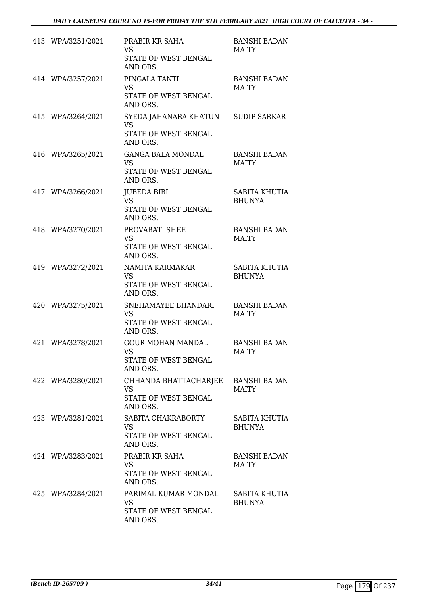| 413 WPA/3251/2021 | PRABIR KR SAHA<br><b>VS</b><br>STATE OF WEST BENGAL<br>AND ORS.           | <b>BANSHI BADAN</b><br><b>MAITY</b>   |
|-------------------|---------------------------------------------------------------------------|---------------------------------------|
| 414 WPA/3257/2021 | PINGALA TANTI<br><b>VS</b><br>STATE OF WEST BENGAL<br>AND ORS.            | <b>BANSHI BADAN</b><br><b>MAITY</b>   |
| 415 WPA/3264/2021 | SYEDA JAHANARA KHATUN<br><b>VS</b><br>STATE OF WEST BENGAL<br>AND ORS.    | <b>SUDIP SARKAR</b>                   |
| 416 WPA/3265/2021 | <b>GANGA BALA MONDAL</b><br><b>VS</b><br>STATE OF WEST BENGAL<br>AND ORS. | <b>BANSHI BADAN</b><br><b>MAITY</b>   |
| 417 WPA/3266/2021 | <b>JUBEDA BIBI</b><br><b>VS</b><br>STATE OF WEST BENGAL<br>AND ORS.       | <b>SABITA KHUTIA</b><br><b>BHUNYA</b> |
| 418 WPA/3270/2021 | PROVABATI SHEE<br><b>VS</b><br>STATE OF WEST BENGAL<br>AND ORS.           | <b>BANSHI BADAN</b><br><b>MAITY</b>   |
| 419 WPA/3272/2021 | NAMITA KARMAKAR<br><b>VS</b><br>STATE OF WEST BENGAL<br>AND ORS.          | <b>SABITA KHUTIA</b><br><b>BHUNYA</b> |
| 420 WPA/3275/2021 | SNEHAMAYEE BHANDARI<br><b>VS</b><br>STATE OF WEST BENGAL<br>AND ORS.      | <b>BANSHI BADAN</b><br><b>MAITY</b>   |
| 421 WPA/3278/2021 | <b>GOUR MOHAN MANDAL</b><br>VS<br>STATE OF WEST BENGAL<br>AND ORS.        | <b>BANSHI BADAN</b><br><b>MAITY</b>   |
| 422 WPA/3280/2021 | CHHANDA BHATTACHARJEE<br><b>VS</b><br>STATE OF WEST BENGAL<br>AND ORS.    | <b>BANSHI BADAN</b><br><b>MAITY</b>   |
| 423 WPA/3281/2021 | SABITA CHAKRABORTY<br><b>VS</b><br>STATE OF WEST BENGAL<br>AND ORS.       | SABITA KHUTIA<br><b>BHUNYA</b>        |
| 424 WPA/3283/2021 | PRABIR KR SAHA<br><b>VS</b><br>STATE OF WEST BENGAL<br>AND ORS.           | <b>BANSHI BADAN</b><br><b>MAITY</b>   |
| 425 WPA/3284/2021 | PARIMAL KUMAR MONDAL<br><b>VS</b><br>STATE OF WEST BENGAL<br>AND ORS.     | SABITA KHUTIA<br><b>BHUNYA</b>        |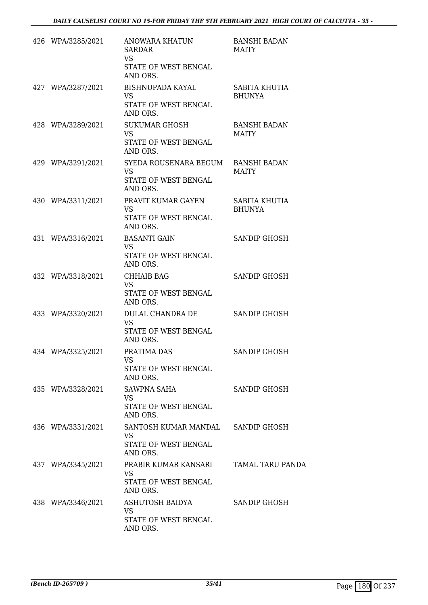| 426 WPA/3285/2021 | <b>ANOWARA KHATUN</b><br><b>SARDAR</b><br><b>VS</b><br>STATE OF WEST BENGAL<br>AND ORS. | <b>BANSHI BADAN</b><br><b>MAITY</b> |
|-------------------|-----------------------------------------------------------------------------------------|-------------------------------------|
| 427 WPA/3287/2021 | <b>BISHNUPADA KAYAL</b><br><b>VS</b><br>STATE OF WEST BENGAL<br>AND ORS.                | SABITA KHUTIA<br><b>BHUNYA</b>      |
| 428 WPA/3289/2021 | <b>SUKUMAR GHOSH</b><br><b>VS</b><br>STATE OF WEST BENGAL<br>AND ORS.                   | <b>BANSHI BADAN</b><br><b>MAITY</b> |
| 429 WPA/3291/2021 | SYEDA ROUSENARA BEGUM<br><b>VS</b><br>STATE OF WEST BENGAL<br>AND ORS.                  | <b>BANSHI BADAN</b><br>MAITY        |
| 430 WPA/3311/2021 | PRAVIT KUMAR GAYEN<br><b>VS</b><br>STATE OF WEST BENGAL<br>AND ORS.                     | SABITA KHUTIA<br><b>BHUNYA</b>      |
| 431 WPA/3316/2021 | <b>BASANTI GAIN</b><br><b>VS</b><br>STATE OF WEST BENGAL<br>AND ORS.                    | <b>SANDIP GHOSH</b>                 |
| 432 WPA/3318/2021 | CHHAIB BAG<br><b>VS</b><br>STATE OF WEST BENGAL<br>AND ORS.                             | <b>SANDIP GHOSH</b>                 |
| 433 WPA/3320/2021 | DULAL CHANDRA DE<br><b>VS</b><br>STATE OF WEST BENGAL<br>AND ORS.                       | <b>SANDIP GHOSH</b>                 |
| 434 WPA/3325/2021 | PRATIMA DAS<br><b>VS</b><br>STATE OF WEST BENGAL<br>AND ORS.                            | <b>SANDIP GHOSH</b>                 |
| 435 WPA/3328/2021 | SAWPNA SAHA<br>VS<br>STATE OF WEST BENGAL<br>AND ORS.                                   | SANDIP GHOSH                        |
| 436 WPA/3331/2021 | SANTOSH KUMAR MANDAL SANDIP GHOSH<br>VS<br>STATE OF WEST BENGAL<br>AND ORS.             |                                     |
| 437 WPA/3345/2021 | PRABIR KUMAR KANSARI<br><b>VS</b><br>STATE OF WEST BENGAL<br>AND ORS.                   | TAMAL TARU PANDA                    |
| 438 WPA/3346/2021 | ASHUTOSH BAIDYA<br><b>VS</b><br>STATE OF WEST BENGAL<br>AND ORS.                        | SANDIP GHOSH                        |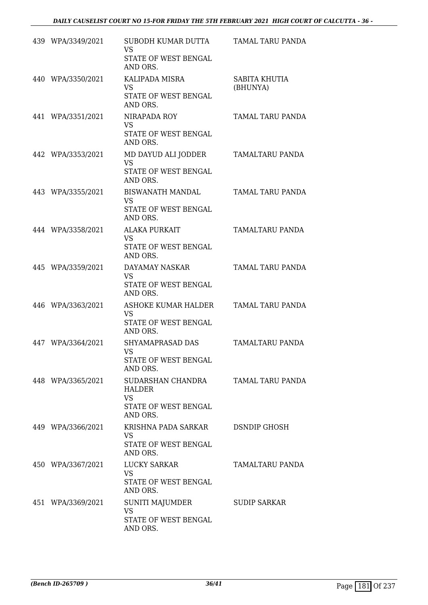| 439 WPA/3349/2021 | SUBODH KUMAR DUTTA<br><b>VS</b><br>STATE OF WEST BENGAL<br>AND ORS.                 | TAMAL TARU PANDA          |
|-------------------|-------------------------------------------------------------------------------------|---------------------------|
| 440 WPA/3350/2021 | KALIPADA MISRA<br><b>VS</b><br>STATE OF WEST BENGAL<br>AND ORS.                     | SABITA KHUTIA<br>(BHUNYA) |
| 441 WPA/3351/2021 | NIRAPADA ROY<br><b>VS</b><br>STATE OF WEST BENGAL<br>AND ORS.                       | TAMAL TARU PANDA          |
| 442 WPA/3353/2021 | MD DAYUD ALI JODDER<br><b>VS</b><br>STATE OF WEST BENGAL<br>AND ORS.                | TAMALTARU PANDA           |
| 443 WPA/3355/2021 | BISWANATH MANDAL<br><b>VS</b><br>STATE OF WEST BENGAL<br>AND ORS.                   | TAMAL TARU PANDA          |
| 444 WPA/3358/2021 | <b>ALAKA PURKAIT</b><br><b>VS</b><br>STATE OF WEST BENGAL<br>AND ORS.               | TAMALTARU PANDA           |
| 445 WPA/3359/2021 | DAYAMAY NASKAR<br><b>VS</b><br>STATE OF WEST BENGAL<br>AND ORS.                     | TAMAL TARU PANDA          |
| 446 WPA/3363/2021 | ASHOKE KUMAR HALDER<br><b>VS</b><br>STATE OF WEST BENGAL<br>AND ORS.                | TAMAL TARU PANDA          |
| 447 WPA/3364/2021 | SHYAMAPRASAD DAS<br><b>VS</b><br>STATE OF WEST BENGAL<br>AND ORS.                   | TAMALTARU PANDA           |
| 448 WPA/3365/2021 | SUDARSHAN CHANDRA<br><b>HALDER</b><br><b>VS</b><br>STATE OF WEST BENGAL<br>AND ORS. | TAMAL TARU PANDA          |
| 449 WPA/3366/2021 | KRISHNA PADA SARKAR<br><b>VS</b><br>STATE OF WEST BENGAL<br>AND ORS.                | <b>DSNDIP GHOSH</b>       |
| 450 WPA/3367/2021 | LUCKY SARKAR<br><b>VS</b><br>STATE OF WEST BENGAL<br>AND ORS.                       | TAMALTARU PANDA           |
| 451 WPA/3369/2021 | SUNITI MAJUMDER<br>VS<br>STATE OF WEST BENGAL<br>AND ORS.                           | <b>SUDIP SARKAR</b>       |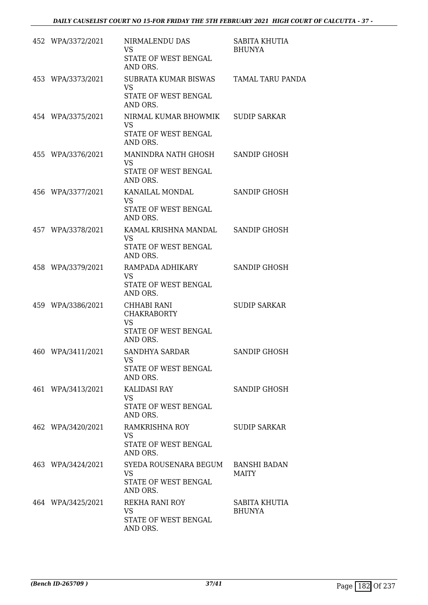| 452 WPA/3372/2021 | NIRMALENDU DAS<br><b>VS</b><br>STATE OF WEST BENGAL<br>AND ORS.                        | SABITA KHUTIA<br><b>BHUNYA</b> |
|-------------------|----------------------------------------------------------------------------------------|--------------------------------|
| 453 WPA/3373/2021 | SUBRATA KUMAR BISWAS TAMAL TARU PANDA<br><b>VS</b><br>STATE OF WEST BENGAL<br>AND ORS. |                                |
| 454 WPA/3375/2021 | NIRMAL KUMAR BHOWMIK<br><b>VS</b><br>STATE OF WEST BENGAL<br>AND ORS.                  | <b>SUDIP SARKAR</b>            |
| 455 WPA/3376/2021 | MANINDRA NATH GHOSH<br><b>VS</b><br>STATE OF WEST BENGAL<br>AND ORS.                   | <b>SANDIP GHOSH</b>            |
| 456 WPA/3377/2021 | KANAILAL MONDAL<br><b>VS</b><br>STATE OF WEST BENGAL<br>AND ORS.                       | SANDIP GHOSH                   |
| 457 WPA/3378/2021 | KAMAL KRISHNA MANDAL<br><b>VS</b><br>STATE OF WEST BENGAL<br>AND ORS.                  | SANDIP GHOSH                   |
| 458 WPA/3379/2021 | RAMPADA ADHIKARY<br><b>VS</b><br>STATE OF WEST BENGAL<br>AND ORS.                      | <b>SANDIP GHOSH</b>            |
| 459 WPA/3386/2021 | CHHABI RANI<br><b>CHAKRABORTY</b><br><b>VS</b><br>STATE OF WEST BENGAL<br>AND ORS.     | <b>SUDIP SARKAR</b>            |
| 460 WPA/3411/2021 | <b>SANDHYA SARDAR</b><br>VS<br>STATE OF WEST BENGAL<br>AND ORS.                        | <b>SANDIP GHOSH</b>            |
| 461 WPA/3413/2021 | KALIDASI RAY<br>VS.<br>STATE OF WEST BENGAL<br>AND ORS.                                | SANDIP GHOSH                   |
| 462 WPA/3420/2021 | RAMKRISHNA ROY<br><b>VS</b><br>STATE OF WEST BENGAL<br>AND ORS.                        | <b>SUDIP SARKAR</b>            |
| 463 WPA/3424/2021 | SYEDA ROUSENARA BEGUM<br><b>VS</b><br>STATE OF WEST BENGAL<br>AND ORS.                 | BANSHI BADAN<br><b>MAITY</b>   |
| 464 WPA/3425/2021 | REKHA RANI ROY<br><b>VS</b><br>STATE OF WEST BENGAL<br>AND ORS.                        | SABITA KHUTIA<br><b>BHUNYA</b> |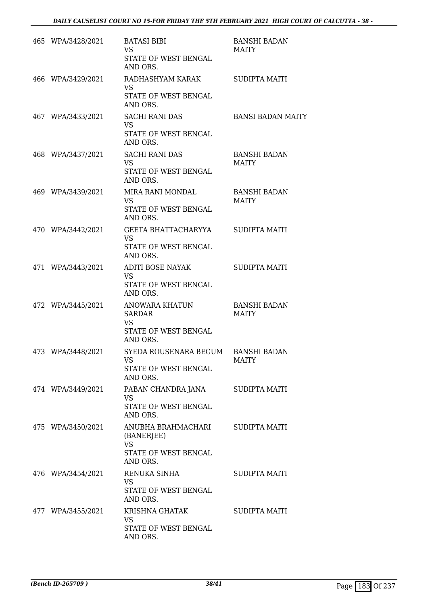| 465 WPA/3428/2021 | <b>BATASI BIBI</b><br><b>VS</b><br>STATE OF WEST BENGAL<br>AND ORS.               | <b>BANSHI BADAN</b><br>MAITY        |
|-------------------|-----------------------------------------------------------------------------------|-------------------------------------|
| 466 WPA/3429/2021 | RADHASHYAM KARAK<br><b>VS</b><br>STATE OF WEST BENGAL<br>AND ORS.                 | <b>SUDIPTA MAITI</b>                |
| 467 WPA/3433/2021 | <b>SACHI RANI DAS</b><br><b>VS</b><br>STATE OF WEST BENGAL<br>AND ORS.            | <b>BANSI BADAN MAITY</b>            |
| 468 WPA/3437/2021 | <b>SACHI RANI DAS</b><br>VS<br>STATE OF WEST BENGAL<br>AND ORS.                   | <b>BANSHI BADAN</b><br>MAITY        |
| 469 WPA/3439/2021 | MIRA RANI MONDAL<br><b>VS</b><br>STATE OF WEST BENGAL<br>AND ORS.                 | <b>BANSHI BADAN</b><br><b>MAITY</b> |
| 470 WPA/3442/2021 | GEETA BHATTACHARYYA<br><b>VS</b><br>STATE OF WEST BENGAL<br>AND ORS.              | SUDIPTA MAITI                       |
| 471 WPA/3443/2021 | ADITI BOSE NAYAK<br><b>VS</b><br>STATE OF WEST BENGAL<br>AND ORS.                 | <b>SUDIPTA MAITI</b>                |
| 472 WPA/3445/2021 | ANOWARA KHATUN<br><b>SARDAR</b><br><b>VS</b><br>STATE OF WEST BENGAL<br>AND ORS.  | <b>BANSHI BADAN</b><br><b>MAITY</b> |
| 473 WPA/3448/2021 | SYEDA ROUSENARA BEGUM BANSHI BADAN<br>VS<br>STATE OF WEST BENGAL<br>AND ORS.      | MAITY                               |
| 474 WPA/3449/2021 | PABAN CHANDRA JANA<br><b>VS</b><br>STATE OF WEST BENGAL<br>AND ORS.               | SUDIPTA MAITI                       |
| 475 WPA/3450/2021 | ANUBHA BRAHMACHARI<br>(BANERJEE)<br><b>VS</b><br>STATE OF WEST BENGAL<br>AND ORS. | SUDIPTA MAITI                       |
| 476 WPA/3454/2021 | RENUKA SINHA<br>VS<br>STATE OF WEST BENGAL<br>AND ORS.                            | SUDIPTA MAITI                       |
| 477 WPA/3455/2021 | KRISHNA GHATAK<br>VS<br>STATE OF WEST BENGAL<br>AND ORS.                          | SUDIPTA MAITI                       |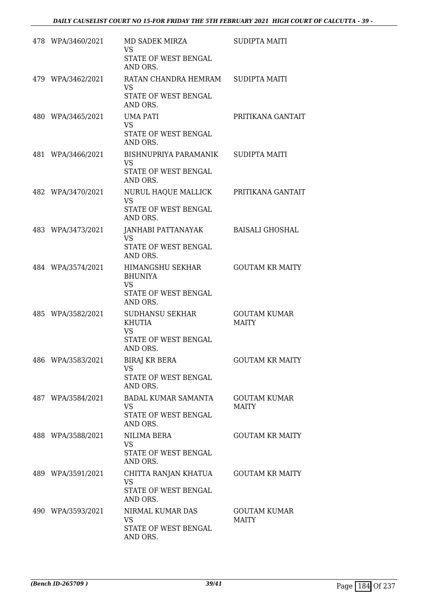| 478 WPA/3460/2021 | MD SADEK MIRZA<br><b>VS</b><br>STATE OF WEST BENGAL<br>AND ORS.                     | <b>SUDIPTA MAITI</b>                |
|-------------------|-------------------------------------------------------------------------------------|-------------------------------------|
| 479 WPA/3462/2021 | RATAN CHANDRA HEMRAM<br><b>VS</b><br>STATE OF WEST BENGAL<br>AND ORS.               | <b>SUDIPTA MAITI</b>                |
| 480 WPA/3465/2021 | <b>UMA PATI</b><br><b>VS</b><br>STATE OF WEST BENGAL<br>AND ORS.                    | PRITIKANA GANTAIT                   |
| 481 WPA/3466/2021 | BISHNUPRIYA PARAMANIK<br><b>VS</b><br>STATE OF WEST BENGAL<br>AND ORS.              | SUDIPTA MAITI                       |
| 482 WPA/3470/2021 | NURUL HAQUE MALLICK<br><b>VS</b><br>STATE OF WEST BENGAL<br>AND ORS.                | PRITIKANA GANTAIT                   |
| 483 WPA/3473/2021 | JANHABI PATTANAYAK<br><b>VS</b><br>STATE OF WEST BENGAL<br>AND ORS.                 | BAISALI GHOSHAL                     |
| 484 WPA/3574/2021 | HIMANGSHU SEKHAR<br><b>BHUNIYA</b><br><b>VS</b><br>STATE OF WEST BENGAL<br>AND ORS. | <b>GOUTAM KR MAITY</b>              |
| 485 WPA/3582/2021 | <b>SUDHANSU SEKHAR</b><br>KHUTIA<br><b>VS</b><br>STATE OF WEST BENGAL<br>AND ORS.   | <b>GOUTAM KUMAR</b><br><b>MAITY</b> |
| 486 WPA/3583/2021 | <b>BIRAJ KR BERA</b><br><b>VS</b><br>STATE OF WEST BENGAL<br>AND ORS.               | <b>GOUTAM KR MAITY</b>              |
| 487 WPA/3584/2021 | <b>BADAL KUMAR SAMANTA</b><br><b>VS</b><br>STATE OF WEST BENGAL<br>AND ORS.         | <b>GOUTAM KUMAR</b><br>MAITY        |
| 488 WPA/3588/2021 | NILIMA BERA<br><b>VS</b><br>STATE OF WEST BENGAL<br>AND ORS.                        | <b>GOUTAM KR MAITY</b>              |
| 489 WPA/3591/2021 | CHITTA RANJAN KHATUA<br><b>VS</b><br>STATE OF WEST BENGAL<br>AND ORS.               | <b>GOUTAM KR MAITY</b>              |
| 490 WPA/3593/2021 | NIRMAL KUMAR DAS<br><b>VS</b><br>STATE OF WEST BENGAL<br>AND ORS.                   | <b>GOUTAM KUMAR</b><br><b>MAITY</b> |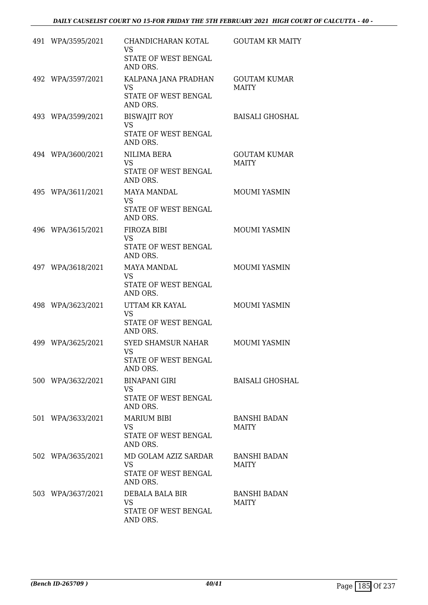| 491 WPA/3595/2021 | CHANDICHARAN KOTAL<br><b>VS</b><br>STATE OF WEST BENGAL<br>AND ORS.   | <b>GOUTAM KR MAITY</b>              |
|-------------------|-----------------------------------------------------------------------|-------------------------------------|
| 492 WPA/3597/2021 | KALPANA JANA PRADHAN<br><b>VS</b><br>STATE OF WEST BENGAL<br>AND ORS. | <b>GOUTAM KUMAR</b><br><b>MAITY</b> |
| 493 WPA/3599/2021 | <b>BISWAJIT ROY</b><br><b>VS</b><br>STATE OF WEST BENGAL<br>AND ORS.  | <b>BAISALI GHOSHAL</b>              |
| 494 WPA/3600/2021 | NILIMA BERA<br><b>VS</b><br>STATE OF WEST BENGAL<br>AND ORS.          | <b>GOUTAM KUMAR</b><br><b>MAITY</b> |
| 495 WPA/3611/2021 | <b>MAYA MANDAL</b><br><b>VS</b><br>STATE OF WEST BENGAL<br>AND ORS.   | MOUMI YASMIN                        |
| 496 WPA/3615/2021 | FIROZA BIBI<br><b>VS</b><br>STATE OF WEST BENGAL<br>AND ORS.          | MOUMI YASMIN                        |
| 497 WPA/3618/2021 | <b>MAYA MANDAL</b><br><b>VS</b><br>STATE OF WEST BENGAL<br>AND ORS.   | <b>MOUMI YASMIN</b>                 |
| 498 WPA/3623/2021 | UTTAM KR KAYAL<br><b>VS</b><br>STATE OF WEST BENGAL<br>AND ORS.       | <b>MOUMI YASMIN</b>                 |
| 499 WPA/3625/2021 | SYED SHAMSUR NAHAR<br>VS<br>STATE OF WEST BENGAL<br>AND ORS.          | <b>MOUMI YASMIN</b>                 |
| 500 WPA/3632/2021 | <b>BINAPANI GIRI</b><br>VS.<br>STATE OF WEST BENGAL<br>AND ORS.       | <b>BAISALI GHOSHAL</b>              |
| 501 WPA/3633/2021 | <b>MARIUM BIBI</b><br><b>VS</b><br>STATE OF WEST BENGAL<br>AND ORS.   | <b>BANSHI BADAN</b><br><b>MAITY</b> |
| 502 WPA/3635/2021 | MD GOLAM AZIZ SARDAR<br><b>VS</b><br>STATE OF WEST BENGAL<br>AND ORS. | <b>BANSHI BADAN</b><br><b>MAITY</b> |
| 503 WPA/3637/2021 | DEBALA BALA BIR<br>VS.<br>STATE OF WEST BENGAL<br>AND ORS.            | <b>BANSHI BADAN</b><br><b>MAITY</b> |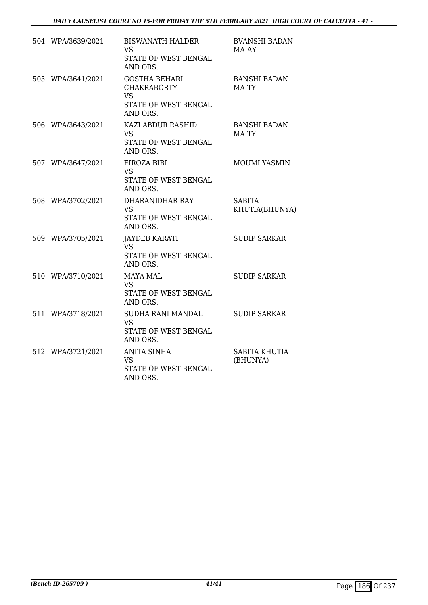| 504 WPA/3639/2021 | <b>BISWANATH HALDER</b><br><b>VS</b><br>STATE OF WEST BENGAL<br>AND ORS.                    | <b>BVANSHI BADAN</b><br><b>MAIAY</b> |
|-------------------|---------------------------------------------------------------------------------------------|--------------------------------------|
| 505 WPA/3641/2021 | <b>GOSTHA BEHARI</b><br><b>CHAKRABORTY</b><br><b>VS</b><br>STATE OF WEST BENGAL<br>AND ORS. | <b>BANSHI BADAN</b><br><b>MAITY</b>  |
| 506 WPA/3643/2021 | KAZI ABDUR RASHID<br>VS.<br>STATE OF WEST BENGAL<br>AND ORS.                                | <b>BANSHI BADAN</b><br><b>MAITY</b>  |
| 507 WPA/3647/2021 | FIROZA BIBI<br><b>VS</b><br>STATE OF WEST BENGAL<br>AND ORS.                                | <b>MOUMI YASMIN</b>                  |
| 508 WPA/3702/2021 | DHARANIDHAR RAY<br><b>VS</b><br>STATE OF WEST BENGAL<br>AND ORS.                            | <b>SABITA</b><br>KHUTIA(BHUNYA)      |
| 509 WPA/3705/2021 | <b>JAYDEB KARATI</b><br><b>VS</b><br>STATE OF WEST BENGAL<br>AND ORS.                       | <b>SUDIP SARKAR</b>                  |
| 510 WPA/3710/2021 | <b>MAYA MAL</b><br><b>VS</b><br>STATE OF WEST BENGAL<br>AND ORS.                            | <b>SUDIP SARKAR</b>                  |
| 511 WPA/3718/2021 | SUDHA RANI MANDAL<br><b>VS</b><br>STATE OF WEST BENGAL<br>AND ORS.                          | <b>SUDIP SARKAR</b>                  |
| 512 WPA/3721/2021 | <b>ANITA SINHA</b><br><b>VS</b><br>STATE OF WEST BENGAL<br>AND ORS.                         | <b>SABITA KHUTIA</b><br>(BHUNYA)     |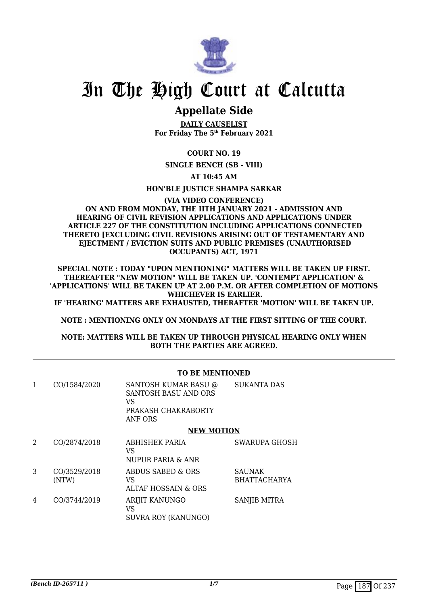

### **Appellate Side**

**DAILY CAUSELIST For Friday The 5th February 2021**

#### **COURT NO. 19**

**SINGLE BENCH (SB - VIII)**

**AT 10:45 AM**

**HON'BLE JUSTICE SHAMPA SARKAR**

#### **(VIA VIDEO CONFERENCE) ON AND FROM MONDAY, THE IITH JANUARY 2021 - ADMISSION AND HEARING OF CIVIL REVISION APPLICATIONS AND APPLICATIONS UNDER ARTICLE 227 OF THE CONSTITUTION INCLUDING APPLICATIONS CONNECTED THERETO [EXCLUDING CIVIL REVISIONS ARISING OUT OF TESTAMENTARY AND EJECTMENT / EVICTION SUITS AND PUBLIC PREMISES (UNAUTHORISED OCCUPANTS) ACT, 1971**

**SPECIAL NOTE : TODAY "UPON MENTIONING" MATTERS WILL BE TAKEN UP FIRST. THEREAFTER "NEW MOTION" WILL BE TAKEN UP. 'CONTEMPT APPLICATION' & 'APPLICATIONS' WILL BE TAKEN UP AT 2.00 P.M. OR AFTER COMPLETION OF MOTIONS WHICHEVER IS EARLIER.**

**IF 'HEARING' MATTERS ARE EXHAUSTED, THERAFTER 'MOTION' WILL BE TAKEN UP.**

**NOTE : MENTIONING ONLY ON MONDAYS AT THE FIRST SITTING OF THE COURT.**

**NOTE: MATTERS WILL BE TAKEN UP THROUGH PHYSICAL HEARING ONLY WHEN BOTH THE PARTIES ARE AGREED.**

#### **TO BE MENTIONED**

| 1 | CO/1584/2020          | <b>SANTOSH KUMAR BASU @</b><br><b>SANTOSH BASU AND ORS</b><br>VS<br>PRAKASH CHAKRABORTY<br>ANF ORS | <b>SUKANTA DAS</b>                   |
|---|-----------------------|----------------------------------------------------------------------------------------------------|--------------------------------------|
|   |                       | <b>NEW MOTION</b>                                                                                  |                                      |
| 2 | CO/2874/2018          | ABHISHEK PARIA<br>VS<br>NUPUR PARIA & ANR                                                          | <b>SWARUPA GHOSH</b>                 |
| 3 | CO/3529/2018<br>(NTW) | ABDUS SABED & ORS<br>VS<br><b>ALTAF HOSSAIN &amp; ORS</b>                                          | <b>SAUNAK</b><br><b>BHATTACHARYA</b> |
| 4 | CO/3744/2019          | <b>ARIJIT KANUNGO</b><br>VS<br><b>SUVRA ROY (KANUNGO)</b>                                          | SANJIB MITRA                         |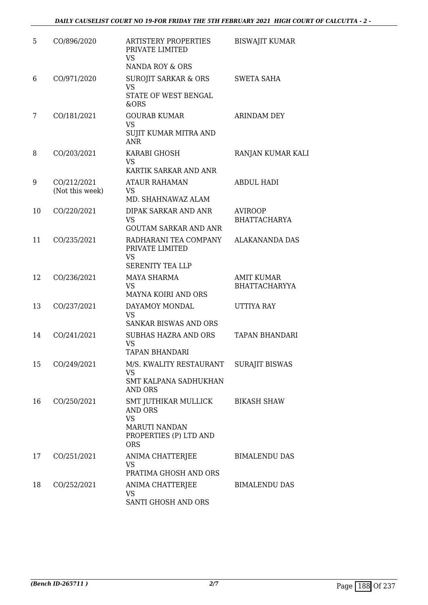| 5  | CO/896/2020                    | ARTISTERY PROPERTIES<br>PRIVATE LIMITED<br>VS.<br>NANDA ROY & ORS                                                   | <b>BISWAJIT KUMAR</b>                     |
|----|--------------------------------|---------------------------------------------------------------------------------------------------------------------|-------------------------------------------|
| 6  | CO/971/2020                    | <b>SUROJIT SARKAR &amp; ORS</b><br><b>VS</b><br>STATE OF WEST BENGAL<br>&ORS                                        | SWETA SAHA                                |
| 7  | CO/181/2021                    | <b>GOURAB KUMAR</b><br><b>VS</b><br>SUJIT KUMAR MITRA AND<br><b>ANR</b>                                             | ARINDAM DEY                               |
| 8  | CO/203/2021                    | KARABI GHOSH<br><b>VS</b><br>KARTIK SARKAR AND ANR                                                                  | RANJAN KUMAR KALI                         |
| 9  | CO/212/2021<br>(Not this week) | <b>ATAUR RAHAMAN</b><br>VS<br>MD. SHAHNAWAZ ALAM                                                                    | <b>ABDUL HADI</b>                         |
| 10 | CO/220/2021                    | DIPAK SARKAR AND ANR<br><b>VS</b><br><b>GOUTAM SARKAR AND ANR</b>                                                   | <b>AVIROOP</b><br><b>BHATTACHARYA</b>     |
| 11 | CO/235/2021                    | RADHARANI TEA COMPANY<br>PRIVATE LIMITED<br><b>VS</b><br><b>SERENITY TEA LLP</b>                                    | ALAKANANDA DAS                            |
| 12 | CO/236/2021                    | MAYA SHARMA<br><b>VS</b><br>MAYNA KOIRI AND ORS                                                                     | <b>AMIT KUMAR</b><br><b>BHATTACHARYYA</b> |
| 13 | CO/237/2021                    | DAYAMOY MONDAL<br><b>VS</b><br><b>SANKAR BISWAS AND ORS</b>                                                         | UTTIYA RAY                                |
| 14 | CO/241/2021                    | <b>SUBHAS HAZRA AND ORS</b><br><b>VS</b><br>TAPAN BHANDARI                                                          | TAPAN BHANDARI                            |
| 15 | CO/249/2021                    | M/S. KWALITY RESTAURANT<br><b>VS</b><br>SMT KALPANA SADHUKHAN<br><b>AND ORS</b>                                     | <b>SURAJIT BISWAS</b>                     |
| 16 | CO/250/2021                    | SMT JUTHIKAR MULLICK<br><b>AND ORS</b><br><b>VS</b><br><b>MARUTI NANDAN</b><br>PROPERTIES (P) LTD AND<br><b>ORS</b> | <b>BIKASH SHAW</b>                        |
| 17 | CO/251/2021                    | ANIMA CHATTERJEE<br>VS<br>PRATIMA GHOSH AND ORS                                                                     | <b>BIMALENDU DAS</b>                      |
| 18 | CO/252/2021                    | ANIMA CHATTERJEE<br>VS<br>SANTI GHOSH AND ORS                                                                       | <b>BIMALENDU DAS</b>                      |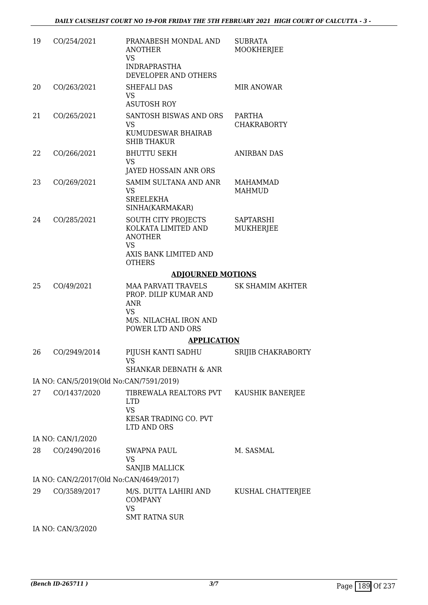| 19 | CO/254/2021                             | PRANABESH MONDAL AND<br>ANOTHER<br>VS<br><b>INDRAPRASTHA</b><br>DEVELOPER AND OTHERS                                       | <b>SUBRATA</b><br>MOOKHERJEE        |
|----|-----------------------------------------|----------------------------------------------------------------------------------------------------------------------------|-------------------------------------|
| 20 | CO/263/2021                             | SHEFALI DAS<br><b>VS</b><br><b>ASUTOSH ROY</b>                                                                             | <b>MIR ANOWAR</b>                   |
| 21 | CO/265/2021                             | SANTOSH BISWAS AND ORS<br><b>VS</b><br>KUMUDESWAR BHAIRAB<br><b>SHIB THAKUR</b>                                            | <b>PARTHA</b><br><b>CHAKRABORTY</b> |
| 22 | CO/266/2021                             | <b>BHUTTU SEKH</b><br><b>VS</b><br>JAYED HOSSAIN ANR ORS                                                                   | <b>ANIRBAN DAS</b>                  |
| 23 | CO/269/2021                             | SAMIM SULTANA AND ANR<br><b>VS</b><br><b>SREELEKHA</b><br>SINHA(KARMAKAR)                                                  | <b>MAHAMMAD</b><br>MAHMUD           |
| 24 | CO/285/2021                             | <b>SOUTH CITY PROJECTS</b><br>KOLKATA LIMITED AND<br><b>ANOTHER</b><br><b>VS</b><br>AXIS BANK LIMITED AND<br><b>OTHERS</b> | SAPTARSHI<br><b>MUKHERJEE</b>       |
|    |                                         | <b>ADJOURNED MOTIONS</b>                                                                                                   |                                     |
| 25 | CO/49/2021                              | <b>MAA PARVATI TRAVELS</b><br>PROP. DILIP KUMAR AND<br><b>ANR</b><br><b>VS</b>                                             | <b>SK SHAMIM AKHTER</b>             |
|    |                                         | M/S. NILACHAL IRON AND<br>POWER LTD AND ORS                                                                                |                                     |
|    |                                         | <b>APPLICATION</b>                                                                                                         |                                     |
| 26 | CO/2949/2014                            | PIJUSH KANTI SADHU<br>VS<br><b>SHANKAR DEBNATH &amp; ANR</b>                                                               | SRIJIB CHAKRABORTY                  |
|    | IA NO: CAN/5/2019(Old No:CAN/7591/2019) |                                                                                                                            |                                     |
| 27 | CO/1437/2020                            | TIBREWALA REALTORS PVT<br><b>LTD</b><br><b>VS</b><br>KESAR TRADING CO. PVT<br>LTD AND ORS                                  | KAUSHIK BANERJEE                    |
|    | IA NO: CAN/1/2020                       |                                                                                                                            |                                     |
| 28 | CO/2490/2016                            | <b>SWAPNA PAUL</b>                                                                                                         | M. SASMAL                           |
|    |                                         | <b>VS</b><br>SANJIB MALLICK                                                                                                |                                     |
|    | IA NO: CAN/2/2017(Old No:CAN/4649/2017) |                                                                                                                            |                                     |
| 29 | CO/3589/2017                            | M/S. DUTTA LAHIRI AND<br><b>COMPANY</b><br><b>VS</b><br><b>SMT RATNA SUR</b>                                               | KUSHAL CHATTERJEE                   |
|    | IA NO: CAN/3/2020                       |                                                                                                                            |                                     |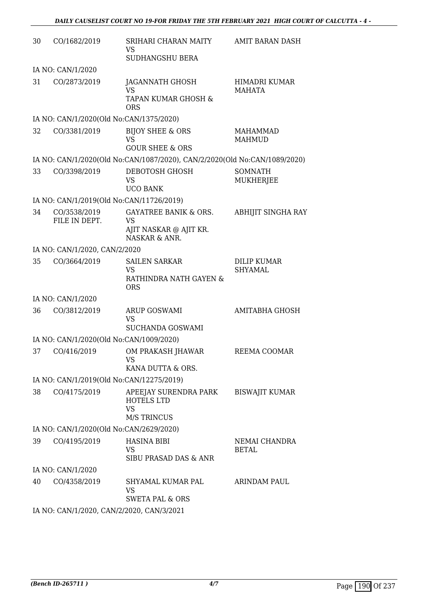| 30 | CO/1682/2019                              | SRIHARI CHARAN MAITY<br><b>VS</b><br>SUDHANGSHU BERA                                     | AMIT BARAN DASH                  |  |  |
|----|-------------------------------------------|------------------------------------------------------------------------------------------|----------------------------------|--|--|
|    | IA NO: CAN/1/2020                         |                                                                                          |                                  |  |  |
| 31 | CO/2873/2019                              | JAGANNATH GHOSH<br><b>VS</b><br>TAPAN KUMAR GHOSH &<br><b>ORS</b>                        | HIMADRI KUMAR<br><b>MAHATA</b>   |  |  |
|    | IA NO: CAN/1/2020(Old No:CAN/1375/2020)   |                                                                                          |                                  |  |  |
| 32 | CO/3381/2019                              | <b>BIJOY SHEE &amp; ORS</b><br><b>VS</b><br><b>GOUR SHEE &amp; ORS</b>                   | <b>MAHAMMAD</b><br><b>MAHMUD</b> |  |  |
|    |                                           | IA NO: CAN/1/2020(Old No:CAN/1087/2020), CAN/2/2020(Old No:CAN/1089/2020)                |                                  |  |  |
| 33 | CO/3398/2019                              | DEBOTOSH GHOSH<br><b>VS</b><br><b>UCO BANK</b>                                           | <b>SOMNATH</b><br>MUKHERJEE      |  |  |
|    | IA NO: CAN/1/2019(Old No:CAN/11726/2019)  |                                                                                          |                                  |  |  |
| 34 | CO/3538/2019<br>FILE IN DEPT.             | <b>GAYATREE BANIK &amp; ORS.</b><br><b>VS</b><br>AJIT NASKAR @ AJIT KR.<br>NASKAR & ANR. | ABHIJIT SINGHA RAY               |  |  |
|    | IA NO: CAN/1/2020, CAN/2/2020             |                                                                                          |                                  |  |  |
| 35 | CO/3664/2019                              | <b>SAILEN SARKAR</b><br><b>VS</b><br>RATHINDRA NATH GAYEN &<br><b>ORS</b>                | DILIP KUMAR<br><b>SHYAMAL</b>    |  |  |
|    | IA NO: CAN/1/2020                         |                                                                                          |                                  |  |  |
| 36 | CO/3812/2019                              | <b>ARUP GOSWAMI</b><br><b>VS</b><br>SUCHANDA GOSWAMI                                     | <b>AMITABHA GHOSH</b>            |  |  |
|    | IA NO: CAN/1/2020(Old No:CAN/1009/2020)   |                                                                                          |                                  |  |  |
| 37 | CO/416/2019                               | OM PRAKASH JHAWAR<br><b>VS</b><br>KANA DUTTA & ORS.                                      | REEMA COOMAR                     |  |  |
|    | IA NO: CAN/1/2019(Old No:CAN/12275/2019)  |                                                                                          |                                  |  |  |
| 38 | CO/4175/2019                              | APEEJAY SURENDRA PARK<br><b>HOTELS LTD</b><br><b>VS</b><br><b>M/S TRINCUS</b>            | <b>BISWAJIT KUMAR</b>            |  |  |
|    | IA NO: CAN/1/2020(Old No:CAN/2629/2020)   |                                                                                          |                                  |  |  |
| 39 | CO/4195/2019                              | <b>HASINA BIBI</b><br>VS<br>SIBU PRASAD DAS & ANR                                        | NEMAI CHANDRA<br><b>BETAL</b>    |  |  |
|    | IA NO: CAN/1/2020                         |                                                                                          |                                  |  |  |
| 40 | CO/4358/2019                              | SHYAMAL KUMAR PAL<br><b>VS</b><br><b>SWETA PAL &amp; ORS</b>                             | ARINDAM PAUL                     |  |  |
|    | IA NO: CAN/1/2020, CAN/2/2020, CAN/3/2021 |                                                                                          |                                  |  |  |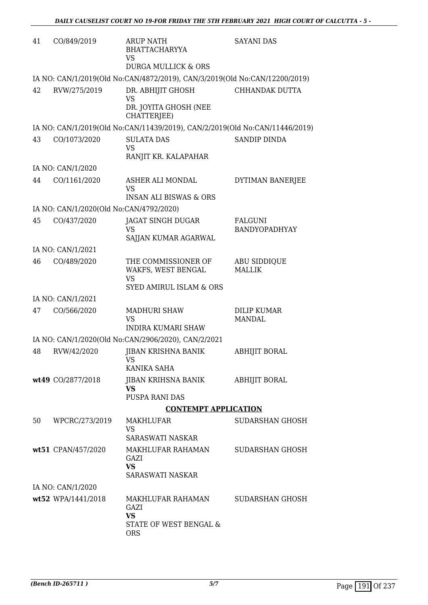| 41 | CO/849/2019                             | <b>ARUP NATH</b><br><b>BHATTACHARYYA</b><br><b>VS</b><br><b>DURGA MULLICK &amp; ORS</b>      | <b>SAYANI DAS</b>                      |
|----|-----------------------------------------|----------------------------------------------------------------------------------------------|----------------------------------------|
|    |                                         | IA NO: CAN/1/2019(Old No:CAN/4872/2019), CAN/3/2019(Old No:CAN/12200/2019)                   |                                        |
| 42 | RVW/275/2019                            | DR. ABHIJIT GHOSH<br><b>VS</b><br>DR. JOYITA GHOSH (NEE<br>CHATTERJEE)                       | CHHANDAK DUTTA                         |
|    |                                         | IA NO: CAN/1/2019(Old No:CAN/11439/2019), CAN/2/2019(Old No:CAN/11446/2019)                  |                                        |
| 43 | CO/1073/2020                            | <b>SULATA DAS</b><br><b>VS</b><br>RANJIT KR. KALAPAHAR                                       | <b>SANDIP DINDA</b>                    |
|    | IA NO: CAN/1/2020                       |                                                                                              |                                        |
| 44 | CO/1161/2020                            | ASHER ALI MONDAL<br><b>VS</b><br><b>INSAN ALI BISWAS &amp; ORS</b>                           | DYTIMAN BANERJEE                       |
|    | IA NO: CAN/1/2020(Old No:CAN/4792/2020) |                                                                                              |                                        |
| 45 | CO/437/2020                             | <b>JAGAT SINGH DUGAR</b><br><b>VS</b><br>SAJJAN KUMAR AGARWAL                                | <b>FALGUNI</b><br><b>BANDYOPADHYAY</b> |
|    | IA NO: CAN/1/2021                       |                                                                                              |                                        |
| 46 | CO/489/2020                             | THE COMMISSIONER OF<br>WAKFS, WEST BENGAL<br><b>VS</b><br><b>SYED AMIRUL ISLAM &amp; ORS</b> | <b>ABU SIDDIQUE</b><br><b>MALLIK</b>   |
|    | IA NO: CAN/1/2021                       |                                                                                              |                                        |
| 47 | CO/566/2020                             | <b>MADHURI SHAW</b><br><b>VS</b><br><b>INDIRA KUMARI SHAW</b>                                | <b>DILIP KUMAR</b><br><b>MANDAL</b>    |
|    |                                         | IA NO: CAN/1/2020(Old No:CAN/2906/2020), CAN/2/2021                                          |                                        |
| 48 | RVW/42/2020                             | <b>JIBAN KRISHNA BANIK</b><br>VS<br>KANIKA SAHA                                              | <b>ABHIJIT BORAL</b>                   |
|    | wt49 CO/2877/2018                       | JIBAN KRIHSNA BANIK<br><b>VS</b><br><b>PUSPA RANI DAS</b>                                    | <b>ABHIJIT BORAL</b>                   |
|    |                                         | <b>CONTEMPT APPLICATION</b>                                                                  |                                        |
| 50 | WPCRC/273/2019                          | MAKHLUFAR<br><b>VS</b><br><b>SARASWATI NASKAR</b>                                            | SUDARSHAN GHOSH                        |
|    | wt51 CPAN/457/2020                      | MAKHLUFAR RAHAMAN<br>GAZI<br><b>VS</b><br>SARASWATI NASKAR                                   | <b>SUDARSHAN GHOSH</b>                 |
|    | IA NO: CAN/1/2020                       |                                                                                              |                                        |
|    | wt52 WPA/1441/2018                      | MAKHLUFAR RAHAMAN<br>GAZI<br><b>VS</b><br>STATE OF WEST BENGAL &<br><b>ORS</b>               | SUDARSHAN GHOSH                        |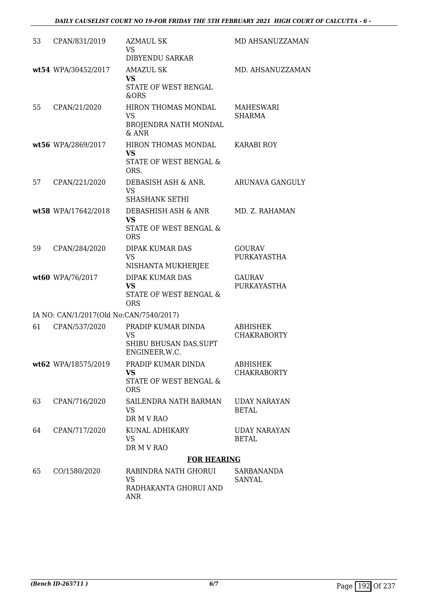| 53 | CPAN/831/2019                           | AZMAUL SK<br><b>VS</b><br>DIBYENDU SARKAR                                           | MD AHSANUZZAMAN                       |
|----|-----------------------------------------|-------------------------------------------------------------------------------------|---------------------------------------|
|    | wt54 WPA/30452/2017                     | <b>AMAZUL SK</b><br><b>VS</b><br>STATE OF WEST BENGAL<br>&ORS                       | MD. AHSANUZZAMAN                      |
| 55 | CPAN/21/2020                            | HIRON THOMAS MONDAL<br><b>VS</b><br>BROJENDRA NATH MONDAL<br>& ANR                  | MAHESWARI<br><b>SHARMA</b>            |
|    | wt56 WPA/2869/2017                      | HIRON THOMAS MONDAL<br><b>VS</b><br>STATE OF WEST BENGAL &<br>ORS.                  | KARABI ROY                            |
| 57 | CPAN/221/2020                           | DEBASISH ASH & ANR.<br><b>VS</b><br><b>SHASHANK SETHI</b>                           | ARUNAVA GANGULY                       |
|    | wt58 WPA/17642/2018                     | DEBASHISH ASH & ANR<br><b>VS</b><br><b>STATE OF WEST BENGAL &amp;</b><br><b>ORS</b> | MD. Z. RAHAMAN                        |
| 59 | CPAN/284/2020                           | DIPAK KUMAR DAS<br>VS<br>NISHANTA MUKHERJEE                                         | <b>GOURAV</b><br>PURKAYASTHA          |
|    | wt60 WPA/76/2017                        | <b>DIPAK KUMAR DAS</b><br><b>VS</b><br>STATE OF WEST BENGAL &<br><b>ORS</b>         | <b>GAURAV</b><br>PURKAYASTHA          |
|    | IA NO: CAN/1/2017(Old No:CAN/7540/2017) |                                                                                     |                                       |
| 61 | CPAN/537/2020                           | PRADIP KUMAR DINDA<br><b>VS</b><br>SHIBU BHUSAN DAS, SUPT<br>ENGINEER, W.C.         | <b>ABHISHEK</b><br><b>CHAKRABORTY</b> |
|    | wt62 WPA/18575/2019                     | PRADIP KUMAR DINDA<br><b>VS</b><br><b>STATE OF WEST BENGAL &amp;</b><br><b>ORS</b>  | <b>ABHISHEK</b><br><b>CHAKRABORTY</b> |
| 63 | CPAN/716/2020                           | SAILENDRA NATH BARMAN<br>VS<br>DR M V RAO                                           | UDAY NARAYAN<br><b>BETAL</b>          |
| 64 | CPAN/717/2020                           | KUNAL ADHIKARY<br><b>VS</b><br>DR M V RAO                                           | UDAY NARAYAN<br><b>BETAL</b>          |
|    |                                         | <b>FOR HEARING</b>                                                                  |                                       |
| 65 | CO/1580/2020                            | RABINDRA NATH GHORUI<br><b>VS</b><br>RADHAKANTA GHORUI AND<br><b>ANR</b>            | <b>SARBANANDA</b><br>SANYAL           |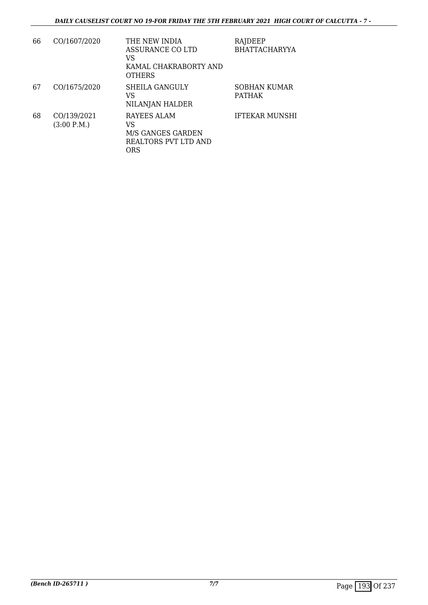| 66 | CO/1607/2020               | THE NEW INDIA<br>ASSURANCE CO LTD<br>VS<br>KAMAL CHAKRABORTY AND<br><b>OTHERS</b> | RAJDEEP<br><b>BHATTACHARYYA</b> |
|----|----------------------------|-----------------------------------------------------------------------------------|---------------------------------|
| 67 | CO/1675/2020               | SHEILA GANGULY<br>VS<br>NILANJAN HALDER                                           | SOBHAN KUMAR<br><b>PATHAK</b>   |
| 68 | CO/139/2021<br>(3:00 P.M.) | RAYEES ALAM<br>VS<br>M/S GANGES GARDEN<br>REALTORS PVT LTD AND<br>ORS             | <b>IFTEKAR MUNSHI</b>           |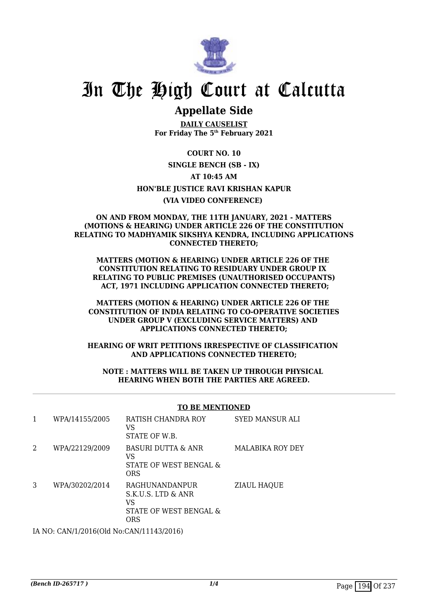

### **Appellate Side**

**DAILY CAUSELIST For Friday The 5th February 2021**

**COURT NO. 10 SINGLE BENCH (SB - IX) AT 10:45 AM HON'BLE JUSTICE RAVI KRISHAN KAPUR (VIA VIDEO CONFERENCE)** 

#### **ON AND FROM MONDAY, THE 11TH JANUARY, 2021 - MATTERS (MOTIONS & HEARING) UNDER ARTICLE 226 OF THE CONSTITUTION RELATING TO MADHYAMIK SIKSHYA KENDRA, INCLUDING APPLICATIONS CONNECTED THERETO;**

**MATTERS (MOTION & HEARING) UNDER ARTICLE 226 OF THE CONSTITUTION RELATING TO RESIDUARY UNDER GROUP IX RELATING TO PUBLIC PREMISES (UNAUTHORISED OCCUPANTS) ACT, 1971 INCLUDING APPLICATION CONNECTED THERETO;**

**MATTERS (MOTION & HEARING) UNDER ARTICLE 226 OF THE CONSTITUTION OF INDIA RELATING TO CO-OPERATIVE SOCIETIES UNDER GROUP V (EXCLUDING SERVICE MATTERS) AND APPLICATIONS CONNECTED THERETO;**

**HEARING OF WRIT PETITIONS IRRESPECTIVE OF CLASSIFICATION AND APPLICATIONS CONNECTED THERETO;**

**NOTE : MATTERS WILL BE TAKEN UP THROUGH PHYSICAL HEARING WHEN BOTH THE PARTIES ARE AGREED.**

#### **TO BE MENTIONED**

|   | WPA/14155/2005 | RATISH CHANDRA ROY<br>VS<br>STATE OF W.B.                                   | <b>SYED MANSUR ALI</b> |
|---|----------------|-----------------------------------------------------------------------------|------------------------|
| 2 | WPA/22129/2009 | <b>BASURI DUTTA &amp; ANR</b><br>VS<br>STATE OF WEST BENGAL &<br>ORS        | MALABIKA ROY DEY       |
| 3 | WPA/30202/2014 | RAGHUNANDANPUR<br>S.K.U.S. LTD & ANR<br>VS<br>STATE OF WEST BENGAL &<br>ORS | <b>ZIAUL HAQUE</b>     |
|   |                |                                                                             |                        |

IA NO: CAN/1/2016(Old No:CAN/11143/2016)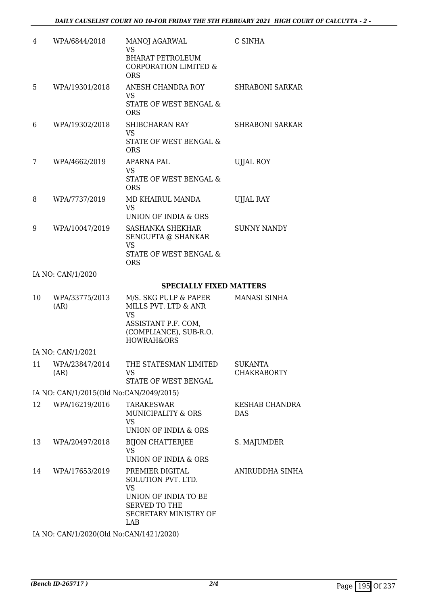| 4  | WPA/6844/2018                           | <b>MANOJ AGARWAL</b><br><b>VS</b><br><b>BHARAT PETROLEUM</b><br><b>CORPORATION LIMITED &amp;</b><br><b>ORS</b>                       | C SINHA                              |
|----|-----------------------------------------|--------------------------------------------------------------------------------------------------------------------------------------|--------------------------------------|
| 5  | WPA/19301/2018                          | ANESH CHANDRA ROY<br><b>VS</b><br>STATE OF WEST BENGAL &<br><b>ORS</b>                                                               | <b>SHRABONI SARKAR</b>               |
| 6  | WPA/19302/2018                          | SHIBCHARAN RAY<br><b>VS</b><br>STATE OF WEST BENGAL &<br><b>ORS</b>                                                                  | <b>SHRABONI SARKAR</b>               |
| 7  | WPA/4662/2019                           | APARNA PAL<br><b>VS</b><br>STATE OF WEST BENGAL &<br><b>ORS</b>                                                                      | <b>UJJAL ROY</b>                     |
| 8  | WPA/7737/2019                           | MD KHAIRUL MANDA<br><b>VS</b><br>UNION OF INDIA & ORS                                                                                | <b>UJJAL RAY</b>                     |
| 9  | WPA/10047/2019                          | SASHANKA SHEKHAR<br>SENGUPTA @ SHANKAR<br><b>VS</b><br>STATE OF WEST BENGAL &<br><b>ORS</b>                                          | <b>SUNNY NANDY</b>                   |
|    | IA NO: CAN/1/2020                       |                                                                                                                                      |                                      |
|    |                                         | <b>SPECIALLY FIXED MATTERS</b>                                                                                                       |                                      |
| 10 | WPA/33775/2013<br>(AR)                  | M/S. SKG PULP & PAPER<br>MILLS PVT. LTD & ANR<br><b>VS</b><br>ASSISTANT P.F. COM,<br>(COMPLIANCE), SUB-R.O.<br><b>HOWRAH&amp;ORS</b> | MANASI SINHA                         |
|    | IA NO: CAN/1/2021                       |                                                                                                                                      |                                      |
| 11 | WPA/23847/2014<br>(AR)                  | THE STATESMAN LIMITED<br>VS<br>STATE OF WEST BENGAL                                                                                  | <b>SUKANTA</b><br><b>CHAKRABORTY</b> |
|    | IA NO: CAN/1/2015(Old No:CAN/2049/2015) |                                                                                                                                      |                                      |
| 12 | WPA/16219/2016                          | <b>TARAKESWAR</b><br>MUNICIPALITY & ORS<br><b>VS</b><br>UNION OF INDIA & ORS                                                         | KESHAB CHANDRA<br><b>DAS</b>         |
| 13 | WPA/20497/2018                          | <b>BIJON CHATTERJEE</b><br><b>VS</b><br>UNION OF INDIA & ORS                                                                         | S. MAJUMDER                          |
| 14 | WPA/17653/2019                          | PREMIER DIGITAL<br>SOLUTION PVT. LTD.<br><b>VS</b><br>UNION OF INDIA TO BE<br><b>SERVED TO THE</b><br>SECRETARY MINISTRY OF          | ANIRUDDHA SINHA                      |

IA NO: CAN/1/2020(Old No:CAN/1421/2020)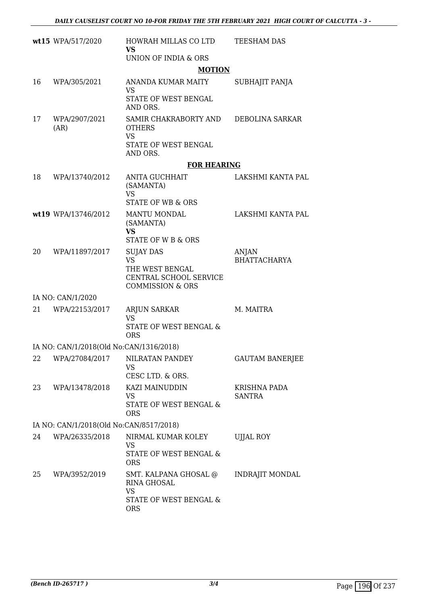|    | wt15 WPA/517/2020                       | HOWRAH MILLAS CO LTD<br><b>VS</b>                                                       | <b>TEESHAM DAS</b>     |
|----|-----------------------------------------|-----------------------------------------------------------------------------------------|------------------------|
|    |                                         | UNION OF INDIA & ORS                                                                    |                        |
|    |                                         | <b>MOTION</b>                                                                           |                        |
| 16 | WPA/305/2021                            | ANANDA KUMAR MAITY<br><b>VS</b>                                                         | SUBHAJIT PANJA         |
|    |                                         | STATE OF WEST BENGAL<br>AND ORS.                                                        |                        |
| 17 | WPA/2907/2021<br>(AR)                   | SAMIR CHAKRABORTY AND<br><b>OTHERS</b><br><b>VS</b><br>STATE OF WEST BENGAL<br>AND ORS. | DEBOLINA SARKAR        |
|    |                                         | <b>FOR HEARING</b>                                                                      |                        |
| 18 | WPA/13740/2012                          | ANITA GUCHHAIT<br>(SAMANTA)<br><b>VS</b><br><b>STATE OF WB &amp; ORS</b>                | LAKSHMI KANTA PAL      |
|    | wt19 WPA/13746/2012                     | <b>MANTU MONDAL</b>                                                                     | LAKSHMI KANTA PAL      |
|    |                                         | (SAMANTA)                                                                               |                        |
|    |                                         | <b>VS</b><br><b>STATE OF W B &amp; ORS</b>                                              |                        |
| 20 | WPA/11897/2017                          | <b>SUJAY DAS</b>                                                                        | ANJAN                  |
|    |                                         | <b>VS</b><br>THE WEST BENGAL                                                            | <b>BHATTACHARYA</b>    |
|    |                                         | CENTRAL SCHOOL SERVICE<br><b>COMMISSION &amp; ORS</b>                                   |                        |
|    | IA NO: CAN/1/2020                       |                                                                                         |                        |
| 21 | WPA/22153/2017                          | <b>ARJUN SARKAR</b>                                                                     | M. MAITRA              |
|    |                                         | <b>VS</b><br>STATE OF WEST BENGAL &<br><b>ORS</b>                                       |                        |
|    | IA NO: CAN/1/2018(Old No:CAN/1316/2018) |                                                                                         |                        |
| 22 | WPA/27084/2017                          | NILRATAN PANDEY                                                                         | <b>GAUTAM BANERJEE</b> |
|    |                                         | <b>VS</b><br>CESC LTD. & ORS.                                                           |                        |
| 23 | WPA/13478/2018                          | KAZI MAINUDDIN                                                                          | KRISHNA PADA           |
|    |                                         | <b>VS</b><br>STATE OF WEST BENGAL &<br><b>ORS</b>                                       | <b>SANTRA</b>          |
|    | IA NO: CAN/1/2018(Old No:CAN/8517/2018) |                                                                                         |                        |
| 24 | WPA/26335/2018                          | NIRMAL KUMAR KOLEY                                                                      | <b>UJJAL ROY</b>       |
|    |                                         | <b>VS</b><br>STATE OF WEST BENGAL &<br><b>ORS</b>                                       |                        |
| 25 | WPA/3952/2019                           | SMT. KALPANA GHOSAL @<br><b>RINA GHOSAL</b><br><b>VS</b>                                | <b>INDRAJIT MONDAL</b> |
|    |                                         | STATE OF WEST BENGAL &<br><b>ORS</b>                                                    |                        |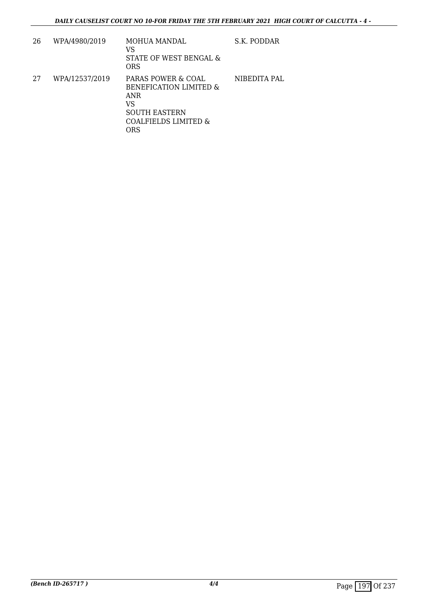| 26 | WPA/4980/2019  | MOHUA MANDAL<br>VS<br>STATE OF WEST BENGAL &<br>ORS                                                                         | S.K. PODDAR  |
|----|----------------|-----------------------------------------------------------------------------------------------------------------------------|--------------|
| 27 | WPA/12537/2019 | PARAS POWER & COAL<br><b>BENEFICATION LIMITED &amp;</b><br>ANR<br>VS<br><b>SOUTH EASTERN</b><br>COALFIELDS LIMITED &<br>ORS | NIBEDITA PAL |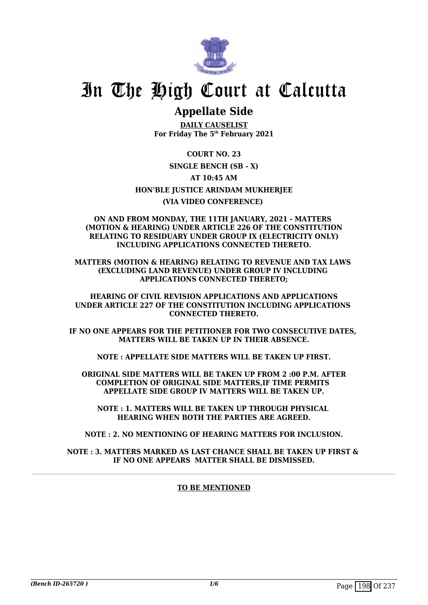

## **Appellate Side**

**DAILY CAUSELIST For Friday The 5th February 2021**

**COURT NO. 23 SINGLE BENCH (SB - X) AT 10:45 AM HON'BLE JUSTICE ARINDAM MUKHERJEE (VIA VIDEO CONFERENCE)** 

#### **ON AND FROM MONDAY, THE 11TH JANUARY, 2021 - MATTERS (MOTION & HEARING) UNDER ARTICLE 226 OF THE CONSTITUTION RELATING TO RESIDUARY UNDER GROUP IX (ELECTRICITY ONLY) INCLUDING APPLICATIONS CONNECTED THERETO.**

**MATTERS (MOTION & HEARING) RELATING TO REVENUE AND TAX LAWS (EXCLUDING LAND REVENUE) UNDER GROUP IV INCLUDING APPLICATIONS CONNECTED THERETO;**

**HEARING OF CIVIL REVISION APPLICATIONS AND APPLICATIONS UNDER ARTICLE 227 OF THE CONSTITUTION INCLUDING APPLICATIONS CONNECTED THERETO.**

**IF NO ONE APPEARS FOR THE PETITIONER FOR TWO CONSECUTIVE DATES, MATTERS WILL BE TAKEN UP IN THEIR ABSENCE.**

**NOTE : APPELLATE SIDE MATTERS WILL BE TAKEN UP FIRST.**

**ORIGINAL SIDE MATTERS WILL BE TAKEN UP FROM 2 :00 P.M. AFTER COMPLETION OF ORIGINAL SIDE MATTERS,IF TIME PERMITS APPELLATE SIDE GROUP IV MATTERS WILL BE TAKEN UP.**

**NOTE : 1. MATTERS WILL BE TAKEN UP THROUGH PHYSICAL HEARING WHEN BOTH THE PARTIES ARE AGREED.**

**NOTE : 2. NO MENTIONING OF HEARING MATTERS FOR INCLUSION.**

**NOTE : 3. MATTERS MARKED AS LAST CHANCE SHALL BE TAKEN UP FIRST & IF NO ONE APPEARS MATTER SHALL BE DISMISSED.**

#### **TO BE MENTIONED**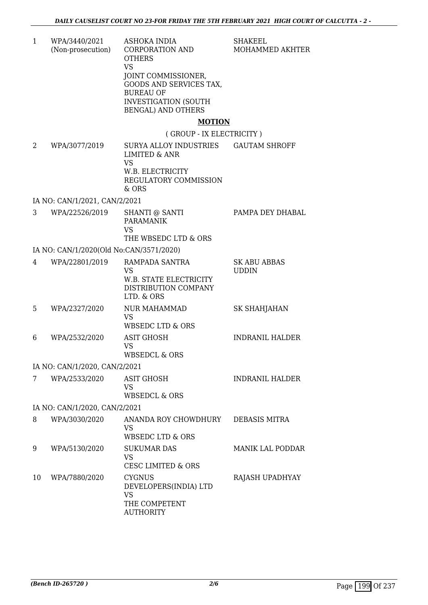| $\mathbf{1}$ | WPA/3440/2021<br>(Non-prosecution)      | ASHOKA INDIA<br>CORPORATION AND<br><b>OTHERS</b><br><b>VS</b><br>JOINT COMMISSIONER,<br>GOODS AND SERVICES TAX,<br><b>BUREAU OF</b><br><b>INVESTIGATION (SOUTH</b><br><b>BENGAL) AND OTHERS</b> | SHAKEEL<br>MOHAMMED AKHTER   |
|--------------|-----------------------------------------|-------------------------------------------------------------------------------------------------------------------------------------------------------------------------------------------------|------------------------------|
|              |                                         | <b>MOTION</b><br>(GROUP - IX ELECTRICITY)                                                                                                                                                       |                              |
| 2            | WPA/3077/2019                           | SURYA ALLOY INDUSTRIES<br><b>LIMITED &amp; ANR</b><br><b>VS</b><br>W.B. ELECTRICITY                                                                                                             | <b>GAUTAM SHROFF</b>         |
|              |                                         | REGULATORY COMMISSION<br>& ORS                                                                                                                                                                  |                              |
|              | IA NO: CAN/1/2021, CAN/2/2021           |                                                                                                                                                                                                 |                              |
| 3            | WPA/22526/2019                          | <b>SHANTI @ SANTI</b><br><b>PARAMANIK</b><br><b>VS</b><br>THE WBSEDC LTD & ORS                                                                                                                  | PAMPA DEY DHABAL             |
|              | IA NO: CAN/1/2020(Old No:CAN/3571/2020) |                                                                                                                                                                                                 |                              |
| 4            | WPA/22801/2019                          | RAMPADA SANTRA<br>VS<br>W.B. STATE ELECTRICITY<br>DISTRIBUTION COMPANY<br>LTD. & ORS                                                                                                            | SK ABU ABBAS<br><b>UDDIN</b> |
| 5            | WPA/2327/2020                           | <b>NUR MAHAMMAD</b><br><b>VS</b><br><b>WBSEDC LTD &amp; ORS</b>                                                                                                                                 | <b>SK SHAHJAHAN</b>          |
| 6            | WPA/2532/2020                           | <b>ASIT GHOSH</b><br><b>VS</b><br><b>WBSEDCL &amp; ORS</b>                                                                                                                                      | <b>INDRANIL HALDER</b>       |
|              | IA NO: CAN/1/2020, CAN/2/2021           |                                                                                                                                                                                                 |                              |
| 7            | WPA/2533/2020                           | <b>ASIT GHOSH</b><br><b>VS</b><br><b>WBSEDCL &amp; ORS</b>                                                                                                                                      | <b>INDRANIL HALDER</b>       |
|              | IA NO: CAN/1/2020, CAN/2/2021           |                                                                                                                                                                                                 |                              |
| 8            | WPA/3030/2020                           | ANANDA ROY CHOWDHURY<br><b>VS</b><br><b>WBSEDC LTD &amp; ORS</b>                                                                                                                                | DEBASIS MITRA                |
| 9            | WPA/5130/2020                           | <b>SUKUMAR DAS</b><br><b>VS</b><br><b>CESC LIMITED &amp; ORS</b>                                                                                                                                | <b>MANIK LAL PODDAR</b>      |
| 10           | WPA/7880/2020                           | <b>CYGNUS</b><br>DEVELOPERS(INDIA) LTD<br><b>VS</b><br>THE COMPETENT<br><b>AUTHORITY</b>                                                                                                        | RAJASH UPADHYAY              |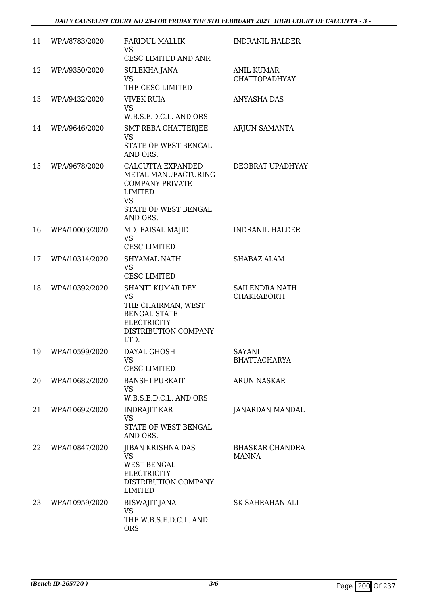#### *DAILY CAUSELIST COURT NO 23-FOR FRIDAY THE 5TH FEBRUARY 2021 HIGH COURT OF CALCUTTA - 3 -*

| 11 | WPA/8783/2020  | <b>FARIDUL MALLIK</b><br><b>VS</b><br>CESC LIMITED AND ANR                                                                              | INDRANIL HALDER                           |
|----|----------------|-----------------------------------------------------------------------------------------------------------------------------------------|-------------------------------------------|
| 12 | WPA/9350/2020  | SULEKHA JANA<br><b>VS</b><br>THE CESC LIMITED                                                                                           | <b>ANIL KUMAR</b><br><b>CHATTOPADHYAY</b> |
| 13 | WPA/9432/2020  | VIVEK RUIA<br><b>VS</b><br>W.B.S.E.D.C.L. AND ORS                                                                                       | <b>ANYASHA DAS</b>                        |
| 14 | WPA/9646/2020  | <b>SMT REBA CHATTERJEE</b><br><b>VS</b><br>STATE OF WEST BENGAL<br>AND ORS.                                                             | ARJUN SAMANTA                             |
| 15 | WPA/9678/2020  | CALCUTTA EXPANDED<br>METAL MANUFACTURING<br><b>COMPANY PRIVATE</b><br><b>LIMITED</b><br><b>VS</b><br>STATE OF WEST BENGAL<br>AND ORS.   | DEOBRAT UPADHYAY                          |
| 16 | WPA/10003/2020 | MD. FAISAL MAJID<br><b>VS</b><br><b>CESC LIMITED</b>                                                                                    | <b>INDRANIL HALDER</b>                    |
| 17 | WPA/10314/2020 | <b>SHYAMAL NATH</b><br><b>VS</b><br><b>CESC LIMITED</b>                                                                                 | <b>SHABAZ ALAM</b>                        |
| 18 | WPA/10392/2020 | <b>SHANTI KUMAR DEY</b><br><b>VS</b><br>THE CHAIRMAN, WEST<br><b>BENGAL STATE</b><br><b>ELECTRICITY</b><br>DISTRIBUTION COMPANY<br>LTD. | SAILENDRA NATH<br><b>CHAKRABORTI</b>      |
| 19 | WPA/10599/2020 | DAYAL GHOSH<br><b>VS</b><br>CESC LIMITED                                                                                                | <b>SAYANI</b><br><b>BHATTACHARYA</b>      |
| 20 | WPA/10682/2020 | <b>BANSHI PURKAIT</b><br><b>VS</b><br>W.B.S.E.D.C.L. AND ORS                                                                            | <b>ARUN NASKAR</b>                        |
| 21 | WPA/10692/2020 | <b>INDRAJIT KAR</b><br><b>VS</b><br>STATE OF WEST BENGAL<br>AND ORS.                                                                    | JANARDAN MANDAL                           |
| 22 | WPA/10847/2020 | JIBAN KRISHNA DAS<br><b>VS</b><br><b>WEST BENGAL</b><br><b>ELECTRICITY</b><br>DISTRIBUTION COMPANY<br><b>LIMITED</b>                    | BHASKAR CHANDRA<br><b>MANNA</b>           |
| 23 | WPA/10959/2020 | <b>BISWAJIT JANA</b><br><b>VS</b><br>THE W.B.S.E.D.C.L. AND<br><b>ORS</b>                                                               | SK SAHRAHAN ALI                           |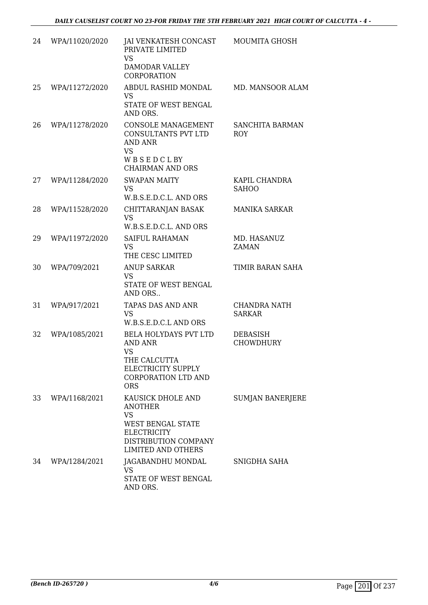| 24 | WPA/11020/2020 | JAI VENKATESH CONCAST<br>PRIVATE LIMITED<br><b>VS</b><br>DAMODAR VALLEY<br><b>CORPORATION</b>                                                           | MOUMITA GHOSH                       |
|----|----------------|---------------------------------------------------------------------------------------------------------------------------------------------------------|-------------------------------------|
| 25 | WPA/11272/2020 | ABDUL RASHID MONDAL<br><b>VS</b><br>STATE OF WEST BENGAL<br>AND ORS.                                                                                    | MD. MANSOOR ALAM                    |
| 26 | WPA/11278/2020 | CONSOLE MANAGEMENT<br>CONSULTANTS PVT LTD<br><b>AND ANR</b><br><b>VS</b><br>WBSEDCLBY<br><b>CHAIRMAN AND ORS</b>                                        | SANCHITA BARMAN<br><b>ROY</b>       |
| 27 | WPA/11284/2020 | <b>SWAPAN MAITY</b><br><b>VS</b><br>W.B.S.E.D.C.L. AND ORS                                                                                              | KAPIL CHANDRA<br><b>SAHOO</b>       |
| 28 | WPA/11528/2020 | CHITTARANJAN BASAK<br><b>VS</b><br>W.B.S.E.D.C.L. AND ORS                                                                                               | <b>MANIKA SARKAR</b>                |
| 29 | WPA/11972/2020 | <b>SAIFUL RAHAMAN</b><br><b>VS</b><br>THE CESC LIMITED                                                                                                  | MD. HASANUZ<br><b>ZAMAN</b>         |
| 30 | WPA/709/2021   | <b>ANUP SARKAR</b><br><b>VS</b><br>STATE OF WEST BENGAL<br>AND ORS                                                                                      | TIMIR BARAN SAHA                    |
| 31 | WPA/917/2021   | TAPAS DAS AND ANR<br><b>VS</b><br>W.B.S.E.D.C.L AND ORS                                                                                                 | CHANDRA NATH<br><b>SARKAR</b>       |
| 32 | WPA/1085/2021  | <b>BELA HOLYDAYS PVT LTD</b><br><b>AND ANR</b><br><b>VS</b><br>THE CALCUTTA<br>ELECTRICITY SUPPLY<br><b>CORPORATION LTD AND</b><br><b>ORS</b>           | <b>DEBASISH</b><br><b>CHOWDHURY</b> |
| 33 | WPA/1168/2021  | KAUSICK DHOLE AND<br><b>ANOTHER</b><br><b>VS</b><br><b>WEST BENGAL STATE</b><br><b>ELECTRICITY</b><br>DISTRIBUTION COMPANY<br><b>LIMITED AND OTHERS</b> | SUMJAN BANERJERE                    |
| 34 | WPA/1284/2021  | JAGABANDHU MONDAL<br><b>VS</b><br>STATE OF WEST BENGAL<br>AND ORS.                                                                                      | SNIGDHA SAHA                        |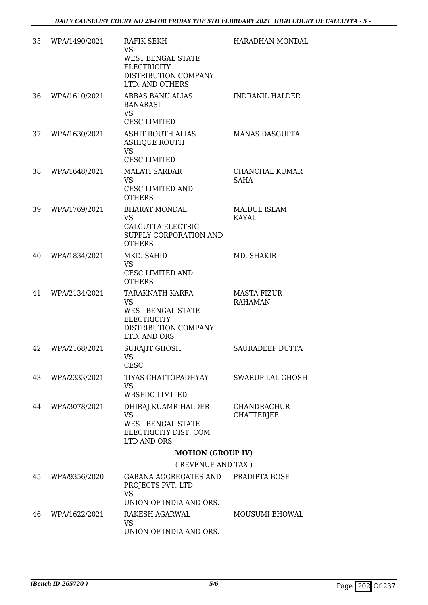| 35 | WPA/1490/2021 | <b>RAFIK SEKH</b><br><b>VS</b><br><b>WEST BENGAL STATE</b><br><b>ELECTRICITY</b><br>DISTRIBUTION COMPANY<br>LTD. AND OTHERS | <b>HARADHAN MONDAL</b>                  |
|----|---------------|-----------------------------------------------------------------------------------------------------------------------------|-----------------------------------------|
| 36 | WPA/1610/2021 | <b>ABBAS BANU ALIAS</b><br><b>BANARASI</b><br><b>VS</b><br><b>CESC LIMITED</b>                                              | <b>INDRANIL HALDER</b>                  |
| 37 | WPA/1630/2021 | ASHIT ROUTH ALIAS<br><b>ASHIQUE ROUTH</b><br><b>VS</b><br><b>CESC LIMITED</b>                                               | <b>MANAS DASGUPTA</b>                   |
| 38 | WPA/1648/2021 | <b>MALATI SARDAR</b><br><b>VS</b><br>CESC LIMITED AND<br><b>OTHERS</b>                                                      | CHANCHAL KUMAR<br><b>SAHA</b>           |
| 39 | WPA/1769/2021 | <b>BHARAT MONDAL</b><br><b>VS</b><br>CALCUTTA ELECTRIC<br>SUPPLY CORPORATION AND<br><b>OTHERS</b>                           | <b>MAIDUL ISLAM</b><br>KAYAL            |
| 40 | WPA/1834/2021 | MKD. SAHID<br><b>VS</b><br><b>CESC LIMITED AND</b><br><b>OTHERS</b>                                                         | MD. SHAKIR                              |
| 41 | WPA/2134/2021 | TARAKNATH KARFA<br><b>VS</b><br><b>WEST BENGAL STATE</b><br><b>ELECTRICITY</b><br>DISTRIBUTION COMPANY<br>LTD. AND ORS      | <b>MASTA FIZUR</b><br><b>RAHAMAN</b>    |
| 42 | WPA/2168/2021 | <b>SURAJIT GHOSH</b><br>VS<br><b>CESC</b>                                                                                   | SAURADEEP DUTTA                         |
| 43 | WPA/2333/2021 | TIYAS CHATTOPADHYAY<br><b>VS</b><br><b>WBSEDC LIMITED</b>                                                                   | SWARUP LAL GHOSH                        |
| 44 | WPA/3078/2021 | DHIRAJ KUAMR HALDER<br><b>VS</b><br><b>WEST BENGAL STATE</b><br>ELECTRICITY DIST. COM<br>LTD AND ORS                        | <b>CHANDRACHUR</b><br><b>CHATTERJEE</b> |
|    |               | <b>MOTION (GROUP IV)</b>                                                                                                    |                                         |
|    |               | (REVENUE AND TAX)                                                                                                           |                                         |
| 45 | WPA/9356/2020 | GABANA AGGREGATES AND<br>PROJECTS PVT. LTD<br><b>VS</b>                                                                     | PRADIPTA BOSE                           |
|    |               | UNION OF INDIA AND ORS.                                                                                                     |                                         |
| 46 | WPA/1622/2021 | RAKESH AGARWAL<br><b>VS</b><br>UNION OF INDIA AND ORS.                                                                      | <b>MOUSUMI BHOWAL</b>                   |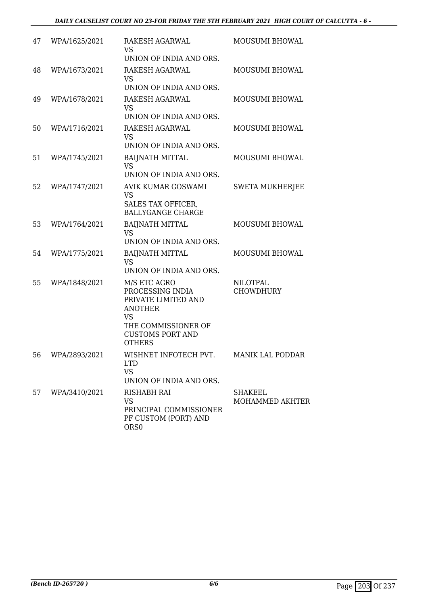| 47 | WPA/1625/2021    | RAKESH AGARWAL<br><b>VS</b><br>UNION OF INDIA AND ORS.                                                                                                    | MOUSUMI BHOWAL                      |
|----|------------------|-----------------------------------------------------------------------------------------------------------------------------------------------------------|-------------------------------------|
| 48 | WPA/1673/2021    | RAKESH AGARWAL<br><b>VS</b><br>UNION OF INDIA AND ORS.                                                                                                    | <b>MOUSUMI BHOWAL</b>               |
| 49 | WPA/1678/2021    | RAKESH AGARWAL<br><b>VS</b><br>UNION OF INDIA AND ORS.                                                                                                    | MOUSUMI BHOWAL                      |
| 50 | WPA/1716/2021    | <b>RAKESH AGARWAL</b><br><b>VS</b><br>UNION OF INDIA AND ORS.                                                                                             | MOUSUMI BHOWAL                      |
| 51 | WPA/1745/2021    | <b>BAIJNATH MITTAL</b><br><b>VS</b><br>UNION OF INDIA AND ORS.                                                                                            | MOUSUMI BHOWAL                      |
| 52 | WPA/1747/2021    | AVIK KUMAR GOSWAMI<br><b>VS</b><br>SALES TAX OFFICER,<br><b>BALLYGANGE CHARGE</b>                                                                         | <b>SWETA MUKHERJEE</b>              |
| 53 | WPA/1764/2021    | <b>BAIJNATH MITTAL</b><br><b>VS</b><br>UNION OF INDIA AND ORS.                                                                                            | MOUSUMI BHOWAL                      |
| 54 | WPA/1775/2021    | <b>BAIJNATH MITTAL</b><br><b>VS</b><br>UNION OF INDIA AND ORS.                                                                                            | MOUSUMI BHOWAL                      |
| 55 | WPA/1848/2021    | M/S ETC AGRO<br>PROCESSING INDIA<br>PRIVATE LIMITED AND<br><b>ANOTHER</b><br><b>VS</b><br>THE COMMISSIONER OF<br><b>CUSTOMS PORT AND</b><br><b>OTHERS</b> | <b>NILOTPAL</b><br><b>CHOWDHURY</b> |
|    | 56 WPA/2893/2021 | WISHNET INFOTECH PVT.<br><b>LTD</b><br><b>VS</b><br>UNION OF INDIA AND ORS.                                                                               | <b>MANIK LAL PODDAR</b>             |
| 57 | WPA/3410/2021    | <b>RISHABH RAI</b><br><b>VS</b><br>PRINCIPAL COMMISSIONER<br>PF CUSTOM (PORT) AND<br>ORS <sub>0</sub>                                                     | <b>SHAKEEL</b><br>MOHAMMED AKHTER   |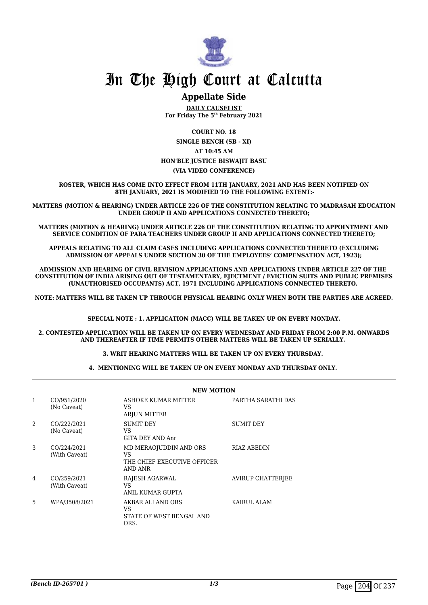

### **Appellate Side**

**DAILY CAUSELIST For Friday The 5th February 2021**

**COURT NO. 18 SINGLE BENCH (SB - XI) AT 10:45 AM HON'BLE JUSTICE BISWAJIT BASU (VIA VIDEO CONFERENCE)**

**ROSTER, WHICH HAS COME INTO EFFECT FROM 11TH JANUARY, 2021 AND HAS BEEN NOTIFIED ON 8TH JANUARY, 2021 IS MODIFIED TO THE FOLLOWING EXTENT:-**

**MATTERS (MOTION & HEARING) UNDER ARTICLE 226 OF THE CONSTITUTION RELATING TO MADRASAH EDUCATION UNDER GROUP II AND APPLICATIONS CONNECTED THERETO;**

**MATTERS (MOTION & HEARING) UNDER ARTICLE 226 OF THE CONSTITUTION RELATING TO APPOINTMENT AND SERVICE CONDITION OF PARA TEACHERS UNDER GROUP II AND APPLICATIONS CONNECTED THERETO;**

**APPEALS RELATING TO ALL CLAIM CASES INCLUDING APPLICATIONS CONNECTED THERETO (EXCLUDING ADMISSION OF APPEALS UNDER SECTION 30 OF THE EMPLOYEES' COMPENSATION ACT, 1923);**

**ADMISSION AND HEARING OF CIVIL REVISION APPLICATIONS AND APPLICATIONS UNDER ARTICLE 227 OF THE CONSTITUTION OF INDIA ARISING OUT OF TESTAMENTARY, EJECTMENT / EVICTION SUITS AND PUBLIC PREMISES (UNAUTHORISED OCCUPANTS) ACT, 1971 INCLUDING APPLICATIONS CONNECTED THERETO.** 

**NOTE: MATTERS WILL BE TAKEN UP THROUGH PHYSICAL HEARING ONLY WHEN BOTH THE PARTIES ARE AGREED.**

**SPECIAL NOTE : 1. APPLICATION (MACC) WILL BE TAKEN UP ON EVERY MONDAY.**

**2. CONTESTED APPLICATION WILL BE TAKEN UP ON EVERY WEDNESDAY AND FRIDAY FROM 2:00 P.M. ONWARDS AND THEREAFTER IF TIME PERMITS OTHER MATTERS WILL BE TAKEN UP SERIALLY.** 

**3. WRIT HEARING MATTERS WILL BE TAKEN UP ON EVERY THURSDAY.** 

**4. MENTIONING WILL BE TAKEN UP ON EVERY MONDAY AND THURSDAY ONLY.** 

|   |                              | <b>NEW MOTION</b>                                                      |                    |  |
|---|------------------------------|------------------------------------------------------------------------|--------------------|--|
| 1 | CO/951/2020<br>(No Caveat)   | ASHOKE KUMAR MITTER<br>VS<br><b>ARJUN MITTER</b>                       | PARTHA SARATHI DAS |  |
| 2 | CO/222/2021<br>(No Caveat)   | SUMIT DEY<br>VS<br>GITA DEY AND Anr                                    | SUMIT DEY          |  |
| 3 | CO/224/2021<br>(With Caveat) | MD MERAOJUDDIN AND ORS<br>VS<br>THE CHIEF EXECUTIVE OFFICER<br>AND ANR | <b>RIAZ ABEDIN</b> |  |
| 4 | CO/259/2021<br>(With Caveat) | RAJESH AGARWAL<br>VS<br>ANIL KUMAR GUPTA                               | AVIRUP CHATTERJEE  |  |
| 5 | WPA/3508/2021                | AKBAR ALI AND ORS<br>VS.<br>STATE OF WEST BENGAL AND<br>ORS.           | KAIRUL ALAM        |  |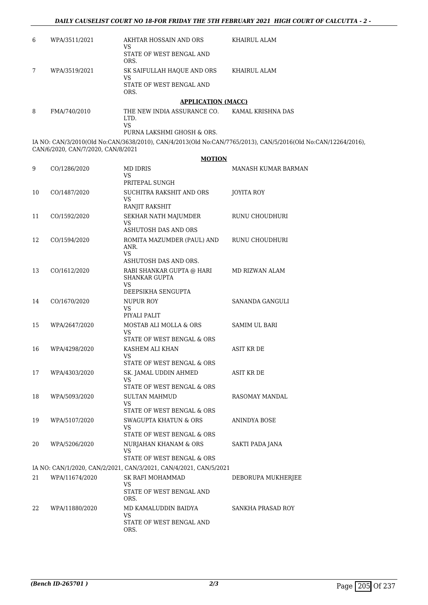| 6 | WPA/3511/2021 | AKHTAR HOSSAIN AND ORS<br>VS<br>STATE OF WEST BENGAL AND<br>ORS.     | KHAIRUL ALAM   |
|---|---------------|----------------------------------------------------------------------|----------------|
|   | WPA/3519/2021 | SK SAIFULLAH HAQUE AND ORS<br>VS<br>STATE OF WEST BENGAL AND<br>ORS. | KHAIRUL ALAM   |
|   |               | <b>APPLICATION (MACC)</b>                                            |                |
|   | TMA/7AOM010   | TUE NEW INDIA ACCIIDANCE CO                                          | VAMAI VDICUNIA |

8 FMA/740/2010 THE NEW INDIA ASSURANCE CO. LTD. VS KAMAL KRISHNA DAS

PURNA LAKSHMI GHOSH & ORS.

IA NO: CAN/3/2010(Old No:CAN/3638/2010), CAN/4/2013(Old No:CAN/7765/2013), CAN/5/2016(Old No:CAN/12264/2016), CAN/6/2020, CAN/7/2020, CAN/8/2021

#### **MOTION**

| 9  | CO/1286/2020   | <b>MD IDRIS</b><br>VS<br>PRITEPAL SUNGH                                       | <b>MANASH KUMAR BARMAN</b> |
|----|----------------|-------------------------------------------------------------------------------|----------------------------|
| 10 | CO/1487/2020   | SUCHITRA RAKSHIT AND ORS<br><b>VS</b><br>RANJIT RAKSHIT                       | JOYITA ROY                 |
| 11 | CO/1592/2020   | SEKHAR NATH MAJUMDER<br>VS<br>ASHUTOSH DAS AND ORS                            | RUNU CHOUDHURI             |
| 12 | CO/1594/2020   | ROMITA MAZUMDER (PAUL) AND<br>ANR.<br><b>VS</b><br>ASHUTOSH DAS AND ORS.      | RUNU CHOUDHURI             |
| 13 | CO/1612/2020   | RABI SHANKAR GUPTA @ HARI<br><b>SHANKAR GUPTA</b><br>VS<br>DEEPSIKHA SENGUPTA | MD RIZWAN ALAM             |
| 14 | CO/1670/2020   | <b>NUPUR ROY</b><br>VS<br>PIYALI PALIT                                        | SANANDA GANGULI            |
| 15 | WPA/2647/2020  | MOSTAB ALI MOLLA & ORS<br>VS<br>STATE OF WEST BENGAL & ORS                    | <b>SAMIM UL BARI</b>       |
| 16 | WPA/4298/2020  | KASHEM ALI KHAN<br><b>VS</b><br>STATE OF WEST BENGAL & ORS                    | ASIT KR DE                 |
| 17 | WPA/4303/2020  | SK. JAMAL UDDIN AHMED<br><b>VS</b><br>STATE OF WEST BENGAL & ORS              | ASIT KR DE                 |
| 18 | WPA/5093/2020  | <b>SULTAN MAHMUD</b><br>VS<br>STATE OF WEST BENGAL & ORS                      | RASOMAY MANDAL             |
| 19 | WPA/5107/2020  | <b>SWAGUPTA KHATUN &amp; ORS</b><br><b>VS</b><br>STATE OF WEST BENGAL & ORS   | <b>ANINDYA BOSE</b>        |
| 20 | WPA/5206/2020  | NURJAHAN KHANAM & ORS<br>VS<br>STATE OF WEST BENGAL & ORS                     | SAKTI PADA JANA            |
|    |                | IA NO: CAN/1/2020, CAN/2/2021, CAN/3/2021, CAN/4/2021, CAN/5/2021             |                            |
| 21 | WPA/11674/2020 | SK RAFI MOHAMMAD<br><b>VS</b><br>STATE OF WEST BENGAL AND<br>ORS.             | DEBORUPA MUKHERJEE         |
| 22 | WPA/11880/2020 | MD KAMALUDDIN BAIDYA<br><b>VS</b><br>STATE OF WEST BENGAL AND<br>ORS.         | <b>SANKHA PRASAD ROY</b>   |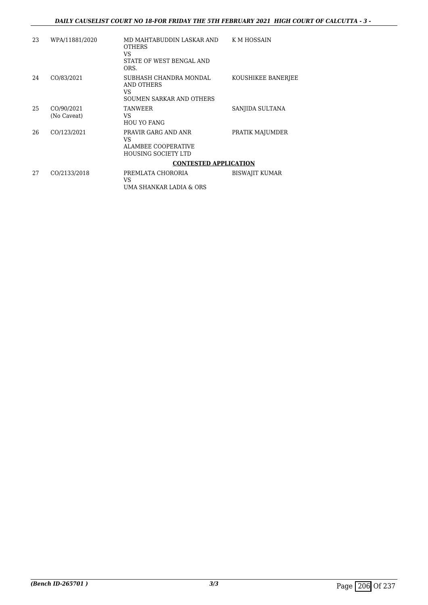| 23 | WPA/11881/2020            | MD MAHTABUDDIN LASKAR AND<br><b>OTHERS</b><br>VS                                      | K M HOSSAIN           |
|----|---------------------------|---------------------------------------------------------------------------------------|-----------------------|
|    |                           | STATE OF WEST BENGAL AND<br>ORS.                                                      |                       |
| 24 | CO/83/2021                | SUBHASH CHANDRA MONDAL<br>AND OTHERS<br>VS<br>SOUMEN SARKAR AND OTHERS                | KOUSHIKEE BANERJEE    |
| 25 | CO/90/2021<br>(No Caveat) | <b>TANWEER</b><br>VS<br><b>HOU YO FANG</b>                                            | SANJIDA SULTANA       |
| 26 | CO/123/2021               | PRAVIR GARG AND ANR<br>VS<br><b>ALAMBEE COOPERATIVE</b><br><b>HOUSING SOCIETY LTD</b> | PRATIK MAJUMDER       |
|    |                           | <b>CONTESTED APPLICATION</b>                                                          |                       |
| 27 | CO/2133/2018              | PREMLATA CHORORIA<br>VS<br>UMA SHANKAR LADIA & ORS                                    | <b>BISWAJIT KUMAR</b> |
|    |                           |                                                                                       |                       |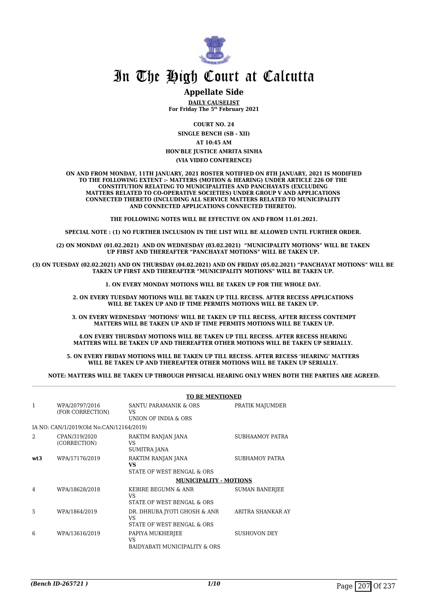

#### **Appellate Side**

**DAILY CAUSELIST For Friday The 5th February 2021**

**COURT NO. 24 SINGLE BENCH (SB - XII)**

**AT 10:45 AM**

#### **HON'BLE JUSTICE AMRITA SINHA (VIA VIDEO CONFERENCE)**

**ON AND FROM MONDAY, 11TH JANUARY, 2021 ROSTER NOTIFIED ON 8TH JANUARY, 2021 IS MODIFIED TO THE FOLLOWING EXTENT :- MATTERS (MOTION & HEARING) UNDER ARTICLE 226 OF THE CONSTITUTION RELATING TO MUNICIPALITIES AND PANCHAYATS (EXCLUDING MATTERS RELATED TO CO-OPERATIVE SOCIETIES) UNDER GROUP V AND APPLICATIONS CONNECTED THERETO (INCLUDING ALL SERVICE MATTERS RELATED TO MUNICIPALITY AND CONNECTED APPLICATIONS CONNECTED THERETO).** 

**THE FOLLOWING NOTES WILL BE EFFECTIVE ON AND FROM 11.01.2021.**

**SPECIAL NOTE : (1) NO FURTHER INCLUSION IN THE LIST WILL BE ALLOWED UNTIL FURTHER ORDER.** 

**(2) ON MONDAY (01.02.2021) AND ON WEDNESDAY (03.02.2021) "MUNICIPALITY MOTIONS" WILL BE TAKEN UP FIRST AND THEREAFTER "PANCHAYAT MOTIONS" WILL BE TAKEN UP.** 

**(3) ON TUESDAY (02.02.2021) AND ON THURSDAY (04.02.2021) AND ON FRIDAY (05.02.2021) "PANCHAYAT MOTIONS" WILL BE TAKEN UP FIRST AND THEREAFTER "MUNICIPALITY MOTIONS" WILL BE TAKEN UP.** 

**1. ON EVERY MONDAY MOTIONS WILL BE TAKEN UP FOR THE WHOLE DAY.** 

**2. ON EVERY TUESDAY MOTIONS WILL BE TAKEN UP TILL RECESS. AFTER RECESS APPLICATIONS**  WILL BE TAKEN UP AND IF TIME PERMITS MOTIONS WILL BE TAKEN UP.

**3. ON EVERY WEDNESDAY 'MOTIONS' WILL BE TAKEN UP TILL RECESS, AFTER RECESS CONTEMPT MATTERS WILL BE TAKEN UP AND IF TIME PERMITS MOTIONS WILL BE TAKEN UP.**

**4.ON EVERY THURSDAY MOTIONS WILL BE TAKEN UP TILL RECESS. AFTER RECESS HEARING MATTERS WILL BE TAKEN UP AND THEREAFTER OTHER MOTIONS WILL BE TAKEN UP SERIALLY.** 

**5. ON EVERY FRIDAY MOTIONS WILL BE TAKEN UP TILL RECESS. AFTER RECESS 'HEARING' MATTERS WILL BE TAKEN UP AND THEREAFTER OTHER MOTIONS WILL BE TAKEN UP SERIALLY.** 

**NOTE: MATTERS WILL BE TAKEN UP THROUGH PHYSICAL HEARING ONLY WHEN BOTH THE PARTIES ARE AGREED.**

|                |                                          | <b>TO BE MENTIONED</b>                                           |                       |  |
|----------------|------------------------------------------|------------------------------------------------------------------|-----------------------|--|
| 1              | WPA/20797/2016<br>(FOR CORRECTION)       | SANTU PARAMANIK & ORS<br>VS<br>UNION OF INDIA & ORS              | PRATIK MAJUMDER       |  |
|                | IA NO: CAN/1/2019(Old No:CAN/12164/2019) |                                                                  |                       |  |
| $\mathfrak{D}$ | CPAN/319/2020<br>(CORRECTION)            | RAKTIM RANJAN JANA<br>VS<br><b>SUMITRA JANA</b>                  | SUBHAAMOY PATRA       |  |
| wt3            | WPA/17176/2019                           | RAKTIM RANJAN JANA<br>VS<br>STATE OF WEST BENGAL & ORS           | SUBHAMOY PATRA        |  |
|                |                                          | <b>MUNICIPALITY - MOTIONS</b>                                    |                       |  |
| 4              | WPA/18628/2018                           | KEBIRE BEGUMN & ANR<br>VS<br>STATE OF WEST BENGAL & ORS          | <b>SUMAN BANERIEE</b> |  |
| 5              | WPA/1864/2019                            | DR. DHRUBA JYOTI GHOSH & ANR<br>VS<br>STATE OF WEST BENGAL & ORS | ARITRA SHANKAR AY     |  |
| 6              | WPA/13616/2019                           | PAPIYA MUKHERJEE<br>VS<br>BAIDYABATI MUNICIPALITY & ORS          | <b>SUSHOVON DEY</b>   |  |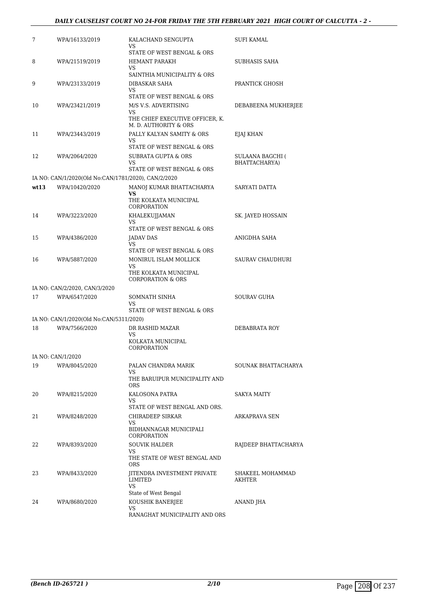#### *DAILY CAUSELIST COURT NO 24-FOR FRIDAY THE 5TH FEBRUARY 2021 HIGH COURT OF CALCUTTA - 2 -*

| 7    | WPA/16133/2019                                      | KALACHAND SENGUPTA<br>VS                                 | SUFI KAMAL                        |
|------|-----------------------------------------------------|----------------------------------------------------------|-----------------------------------|
|      |                                                     | STATE OF WEST BENGAL & ORS                               |                                   |
| 8    | WPA/21519/2019                                      | HEMANT PARAKH<br>VS                                      | SUBHASIS SAHA                     |
|      |                                                     | SAINTHIA MUNICIPALITY & ORS                              |                                   |
| 9    | WPA/23133/2019                                      | DIBASKAR SAHA<br>VS                                      | PRANTICK GHOSH                    |
|      |                                                     | STATE OF WEST BENGAL & ORS                               |                                   |
| 10   | WPA/23421/2019                                      | M/S V.S. ADVERTISING<br>VS                               | DEBABEENA MUKHERJEE               |
|      |                                                     | THE CHIEF EXECUTIVE OFFICER, K.<br>M. D. AUTHORITY & ORS |                                   |
| 11   | WPA/23443/2019                                      | PALLY KALYAN SAMITY & ORS<br>VS                          | EJAJ KHAN                         |
|      |                                                     | STATE OF WEST BENGAL & ORS                               |                                   |
| 12   | WPA/2064/2020                                       | <b>SUBRATA GUPTA &amp; ORS</b><br>VS                     | SULAANA BAGCHI (<br>BHATTACHARYA) |
|      |                                                     | STATE OF WEST BENGAL & ORS                               |                                   |
|      | IA NO: CAN/1/2020(Old No:CAN/1781/2020), CAN/2/2020 |                                                          |                                   |
| wt13 | WPA/10420/2020                                      | MANOJ KUMAR BHATTACHARYA<br>VS                           | SARYATI DATTA                     |
|      |                                                     | THE KOLKATA MUNICIPAL<br>CORPORATION                     |                                   |
| 14   | WPA/3223/2020                                       | KHALEKUJJAMAN                                            | SK. JAYED HOSSAIN                 |
|      |                                                     | VS<br>STATE OF WEST BENGAL & ORS                         |                                   |
| 15   | WPA/4386/2020                                       | JADAV DAS                                                | ANIGDHA SAHA                      |
|      |                                                     | VS<br>STATE OF WEST BENGAL & ORS                         |                                   |
| 16   | WPA/5887/2020                                       | MONIRUL ISLAM MOLLICK                                    | SAURAV CHAUDHURI                  |
|      |                                                     | VS<br>THE KOLKATA MUNICIPAL                              |                                   |
|      |                                                     | <b>CORPORATION &amp; ORS</b>                             |                                   |
|      | IA NO: CAN/2/2020, CAN/3/2020                       |                                                          |                                   |
| 17   | WPA/6547/2020                                       | SOMNATH SINHA                                            | <b>SOURAV GUHA</b>                |
|      |                                                     | VS<br>STATE OF WEST BENGAL & ORS                         |                                   |
|      | IA NO: CAN/1/2020(Old No:CAN/5311/2020)             |                                                          |                                   |
| 18   | WPA/7566/2020                                       | DR RASHID MAZAR<br>VS                                    | DEBABRATA ROY                     |
|      |                                                     | KOLKATA MUNICIPAL<br>CORPORATION                         |                                   |
|      | IA NO: CAN/1/2020                                   |                                                          |                                   |
| 19   | WPA/8045/2020                                       | PALAN CHANDRA MARIK<br>VS                                | SOUNAK BHATTACHARYA               |
|      |                                                     | THE BARUIPUR MUNICIPALITY AND<br><b>ORS</b>              |                                   |
| 20   | WPA/8215/2020                                       | KALOSONA PATRA                                           | SAKYA MAITY                       |
|      |                                                     | VS.                                                      |                                   |
|      |                                                     | STATE OF WEST BENGAL AND ORS.<br>CHIRADEEP SIRKAR        |                                   |
| 21   | WPA/8248/2020                                       | VS                                                       | ARKAPRAVA SEN                     |
|      |                                                     | BIDHANNAGAR MUNICIPALI<br>CORPORATION                    |                                   |
| 22   | WPA/8393/2020                                       | <b>SOUVIK HALDER</b>                                     | RAJDEEP BHATTACHARYA              |
|      |                                                     | VS<br>THE STATE OF WEST BENGAL AND<br><b>ORS</b>         |                                   |
| 23   | WPA/8433/2020                                       | JITENDRA INVESTMENT PRIVATE                              | SHAKEEL MOHAMMAD                  |
|      |                                                     | LIMITED<br>VS                                            | AKHTER                            |
|      |                                                     | State of West Bengal                                     |                                   |
| 24   | WPA/8680/2020                                       | KOUSHIK BANERJEE                                         | ANAND JHA                         |
|      |                                                     | VS<br>RANAGHAT MUNICIPALITY AND ORS                      |                                   |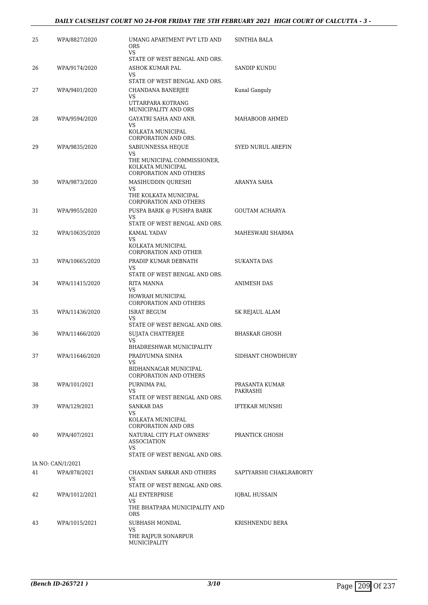| 25 | WPA/8827/2020     | UMANG APARTMENT PVT LTD AND<br><b>ORS</b><br>VS                                                              | SINTHIA BALA             |
|----|-------------------|--------------------------------------------------------------------------------------------------------------|--------------------------|
|    |                   | STATE OF WEST BENGAL AND ORS.                                                                                |                          |
| 26 | WPA/9174/2020     | ASHOK KUMAR PAL<br>VS                                                                                        | SANDIP KUNDU             |
|    |                   | STATE OF WEST BENGAL AND ORS.                                                                                |                          |
| 27 | WPA/9401/2020     | CHANDANA BANERJEE                                                                                            | Kunal Ganguly            |
|    |                   | VS<br>UTTARPARA KOTRANG<br>MUNICIPALITY AND ORS                                                              |                          |
| 28 | WPA/9594/2020     | GAYATRI SAHA AND ANR.                                                                                        | MAHABOOB AHMED           |
|    |                   | VS<br>KOLKATA MUNICIPAL<br>CORPORATION AND ORS.                                                              |                          |
| 29 | WPA/9835/2020     | SABIUNNESSA HEQUE<br>VS<br>THE MUNICIPAL COMMISSIONER,<br>KOLKATA MUNICIPAL<br><b>CORPORATION AND OTHERS</b> | <b>SYED NURUL AREFIN</b> |
| 30 | WPA/9873/2020     | MASIHUDDIN QURESHI                                                                                           | ARANYA SAHA              |
|    |                   | VS<br>THE KOLKATA MUNICIPAL<br><b>CORPORATION AND OTHERS</b>                                                 |                          |
| 31 | WPA/9955/2020     | PUSPA BARIK @ PUSHPA BARIK                                                                                   | <b>GOUTAM ACHARYA</b>    |
|    |                   | VS<br>STATE OF WEST BENGAL AND ORS.                                                                          |                          |
| 32 | WPA/10635/2020    | KAMAL YADAV                                                                                                  | MAHESWARI SHARMA         |
|    |                   | VS<br>KOLKATA MUNICIPAL<br>CORPORATION AND OTHER                                                             |                          |
| 33 | WPA/10665/2020    | PRADIP KUMAR DEBNATH                                                                                         | <b>SUKANTA DAS</b>       |
|    |                   | <b>VS</b><br>STATE OF WEST BENGAL AND ORS.                                                                   |                          |
| 34 | WPA/11415/2020    | RITA MANNA                                                                                                   | ANIMESH DAS              |
|    |                   | VS<br>HOWRAH MUNICIPAL<br>CORPORATION AND OTHERS                                                             |                          |
| 35 | WPA/11436/2020    | ISRAT BEGUM                                                                                                  | SK REJAUL ALAM           |
|    |                   | VS<br>STATE OF WEST BENGAL AND ORS.                                                                          |                          |
| 36 | WPA/11466/2020    | SUJATA CHATTERJEE                                                                                            | BHASKAR GHOSH            |
|    |                   | VS<br>BHADRESHWAR MUNICIPALITY                                                                               |                          |
| 37 | WPA/11646/2020    | PRADYUMNA SINHA                                                                                              | SIDHANT CHOWDHURY        |
|    |                   | VS                                                                                                           |                          |
|    |                   | BIDHANNAGAR MUNICIPAL<br><b>CORPORATION AND OTHERS</b>                                                       |                          |
| 38 | WPA/101/2021      | PURNIMA PAL                                                                                                  | PRASANTA KUMAR           |
|    |                   | VS<br>STATE OF WEST BENGAL AND ORS.                                                                          | PAKRASHI                 |
| 39 | WPA/129/2021      | <b>SANKAR DAS</b><br>VS                                                                                      | <b>IFTEKAR MUNSHI</b>    |
|    |                   | KOLKATA MUNICIPAL<br><b>CORPORATION AND ORS</b>                                                              |                          |
| 40 | WPA/407/2021      | NATURAL CITY FLAT OWNERS'<br><b>ASSOCIATION</b><br>VS                                                        | PRANTICK GHOSH           |
|    |                   | STATE OF WEST BENGAL AND ORS.                                                                                |                          |
|    | IA NO: CAN/1/2021 |                                                                                                              |                          |
| 41 | WPA/878/2021      | CHANDAN SARKAR AND OTHERS<br>VS.<br>STATE OF WEST BENGAL AND ORS.                                            | SAPTYARSHI CHAKLRABORTY  |
| 42 | WPA/1012/2021     | ALI ENTERPRISE                                                                                               | IQBAL HUSSAIN            |
|    |                   | VS<br>THE BHATPARA MUNICIPALITY AND<br><b>ORS</b>                                                            |                          |
| 43 | WPA/1015/2021     | SUBHASH MONDAL<br>VS                                                                                         | KRISHNENDU BERA          |
|    |                   | THE RAJPUR SONARPUR<br>MUNICIPALITY                                                                          |                          |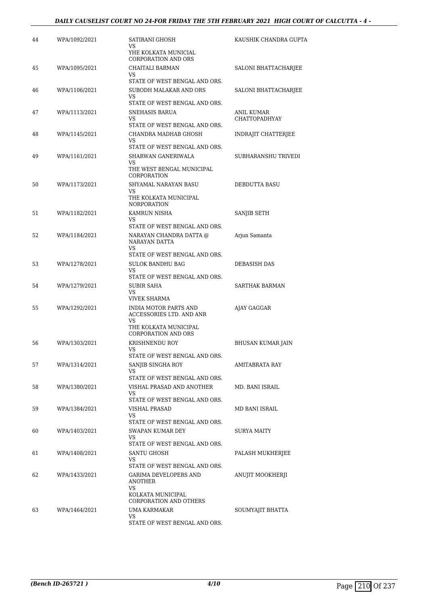| 44 | WPA/1092/2021 | SATIRANI GHOSH<br>VS<br>YHE KOLKATA MUNICIAL<br>CORPORATION AND ORS                                                    | KAUSHIK CHANDRA GUPTA       |
|----|---------------|------------------------------------------------------------------------------------------------------------------------|-----------------------------|
| 45 | WPA/1095/2021 | CHAITALI BARMAN<br>VS                                                                                                  | SALONI BHATTACHARJEE        |
| 46 | WPA/1106/2021 | STATE OF WEST BENGAL AND ORS.<br>SUBODH MALAKAR AND ORS<br>VS                                                          | SALONI BHATTACHARJEE        |
| 47 | WPA/1113/2021 | STATE OF WEST BENGAL AND ORS.<br>SNEHASIS BARUA<br>VS<br>STATE OF WEST BENGAL AND ORS.                                 | ANIL KUMAR<br>CHATTOPADHYAY |
| 48 | WPA/1145/2021 | CHANDRA MADHAB GHOSH<br>VS.<br>STATE OF WEST BENGAL AND ORS.                                                           | <b>INDRAJIT CHATTERJEE</b>  |
| 49 | WPA/1161/2021 | SHARWAN GANERIWALA<br>VS<br>THE WEST BENGAL MUNICIPAL<br>CORPORATION                                                   | SUBHARANSHU TRIVEDI         |
| 50 | WPA/1173/2021 | SHYAMAL NARAYAN BASU<br>VS.<br>THE KOLKATA MUNICIPAL<br><b>NORPORATION</b>                                             | DEBDUTTA BASU               |
| 51 | WPA/1182/2021 | <b>KAMRUN NISHA</b><br>VS<br>STATE OF WEST BENGAL AND ORS.                                                             | SANJIB SETH                 |
| 52 | WPA/1184/2021 | NARAYAN CHANDRA DATTA @<br>NARAYAN DATTA<br>VS                                                                         | Arjun Samanta               |
| 53 | WPA/1278/2021 | STATE OF WEST BENGAL AND ORS.<br><b>SULOK BANDHU BAG</b><br>VS<br>STATE OF WEST BENGAL AND ORS.                        | DEBASISH DAS                |
| 54 | WPA/1279/2021 | <b>SUBIR SAHA</b><br>VS<br>VIVEK SHARMA                                                                                | <b>SARTHAK BARMAN</b>       |
| 55 | WPA/1292/2021 | <b>INDIA MOTOR PARTS AND</b><br>ACCESSORIES LTD. AND ANR<br>VS.<br>THE KOLKATA MUNICIPAL<br><b>CORPORATION AND ORS</b> | AJAY GAGGAR                 |
| 56 | WPA/1303/2021 | KRISHNENDU ROY<br>VS                                                                                                   | BHUSAN KUMAR JAIN           |
| 57 | WPA/1314/2021 | STATE OF WEST BENGAL AND ORS.<br>SANJIB SINGHA ROY<br>VS                                                               | AMITABRATA RAY              |
| 58 | WPA/1380/2021 | STATE OF WEST BENGAL AND ORS.<br>VISHAL PRASAD AND ANOTHER<br>VS<br>STATE OF WEST BENGAL AND ORS.                      | MD. BANI ISRAIL             |
| 59 | WPA/1384/2021 | VISHAL PRASAD<br>VS<br>STATE OF WEST BENGAL AND ORS.                                                                   | MD BANI ISRAIL              |
| 60 | WPA/1403/2021 | SWAPAN KUMAR DEY<br>VS<br>STATE OF WEST BENGAL AND ORS.                                                                | SURYA MAITY                 |
| 61 | WPA/1408/2021 | SANTU GHOSH<br>VS.<br>STATE OF WEST BENGAL AND ORS.                                                                    | PALASH MUKHERJEE            |
| 62 | WPA/1433/2021 | GARIMA DEVELOPERS AND<br>ANOTHER<br>VS<br>KOLKATA MUNICIPAL<br><b>CORPORATION AND OTHERS</b>                           | ANUJIT MOOKHERJI            |
| 63 | WPA/1464/2021 | UMA KARMAKAR<br>VS<br>STATE OF WEST BENGAL AND ORS.                                                                    | SOUMYAJIT BHATTA            |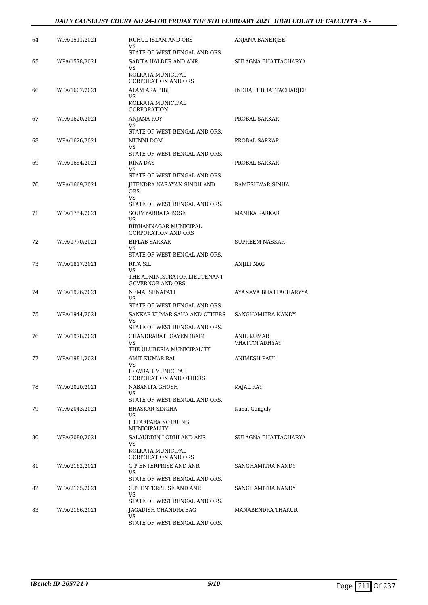| 64 | WPA/1511/2021 | RUHUL ISLAM AND ORS<br>VS.<br>STATE OF WEST BENGAL AND ORS.                                                           | ANJANA BANERJEE             |
|----|---------------|-----------------------------------------------------------------------------------------------------------------------|-----------------------------|
| 65 | WPA/1578/2021 | SABITA HALDER AND ANR<br>VS<br>KOLKATA MUNICIPAL<br><b>CORPORATION AND ORS</b>                                        | SULAGNA BHATTACHARYA        |
| 66 | WPA/1607/2021 | ALAM ARA BIBI<br>VS<br>KOLKATA MUNICIPAL<br>CORPORATION                                                               | INDRAJIT BHATTACHARJEE      |
| 67 | WPA/1620/2021 | <b>ANJANA ROY</b><br>VS.                                                                                              | PROBAL SARKAR               |
| 68 | WPA/1626/2021 | STATE OF WEST BENGAL AND ORS.<br>MUNNI DOM<br>VS<br>STATE OF WEST BENGAL AND ORS.                                     | PROBAL SARKAR               |
| 69 | WPA/1654/2021 | <b>RINA DAS</b><br>VS<br>STATE OF WEST BENGAL AND ORS.                                                                | PROBAL SARKAR               |
| 70 | WPA/1669/2021 | JITENDRA NARAYAN SINGH AND<br><b>ORS</b><br>VS                                                                        | RAMESHWAR SINHA             |
| 71 | WPA/1754/2021 | STATE OF WEST BENGAL AND ORS.<br><b>SOUMYABRATA BOSE</b><br>VS<br>BIDHANNAGAR MUNICIPAL<br><b>CORPORATION AND ORS</b> | <b>MANIKA SARKAR</b>        |
| 72 | WPA/1770/2021 | <b>BIPLAB SARKAR</b><br>VS<br>STATE OF WEST BENGAL AND ORS.                                                           | SUPREEM NASKAR              |
| 73 | WPA/1817/2021 | RITA SIL<br>VS<br>THE ADMINISTRATOR LIEUTENANT<br><b>GOVERNOR AND ORS</b>                                             | ANJILI NAG                  |
| 74 | WPA/1926/2021 | NEMAI SENAPATI<br>VS                                                                                                  | AYANAVA BHATTACHARYYA       |
| 75 | WPA/1944/2021 | STATE OF WEST BENGAL AND ORS.<br>SANKAR KUMAR SAHA AND OTHERS<br>VS.<br>STATE OF WEST BENGAL AND ORS.                 | SANGHAMITRA NANDY           |
| 76 | WPA/1978/2021 | CHANDRABATI GAYEN (BAG)<br>VS.<br>THE ULUBERIA MUNICIPALITY                                                           | ANIL KUMAR<br>VHATTOPADHYAY |
| 77 | WPA/1981/2021 | AMIT KUMAR RAI<br>VS.<br>HOWRAH MUNICIPAL<br><b>CORPORATION AND OTHERS</b>                                            | ANIMESH PAUL                |
| 78 | WPA/2020/2021 | NABANITA GHOSH<br>VS<br>STATE OF WEST BENGAL AND ORS.                                                                 | KAJAL RAY                   |
| 79 | WPA/2043/2021 | BHASKAR SINGHA<br>VS<br>UTTARPARA KOTRUNG<br>MUNICIPALITY                                                             | Kunal Ganguly               |
| 80 | WPA/2080/2021 | SALAUDDIN LODHI AND ANR<br>VS<br>KOLKATA MUNICIPAL<br><b>CORPORATION AND ORS</b>                                      | SULAGNA BHATTACHARYA        |
| 81 | WPA/2162/2021 | <b>G P ENTERPRISE AND ANR</b><br>VS<br>STATE OF WEST BENGAL AND ORS.                                                  | SANGHAMITRA NANDY           |
| 82 | WPA/2165/2021 | G.P. ENTERPRISE AND ANR<br>VS                                                                                         | SANGHAMITRA NANDY           |
| 83 | WPA/2166/2021 | STATE OF WEST BENGAL AND ORS.<br>JAGADISH CHANDRA BAG<br>VS<br>STATE OF WEST BENGAL AND ORS.                          | MANABENDRA THAKUR           |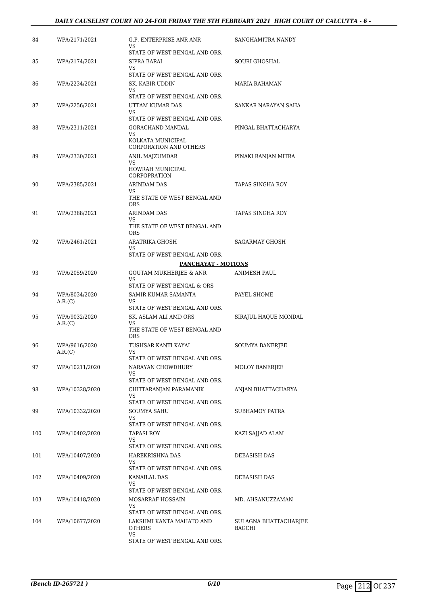#### *DAILY CAUSELIST COURT NO 24-FOR FRIDAY THE 5TH FEBRUARY 2021 HIGH COURT OF CALCUTTA - 6 -*

| 84  | WPA/2171/2021            | G.P. ENTERPRISE ANR ANR<br>VS                                                | SANGHAMITRA NANDY               |
|-----|--------------------------|------------------------------------------------------------------------------|---------------------------------|
| 85  | WPA/2174/2021            | STATE OF WEST BENGAL AND ORS.<br>SIPRA BARAI<br>VS                           | SOURI GHOSHAL                   |
|     |                          | STATE OF WEST BENGAL AND ORS.                                                |                                 |
| 86  | WPA/2234/2021            | SK. KABIR UDDIN<br>VS<br>STATE OF WEST BENGAL AND ORS.                       | <b>MARIA RAHAMAN</b>            |
| 87  | WPA/2256/2021            | UTTAM KUMAR DAS<br>VS                                                        | SANKAR NARAYAN SAHA             |
|     |                          | STATE OF WEST BENGAL AND ORS.                                                |                                 |
| 88  | WPA/2311/2021            | GORACHAND MANDAL<br>VS<br>KOLKATA MUNICIPAL<br><b>CORPORATION AND OTHERS</b> | PINGAL BHATTACHARYA             |
| 89  | WPA/2330/2021            | ANIL MAJZUMDAR<br>VS<br>HOWRAH MUNICIPAL<br>CORPOPRATION                     | PINAKI RANJAN MITRA             |
| 90  | WPA/2385/2021            | <b>ARINDAM DAS</b><br>VS.                                                    | <b>TAPAS SINGHA ROY</b>         |
|     |                          | THE STATE OF WEST BENGAL AND<br><b>ORS</b>                                   |                                 |
| 91  | WPA/2388/2021            | ARINDAM DAS<br>VS                                                            | TAPAS SINGHA ROY                |
|     |                          | THE STATE OF WEST BENGAL AND<br><b>ORS</b>                                   |                                 |
| 92  | WPA/2461/2021            | ARATRIKA GHOSH<br>VS.                                                        | <b>SAGARMAY GHOSH</b>           |
|     |                          | STATE OF WEST BENGAL AND ORS.                                                |                                 |
|     |                          | <b>PANCHAYAT - MOTIONS</b>                                                   |                                 |
| 93  | WPA/2059/2020            | <b>GOUTAM MUKHERJEE &amp; ANR</b><br>VS.<br>STATE OF WEST BENGAL & ORS       | ANIMESH PAUL                    |
| 94  | WPA/8034/2020<br>A.R.(C) | SAMIR KUMAR SAMANTA<br>VS                                                    | PAYEL SHOME                     |
| 95  | WPA/9032/2020            | STATE OF WEST BENGAL AND ORS.<br>SK. ASLAM ALI AMD ORS                       | SIRAJUL HAQUE MONDAL            |
|     | A.R.(C)                  | VS<br>THE STATE OF WEST BENGAL AND<br><b>ORS</b>                             |                                 |
| 96  | WPA/9616/2020            | TUSHSAR KANTI KAYAL                                                          | <b>SOUMYA BANERJEE</b>          |
|     | A.R.(C)                  | VS<br>STATE OF WEST BENGAL AND ORS.                                          |                                 |
| 97  | WPA/10211/2020           | NARAYAN CHOWDHURY<br>VS                                                      | <b>MOLOY BANERJEE</b>           |
|     |                          | STATE OF WEST BENGAL AND ORS.                                                |                                 |
| 98  | WPA/10328/2020           | CHITTARANJAN PARAMANIK<br>VS.<br>STATE OF WEST BENGAL AND ORS.               | ANJAN BHATTACHARYA              |
| 99  | WPA/10332/2020           | <b>SOUMYA SAHU</b>                                                           | SUBHAMOY PATRA                  |
|     |                          | VS<br>STATE OF WEST BENGAL AND ORS.                                          |                                 |
| 100 | WPA/10402/2020           | TAPASI ROY<br>VS.<br>STATE OF WEST BENGAL AND ORS.                           | KAZI SAJJAD ALAM                |
| 101 | WPA/10407/2020           | HAREKRISHNA DAS<br>VS                                                        | DEBASISH DAS                    |
|     |                          | STATE OF WEST BENGAL AND ORS.                                                |                                 |
| 102 | WPA/10409/2020           | KANAILAL DAS<br>VS<br>STATE OF WEST BENGAL AND ORS.                          | DEBASISH DAS                    |
| 103 | WPA/10418/2020           | MOSARRAF HOSSAIN                                                             | MD. AHSANUZZAMAN                |
|     |                          | VS.<br>STATE OF WEST BENGAL AND ORS.                                         |                                 |
| 104 | WPA/10677/2020           | LAKSHMI KANTA MAHATO AND<br><b>OTHERS</b><br>VS                              | SULAGNA BHATTACHARJEE<br>BAGCHI |
|     |                          | STATE OF WEST BENGAL AND ORS.                                                |                                 |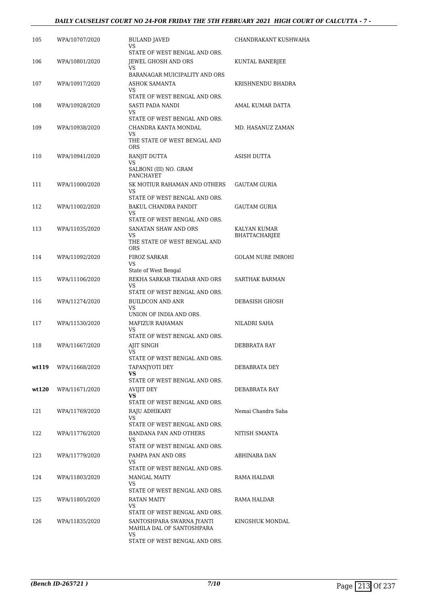#### *DAILY CAUSELIST COURT NO 24-FOR FRIDAY THE 5TH FEBRUARY 2021 HIGH COURT OF CALCUTTA - 7 -*

| 105   | WPA/10707/2020 | <b>BULAND JAVED</b><br>VS<br>STATE OF WEST BENGAL AND ORS.           | CHANDRAKANT KUSHWAHA          |
|-------|----------------|----------------------------------------------------------------------|-------------------------------|
| 106   | WPA/10801/2020 | JEWEL GHOSH AND ORS<br>VS                                            | KUNTAL BANERJEE               |
| 107   | WPA/10917/2020 | BARANAGAR MUICIPALITY AND ORS<br>ASHOK SAMANTA<br>VS.                | KRISHNENDU BHADRA             |
| 108   | WPA/10928/2020 | STATE OF WEST BENGAL AND ORS.<br>SASTI PADA NANDI<br>VS              | AMAL KUMAR DATTA              |
| 109   | WPA/10938/2020 | STATE OF WEST BENGAL AND ORS.<br>CHANDRA KANTA MONDAL<br>VS          | MD. HASANUZ ZAMAN             |
| 110   | WPA/10941/2020 | THE STATE OF WEST BENGAL AND<br><b>ORS</b><br>RANJIT DUTTA           | ASISH DUTTA                   |
|       |                | VS<br>SALBONI (III) NO. GRAM<br><b>PANCHAYET</b>                     |                               |
| 111   | WPA/11000/2020 | SK MOTIUR RAHAMAN AND OTHERS<br>VS.<br>STATE OF WEST BENGAL AND ORS. | <b>GAUTAM GURIA</b>           |
| 112   | WPA/11002/2020 | BAKUL CHANDRA PANDIT<br>VS                                           | GAUTAM GURIA                  |
|       |                | STATE OF WEST BENGAL AND ORS.                                        |                               |
| 113   | WPA/11035/2020 | SANATAN SHAW AND ORS<br>VS.<br>THE STATE OF WEST BENGAL AND          | KALYAN KUMAR<br>BHATTACHARJEE |
| 114   | WPA/11092/2020 | <b>ORS</b><br><b>FIROZ SARKAR</b><br>VS                              | <b>GOLAM NURE IMROHI</b>      |
| 115   | WPA/11106/2020 | State of West Bengal<br>REKHA SARKAR TIKADAR AND ORS<br>VS           | SARTHAK BARMAN                |
| 116   | WPA/11274/2020 | STATE OF WEST BENGAL AND ORS.<br><b>BUILDCON AND ANR</b>             | DEBASISH GHOSH                |
|       |                | VS.<br>UNION OF INDIA AND ORS.                                       |                               |
| 117   | WPA/11530/2020 | MAFIZUR RAHAMAN<br>VS                                                | NILADRI SAHA                  |
| 118   | WPA/11667/2020 | STATE OF WEST BENGAL AND ORS.<br>AJIT SINGH<br>VS                    | <b>DEBBRATA RAY</b>           |
|       |                | STATE OF WEST BENGAL AND ORS.                                        |                               |
| wt119 | WPA/11668/2020 | TAPANJYOTI DEY<br>VS.<br>STATE OF WEST BENGAL AND ORS.               | DEBABRATA DEY                 |
| wt120 | WPA/11671/2020 | AVIJIT DEY<br>VS.                                                    | DEBABRATA RAY                 |
|       |                | STATE OF WEST BENGAL AND ORS.                                        |                               |
| 121   | WPA/11769/2020 | RAJU ADHIKARY<br>VS<br>STATE OF WEST BENGAL AND ORS.                 | Nemai Chandra Saha            |
| 122   | WPA/11776/2020 | BANDANA PAN AND OTHERS<br>VS.                                        | NITISH SMANTA                 |
| 123   | WPA/11779/2020 | STATE OF WEST BENGAL AND ORS.<br>PAMPA PAN AND ORS<br>VS.            | ABHINABA DAN                  |
| 124   | WPA/11803/2020 | STATE OF WEST BENGAL AND ORS.<br><b>MANGAL MAITY</b><br>VS.          | RAMA HALDAR                   |
|       |                | STATE OF WEST BENGAL AND ORS.                                        |                               |
| 125   | WPA/11805/2020 | RATAN MAITY<br>VS.<br>STATE OF WEST BENGAL AND ORS.                  | RAMA HALDAR                   |
| 126   | WPA/11835/2020 | SANTOSHPARA SWARNA JYANTI<br>MAHILA DAL OF SANTOSHPARA<br>VS         | KINGSHUK MONDAL               |
|       |                | STATE OF WEST BENGAL AND ORS.                                        |                               |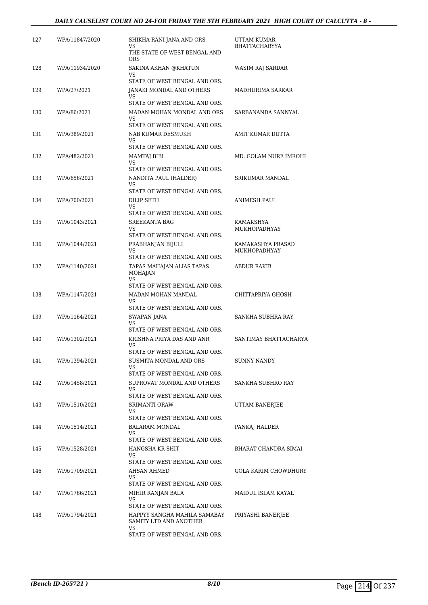#### *DAILY CAUSELIST COURT NO 24-FOR FRIDAY THE 5TH FEBRUARY 2021 HIGH COURT OF CALCUTTA - 8 -*

| 127 | WPA/11847/2020 | SHIKHA RANI JANA AND ORS<br>VS.                                    | UTTAM KUMAR<br><b>BHATTACHARYYA</b> |
|-----|----------------|--------------------------------------------------------------------|-------------------------------------|
|     |                | THE STATE OF WEST BENGAL AND<br><b>ORS</b>                         |                                     |
| 128 | WPA/11934/2020 | SAKINA AKHAN @KHATUN<br>VS                                         | WASIM RAJ SARDAR                    |
|     |                | STATE OF WEST BENGAL AND ORS.                                      |                                     |
| 129 | WPA/27/2021    | JANAKI MONDAL AND OTHERS<br>VS                                     | MADHURIMA SARKAR                    |
|     |                | STATE OF WEST BENGAL AND ORS.                                      |                                     |
| 130 | WPA/86/2021    | MADAN MOHAN MONDAL AND ORS<br>VS.<br>STATE OF WEST BENGAL AND ORS. | SARBANANDA SANNYAL                  |
| 131 | WPA/389/2021   | NAB KUMAR DESMUKH                                                  | AMIT KUMAR DUTTA                    |
|     |                | VS.<br>STATE OF WEST BENGAL AND ORS.                               |                                     |
| 132 | WPA/482/2021   | MAMTAJ BIBI                                                        | MD. GOLAM NURE IMROHI               |
|     |                | VS.                                                                |                                     |
| 133 | WPA/656/2021   | STATE OF WEST BENGAL AND ORS.<br>NANDITA PAUL (HALDER)             | SRIKUMAR MANDAL                     |
|     |                | VS                                                                 |                                     |
|     |                | STATE OF WEST BENGAL AND ORS.                                      |                                     |
| 134 | WPA/700/2021   | DILIP SETH<br>VS.                                                  | ANIMESH PAUL                        |
|     |                | STATE OF WEST BENGAL AND ORS.                                      |                                     |
| 135 | WPA/1043/2021  | SREEKANTA BAG<br>VS                                                | KAMAKSHYA<br>MUKHOPADHYAY           |
|     |                | STATE OF WEST BENGAL AND ORS.                                      |                                     |
| 136 | WPA/1044/2021  | PRABHANJAN BIJULI                                                  | KAMAKASHYA PRASAD                   |
|     |                | VS<br>STATE OF WEST BENGAL AND ORS.                                | <b>MUKHOPADHYAY</b>                 |
| 137 | WPA/1140/2021  | TAPAS MAHAJAN ALIAS TAPAS<br>MOHAJAN<br>VS.                        | ABDUR RAKIB                         |
|     |                | STATE OF WEST BENGAL AND ORS.                                      |                                     |
| 138 | WPA/1147/2021  | MADAN MOHAN MANDAL<br>VS                                           | CHITTAPRIYA GHOSH                   |
|     |                | STATE OF WEST BENGAL AND ORS.                                      |                                     |
| 139 | WPA/1164/2021  | SWAPAN JANA<br>VS                                                  | SANKHA SUBHRA RAY                   |
|     |                | STATE OF WEST BENGAL AND ORS.                                      |                                     |
| 140 | WPA/1302/2021  | KRISHNA PRIYA DAS AND ANR<br>VS                                    | SANTIMAY BHATTACHARYA               |
|     |                | STATE OF WEST BENGAL AND ORS.                                      |                                     |
| 141 | WPA/1394/2021  | SUSMITA MONDAL AND ORS<br>VS.                                      | <b>SUNNY NANDY</b>                  |
|     |                | STATE OF WEST BENGAL AND ORS.                                      |                                     |
| 142 | WPA/1458/2021  | SUPROVAT MONDAL AND OTHERS<br>VS                                   | SANKHA SUBHRO RAY                   |
|     |                | STATE OF WEST BENGAL AND ORS.                                      |                                     |
| 143 | WPA/1510/2021  | <b>SRIMANTI ORAW</b>                                               | UTTAM BANERJEE                      |
|     |                | VS.<br>STATE OF WEST BENGAL AND ORS.                               |                                     |
| 144 | WPA/1514/2021  | BALARAM MONDAL                                                     | PANKAJ HALDER                       |
|     |                | VS<br>STATE OF WEST BENGAL AND ORS.                                |                                     |
| 145 | WPA/1528/2021  | HANGSHA KR SHIT                                                    | BHARAT CHANDRA SIMAI                |
|     |                | VS<br>STATE OF WEST BENGAL AND ORS.                                |                                     |
| 146 | WPA/1709/2021  | AHSAN AHMED                                                        | GOLA KARIM CHOWDHURY                |
|     |                | VS                                                                 |                                     |
|     |                | STATE OF WEST BENGAL AND ORS.                                      |                                     |
| 147 | WPA/1766/2021  | MIHIR RANJAN BALA<br>VS                                            | MAIDUL ISLAM KAYAL                  |
|     |                | STATE OF WEST BENGAL AND ORS.                                      |                                     |
| 148 | WPA/1794/2021  | HAPPYY SANGHA MAHILA SAMABAY<br>SAMITY LTD AND ANOTHER<br>VS       | PRIYASHI BANERJEE                   |
|     |                | STATE OF WEST BENGAL AND ORS.                                      |                                     |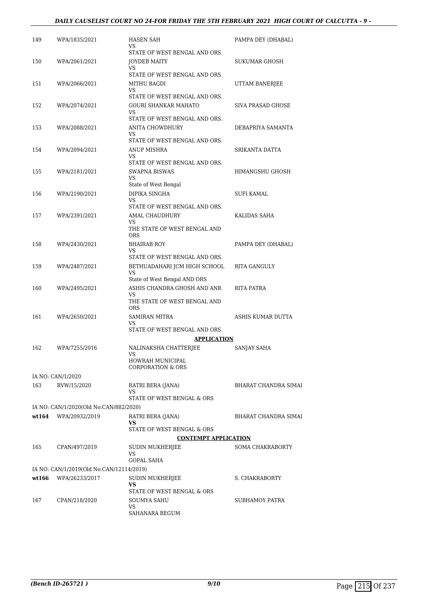| 149    | WPA/1835/2021                            | HASEN SAH<br>VS<br>STATE OF WEST BENGAL AND ORS.                   | PAMPA DEY (DHABAL)          |
|--------|------------------------------------------|--------------------------------------------------------------------|-----------------------------|
| 150    | WPA/2061/2021                            | <b>JOYDEB MAITY</b><br>VS                                          | SUKUMAR GHOSH               |
| 151    | WPA/2066/2021                            | STATE OF WEST BENGAL AND ORS.<br>MITHU BAGDI<br>VS                 | UTTAM BANERJEE              |
| 152    | WPA/2074/2021                            | STATE OF WEST BENGAL AND ORS.<br>GOURI SHANKAR MAHATO<br>VS        | SIVA PRASAD GHOSE           |
| 153    | WPA/2088/2021                            | STATE OF WEST BENGAL AND ORS.<br>ANITA CHOWDHURY<br>VS             | DEBAPRIYA SAMANTA           |
| 154    | WPA/2094/2021                            | STATE OF WEST BENGAL AND ORS.<br>ANUP MISHRA<br>VS                 | SRIKANTA DATTA              |
| 155    | WPA/2181/2021                            | STATE OF WEST BENGAL AND ORS.<br>SWAPNA BISWAS<br>VS.              | HIMANGSHU GHOSH             |
| 156    | WPA/2190/2021                            | State of West Bengal<br>DIPIKA SINGHA<br>VS.                       | SUFI KAMAL                  |
| 157    | WPA/2391/2021                            | STATE OF WEST BENGAL AND ORS.<br><b>AMAL CHAUDHURY</b><br>VS.      | KALIDAS SAHA                |
|        |                                          | THE STATE OF WEST BENGAL AND<br><b>ORS</b>                         |                             |
| 158    | WPA/2430/2021                            | <b>BHAIRAB ROY</b><br>VS<br>STATE OF WEST BENGAL AND ORS.          | PAMPA DEY (DHABAL)          |
| 159    | WPA/2487/2021                            | BETHUADAHARI JCM HIGH SCHOOL<br>VS<br>State of West Bengal AND ORS | RITA GANGULY                |
| 160    | WPA/2495/2021                            | ASHIS CHANDRA GHOSH AND ANR<br>VS.<br>THE STATE OF WEST BENGAL AND | RITA PATRA                  |
| 161    | WPA/2650/2021                            | <b>ORS</b><br><b>SAMIRAN MITRA</b><br>VS                           | ASHIS KUMAR DUTTA           |
|        |                                          | STATE OF WEST BENGAL AND ORS.<br><b>APPLICATION</b>                |                             |
| 162    | WPA/7255/2016                            | NALINAKSHA CHATTERJEE<br>VS<br>HOWRAH MUNICIPAL                    | SANJAY SAHA                 |
|        | IA NO: CAN/1/2020                        | <b>CORPORATION &amp; ORS</b>                                       |                             |
| 163    | RVW/15/2020                              | RATRI BERA (JANA)<br>VS<br>STATE OF WEST BENGAL & ORS              | <b>BHARAT CHANDRA SIMAI</b> |
|        | IA NO: CAN/1/2020(Old No:CAN/882/2020)   |                                                                    |                             |
| wt.164 | WPA/20932/2019                           | RATRI BERA (JANA)<br>VS<br>STATE OF WEST BENGAL & ORS              | <b>BHARAT CHANDRA SIMAI</b> |
|        |                                          | <b>CONTEMPT APPLICATION</b>                                        |                             |
| 165    | CPAN/497/2019                            | SUDIN MUKHERJEE<br>VS<br><b>GOPAL SAHA</b>                         | <b>SOMA CHAKRABORTY</b>     |
|        | IA NO: CAN/1/2019(Old No:CAN/12114/2019) |                                                                    |                             |
| wt166  | WPA/26233/2017                           | <b>SUDIN MUKHERJEE</b><br>VS<br>STATE OF WEST BENGAL & ORS         | S. CHAKRABORTY              |
| 167    | CPAN/218/2020                            | SOUMYA SAHU<br>VS.<br>SAHANARA BEGUM                               | SUBHAMOY PATRA              |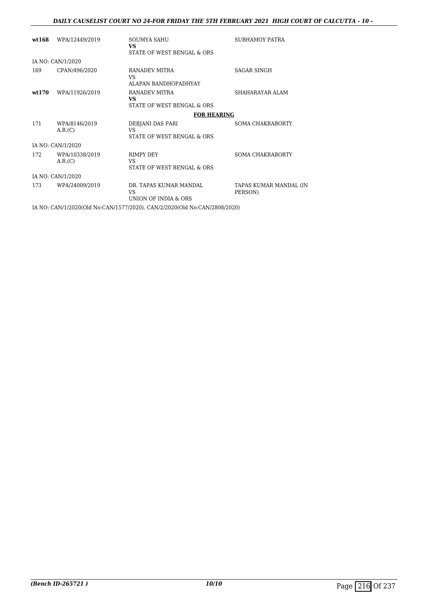| wt.168 | WPA/12449/2019            | SOUMYA SAHU<br><b>VS</b><br>STATE OF WEST BENGAL & ORS                    | SUBHAMOY PATRA                    |
|--------|---------------------------|---------------------------------------------------------------------------|-----------------------------------|
|        | IA NO: CAN/1/2020         |                                                                           |                                   |
| 169    | CPAN/496/2020             | RANADEV MITRA<br>VS.<br>ALAPAN BANDHOPADHYAY                              | <b>SAGAR SINGH</b>                |
| wt.170 | WPA/11926/2019            | RANADEV MITRA<br><b>VS</b><br>STATE OF WEST BENGAL & ORS                  | SHAHARAYAR ALAM                   |
|        |                           | <b>FOR HEARING</b>                                                        |                                   |
| 171    | WPA/8146/2019<br>A.R.(C)  | DEBJANI DAS PARI<br>VS<br>STATE OF WEST BENGAL & ORS                      | SOMA CHAKRABORTY                  |
|        | IA NO: CAN/1/2020         |                                                                           |                                   |
| 172    | WPA/10338/2019<br>A.R.(C) | <b>RIMPY DEY</b><br>VS.<br>STATE OF WEST BENGAL & ORS                     | SOMA CHAKRABORTY                  |
|        | IA NO: CAN/1/2020         |                                                                           |                                   |
| 173    | WPA/24009/2019            | DR. TAPAS KUMAR MANDAL<br>VS.<br>UNION OF INDIA & ORS                     | TAPAS KUMAR MANDAL (IN<br>PERSON) |
|        |                           | IA NO: CAN/1/2020(Old No:CAN/1577/2020), CAN/2/2020(Old No:CAN/2808/2020) |                                   |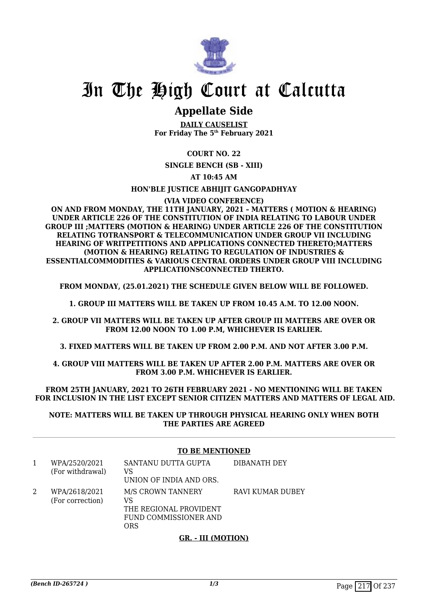

# **Appellate Side**

**DAILY CAUSELIST For Friday The 5th February 2021**

**COURT NO. 22**

**SINGLE BENCH (SB - XIII)**

**AT 10:45 AM**

**HON'BLE JUSTICE ABHIJIT GANGOPADHYAY**

#### **(VIA VIDEO CONFERENCE)**

**ON AND FROM MONDAY, THE 11TH JANUARY, 2021 – MATTERS ( MOTION & HEARING) UNDER ARTICLE 226 OF THE CONSTITUTION OF INDIA RELATING TO LABOUR UNDER GROUP III ;MATTERS (MOTION & HEARING) UNDER ARTICLE 226 OF THE CONSTITUTION RELATING TOTRANSPORT & TELECOMMUNICATION UNDER GROUP VII INCLUDING HEARING OF WRITPETITIONS AND APPLICATIONS CONNECTED THERETO;MATTERS (MOTION & HEARING) RELATING TO REGULATION OF INDUSTRIES & ESSENTIALCOMMODITIES & VARIOUS CENTRAL ORDERS UNDER GROUP VIII INCLUDING APPLICATIONSCONNECTED THERTO.**

**FROM MONDAY, (25.01.2021) THE SCHEDULE GIVEN BELOW WILL BE FOLLOWED.**

**1. GROUP III MATTERS WILL BE TAKEN UP FROM 10.45 A.M. TO 12.00 NOON.**

**2. GROUP VII MATTERS WILL BE TAKEN UP AFTER GROUP III MATTERS ARE OVER OR FROM 12.00 NOON TO 1.00 P.M, WHICHEVER IS EARLIER.**

**3. FIXED MATTERS WILL BE TAKEN UP FROM 2.00 P.M. AND NOT AFTER 3.00 P.M.**

**4. GROUP VIII MATTERS WILL BE TAKEN UP AFTER 2.00 P.M. MATTERS ARE OVER OR FROM 3.00 P.M. WHICHEVER IS EARLIER.**

**FROM 25TH JANUARY, 2021 TO 26TH FEBRUARY 2021 - NO MENTIONING WILL BE TAKEN FOR INCLUSION IN THE LIST EXCEPT SENIOR CITIZEN MATTERS AND MATTERS OF LEGAL AID.**

**NOTE: MATTERS WILL BE TAKEN UP THROUGH PHYSICAL HEARING ONLY WHEN BOTH THE PARTIES ARE AGREED**

### **TO BE MENTIONED**

| WPA/2520/2021<br>(For withdrawal) | SANTANU DUTTA GUPTA<br>VS<br>UNION OF INDIA AND ORS.                              | DIBANATH DEY     |
|-----------------------------------|-----------------------------------------------------------------------------------|------------------|
| WPA/2618/2021<br>(For correction) | M/S CROWN TANNERY<br>VS<br>THE REGIONAL PROVIDENT<br>FUND COMMISSIONER AND<br>ORS | RAVI KUMAR DUBEY |

### **GR. - III (MOTION)**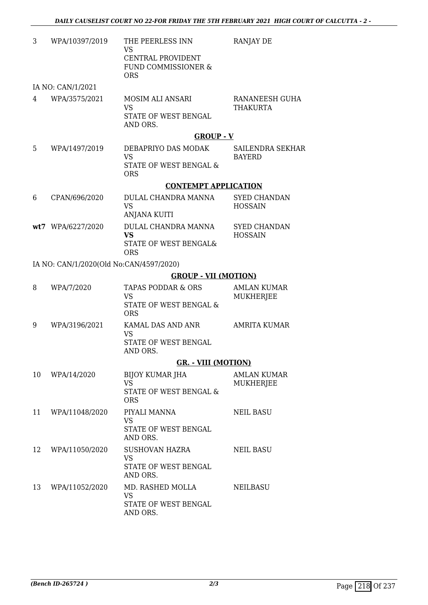| 3  | WPA/10397/2019                          | THE PEERLESS INN<br>VS<br>CENTRAL PROVIDENT<br>FUND COMMISSIONER &                 | RANJAY DE                              |
|----|-----------------------------------------|------------------------------------------------------------------------------------|----------------------------------------|
|    |                                         | <b>ORS</b>                                                                         |                                        |
| 4  | IA NO: CAN/1/2021<br>WPA/3575/2021      | MOSIM ALI ANSARI<br><b>VS</b><br>STATE OF WEST BENGAL<br>AND ORS.                  | RANANEESH GUHA<br><b>THAKURTA</b>      |
|    |                                         | <b>GROUP - V</b>                                                                   |                                        |
| 5  | WPA/1497/2019                           | DEBAPRIYO DAS MODAK<br><b>VS</b><br>STATE OF WEST BENGAL &<br><b>ORS</b>           | SAILENDRA SEKHAR<br><b>BAYERD</b>      |
|    |                                         | <b>CONTEMPT APPLICATION</b>                                                        |                                        |
| 6  | CPAN/696/2020                           | DULAL CHANDRA MANNA<br><b>VS</b><br>ANJANA KUITI                                   | <b>SYED CHANDAN</b><br><b>HOSSAIN</b>  |
|    | wt7 WPA/6227/2020                       | DULAL CHANDRA MANNA<br><b>VS</b><br>STATE OF WEST BENGAL&<br><b>ORS</b>            | <b>SYED CHANDAN</b><br><b>HOSSAIN</b>  |
|    | IA NO: CAN/1/2020(Old No:CAN/4597/2020) |                                                                                    |                                        |
|    |                                         | <b>GROUP - VII (MOTION)</b>                                                        |                                        |
| 8  | WPA/7/2020                              | <b>TAPAS PODDAR &amp; ORS</b><br><b>VS</b><br>STATE OF WEST BENGAL &<br><b>ORS</b> | <b>AMLAN KUMAR</b><br><b>MUKHERJEE</b> |
| 9  | WPA/3196/2021                           | KAMAL DAS AND ANR<br><b>VS</b><br>STATE OF WEST BENGAL<br>AND ORS.                 | <b>AMRITA KUMAR</b>                    |
|    |                                         | <b>GR. - VIII (MOTION)</b>                                                         |                                        |
| 10 | WPA/14/2020                             | BIJOY KUMAR JHA<br><b>VS</b><br>STATE OF WEST BENGAL &<br><b>ORS</b>               | AMLAN KUMAR<br>MUKHERJEE               |
| 11 | WPA/11048/2020                          | PIYALI MANNA<br>VS<br>STATE OF WEST BENGAL<br>AND ORS.                             | <b>NEIL BASU</b>                       |
| 12 | WPA/11050/2020                          | SUSHOVAN HAZRA<br>VS<br>STATE OF WEST BENGAL<br>AND ORS.                           | NEIL BASU                              |
| 13 | WPA/11052/2020                          | MD. RASHED MOLLA<br><b>VS</b><br>STATE OF WEST BENGAL<br>AND ORS.                  | NEILBASU                               |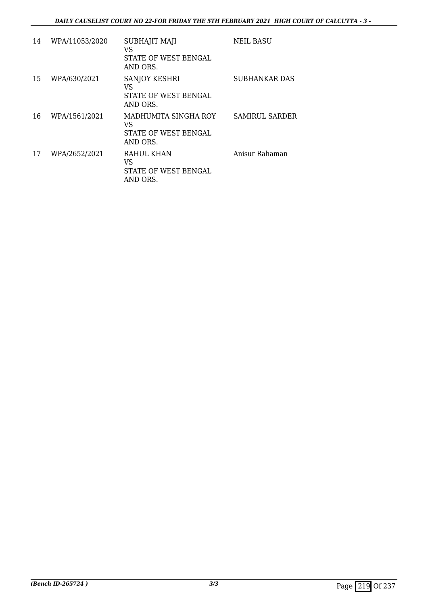| 14 | WPA/11053/2020 | SUBHAJIT MAJI<br>VS<br>STATE OF WEST BENGAL<br>AND ORS.        | <b>NEIL BASU</b>      |
|----|----------------|----------------------------------------------------------------|-----------------------|
| 15 | WPA/630/2021   | <b>SANJOY KESHRI</b><br>VS<br>STATE OF WEST BENGAL<br>AND ORS. | SUBHANKAR DAS         |
| 16 | WPA/1561/2021  | MADHUMITA SINGHA ROY<br>VS<br>STATE OF WEST BENGAL<br>AND ORS. | <b>SAMIRUL SARDER</b> |
| 17 | WPA/2652/2021  | RAHUL KHAN<br>VS<br>STATE OF WEST BENGAL<br>AND ORS.           | Anisur Rahaman        |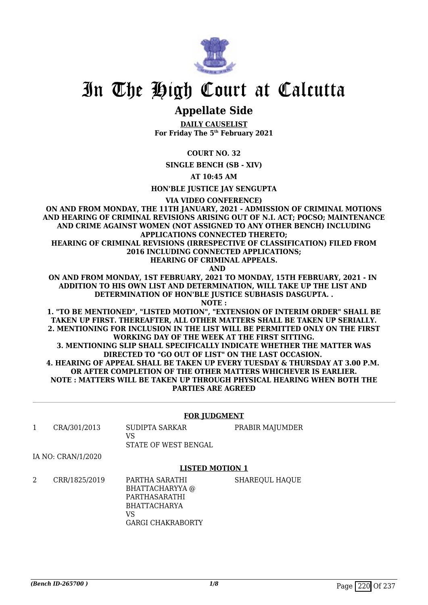

# **Appellate Side**

**DAILY CAUSELIST For Friday The 5th February 2021**

**COURT NO. 32**

**SINGLE BENCH (SB - XIV)**

**AT 10:45 AM**

**HON'BLE JUSTICE JAY SENGUPTA**

**VIA VIDEO CONFERENCE)**

**ON AND FROM MONDAY, THE 11TH JANUARY, 2021 - ADMISSION OF CRIMINAL MOTIONS AND HEARING OF CRIMINAL REVISIONS ARISING OUT OF N.I. ACT; POCSO; MAINTENANCE AND CRIME AGAINST WOMEN (NOT ASSIGNED TO ANY OTHER BENCH) INCLUDING APPLICATIONS CONNECTED THERETO; HEARING OF CRIMINAL REVISIONS (IRRESPECTIVE OF CLASSIFICATION) FILED FROM 2016 INCLUDING CONNECTED APPLICATIONS;**

**HEARING OF CRIMINAL APPEALS.**

 **AND**

**ON AND FROM MONDAY, 1ST FEBRUARY, 2021 TO MONDAY, 15TH FEBRUARY, 2021 - IN ADDITION TO HIS OWN LIST AND DETERMINATION, WILL TAKE UP THE LIST AND DETERMINATION OF HON'BLE JUSTICE SUBHASIS DASGUPTA. .**

**NOTE :**

**1. "TO BE MENTIONED", "LISTED MOTION", "EXTENSION OF INTERIM ORDER" SHALL BE TAKEN UP FIRST. THEREAFTER, ALL OTHER MATTERS SHALL BE TAKEN UP SERIALLY. 2. MENTIONING FOR INCLUSION IN THE LIST WILL BE PERMITTED ONLY ON THE FIRST WORKING DAY OF THE WEEK AT THE FIRST SITTING.**

**3. MENTIONING SLIP SHALL SPECIFICALLY INDICATE WHETHER THE MATTER WAS DIRECTED TO "GO OUT OF LIST" ON THE LAST OCCASION. 4. HEARING OF APPEAL SHALL BE TAKEN UP EVERY TUESDAY & THURSDAY AT 3.00 P.M. OR AFTER COMPLETION OF THE OTHER MATTERS WHICHEVER IS EARLIER. NOTE : MATTERS WILL BE TAKEN UP THROUGH PHYSICAL HEARING WHEN BOTH THE PARTIES ARE AGREED**

### **FOR JUDGMENT**

PRABIR MAJUMDER

1 CRA/301/2013 SUDIPTA SARKAR  $V<sup>Q</sup>$ 

STATE OF WEST BENGAL

IA NO: CRAN/1/2020

### **LISTED MOTION 1**

2 CRR/1825/2019 PARTHA SARATHI BHATTACHARYYA @ PARTHASARATHI BHATTACHARYA  $V<sup>Q</sup>$ GARGI CHAKRABORTY SHAREQUL HAQUE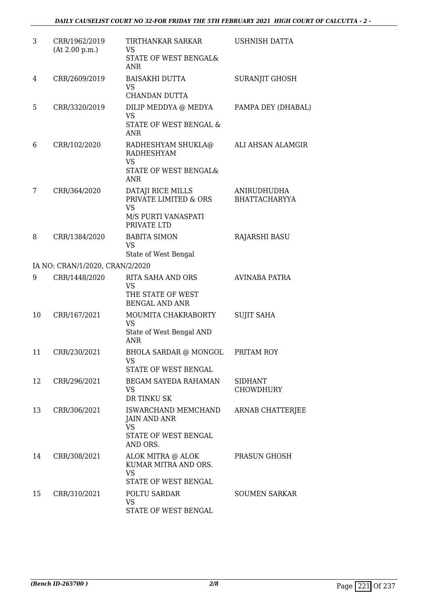| 3  | CRR/1962/2019<br>(At 2.00 p.m.) | TIRTHANKAR SARKAR<br>VS.<br>STATE OF WEST BENGAL&<br>ANR                                      | <b>USHNISH DATTA</b>                |
|----|---------------------------------|-----------------------------------------------------------------------------------------------|-------------------------------------|
| 4  | CRR/2609/2019                   | <b>BAISAKHI DUTTA</b><br><b>VS</b><br><b>CHANDAN DUTTA</b>                                    | SURANJIT GHOSH                      |
| 5  | CRR/3320/2019                   | DILIP MEDDYA @ MEDYA<br><b>VS</b><br>STATE OF WEST BENGAL &<br><b>ANR</b>                     | PAMPA DEY (DHABAL)                  |
| 6  | CRR/102/2020                    | RADHESHYAM SHUKLA@<br><b>RADHESHYAM</b><br><b>VS</b><br>STATE OF WEST BENGAL&<br>ANR          | ALI AHSAN ALAMGIR                   |
| 7  | CRR/364/2020                    | DATAJI RICE MILLS<br>PRIVATE LIMITED & ORS<br><b>VS</b><br>M/S PURTI VANASPATI<br>PRIVATE LTD | ANIRUDHUDHA<br><b>BHATTACHARYYA</b> |
| 8  | CRR/1384/2020                   | <b>BABITA SIMON</b><br><b>VS</b><br>State of West Bengal                                      | RAJARSHI BASU                       |
|    | IA NO: CRAN/1/2020, CRAN/2/2020 |                                                                                               |                                     |
| 9  | CRR/1448/2020                   | <b>RITA SAHA AND ORS</b><br><b>VS</b><br>THE STATE OF WEST<br><b>BENGAL AND ANR</b>           | <b>AVINABA PATRA</b>                |
| 10 | CRR/167/2021                    | MOUMITA CHAKRABORTY<br><b>VS</b><br>State of West Bengal AND<br><b>ANR</b>                    | <b>SUJIT SAHA</b>                   |
| 11 | CRR/230/2021                    | <b>BHOLA SARDAR @ MONGOL</b><br><b>VS</b><br>STATE OF WEST BENGAL                             | PRITAM ROY                          |
| 12 | CRR/296/2021                    | BEGAM SAYEDA RAHAMAN<br>VS.<br>DR TINKU SK                                                    | <b>SIDHANT</b><br><b>CHOWDHURY</b>  |
| 13 | CRR/306/2021                    | ISWARCHAND MEMCHAND<br>JAIN AND ANR<br><b>VS</b><br>STATE OF WEST BENGAL<br>AND ORS.          | <b>ARNAB CHATTERJEE</b>             |
| 14 | CRR/308/2021                    | ALOK MITRA @ ALOK<br>KUMAR MITRA AND ORS.<br><b>VS</b><br>STATE OF WEST BENGAL                | PRASUN GHOSH                        |
| 15 | CRR/310/2021                    | POLTU SARDAR<br>VS<br>STATE OF WEST BENGAL                                                    | <b>SOUMEN SARKAR</b>                |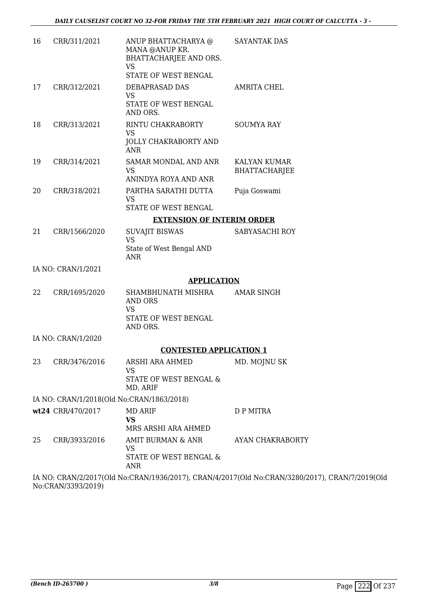| 16 | CRR/311/2021       | ANUP BHATTACHARYA @<br>MANA @ANUP KR.<br>BHATTACHARJEE AND ORS.<br><b>VS</b><br>STATE OF WEST BENGAL | <b>SAYANTAK DAS</b>                  |
|----|--------------------|------------------------------------------------------------------------------------------------------|--------------------------------------|
| 17 | CRR/312/2021       | DEBAPRASAD DAS<br><b>VS</b><br>STATE OF WEST BENGAL<br>AND ORS.                                      | <b>AMRITA CHEL</b>                   |
| 18 | CRR/313/2021       | RINTU CHAKRABORTY<br><b>VS</b><br>JOLLY CHAKRABORTY AND<br><b>ANR</b>                                | <b>SOUMYA RAY</b>                    |
| 19 | CRR/314/2021       | SAMAR MONDAL AND ANR<br><b>VS</b><br>ANINDYA ROYA AND ANR                                            | KALYAN KUMAR<br><b>BHATTACHARJEE</b> |
| 20 | CRR/318/2021       | PARTHA SARATHI DUTTA<br><b>VS</b><br>STATE OF WEST BENGAL                                            | Puja Goswami                         |
|    |                    | <b>EXTENSION OF INTERIM ORDER</b>                                                                    |                                      |
| 21 | CRR/1566/2020      | <b>SUVAJIT BISWAS</b><br><b>VS</b><br>State of West Bengal AND<br><b>ANR</b>                         | SABYASACHI ROY                       |
|    | IA NO: CRAN/1/2021 |                                                                                                      |                                      |
|    |                    | <b>APPLICATION</b>                                                                                   |                                      |
| 22 | CRR/1695/2020      | SHAMBHUNATH MISHRA<br>AND ORS<br><b>VS</b><br>STATE OF WEST BENGAL                                   | AMAR SINGH                           |
|    | IA NO: CRAN/1/2020 | AND ORS.                                                                                             |                                      |
|    |                    | <b>CONTESTED APPLICATION 1</b>                                                                       |                                      |
| 23 | CRR/3476/2016      | ARSHI ARA AHMED                                                                                      | MD. MOJNU SK                         |
|    |                    | <b>VS</b><br>STATE OF WEST BENGAL &<br>MD. ARIF                                                      |                                      |
|    |                    | IA NO: CRAN/1/2018(Old No:CRAN/1863/2018)                                                            |                                      |
|    | wt24 CRR/470/2017  | <b>MD ARIF</b><br><b>VS</b><br>MRS ARSHI ARA AHMED                                                   | D P MITRA                            |
| 25 | CRR/3933/2016      | AMIT BURMAN & ANR<br><b>VS</b><br>STATE OF WEST BENGAL &<br><b>ANR</b>                               | AYAN CHAKRABORTY                     |
|    |                    | IA MO CRAMPROGENT M. CRAMPROGRAPY CRAMPROGENCE M. CRAMPOGORO                                         |                                      |

IA NO: CRAN/2/2017(Old No:CRAN/1936/2017), CRAN/4/2017(Old No:CRAN/3280/2017), CRAN/7/2019(Old No:CRAN/3393/2019)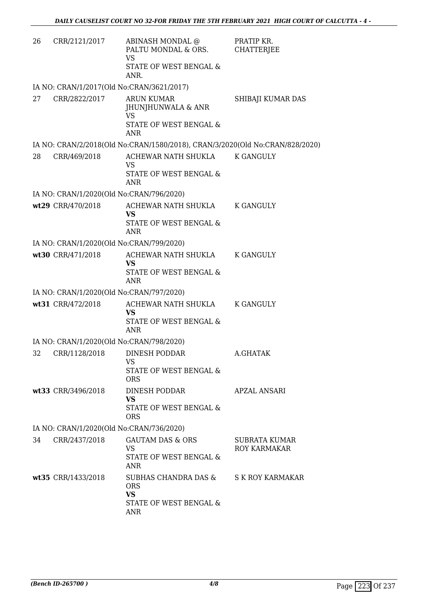| 26 | CRR/2121/2017                            | ABINASH MONDAL @<br>PALTU MONDAL & ORS.<br><b>VS</b><br>STATE OF WEST BENGAL &                                  | PRATIP KR.<br><b>CHATTERJEE</b> |
|----|------------------------------------------|-----------------------------------------------------------------------------------------------------------------|---------------------------------|
|    |                                          | ANR.                                                                                                            |                                 |
|    |                                          | IA NO: CRAN/1/2017(Old No:CRAN/3621/2017)                                                                       |                                 |
| 27 | CRR/2822/2017                            | <b>ARUN KUMAR</b><br>JHUNJHUNWALA & ANR<br><b>VS</b>                                                            | SHIBAJI KUMAR DAS               |
|    |                                          | STATE OF WEST BENGAL &<br><b>ANR</b>                                                                            |                                 |
|    |                                          | IA NO: CRAN/2/2018(Old No:CRAN/1580/2018), CRAN/3/2020(Old No:CRAN/828/2020)                                    |                                 |
| 28 | CRR/469/2018                             | ACHEWAR NATH SHUKLA<br>VS<br>STATE OF WEST BENGAL &                                                             | <b>K GANGULY</b>                |
|    |                                          | <b>ANR</b>                                                                                                      |                                 |
|    | IA NO: CRAN/1/2020(Old No:CRAN/796/2020) |                                                                                                                 |                                 |
|    | wt29 CRR/470/2018                        | ACHEWAR NATH SHUKLA<br><b>VS</b>                                                                                | K GANGULY                       |
|    |                                          | STATE OF WEST BENGAL &<br><b>ANR</b>                                                                            |                                 |
|    | IA NO: CRAN/1/2020(Old No:CRAN/799/2020) |                                                                                                                 |                                 |
|    | wt30 CRR/471/2018                        | ACHEWAR NATH SHUKLA K GANGULY<br>VS<br>STATE OF WEST BENGAL &<br><b>ANR</b>                                     |                                 |
|    | IA NO: CRAN/1/2020(Old No:CRAN/797/2020) |                                                                                                                 |                                 |
|    | wt31 CRR/472/2018                        | ACHEWAR NATH SHUKLA                                                                                             | K GANGULY                       |
|    |                                          | <b>VS</b><br>STATE OF WEST BENGAL &<br><b>ANR</b>                                                               |                                 |
|    | IA NO: CRAN/1/2020(Old No:CRAN/798/2020) |                                                                                                                 |                                 |
| 32 | CRR/1128/2018                            | <b>DINESH PODDAR</b><br><b>VS</b><br>STATE OF WEST BENGAL &                                                     | A.GHATAK                        |
|    |                                          | <b>ORS</b>                                                                                                      |                                 |
|    | wt33 CRR/3496/2018                       | DINESH PODDAR<br><b>VS</b><br>STATE OF WEST BENGAL &<br><b>ORS</b>                                              | APZAL ANSARI                    |
|    | IA NO: CRAN/1/2020(Old No:CRAN/736/2020) |                                                                                                                 |                                 |
| 34 | CRR/2437/2018                            | GAUTAM DAS & ORS<br><b>VS</b><br>STATE OF WEST BENGAL &                                                         | SUBRATA KUMAR<br>ROY KARMAKAR   |
|    | wt35 CRR/1433/2018                       | <b>ANR</b><br>SUBHAS CHANDRA DAS & S K ROY KARMAKAR<br><b>ORS</b><br><b>VS</b><br>STATE OF WEST BENGAL &<br>ANR |                                 |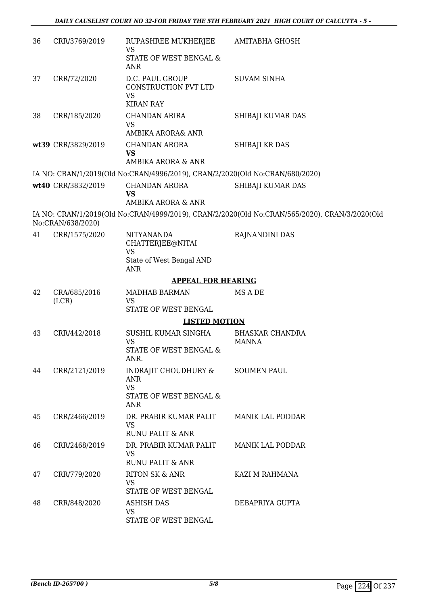| 36 | CRR/3769/2019         | RUPASHREE MUKHERJEE AMITABHA GHOSH<br><b>VS</b>                              |                                                                                               |
|----|-----------------------|------------------------------------------------------------------------------|-----------------------------------------------------------------------------------------------|
|    |                       | STATE OF WEST BENGAL &<br>ANR                                                |                                                                                               |
| 37 | CRR/72/2020           | D.C. PAUL GROUP<br>CONSTRUCTION PVT LTD<br><b>VS</b>                         | <b>SUVAM SINHA</b>                                                                            |
|    |                       | <b>KIRAN RAY</b>                                                             |                                                                                               |
| 38 | CRR/185/2020          | CHANDAN ARIRA<br><b>VS</b>                                                   | SHIBAJI KUMAR DAS                                                                             |
|    |                       | AMBIKA ARORA& ANR                                                            |                                                                                               |
|    | wt39 CRR/3829/2019    | CHANDAN ARORA<br>VS                                                          | SHIBAJI KR DAS                                                                                |
|    |                       | AMBIKA ARORA & ANR                                                           |                                                                                               |
|    |                       | IA NO: CRAN/1/2019(Old No:CRAN/4996/2019), CRAN/2/2020(Old No:CRAN/680/2020) |                                                                                               |
|    | wt40 CRR/3832/2019    | <b>CHANDAN ARORA</b><br><b>VS</b>                                            | SHIBAJI KUMAR DAS                                                                             |
|    |                       | AMBIKA ARORA & ANR                                                           |                                                                                               |
|    | No:CRAN/638/2020)     |                                                                              | IA NO: CRAN/1/2019(Old No:CRAN/4999/2019), CRAN/2/2020(Old No:CRAN/565/2020), CRAN/3/2020(Old |
| 41 | CRR/1575/2020         | <b>NITYANANDA</b><br>CHATTERJEE@NITAI<br><b>VS</b>                           | RAJNANDINI DAS                                                                                |
|    |                       | State of West Bengal AND<br><b>ANR</b>                                       |                                                                                               |
|    |                       | <b>APPEAL FOR HEARING</b>                                                    |                                                                                               |
| 42 | CRA/685/2016<br>(LCR) | <b>MADHAB BARMAN</b><br>VS                                                   | MS A DE                                                                                       |
|    |                       | STATE OF WEST BENGAL                                                         |                                                                                               |
|    |                       | <b>LISTED MOTION</b>                                                         |                                                                                               |
| 43 | CRR/442/2018          | SUSHIL KUMAR SINGHA<br><b>VS</b>                                             | <b>BHASKAR CHANDRA</b><br><b>MANNA</b>                                                        |
|    |                       | STATE OF WEST BENGAL &<br>ANR.                                               |                                                                                               |
| 44 | CRR/2121/2019         | INDRAJIT CHOUDHURY &<br><b>ANR</b><br><b>VS</b>                              | <b>SOUMEN PAUL</b>                                                                            |
|    |                       | STATE OF WEST BENGAL &<br><b>ANR</b>                                         |                                                                                               |
| 45 | CRR/2466/2019         | DR. PRABIR KUMAR PALIT<br><b>VS</b><br>RUNU PALIT & ANR                      | <b>MANIK LAL PODDAR</b>                                                                       |
| 46 | CRR/2468/2019         | DR. PRABIR KUMAR PALIT                                                       | <b>MANIK LAL PODDAR</b>                                                                       |
|    |                       | <b>VS</b><br><b>RUNU PALIT &amp; ANR</b>                                     |                                                                                               |
| 47 | CRR/779/2020          | <b>RITON SK &amp; ANR</b>                                                    | KAZI M RAHMANA                                                                                |
|    |                       | <b>VS</b><br>STATE OF WEST BENGAL                                            |                                                                                               |
| 48 | CRR/848/2020          | <b>ASHISH DAS</b><br><b>VS</b>                                               | DEBAPRIYA GUPTA                                                                               |
|    |                       | STATE OF WEST BENGAL                                                         |                                                                                               |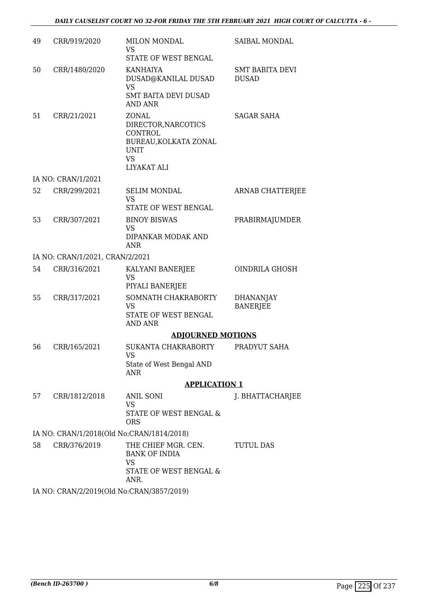| 49 | CRR/919/2020                              | <b>MILON MONDAL</b><br><b>VS</b>                                                                                   | SAIBAL MONDAL                          |
|----|-------------------------------------------|--------------------------------------------------------------------------------------------------------------------|----------------------------------------|
| 50 | CRR/1480/2020                             | STATE OF WEST BENGAL<br><b>KANHAIYA</b><br>DUSAD@KANILAL DUSAD<br><b>VS</b><br><b>SMT BAITA DEVI DUSAD</b>         | <b>SMT BABITA DEVI</b><br><b>DUSAD</b> |
|    |                                           | <b>AND ANR</b>                                                                                                     |                                        |
| 51 | CRR/21/2021                               | ZONAL<br>DIRECTOR, NARCOTICS<br><b>CONTROL</b><br>BUREAU, KOLKATA ZONAL<br><b>UNIT</b><br><b>VS</b><br>LIYAKAT ALI | <b>SAGAR SAHA</b>                      |
|    | IA NO: CRAN/1/2021                        |                                                                                                                    |                                        |
| 52 | CRR/299/2021                              | <b>SELIM MONDAL</b><br><b>VS</b><br>STATE OF WEST BENGAL                                                           | <b>ARNAB CHATTERJEE</b>                |
| 53 | CRR/307/2021                              | <b>BINOY BISWAS</b>                                                                                                | PRABIRMAJUMDER                         |
|    |                                           | VS<br>DIPANKAR MODAK AND<br>ANR                                                                                    |                                        |
|    | IA NO: CRAN/1/2021, CRAN/2/2021           |                                                                                                                    |                                        |
| 54 | CRR/316/2021                              | KALYANI BANERJEE<br>VS<br>PIYALI BANERJEE                                                                          | OINDRILA GHOSH                         |
| 55 | CRR/317/2021                              | SOMNATH CHAKRABORTY<br><b>VS</b><br>STATE OF WEST BENGAL<br><b>AND ANR</b>                                         | <b>DHANANJAY</b><br><b>BANERJEE</b>    |
|    |                                           | <b>ADJOURNED MOTIONS</b>                                                                                           |                                        |
| 56 | CRR/165/2021                              | SUKANTA CHAKRABORTY<br>VS<br>State of West Bengal AND                                                              | PRADYUT SAHA                           |
|    |                                           | <b>ANR</b>                                                                                                         |                                        |
|    |                                           | <b>APPLICATION 1</b>                                                                                               |                                        |
| 57 | CRR/1812/2018                             | <b>ANIL SONI</b><br><b>VS</b><br>STATE OF WEST BENGAL &<br><b>ORS</b>                                              | J. BHATTACHARJEE                       |
|    | IA NO: CRAN/1/2018(Old No:CRAN/1814/2018) |                                                                                                                    |                                        |
| 58 | CRR/376/2019                              | THE CHIEF MGR. CEN.<br><b>BANK OF INDIA</b><br><b>VS</b>                                                           | <b>TUTUL DAS</b>                       |
|    |                                           | STATE OF WEST BENGAL &<br>ANR.                                                                                     |                                        |
|    |                                           |                                                                                                                    |                                        |

IA NO: CRAN/2/2019(Old No:CRAN/3857/2019)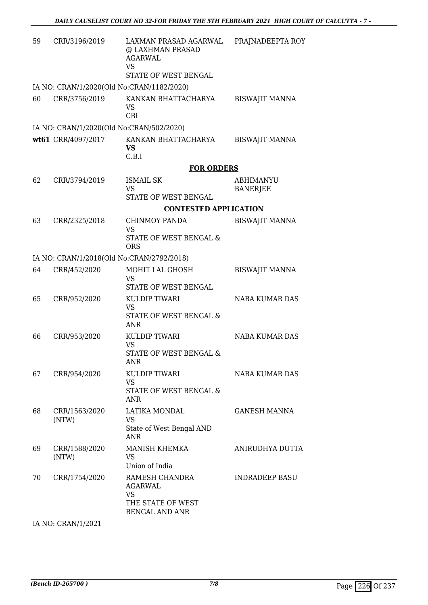| 59 | CRR/3196/2019                             | LAXMAN PRASAD AGARWAL<br>@ LAXHMAN PRASAD<br><b>AGARWAL</b><br><b>VS</b><br>STATE OF WEST BENGAL | PRAJNADEEPTA ROY             |
|----|-------------------------------------------|--------------------------------------------------------------------------------------------------|------------------------------|
|    | IA NO: CRAN/1/2020(Old No:CRAN/1182/2020) |                                                                                                  |                              |
| 60 | CRR/3756/2019                             | KANKAN BHATTACHARYA<br>VS<br><b>CBI</b>                                                          | <b>BISWAJIT MANNA</b>        |
|    | IA NO: CRAN/1/2020(Old No:CRAN/502/2020)  |                                                                                                  |                              |
|    | wt61 CRR/4097/2017                        | KANKAN BHATTACHARYA<br><b>VS</b><br>C.B.I                                                        | <b>BISWAJIT MANNA</b>        |
|    |                                           | <b>FOR ORDERS</b>                                                                                |                              |
| 62 | CRR/3794/2019                             | <b>ISMAIL SK</b><br><b>VS</b>                                                                    | ABHIMANYU<br><b>BANERJEE</b> |
|    |                                           | STATE OF WEST BENGAL                                                                             |                              |
|    |                                           | <b>CONTESTED APPLICATION</b>                                                                     |                              |
| 63 | CRR/2325/2018                             | <b>CHINMOY PANDA</b><br><b>VS</b>                                                                | <b>BISWAJIT MANNA</b>        |
|    |                                           | STATE OF WEST BENGAL &<br><b>ORS</b>                                                             |                              |
|    | IA NO: CRAN/1/2018(Old No:CRAN/2792/2018) |                                                                                                  |                              |
| 64 | CRR/452/2020                              | MOHIT LAL GHOSH<br><b>VS</b><br>STATE OF WEST BENGAL                                             | <b>BISWAJIT MANNA</b>        |
| 65 | CRR/952/2020                              | KULDIP TIWARI<br><b>VS</b><br><b>STATE OF WEST BENGAL &amp;</b><br><b>ANR</b>                    | <b>NABA KUMAR DAS</b>        |
| 66 | CRR/953/2020                              | KULDIP TIWARI<br><b>VS</b><br><b>STATE OF WEST BENGAL &amp;</b><br>ANR                           | <b>NABA KUMAR DAS</b>        |
| 67 | CRR/954/2020                              | KULDIP TIWARI<br><b>VS</b><br>STATE OF WEST BENGAL &<br><b>ANR</b>                               | <b>NABA KUMAR DAS</b>        |
| 68 | CRR/1563/2020<br>(NTW)                    | LATIKA MONDAL<br>VS<br>State of West Bengal AND<br><b>ANR</b>                                    | <b>GANESH MANNA</b>          |
| 69 | CRR/1588/2020<br>(NTW)                    | MANISH KHEMKA<br><b>VS</b><br>Union of India                                                     | ANIRUDHYA DUTTA              |
| 70 | CRR/1754/2020                             | RAMESH CHANDRA<br>AGARWAL<br><b>VS</b><br>THE STATE OF WEST<br><b>BENGAL AND ANR</b>             | <b>INDRADEEP BASU</b>        |
|    | IA NO: CRAN/1/2021                        |                                                                                                  |                              |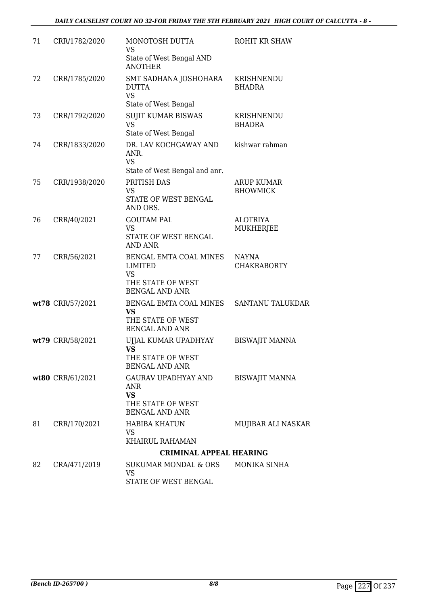| 71 | CRR/1782/2020    | MONOTOSH DUTTA<br>VS                                                       | ROHIT KR SHAW                      |
|----|------------------|----------------------------------------------------------------------------|------------------------------------|
|    |                  | State of West Bengal AND<br><b>ANOTHER</b>                                 |                                    |
| 72 | CRR/1785/2020    | SMT SADHANA JOSHOHARA<br><b>DUTTA</b><br><b>VS</b>                         | KRISHNENDU<br><b>BHADRA</b>        |
|    |                  | State of West Bengal                                                       |                                    |
| 73 | CRR/1792/2020    | <b>SUJIT KUMAR BISWAS</b><br><b>VS</b>                                     | KRISHNENDU<br><b>BHADRA</b>        |
|    |                  | State of West Bengal                                                       |                                    |
| 74 | CRR/1833/2020    | DR. LAV KOCHGAWAY AND<br>ANR.<br><b>VS</b>                                 | kishwar rahman                     |
|    |                  | State of West Bengal and anr.                                              |                                    |
| 75 | CRR/1938/2020    | PRITISH DAS<br><b>VS</b>                                                   | ARUP KUMAR<br><b>BHOWMICK</b>      |
|    |                  | STATE OF WEST BENGAL<br>AND ORS.                                           |                                    |
| 76 | CRR/40/2021      | <b>GOUTAM PAL</b>                                                          | <b>ALOTRIYA</b>                    |
|    |                  | <b>VS</b><br>STATE OF WEST BENGAL<br>AND ANR                               | <b>MUKHERJEE</b>                   |
| 77 | CRR/56/2021      | BENGAL EMTA COAL MINES<br><b>LIMITED</b><br><b>VS</b><br>THE STATE OF WEST | <b>NAYNA</b><br><b>CHAKRABORTY</b> |
|    |                  | <b>BENGAL AND ANR</b>                                                      |                                    |
|    | wt78 CRR/57/2021 | BENGAL EMTA COAL MINES<br><b>VS</b><br>THE STATE OF WEST                   | SANTANU TALUKDAR                   |
|    |                  | <b>BENGAL AND ANR</b>                                                      |                                    |
|    | wt79 CRR/58/2021 | UJJAL KUMAR UPADHYAY<br><b>VS</b>                                          | <b>BISWAJIT MANNA</b>              |
|    |                  | THE STATE OF WEST<br><b>BENGAL AND ANR</b>                                 |                                    |
|    | wt80 CRR/61/2021 | <b>GAURAV UPADHYAY AND</b><br>ANR<br><b>VS</b>                             | <b>BISWAJIT MANNA</b>              |
|    |                  | THE STATE OF WEST<br><b>BENGAL AND ANR</b>                                 |                                    |
| 81 | CRR/170/2021     | <b>HABIBA KHATUN</b><br><b>VS</b>                                          | MUJIBAR ALI NASKAR                 |
|    |                  | KHAIRUL RAHAMAN                                                            |                                    |
|    |                  | <b>CRIMINAL APPEAL HEARING</b>                                             |                                    |
| 82 | CRA/471/2019     | <b>SUKUMAR MONDAL &amp; ORS</b><br><b>VS</b>                               | MONIKA SINHA                       |
|    |                  | STATE OF WEST BENGAL                                                       |                                    |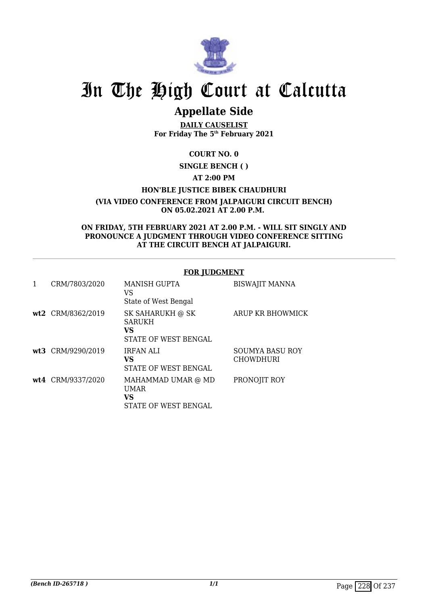

# **Appellate Side**

**DAILY CAUSELIST For Friday The 5th February 2021**

**COURT NO. 0**

**SINGLE BENCH ( )**

**AT 2:00 PM**

**HON'BLE JUSTICE BIBEK CHAUDHURI**

**(VIA VIDEO CONFERENCE FROM JALPAIGURI CIRCUIT BENCH) ON 05.02.2021 AT 2.00 P.M.** 

**ON FRIDAY, 5TH FEBRUARY 2021 AT 2.00 P.M. - WILL SIT SINGLY AND PRONOUNCE A JUDGMENT THROUGH VIDEO CONFERENCE SITTING AT THE CIRCUIT BENCH AT JALPAIGURI.**

### **FOR JUDGMENT**

| $\mathbf{1}$ | CRM/7803/2020     | <b>MANISH GUPTA</b><br>VS<br>State of West Bengal               | <b>BISWAJIT MANNA</b>                      |
|--------------|-------------------|-----------------------------------------------------------------|--------------------------------------------|
|              | wt2 CRM/8362/2019 | SK SAHARUKH @ SK<br><b>SARUKH</b><br>VS<br>STATE OF WEST BENGAL | ARUP KR BHOWMICK                           |
|              | wt3 CRM/9290/2019 | <b>IRFAN ALI</b><br>VS<br>STATE OF WEST BENGAL                  | <b>SOUMYA BASU ROY</b><br><b>CHOWDHURI</b> |
|              | wt4 CRM/9337/2020 | MAHAMMAD UMAR @ MD<br><b>UMAR</b><br>VS<br>STATE OF WEST BENGAL | PRONOJIT ROY                               |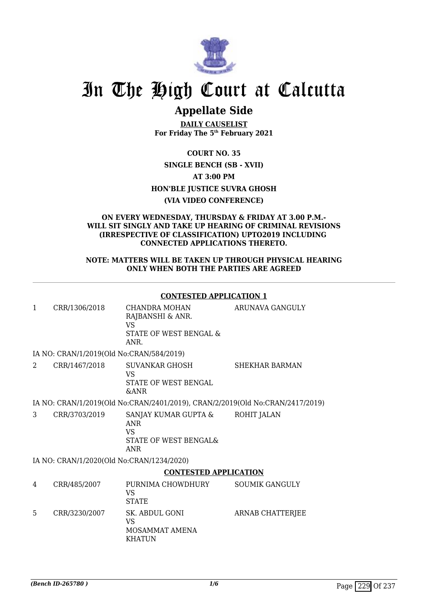

# **Appellate Side**

**DAILY CAUSELIST For Friday The 5th February 2021**

**COURT NO. 35 SINGLE BENCH (SB - XVII) AT 3:00 PM HON'BLE JUSTICE SUVRA GHOSH (VIA VIDEO CONFERENCE)**

#### **ON EVERY WEDNESDAY, THURSDAY & FRIDAY AT 3.00 P.M.- WILL SIT SINGLY AND TAKE UP HEARING OF CRIMINAL REVISIONS (IRRESPECTIVE OF CLASSIFICATION) UPTO2019 INCLUDING CONNECTED APPLICATIONS THERETO.**

### **NOTE: MATTERS WILL BE TAKEN UP THROUGH PHYSICAL HEARING ONLY WHEN BOTH THE PARTIES ARE AGREED**

## **CONTESTED APPLICATION 1**

| 1              | CRR/1306/2018                            | CHANDRA MOHAN<br>RAJBANSHI & ANR.<br>VS<br>STATE OF WEST BENGAL &<br>ANR.        | ARUNAVA GANGULY         |
|----------------|------------------------------------------|----------------------------------------------------------------------------------|-------------------------|
|                | IA NO: CRAN/1/2019(Old No:CRAN/584/2019) |                                                                                  |                         |
| $\overline{2}$ | CRR/1467/2018                            | SUVANKAR GHOSH<br>VS.<br>STATE OF WEST BENGAL<br><b>&amp;ANR</b>                 | <b>SHEKHAR BARMAN</b>   |
|                |                                          | IA NO: CRAN/1/2019(Old No:CRAN/2401/2019), CRAN/2/2019(Old No:CRAN/2417/2019)    |                         |
| 3              | CRR/3703/2019                            | SANJAY KUMAR GUPTA &<br><b>ANR</b><br>VS.<br>STATE OF WEST BENGAL&<br><b>ANR</b> | ROHIT JALAN             |
|                |                                          | IA NO: CRAN/1/2020(Old No:CRAN/1234/2020)                                        |                         |
|                |                                          | <b>CONTESTED APPLICATION</b>                                                     |                         |
| 4              | CRR/485/2007                             | PURNIMA CHOWDHURY<br><b>VS</b><br><b>STATE</b>                                   | <b>SOUMIK GANGULY</b>   |
| 5              | CRR/3230/2007                            | SK. ABDUL GONI<br>VS<br>MOSAMMAT AMENA<br><b>KHATUN</b>                          | <b>ARNAB CHATTERJEE</b> |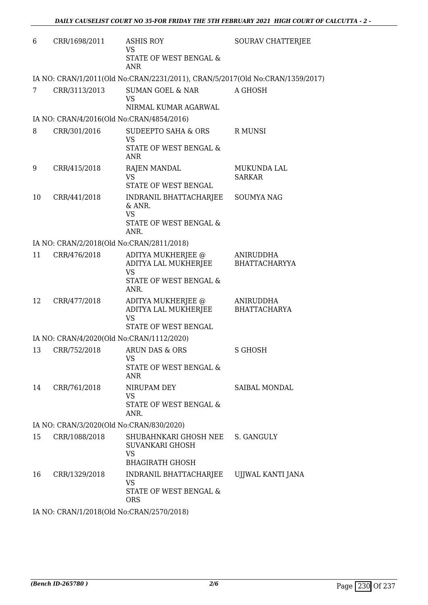| 6                                        | CRR/1698/2011                             | <b>ASHIS ROY</b><br><b>VS</b><br>STATE OF WEST BENGAL &<br><b>ANR</b>                     | SOURAV CHATTERJEE                 |  |
|------------------------------------------|-------------------------------------------|-------------------------------------------------------------------------------------------|-----------------------------------|--|
|                                          |                                           | IA NO: CRAN/1/2011(Old No:CRAN/2231/2011), CRAN/5/2017(Old No:CRAN/1359/2017)             |                                   |  |
| 7                                        | CRR/3113/2013                             | SUMAN GOEL & NAR<br><b>VS</b><br>NIRMAL KUMAR AGARWAL                                     | A GHOSH                           |  |
|                                          | IA NO: CRAN/4/2016(Old No:CRAN/4854/2016) |                                                                                           |                                   |  |
| 8                                        | CRR/301/2016                              | SUDEEPTO SAHA & ORS<br><b>VS</b><br>STATE OF WEST BENGAL &<br><b>ANR</b>                  | R MUNSI                           |  |
| 9                                        | CRR/415/2018                              | <b>RAJEN MANDAL</b><br><b>VS</b><br>STATE OF WEST BENGAL                                  | MUKUNDA LAL<br><b>SARKAR</b>      |  |
| 10                                       | CRR/441/2018                              | INDRANIL BHATTACHARJEE<br>$&$ ANR.<br><b>VS</b><br>STATE OF WEST BENGAL &<br>ANR.         | <b>SOUMYA NAG</b>                 |  |
|                                          | IA NO: CRAN/2/2018(Old No:CRAN/2811/2018) |                                                                                           |                                   |  |
| 11                                       | CRR/476/2018                              | ADITYA MUKHERJEE @<br>ADITYA LAL MUKHERJEE<br><b>VS</b><br>STATE OF WEST BENGAL &<br>ANR. | ANIRUDDHA<br><b>BHATTACHARYYA</b> |  |
| 12                                       | CRR/477/2018                              | ADITYA MUKHERJEE @<br>ADITYA LAL MUKHERJEE<br><b>VS</b><br>STATE OF WEST BENGAL           | ANIRUDDHA<br>BHATTACHARYA         |  |
|                                          | IA NO: CRAN/4/2020(Old No:CRAN/1112/2020) |                                                                                           |                                   |  |
| 13                                       | CRR/752/2018                              | ARUN DAS & ORS<br>VS<br>STATE OF WEST BENGAL &<br><b>ANR</b>                              | S GHOSH                           |  |
| 14                                       | CRR/761/2018                              | NIRUPAM DEY<br><b>VS</b><br>STATE OF WEST BENGAL &<br>ANR.                                | SAIBAL MONDAL                     |  |
| IA NO: CRAN/3/2020(Old No:CRAN/830/2020) |                                           |                                                                                           |                                   |  |
| 15                                       | CRR/1088/2018                             | SHUBAHNKARI GHOSH NEE<br>SUVANKARI GHOSH<br><b>VS</b><br><b>BHAGIRATH GHOSH</b>           | S. GANGULY                        |  |
| 16                                       | CRR/1329/2018                             | INDRANIL BHATTACHARJEE<br><b>VS</b><br>STATE OF WEST BENGAL &<br><b>ORS</b>               | UJJWAL KANTI JANA                 |  |
|                                          |                                           |                                                                                           |                                   |  |

IA NO: CRAN/1/2018(Old No:CRAN/2570/2018)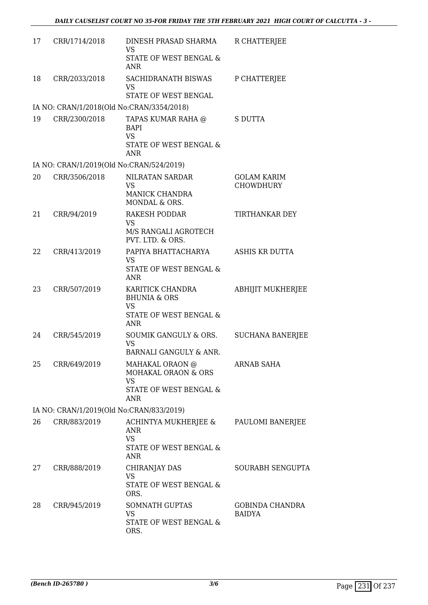| 17 | CRR/1714/2018                            | DINESH PRASAD SHARMA<br><b>VS</b>                                                  | R CHATTERJEE                            |
|----|------------------------------------------|------------------------------------------------------------------------------------|-----------------------------------------|
|    |                                          | STATE OF WEST BENGAL &<br><b>ANR</b>                                               |                                         |
| 18 | CRR/2033/2018                            | SACHIDRANATH BISWAS<br>VS                                                          | P CHATTERJEE                            |
|    |                                          | STATE OF WEST BENGAL                                                               |                                         |
|    |                                          | IA NO: CRAN/1/2018(Old No:CRAN/3354/2018)                                          |                                         |
| 19 | CRR/2300/2018                            | TAPAS KUMAR RAHA @<br><b>BAPI</b><br><b>VS</b>                                     | S DUTTA                                 |
|    |                                          | STATE OF WEST BENGAL &<br><b>ANR</b>                                               |                                         |
|    | IA NO: CRAN/1/2019(Old No:CRAN/524/2019) |                                                                                    |                                         |
| 20 | CRR/3506/2018                            | NILRATAN SARDAR<br><b>VS</b><br><b>MANICK CHANDRA</b><br>MONDAL & ORS.             | <b>GOLAM KARIM</b><br><b>CHOWDHURY</b>  |
| 21 | CRR/94/2019                              | RAKESH PODDAR<br>VS<br>M/S RANGALI AGROTECH                                        | TIRTHANKAR DEY                          |
|    |                                          | PVT. LTD. & ORS.                                                                   |                                         |
| 22 | CRR/413/2019                             | PAPIYA BHATTACHARYA<br><b>VS</b>                                                   | ASHIS KR DUTTA                          |
|    |                                          | STATE OF WEST BENGAL &<br><b>ANR</b>                                               |                                         |
| 23 | CRR/507/2019                             | KARITICK CHANDRA<br><b>BHUNIA &amp; ORS</b><br><b>VS</b><br>STATE OF WEST BENGAL & | ABHIJIT MUKHERJEE                       |
|    |                                          | <b>ANR</b>                                                                         |                                         |
| 24 | CRR/545/2019                             | SOUMIK GANGULY & ORS.<br><b>VS</b>                                                 | <b>SUCHANA BANERJEE</b>                 |
|    |                                          | BARNALI GANGULY & ANR.                                                             |                                         |
| 25 | CRR/649/2019                             | MAHAKAL ORAON @<br>MOHAKAL ORAON & ORS<br><b>VS</b>                                | ARNAB SAHA                              |
|    |                                          | STATE OF WEST BENGAL &<br><b>ANR</b>                                               |                                         |
|    | IA NO: CRAN/1/2019(Old No:CRAN/833/2019) |                                                                                    |                                         |
| 26 | CRR/883/2019                             | ACHINTYA MUKHERJEE &<br><b>ANR</b><br><b>VS</b>                                    | PAULOMI BANERJEE                        |
|    |                                          | STATE OF WEST BENGAL &<br><b>ANR</b>                                               |                                         |
| 27 | CRR/888/2019                             | CHIRANJAY DAS<br><b>VS</b>                                                         | <b>SOURABH SENGUPTA</b>                 |
|    |                                          | STATE OF WEST BENGAL &<br>ORS.                                                     |                                         |
| 28 | CRR/945/2019                             | <b>SOMNATH GUPTAS</b><br>VS                                                        | <b>GOBINDA CHANDRA</b><br><b>BAIDYA</b> |
|    |                                          | STATE OF WEST BENGAL &<br>ORS.                                                     |                                         |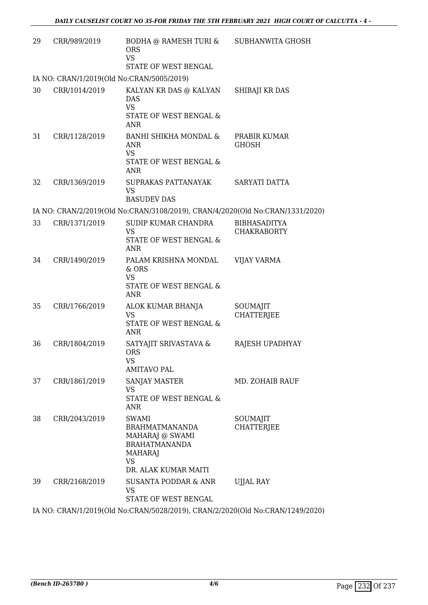| 29                                                                             | CRR/989/2019                              | BODHA @ RAMESH TURI &<br><b>ORS</b><br><b>VS</b><br>STATE OF WEST BENGAL                                                         | SUBHANWITA GHOSH                          |  |
|--------------------------------------------------------------------------------|-------------------------------------------|----------------------------------------------------------------------------------------------------------------------------------|-------------------------------------------|--|
|                                                                                | IA NO: CRAN/1/2019(Old No:CRAN/5005/2019) |                                                                                                                                  |                                           |  |
| 30                                                                             | CRR/1014/2019                             | KALYAN KR DAS @ KALYAN<br><b>DAS</b><br><b>VS</b><br>STATE OF WEST BENGAL &<br><b>ANR</b>                                        | SHIBAJI KR DAS                            |  |
| 31                                                                             | CRR/1128/2019                             | BANHI SHIKHA MONDAL &<br>ANR<br><b>VS</b><br>STATE OF WEST BENGAL &<br><b>ANR</b>                                                | PRABIR KUMAR<br><b>GHOSH</b>              |  |
| 32                                                                             | CRR/1369/2019                             | SUPRAKAS PATTANAYAK<br><b>VS</b><br><b>BASUDEV DAS</b>                                                                           | SARYATI DATTA                             |  |
|                                                                                |                                           | IA NO: CRAN/2/2019(Old No:CRAN/3108/2019), CRAN/4/2020(Old No:CRAN/1331/2020)                                                    |                                           |  |
| 33                                                                             | CRR/1371/2019                             | SUDIP KUMAR CHANDRA<br><b>VS</b><br><b>STATE OF WEST BENGAL &amp;</b><br>ANR                                                     | <b>BIBHASADITYA</b><br><b>CHAKRABORTY</b> |  |
| 34                                                                             | CRR/1490/2019                             | PALAM KRISHNA MONDAL<br>& ORS<br><b>VS</b><br>STATE OF WEST BENGAL &<br><b>ANR</b>                                               | <b>VIJAY VARMA</b>                        |  |
| 35                                                                             | CRR/1766/2019                             | ALOK KUMAR BHANJA<br><b>VS</b><br>STATE OF WEST BENGAL &<br>ANR                                                                  | SOUMAJIT<br><b>CHATTERIEE</b>             |  |
| 36                                                                             | CRR/1804/2019                             | SATYAJIT SRIVASTAVA &<br><b>ORS</b><br><b>VS</b><br>AMITAVO PAL                                                                  | RAJESH UPADHYAY                           |  |
| 37                                                                             | CRR/1861/2019                             | SANJAY MASTER<br><b>VS</b><br>STATE OF WEST BENGAL &<br><b>ANR</b>                                                               | MD. ZOHAIB RAUF                           |  |
| 38                                                                             | CRR/2043/2019                             | <b>SWAMI</b><br><b>BRAHMATMANANDA</b><br>MAHARAJ @ SWAMI<br><b>BRAHATMANANDA</b><br><b>MAHARAJ</b><br>VS<br>DR. ALAK KUMAR MAITI | SOUMAJIT<br>CHATTERJEE                    |  |
| 39                                                                             | CRR/2168/2019                             | SUSANTA PODDAR & ANR<br><b>VS</b><br>STATE OF WEST BENGAL                                                                        | <b>UJJAL RAY</b>                          |  |
| IA NIO, CRANI/1/2010/OIA No.CRANIE029/2010) CRANI2/2020/OIA No.CRANI12/0/2020) |                                           |                                                                                                                                  |                                           |  |

IA NO: CRAN/1/2019(Old No:CRAN/5028/2019), CRAN/2/2020(Old No:CRAN/1249/2020)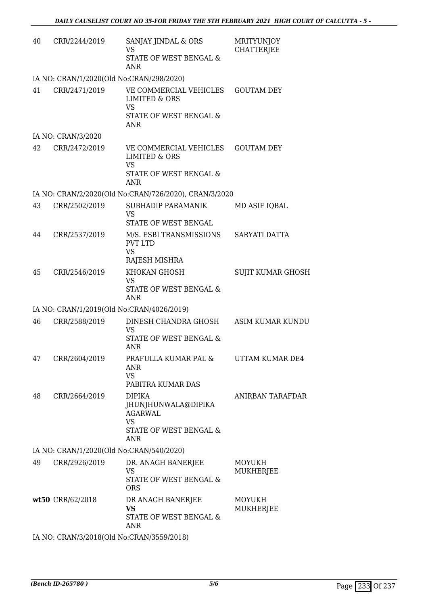| 40 | CRR/2244/2019                             | SANJAY JINDAL & ORS<br><b>VS</b><br>STATE OF WEST BENGAL &<br><b>ANR</b>                                | <b>MRITYUNJOY</b><br><b>CHATTERJEE</b> |
|----|-------------------------------------------|---------------------------------------------------------------------------------------------------------|----------------------------------------|
|    | IA NO: CRAN/1/2020(Old No:CRAN/298/2020)  |                                                                                                         |                                        |
| 41 | CRR/2471/2019                             | VE COMMERCIAL VEHICLES<br><b>LIMITED &amp; ORS</b><br><b>VS</b>                                         | <b>GOUTAM DEY</b>                      |
|    |                                           | STATE OF WEST BENGAL &<br><b>ANR</b>                                                                    |                                        |
|    | IA NO: CRAN/3/2020                        |                                                                                                         |                                        |
| 42 | CRR/2472/2019                             | VE COMMERCIAL VEHICLES<br><b>LIMITED &amp; ORS</b><br><b>VS</b><br>STATE OF WEST BENGAL &<br><b>ANR</b> | <b>GOUTAM DEY</b>                      |
|    |                                           | IA NO: CRAN/2/2020(Old No:CRAN/726/2020), CRAN/3/2020                                                   |                                        |
| 43 | CRR/2502/2019                             | SUBHADIP PARAMANIK                                                                                      | MD ASIF IQBAL                          |
|    |                                           | <b>VS</b>                                                                                               |                                        |
|    |                                           | STATE OF WEST BENGAL                                                                                    |                                        |
| 44 | CRR/2537/2019                             | M/S. ESBI TRANSMISSIONS<br><b>PVT LTD</b><br><b>VS</b><br>RAJESH MISHRA                                 | SARYATI DATTA                          |
| 45 | CRR/2546/2019                             | KHOKAN GHOSH                                                                                            | <b>SUJIT KUMAR GHOSH</b>               |
|    |                                           | <b>VS</b><br>STATE OF WEST BENGAL &<br><b>ANR</b>                                                       |                                        |
|    | IA NO: CRAN/1/2019(Old No:CRAN/4026/2019) |                                                                                                         |                                        |
| 46 | CRR/2588/2019                             | DINESH CHANDRA GHOSH<br><b>VS</b>                                                                       | ASIM KUMAR KUNDU                       |
|    |                                           | STATE OF WEST BENGAL &<br><b>ANR</b>                                                                    |                                        |
| 47 | CRR/2604/2019                             | PRAFULLA KUMAR PAL &<br>ANR                                                                             | UTTAM KUMAR DE4                        |
|    |                                           | <b>VS</b><br>PABITRA KUMAR DAS                                                                          |                                        |
| 48 | CRR/2664/2019                             | <b>DIPIKA</b><br>JHUNJHUNWALA@DIPIKA<br><b>AGARWAL</b><br><b>VS</b>                                     | ANIRBAN TARAFDAR                       |
|    |                                           | STATE OF WEST BENGAL &<br><b>ANR</b>                                                                    |                                        |
|    | IA NO: CRAN/1/2020(Old No:CRAN/540/2020)  |                                                                                                         |                                        |
| 49 | CRR/2926/2019                             | DR. ANAGH BANERJEE<br><b>VS</b>                                                                         | <b>MOYUKH</b>                          |
|    |                                           | STATE OF WEST BENGAL &<br><b>ORS</b>                                                                    | MUKHERJEE                              |
|    | wt50 CRR/62/2018                          | DR ANAGH BANERJEE<br><b>VS</b>                                                                          | MOYUKH                                 |
|    |                                           | STATE OF WEST BENGAL &<br><b>ANR</b>                                                                    | MUKHERJEE                              |
|    | IA NO: CRAN/3/2018(Old No:CRAN/3559/2018) |                                                                                                         |                                        |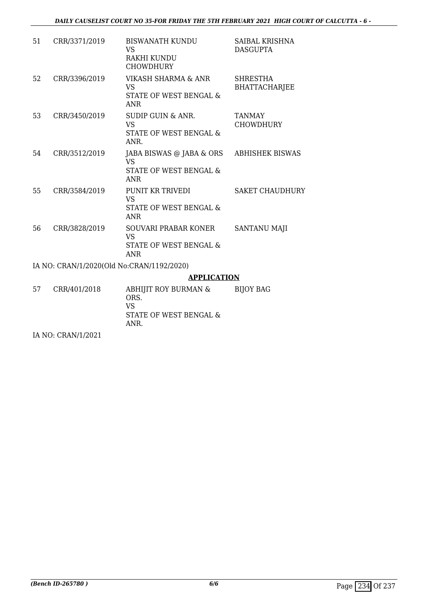| 51 | CRR/3371/2019                             | <b>BISWANATH KUNDU</b><br><b>VS</b><br>RAKHI KUNDU<br><b>CHOWDHURY</b>              | <b>SAIBAL KRISHNA</b><br><b>DASGUPTA</b> |
|----|-------------------------------------------|-------------------------------------------------------------------------------------|------------------------------------------|
| 52 | CRR/3396/2019                             | <b>VIKASH SHARMA &amp; ANR</b><br><b>VS</b><br>STATE OF WEST BENGAL &<br><b>ANR</b> | <b>SHRESTHA</b><br><b>BHATTACHARJEE</b>  |
| 53 | CRR/3450/2019                             | SUDIP GUIN & ANR.<br><b>VS</b><br>STATE OF WEST BENGAL &<br>ANR.                    | <b>TANMAY</b><br><b>CHOWDHURY</b>        |
| 54 | CRR/3512/2019                             | JABA BISWAS @ JABA & ORS<br><b>VS</b><br>STATE OF WEST BENGAL &<br><b>ANR</b>       | <b>ABHISHEK BISWAS</b>                   |
| 55 | CRR/3584/2019                             | PUNIT KR TRIVEDI<br><b>VS</b><br>STATE OF WEST BENGAL &<br><b>ANR</b>               | <b>SAKET CHAUDHURY</b>                   |
| 56 | CRR/3828/2019                             | SOUVARI PRABAR KONER<br><b>VS</b><br>STATE OF WEST BENGAL &<br><b>ANR</b>           | <b>SANTANU MAJI</b>                      |
|    | IA NO: CRAN/1/2020(Old No:CRAN/1192/2020) |                                                                                     |                                          |
|    |                                           | <b>APPLICATION</b>                                                                  |                                          |
| 57 | CRR/401/2018                              | ABHIJIT ROY BURMAN &<br>ORS.<br><b>VS</b>                                           | <b>BIJOY BAG</b>                         |

STATE OF WEST BENGAL &

ANR.

IA NO: CRAN/1/2021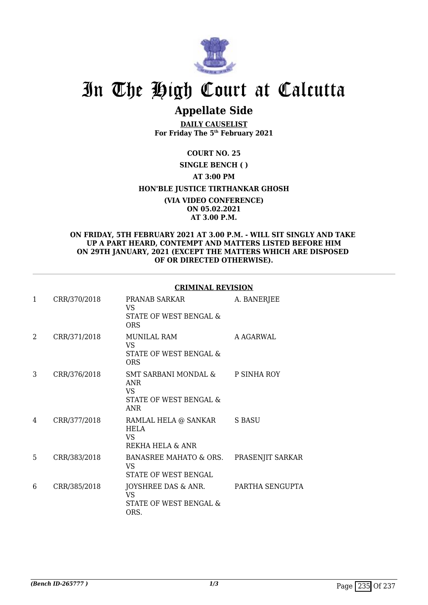

# **Appellate Side**

**DAILY CAUSELIST For Friday The 5th February 2021**

## **COURT NO. 25**

## **SINGLE BENCH ( )**

## **AT 3:00 PM**

## **HON'BLE JUSTICE TIRTHANKAR GHOSH**

**(VIA VIDEO CONFERENCE) ON 05.02.2021 AT 3.00 P.M.**

### **ON FRIDAY, 5TH FEBRUARY 2021 AT 3.00 P.M. - WILL SIT SINGLY AND TAKE UP A PART HEARD, CONTEMPT AND MATTERS LISTED BEFORE HIM ON 29TH JANUARY, 2021 (EXCEPT THE MATTERS WHICH ARE DISPOSED OF OR DIRECTED OTHERWISE).**

### **CRIMINAL REVISION**

| 1  | CRR/370/2018 | PRANAB SARKAR<br>VS.<br>STATE OF WEST BENGAL &<br><b>ORS</b>               | A. BANERJEE      |
|----|--------------|----------------------------------------------------------------------------|------------------|
| 2  | CRR/371/2018 | MUNILAL RAM<br>VS.<br>STATE OF WEST BENGAL &<br><b>ORS</b>                 | A AGARWAL        |
| 3  | CRR/376/2018 | SMT SARBANI MONDAL &<br>ANR<br>VS.<br>STATE OF WEST BENGAL &<br><b>ANR</b> | P SINHA ROY      |
| 4  | CRR/377/2018 | RAMLAL HELA @ SANKAR<br>HELA<br>VS.<br>REKHA HELA & ANR                    | S BASU           |
| 5. | CRR/383/2018 | BANASREE MAHATO & ORS.<br>VS.<br>STATE OF WEST BENGAL                      | PRASENJIT SARKAR |
| 6  | CRR/385/2018 | JOYSHREE DAS & ANR.<br>VS<br>STATE OF WEST BENGAL &<br>ORS.                | PARTHA SENGUPTA  |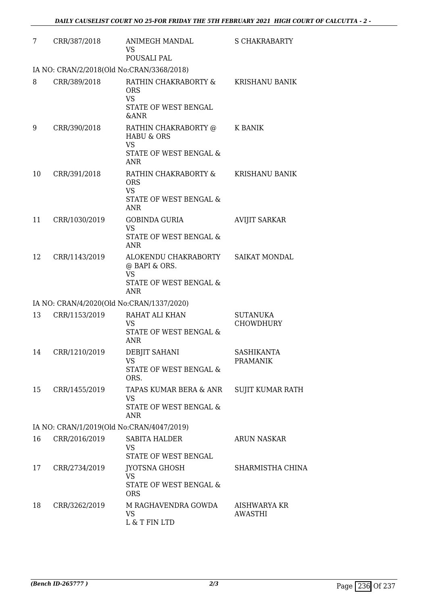| 7  | CRR/387/2018                              | ANIMEGH MANDAL<br><b>VS</b><br>POUSALI PAL                                                               | <b>S CHAKRABARTY</b>                  |
|----|-------------------------------------------|----------------------------------------------------------------------------------------------------------|---------------------------------------|
|    | IA NO: CRAN/2/2018(Old No:CRAN/3368/2018) |                                                                                                          |                                       |
| 8  | CRR/389/2018                              | RATHIN CHAKRABORTY &<br><b>ORS</b><br><b>VS</b><br>STATE OF WEST BENGAL<br><b>&amp;ANR</b>               | KRISHANU BANIK                        |
| 9  | CRR/390/2018                              | RATHIN CHAKRABORTY @<br><b>HABU &amp; ORS</b><br><b>VS</b><br>STATE OF WEST BENGAL &<br><b>ANR</b>       | K BANIK                               |
| 10 | CRR/391/2018                              | RATHIN CHAKRABORTY &<br><b>ORS</b><br><b>VS</b><br>STATE OF WEST BENGAL &<br><b>ANR</b>                  | <b>KRISHANU BANIK</b>                 |
| 11 | CRR/1030/2019                             | <b>GOBINDA GURIA</b><br><b>VS</b><br>STATE OF WEST BENGAL &<br><b>ANR</b>                                | <b>AVIJIT SARKAR</b>                  |
| 12 | CRR/1143/2019                             | ALOKENDU CHAKRABORTY SAIKAT MONDAL<br>@ BAPI & ORS.<br><b>VS</b><br>STATE OF WEST BENGAL &<br><b>ANR</b> |                                       |
|    | IA NO: CRAN/4/2020(Old No:CRAN/1337/2020) |                                                                                                          |                                       |
| 13 | CRR/1153/2019                             | RAHAT ALI KHAN<br>VS<br>STATE OF WEST BENGAL &<br>ANR                                                    | <b>SUTANUKA</b><br><b>CHOWDHURY</b>   |
| 14 | CRR/1210/2019                             | DEBJIT SAHANI<br><b>VS</b><br>STATE OF WEST BENGAL &<br>ORS.                                             | <b>SASHIKANTA</b><br><b>PRAMANIK</b>  |
| 15 | CRR/1455/2019                             | TAPAS KUMAR BERA & ANR<br><b>VS</b><br>STATE OF WEST BENGAL &<br><b>ANR</b>                              | SUJIT KUMAR RATH                      |
|    | IA NO: CRAN/1/2019(Old No:CRAN/4047/2019) |                                                                                                          |                                       |
| 16 | CRR/2016/2019                             | <b>SABITA HALDER</b><br><b>VS</b><br>STATE OF WEST BENGAL                                                | <b>ARUN NASKAR</b>                    |
| 17 | CRR/2734/2019                             | <b>JYOTSNA GHOSH</b><br><b>VS</b><br>STATE OF WEST BENGAL &<br><b>ORS</b>                                | SHARMISTHA CHINA                      |
| 18 | CRR/3262/2019                             | M RAGHAVENDRA GOWDA<br>VS<br>L & T FIN LTD                                                               | <b>AISHWARYA KR</b><br><b>AWASTHI</b> |